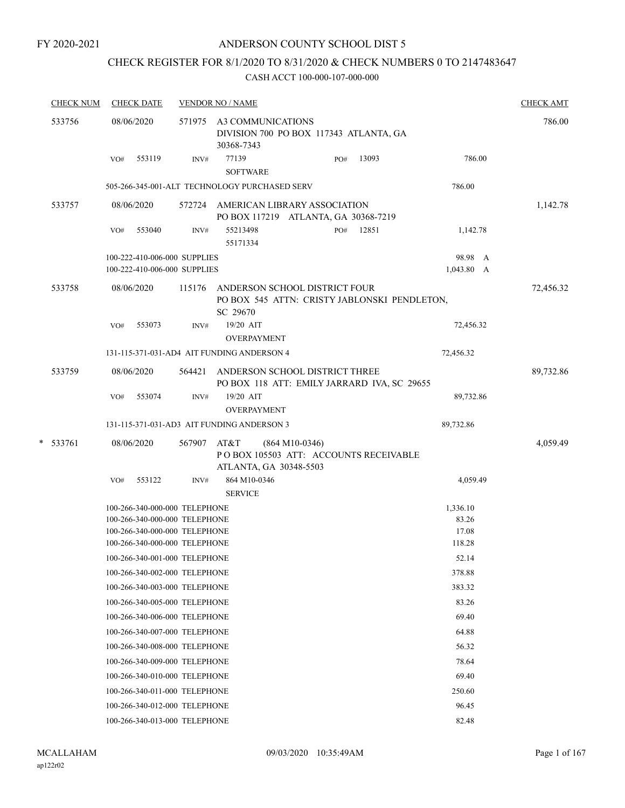## CHECK REGISTER FOR 8/1/2020 TO 8/31/2020 & CHECK NUMBERS 0 TO 2147483647

|   | <b>CHECK NUM</b> |     | <b>CHECK DATE</b>                                                                                                                |        | <b>VENDOR NO / NAME</b>        |                                               |                                                                               |       |                                      | <b>CHECK AMT</b> |
|---|------------------|-----|----------------------------------------------------------------------------------------------------------------------------------|--------|--------------------------------|-----------------------------------------------|-------------------------------------------------------------------------------|-------|--------------------------------------|------------------|
|   | 533756           |     | 08/06/2020                                                                                                                       |        | 30368-7343                     | 571975 A3 COMMUNICATIONS                      | DIVISION 700 PO BOX 117343 ATLANTA, GA                                        |       |                                      | 786.00           |
|   |                  | VO# | 553119                                                                                                                           | INV#   | 77139<br><b>SOFTWARE</b>       |                                               | PO#                                                                           | 13093 | 786.00                               |                  |
|   |                  |     |                                                                                                                                  |        |                                | 505-266-345-001-ALT TECHNOLOGY PURCHASED SERV |                                                                               |       | 786.00                               |                  |
|   | 533757           |     | 08/06/2020                                                                                                                       | 572724 |                                |                                               | AMERICAN LIBRARY ASSOCIATION<br>PO BOX 117219 ATLANTA, GA 30368-7219          |       |                                      | 1,142.78         |
|   |                  | VO# | 553040                                                                                                                           | INV#   | 55213498<br>55171334           |                                               | PO#                                                                           | 12851 | 1,142.78                             |                  |
|   |                  |     | 100-222-410-006-000 SUPPLIES<br>100-222-410-006-000 SUPPLIES                                                                     |        |                                |                                               |                                                                               |       | 98.98 A<br>$1,043.80$ A              |                  |
|   | 533758           |     | 08/06/2020                                                                                                                       | 115176 | SC 29670                       |                                               | ANDERSON SCHOOL DISTRICT FOUR<br>PO BOX 545 ATTN: CRISTY JABLONSKI PENDLETON, |       |                                      | 72,456.32        |
|   |                  | VO# | 553073                                                                                                                           | INV#   | 19/20 AIT                      | <b>OVERPAYMENT</b>                            |                                                                               |       | 72,456.32                            |                  |
|   |                  |     | 131-115-371-031-AD4 AIT FUNDING ANDERSON 4                                                                                       |        |                                |                                               |                                                                               |       | 72,456.32                            |                  |
|   | 533759           |     | 08/06/2020                                                                                                                       | 564421 |                                |                                               | ANDERSON SCHOOL DISTRICT THREE<br>PO BOX 118 ATT: EMILY JARRARD IVA, SC 29655 |       |                                      | 89,732.86        |
|   |                  | VO# | 553074                                                                                                                           | INV#   | 19/20 AIT                      | <b>OVERPAYMENT</b>                            |                                                                               |       | 89,732.86                            |                  |
|   |                  |     | 131-115-371-031-AD3 AIT FUNDING ANDERSON 3                                                                                       |        |                                |                                               |                                                                               |       | 89,732.86                            |                  |
| * | 533761           |     | 08/06/2020                                                                                                                       | 567907 | AT&T                           | $(864 M10-0346)$<br>ATLANTA, GA 30348-5503    | PO BOX 105503 ATT: ACCOUNTS RECEIVABLE                                        |       |                                      | 4,059.49         |
|   |                  | VO# | 553122                                                                                                                           | INV#   | 864 M10-0346<br><b>SERVICE</b> |                                               |                                                                               |       | 4,059.49                             |                  |
|   |                  |     | 100-266-340-000-000 TELEPHONE<br>100-266-340-000-000 TELEPHONE<br>100-266-340-000-000 TELEPHONE<br>100-266-340-000-000 TELEPHONE |        |                                |                                               |                                                                               |       | 1,336.10<br>83.26<br>17.08<br>118.28 |                  |
|   |                  |     | 100-266-340-001-000 TELEPHONE                                                                                                    |        |                                |                                               |                                                                               |       | 52.14                                |                  |
|   |                  |     | 100-266-340-002-000 TELEPHONE                                                                                                    |        |                                |                                               |                                                                               |       | 378.88                               |                  |
|   |                  |     | 100-266-340-003-000 TELEPHONE                                                                                                    |        |                                |                                               |                                                                               |       | 383.32                               |                  |
|   |                  |     | 100-266-340-005-000 TELEPHONE                                                                                                    |        |                                |                                               |                                                                               |       | 83.26                                |                  |
|   |                  |     | 100-266-340-006-000 TELEPHONE                                                                                                    |        |                                |                                               |                                                                               |       | 69.40                                |                  |
|   |                  |     | 100-266-340-007-000 TELEPHONE                                                                                                    |        |                                |                                               |                                                                               |       | 64.88                                |                  |
|   |                  |     | 100-266-340-008-000 TELEPHONE                                                                                                    |        |                                |                                               |                                                                               |       | 56.32                                |                  |
|   |                  |     | 100-266-340-009-000 TELEPHONE                                                                                                    |        |                                |                                               |                                                                               |       | 78.64                                |                  |
|   |                  |     | 100-266-340-010-000 TELEPHONE                                                                                                    |        |                                |                                               |                                                                               |       | 69.40                                |                  |
|   |                  |     | 100-266-340-011-000 TELEPHONE                                                                                                    |        |                                |                                               |                                                                               |       | 250.60                               |                  |
|   |                  |     | 100-266-340-012-000 TELEPHONE                                                                                                    |        |                                |                                               |                                                                               |       | 96.45                                |                  |
|   |                  |     | 100-266-340-013-000 TELEPHONE                                                                                                    |        |                                |                                               |                                                                               |       | 82.48                                |                  |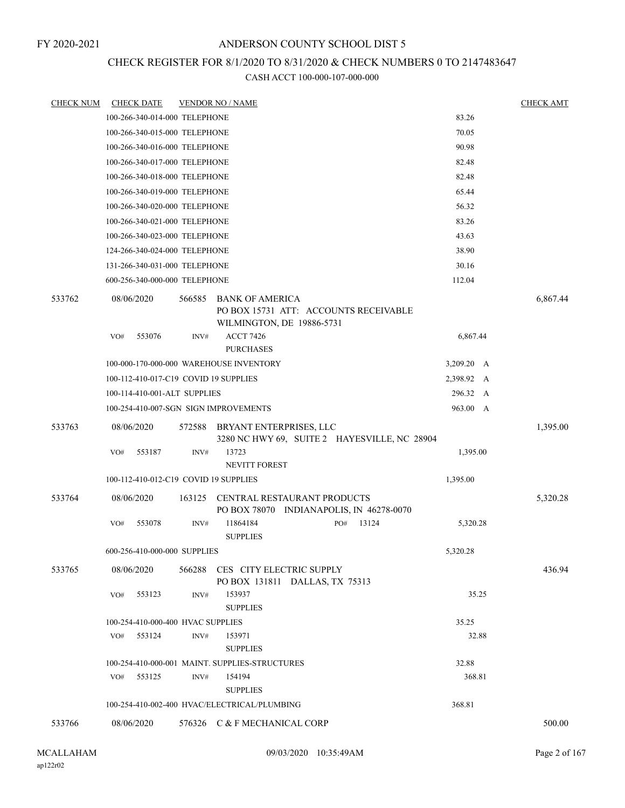# CHECK REGISTER FOR 8/1/2020 TO 8/31/2020 & CHECK NUMBERS 0 TO 2147483647

| <b>CHECK NUM</b> | <b>CHECK DATE</b>                     |        | <b>VENDOR NO / NAME</b>                                                               |     |                                              |            | <b>CHECK AMT</b> |
|------------------|---------------------------------------|--------|---------------------------------------------------------------------------------------|-----|----------------------------------------------|------------|------------------|
|                  | 100-266-340-014-000 TELEPHONE         |        |                                                                                       |     |                                              | 83.26      |                  |
|                  | 100-266-340-015-000 TELEPHONE         |        |                                                                                       |     |                                              | 70.05      |                  |
|                  | 100-266-340-016-000 TELEPHONE         |        |                                                                                       |     |                                              | 90.98      |                  |
|                  | 100-266-340-017-000 TELEPHONE         |        |                                                                                       |     |                                              | 82.48      |                  |
|                  | 100-266-340-018-000 TELEPHONE         |        |                                                                                       |     |                                              | 82.48      |                  |
|                  | 100-266-340-019-000 TELEPHONE         |        |                                                                                       |     |                                              | 65.44      |                  |
|                  | 100-266-340-020-000 TELEPHONE         |        |                                                                                       |     |                                              | 56.32      |                  |
|                  | 100-266-340-021-000 TELEPHONE         |        |                                                                                       |     |                                              | 83.26      |                  |
|                  | 100-266-340-023-000 TELEPHONE         |        |                                                                                       |     |                                              | 43.63      |                  |
|                  | 124-266-340-024-000 TELEPHONE         |        |                                                                                       |     |                                              | 38.90      |                  |
|                  | 131-266-340-031-000 TELEPHONE         |        |                                                                                       |     |                                              | 30.16      |                  |
|                  | 600-256-340-000-000 TELEPHONE         |        |                                                                                       |     |                                              | 112.04     |                  |
| 533762           | 08/06/2020                            | 566585 | BANK OF AMERICA<br>PO BOX 15731 ATT: ACCOUNTS RECEIVABLE<br>WILMINGTON, DE 19886-5731 |     |                                              |            | 6,867.44         |
|                  | 553076<br>VO#                         | INV#   | <b>ACCT 7426</b><br><b>PURCHASES</b>                                                  |     |                                              | 6,867.44   |                  |
|                  |                                       |        | 100-000-170-000-000 WAREHOUSE INVENTORY                                               |     |                                              | 3,209.20 A |                  |
|                  | 100-112-410-017-C19 COVID 19 SUPPLIES |        |                                                                                       |     |                                              | 2,398.92 A |                  |
|                  | 100-114-410-001-ALT SUPPLIES          |        |                                                                                       |     |                                              | 296.32 A   |                  |
|                  | 100-254-410-007-SGN SIGN IMPROVEMENTS |        |                                                                                       |     |                                              | 963.00 A   |                  |
| 533763           | 08/06/2020                            | 572588 | BRYANT ENTERPRISES, LLC                                                               |     | 3280 NC HWY 69, SUITE 2 HAYESVILLE, NC 28904 |            | 1,395.00         |
|                  | 553187<br>VO#                         | INV#   | 13723<br><b>NEVITT FOREST</b>                                                         |     |                                              | 1,395.00   |                  |
|                  | 100-112-410-012-C19 COVID 19 SUPPLIES |        |                                                                                       |     |                                              | 1,395.00   |                  |
| 533764           | 08/06/2020                            | 163125 | CENTRAL RESTAURANT PRODUCTS<br>PO BOX 78070 INDIANAPOLIS, IN 46278-0070               |     |                                              |            | 5,320.28         |
|                  | VO#<br>553078                         | INV#   | 11864184<br><b>SUPPLIES</b>                                                           | PO# | 13124                                        | 5,320.28   |                  |
|                  | 600-256-410-000-000 SUPPLIES          |        |                                                                                       |     |                                              | 5,320.28   |                  |
| 533765           | 08/06/2020                            |        | 566288 CES CITY ELECTRIC SUPPLY<br>PO BOX 131811 DALLAS, TX 75313                     |     |                                              |            | 436.94           |
|                  | 553123<br>VO#                         | INV#   | 153937<br><b>SUPPLIES</b>                                                             |     |                                              | 35.25      |                  |
|                  | 100-254-410-000-400 HVAC SUPPLIES     |        |                                                                                       |     |                                              | 35.25      |                  |
|                  | 553124<br>VO#                         | INV#   | 153971<br><b>SUPPLIES</b>                                                             |     |                                              | 32.88      |                  |
|                  |                                       |        | 100-254-410-000-001 MAINT. SUPPLIES-STRUCTURES                                        |     |                                              | 32.88      |                  |
|                  | 553125<br>VO#                         | INV#   | 154194<br><b>SUPPLIES</b>                                                             |     |                                              | 368.81     |                  |
|                  |                                       |        | 100-254-410-002-400 HVAC/ELECTRICAL/PLUMBING                                          |     |                                              | 368.81     |                  |
| 533766           | 08/06/2020                            |        | 576326 C & F MECHANICAL CORP                                                          |     |                                              |            | 500.00           |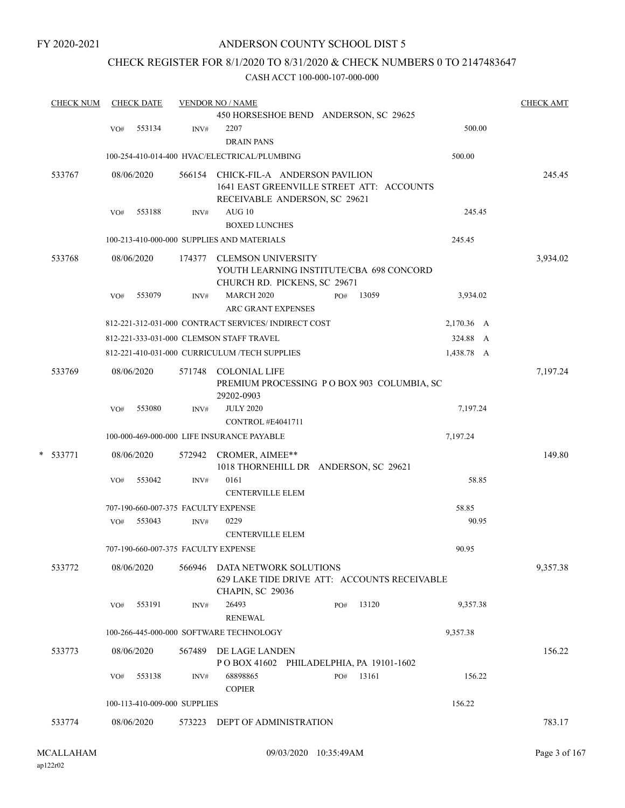## ANDERSON COUNTY SCHOOL DIST 5

## CHECK REGISTER FOR 8/1/2020 TO 8/31/2020 & CHECK NUMBERS 0 TO 2147483647

| <b>CHECK NUM</b> |     | <b>CHECK DATE</b>                   |        | <b>VENDOR NO / NAME</b>                                  |            | <b>CHECK AMT</b> |
|------------------|-----|-------------------------------------|--------|----------------------------------------------------------|------------|------------------|
|                  |     |                                     |        | 450 HORSESHOE BEND ANDERSON, SC 29625                    |            |                  |
|                  | VO# | 553134                              | INV#   | 2207                                                     | 500.00     |                  |
|                  |     |                                     |        | <b>DRAIN PANS</b>                                        |            |                  |
|                  |     |                                     |        | 100-254-410-014-400 HVAC/ELECTRICAL/PLUMBING             | 500.00     |                  |
| 533767           |     | 08/06/2020                          | 566154 | CHICK-FIL-A ANDERSON PAVILION                            |            | 245.45           |
|                  |     |                                     |        | 1641 EAST GREENVILLE STREET ATT: ACCOUNTS                |            |                  |
|                  |     |                                     |        | RECEIVABLE ANDERSON, SC 29621                            |            |                  |
|                  | VO# | 553188                              | INV#   | AUG10                                                    | 245.45     |                  |
|                  |     |                                     |        | <b>BOXED LUNCHES</b>                                     |            |                  |
|                  |     |                                     |        | 100-213-410-000-000 SUPPLIES AND MATERIALS               | 245.45     |                  |
| 533768           |     | 08/06/2020                          | 174377 | <b>CLEMSON UNIVERSITY</b>                                |            | 3,934.02         |
|                  |     |                                     |        | YOUTH LEARNING INSTITUTE/CBA 698 CONCORD                 |            |                  |
|                  |     |                                     |        | CHURCH RD. PICKENS, SC 29671                             |            |                  |
|                  | VO# | 553079                              | INV#   | <b>MARCH 2020</b><br>13059<br>PO#                        | 3,934.02   |                  |
|                  |     |                                     |        | <b>ARC GRANT EXPENSES</b>                                |            |                  |
|                  |     |                                     |        | 812-221-312-031-000 CONTRACT SERVICES/INDIRECT COST      | 2,170.36 A |                  |
|                  |     |                                     |        | 812-221-333-031-000 CLEMSON STAFF TRAVEL                 | 324.88 A   |                  |
|                  |     |                                     |        | 812-221-410-031-000 CURRICULUM /TECH SUPPLIES            | 1,438.78 A |                  |
| 533769           |     | 08/06/2020                          |        | 571748 COLONIAL LIFE                                     |            | 7,197.24         |
|                  |     |                                     |        | PREMIUM PROCESSING PO BOX 903 COLUMBIA, SC<br>29202-0903 |            |                  |
|                  | VO# | 553080                              | INV#   | <b>JULY 2020</b>                                         | 7,197.24   |                  |
|                  |     |                                     |        | CONTROL #E4041711                                        |            |                  |
|                  |     |                                     |        | 100-000-469-000-000 LIFE INSURANCE PAYABLE               | 7,197.24   |                  |
| * 533771         |     | 08/06/2020                          | 572942 | CROMER, AIMEE**<br>1018 THORNEHILL DR ANDERSON, SC 29621 |            | 149.80           |
|                  | VO# | 553042                              | INV#   | 0161                                                     | 58.85      |                  |
|                  |     |                                     |        | <b>CENTERVILLE ELEM</b>                                  |            |                  |
|                  |     | 707-190-660-007-375 FACULTY EXPENSE |        |                                                          | 58.85      |                  |
|                  | VO# | 553043                              | INV#   | 0229                                                     | 90.95      |                  |
|                  |     |                                     |        | <b>CENTERVILLE ELEM</b>                                  |            |                  |
|                  |     | 707-190-660-007-375 FACULTY EXPENSE |        |                                                          | 90.95      |                  |
| 533772           |     | 08/06/2020                          |        | 566946 DATA NETWORK SOLUTIONS                            |            | 9,357.38         |
|                  |     |                                     |        | 629 LAKE TIDE DRIVE ATT: ACCOUNTS RECEIVABLE             |            |                  |
|                  |     |                                     |        | CHAPIN, SC 29036                                         |            |                  |
|                  | VO# | 553191                              | INV#   | 26493<br>13120<br>PO#                                    | 9,357.38   |                  |
|                  |     |                                     |        | <b>RENEWAL</b>                                           |            |                  |
|                  |     |                                     |        | 100-266-445-000-000 SOFTWARE TECHNOLOGY                  | 9,357.38   |                  |
| 533773           |     | 08/06/2020                          | 567489 | DE LAGE LANDEN                                           |            | 156.22           |
|                  |     |                                     |        | POBOX 41602 PHILADELPHIA, PA 19101-1602                  |            |                  |
|                  | VO# | 553138                              | INV#   | 68898865<br>13161<br>PO#<br><b>COPIER</b>                | 156.22     |                  |
|                  |     | 100-113-410-009-000 SUPPLIES        |        |                                                          | 156.22     |                  |
|                  |     |                                     |        |                                                          |            |                  |
| 533774           |     | 08/06/2020                          | 573223 | DEPT OF ADMINISTRATION                                   |            | 783.17           |
|                  |     |                                     |        |                                                          |            |                  |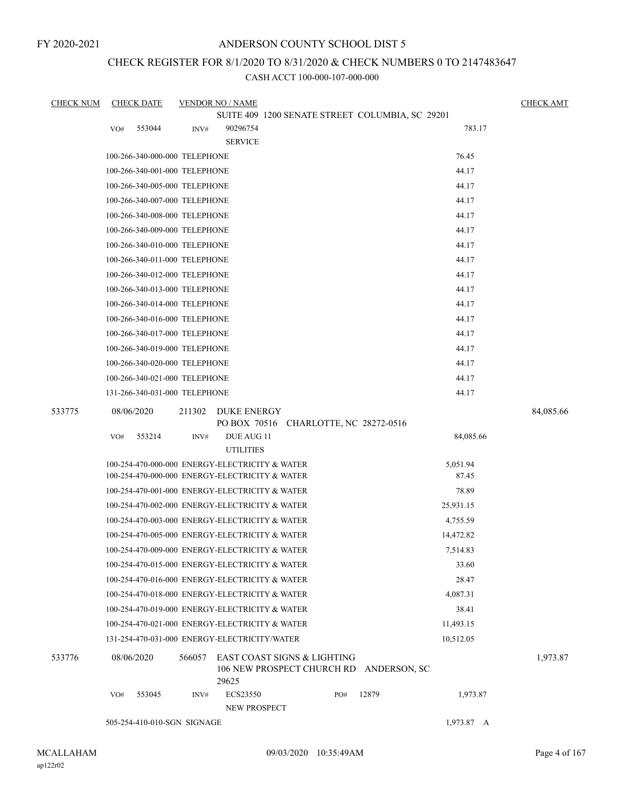## ANDERSON COUNTY SCHOOL DIST 5

## CHECK REGISTER FOR 8/1/2020 TO 8/31/2020 & CHECK NUMBERS 0 TO 2147483647

CASH ACCT 100-000-107-000-000

| <b>CHECK NUM</b> |            | <b>CHECK DATE</b>             |        | <b>VENDOR NO / NAME</b>                        |  |     |                                                 |            | <b>CHECK AMT</b> |
|------------------|------------|-------------------------------|--------|------------------------------------------------|--|-----|-------------------------------------------------|------------|------------------|
|                  |            |                               |        |                                                |  |     | SUITE 409 1200 SENATE STREET COLUMBIA, SC 29201 |            |                  |
|                  | VO#        | 553044                        | INV#   | 90296754                                       |  |     |                                                 | 783.17     |                  |
|                  |            |                               |        | <b>SERVICE</b>                                 |  |     |                                                 |            |                  |
|                  |            | 100-266-340-000-000 TELEPHONE |        |                                                |  |     |                                                 | 76.45      |                  |
|                  |            | 100-266-340-001-000 TELEPHONE |        |                                                |  |     |                                                 | 44.17      |                  |
|                  |            | 100-266-340-005-000 TELEPHONE |        |                                                |  |     |                                                 | 44.17      |                  |
|                  |            | 100-266-340-007-000 TELEPHONE |        |                                                |  |     |                                                 | 44.17      |                  |
|                  |            | 100-266-340-008-000 TELEPHONE |        |                                                |  |     |                                                 | 44.17      |                  |
|                  |            | 100-266-340-009-000 TELEPHONE |        |                                                |  |     |                                                 | 44.17      |                  |
|                  |            | 100-266-340-010-000 TELEPHONE |        |                                                |  |     |                                                 | 44.17      |                  |
|                  |            | 100-266-340-011-000 TELEPHONE |        |                                                |  |     |                                                 | 44.17      |                  |
|                  |            | 100-266-340-012-000 TELEPHONE |        |                                                |  |     |                                                 | 44.17      |                  |
|                  |            | 100-266-340-013-000 TELEPHONE |        |                                                |  |     |                                                 | 44.17      |                  |
|                  |            | 100-266-340-014-000 TELEPHONE |        |                                                |  |     |                                                 | 44.17      |                  |
|                  |            | 100-266-340-016-000 TELEPHONE |        |                                                |  |     |                                                 | 44.17      |                  |
|                  |            | 100-266-340-017-000 TELEPHONE |        |                                                |  |     |                                                 | 44.17      |                  |
|                  |            | 100-266-340-019-000 TELEPHONE |        |                                                |  |     |                                                 | 44.17      |                  |
|                  |            | 100-266-340-020-000 TELEPHONE |        |                                                |  |     |                                                 | 44.17      |                  |
|                  |            | 100-266-340-021-000 TELEPHONE |        |                                                |  |     |                                                 | 44.17      |                  |
|                  |            | 131-266-340-031-000 TELEPHONE |        |                                                |  |     |                                                 | 44.17      |                  |
| 533775           | 08/06/2020 |                               | 211302 | DUKE ENERGY                                    |  |     |                                                 |            | 84,085.66        |
|                  |            |                               |        |                                                |  |     | PO BOX 70516 CHARLOTTE, NC 28272-0516           |            |                  |
|                  | VO#        | 553214                        | INV#   | DUE AUG 11                                     |  |     |                                                 | 84,085.66  |                  |
|                  |            |                               |        | <b>UTILITIES</b>                               |  |     |                                                 |            |                  |
|                  |            |                               |        | 100-254-470-000-000 ENERGY-ELECTRICITY & WATER |  |     |                                                 | 5,051.94   |                  |
|                  |            |                               |        | 100-254-470-000-000 ENERGY-ELECTRICITY & WATER |  |     |                                                 | 87.45      |                  |
|                  |            |                               |        | 100-254-470-001-000 ENERGY-ELECTRICITY & WATER |  |     |                                                 | 78.89      |                  |
|                  |            |                               |        | 100-254-470-002-000 ENERGY-ELECTRICITY & WATER |  |     |                                                 | 25,931.15  |                  |
|                  |            |                               |        | 100-254-470-003-000 ENERGY-ELECTRICITY & WATER |  |     |                                                 | 4,755.59   |                  |
|                  |            |                               |        | 100-254-470-005-000 ENERGY-ELECTRICITY & WATER |  |     |                                                 | 14,472.82  |                  |
|                  |            |                               |        | 100-254-470-009-000 ENERGY-ELECTRICITY & WATER |  |     |                                                 | 7,514.83   |                  |
|                  |            |                               |        | 100-254-470-015-000 ENERGY-ELECTRICITY & WATER |  |     |                                                 | 33.60      |                  |
|                  |            |                               |        | 100-254-470-016-000 ENERGY-ELECTRICITY & WATER |  |     |                                                 | 28.47      |                  |
|                  |            |                               |        | 100-254-470-018-000 ENERGY-ELECTRICITY & WATER |  |     |                                                 | 4,087.31   |                  |
|                  |            |                               |        | 100-254-470-019-000 ENERGY-ELECTRICITY & WATER |  |     |                                                 | 38.41      |                  |
|                  |            |                               |        | 100-254-470-021-000 ENERGY-ELECTRICITY & WATER |  |     |                                                 | 11,493.15  |                  |
|                  |            |                               |        | 131-254-470-031-000 ENERGY-ELECTRICITY/WATER   |  |     |                                                 | 10,512.05  |                  |
| 533776           | 08/06/2020 |                               | 566057 | EAST COAST SIGNS & LIGHTING                    |  |     |                                                 |            | 1,973.87         |
|                  |            |                               |        | 29625                                          |  |     | 106 NEW PROSPECT CHURCH RD ANDERSON, SC         |            |                  |
|                  | VO#        | 553045                        | INV#   | ECS23550                                       |  | PO# | 12879                                           | 1,973.87   |                  |
|                  |            | 505-254-410-010-SGN SIGNAGE   |        | NEW PROSPECT                                   |  |     |                                                 | 1,973.87 A |                  |

ap122r02

09/03/2020 10:35:49AM MCALLAHAM Page 4 of 167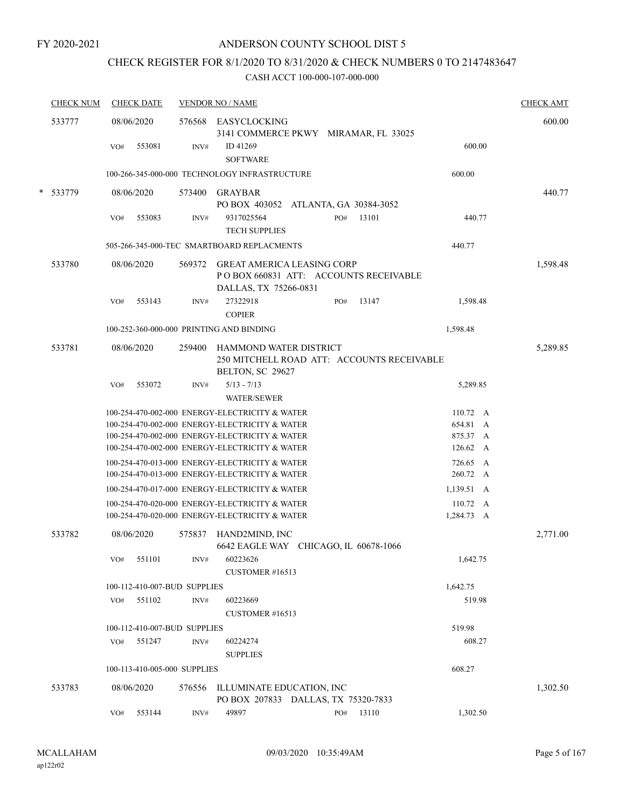# CHECK REGISTER FOR 8/1/2020 TO 8/31/2020 & CHECK NUMBERS 0 TO 2147483647

|        | <b>CHECK NUM</b> | <b>CHECK DATE</b>                        |        | <b>VENDOR NO / NAME</b>                                                                              |     |           |                         | <b>CHECK AMT</b> |
|--------|------------------|------------------------------------------|--------|------------------------------------------------------------------------------------------------------|-----|-----------|-------------------------|------------------|
|        | 533777           | 08/06/2020                               |        | 576568 EASYCLOCKING<br>3141 COMMERCE PKWY MIRAMAR, FL 33025                                          |     |           |                         | 600.00           |
|        |                  | 553081<br>VO#                            | INV#   | ID 41269<br><b>SOFTWARE</b>                                                                          |     |           | 600.00                  |                  |
|        |                  |                                          |        | 100-266-345-000-000 TECHNOLOGY INFRASTRUCTURE                                                        |     |           | 600.00                  |                  |
| $\ast$ | 533779           | 08/06/2020                               |        | 573400 GRAYBAR<br>PO BOX 403052 ATLANTA, GA 30384-3052                                               |     |           |                         | 440.77           |
|        |                  | VO#<br>553083                            | INV#   | 9317025564<br><b>TECH SUPPLIES</b>                                                                   | PO# | 13101     | 440.77                  |                  |
|        |                  |                                          |        | 505-266-345-000-TEC SMARTBOARD REPLACMENTS                                                           |     |           | 440.77                  |                  |
|        | 533780           | 08/06/2020                               | 569372 | <b>GREAT AMERICA LEASING CORP</b><br>PO BOX 660831 ATT: ACCOUNTS RECEIVABLE<br>DALLAS, TX 75266-0831 |     |           |                         | 1,598.48         |
|        |                  | 553143<br>VO#                            | INV#   | 27322918<br><b>COPIER</b>                                                                            | PO# | 13147     | 1,598.48                |                  |
|        |                  | 100-252-360-000-000 PRINTING AND BINDING |        |                                                                                                      |     |           | 1,598.48                |                  |
|        | 533781           | 08/06/2020                               | 259400 | HAMMOND WATER DISTRICT<br>250 MITCHELL ROAD ATT: ACCOUNTS RECEIVABLE<br>BELTON, SC 29627             |     |           |                         | 5,289.85         |
|        |                  | 553072<br>VO#                            | INV#   | $5/13 - 7/13$<br><b>WATER/SEWER</b>                                                                  |     |           | 5,289.85                |                  |
|        |                  |                                          |        | 100-254-470-002-000 ENERGY-ELECTRICITY & WATER                                                       |     |           | 110.72 A                |                  |
|        |                  |                                          |        | 100-254-470-002-000 ENERGY-ELECTRICITY & WATER                                                       |     |           | 654.81<br>$\mathbf{A}$  |                  |
|        |                  |                                          |        | 100-254-470-002-000 ENERGY-ELECTRICITY & WATER<br>100-254-470-002-000 ENERGY-ELECTRICITY & WATER     |     |           | 875.37<br>A<br>126.62 A |                  |
|        |                  |                                          |        | 100-254-470-013-000 ENERGY-ELECTRICITY & WATER                                                       |     |           | 726.65 A                |                  |
|        |                  |                                          |        | 100-254-470-013-000 ENERGY-ELECTRICITY & WATER                                                       |     |           | 260.72 A                |                  |
|        |                  |                                          |        | 100-254-470-017-000 ENERGY-ELECTRICITY & WATER                                                       |     |           | 1,139.51 A              |                  |
|        |                  |                                          |        | 100-254-470-020-000 ENERGY-ELECTRICITY & WATER                                                       |     |           | $110.72 \quad A$        |                  |
|        |                  |                                          |        | 100-254-470-020-000 ENERGY-ELECTRICITY & WATER                                                       |     |           | 1,284.73 A              |                  |
|        | 533782           | 08/06/2020                               | 575837 | HAND2MIND, INC<br>6642 EAGLE WAY CHICAGO, IL 60678-1066                                              |     |           |                         | 2,771.00         |
|        |                  | VO#<br>551101                            | INV#   | 60223626<br>CUSTOMER #16513                                                                          |     |           | 1,642.75                |                  |
|        |                  | 100-112-410-007-BUD SUPPLIES             |        |                                                                                                      |     |           | 1,642.75                |                  |
|        |                  | 551102<br>VO#                            | INV#   | 60223669<br>CUSTOMER #16513                                                                          |     |           | 519.98                  |                  |
|        |                  | 100-112-410-007-BUD SUPPLIES             |        |                                                                                                      |     |           | 519.98                  |                  |
|        |                  | 551247<br>VO#                            | INV#   | 60224274<br><b>SUPPLIES</b>                                                                          |     |           | 608.27                  |                  |
|        |                  | 100-113-410-005-000 SUPPLIES             |        |                                                                                                      |     |           | 608.27                  |                  |
|        | 533783           | 08/06/2020                               | 576556 | ILLUMINATE EDUCATION, INC<br>PO BOX 207833 DALLAS, TX 75320-7833                                     |     |           |                         | 1,302.50         |
|        |                  | 553144<br>VO#                            | INV#   | 49897                                                                                                |     | PO# 13110 | 1,302.50                |                  |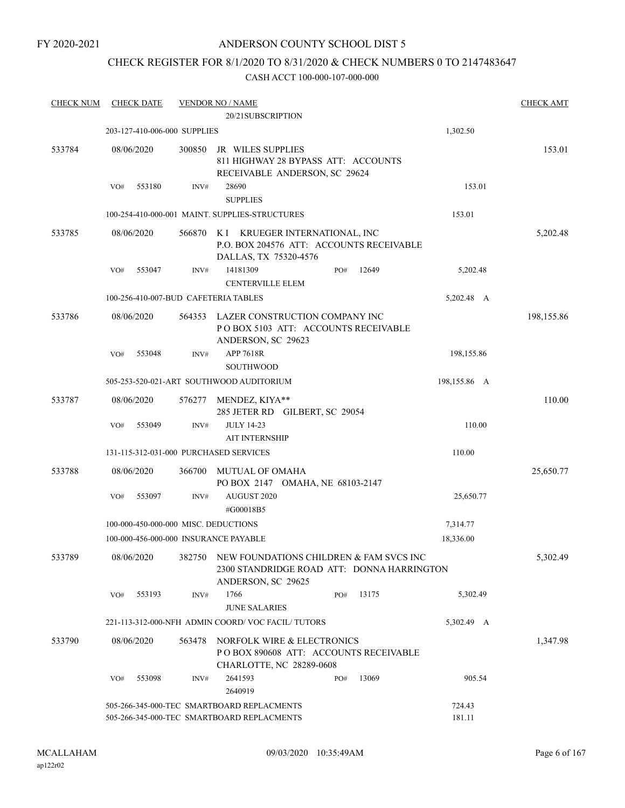## ANDERSON COUNTY SCHOOL DIST 5

## CHECK REGISTER FOR 8/1/2020 TO 8/31/2020 & CHECK NUMBERS 0 TO 2147483647

| <b>CHECK NUM</b> | <b>CHECK DATE</b>                      |        | <b>VENDOR NO / NAME</b>                                                                                                       |     |       |                  | <b>CHECK AMT</b> |
|------------------|----------------------------------------|--------|-------------------------------------------------------------------------------------------------------------------------------|-----|-------|------------------|------------------|
|                  |                                        |        | 20/21SUBSCRIPTION                                                                                                             |     |       |                  |                  |
|                  | 203-127-410-006-000 SUPPLIES           |        |                                                                                                                               |     |       | 1,302.50         |                  |
| 533784           | 08/06/2020                             | 300850 | JR WILES SUPPLIES<br>811 HIGHWAY 28 BYPASS ATT: ACCOUNTS<br>RECEIVABLE ANDERSON, SC 29624                                     |     |       |                  | 153.01           |
|                  | VO#<br>553180                          | INV#   | 28690<br><b>SUPPLIES</b>                                                                                                      |     |       | 153.01           |                  |
|                  |                                        |        | 100-254-410-000-001 MAINT. SUPPLIES-STRUCTURES                                                                                |     |       | 153.01           |                  |
| 533785           | 08/06/2020                             | 566870 | K I KRUEGER INTERNATIONAL, INC<br>P.O. BOX 204576 ATT: ACCOUNTS RECEIVABLE<br>DALLAS, TX 75320-4576                           |     |       |                  | 5,202.48         |
|                  | 553047<br>VO#                          | INV#   | 14181309<br><b>CENTERVILLE ELEM</b>                                                                                           | PO# | 12649 | 5,202.48         |                  |
|                  | 100-256-410-007-BUD CAFETERIA TABLES   |        |                                                                                                                               |     |       | 5,202.48 A       |                  |
| 533786           | 08/06/2020                             | 564353 | LAZER CONSTRUCTION COMPANY INC<br>POBOX 5103 ATT: ACCOUNTS RECEIVABLE<br>ANDERSON, SC 29623                                   |     |       |                  | 198,155.86       |
|                  | VO#<br>553048                          | INV#   | APP 7618R<br><b>SOUTHWOOD</b>                                                                                                 |     |       | 198,155.86       |                  |
|                  |                                        |        | 505-253-520-021-ART SOUTHWOOD AUDITORIUM                                                                                      |     |       | 198,155.86 A     |                  |
| 533787           | 08/06/2020                             | 576277 | MENDEZ, KIYA**<br>285 JETER RD GILBERT, SC 29054                                                                              |     |       |                  | 110.00           |
|                  | 553049<br>VO#                          | INV#   | <b>JULY 14-23</b><br><b>AIT INTERNSHIP</b>                                                                                    |     |       | 110.00           |                  |
|                  | 131-115-312-031-000 PURCHASED SERVICES |        |                                                                                                                               |     |       | 110.00           |                  |
| 533788           | 08/06/2020                             | 366700 | MUTUAL OF OMAHA<br>PO BOX 2147 OMAHA, NE 68103-2147                                                                           |     |       |                  | 25,650.77        |
|                  | 553097<br>VO#                          | INV#   | AUGUST 2020<br>#G00018B5                                                                                                      |     |       | 25,650.77        |                  |
|                  | 100-000-450-000-000 MISC. DEDUCTIONS   |        |                                                                                                                               |     |       | 7,314.77         |                  |
|                  | 100-000-456-000-000 INSURANCE PAYABLE  |        |                                                                                                                               |     |       | 18,336.00        |                  |
| 533789           |                                        |        | 08/06/2020 382750 NEW FOUNDATIONS CHILDREN & FAM SVCS INC<br>2300 STANDRIDGE ROAD ATT: DONNA HARRINGTON<br>ANDERSON, SC 29625 |     |       |                  | 5,302.49         |
|                  | 553193<br>VO#                          | INV#   | 1766<br><b>JUNE SALARIES</b>                                                                                                  | PO# | 13175 | 5,302.49         |                  |
|                  |                                        |        | 221-113-312-000-NFH ADMIN COORD/VOC FACIL/TUTORS                                                                              |     |       | 5,302.49 A       |                  |
| 533790           | 08/06/2020                             | 563478 | NORFOLK WIRE & ELECTRONICS<br>PO BOX 890608 ATT: ACCOUNTS RECEIVABLE<br><b>CHARLOTTE, NC 28289-0608</b>                       |     |       |                  | 1,347.98         |
|                  | VO#<br>553098                          | INV#   | 2641593<br>2640919                                                                                                            | PO# | 13069 | 905.54           |                  |
|                  |                                        |        | 505-266-345-000-TEC SMARTBOARD REPLACMENTS<br>505-266-345-000-TEC SMARTBOARD REPLACMENTS                                      |     |       | 724.43<br>181.11 |                  |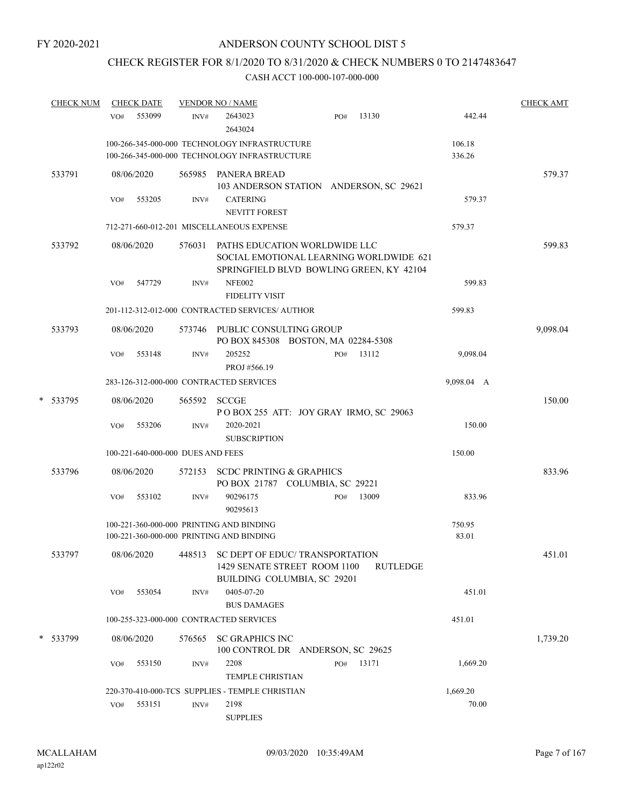# CHECK REGISTER FOR 8/1/2020 TO 8/31/2020 & CHECK NUMBERS 0 TO 2147483647

| <b>CHECK NUM</b> | <b>CHECK DATE</b>                 |        | <b>VENDOR NO / NAME</b>                                                                                              |     |           |                  | <b>CHECK AMT</b> |
|------------------|-----------------------------------|--------|----------------------------------------------------------------------------------------------------------------------|-----|-----------|------------------|------------------|
|                  | 553099<br>VO#                     | INV#   | 2643023<br>2643024                                                                                                   | PO# | 13130     | 442.44           |                  |
|                  |                                   |        | 100-266-345-000-000 TECHNOLOGY INFRASTRUCTURE<br>100-266-345-000-000 TECHNOLOGY INFRASTRUCTURE                       |     |           | 106.18<br>336.26 |                  |
| 533791           | 08/06/2020                        |        | 565985 PANERA BREAD                                                                                                  |     |           |                  | 579.37           |
|                  | 553205<br>VO#                     | INV#   | 103 ANDERSON STATION ANDERSON, SC 29621<br><b>CATERING</b><br><b>NEVITT FOREST</b>                                   |     |           | 579.37           |                  |
|                  |                                   |        | 712-271-660-012-201 MISCELLANEOUS EXPENSE                                                                            |     |           | 579.37           |                  |
| 533792           | 08/06/2020                        | 576031 | PATHS EDUCATION WORLDWIDE LLC<br>SOCIAL EMOTIONAL LEARNING WORLDWIDE 621<br>SPRINGFIELD BLVD BOWLING GREEN, KY 42104 |     |           |                  | 599.83           |
|                  | 547729<br>VO#                     | INV#   | <b>NFE002</b><br><b>FIDELITY VISIT</b>                                                                               |     |           | 599.83           |                  |
|                  |                                   |        | 201-112-312-012-000 CONTRACTED SERVICES/ AUTHOR                                                                      |     |           | 599.83           |                  |
| 533793           | 08/06/2020                        |        | 573746 PUBLIC CONSULTING GROUP<br>PO BOX 845308 BOSTON, MA 02284-5308                                                |     |           |                  | 9,098.04         |
|                  | 553148<br>VO#                     | INV#   | 205252<br>PROJ #566.19                                                                                               | PO# | 13112     | 9,098.04         |                  |
|                  |                                   |        | 283-126-312-000-000 CONTRACTED SERVICES                                                                              |     |           | 9,098.04 A       |                  |
| * 533795         | 08/06/2020                        | 565592 | <b>SCCGE</b><br>POBOX 255 ATT: JOY GRAY IRMO, SC 29063                                                               |     |           |                  | 150.00           |
|                  | 553206<br>VO#                     | INV#   | 2020-2021<br><b>SUBSCRIPTION</b>                                                                                     |     |           | 150.00           |                  |
|                  | 100-221-640-000-000 DUES AND FEES |        |                                                                                                                      |     |           | 150.00           |                  |
| 533796           | 08/06/2020                        | 572153 | <b>SCDC PRINTING &amp; GRAPHICS</b><br>PO BOX 21787 COLUMBIA, SC 29221                                               |     |           |                  | 833.96           |
|                  | VO#<br>553102                     | INV#   | 90296175<br>90295613                                                                                                 | PO# | 13009     | 833.96           |                  |
|                  |                                   |        | 100-221-360-000-000 PRINTING AND BINDING<br>100-221-360-000-000 PRINTING AND BINDING                                 |     |           | 750.95<br>83.01  |                  |
| 533797           | 08/06/2020                        |        | 448513 SC DEPT OF EDUC/ TRANSPORTATION<br>1429 SENATE STREET ROOM 1100<br>BUILDING COLUMBIA, SC 29201                |     | RUTLEDGE  |                  | 451.01           |
|                  | 553054<br>VO#                     | INV#   | 0405-07-20<br><b>BUS DAMAGES</b>                                                                                     |     |           | 451.01           |                  |
|                  |                                   |        | 100-255-323-000-000 CONTRACTED SERVICES                                                                              |     |           | 451.01           |                  |
| * 533799         | 08/06/2020                        | 576565 | <b>SC GRAPHICS INC</b><br>100 CONTROL DR ANDERSON, SC 29625                                                          |     |           |                  | 1,739.20         |
|                  | 553150<br>VO#                     | INV#   | 2208<br>TEMPLE CHRISTIAN                                                                                             |     | PO# 13171 | 1,669.20         |                  |
|                  |                                   |        | 220-370-410-000-TCS SUPPLIES - TEMPLE CHRISTIAN                                                                      |     |           | 1,669.20         |                  |
|                  | 553151<br>VO#                     | INV#   | 2198<br><b>SUPPLIES</b>                                                                                              |     |           | 70.00            |                  |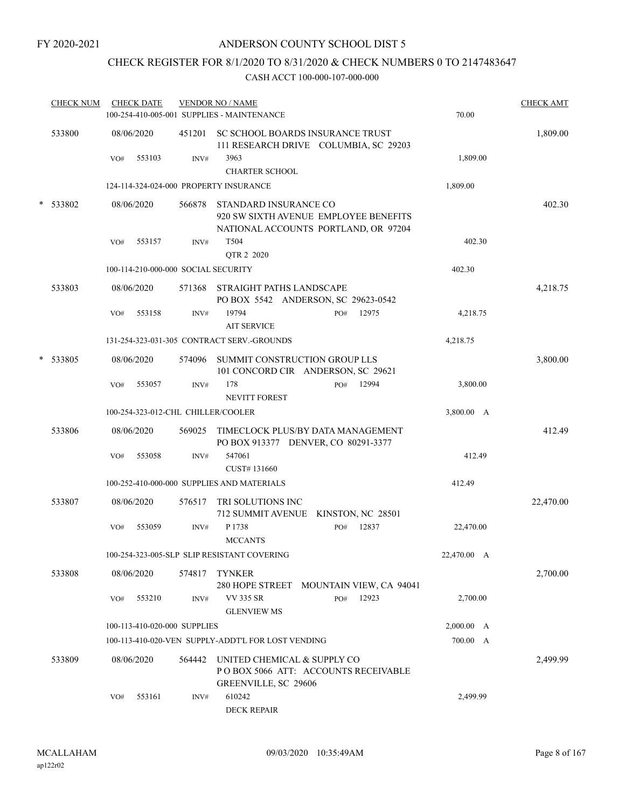# CHECK REGISTER FOR 8/1/2020 TO 8/31/2020 & CHECK NUMBERS 0 TO 2147483647

|   | <b>CHECK NUM</b> | <b>CHECK DATE</b>                      |        | <b>VENDOR NO / NAME</b><br>100-254-410-005-001 SUPPLIES - MAINTENANCE                                  | 70.00       | <b>CHECK AMT</b> |
|---|------------------|----------------------------------------|--------|--------------------------------------------------------------------------------------------------------|-------------|------------------|
|   | 533800           | 08/06/2020                             | 451201 | SC SCHOOL BOARDS INSURANCE TRUST<br>111 RESEARCH DRIVE COLUMBIA, SC 29203                              |             | 1,809.00         |
|   |                  | 553103<br>VO#                          | INV#   | 3963<br><b>CHARTER SCHOOL</b>                                                                          | 1,809.00    |                  |
|   |                  | 124-114-324-024-000 PROPERTY INSURANCE |        |                                                                                                        | 1,809.00    |                  |
|   | * 533802         | 08/06/2020                             | 566878 | STANDARD INSURANCE CO<br>920 SW SIXTH AVENUE EMPLOYEE BENEFITS<br>NATIONAL ACCOUNTS PORTLAND, OR 97204 |             | 402.30           |
|   |                  | 553157<br>VO#                          | INV#   | T504<br>QTR 2 2020                                                                                     | 402.30      |                  |
|   |                  | 100-114-210-000-000 SOCIAL SECURITY    |        |                                                                                                        | 402.30      |                  |
|   | 533803           | 08/06/2020                             | 571368 | STRAIGHT PATHS LANDSCAPE<br>PO BOX 5542 ANDERSON, SC 29623-0542                                        |             | 4,218.75         |
|   |                  | 553158<br>VO#                          | INV#   | 19794<br>12975<br>PO#<br><b>AIT SERVICE</b>                                                            | 4,218.75    |                  |
|   |                  |                                        |        | 131-254-323-031-305 CONTRACT SERV.-GROUNDS                                                             | 4,218.75    |                  |
| * | 533805           | 08/06/2020                             | 574096 | SUMMIT CONSTRUCTION GROUP LLS<br>101 CONCORD CIR ANDERSON, SC 29621                                    |             | 3,800.00         |
|   |                  | 553057<br>VO#                          | INV#   | 178<br>12994<br>PO#<br><b>NEVITT FOREST</b>                                                            | 3,800.00    |                  |
|   |                  | 100-254-323-012-CHL CHILLER/COOLER     |        |                                                                                                        | 3,800.00 A  |                  |
|   | 533806           | 08/06/2020                             | 569025 | TIMECLOCK PLUS/BY DATA MANAGEMENT<br>PO BOX 913377 DENVER, CO 80291-3377                               |             | 412.49           |
|   |                  | 553058<br>VO#                          | INV#   | 547061<br>CUST#131660                                                                                  | 412.49      |                  |
|   |                  |                                        |        | 100-252-410-000-000 SUPPLIES AND MATERIALS                                                             | 412.49      |                  |
|   | 533807           | 08/06/2020                             | 576517 | TRI SOLUTIONS INC<br>712 SUMMIT AVENUE KINSTON, NC 28501                                               |             | 22,470.00        |
|   |                  | VO#<br>553059                          | INV#   | 12837<br>P 1738<br>PO#<br><b>MCCANTS</b>                                                               | 22,470.00   |                  |
|   |                  |                                        |        | 100-254-323-005-SLP SLIP RESISTANT COVERING                                                            | 22,470.00 A |                  |
|   | 533808           | 08/06/2020                             | 574817 | <b>TYNKER</b><br>280 HOPE STREET MOUNTAIN VIEW, CA 94041                                               |             | 2,700.00         |
|   |                  | 553210<br>VO#                          | INV#   | <b>VV 335 SR</b><br>12923<br>PO#<br><b>GLENVIEW MS</b>                                                 | 2,700.00    |                  |
|   |                  | 100-113-410-020-000 SUPPLIES           |        |                                                                                                        | 2,000.00 A  |                  |
|   |                  |                                        |        | 100-113-410-020-VEN SUPPLY-ADDT'L FOR LOST VENDING                                                     | 700.00 A    |                  |
|   | 533809           | 08/06/2020                             | 564442 | UNITED CHEMICAL & SUPPLY CO<br>POBOX 5066 ATT: ACCOUNTS RECEIVABLE<br>GREENVILLE, SC 29606             |             | 2,499.99         |
|   |                  | 553161<br>VO#                          | INV#   | 610242<br><b>DECK REPAIR</b>                                                                           | 2,499.99    |                  |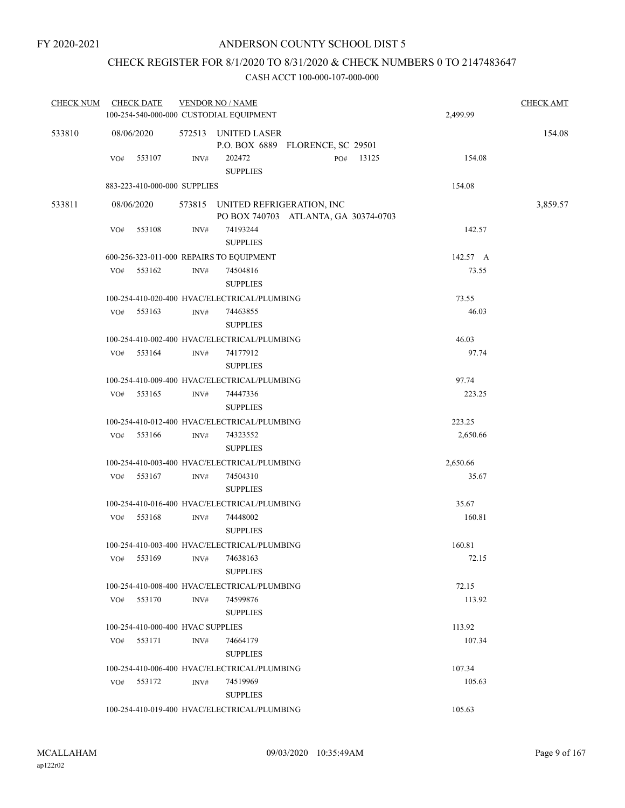## CHECK REGISTER FOR 8/1/2020 TO 8/31/2020 & CHECK NUMBERS 0 TO 2147483647

| <b>CHECK NUM</b> |            | <b>CHECK DATE</b>                 |      | <b>VENDOR NO / NAME</b>                                                  |     |       |          | <b>CHECK AMT</b> |
|------------------|------------|-----------------------------------|------|--------------------------------------------------------------------------|-----|-------|----------|------------------|
|                  |            |                                   |      | 100-254-540-000-000 CUSTODIAL EQUIPMENT                                  |     |       | 2,499.99 |                  |
| 533810           | 08/06/2020 |                                   |      | 572513 UNITED LASER<br>P.O. BOX 6889 FLORENCE, SC 29501                  |     |       |          | 154.08           |
|                  | VO#        | 553107                            | INV# | 202472<br><b>SUPPLIES</b>                                                | PO# | 13125 | 154.08   |                  |
|                  |            | 883-223-410-000-000 SUPPLIES      |      |                                                                          |     |       | 154.08   |                  |
| 533811           | 08/06/2020 |                                   |      | 573815 UNITED REFRIGERATION, INC<br>PO BOX 740703 ATLANTA, GA 30374-0703 |     |       |          | 3,859.57         |
|                  | VO#        | 553108                            | INV# | 74193244<br><b>SUPPLIES</b>                                              |     |       | 142.57   |                  |
|                  |            |                                   |      | 600-256-323-011-000 REPAIRS TO EQUIPMENT                                 |     |       | 142.57 A |                  |
|                  | VO#        | 553162                            | INV# | 74504816<br><b>SUPPLIES</b>                                              |     |       | 73.55    |                  |
|                  |            |                                   |      | 100-254-410-020-400 HVAC/ELECTRICAL/PLUMBING                             |     |       | 73.55    |                  |
|                  | VO#        | 553163                            | INV# | 74463855<br><b>SUPPLIES</b>                                              |     |       | 46.03    |                  |
|                  |            |                                   |      | 100-254-410-002-400 HVAC/ELECTRICAL/PLUMBING                             |     |       | 46.03    |                  |
|                  | VO#        | 553164                            | INV# | 74177912<br><b>SUPPLIES</b>                                              |     |       | 97.74    |                  |
|                  |            |                                   |      | 100-254-410-009-400 HVAC/ELECTRICAL/PLUMBING                             |     |       | 97.74    |                  |
|                  | VO#        | 553165                            | INV# | 74447336<br><b>SUPPLIES</b>                                              |     |       | 223.25   |                  |
|                  |            |                                   |      | 100-254-410-012-400 HVAC/ELECTRICAL/PLUMBING                             |     |       | 223.25   |                  |
|                  | VO#        | 553166                            | INV# | 74323552<br><b>SUPPLIES</b>                                              |     |       | 2,650.66 |                  |
|                  |            |                                   |      | 100-254-410-003-400 HVAC/ELECTRICAL/PLUMBING                             |     |       | 2,650.66 |                  |
|                  | VO#        | 553167                            | INV# | 74504310<br><b>SUPPLIES</b>                                              |     |       | 35.67    |                  |
|                  |            |                                   |      | 100-254-410-016-400 HVAC/ELECTRICAL/PLUMBING                             |     |       | 35.67    |                  |
|                  | VO#        | 553168                            | INV# | 74448002<br><b>SUPPLIES</b>                                              |     |       | 160.81   |                  |
|                  |            |                                   |      | 100-254-410-003-400 HVAC/ELECTRICAL/PLUMBING                             |     |       | 160.81   |                  |
|                  | VO#        | 553169                            | INV# | 74638163<br><b>SUPPLIES</b>                                              |     |       | 72.15    |                  |
|                  |            |                                   |      | 100-254-410-008-400 HVAC/ELECTRICAL/PLUMBING                             |     |       | 72.15    |                  |
|                  | VO#        | 553170                            | INV# | 74599876<br><b>SUPPLIES</b>                                              |     |       | 113.92   |                  |
|                  |            | 100-254-410-000-400 HVAC SUPPLIES |      |                                                                          |     |       | 113.92   |                  |
|                  | VO#        | 553171                            | INV# | 74664179<br><b>SUPPLIES</b>                                              |     |       | 107.34   |                  |
|                  |            |                                   |      | 100-254-410-006-400 HVAC/ELECTRICAL/PLUMBING                             |     |       | 107.34   |                  |
|                  | VO#        | 553172                            | INV# | 74519969<br><b>SUPPLIES</b>                                              |     |       | 105.63   |                  |
|                  |            |                                   |      | 100-254-410-019-400 HVAC/ELECTRICAL/PLUMBING                             |     |       | 105.63   |                  |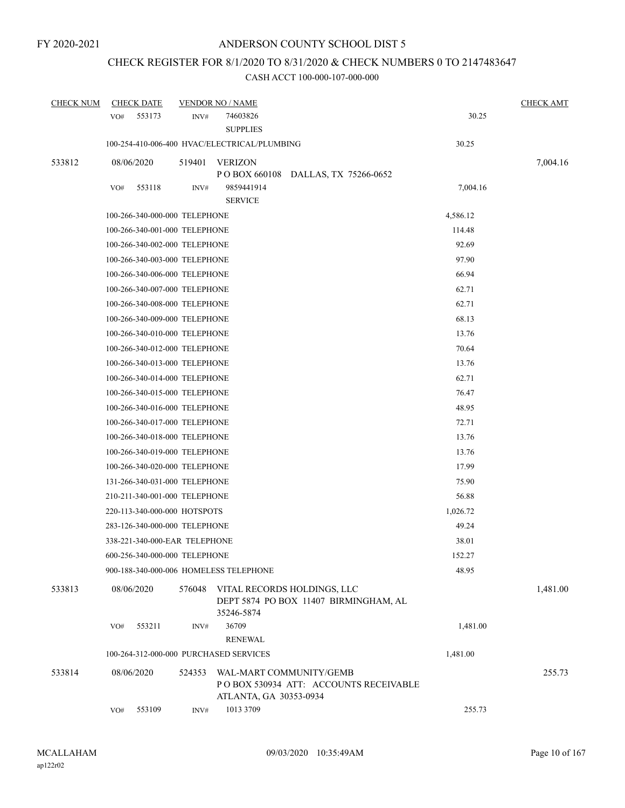# CHECK REGISTER FOR 8/1/2020 TO 8/31/2020 & CHECK NUMBERS 0 TO 2147483647

| <b>CHECK NUM</b> | <b>CHECK DATE</b>                      |        | <b>VENDOR NO / NAME</b>                                                                    |          | <b>CHECK AMT</b> |
|------------------|----------------------------------------|--------|--------------------------------------------------------------------------------------------|----------|------------------|
|                  | 553173<br>VO#                          | INV#   | 74603826<br><b>SUPPLIES</b>                                                                | 30.25    |                  |
|                  |                                        |        | 100-254-410-006-400 HVAC/ELECTRICAL/PLUMBING                                               | 30.25    |                  |
| 533812           | 08/06/2020                             | 519401 | VERIZON<br>POBOX 660108 DALLAS, TX 75266-0652                                              |          | 7,004.16         |
|                  | 553118<br>VO#                          | INV#   | 9859441914<br><b>SERVICE</b>                                                               | 7,004.16 |                  |
|                  | 100-266-340-000-000 TELEPHONE          |        |                                                                                            | 4,586.12 |                  |
|                  | 100-266-340-001-000 TELEPHONE          |        |                                                                                            | 114.48   |                  |
|                  | 100-266-340-002-000 TELEPHONE          |        |                                                                                            | 92.69    |                  |
|                  | 100-266-340-003-000 TELEPHONE          |        |                                                                                            | 97.90    |                  |
|                  | 100-266-340-006-000 TELEPHONE          |        |                                                                                            | 66.94    |                  |
|                  | 100-266-340-007-000 TELEPHONE          |        |                                                                                            | 62.71    |                  |
|                  | 100-266-340-008-000 TELEPHONE          |        |                                                                                            | 62.71    |                  |
|                  | 100-266-340-009-000 TELEPHONE          |        |                                                                                            | 68.13    |                  |
|                  | 100-266-340-010-000 TELEPHONE          |        |                                                                                            | 13.76    |                  |
|                  | 100-266-340-012-000 TELEPHONE          |        |                                                                                            | 70.64    |                  |
|                  | 100-266-340-013-000 TELEPHONE          |        |                                                                                            | 13.76    |                  |
|                  | 100-266-340-014-000 TELEPHONE          |        |                                                                                            | 62.71    |                  |
|                  | 100-266-340-015-000 TELEPHONE          |        |                                                                                            | 76.47    |                  |
|                  | 100-266-340-016-000 TELEPHONE          |        |                                                                                            | 48.95    |                  |
|                  | 100-266-340-017-000 TELEPHONE          |        |                                                                                            | 72.71    |                  |
|                  | 100-266-340-018-000 TELEPHONE          |        |                                                                                            | 13.76    |                  |
|                  | 100-266-340-019-000 TELEPHONE          |        |                                                                                            | 13.76    |                  |
|                  | 100-266-340-020-000 TELEPHONE          |        |                                                                                            | 17.99    |                  |
|                  | 131-266-340-031-000 TELEPHONE          |        |                                                                                            | 75.90    |                  |
|                  | 210-211-340-001-000 TELEPHONE          |        |                                                                                            | 56.88    |                  |
|                  | 220-113-340-000-000 HOTSPOTS           |        |                                                                                            | 1,026.72 |                  |
|                  | 283-126-340-000-000 TELEPHONE          |        |                                                                                            | 49.24    |                  |
|                  | 338-221-340-000-EAR TELEPHONE          |        |                                                                                            | 38.01    |                  |
|                  | 600-256-340-000-000 TELEPHONE          |        |                                                                                            | 152.27   |                  |
|                  | 900-188-340-000-006 HOMELESS TELEPHONE |        |                                                                                            | 48.95    |                  |
| 533813           | 08/06/2020                             | 576048 | VITAL RECORDS HOLDINGS, LLC<br>DEPT 5874 PO BOX 11407 BIRMINGHAM, AL<br>35246-5874         |          | 1,481.00         |
|                  | VO#<br>553211                          | INV#   | 36709                                                                                      | 1,481.00 |                  |
|                  | 100-264-312-000-000 PURCHASED SERVICES |        | <b>RENEWAL</b>                                                                             | 1,481.00 |                  |
|                  |                                        |        |                                                                                            |          | 255.73           |
| 533814           | 08/06/2020                             | 524353 | WAL-MART COMMUNITY/GEMB<br>POBOX 530934 ATT: ACCOUNTS RECEIVABLE<br>ATLANTA, GA 30353-0934 |          |                  |
|                  | 553109<br>VO#                          | INV#   | 1013 3709                                                                                  | 255.73   |                  |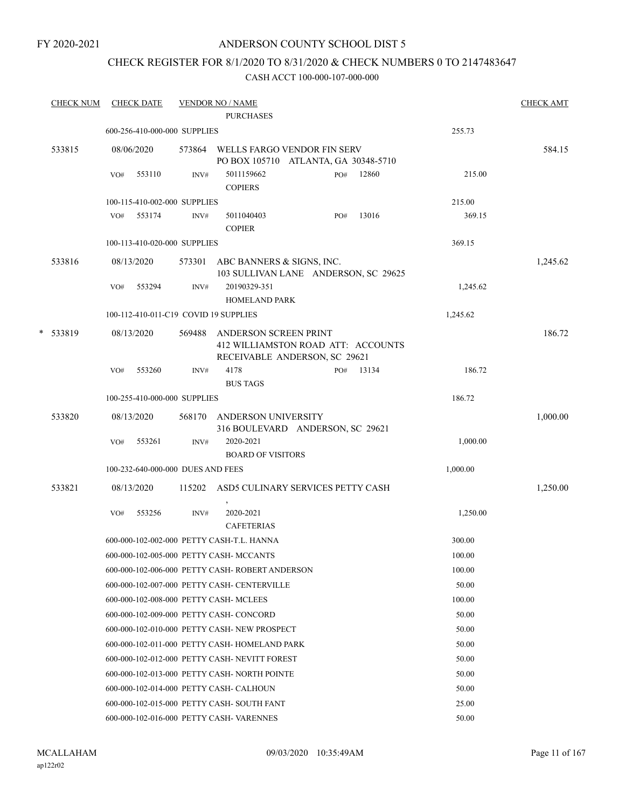## ANDERSON COUNTY SCHOOL DIST 5

## CHECK REGISTER FOR 8/1/2020 TO 8/31/2020 & CHECK NUMBERS 0 TO 2147483647

| <b>CHECK NUM</b> |     | <b>CHECK DATE</b>                 |        | <b>VENDOR NO / NAME</b><br><b>PURCHASES</b>                                                  |     |       |          | <b>CHECK AMT</b> |
|------------------|-----|-----------------------------------|--------|----------------------------------------------------------------------------------------------|-----|-------|----------|------------------|
|                  |     | 600-256-410-000-000 SUPPLIES      |        |                                                                                              |     |       | 255.73   |                  |
| 533815           |     | 08/06/2020                        |        | 573864 WELLS FARGO VENDOR FIN SERV                                                           |     |       |          | 584.15           |
|                  | VO# | 553110                            | INV#   | PO BOX 105710 ATLANTA, GA 30348-5710<br>5011159662<br><b>COPIERS</b>                         | PO# | 12860 | 215.00   |                  |
|                  |     | 100-115-410-002-000 SUPPLIES      |        |                                                                                              |     |       | 215.00   |                  |
|                  |     | VO# 553174                        | INV#   | 5011040403                                                                                   | PO# | 13016 | 369.15   |                  |
|                  |     |                                   |        | <b>COPIER</b>                                                                                |     |       |          |                  |
|                  |     | 100-113-410-020-000 SUPPLIES      |        |                                                                                              |     |       | 369.15   |                  |
| 533816           |     | 08/13/2020                        |        | 573301 ABC BANNERS & SIGNS, INC.<br>103 SULLIVAN LANE ANDERSON, SC 29625                     |     |       |          | 1,245.62         |
|                  | VO# | 553294                            | INV#   | 20190329-351<br>HOMELAND PARK                                                                |     |       | 1,245.62 |                  |
|                  |     |                                   |        | 100-112-410-011-C19 COVID 19 SUPPLIES                                                        |     |       | 1,245.62 |                  |
| * 533819         |     | 08/13/2020                        | 569488 | ANDERSON SCREEN PRINT<br>412 WILLIAMSTON ROAD ATT: ACCOUNTS<br>RECEIVABLE ANDERSON, SC 29621 |     |       |          | 186.72           |
|                  | VO# | 553260                            | INV#   | 4178<br><b>BUS TAGS</b>                                                                      | PO# | 13134 | 186.72   |                  |
|                  |     | 100-255-410-000-000 SUPPLIES      |        |                                                                                              |     |       | 186.72   |                  |
| 533820           |     | 08/13/2020                        |        | 568170 ANDERSON UNIVERSITY<br>316 BOULEVARD ANDERSON, SC 29621                               |     |       |          | 1,000.00         |
|                  | VO# | 553261                            | INV#   | 2020-2021<br><b>BOARD OF VISITORS</b>                                                        |     |       | 1,000.00 |                  |
|                  |     | 100-232-640-000-000 DUES AND FEES |        |                                                                                              |     |       | 1,000.00 |                  |
| 533821           |     | 08/13/2020                        |        | 115202 ASD5 CULINARY SERVICES PETTY CASH                                                     |     |       |          | 1,250.00         |
|                  | VO# | 553256                            | INV#   | 2020-2021<br><b>CAFETERIAS</b>                                                               |     |       | 1,250.00 |                  |
|                  |     |                                   |        | 600-000-102-002-000 PETTY CASH-T.L. HANNA                                                    |     |       | 300.00   |                  |
|                  |     |                                   |        | 600-000-102-005-000 PETTY CASH- MCCANTS                                                      |     |       | 100.00   |                  |
|                  |     |                                   |        | 600-000-102-006-000 PETTY CASH-ROBERT ANDERSON                                               |     |       | 100.00   |                  |
|                  |     |                                   |        | 600-000-102-007-000 PETTY CASH- CENTERVILLE                                                  |     |       | 50.00    |                  |
|                  |     |                                   |        | 600-000-102-008-000 PETTY CASH- MCLEES                                                       |     |       | 100.00   |                  |
|                  |     |                                   |        | 600-000-102-009-000 PETTY CASH- CONCORD                                                      |     |       | 50.00    |                  |
|                  |     |                                   |        | 600-000-102-010-000 PETTY CASH-NEW PROSPECT                                                  |     |       | 50.00    |                  |
|                  |     |                                   |        | 600-000-102-011-000 PETTY CASH- HOMELAND PARK                                                |     |       | 50.00    |                  |
|                  |     |                                   |        | 600-000-102-012-000 PETTY CASH- NEVITT FOREST                                                |     |       | 50.00    |                  |
|                  |     |                                   |        | 600-000-102-013-000 PETTY CASH- NORTH POINTE                                                 |     |       | 50.00    |                  |
|                  |     |                                   |        | 600-000-102-014-000 PETTY CASH- CALHOUN                                                      |     |       | 50.00    |                  |
|                  |     |                                   |        | 600-000-102-015-000 PETTY CASH- SOUTH FANT                                                   |     |       | 25.00    |                  |
|                  |     |                                   |        | 600-000-102-016-000 PETTY CASH-VARENNES                                                      |     |       | 50.00    |                  |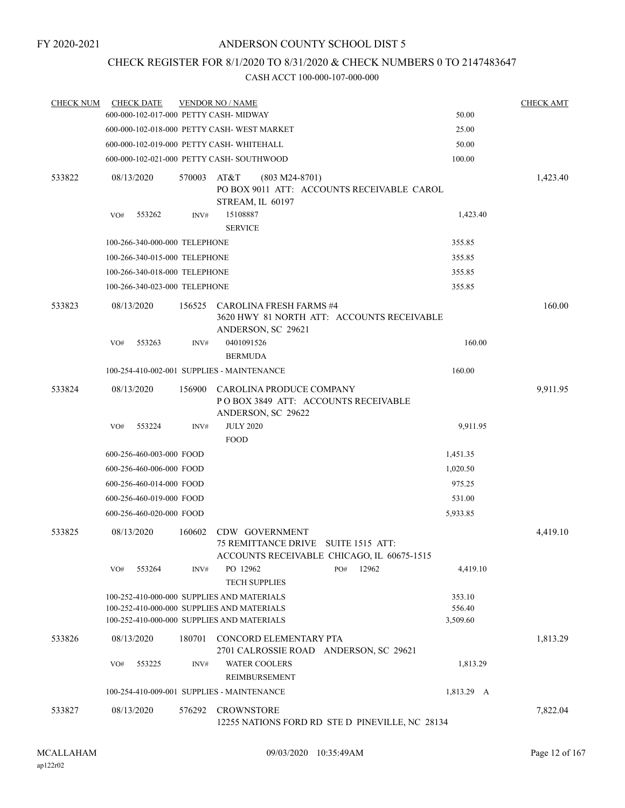## CHECK REGISTER FOR 8/1/2020 TO 8/31/2020 & CHECK NUMBERS 0 TO 2147483647

| <b>CHECK NUM</b> | <b>CHECK DATE</b>                      |        | <b>VENDOR NO / NAME</b>                                                                                                                |                              | <b>CHECK AMT</b> |
|------------------|----------------------------------------|--------|----------------------------------------------------------------------------------------------------------------------------------------|------------------------------|------------------|
|                  | 600-000-102-017-000 PETTY CASH- MIDWAY |        |                                                                                                                                        | 50.00                        |                  |
|                  |                                        |        | 600-000-102-018-000 PETTY CASH-WEST MARKET                                                                                             | 25.00                        |                  |
|                  |                                        |        | 600-000-102-019-000 PETTY CASH- WHITEHALL                                                                                              | 50.00                        |                  |
|                  |                                        |        | 600-000-102-021-000 PETTY CASH- SOUTHWOOD                                                                                              | 100.00                       |                  |
| 533822           | 08/13/2020                             | 570003 | AT&T<br>$(803 M24-8701)$<br>PO BOX 9011 ATT: ACCOUNTS RECEIVABLE CAROL<br>STREAM, IL 60197                                             |                              | 1,423.40         |
|                  | 553262<br>VO#                          | INV#   | 15108887<br><b>SERVICE</b>                                                                                                             | 1,423.40                     |                  |
|                  | 100-266-340-000-000 TELEPHONE          |        |                                                                                                                                        | 355.85                       |                  |
|                  | 100-266-340-015-000 TELEPHONE          |        |                                                                                                                                        | 355.85                       |                  |
|                  | 100-266-340-018-000 TELEPHONE          |        |                                                                                                                                        | 355.85                       |                  |
|                  | 100-266-340-023-000 TELEPHONE          |        |                                                                                                                                        | 355.85                       |                  |
| 533823           | 08/13/2020                             | 156525 | CAROLINA FRESH FARMS #4<br>3620 HWY 81 NORTH ATT: ACCOUNTS RECEIVABLE<br>ANDERSON, SC 29621                                            |                              | 160.00           |
|                  | 553263<br>VO#                          | INV#   | 0401091526<br><b>BERMUDA</b>                                                                                                           | 160.00                       |                  |
|                  |                                        |        | 100-254-410-002-001 SUPPLIES - MAINTENANCE                                                                                             | 160.00                       |                  |
| 533824           | 08/13/2020                             | 156900 | CAROLINA PRODUCE COMPANY<br>POBOX 3849 ATT: ACCOUNTS RECEIVABLE<br>ANDERSON, SC 29622                                                  |                              | 9,911.95         |
|                  | 553224<br>VO#                          | INV#   | <b>JULY 2020</b><br><b>FOOD</b>                                                                                                        | 9,911.95                     |                  |
|                  | 600-256-460-003-000 FOOD               |        |                                                                                                                                        | 1,451.35                     |                  |
|                  | 600-256-460-006-000 FOOD               |        |                                                                                                                                        | 1,020.50                     |                  |
|                  | 600-256-460-014-000 FOOD               |        |                                                                                                                                        | 975.25                       |                  |
|                  | 600-256-460-019-000 FOOD               |        |                                                                                                                                        | 531.00                       |                  |
|                  | 600-256-460-020-000 FOOD               |        |                                                                                                                                        | 5,933.85                     |                  |
| 533825           | 08/13/2020                             | 160602 | CDW GOVERNMENT<br>75 REMITTANCE DRIVE SUITE 1515 ATT:<br>ACCOUNTS RECEIVABLE CHICAGO, IL 60675-1515                                    |                              | 4,419.10         |
|                  | 553264<br>VO#                          | INV#   | PO 12962<br>PO#<br>12962<br><b>TECH SUPPLIES</b>                                                                                       | 4,419.10                     |                  |
|                  |                                        |        | 100-252-410-000-000 SUPPLIES AND MATERIALS<br>100-252-410-000-000 SUPPLIES AND MATERIALS<br>100-252-410-000-000 SUPPLIES AND MATERIALS | 353.10<br>556.40<br>3,509.60 |                  |
| 533826           | 08/13/2020                             | 180701 | CONCORD ELEMENTARY PTA<br>2701 CALROSSIE ROAD ANDERSON, SC 29621                                                                       |                              | 1,813.29         |
|                  | 553225<br>VO#                          | INV#   | <b>WATER COOLERS</b><br>REIMBURSEMENT                                                                                                  | 1,813.29                     |                  |
|                  |                                        |        | 100-254-410-009-001 SUPPLIES - MAINTENANCE                                                                                             | 1,813.29 A                   |                  |
| 533827           | 08/13/2020                             | 576292 | <b>CROWNSTORE</b><br>12255 NATIONS FORD RD STE D PINEVILLE, NC 28134                                                                   |                              | 7,822.04         |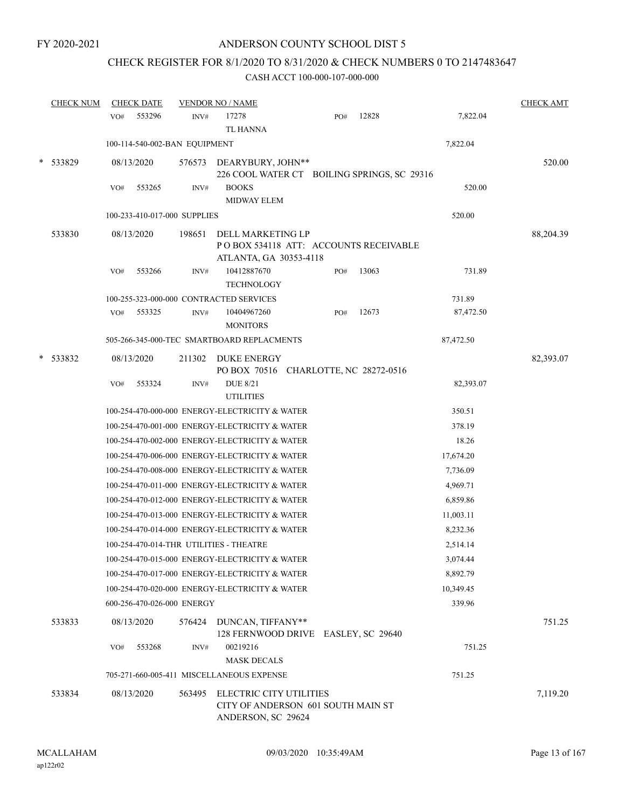# CHECK REGISTER FOR 8/1/2020 TO 8/31/2020 & CHECK NUMBERS 0 TO 2147483647

| <b>CHECK NUM</b> | <b>CHECK DATE</b>                       |        | <b>VENDOR NO / NAME</b>                                                                    |     |       |           | <b>CHECK AMT</b> |
|------------------|-----------------------------------------|--------|--------------------------------------------------------------------------------------------|-----|-------|-----------|------------------|
|                  | 553296<br>VO#                           | INV#   | 17278<br><b>TL HANNA</b>                                                                   | PO# | 12828 | 7,822.04  |                  |
|                  | 100-114-540-002-BAN EQUIPMENT           |        |                                                                                            |     |       | 7,822.04  |                  |
| 533829           | 08/13/2020                              |        | 576573 DEARYBURY, JOHN**<br>226 COOL WATER CT BOILING SPRINGS, SC 29316                    |     |       |           | 520.00           |
|                  | 553265<br>VO#                           | INV#   | <b>BOOKS</b><br><b>MIDWAY ELEM</b>                                                         |     |       | 520.00    |                  |
|                  | 100-233-410-017-000 SUPPLIES            |        |                                                                                            |     |       | 520.00    |                  |
| 533830           | 08/13/2020                              | 198651 | DELL MARKETING LP<br>POBOX 534118 ATT: ACCOUNTS RECEIVABLE<br>ATLANTA, GA 30353-4118       |     |       |           | 88,204.39        |
|                  | 553266<br>VO#                           | INV#   | 10412887670<br><b>TECHNOLOGY</b>                                                           | PO# | 13063 | 731.89    |                  |
|                  |                                         |        | 100-255-323-000-000 CONTRACTED SERVICES                                                    |     |       | 731.89    |                  |
|                  | 553325<br>VO#                           | INV#   | 10404967260<br><b>MONITORS</b>                                                             | PO# | 12673 | 87,472.50 |                  |
|                  |                                         |        | 505-266-345-000-TEC SMARTBOARD REPLACMENTS                                                 |     |       | 87,472.50 |                  |
| 533832           | 08/13/2020                              | 211302 | <b>DUKE ENERGY</b><br>PO BOX 70516 CHARLOTTE, NC 28272-0516                                |     |       |           | 82,393.07        |
|                  | 553324<br>VO#                           | INV#   | <b>DUE 8/21</b><br><b>UTILITIES</b>                                                        |     |       | 82,393.07 |                  |
|                  |                                         |        | 100-254-470-000-000 ENERGY-ELECTRICITY & WATER                                             |     |       | 350.51    |                  |
|                  |                                         |        | 100-254-470-001-000 ENERGY-ELECTRICITY & WATER                                             |     |       | 378.19    |                  |
|                  |                                         |        | 100-254-470-002-000 ENERGY-ELECTRICITY & WATER                                             |     |       | 18.26     |                  |
|                  |                                         |        | 100-254-470-006-000 ENERGY-ELECTRICITY & WATER                                             |     |       | 17,674.20 |                  |
|                  |                                         |        | 100-254-470-008-000 ENERGY-ELECTRICITY & WATER                                             |     |       | 7,736.09  |                  |
|                  |                                         |        | 100-254-470-011-000 ENERGY-ELECTRICITY & WATER                                             |     |       | 4,969.71  |                  |
|                  |                                         |        | 100-254-470-012-000 ENERGY-ELECTRICITY & WATER                                             |     |       | 6,859.86  |                  |
|                  |                                         |        | 100-254-470-013-000 ENERGY-ELECTRICITY & WATER                                             |     |       | 11,003.11 |                  |
|                  |                                         |        | 100-254-470-014-000 ENERGY-ELECTRICITY & WATER                                             |     |       | 8,232.36  |                  |
|                  | 100-254-470-014-THR UTILITIES - THEATRE |        |                                                                                            |     |       | 2,514.14  |                  |
|                  |                                         |        | 100-254-470-015-000 ENERGY-ELECTRICITY & WATER                                             |     |       | 3,074.44  |                  |
|                  |                                         |        | 100-254-470-017-000 ENERGY-ELECTRICITY & WATER                                             |     |       | 8,892.79  |                  |
|                  |                                         |        | 100-254-470-020-000 ENERGY-ELECTRICITY & WATER                                             |     |       | 10,349.45 |                  |
|                  | 600-256-470-026-000 ENERGY              |        |                                                                                            |     |       | 339.96    |                  |
| 533833           | 08/13/2020                              | 576424 | DUNCAN, TIFFANY**<br>128 FERNWOOD DRIVE EASLEY, SC 29640                                   |     |       |           | 751.25           |
|                  | 553268<br>VO#                           | INV#   | 00219216<br><b>MASK DECALS</b>                                                             |     |       | 751.25    |                  |
|                  |                                         |        | 705-271-660-005-411 MISCELLANEOUS EXPENSE                                                  |     |       | 751.25    |                  |
| 533834           | 08/13/2020                              | 563495 | <b>ELECTRIC CITY UTILITIES</b><br>CITY OF ANDERSON 601 SOUTH MAIN ST<br>ANDERSON, SC 29624 |     |       |           | 7,119.20         |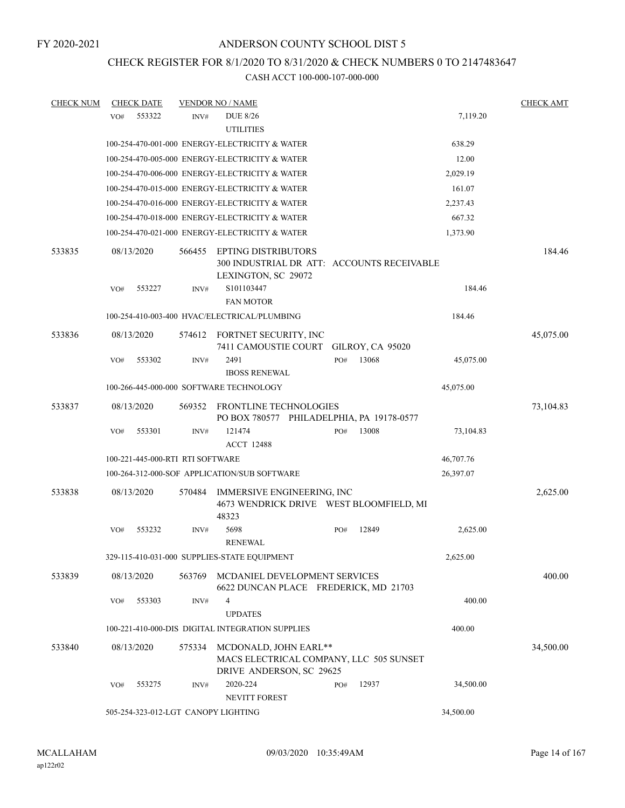## CHECK REGISTER FOR 8/1/2020 TO 8/31/2020 & CHECK NUMBERS 0 TO 2147483647

| <b>CHECK NUM</b> |     | <b>CHECK DATE</b>                |        | <b>VENDOR NO / NAME</b>                                                                         |       |                  |           | <b>CHECK AMT</b> |
|------------------|-----|----------------------------------|--------|-------------------------------------------------------------------------------------------------|-------|------------------|-----------|------------------|
|                  | VO# | 553322                           | INV#   | <b>DUE 8/26</b><br><b>UTILITIES</b>                                                             |       |                  | 7,119.20  |                  |
|                  |     |                                  |        | 100-254-470-001-000 ENERGY-ELECTRICITY & WATER                                                  |       |                  | 638.29    |                  |
|                  |     |                                  |        | 100-254-470-005-000 ENERGY-ELECTRICITY & WATER                                                  |       |                  | 12.00     |                  |
|                  |     |                                  |        | 100-254-470-006-000 ENERGY-ELECTRICITY & WATER                                                  |       |                  | 2,029.19  |                  |
|                  |     |                                  |        | 100-254-470-015-000 ENERGY-ELECTRICITY & WATER                                                  |       |                  | 161.07    |                  |
|                  |     |                                  |        | 100-254-470-016-000 ENERGY-ELECTRICITY & WATER                                                  |       |                  | 2,237.43  |                  |
|                  |     |                                  |        | 100-254-470-018-000 ENERGY-ELECTRICITY & WATER                                                  |       |                  | 667.32    |                  |
|                  |     |                                  |        | 100-254-470-021-000 ENERGY-ELECTRICITY & WATER                                                  |       |                  | 1,373.90  |                  |
| 533835           |     | 08/13/2020                       | 566455 | <b>EPTING DISTRIBUTORS</b><br>300 INDUSTRIAL DR ATT: ACCOUNTS RECEIVABLE<br>LEXINGTON, SC 29072 |       |                  |           | 184.46           |
|                  | VO# | 553227                           | INV#   | S101103447<br><b>FAN MOTOR</b>                                                                  |       |                  | 184.46    |                  |
|                  |     |                                  |        | 100-254-410-003-400 HVAC/ELECTRICAL/PLUMBING                                                    |       |                  | 184.46    |                  |
| 533836           |     | 08/13/2020                       | 574612 | FORTNET SECURITY, INC<br>7411 CAMOUSTIE COURT                                                   |       | GILROY, CA 95020 |           | 45,075.00        |
|                  | VO# | 553302                           | INV#   | 2491                                                                                            | $PO#$ | 13068            | 45,075.00 |                  |
|                  |     |                                  |        | <b>IBOSS RENEWAL</b>                                                                            |       |                  |           |                  |
|                  |     |                                  |        | 100-266-445-000-000 SOFTWARE TECHNOLOGY                                                         |       |                  | 45,075.00 |                  |
| 533837           |     | 08/13/2020                       | 569352 | FRONTLINE TECHNOLOGIES<br>PO BOX 780577 PHILADELPHIA, PA 19178-0577                             |       |                  |           | 73,104.83        |
|                  | VO# | 553301                           | INV#   | 121474<br><b>ACCT 12488</b>                                                                     | PO#   | 13008            | 73,104.83 |                  |
|                  |     | 100-221-445-000-RTI RTI SOFTWARE |        |                                                                                                 |       |                  | 46,707.76 |                  |
|                  |     |                                  |        | 100-264-312-000-SOF APPLICATION/SUB SOFTWARE                                                    |       |                  | 26,397.07 |                  |
| 533838           |     | 08/13/2020                       | 570484 | IMMERSIVE ENGINEERING, INC<br>4673 WENDRICK DRIVE WEST BLOOMFIELD, MI                           |       |                  |           | 2,625.00         |
|                  | VO# | 553232                           | INV#   | 48323<br>5698<br><b>RENEWAL</b>                                                                 | PO#   | 12849            | 2,625.00  |                  |
|                  |     |                                  |        | 329-115-410-031-000 SUPPLIES-STATE EQUIPMENT                                                    |       |                  | 2,625.00  |                  |
| 533839           |     | 08/13/2020                       | 563769 | MCDANIEL DEVELOPMENT SERVICES<br>6622 DUNCAN PLACE FREDERICK, MD 21703                          |       |                  |           | 400.00           |
|                  | VO# | 553303                           | INV#   | 4                                                                                               |       |                  | 400.00    |                  |
|                  |     |                                  |        | <b>UPDATES</b>                                                                                  |       |                  |           |                  |
|                  |     |                                  |        | 100-221-410-000-DIS DIGITAL INTEGRATION SUPPLIES                                                |       |                  | 400.00    |                  |
| 533840           |     | 08/13/2020                       | 575334 | MCDONALD, JOHN EARL**<br>MACS ELECTRICAL COMPANY, LLC 505 SUNSET<br>DRIVE ANDERSON, SC 29625    |       |                  |           | 34,500.00        |
|                  | VO# | 553275                           | INV#   | 2020-224<br><b>NEVITT FOREST</b>                                                                | PO#   | 12937            | 34,500.00 |                  |
|                  |     |                                  |        | 505-254-323-012-LGT CANOPY LIGHTING                                                             |       |                  | 34,500.00 |                  |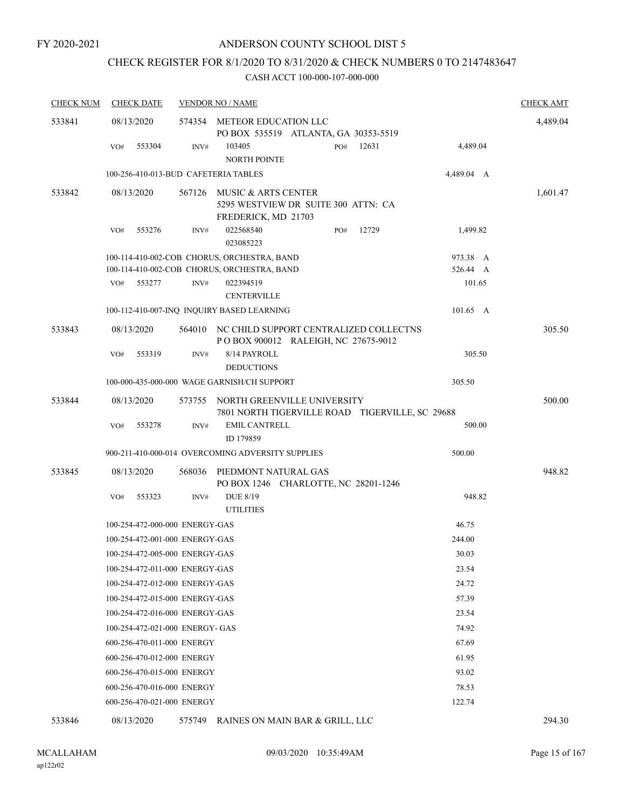# CHECK REGISTER FOR 8/1/2020 TO 8/31/2020 & CHECK NUMBERS 0 TO 2147483647

| <b>CHECK NUM</b> | <b>CHECK DATE</b>                    |        | <b>VENDOR NO / NAME</b>                                                                           | <b>CHECK AMT</b> |
|------------------|--------------------------------------|--------|---------------------------------------------------------------------------------------------------|------------------|
| 533841           | 08/13/2020                           |        | 574354 METEOR EDUCATION LLC                                                                       | 4,489.04         |
|                  | 553304<br>VO#                        | INV#   | PO BOX 535519 ATLANTA, GA 30353-5519<br>12631<br>4,489.04<br>103405<br>PO#<br><b>NORTH POINTE</b> |                  |
|                  | 100-256-410-013-BUD CAFETERIA TABLES |        | 4,489.04 A                                                                                        |                  |
| 533842           | 08/13/2020                           | 567126 | MUSIC & ARTS CENTER<br>5295 WESTVIEW DR SUITE 300 ATTN: CA<br>FREDERICK, MD 21703                 | 1,601.47         |
|                  | 553276<br>VO#                        | INV#   | 022568540<br>12729<br>1,499.82<br>PO#<br>023085223                                                |                  |
|                  |                                      |        | 100-114-410-002-COB CHORUS, ORCHESTRA, BAND<br>973.38 A                                           |                  |
|                  |                                      |        | 100-114-410-002-COB CHORUS, ORCHESTRA, BAND<br>526.44 A                                           |                  |
|                  | 553277<br>VO#                        | INV#   | 101.65<br>022394519<br><b>CENTERVILLE</b>                                                         |                  |
|                  |                                      |        | 100-112-410-007-INQ INQUIRY BASED LEARNING<br>101.65 A                                            |                  |
| 533843           | 08/13/2020                           |        | 564010 NC CHILD SUPPORT CENTRALIZED COLLECTNS<br>POBOX 900012 RALEIGH, NC 27675-9012              | 305.50           |
|                  | VO#<br>553319                        | INV#   | 305.50<br>8/14 PAYROLL<br><b>DEDUCTIONS</b>                                                       |                  |
|                  |                                      |        | 100-000-435-000-000 WAGE GARNISH/CH SUPPORT<br>305.50                                             |                  |
| 533844           | 08/13/2020                           |        | 573755 NORTH GREENVILLE UNIVERSITY<br>7801 NORTH TIGERVILLE ROAD TIGERVILLE, SC 29688             | 500.00           |
|                  | 553278<br>VO#                        | INV#   | <b>EMIL CANTRELL</b><br>500.00<br>ID 179859                                                       |                  |
|                  |                                      |        | 900-211-410-000-014 OVERCOMING ADVERSITY SUPPLIES<br>500.00                                       |                  |
| 533845           | 08/13/2020                           | 568036 | PIEDMONT NATURAL GAS<br>PO BOX 1246 CHARLOTTE, NC 28201-1246                                      | 948.82           |
|                  | VO#<br>553323                        | INV#   | <b>DUE 8/19</b><br>948.82<br><b>UTILITIES</b>                                                     |                  |
|                  | 100-254-472-000-000 ENERGY-GAS       |        | 46.75                                                                                             |                  |
|                  | 100-254-472-001-000 ENERGY-GAS       |        | 244.00                                                                                            |                  |
|                  | 100-254-472-005-000 ENERGY-GAS       |        | 30.03                                                                                             |                  |
|                  | 100-254-472-011-000 ENERGY-GAS       |        | 23.54                                                                                             |                  |
|                  | 100-254-472-012-000 ENERGY-GAS       |        | 24.72                                                                                             |                  |
|                  | 100-254-472-015-000 ENERGY-GAS       |        | 57.39                                                                                             |                  |
|                  | 100-254-472-016-000 ENERGY-GAS       |        | 23.54                                                                                             |                  |
|                  | 100-254-472-021-000 ENERGY- GAS      |        | 74.92                                                                                             |                  |
|                  | 600-256-470-011-000 ENERGY           |        | 67.69                                                                                             |                  |
|                  | 600-256-470-012-000 ENERGY           |        | 61.95                                                                                             |                  |
|                  | 600-256-470-015-000 ENERGY           |        | 93.02                                                                                             |                  |
|                  | 600-256-470-016-000 ENERGY           |        | 78.53                                                                                             |                  |
|                  | 600-256-470-021-000 ENERGY           |        | 122.74                                                                                            |                  |
| 533846           | 08/13/2020                           |        | 575749 RAINES ON MAIN BAR & GRILL, LLC                                                            | 294.30           |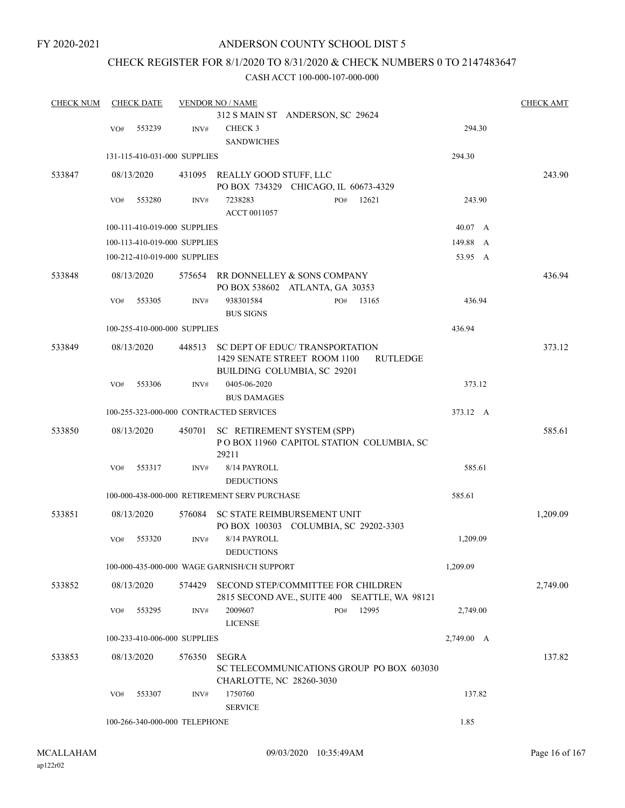## ANDERSON COUNTY SCHOOL DIST 5

# CHECK REGISTER FOR 8/1/2020 TO 8/31/2020 & CHECK NUMBERS 0 TO 2147483647

| <b>CHECK NUM</b> |     | <b>CHECK DATE</b> |                               | <b>VENDOR NO / NAME</b>                                                             |            | <b>CHECK AMT</b> |
|------------------|-----|-------------------|-------------------------------|-------------------------------------------------------------------------------------|------------|------------------|
|                  |     |                   |                               | 312 S MAIN ST ANDERSON, SC 29624                                                    |            |                  |
|                  | VO# | 553239            | INV#                          | CHECK 3                                                                             | 294.30     |                  |
|                  |     |                   |                               | <b>SANDWICHES</b>                                                                   |            |                  |
|                  |     |                   | 131-115-410-031-000 SUPPLIES  |                                                                                     | 294.30     |                  |
| 533847           |     | 08/13/2020        |                               | 431095 REALLY GOOD STUFF, LLC<br>PO BOX 734329 CHICAGO, IL 60673-4329               |            | 243.90           |
|                  | VO# | 553280            | INV#                          | 12621<br>7238283<br>PO#<br>ACCT 0011057                                             | 243.90     |                  |
|                  |     |                   | 100-111-410-019-000 SUPPLIES  |                                                                                     | 40.07 A    |                  |
|                  |     |                   | 100-113-410-019-000 SUPPLIES  |                                                                                     | 149.88 A   |                  |
|                  |     |                   | 100-212-410-019-000 SUPPLIES  |                                                                                     | 53.95 A    |                  |
| 533848           |     | 08/13/2020        | 575654                        | RR DONNELLEY & SONS COMPANY<br>PO BOX 538602 ATLANTA, GA 30353                      |            | 436.94           |
|                  | VO# | 553305            | INV#                          | 938301584<br>13165<br>PO#<br><b>BUS SIGNS</b>                                       | 436.94     |                  |
|                  |     |                   | 100-255-410-000-000 SUPPLIES  |                                                                                     | 436.94     |                  |
| 533849           |     | 08/13/2020        | 448513                        | SC DEPT OF EDUC/TRANSPORTATION                                                      |            | 373.12           |
|                  |     |                   |                               | 1429 SENATE STREET ROOM 1100<br><b>RUTLEDGE</b><br>BUILDING COLUMBIA, SC 29201      |            |                  |
|                  | VO# | 553306            | INV#                          | 0405-06-2020<br><b>BUS DAMAGES</b>                                                  | 373.12     |                  |
|                  |     |                   |                               | 100-255-323-000-000 CONTRACTED SERVICES                                             | 373.12 A   |                  |
| 533850           |     | 08/13/2020        | 450701                        | SC RETIREMENT SYSTEM (SPP)<br>POBOX 11960 CAPITOL STATION COLUMBIA, SC              |            | 585.61           |
|                  | VO# | 553317            | INV#                          | 29211<br>8/14 PAYROLL<br><b>DEDUCTIONS</b>                                          | 585.61     |                  |
|                  |     |                   |                               | 100-000-438-000-000 RETIREMENT SERV PURCHASE                                        | 585.61     |                  |
| 533851           |     | 08/13/2020        | 576084                        | SC STATE REIMBURSEMENT UNIT<br>PO BOX 100303 COLUMBIA, SC 29202-3303                |            | 1,209.09         |
|                  | VO# | 553320            | INV#                          | 8/14 PAYROLL<br><b>DEDUCTIONS</b>                                                   | 1,209.09   |                  |
|                  |     |                   |                               | 100-000-435-000-000 WAGE GARNISH/CH SUPPORT                                         | 1,209.09   |                  |
| 533852           |     | 08/13/2020        | 574429                        | SECOND STEP/COMMITTEE FOR CHILDREN<br>2815 SECOND AVE., SUITE 400 SEATTLE, WA 98121 |            | 2,749.00         |
|                  | VO# | 553295            | INV#                          | 2009607<br>12995<br>PO#<br><b>LICENSE</b>                                           | 2,749.00   |                  |
|                  |     |                   |                               |                                                                                     |            |                  |
|                  |     |                   | 100-233-410-006-000 SUPPLIES  |                                                                                     | 2,749.00 A |                  |
| 533853           |     | 08/13/2020        | 576350                        | <b>SEGRA</b><br>SC TELECOMMUNICATIONS GROUP PO BOX 603030                           |            | 137.82           |
|                  | VO# | 553307            | INV#                          | CHARLOTTE, NC 28260-3030<br>1750760<br><b>SERVICE</b>                               | 137.82     |                  |
|                  |     |                   | 100-266-340-000-000 TELEPHONE |                                                                                     | 1.85       |                  |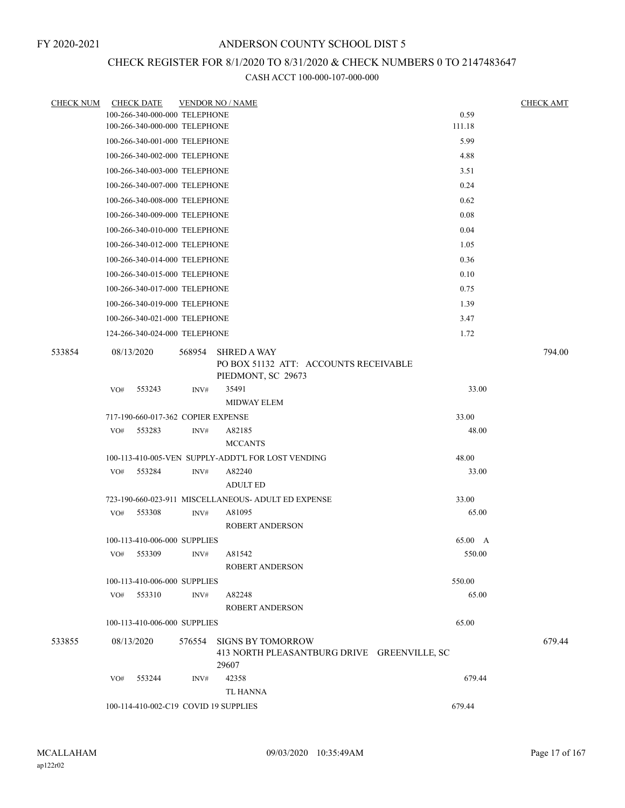# CHECK REGISTER FOR 8/1/2020 TO 8/31/2020 & CHECK NUMBERS 0 TO 2147483647

| CHECK NUM | <b>CHECK DATE</b>                     |        | <b>VENDOR NO / NAME</b>                                                          |         | <b>CHECK AMT</b> |
|-----------|---------------------------------------|--------|----------------------------------------------------------------------------------|---------|------------------|
|           | 100-266-340-000-000 TELEPHONE         |        |                                                                                  | 0.59    |                  |
|           | 100-266-340-000-000 TELEPHONE         |        |                                                                                  | 111.18  |                  |
|           | 100-266-340-001-000 TELEPHONE         |        |                                                                                  | 5.99    |                  |
|           | 100-266-340-002-000 TELEPHONE         |        |                                                                                  | 4.88    |                  |
|           | 100-266-340-003-000 TELEPHONE         |        |                                                                                  | 3.51    |                  |
|           | 100-266-340-007-000 TELEPHONE         |        |                                                                                  | 0.24    |                  |
|           | 100-266-340-008-000 TELEPHONE         |        |                                                                                  | 0.62    |                  |
|           | 100-266-340-009-000 TELEPHONE         |        |                                                                                  | 0.08    |                  |
|           | 100-266-340-010-000 TELEPHONE         |        |                                                                                  | 0.04    |                  |
|           | 100-266-340-012-000 TELEPHONE         |        |                                                                                  | 1.05    |                  |
|           | 100-266-340-014-000 TELEPHONE         |        |                                                                                  | 0.36    |                  |
|           | 100-266-340-015-000 TELEPHONE         |        |                                                                                  | 0.10    |                  |
|           | 100-266-340-017-000 TELEPHONE         |        |                                                                                  | 0.75    |                  |
|           | 100-266-340-019-000 TELEPHONE         |        |                                                                                  | 1.39    |                  |
|           | 100-266-340-021-000 TELEPHONE         |        |                                                                                  | 3.47    |                  |
|           | 124-266-340-024-000 TELEPHONE         |        |                                                                                  | 1.72    |                  |
| 533854    | 08/13/2020                            | 568954 | SHRED A WAY<br>PO BOX 51132 ATT: ACCOUNTS RECEIVABLE<br>PIEDMONT, SC 29673       |         | 794.00           |
|           | VO#<br>553243                         | INV#   | 35491                                                                            | 33.00   |                  |
|           |                                       |        | <b>MIDWAY ELEM</b>                                                               |         |                  |
|           | 717-190-660-017-362 COPIER EXPENSE    |        |                                                                                  | 33.00   |                  |
|           | 553283<br>VO#                         | INV#   | A82185                                                                           | 48.00   |                  |
|           |                                       |        | <b>MCCANTS</b>                                                                   |         |                  |
|           |                                       |        | 100-113-410-005-VEN SUPPLY-ADDT'L FOR LOST VENDING                               | 48.00   |                  |
|           | VO# 553284                            | INV#   | A82240<br><b>ADULT ED</b>                                                        | 33.00   |                  |
|           |                                       |        | 723-190-660-023-911 MISCELLANEOUS- ADULT ED EXPENSE                              | 33.00   |                  |
|           | 553308<br>VO#                         | INV#   | A81095                                                                           | 65.00   |                  |
|           |                                       |        | <b>ROBERT ANDERSON</b>                                                           |         |                  |
|           | 100-113-410-006-000 SUPPLIES          |        |                                                                                  | 65.00 A |                  |
|           | VO# 553309                            | INV#   | A81542<br><b>ROBERT ANDERSON</b>                                                 | 550.00  |                  |
|           | 100-113-410-006-000 SUPPLIES          |        |                                                                                  | 550.00  |                  |
|           | VO# 553310                            | INV#   | A82248<br><b>ROBERT ANDERSON</b>                                                 | 65.00   |                  |
|           | 100-113-410-006-000 SUPPLIES          |        |                                                                                  | 65.00   |                  |
| 533855    | 08/13/2020                            |        | 576554 SIGNS BY TOMORROW<br>413 NORTH PLEASANTBURG DRIVE GREENVILLE, SC<br>29607 |         | 679.44           |
|           | 553244<br>VO#                         | INV#   | 42358                                                                            | 679.44  |                  |
|           |                                       |        | TL HANNA                                                                         |         |                  |
|           | 100-114-410-002-C19 COVID 19 SUPPLIES |        |                                                                                  | 679.44  |                  |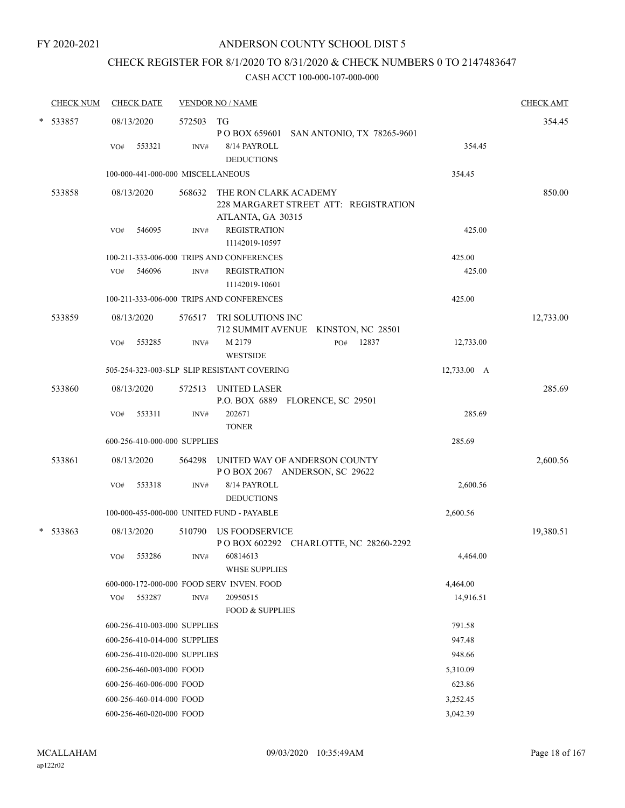# CHECK REGISTER FOR 8/1/2020 TO 8/31/2020 & CHECK NUMBERS 0 TO 2147483647

| <b>CHECK NUM</b> | <b>CHECK DATE</b>                 |        | <b>VENDOR NO / NAME</b>                                                             |             | <b>CHECK AMT</b> |
|------------------|-----------------------------------|--------|-------------------------------------------------------------------------------------|-------------|------------------|
| * 533857         | 08/13/2020                        | 572503 | TG<br>P O BOX 659601 SAN ANTONIO, TX 78265-9601                                     |             | 354.45           |
|                  | 553321<br>VO#                     | INV#   | 8/14 PAYROLL<br><b>DEDUCTIONS</b>                                                   | 354.45      |                  |
|                  | 100-000-441-000-000 MISCELLANEOUS |        |                                                                                     | 354.45      |                  |
| 533858           | 08/13/2020                        | 568632 | THE RON CLARK ACADEMY<br>228 MARGARET STREET ATT: REGISTRATION<br>ATLANTA, GA 30315 |             | 850.00           |
|                  | 546095<br>VO#                     | INV#   | <b>REGISTRATION</b><br>11142019-10597                                               | 425.00      |                  |
|                  |                                   |        | 100-211-333-006-000 TRIPS AND CONFERENCES                                           | 425.00      |                  |
|                  | 546096<br>VO#                     | INV#   | <b>REGISTRATION</b><br>11142019-10601                                               | 425.00      |                  |
|                  |                                   |        | 100-211-333-006-000 TRIPS AND CONFERENCES                                           | 425.00      |                  |
| 533859           | 08/13/2020                        |        | 576517 TRI SOLUTIONS INC<br>712 SUMMIT AVENUE KINSTON, NC 28501                     |             | 12,733.00        |
|                  | 553285<br>VO#                     | INV#   | M 2179<br>12837<br>PO#<br><b>WESTSIDE</b>                                           | 12,733.00   |                  |
|                  |                                   |        | 505-254-323-003-SLP SLIP RESISTANT COVERING                                         | 12,733.00 A |                  |
| 533860           | 08/13/2020                        | 572513 | UNITED LASER<br>P.O. BOX 6889 FLORENCE, SC 29501                                    |             | 285.69           |
|                  | 553311<br>VO#                     | INV#   | 202671<br><b>TONER</b>                                                              | 285.69      |                  |
|                  | 600-256-410-000-000 SUPPLIES      |        |                                                                                     | 285.69      |                  |
| 533861           | 08/13/2020                        | 564298 | UNITED WAY OF ANDERSON COUNTY<br>POBOX 2067 ANDERSON, SC 29622                      |             | 2,600.56         |
|                  | 553318<br>VO#                     | INV#   | 8/14 PAYROLL<br><b>DEDUCTIONS</b>                                                   | 2,600.56    |                  |
|                  |                                   |        | 100-000-455-000-000 UNITED FUND - PAYABLE                                           | 2,600.56    |                  |
| $* 533863$       | 08/13/2020                        |        | 510790 US FOODSERVICE<br>POBOX 602292 CHARLOTTE, NC 28260-2292                      |             | 19,380.51        |
|                  | VO# 553286                        | INV#   | 60814613<br><b>WHSE SUPPLIES</b>                                                    | 4,464.00    |                  |
|                  |                                   |        | 600-000-172-000-000 FOOD SERV INVEN. FOOD                                           | 4,464.00    |                  |
|                  | 553287<br>VO#                     | INV#   | 20950515<br><b>FOOD &amp; SUPPLIES</b>                                              | 14,916.51   |                  |
|                  | 600-256-410-003-000 SUPPLIES      |        |                                                                                     | 791.58      |                  |
|                  | 600-256-410-014-000 SUPPLIES      |        |                                                                                     | 947.48      |                  |
|                  | 600-256-410-020-000 SUPPLIES      |        |                                                                                     | 948.66      |                  |
|                  | 600-256-460-003-000 FOOD          |        |                                                                                     | 5,310.09    |                  |
|                  | 600-256-460-006-000 FOOD          |        |                                                                                     | 623.86      |                  |
|                  | 600-256-460-014-000 FOOD          |        |                                                                                     | 3,252.45    |                  |
|                  | 600-256-460-020-000 FOOD          |        |                                                                                     | 3,042.39    |                  |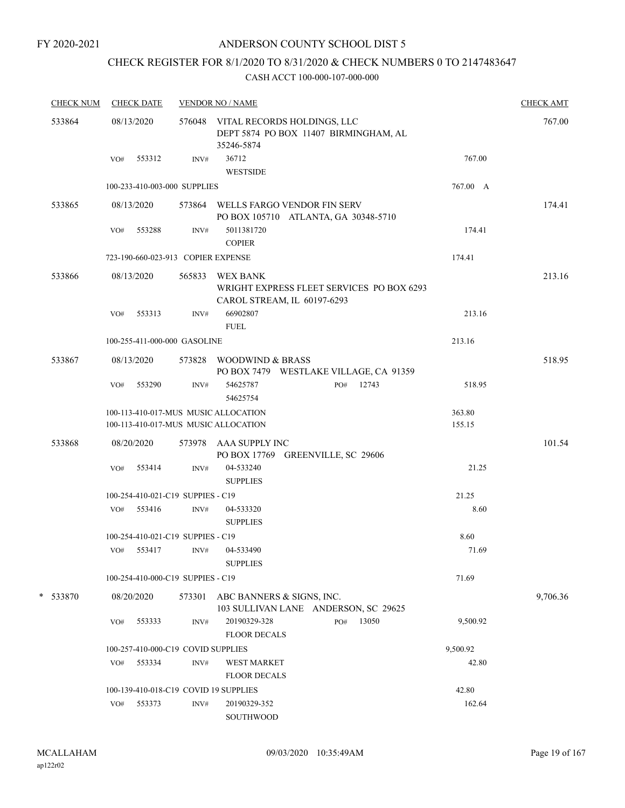## ANDERSON COUNTY SCHOOL DIST 5

# CHECK REGISTER FOR 8/1/2020 TO 8/31/2020 & CHECK NUMBERS 0 TO 2147483647

| <b>CHECK NUM</b> | <b>CHECK DATE</b> |                                                                              | <b>VENDOR NO / NAME</b>                                                                   |          |  |  |  |
|------------------|-------------------|------------------------------------------------------------------------------|-------------------------------------------------------------------------------------------|----------|--|--|--|
| 533864           | 08/13/2020        |                                                                              | 576048 VITAL RECORDS HOLDINGS, LLC<br>DEPT 5874 PO BOX 11407 BIRMINGHAM, AL<br>35246-5874 | 767.00   |  |  |  |
|                  | VO#               | 553312<br>INV#                                                               | 36712<br><b>WESTSIDE</b>                                                                  | 767.00   |  |  |  |
|                  |                   | 100-233-410-003-000 SUPPLIES                                                 |                                                                                           | 767.00 A |  |  |  |
| 533865           | 08/13/2020        |                                                                              | 573864 WELLS FARGO VENDOR FIN SERV<br>PO BOX 105710 ATLANTA, GA 30348-5710                | 174.41   |  |  |  |
|                  | VO#               | 553288<br>INV#                                                               | 5011381720<br><b>COPIER</b>                                                               | 174.41   |  |  |  |
|                  |                   | 723-190-660-023-913 COPIER EXPENSE                                           | 174.41                                                                                    |          |  |  |  |
| 533866           | 08/13/2020        | 565833                                                                       | WEX BANK<br>WRIGHT EXPRESS FLEET SERVICES PO BOX 6293<br>CAROL STREAM, IL 60197-6293      | 213.16   |  |  |  |
|                  | VO#               | 553313<br>INV#                                                               | 66902807<br><b>FUEL</b>                                                                   | 213.16   |  |  |  |
|                  |                   | 100-255-411-000-000 GASOLINE                                                 | 213.16                                                                                    |          |  |  |  |
| 533867           | 08/13/2020        |                                                                              | 573828 WOODWIND & BRASS<br>PO BOX 7479 WESTLAKE VILLAGE, CA 91359                         | 518.95   |  |  |  |
|                  | VO#               | 553290<br>INV#                                                               | 12743<br>54625787<br>PO#<br>54625754                                                      | 518.95   |  |  |  |
|                  |                   | 100-113-410-017-MUS MUSIC ALLOCATION<br>100-113-410-017-MUS MUSIC ALLOCATION | 363.80<br>155.15                                                                          |          |  |  |  |
| 533868           | 08/20/2020        |                                                                              | 573978 AAA SUPPLY INC<br>PO BOX 17769 GREENVILLE, SC 29606                                | 101.54   |  |  |  |
|                  | VO#               | 553414<br>INV#                                                               | 04-533240<br><b>SUPPLIES</b>                                                              | 21.25    |  |  |  |
|                  |                   | 100-254-410-021-C19 SUPPIES - C19                                            |                                                                                           | 21.25    |  |  |  |
|                  | VO# 553416        | INV#                                                                         | 04-533320<br><b>SUPPLIES</b>                                                              | 8.60     |  |  |  |
|                  |                   | 100-254-410-021-C19 SUPPIES - C19                                            |                                                                                           | 8.60     |  |  |  |
|                  | VO#               | 553417<br>INV#                                                               | 04-533490<br><b>SUPPLIES</b>                                                              | 71.69    |  |  |  |
|                  |                   | 100-254-410-000-C19 SUPPIES - C19                                            |                                                                                           | 71.69    |  |  |  |
| * 533870         | 08/20/2020        | 573301                                                                       | ABC BANNERS & SIGNS, INC.<br>103 SULLIVAN LANE ANDERSON, SC 29625                         | 9,706.36 |  |  |  |
|                  | VO#               | 553333<br>INV#                                                               | 20190329-328<br>PO#<br>13050<br><b>FLOOR DECALS</b>                                       | 9,500.92 |  |  |  |
|                  |                   | 100-257-410-000-C19 COVID SUPPLIES                                           | 9,500.92                                                                                  |          |  |  |  |
|                  | VO#               | 553334<br>INV#                                                               | <b>WEST MARKET</b><br><b>FLOOR DECALS</b>                                                 | 42.80    |  |  |  |
|                  |                   | 100-139-410-018-C19 COVID 19 SUPPLIES                                        |                                                                                           | 42.80    |  |  |  |
|                  | VO#               | 553373<br>INV#                                                               | 20190329-352<br>SOUTHWOOD                                                                 | 162.64   |  |  |  |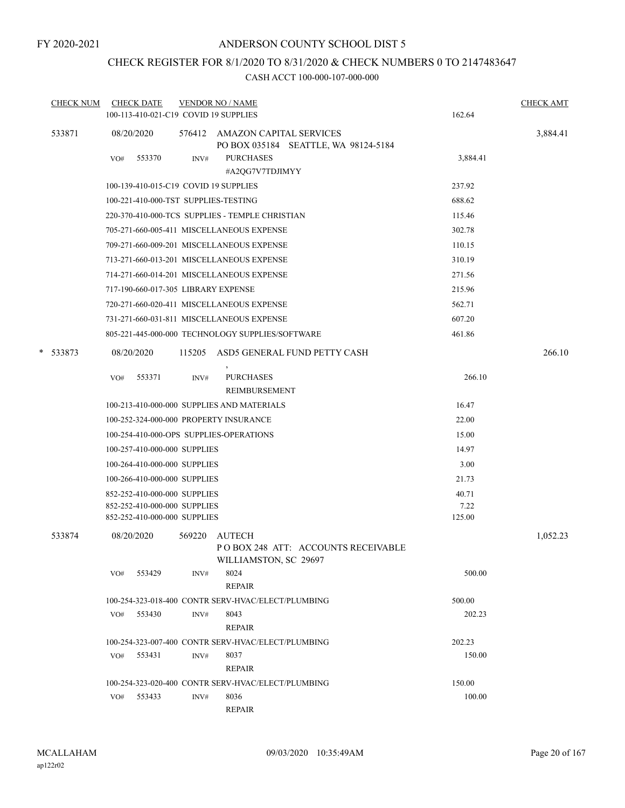# CHECK REGISTER FOR 8/1/2020 TO 8/31/2020 & CHECK NUMBERS 0 TO 2147483647

| <b>CHECK NUM</b> |     | <b>CHECK DATE</b>                   |        | <b>VENDOR NO / NAME</b>                                                      |          | <b>CHECK AMT</b> |
|------------------|-----|-------------------------------------|--------|------------------------------------------------------------------------------|----------|------------------|
|                  |     |                                     |        | 100-113-410-021-C19 COVID 19 SUPPLIES                                        | 162.64   |                  |
| 533871           |     | 08/20/2020                          |        | 576412 AMAZON CAPITAL SERVICES<br>PO BOX 035184 SEATTLE, WA 98124-5184       |          | 3,884.41         |
|                  | VO# | 553370                              | INV#   | <b>PURCHASES</b>                                                             | 3,884.41 |                  |
|                  |     |                                     |        | #A2QG7V7TDJIMYY                                                              |          |                  |
|                  |     |                                     |        | 100-139-410-015-C19 COVID 19 SUPPLIES                                        | 237.92   |                  |
|                  |     |                                     |        | 100-221-410-000-TST SUPPLIES-TESTING                                         | 688.62   |                  |
|                  |     |                                     |        | 220-370-410-000-TCS SUPPLIES - TEMPLE CHRISTIAN                              | 115.46   |                  |
|                  |     |                                     |        | 705-271-660-005-411 MISCELLANEOUS EXPENSE                                    | 302.78   |                  |
|                  |     |                                     |        | 709-271-660-009-201 MISCELLANEOUS EXPENSE                                    | 110.15   |                  |
|                  |     |                                     |        | 713-271-660-013-201 MISCELLANEOUS EXPENSE                                    | 310.19   |                  |
|                  |     |                                     |        | 714-271-660-014-201 MISCELLANEOUS EXPENSE                                    | 271.56   |                  |
|                  |     | 717-190-660-017-305 LIBRARY EXPENSE |        |                                                                              | 215.96   |                  |
|                  |     |                                     |        | 720-271-660-020-411 MISCELLANEOUS EXPENSE                                    | 562.71   |                  |
|                  |     |                                     |        | 731-271-660-031-811 MISCELLANEOUS EXPENSE                                    | 607.20   |                  |
|                  |     |                                     |        | 805-221-445-000-000 TECHNOLOGY SUPPLIES/SOFTWARE                             | 461.86   |                  |
| * 533873         |     | 08/20/2020                          | 115205 | ASD5 GENERAL FUND PETTY CASH                                                 |          | 266.10           |
|                  | VO# | 553371                              | INV#   | <b>PURCHASES</b><br>REIMBURSEMENT                                            | 266.10   |                  |
|                  |     |                                     |        | 100-213-410-000-000 SUPPLIES AND MATERIALS                                   | 16.47    |                  |
|                  |     |                                     |        | 100-252-324-000-000 PROPERTY INSURANCE                                       | 22.00    |                  |
|                  |     |                                     |        | 100-254-410-000-OPS SUPPLIES-OPERATIONS                                      | 15.00    |                  |
|                  |     | 100-257-410-000-000 SUPPLIES        |        |                                                                              | 14.97    |                  |
|                  |     | 100-264-410-000-000 SUPPLIES        |        |                                                                              | 3.00     |                  |
|                  |     | 100-266-410-000-000 SUPPLIES        |        |                                                                              | 21.73    |                  |
|                  |     | 852-252-410-000-000 SUPPLIES        |        |                                                                              | 40.71    |                  |
|                  |     | 852-252-410-000-000 SUPPLIES        |        |                                                                              | 7.22     |                  |
|                  |     | 852-252-410-000-000 SUPPLIES        |        |                                                                              | 125.00   |                  |
| 533874           |     | 08/20/2020                          | 569220 | <b>AUTECH</b><br>POBOX 248 ATT: ACCOUNTS RECEIVABLE<br>WILLIAMSTON, SC 29697 |          | 1,052.23         |
|                  | VO# | 553429                              | INV#   | 8024<br><b>REPAIR</b>                                                        | 500.00   |                  |
|                  |     |                                     |        | 100-254-323-018-400 CONTR SERV-HVAC/ELECT/PLUMBING                           | 500.00   |                  |
|                  | VO# | 553430                              | INV#   | 8043                                                                         | 202.23   |                  |
|                  |     |                                     |        | <b>REPAIR</b>                                                                |          |                  |
|                  |     |                                     |        | 100-254-323-007-400 CONTR SERV-HVAC/ELECT/PLUMBING                           | 202.23   |                  |
|                  | VO# | 553431                              | INV#   | 8037                                                                         | 150.00   |                  |
|                  |     |                                     |        | <b>REPAIR</b>                                                                |          |                  |
|                  |     |                                     |        | 100-254-323-020-400 CONTR SERV-HVAC/ELECT/PLUMBING                           | 150.00   |                  |
|                  |     | VO# 553433                          | INV#   | 8036                                                                         | 100.00   |                  |
|                  |     |                                     |        | <b>REPAIR</b>                                                                |          |                  |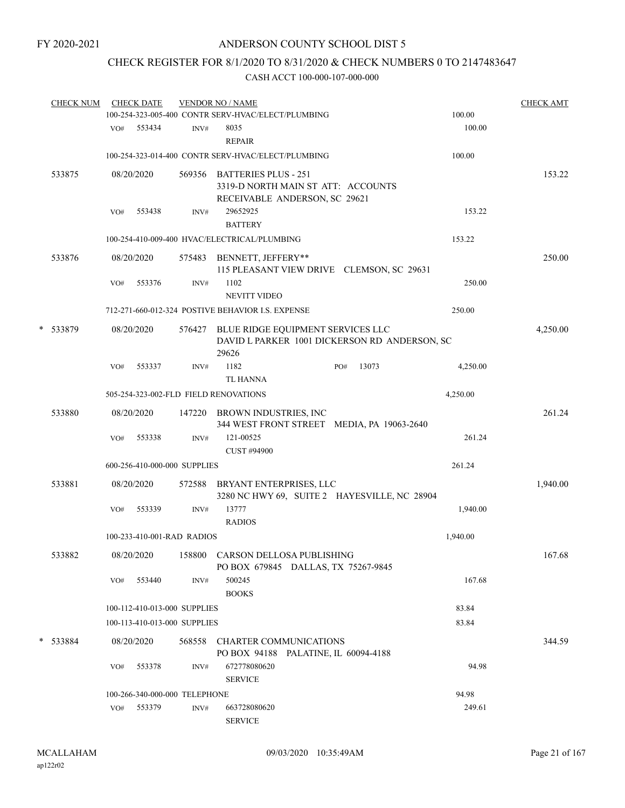# CHECK REGISTER FOR 8/1/2020 TO 8/31/2020 & CHECK NUMBERS 0 TO 2147483647

| <b>CHECK NUM</b> |     | <b>CHECK DATE</b> |                               | <b>VENDOR NO / NAME</b><br>100-254-323-005-400 CONTR SERV-HVAC/ELECT/PLUMBING      |              | 100.00                                        | <b>CHECK AMT</b> |
|------------------|-----|-------------------|-------------------------------|------------------------------------------------------------------------------------|--------------|-----------------------------------------------|------------------|
|                  |     | VO# 553434        | INV#                          | 8035                                                                               |              | 100.00                                        |                  |
|                  |     |                   |                               | <b>REPAIR</b><br>100-254-323-014-400 CONTR SERV-HVAC/ELECT/PLUMBING                |              | 100.00                                        |                  |
| 533875           |     | 08/20/2020        |                               | 569356 BATTERIES PLUS - 251<br>3319-D NORTH MAIN ST ATT: ACCOUNTS                  |              |                                               | 153.22           |
|                  | VO# | 553438            | INV#                          | RECEIVABLE ANDERSON, SC 29621<br>29652925<br><b>BATTERY</b>                        |              | 153.22                                        |                  |
|                  |     |                   |                               | 100-254-410-009-400 HVAC/ELECTRICAL/PLUMBING                                       |              | 153.22                                        |                  |
| 533876           |     | 08/20/2020        |                               | 575483 BENNETT, JEFFERY**<br>115 PLEASANT VIEW DRIVE CLEMSON, SC 29631             |              |                                               | 250.00           |
|                  | VO# | 553376            | INV#                          | 1102<br><b>NEVITT VIDEO</b>                                                        |              | 250.00                                        |                  |
|                  |     |                   |                               | 712-271-660-012-324 POSTIVE BEHAVIOR I.S. EXPENSE                                  |              | 250.00                                        |                  |
| * 533879         |     | 08/20/2020        |                               | 576427 BLUE RIDGE EQUIPMENT SERVICES LLC<br>29626                                  |              | DAVID L PARKER 1001 DICKERSON RD ANDERSON, SC | 4,250.00         |
|                  | VO# | 553337            | INV#                          | 1182<br><b>TL HANNA</b>                                                            | 13073<br>PO# | 4,250.00                                      |                  |
|                  |     |                   |                               | 505-254-323-002-FLD FIELD RENOVATIONS                                              |              | 4,250.00                                      |                  |
| 533880           |     | 08/20/2020        |                               | 147220 BROWN INDUSTRIES, INC<br>344 WEST FRONT STREET MEDIA, PA 19063-2640         |              |                                               | 261.24           |
|                  | VO# | 553338            | INV#                          | 121-00525<br>CUST #94900                                                           |              | 261.24                                        |                  |
|                  |     |                   | 600-256-410-000-000 SUPPLIES  |                                                                                    |              | 261.24                                        |                  |
| 533881           |     | 08/20/2020        | 572588                        | BRYANT ENTERPRISES, LLC<br>3280 NC HWY 69, SUITE 2 HAYESVILLE, NC 28904            |              |                                               | 1,940.00         |
|                  | VO# | 553339            | INV#                          | 13777<br><b>RADIOS</b>                                                             |              | 1,940.00                                      |                  |
|                  |     |                   | 100-233-410-001-RAD RADIOS    |                                                                                    |              | 1,940.00                                      |                  |
| 533882           |     |                   |                               | 08/20/2020 158800 CARSON DELLOSA PUBLISHING<br>PO BOX 679845 DALLAS, TX 75267-9845 |              |                                               | 167.68           |
|                  | VO# | 553440            | INV#                          | 500245<br><b>BOOKS</b>                                                             |              | 167.68                                        |                  |
|                  |     |                   | 100-112-410-013-000 SUPPLIES  |                                                                                    |              | 83.84                                         |                  |
|                  |     |                   | 100-113-410-013-000 SUPPLIES  |                                                                                    |              | 83.84                                         |                  |
| * 533884         |     | 08/20/2020        | 568558                        | CHARTER COMMUNICATIONS<br>PO BOX 94188 PALATINE, IL 60094-4188                     |              |                                               | 344.59           |
|                  | VO# | 553378            | INV#                          | 672778080620<br><b>SERVICE</b>                                                     |              | 94.98                                         |                  |
|                  |     |                   | 100-266-340-000-000 TELEPHONE |                                                                                    |              | 94.98                                         |                  |
|                  |     | VO# 553379        | INV#                          | 663728080620<br><b>SERVICE</b>                                                     |              | 249.61                                        |                  |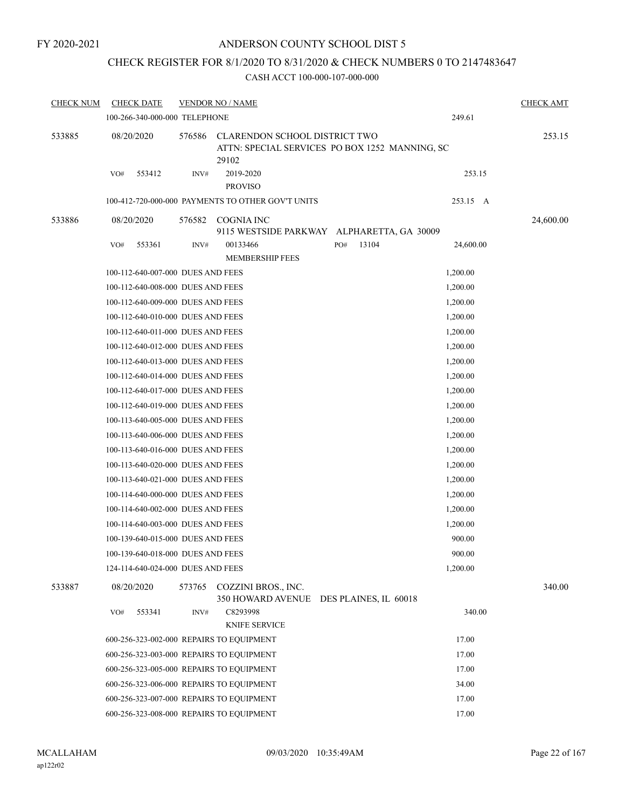## ANDERSON COUNTY SCHOOL DIST 5

# CHECK REGISTER FOR 8/1/2020 TO 8/31/2020 & CHECK NUMBERS 0 TO 2147483647

| <b>CHECK NUM</b> | <b>CHECK DATE</b>                        |        | <b>VENDOR NO / NAME</b>                                                                         |                       |           | <b>CHECK AMT</b> |
|------------------|------------------------------------------|--------|-------------------------------------------------------------------------------------------------|-----------------------|-----------|------------------|
|                  | 100-266-340-000-000 TELEPHONE            |        |                                                                                                 |                       | 249.61    |                  |
| 533885           | 08/20/2020                               | 576586 | <b>CLARENDON SCHOOL DISTRICT TWO</b><br>ATTN: SPECIAL SERVICES PO BOX 1252 MANNING, SC<br>29102 |                       |           | 253.15           |
|                  | 553412<br>VO#                            | INV#   | 2019-2020<br><b>PROVISO</b>                                                                     |                       | 253.15    |                  |
|                  |                                          |        | 100-412-720-000-000 PAYMENTS TO OTHER GOV'T UNITS                                               |                       | 253.15 A  |                  |
| 533886           | 08/20/2020                               | 576582 | COGNIA INC                                                                                      |                       |           | 24,600.00        |
|                  |                                          |        | 9115 WESTSIDE PARKWAY ALPHARETTA, GA 30009                                                      |                       |           |                  |
|                  | 553361<br>VO#                            | INV#   | 00133466<br><b>MEMBERSHIP FEES</b>                                                              | 13104<br>PO#          | 24,600.00 |                  |
|                  | 100-112-640-007-000 DUES AND FEES        |        |                                                                                                 |                       | 1,200.00  |                  |
|                  | 100-112-640-008-000 DUES AND FEES        |        |                                                                                                 |                       | 1,200.00  |                  |
|                  | 100-112-640-009-000 DUES AND FEES        |        |                                                                                                 |                       | 1,200.00  |                  |
|                  | 100-112-640-010-000 DUES AND FEES        |        |                                                                                                 |                       | 1,200.00  |                  |
|                  | 100-112-640-011-000 DUES AND FEES        |        |                                                                                                 |                       | 1,200.00  |                  |
|                  | 100-112-640-012-000 DUES AND FEES        |        |                                                                                                 |                       | 1,200.00  |                  |
|                  | 100-112-640-013-000 DUES AND FEES        |        |                                                                                                 |                       | 1,200.00  |                  |
|                  | 100-112-640-014-000 DUES AND FEES        |        |                                                                                                 |                       | 1,200.00  |                  |
|                  | 100-112-640-017-000 DUES AND FEES        |        |                                                                                                 |                       | 1,200.00  |                  |
|                  | 100-112-640-019-000 DUES AND FEES        |        |                                                                                                 |                       | 1,200.00  |                  |
|                  | 100-113-640-005-000 DUES AND FEES        |        |                                                                                                 |                       | 1,200.00  |                  |
|                  | 100-113-640-006-000 DUES AND FEES        |        |                                                                                                 |                       | 1,200.00  |                  |
|                  | 100-113-640-016-000 DUES AND FEES        |        |                                                                                                 |                       | 1,200.00  |                  |
|                  | 100-113-640-020-000 DUES AND FEES        |        |                                                                                                 |                       | 1,200.00  |                  |
|                  | 100-113-640-021-000 DUES AND FEES        |        |                                                                                                 |                       | 1,200.00  |                  |
|                  | 100-114-640-000-000 DUES AND FEES        |        |                                                                                                 |                       | 1,200.00  |                  |
|                  | 100-114-640-002-000 DUES AND FEES        |        |                                                                                                 |                       | 1,200.00  |                  |
|                  | 100-114-640-003-000 DUES AND FEES        |        |                                                                                                 |                       | 1,200.00  |                  |
|                  | 100-139-640-015-000 DUES AND FEES        |        |                                                                                                 |                       | 900.00    |                  |
|                  | 100-139-640-018-000 DUES AND FEES        |        |                                                                                                 |                       | 900.00    |                  |
|                  | 124-114-640-024-000 DUES AND FEES        |        |                                                                                                 |                       | 1,200.00  |                  |
| 533887           | 08/20/2020                               | 573765 | COZZINI BROS., INC.<br>350 HOWARD AVENUE                                                        | DES PLAINES, IL 60018 |           | 340.00           |
|                  | 553341<br>VO#                            | INV#   | C8293998<br><b>KNIFE SERVICE</b>                                                                |                       | 340.00    |                  |
|                  | 600-256-323-002-000 REPAIRS TO EQUIPMENT |        |                                                                                                 |                       | 17.00     |                  |
|                  | 600-256-323-003-000 REPAIRS TO EQUIPMENT |        |                                                                                                 |                       | 17.00     |                  |
|                  | 600-256-323-005-000 REPAIRS TO EQUIPMENT |        |                                                                                                 |                       | 17.00     |                  |
|                  | 600-256-323-006-000 REPAIRS TO EOUIPMENT |        |                                                                                                 |                       | 34.00     |                  |
|                  | 600-256-323-007-000 REPAIRS TO EQUIPMENT |        |                                                                                                 |                       | 17.00     |                  |
|                  | 600-256-323-008-000 REPAIRS TO EQUIPMENT |        |                                                                                                 |                       | 17.00     |                  |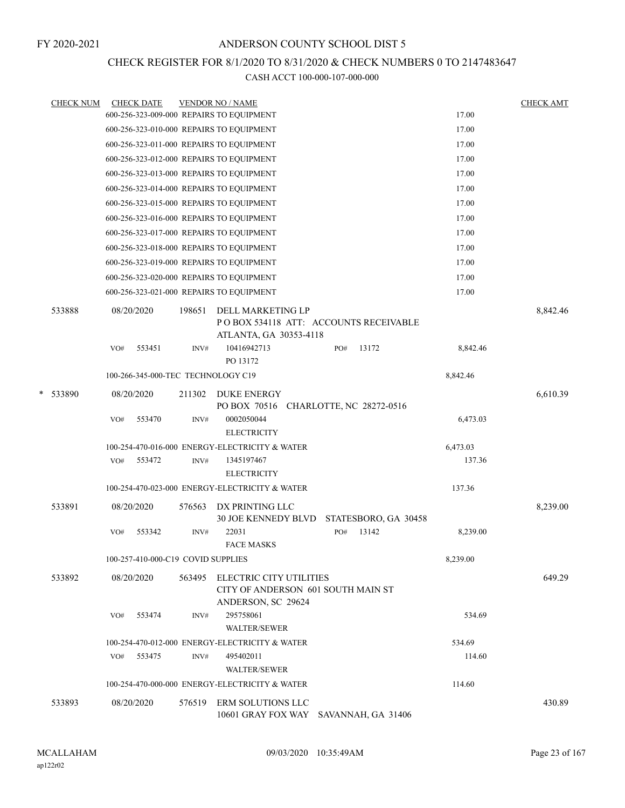## CHECK REGISTER FOR 8/1/2020 TO 8/31/2020 & CHECK NUMBERS 0 TO 2147483647

|   | <b>CHECK NUM</b> | <b>CHECK DATE</b>                        |        | <b>VENDOR NO / NAME</b> |                                                                                      |     |                          |          | <b>CHECK AMT</b> |
|---|------------------|------------------------------------------|--------|-------------------------|--------------------------------------------------------------------------------------|-----|--------------------------|----------|------------------|
|   |                  | 600-256-323-009-000 REPAIRS TO EQUIPMENT |        |                         |                                                                                      |     |                          | 17.00    |                  |
|   |                  | 600-256-323-010-000 REPAIRS TO EQUIPMENT |        |                         |                                                                                      |     |                          | 17.00    |                  |
|   |                  | 600-256-323-011-000 REPAIRS TO EQUIPMENT |        |                         |                                                                                      |     |                          | 17.00    |                  |
|   |                  | 600-256-323-012-000 REPAIRS TO EQUIPMENT |        |                         |                                                                                      |     |                          | 17.00    |                  |
|   |                  | 600-256-323-013-000 REPAIRS TO EQUIPMENT |        |                         |                                                                                      |     |                          | 17.00    |                  |
|   |                  | 600-256-323-014-000 REPAIRS TO EQUIPMENT |        |                         |                                                                                      |     |                          | 17.00    |                  |
|   |                  | 600-256-323-015-000 REPAIRS TO EQUIPMENT |        |                         |                                                                                      |     |                          | 17.00    |                  |
|   |                  | 600-256-323-016-000 REPAIRS TO EQUIPMENT |        |                         |                                                                                      |     |                          | 17.00    |                  |
|   |                  | 600-256-323-017-000 REPAIRS TO EQUIPMENT |        |                         |                                                                                      |     |                          | 17.00    |                  |
|   |                  | 600-256-323-018-000 REPAIRS TO EQUIPMENT |        |                         |                                                                                      |     |                          | 17.00    |                  |
|   |                  | 600-256-323-019-000 REPAIRS TO EQUIPMENT |        |                         |                                                                                      |     |                          | 17.00    |                  |
|   |                  | 600-256-323-020-000 REPAIRS TO EQUIPMENT |        |                         |                                                                                      |     |                          | 17.00    |                  |
|   |                  | 600-256-323-021-000 REPAIRS TO EQUIPMENT |        |                         |                                                                                      |     |                          | 17.00    |                  |
|   | 533888           | 08/20/2020                               | 198651 |                         | DELL MARKETING LP<br>POBOX 534118 ATT: ACCOUNTS RECEIVABLE<br>ATLANTA, GA 30353-4118 |     |                          |          | 8,842.46         |
|   |                  | 553451<br>VO#                            |        | INV#<br>PO 13172        | 10416942713                                                                          | PO# | 13172                    | 8,842.46 |                  |
|   |                  | 100-266-345-000-TEC TECHNOLOGY C19       |        |                         |                                                                                      |     |                          | 8,842.46 |                  |
| * | 533890           | 08/20/2020                               | 211302 |                         | <b>DUKE ENERGY</b><br>PO BOX 70516                                                   |     | CHARLOTTE, NC 28272-0516 |          | 6,610.39         |
|   |                  | 553470<br>VO#                            |        | INV#                    | 0002050044<br><b>ELECTRICITY</b>                                                     |     |                          | 6,473.03 |                  |
|   |                  |                                          |        |                         | 100-254-470-016-000 ENERGY-ELECTRICITY & WATER                                       |     |                          | 6,473.03 |                  |
|   |                  | 553472<br>VO#                            |        | INV#                    | 1345197467<br><b>ELECTRICITY</b>                                                     |     |                          | 137.36   |                  |
|   |                  |                                          |        |                         | 100-254-470-023-000 ENERGY-ELECTRICITY & WATER                                       |     |                          | 137.36   |                  |
|   | 533891           | 08/20/2020                               | 576563 |                         | DX PRINTING LLC<br><b>30 JOE KENNEDY BLVD</b>                                        |     | STATESBORO, GA 30458     |          | 8,239.00         |
|   |                  | 553342<br>VO#                            |        | 22031<br>INV#           |                                                                                      | PO# | 13142                    | 8,239.00 |                  |
|   |                  |                                          |        |                         | <b>FACE MASKS</b>                                                                    |     |                          |          |                  |
|   |                  | 100-257-410-000-C19 COVID SUPPLIES       |        |                         |                                                                                      |     |                          | 8,239.00 |                  |
|   | 533892           | 08/20/2020                               | 563495 |                         | ELECTRIC CITY UTILITIES<br>CITY OF ANDERSON 601 SOUTH MAIN ST<br>ANDERSON, SC 29624  |     |                          |          | 649.29           |
|   |                  | 553474<br>VO#                            |        | INV#                    | 295758061<br><b>WALTER/SEWER</b>                                                     |     |                          | 534.69   |                  |
|   |                  |                                          |        |                         | 100-254-470-012-000 ENERGY-ELECTRICITY & WATER                                       |     |                          | 534.69   |                  |
|   |                  | 553475<br>VO#                            |        | INV#                    | 495402011<br><b>WALTER/SEWER</b>                                                     |     |                          | 114.60   |                  |
|   |                  |                                          |        |                         | 100-254-470-000-000 ENERGY-ELECTRICITY & WATER                                       |     |                          | 114.60   |                  |
|   | 533893           | 08/20/2020                               | 576519 |                         | ERM SOLUTIONS LLC<br>10601 GRAY FOX WAY SAVANNAH, GA 31406                           |     |                          |          | 430.89           |
|   |                  |                                          |        |                         |                                                                                      |     |                          |          |                  |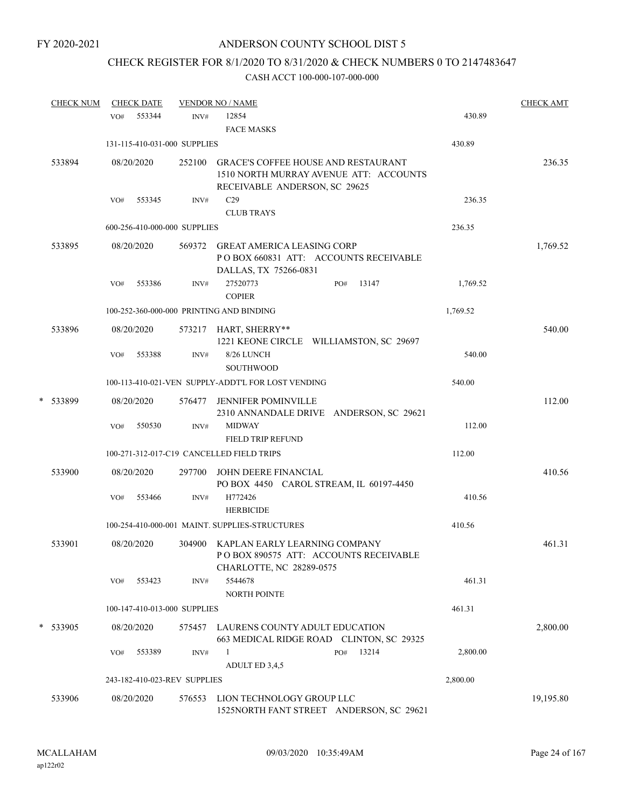# CHECK REGISTER FOR 8/1/2020 TO 8/31/2020 & CHECK NUMBERS 0 TO 2147483647

|   | <b>CHECK NUM</b> |     | <b>CHECK DATE</b> |                              | <b>VENDOR NO / NAME</b>                                                                                               |          | <b>CHECK AMT</b> |
|---|------------------|-----|-------------------|------------------------------|-----------------------------------------------------------------------------------------------------------------------|----------|------------------|
|   |                  | VO# | 553344            | INV#                         | 12854<br><b>FACE MASKS</b>                                                                                            | 430.89   |                  |
|   |                  |     |                   | 131-115-410-031-000 SUPPLIES |                                                                                                                       | 430.89   |                  |
|   | 533894           |     | 08/20/2020        | 252100                       | <b>GRACE'S COFFEE HOUSE AND RESTAURANT</b><br>1510 NORTH MURRAY AVENUE ATT: ACCOUNTS<br>RECEIVABLE ANDERSON, SC 29625 |          | 236.35           |
|   |                  | VO# | 553345            | INV#                         | C29                                                                                                                   | 236.35   |                  |
|   |                  |     |                   |                              | <b>CLUB TRAYS</b>                                                                                                     |          |                  |
|   |                  |     |                   | 600-256-410-000-000 SUPPLIES |                                                                                                                       | 236.35   |                  |
|   | 533895           |     | 08/20/2020        |                              | 569372 GREAT AMERICA LEASING CORP<br>PO BOX 660831 ATT: ACCOUNTS RECEIVABLE<br>DALLAS, TX 75266-0831                  |          | 1,769.52         |
|   |                  | VO# | 553386            | INV#                         | 27520773<br>13147<br>PO#<br><b>COPIER</b>                                                                             | 1,769.52 |                  |
|   |                  |     |                   |                              | 100-252-360-000-000 PRINTING AND BINDING                                                                              | 1,769.52 |                  |
|   | 533896           |     | 08/20/2020        |                              | 573217 HART, SHERRY**<br>1221 KEONE CIRCLE WILLIAMSTON, SC 29697                                                      |          | 540.00           |
|   |                  | VO# | 553388            | INV#                         | 8/26 LUNCH<br><b>SOUTHWOOD</b>                                                                                        | 540.00   |                  |
|   |                  |     |                   |                              | 100-113-410-021-VEN SUPPLY-ADDT'L FOR LOST VENDING                                                                    | 540.00   |                  |
| * | 533899           |     | 08/20/2020        | 576477                       | <b>JENNIFER POMINVILLE</b><br>2310 ANNANDALE DRIVE ANDERSON, SC 29621                                                 |          | 112.00           |
|   |                  | VO# | 550530            | INV#                         | <b>MIDWAY</b><br><b>FIELD TRIP REFUND</b>                                                                             | 112.00   |                  |
|   |                  |     |                   |                              | 100-271-312-017-C19 CANCELLED FIELD TRIPS                                                                             | 112.00   |                  |
|   | 533900           |     | 08/20/2020        | 297700                       | JOHN DEERE FINANCIAL<br>PO BOX 4450 CAROL STREAM, IL 60197-4450                                                       |          | 410.56           |
|   |                  | VO# | 553466            | INV#                         | H772426<br><b>HERBICIDE</b>                                                                                           | 410.56   |                  |
|   |                  |     |                   |                              | 100-254-410-000-001 MAINT. SUPPLIES-STRUCTURES                                                                        | 410.56   |                  |
|   | 533901           |     | 08/20/2020        | 304900                       | KAPLAN EARLY LEARNING COMPANY<br>POBOX 890575 ATT: ACCOUNTS RECEIVABLE<br>CHARLOTTE, NC 28289-0575                    |          | 461.31           |
|   |                  | VO# | 553423            | INV#                         | 5544678<br><b>NORTH POINTE</b>                                                                                        | 461.31   |                  |
|   |                  |     |                   | 100-147-410-013-000 SUPPLIES |                                                                                                                       | 461.31   |                  |
|   | * 533905         |     | 08/20/2020        | 575457                       | LAURENS COUNTY ADULT EDUCATION<br>663 MEDICAL RIDGE ROAD CLINTON, SC 29325                                            |          | 2,800.00         |
|   |                  | VO# | 553389            | INV#                         | 13214<br>$\mathbf{1}$<br>PO#<br>ADULT ED 3,4,5                                                                        | 2,800.00 |                  |
|   |                  |     |                   | 243-182-410-023-REV SUPPLIES |                                                                                                                       | 2,800.00 |                  |
|   |                  |     |                   |                              |                                                                                                                       |          |                  |
|   | 533906           |     | 08/20/2020        | 576553                       | LION TECHNOLOGY GROUP LLC<br>1525NORTH FANT STREET ANDERSON, SC 29621                                                 |          | 19,195.80        |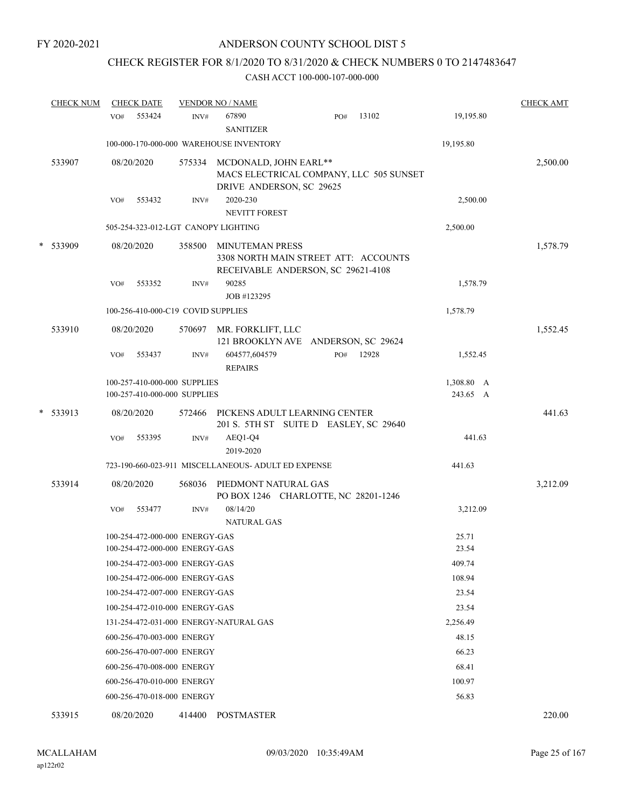# CHECK REGISTER FOR 8/1/2020 TO 8/31/2020 & CHECK NUMBERS 0 TO 2147483647

| <b>CHECK NUM</b> | <b>CHECK DATE</b>                                                |                | <b>VENDOR NO / NAME</b>                                                                              |     |       |                        | <b>CHECK AMT</b> |
|------------------|------------------------------------------------------------------|----------------|------------------------------------------------------------------------------------------------------|-----|-------|------------------------|------------------|
|                  | 553424<br>VO#                                                    | INV#           | 67890<br><b>SANITIZER</b>                                                                            | PO# | 13102 | 19,195.80              |                  |
|                  |                                                                  |                | 100-000-170-000-000 WAREHOUSE INVENTORY                                                              |     |       | 19,195.80              |                  |
| 533907           | 08/20/2020                                                       | 575334         | MCDONALD, JOHN EARL**<br>MACS ELECTRICAL COMPANY, LLC 505 SUNSET<br>DRIVE ANDERSON, SC 29625         |     |       |                        | 2,500.00         |
|                  | 553432<br>VO#                                                    | INV#           | 2020-230<br><b>NEVITT FOREST</b>                                                                     |     |       | 2,500.00               |                  |
|                  | 505-254-323-012-LGT CANOPY LIGHTING                              |                |                                                                                                      |     |       | 2,500.00               |                  |
| * 533909         | 08/20/2020                                                       | 358500         | <b>MINUTEMAN PRESS</b><br>3308 NORTH MAIN STREET ATT: ACCOUNTS<br>RECEIVABLE ANDERSON, SC 29621-4108 |     |       |                        | 1,578.79         |
|                  | 553352<br>VO#                                                    | INV#           | 90285<br>JOB #123295                                                                                 |     |       | 1,578.79               |                  |
|                  | 100-256-410-000-C19 COVID SUPPLIES                               |                |                                                                                                      |     |       | 1,578.79               |                  |
| 533910           | 08/20/2020<br>553437<br>VO#                                      | $\text{INV}\#$ | 570697 MR. FORKLIFT, LLC<br>121 BROOKLYN AVE ANDERSON, SC 29624<br>604577,604579                     | PO# | 12928 | 1,552.45               | 1,552.45         |
|                  |                                                                  |                | <b>REPAIRS</b>                                                                                       |     |       |                        |                  |
|                  | 100-257-410-000-000 SUPPLIES<br>100-257-410-000-000 SUPPLIES     |                |                                                                                                      |     |       | 1,308.80 A<br>243.65 A |                  |
| * 533913         | 08/20/2020                                                       | 572466         | PICKENS ADULT LEARNING CENTER<br>201 S. 5TH ST SUITE D EASLEY, SC 29640                              |     |       |                        | 441.63           |
|                  | 553395<br>VO#                                                    | INV#           | AEQ1-Q4<br>2019-2020                                                                                 |     |       | 441.63                 |                  |
|                  |                                                                  |                | 723-190-660-023-911 MISCELLANEOUS- ADULT ED EXPENSE                                                  |     |       | 441.63                 |                  |
| 533914           | 08/20/2020                                                       | 568036         | PIEDMONT NATURAL GAS<br>PO BOX 1246 CHARLOTTE, NC 28201-1246                                         |     |       |                        | 3,212.09         |
|                  | VO#<br>553477                                                    | INV#           | 08/14/20<br><b>NATURAL GAS</b>                                                                       |     |       | 3,212.09               |                  |
|                  | 100-254-472-000-000 ENERGY-GAS<br>100-254-472-000-000 ENERGY-GAS |                |                                                                                                      |     |       | 25.71<br>23.54         |                  |
|                  | 100-254-472-003-000 ENERGY-GAS                                   |                |                                                                                                      |     |       | 409.74                 |                  |
|                  | 100-254-472-006-000 ENERGY-GAS                                   |                |                                                                                                      |     |       | 108.94                 |                  |
|                  | 100-254-472-007-000 ENERGY-GAS                                   |                |                                                                                                      |     |       | 23.54                  |                  |
|                  | 100-254-472-010-000 ENERGY-GAS                                   |                |                                                                                                      |     |       | 23.54                  |                  |
|                  | 131-254-472-031-000 ENERGY-NATURAL GAS                           |                |                                                                                                      |     |       | 2,256.49               |                  |
|                  | 600-256-470-003-000 ENERGY                                       |                |                                                                                                      |     |       | 48.15                  |                  |
|                  | 600-256-470-007-000 ENERGY                                       |                |                                                                                                      |     |       | 66.23                  |                  |
|                  | 600-256-470-008-000 ENERGY                                       |                |                                                                                                      |     |       | 68.41                  |                  |
|                  | 600-256-470-010-000 ENERGY                                       |                |                                                                                                      |     |       | 100.97                 |                  |
|                  | 600-256-470-018-000 ENERGY                                       |                |                                                                                                      |     |       | 56.83                  |                  |
| 533915           | 08/20/2020                                                       | 414400         | POSTMASTER                                                                                           |     |       |                        | 220.00           |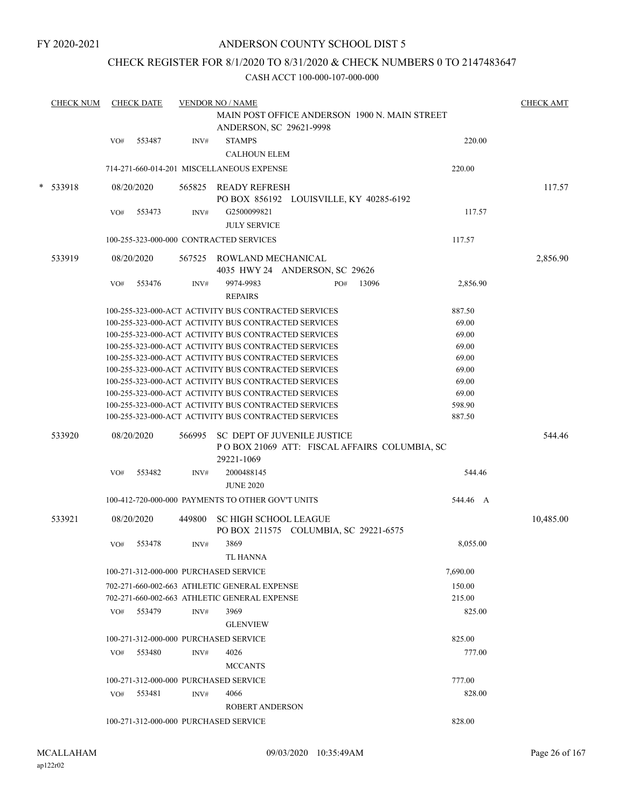## CHECK REGISTER FOR 8/1/2020 TO 8/31/2020 & CHECK NUMBERS 0 TO 2147483647

|   | <b>CHECK NUM</b> |     | <b>CHECK DATE</b> |        | <b>VENDOR NO / NAME</b><br>MAIN POST OFFICE ANDERSON 1900 N. MAIN STREET<br>ANDERSON, SC 29621-9998          |     |       |                | <b>CHECK AMT</b> |
|---|------------------|-----|-------------------|--------|--------------------------------------------------------------------------------------------------------------|-----|-------|----------------|------------------|
|   |                  | VO# | 553487            | INV#   | <b>STAMPS</b><br><b>CALHOUN ELEM</b>                                                                         |     |       | 220.00         |                  |
|   |                  |     |                   |        | 714-271-660-014-201 MISCELLANEOUS EXPENSE                                                                    |     |       | 220.00         |                  |
| * | 533918           |     | 08/20/2020        |        | 565825 READY REFRESH<br>PO BOX 856192 LOUISVILLE, KY 40285-6192                                              |     |       |                | 117.57           |
|   |                  | VO# | 553473            | INV#   | G2500099821<br><b>JULY SERVICE</b>                                                                           |     |       | 117.57         |                  |
|   |                  |     |                   |        | 100-255-323-000-000 CONTRACTED SERVICES                                                                      |     |       | 117.57         |                  |
|   | 533919           |     | 08/20/2020        | 567525 | ROWLAND MECHANICAL<br>4035 HWY 24 ANDERSON, SC 29626                                                         |     |       |                | 2,856.90         |
|   |                  | VO# | 553476            | INV#   | 9974-9983<br><b>REPAIRS</b>                                                                                  | PO# | 13096 | 2,856.90       |                  |
|   |                  |     |                   |        | 100-255-323-000-ACT ACTIVITY BUS CONTRACTED SERVICES                                                         |     |       | 887.50         |                  |
|   |                  |     |                   |        | 100-255-323-000-ACT ACTIVITY BUS CONTRACTED SERVICES                                                         |     |       | 69.00          |                  |
|   |                  |     |                   |        | 100-255-323-000-ACT ACTIVITY BUS CONTRACTED SERVICES                                                         |     |       | 69.00          |                  |
|   |                  |     |                   |        | 100-255-323-000-ACT ACTIVITY BUS CONTRACTED SERVICES                                                         |     |       | 69.00          |                  |
|   |                  |     |                   |        | 100-255-323-000-ACT ACTIVITY BUS CONTRACTED SERVICES                                                         |     |       | 69.00          |                  |
|   |                  |     |                   |        | 100-255-323-000-ACT ACTIVITY BUS CONTRACTED SERVICES                                                         |     |       | 69.00          |                  |
|   |                  |     |                   |        | 100-255-323-000-ACT ACTIVITY BUS CONTRACTED SERVICES<br>100-255-323-000-ACT ACTIVITY BUS CONTRACTED SERVICES |     |       | 69.00<br>69.00 |                  |
|   |                  |     |                   |        | 100-255-323-000-ACT ACTIVITY BUS CONTRACTED SERVICES                                                         |     |       | 598.90         |                  |
|   |                  |     |                   |        | 100-255-323-000-ACT ACTIVITY BUS CONTRACTED SERVICES                                                         |     |       | 887.50         |                  |
|   | 533920           |     | 08/20/2020        | 566995 | SC DEPT OF JUVENILE JUSTICE<br>POBOX 21069 ATT: FISCAL AFFAIRS COLUMBIA, SC<br>29221-1069                    |     |       |                | 544.46           |
|   |                  | VO# | 553482            | INV#   | 2000488145<br><b>JUNE 2020</b>                                                                               |     |       | 544.46         |                  |
|   |                  |     |                   |        | 100-412-720-000-000 PAYMENTS TO OTHER GOV'T UNITS                                                            |     |       | 544.46 A       |                  |
|   | 533921           |     | 08/20/2020        | 449800 | <b>SC HIGH SCHOOL LEAGUE</b><br>PO BOX 211575 COLUMBIA, SC 29221-6575                                        |     |       |                | 10,485.00        |
|   |                  | VO# | 553478            | INV#   | 3869<br>TL HANNA                                                                                             |     |       | 8,055.00       |                  |
|   |                  |     |                   |        | 100-271-312-000-000 PURCHASED SERVICE                                                                        |     |       | 7,690.00       |                  |
|   |                  |     |                   |        | 702-271-660-002-663 ATHLETIC GENERAL EXPENSE                                                                 |     |       | 150.00         |                  |
|   |                  |     |                   |        | 702-271-660-002-663 ATHLETIC GENERAL EXPENSE                                                                 |     |       | 215.00         |                  |
|   |                  | VO# | 553479            | INV#   | 3969                                                                                                         |     |       | 825.00         |                  |
|   |                  |     |                   |        | <b>GLENVIEW</b>                                                                                              |     |       |                |                  |
|   |                  |     |                   |        | 100-271-312-000-000 PURCHASED SERVICE                                                                        |     |       | 825.00         |                  |
|   |                  | VO# | 553480            | INV#   | 4026                                                                                                         |     |       | 777.00         |                  |
|   |                  |     |                   |        | <b>MCCANTS</b>                                                                                               |     |       |                |                  |
|   |                  |     |                   |        | 100-271-312-000-000 PURCHASED SERVICE                                                                        |     |       | 777.00         |                  |
|   |                  | VO# | 553481            | INV#   | 4066                                                                                                         |     |       | 828.00         |                  |
|   |                  |     |                   |        | <b>ROBERT ANDERSON</b>                                                                                       |     |       |                |                  |
|   |                  |     |                   |        |                                                                                                              |     |       |                |                  |
|   |                  |     |                   |        | 100-271-312-000-000 PURCHASED SERVICE                                                                        |     |       | 828.00         |                  |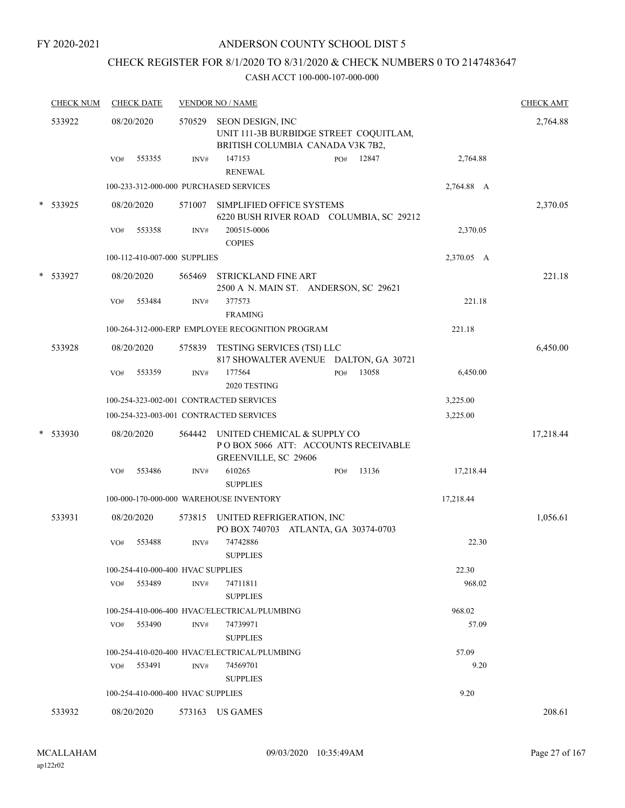## ANDERSON COUNTY SCHOOL DIST 5

# CHECK REGISTER FOR 8/1/2020 TO 8/31/2020 & CHECK NUMBERS 0 TO 2147483647

|   | <b>CHECK NUM</b> | <b>CHECK DATE</b>                       |        | <b>VENDOR NO / NAME</b>                                                                        |            | <b>CHECK AMT</b> |
|---|------------------|-----------------------------------------|--------|------------------------------------------------------------------------------------------------|------------|------------------|
|   | 533922           | 08/20/2020                              | 570529 | SEON DESIGN, INC<br>UNIT 111-3B BURBIDGE STREET COQUITLAM,<br>BRITISH COLUMBIA CANADA V3K 7B2, |            | 2,764.88         |
|   |                  | 553355<br>VO#                           | INV#   | 147153<br>12847<br>PO#<br><b>RENEWAL</b>                                                       | 2,764.88   |                  |
|   |                  | 100-233-312-000-000 PURCHASED SERVICES  |        |                                                                                                | 2,764.88 A |                  |
|   | * 533925         | 08/20/2020                              | 571007 | SIMPLIFIED OFFICE SYSTEMS<br>6220 BUSH RIVER ROAD COLUMBIA, SC 29212                           |            | 2,370.05         |
|   |                  | 553358<br>VO#                           | INV#   | 200515-0006<br><b>COPIES</b>                                                                   | 2,370.05   |                  |
|   |                  | 100-112-410-007-000 SUPPLIES            |        |                                                                                                | 2,370.05 A |                  |
|   | * 533927         | 08/20/2020                              | 565469 | <b>STRICKLAND FINE ART</b><br>2500 A N. MAIN ST. ANDERSON, SC 29621                            |            | 221.18           |
|   |                  | 553484<br>VO#                           | INV#   | 377573<br><b>FRAMING</b>                                                                       | 221.18     |                  |
|   |                  |                                         |        | 100-264-312-000-ERP EMPLOYEE RECOGNITION PROGRAM                                               | 221.18     |                  |
|   | 533928           | 08/20/2020                              | 575839 | TESTING SERVICES (TSI) LLC<br>817 SHOWALTER AVENUE DALTON, GA 30721                            |            | 6,450.00         |
|   |                  | 553359<br>VO#                           | INV#   | 177564<br>13058<br>PO#<br>2020 TESTING                                                         | 6,450.00   |                  |
|   |                  | 100-254-323-002-001 CONTRACTED SERVICES |        |                                                                                                | 3,225.00   |                  |
|   |                  | 100-254-323-003-001 CONTRACTED SERVICES |        |                                                                                                | 3,225.00   |                  |
| * | 533930           | 08/20/2020                              | 564442 | UNITED CHEMICAL & SUPPLY CO<br>PO BOX 5066 ATT: ACCOUNTS RECEIVABLE<br>GREENVILLE, SC 29606    |            | 17,218.44        |
|   |                  | 553486<br>VO#                           | INV#   | 610265<br>13136<br>PO#<br><b>SUPPLIES</b>                                                      | 17,218.44  |                  |
|   |                  |                                         |        | 100-000-170-000-000 WAREHOUSE INVENTORY                                                        | 17,218.44  |                  |
|   | 533931           | 08/20/2020                              | 573815 | UNITED REFRIGERATION, INC<br>PO BOX 740703 ATLANTA, GA 30374-0703                              |            | 1,056.61         |
|   |                  | VO#<br>553488                           | INV#   | 74742886<br><b>SUPPLIES</b>                                                                    | 22.30      |                  |
|   |                  | 100-254-410-000-400 HVAC SUPPLIES       |        |                                                                                                | 22.30      |                  |
|   |                  | $VO#$ 553489                            | INV#   | 74711811<br><b>SUPPLIES</b>                                                                    | 968.02     |                  |
|   |                  |                                         |        | 100-254-410-006-400 HVAC/ELECTRICAL/PLUMBING                                                   | 968.02     |                  |
|   |                  | VO# 553490                              | INV#   | 74739971<br><b>SUPPLIES</b>                                                                    | 57.09      |                  |
|   |                  |                                         |        | 100-254-410-020-400 HVAC/ELECTRICAL/PLUMBING                                                   | 57.09      |                  |
|   |                  | 553491<br>VO#                           | INV#   | 74569701<br><b>SUPPLIES</b>                                                                    | 9.20       |                  |
|   |                  | 100-254-410-000-400 HVAC SUPPLIES       |        |                                                                                                | 9.20       |                  |
|   | 533932           | 08/20/2020                              |        | 573163 US GAMES                                                                                |            | 208.61           |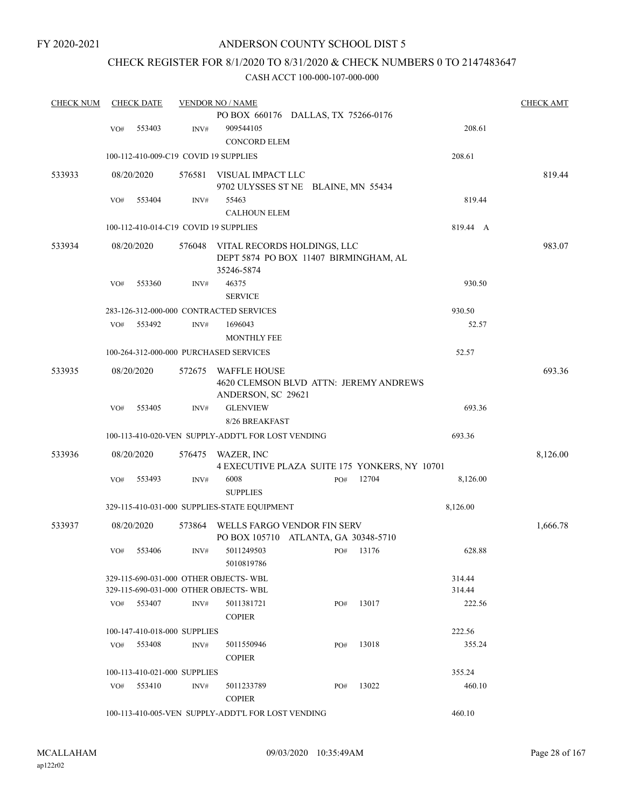# CHECK REGISTER FOR 8/1/2020 TO 8/31/2020 & CHECK NUMBERS 0 TO 2147483647

| <b>CHECK NUM</b> |     | <b>CHECK DATE</b>            |                | <b>VENDOR NO / NAME</b>                                                             |     |       |                  | <b>CHECK AMT</b> |
|------------------|-----|------------------------------|----------------|-------------------------------------------------------------------------------------|-----|-------|------------------|------------------|
|                  |     |                              |                | PO BOX 660176 DALLAS, TX 75266-0176                                                 |     |       |                  |                  |
|                  | VO# | 553403                       | INV#           | 909544105<br>CONCORD ELEM                                                           |     |       | 208.61           |                  |
|                  |     |                              |                | 100-112-410-009-C19 COVID 19 SUPPLIES                                               |     |       | 208.61           |                  |
| 533933           |     | 08/20/2020                   | 576581         | VISUAL IMPACT LLC                                                                   |     |       |                  | 819.44           |
|                  |     |                              |                | 9702 ULYSSES ST NE BLAINE, MN 55434                                                 |     |       |                  |                  |
|                  | VO# | 553404                       | INV#           | 55463                                                                               |     |       | 819.44           |                  |
|                  |     |                              |                | <b>CALHOUN ELEM</b>                                                                 |     |       |                  |                  |
|                  |     |                              |                | 100-112-410-014-C19 COVID 19 SUPPLIES                                               |     |       | 819.44 A         |                  |
| 533934           |     | 08/20/2020                   | 576048         | VITAL RECORDS HOLDINGS, LLC<br>DEPT 5874 PO BOX 11407 BIRMINGHAM, AL<br>35246-5874  |     |       |                  | 983.07           |
|                  | VO# | 553360                       | INV#           | 46375<br><b>SERVICE</b>                                                             |     |       | 930.50           |                  |
|                  |     |                              |                | 283-126-312-000-000 CONTRACTED SERVICES                                             |     |       | 930.50           |                  |
|                  | VO# | 553492                       | INV#           | 1696043<br><b>MONTHLY FEE</b>                                                       |     |       | 52.57            |                  |
|                  |     |                              |                | 100-264-312-000-000 PURCHASED SERVICES                                              |     |       | 52.57            |                  |
| 533935           |     | 08/20/2020                   | 572675         | <b>WAFFLE HOUSE</b><br>4620 CLEMSON BLVD ATTN: JEREMY ANDREWS<br>ANDERSON, SC 29621 |     |       |                  | 693.36           |
|                  | VO# | 553405                       | INV#           | <b>GLENVIEW</b>                                                                     |     |       | 693.36           |                  |
|                  |     |                              |                | 8/26 BREAKFAST                                                                      |     |       |                  |                  |
|                  |     |                              |                | 100-113-410-020-VEN SUPPLY-ADDT'L FOR LOST VENDING                                  |     |       | 693.36           |                  |
| 533936           |     | 08/20/2020                   | 576475         | WAZER, INC<br>4 EXECUTIVE PLAZA SUITE 175 YONKERS, NY 10701                         |     |       |                  | 8,126.00         |
|                  | VO# | 553493                       | $\text{INV}\#$ | 6008<br><b>SUPPLIES</b>                                                             | PO# | 12704 | 8,126.00         |                  |
|                  |     |                              |                | 329-115-410-031-000 SUPPLIES-STATE EQUIPMENT                                        |     |       | 8,126.00         |                  |
| 533937           |     | 08/20/2020                   | 573864         | WELLS FARGO VENDOR FIN SERV<br>PO BOX 105710 ATLANTA, GA 30348-5710                 |     |       |                  | 1,666.78         |
|                  | VO# | 553406                       | INV#           | 5011249503<br>5010819786                                                            | PO# | 13176 | 628.88           |                  |
|                  |     |                              |                | 329-115-690-031-000 OTHER OBJECTS-WBL<br>329-115-690-031-000 OTHER OBJECTS-WBL      |     |       | 314.44<br>314.44 |                  |
|                  | VO# | 553407                       | INV#           | 5011381721<br><b>COPIER</b>                                                         | PO# | 13017 | 222.56           |                  |
|                  |     | 100-147-410-018-000 SUPPLIES |                |                                                                                     |     |       | 222.56           |                  |
|                  | VO# | 553408                       | INV#           | 5011550946<br><b>COPIER</b>                                                         | PO# | 13018 | 355.24           |                  |
|                  |     | 100-113-410-021-000 SUPPLIES |                |                                                                                     |     |       | 355.24           |                  |
|                  | VO# | 553410                       | INV#           | 5011233789<br><b>COPIER</b>                                                         | PO# | 13022 | 460.10           |                  |
|                  |     |                              |                | 100-113-410-005-VEN SUPPLY-ADDT'L FOR LOST VENDING                                  |     |       | 460.10           |                  |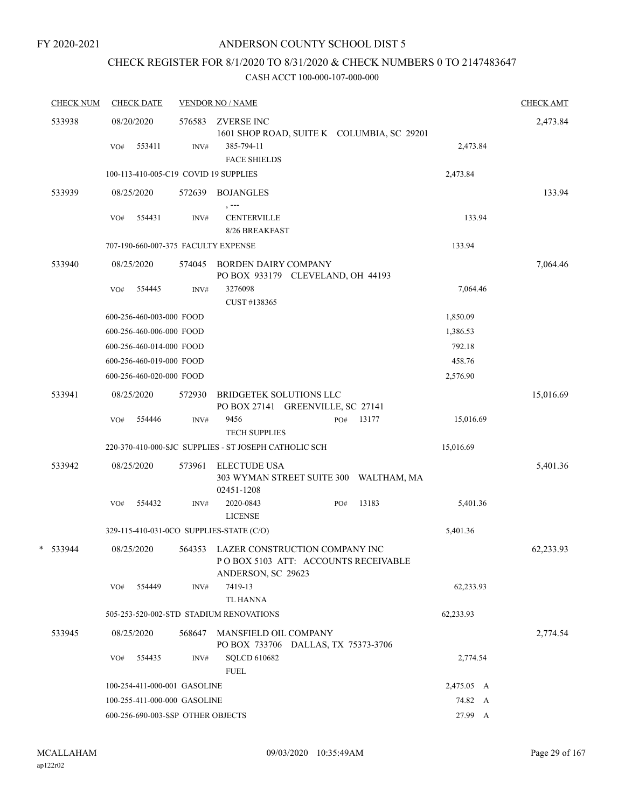# CHECK REGISTER FOR 8/1/2020 TO 8/31/2020 & CHECK NUMBERS 0 TO 2147483647

| <b>CHECK NUM</b> |     | <b>CHECK DATE</b>                 |        | <b>VENDOR NO / NAME</b>                                                                             |     |       |            | <b>CHECK AMT</b> |
|------------------|-----|-----------------------------------|--------|-----------------------------------------------------------------------------------------------------|-----|-------|------------|------------------|
| 533938           |     | 08/20/2020                        | 576583 | ZVERSE INC<br>1601 SHOP ROAD, SUITE K COLUMBIA, SC 29201                                            |     |       |            | 2,473.84         |
|                  | VO# | 553411                            | INV#   | 385-794-11<br><b>FACE SHIELDS</b>                                                                   |     |       | 2,473.84   |                  |
|                  |     |                                   |        | 100-113-410-005-C19 COVID 19 SUPPLIES                                                               |     |       | 2,473.84   |                  |
| 533939           |     | 08/25/2020                        | 572639 | <b>BOJANGLES</b><br>, ---                                                                           |     |       |            | 133.94           |
|                  | VO# | 554431                            | INV#   | <b>CENTERVILLE</b><br>8/26 BREAKFAST                                                                |     |       | 133.94     |                  |
|                  |     |                                   |        | 707-190-660-007-375 FACULTY EXPENSE                                                                 |     |       | 133.94     |                  |
| 533940           |     | 08/25/2020                        | 574045 | <b>BORDEN DAIRY COMPANY</b><br>PO BOX 933179 CLEVELAND, OH 44193                                    |     |       |            | 7,064.46         |
|                  | VO# | 554445                            | INV#   | 3276098<br>CUST #138365                                                                             |     |       | 7,064.46   |                  |
|                  |     | 600-256-460-003-000 FOOD          |        |                                                                                                     |     |       | 1,850.09   |                  |
|                  |     | 600-256-460-006-000 FOOD          |        |                                                                                                     |     |       | 1,386.53   |                  |
|                  |     | 600-256-460-014-000 FOOD          |        |                                                                                                     |     |       | 792.18     |                  |
|                  |     | 600-256-460-019-000 FOOD          |        |                                                                                                     |     |       | 458.76     |                  |
|                  |     | 600-256-460-020-000 FOOD          |        |                                                                                                     |     |       | 2,576.90   |                  |
| 533941           |     | 08/25/2020                        | 572930 | <b>BRIDGETEK SOLUTIONS LLC</b><br>PO BOX 27141 GREENVILLE, SC 27141                                 |     |       |            | 15,016.69        |
|                  | VO# | 554446                            | INV#   | 9456<br><b>TECH SUPPLIES</b>                                                                        | PO# | 13177 | 15,016.69  |                  |
|                  |     |                                   |        | 220-370-410-000-SJC SUPPLIES - ST JOSEPH CATHOLIC SCH                                               |     |       | 15,016.69  |                  |
| 533942           |     | 08/25/2020                        | 573961 | <b>ELECTUDE USA</b><br>303 WYMAN STREET SUITE 300 WALTHAM, MA<br>02451-1208                         |     |       |            | 5,401.36         |
|                  | VO# | 554432                            | INV#   | 2020-0843<br><b>LICENSE</b>                                                                         | PO# | 13183 | 5,401.36   |                  |
|                  |     |                                   |        | 329-115-410-031-0CO SUPPLIES-STATE (C/O)                                                            |     |       | 5,401.36   |                  |
| * 533944         |     | 08/25/2020                        |        | 564353 LAZER CONSTRUCTION COMPANY INC<br>PO BOX 5103 ATT: ACCOUNTS RECEIVABLE<br>ANDERSON, SC 29623 |     |       |            | 62,233.93        |
|                  | VO# | 554449                            | INV#   | 7419-13<br><b>TL HANNA</b>                                                                          |     |       | 62,233.93  |                  |
|                  |     |                                   |        | 505-253-520-002-STD STADIUM RENOVATIONS                                                             |     |       | 62,233.93  |                  |
| 533945           |     | 08/25/2020                        | 568647 | MANSFIELD OIL COMPANY<br>PO BOX 733706 DALLAS, TX 75373-3706                                        |     |       |            | 2,774.54         |
|                  | VO# | 554435                            | INV#   | SQLCD 610682<br><b>FUEL</b>                                                                         |     |       | 2,774.54   |                  |
|                  |     | 100-254-411-000-001 GASOLINE      |        |                                                                                                     |     |       | 2,475.05 A |                  |
|                  |     | 100-255-411-000-000 GASOLINE      |        |                                                                                                     |     |       | 74.82 A    |                  |
|                  |     | 600-256-690-003-SSP OTHER OBJECTS |        |                                                                                                     |     |       | 27.99 A    |                  |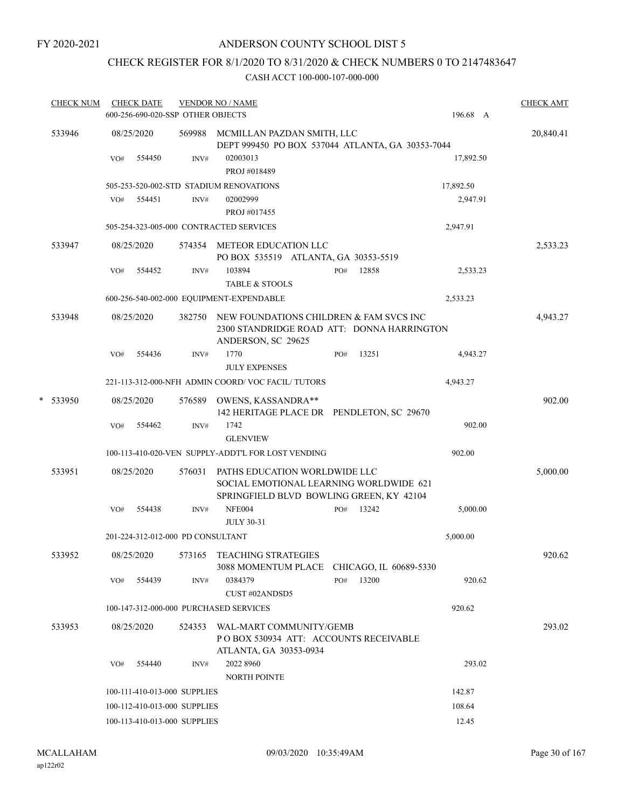# CHECK REGISTER FOR 8/1/2020 TO 8/31/2020 & CHECK NUMBERS 0 TO 2147483647

| <b>CHECK NUM</b> |     | <b>CHECK DATE</b> | 600-256-690-020-SSP OTHER OBJECTS | <b>VENDOR NO / NAME</b>                                                                                              |              | 196.68 A  | <b>CHECK AMT</b> |
|------------------|-----|-------------------|-----------------------------------|----------------------------------------------------------------------------------------------------------------------|--------------|-----------|------------------|
| 533946           |     | 08/25/2020        |                                   | 569988 MCMILLAN PAZDAN SMITH, LLC<br>DEPT 999450 PO BOX 537044 ATLANTA, GA 30353-7044                                |              |           | 20,840.41        |
|                  | VO# | 554450            | INV#                              | 02003013<br>PROJ #018489                                                                                             |              | 17,892.50 |                  |
|                  |     |                   |                                   | 505-253-520-002-STD STADIUM RENOVATIONS                                                                              |              | 17,892.50 |                  |
|                  | VO# | 554451            | INV#                              | 02002999                                                                                                             |              | 2,947.91  |                  |
|                  |     |                   |                                   | PROJ #017455                                                                                                         |              |           |                  |
|                  |     |                   |                                   | 505-254-323-005-000 CONTRACTED SERVICES                                                                              |              | 2,947.91  |                  |
| 533947           |     | 08/25/2020        |                                   | 574354 METEOR EDUCATION LLC<br>PO BOX 535519 ATLANTA, GA 30353-5519                                                  |              |           | 2,533.23         |
|                  | VO# | 554452            | INV#                              | 103894<br><b>TABLE &amp; STOOLS</b>                                                                                  | 12858<br>PO# | 2,533.23  |                  |
|                  |     |                   |                                   | 600-256-540-002-000 EQUIPMENT-EXPENDABLE                                                                             |              | 2,533.23  |                  |
| 533948           |     | 08/25/2020        | 382750                            | NEW FOUNDATIONS CHILDREN & FAM SVCS INC<br>2300 STANDRIDGE ROAD ATT: DONNA HARRINGTON<br>ANDERSON, SC 29625          |              |           | 4,943.27         |
|                  | VO# | 554436            | INV#                              | 1770<br><b>JULY EXPENSES</b>                                                                                         | 13251<br>PO# | 4,943.27  |                  |
|                  |     |                   |                                   | 221-113-312-000-NFH ADMIN COORD/VOC FACIL/TUTORS                                                                     |              | 4,943.27  |                  |
| * 533950         |     | 08/25/2020        | 576589                            | OWENS, KASSANDRA**<br>142 HERITAGE PLACE DR PENDLETON, SC 29670                                                      |              |           | 902.00           |
|                  | VO# | 554462            | INV#                              | 1742                                                                                                                 |              | 902.00    |                  |
|                  |     |                   |                                   | <b>GLENVIEW</b>                                                                                                      |              |           |                  |
|                  |     |                   |                                   | 100-113-410-020-VEN SUPPLY-ADDT'L FOR LOST VENDING                                                                   |              | 902.00    |                  |
| 533951           |     | 08/25/2020        | 576031                            | PATHS EDUCATION WORLDWIDE LLC<br>SOCIAL EMOTIONAL LEARNING WORLDWIDE 621<br>SPRINGFIELD BLVD BOWLING GREEN, KY 42104 |              |           | 5,000.00         |
|                  | VO# | 554438            | INV#                              | <b>NFE004</b><br><b>JULY 30-31</b>                                                                                   | 13242<br>PO# | 5,000.00  |                  |
|                  |     |                   | 201-224-312-012-000 PD CONSULTANT |                                                                                                                      |              | 5,000.00  |                  |
| 533952           |     | 08/25/2020        |                                   | 573165 TEACHING STRATEGIES                                                                                           |              |           | 920.62           |
|                  |     |                   |                                   | 3088 MOMENTUM PLACE CHICAGO, IL 60689-5330                                                                           |              |           |                  |
|                  | VO# | 554439            | INV#                              | 0384379<br>CUST#02ANDSD5                                                                                             | 13200<br>PO# | 920.62    |                  |
|                  |     |                   |                                   | 100-147-312-000-000 PURCHASED SERVICES                                                                               |              | 920.62    |                  |
| 533953           |     | 08/25/2020        |                                   | 524353 WAL-MART COMMUNITY/GEMB<br>POBOX 530934 ATT: ACCOUNTS RECEIVABLE                                              |              |           | 293.02           |
|                  |     | VO# 554440        | INV#                              | ATLANTA, GA 30353-0934<br>2022 8960                                                                                  |              | 293.02    |                  |
|                  |     |                   |                                   | <b>NORTH POINTE</b>                                                                                                  |              |           |                  |
|                  |     |                   | 100-111-410-013-000 SUPPLIES      |                                                                                                                      |              | 142.87    |                  |
|                  |     |                   | 100-112-410-013-000 SUPPLIES      |                                                                                                                      |              | 108.64    |                  |
|                  |     |                   | 100-113-410-013-000 SUPPLIES      |                                                                                                                      |              | 12.45     |                  |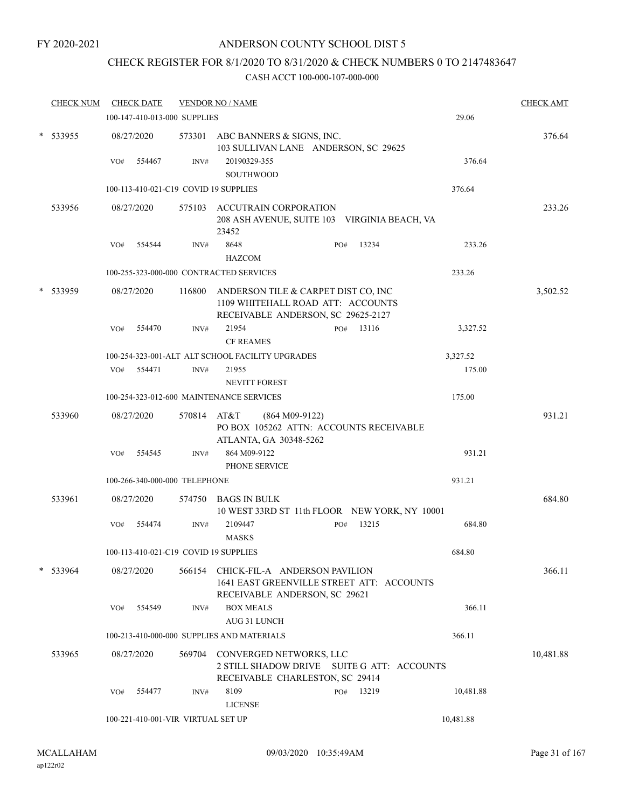## CHECK REGISTER FOR 8/1/2020 TO 8/31/2020 & CHECK NUMBERS 0 TO 2147483647

| <b>CHECK NUM</b> |     | <b>CHECK DATE</b>                  |             | <b>VENDOR NO / NAME</b>                                                                                            |     |       |           | <b>CHECK AMT</b> |
|------------------|-----|------------------------------------|-------------|--------------------------------------------------------------------------------------------------------------------|-----|-------|-----------|------------------|
|                  |     | 100-147-410-013-000 SUPPLIES       |             |                                                                                                                    |     |       | 29.06     |                  |
| * 533955         |     | 08/27/2020                         |             | 573301 ABC BANNERS & SIGNS, INC.<br>103 SULLIVAN LANE ANDERSON, SC 29625                                           |     |       |           | 376.64           |
|                  | VO# | 554467                             | INV#        | 20190329-355                                                                                                       |     |       | 376.64    |                  |
|                  |     |                                    |             | <b>SOUTHWOOD</b>                                                                                                   |     |       |           |                  |
|                  |     |                                    |             | 100-113-410-021-C19 COVID 19 SUPPLIES                                                                              |     |       | 376.64    |                  |
| 533956           |     | 08/27/2020                         |             | 575103 ACCUTRAIN CORPORATION<br>208 ASH AVENUE, SUITE 103 VIRGINIA BEACH, VA<br>23452                              |     |       |           | 233.26           |
|                  | VO# | 554544                             | INV#        | 8648<br><b>HAZCOM</b>                                                                                              | PO# | 13234 | 233.26    |                  |
|                  |     |                                    |             | 100-255-323-000-000 CONTRACTED SERVICES                                                                            |     |       | 233.26    |                  |
| 533959           |     | 08/27/2020                         | 116800      | ANDERSON TILE & CARPET DIST CO, INC<br>1109 WHITEHALL ROAD ATT: ACCOUNTS<br>RECEIVABLE ANDERSON, SC 29625-2127     |     |       |           | 3,502.52         |
|                  | VO# | 554470                             | INV#        | 21954<br><b>CF REAMES</b>                                                                                          | PO# | 13116 | 3,327.52  |                  |
|                  |     |                                    |             | 100-254-323-001-ALT ALT SCHOOL FACILITY UPGRADES                                                                   |     |       | 3,327.52  |                  |
|                  |     | VO# 554471                         | INV#        | 21955<br><b>NEVITT FOREST</b>                                                                                      |     |       | 175.00    |                  |
|                  |     |                                    |             | 100-254-323-012-600 MAINTENANCE SERVICES                                                                           |     |       | 175.00    |                  |
| 533960           |     | 08/27/2020                         | 570814 AT&T | $(864 M09-9122)$<br>PO BOX 105262 ATTN: ACCOUNTS RECEIVABLE<br>ATLANTA, GA 30348-5262                              |     |       |           | 931.21           |
|                  | VO# | 554545                             | INV#        | 864 M09-9122<br>PHONE SERVICE                                                                                      |     |       | 931.21    |                  |
|                  |     | 100-266-340-000-000 TELEPHONE      |             |                                                                                                                    |     |       | 931.21    |                  |
| 533961           |     | 08/27/2020                         |             | 574750 BAGS IN BULK                                                                                                |     |       |           | 684.80           |
|                  |     |                                    |             | 10 WEST 33RD ST 11th FLOOR NEW YORK, NY 10001                                                                      |     |       |           |                  |
|                  | VO# | 554474                             | INV#        | 2109447<br><b>MASKS</b>                                                                                            | PO# | 13215 | 684.80    |                  |
|                  |     |                                    |             | 100-113-410-021-C19 COVID 19 SUPPLIES                                                                              |     |       | 684.80    |                  |
| $*$ 533964       |     | 08/27/2020                         |             | 566154 CHICK-FIL-A ANDERSON PAVILION<br>1641 EAST GREENVILLE STREET ATT: ACCOUNTS<br>RECEIVABLE ANDERSON, SC 29621 |     |       |           | 366.11           |
|                  | VO# | 554549                             | INV#        | <b>BOX MEALS</b><br>AUG 31 LUNCH                                                                                   |     |       | 366.11    |                  |
|                  |     |                                    |             | 100-213-410-000-000 SUPPLIES AND MATERIALS                                                                         |     |       | 366.11    |                  |
| 533965           |     | 08/27/2020                         |             | 569704 CONVERGED NETWORKS, LLC<br>2 STILL SHADOW DRIVE SUITE G ATT: ACCOUNTS<br>RECEIVABLE CHARLESTON, SC 29414    |     |       |           | 10,481.88        |
|                  | VO# | 554477                             | INV#        | 8109<br><b>LICENSE</b>                                                                                             | PO# | 13219 | 10,481.88 |                  |
|                  |     | 100-221-410-001-VIR VIRTUAL SET UP |             |                                                                                                                    |     |       | 10,481.88 |                  |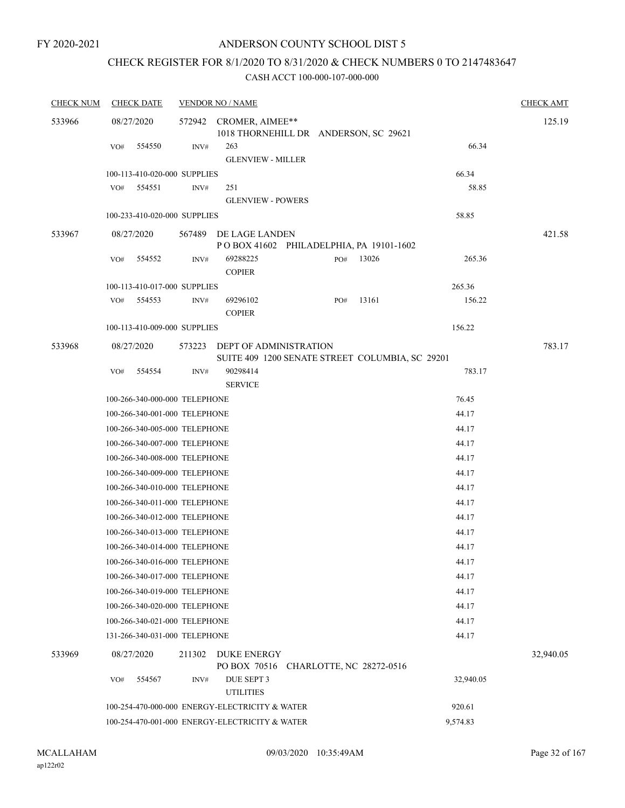# CHECK REGISTER FOR 8/1/2020 TO 8/31/2020 & CHECK NUMBERS 0 TO 2147483647

| <b>CHECK NUM</b> | <b>CHECK DATE</b>             | <b>VENDOR NO / NAME</b>                                                                                    | <b>CHECK AMT</b> |
|------------------|-------------------------------|------------------------------------------------------------------------------------------------------------|------------------|
| 533966           | 08/27/2020                    | 572942 CROMER, AIMEE**<br>1018 THORNEHILL DR ANDERSON, SC 29621                                            | 125.19           |
|                  | VO#<br>554550                 | 263<br>INV#                                                                                                | 66.34            |
|                  |                               | <b>GLENVIEW - MILLER</b>                                                                                   |                  |
|                  | 100-113-410-020-000 SUPPLIES  | 66.34                                                                                                      |                  |
|                  | 554551<br>VO#                 | 251<br>INV#                                                                                                | 58.85            |
|                  |                               | <b>GLENVIEW - POWERS</b>                                                                                   |                  |
|                  | 100-233-410-020-000 SUPPLIES  | 58.85                                                                                                      |                  |
| 533967           | 08/27/2020                    | 567489<br>DE LAGE LANDEN                                                                                   | 421.58           |
|                  |                               | POBOX 41602 PHILADELPHIA, PA 19101-1602                                                                    |                  |
|                  | VO#<br>554552                 | 69288225<br>265.36<br>13026<br>INV#<br>PO#<br><b>COPIER</b>                                                |                  |
|                  | 100-113-410-017-000 SUPPLIES  | 265.36                                                                                                     |                  |
|                  | 554553<br>VO#                 | 69296102<br>13161<br>156.22<br>INV#<br>PO#<br><b>COPIER</b>                                                |                  |
|                  | 100-113-410-009-000 SUPPLIES  | 156.22                                                                                                     |                  |
| 533968           | 08/27/2020                    | 573223<br><b>DEPT OF ADMINISTRATION</b>                                                                    | 783.17           |
|                  |                               | SUITE 409 1200 SENATE STREET COLUMBIA, SC 29201                                                            |                  |
|                  | 554554<br>VO#                 | 90298414<br>783.17<br>INV#<br><b>SERVICE</b>                                                               |                  |
|                  | 100-266-340-000-000 TELEPHONE | 76.45                                                                                                      |                  |
|                  | 100-266-340-001-000 TELEPHONE | 44.17                                                                                                      |                  |
|                  | 100-266-340-005-000 TELEPHONE | 44.17                                                                                                      |                  |
|                  | 100-266-340-007-000 TELEPHONE | 44.17                                                                                                      |                  |
|                  | 100-266-340-008-000 TELEPHONE | 44.17                                                                                                      |                  |
|                  | 100-266-340-009-000 TELEPHONE | 44.17                                                                                                      |                  |
|                  | 100-266-340-010-000 TELEPHONE | 44.17                                                                                                      |                  |
|                  | 100-266-340-011-000 TELEPHONE | 44.17                                                                                                      |                  |
|                  | 100-266-340-012-000 TELEPHONE | 44.17                                                                                                      |                  |
|                  | 100-266-340-013-000 TELEPHONE | 44.17                                                                                                      |                  |
|                  | 100-266-340-014-000 TELEPHONE | 44.17                                                                                                      |                  |
|                  | 100-266-340-016-000 TELEPHONE | 44.17                                                                                                      |                  |
|                  | 100-266-340-017-000 TELEPHONE | 44.17                                                                                                      |                  |
|                  | 100-266-340-019-000 TELEPHONE | 44.17                                                                                                      |                  |
|                  | 100-266-340-020-000 TELEPHONE | 44.17                                                                                                      |                  |
|                  | 100-266-340-021-000 TELEPHONE | 44.17                                                                                                      |                  |
|                  | 131-266-340-031-000 TELEPHONE | 44.17                                                                                                      |                  |
| 533969           | 08/27/2020                    | DUKE ENERGY<br>211302<br>PO BOX 70516 CHARLOTTE, NC 28272-0516                                             | 32,940.05        |
|                  | VO#<br>554567                 | INV#<br>DUE SEPT 3<br>32,940.05                                                                            |                  |
|                  |                               | <b>UTILITIES</b>                                                                                           |                  |
|                  |                               | 100-254-470-000-000 ENERGY-ELECTRICITY & WATER<br>920.61<br>100-254-470-001-000 ENERGY-ELECTRICITY & WATER |                  |
|                  |                               | 9,574.83                                                                                                   |                  |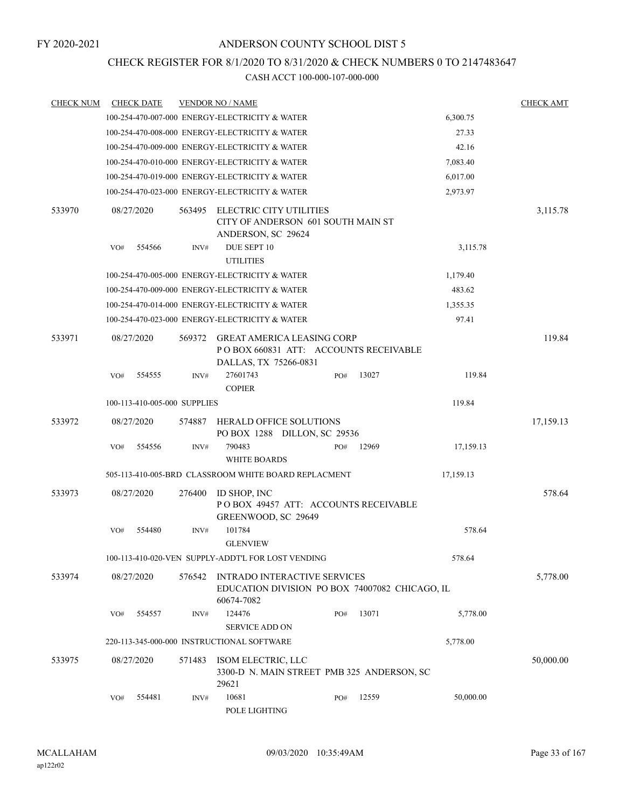## CHECK REGISTER FOR 8/1/2020 TO 8/31/2020 & CHECK NUMBERS 0 TO 2147483647

| <b>CHECK NUM</b> | <b>CHECK DATE</b>            |        | <b>VENDOR NO / NAME</b>                                                                             |     |       |           | <b>CHECK AMT</b> |
|------------------|------------------------------|--------|-----------------------------------------------------------------------------------------------------|-----|-------|-----------|------------------|
|                  |                              |        | 100-254-470-007-000 ENERGY-ELECTRICITY & WATER                                                      |     |       | 6,300.75  |                  |
|                  |                              |        | 100-254-470-008-000 ENERGY-ELECTRICITY & WATER                                                      |     |       | 27.33     |                  |
|                  |                              |        | 100-254-470-009-000 ENERGY-ELECTRICITY & WATER                                                      |     |       | 42.16     |                  |
|                  |                              |        | 100-254-470-010-000 ENERGY-ELECTRICITY & WATER                                                      |     |       | 7,083.40  |                  |
|                  |                              |        | 100-254-470-019-000 ENERGY-ELECTRICITY & WATER                                                      |     |       | 6,017.00  |                  |
|                  |                              |        | 100-254-470-023-000 ENERGY-ELECTRICITY & WATER                                                      |     |       | 2,973.97  |                  |
| 533970           | 08/27/2020                   | 563495 | ELECTRIC CITY UTILITIES<br>CITY OF ANDERSON 601 SOUTH MAIN ST<br>ANDERSON, SC 29624                 |     |       |           | 3,115.78         |
|                  | 554566<br>VO#                | INV#   | DUE SEPT 10<br><b>UTILITIES</b>                                                                     |     |       | 3,115.78  |                  |
|                  |                              |        | 100-254-470-005-000 ENERGY-ELECTRICITY & WATER                                                      |     |       | 1,179.40  |                  |
|                  |                              |        | 100-254-470-009-000 ENERGY-ELECTRICITY & WATER                                                      |     |       | 483.62    |                  |
|                  |                              |        | 100-254-470-014-000 ENERGY-ELECTRICITY & WATER                                                      |     |       | 1,355.35  |                  |
|                  |                              |        | 100-254-470-023-000 ENERGY-ELECTRICITY & WATER                                                      |     |       | 97.41     |                  |
| 533971           | 08/27/2020                   | 569372 | <b>GREAT AMERICA LEASING CORP</b><br>POBOX 660831 ATT: ACCOUNTS RECEIVABLE<br>DALLAS, TX 75266-0831 |     |       |           | 119.84           |
|                  | 554555<br>VO#                | INV#   | 27601743<br><b>COPIER</b>                                                                           | PO# | 13027 | 119.84    |                  |
|                  | 100-113-410-005-000 SUPPLIES |        |                                                                                                     |     |       | 119.84    |                  |
| 533972           | 08/27/2020                   | 574887 | <b>HERALD OFFICE SOLUTIONS</b><br>PO BOX 1288 DILLON, SC 29536                                      |     |       |           | 17,159.13        |
|                  | 554556<br>VO#                | INV#   | 790483<br><b>WHITE BOARDS</b>                                                                       | PO# | 12969 | 17,159.13 |                  |
|                  |                              |        | 505-113-410-005-BRD CLASSROOM WHITE BOARD REPLACMENT                                                |     |       | 17,159.13 |                  |
| 533973           | 08/27/2020                   | 276400 | ID SHOP, INC<br>POBOX 49457 ATT: ACCOUNTS RECEIVABLE<br>GREENWOOD, SC 29649                         |     |       |           | 578.64           |
|                  | 554480<br>VO#                | INV#   | 101784<br><b>GLENVIEW</b>                                                                           |     |       | 578.64    |                  |
|                  |                              |        | 100-113-410-020-VEN SUPPLY-ADDT'L FOR LOST VENDING                                                  |     |       | 578.64    |                  |
| 533974           | 08/27/2020                   | 576542 | <b>INTRADO INTERACTIVE SERVICES</b><br>EDUCATION DIVISION PO BOX 74007082 CHICAGO, IL<br>60674-7082 |     |       |           | 5,778.00         |
|                  | 554557<br>VO#                | INV#   | 124476<br><b>SERVICE ADD ON</b>                                                                     | PO# | 13071 | 5,778.00  |                  |
|                  |                              |        | 220-113-345-000-000 INSTRUCTIONAL SOFTWARE                                                          |     |       | 5,778.00  |                  |
| 533975           | 08/27/2020                   | 571483 | ISOM ELECTRIC, LLC<br>3300-D N. MAIN STREET PMB 325 ANDERSON, SC<br>29621                           |     |       |           | 50,000.00        |
|                  | 554481<br>VO#                | INV#   | 10681<br>POLE LIGHTING                                                                              | PO# | 12559 | 50,000.00 |                  |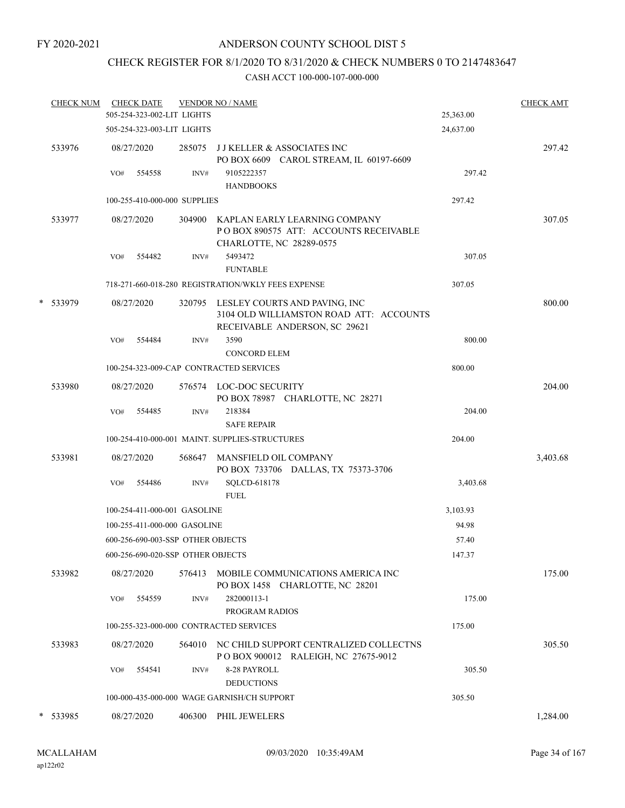## ANDERSON COUNTY SCHOOL DIST 5

# CHECK REGISTER FOR 8/1/2020 TO 8/31/2020 & CHECK NUMBERS 0 TO 2147483647

|   | <b>CHECK NUM</b> |     | <b>CHECK DATE</b><br>505-254-323-002-LIT LIGHTS |        | <b>VENDOR NO / NAME</b>                                                                                          | 25,363.00 | <b>CHECK AMT</b> |
|---|------------------|-----|-------------------------------------------------|--------|------------------------------------------------------------------------------------------------------------------|-----------|------------------|
|   |                  |     | 505-254-323-003-LIT LIGHTS                      |        |                                                                                                                  | 24,637.00 |                  |
|   | 533976           |     | 08/27/2020                                      |        | 285075 JJ KELLER & ASSOCIATES INC<br>PO BOX 6609 CAROL STREAM, IL 60197-6609                                     |           | 297.42           |
|   |                  | VO# | 554558                                          | INV#   | 9105222357<br><b>HANDBOOKS</b>                                                                                   | 297.42    |                  |
|   |                  |     | 100-255-410-000-000 SUPPLIES                    |        |                                                                                                                  | 297.42    |                  |
|   | 533977           |     | 08/27/2020                                      |        | 304900 KAPLAN EARLY LEARNING COMPANY<br>POBOX 890575 ATT: ACCOUNTS RECEIVABLE<br>CHARLOTTE, NC 28289-0575        |           | 307.05           |
|   |                  | VO# | 554482                                          | INV#   | 5493472<br><b>FUNTABLE</b>                                                                                       | 307.05    |                  |
|   |                  |     |                                                 |        | 718-271-660-018-280 REGISTRATION/WKLY FEES EXPENSE                                                               | 307.05    |                  |
|   | * 533979         |     | 08/27/2020                                      |        | 320795 LESLEY COURTS AND PAVING, INC<br>3104 OLD WILLIAMSTON ROAD ATT: ACCOUNTS<br>RECEIVABLE ANDERSON, SC 29621 |           | 800.00           |
|   |                  | VO# | 554484                                          | INV#   | 3590<br><b>CONCORD ELEM</b>                                                                                      | 800.00    |                  |
|   |                  |     |                                                 |        | 100-254-323-009-CAP CONTRACTED SERVICES                                                                          | 800.00    |                  |
|   | 533980           |     | 08/27/2020                                      |        | 576574 LOC-DOC SECURITY<br>PO BOX 78987 CHARLOTTE, NC 28271                                                      |           | 204.00           |
|   |                  | VO# | 554485                                          | INV#   | 218384<br><b>SAFE REPAIR</b>                                                                                     | 204.00    |                  |
|   |                  |     |                                                 |        | 100-254-410-000-001 MAINT. SUPPLIES-STRUCTURES                                                                   | 204.00    |                  |
|   | 533981           |     | 08/27/2020                                      | 568647 | MANSFIELD OIL COMPANY<br>PO BOX 733706 DALLAS, TX 75373-3706                                                     |           | 3,403.68         |
|   |                  | VO# | 554486                                          | INV#   | SQLCD-618178<br><b>FUEL</b>                                                                                      | 3,403.68  |                  |
|   |                  |     | 100-254-411-000-001 GASOLINE                    |        |                                                                                                                  | 3,103.93  |                  |
|   |                  |     | 100-255-411-000-000 GASOLINE                    |        |                                                                                                                  | 94.98     |                  |
|   |                  |     | 600-256-690-003-SSP OTHER OBJECTS               |        |                                                                                                                  | 57.40     |                  |
|   |                  |     | 600-256-690-020-SSP OTHER OBJECTS               |        |                                                                                                                  | 147.37    |                  |
|   | 533982           |     | 08/27/2020                                      | 576413 | MOBILE COMMUNICATIONS AMERICA INC<br>PO BOX 1458 CHARLOTTE, NC 28201                                             |           | 175.00           |
|   |                  | VO# | 554559                                          | INV#   | 282000113-1<br>PROGRAM RADIOS                                                                                    | 175.00    |                  |
|   |                  |     |                                                 |        | 100-255-323-000-000 CONTRACTED SERVICES                                                                          | 175.00    |                  |
|   | 533983           |     | 08/27/2020                                      |        | 564010 NC CHILD SUPPORT CENTRALIZED COLLECTNS<br>POBOX 900012 RALEIGH, NC 27675-9012                             |           | 305.50           |
|   |                  | VO# | 554541                                          | INV#   | 8-28 PAYROLL<br><b>DEDUCTIONS</b>                                                                                | 305.50    |                  |
|   |                  |     |                                                 |        | 100-000-435-000-000 WAGE GARNISH/CH SUPPORT                                                                      | 305.50    |                  |
| * | 533985           |     | 08/27/2020                                      | 406300 | PHIL JEWELERS                                                                                                    |           | 1,284.00         |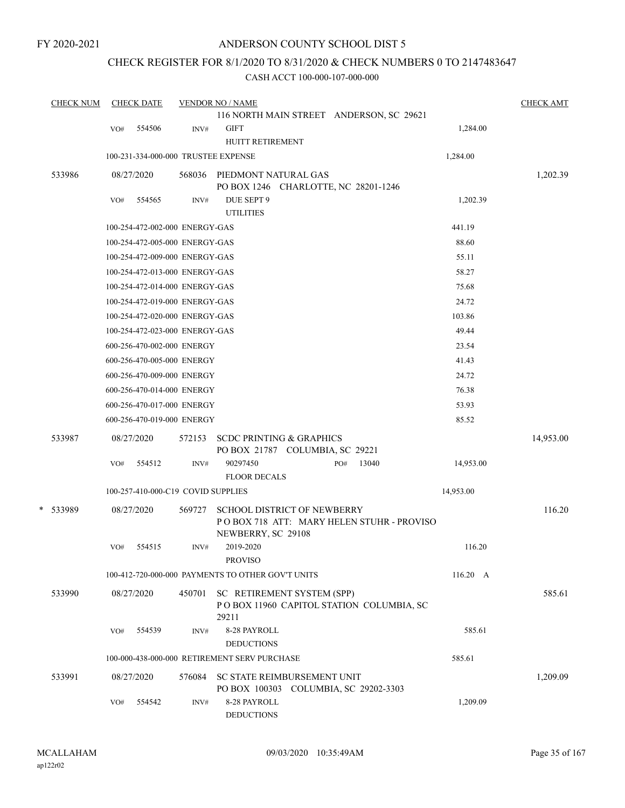## ANDERSON COUNTY SCHOOL DIST 5

## CHECK REGISTER FOR 8/1/2020 TO 8/31/2020 & CHECK NUMBERS 0 TO 2147483647

| <b>CHECK NUM</b> |     | <b>CHECK DATE</b>                   |        | <b>VENDOR NO / NAME</b>                                                                               |           | <b>CHECK AMT</b> |
|------------------|-----|-------------------------------------|--------|-------------------------------------------------------------------------------------------------------|-----------|------------------|
|                  |     |                                     |        | 116 NORTH MAIN STREET ANDERSON, SC 29621                                                              |           |                  |
|                  | VO# | 554506                              | INV#   | <b>GIFT</b><br>HUITT RETIREMENT                                                                       | 1,284.00  |                  |
|                  |     | 100-231-334-000-000 TRUSTEE EXPENSE |        |                                                                                                       | 1,284.00  |                  |
|                  |     |                                     |        |                                                                                                       |           |                  |
| 533986           |     | 08/27/2020                          |        | 568036 PIEDMONT NATURAL GAS<br>PO BOX 1246 CHARLOTTE, NC 28201-1246                                   |           | 1,202.39         |
|                  | VO# | 554565                              | INV#   | DUE SEPT 9                                                                                            | 1,202.39  |                  |
|                  |     |                                     |        | <b>UTILITIES</b>                                                                                      |           |                  |
|                  |     | 100-254-472-002-000 ENERGY-GAS      |        |                                                                                                       | 441.19    |                  |
|                  |     | 100-254-472-005-000 ENERGY-GAS      |        |                                                                                                       | 88.60     |                  |
|                  |     | 100-254-472-009-000 ENERGY-GAS      |        |                                                                                                       | 55.11     |                  |
|                  |     | 100-254-472-013-000 ENERGY-GAS      |        |                                                                                                       | 58.27     |                  |
|                  |     | 100-254-472-014-000 ENERGY-GAS      |        |                                                                                                       | 75.68     |                  |
|                  |     | 100-254-472-019-000 ENERGY-GAS      |        |                                                                                                       | 24.72     |                  |
|                  |     | 100-254-472-020-000 ENERGY-GAS      |        |                                                                                                       | 103.86    |                  |
|                  |     | 100-254-472-023-000 ENERGY-GAS      |        |                                                                                                       | 49.44     |                  |
|                  |     | 600-256-470-002-000 ENERGY          |        |                                                                                                       | 23.54     |                  |
|                  |     | 600-256-470-005-000 ENERGY          |        |                                                                                                       | 41.43     |                  |
|                  |     | 600-256-470-009-000 ENERGY          |        |                                                                                                       | 24.72     |                  |
|                  |     | 600-256-470-014-000 ENERGY          |        |                                                                                                       | 76.38     |                  |
|                  |     | 600-256-470-017-000 ENERGY          |        |                                                                                                       | 53.93     |                  |
|                  |     | 600-256-470-019-000 ENERGY          |        |                                                                                                       | 85.52     |                  |
| 533987           |     | 08/27/2020                          | 572153 | <b>SCDC PRINTING &amp; GRAPHICS</b><br>PO BOX 21787 COLUMBIA, SC 29221                                |           | 14,953.00        |
|                  | VO# | 554512                              | INV#   | 90297450<br>13040<br>PO#                                                                              | 14,953.00 |                  |
|                  |     |                                     |        | <b>FLOOR DECALS</b>                                                                                   |           |                  |
|                  |     | 100-257-410-000-C19 COVID SUPPLIES  |        |                                                                                                       | 14,953.00 |                  |
| * 533989         |     | 08/27/2020                          | 569727 | <b>SCHOOL DISTRICT OF NEWBERRY</b><br>POBOX 718 ATT: MARY HELEN STUHR - PROVISO<br>NEWBERRY, SC 29108 |           | 116.20           |
|                  | VO# | 554515                              | INV#   | 2019-2020<br><b>PROVISO</b>                                                                           | 116.20    |                  |
|                  |     |                                     |        | 100-412-720-000-000 PAYMENTS TO OTHER GOV'T UNITS                                                     | 116.20 A  |                  |
| 533990           |     | 08/27/2020                          | 450701 | SC RETIREMENT SYSTEM (SPP)<br>POBOX 11960 CAPITOL STATION COLUMBIA, SC<br>29211                       |           | 585.61           |
|                  | VO# | 554539                              | INV#   | 8-28 PAYROLL<br><b>DEDUCTIONS</b>                                                                     | 585.61    |                  |
|                  |     |                                     |        | 100-000-438-000-000 RETIREMENT SERV PURCHASE                                                          | 585.61    |                  |
| 533991           |     | 08/27/2020                          | 576084 | SC STATE REIMBURSEMENT UNIT<br>PO BOX 100303 COLUMBIA, SC 29202-3303                                  |           | 1,209.09         |
|                  | VO# | 554542                              | INV#   | 8-28 PAYROLL<br><b>DEDUCTIONS</b>                                                                     | 1,209.09  |                  |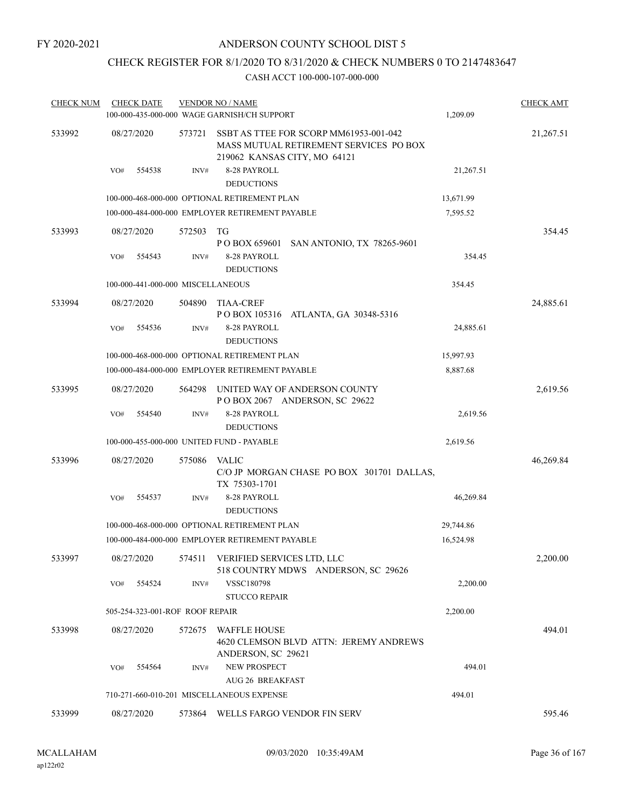# CHECK REGISTER FOR 8/1/2020 TO 8/31/2020 & CHECK NUMBERS 0 TO 2147483647

| <b>CHECK NUM</b> |            | <b>CHECK DATE</b>                 |        | <b>VENDOR NO / NAME</b>                                                                                          |           | <b>CHECK AMT</b> |
|------------------|------------|-----------------------------------|--------|------------------------------------------------------------------------------------------------------------------|-----------|------------------|
|                  |            |                                   |        | 100-000-435-000-000 WAGE GARNISH/CH SUPPORT                                                                      | 1,209.09  |                  |
| 533992           | 08/27/2020 |                                   | 573721 | SSBT AS TTEE FOR SCORP MM61953-001-042<br>MASS MUTUAL RETIREMENT SERVICES PO BOX<br>219062 KANSAS CITY, MO 64121 |           | 21,267.51        |
|                  | VO#        | 554538                            | INV#   | 8-28 PAYROLL<br><b>DEDUCTIONS</b>                                                                                | 21,267.51 |                  |
|                  |            |                                   |        | 100-000-468-000-000 OPTIONAL RETIREMENT PLAN                                                                     | 13,671.99 |                  |
|                  |            |                                   |        | 100-000-484-000-000 EMPLOYER RETIREMENT PAYABLE                                                                  | 7,595.52  |                  |
| 533993           | 08/27/2020 |                                   | 572503 | TG<br>P O BOX 659601<br>SAN ANTONIO, TX 78265-9601                                                               |           | 354.45           |
|                  | VO#        | 554543                            | INV#   | 8-28 PAYROLL<br><b>DEDUCTIONS</b>                                                                                | 354.45    |                  |
|                  |            | 100-000-441-000-000 MISCELLANEOUS |        |                                                                                                                  | 354.45    |                  |
| 533994           | 08/27/2020 |                                   | 504890 | TIAA-CREF                                                                                                        |           | 24,885.61        |
|                  | VO#        | 554536                            | INV#   | P O BOX 105316<br>ATLANTA, GA 30348-5316<br>8-28 PAYROLL<br><b>DEDUCTIONS</b>                                    | 24,885.61 |                  |
|                  |            |                                   |        | 100-000-468-000-000 OPTIONAL RETIREMENT PLAN                                                                     | 15,997.93 |                  |
|                  |            |                                   |        | 100-000-484-000-000 EMPLOYER RETIREMENT PAYABLE                                                                  | 8,887.68  |                  |
| 533995           | 08/27/2020 |                                   | 564298 | UNITED WAY OF ANDERSON COUNTY<br>POBOX 2067 ANDERSON, SC 29622                                                   |           | 2,619.56         |
|                  | VO#        | 554540                            | INV#   | 8-28 PAYROLL<br><b>DEDUCTIONS</b>                                                                                | 2,619.56  |                  |
|                  |            |                                   |        | 100-000-455-000-000 UNITED FUND - PAYABLE                                                                        | 2,619.56  |                  |
| 533996           | 08/27/2020 |                                   | 575086 | VALIC<br>C/O JP MORGAN CHASE PO BOX 301701 DALLAS,<br>TX 75303-1701                                              |           | 46,269.84        |
|                  | VO#        | 554537                            | INV#   | 8-28 PAYROLL<br><b>DEDUCTIONS</b>                                                                                | 46,269.84 |                  |
|                  |            |                                   |        | 100-000-468-000-000 OPTIONAL RETIREMENT PLAN                                                                     | 29,744.86 |                  |
|                  |            |                                   |        | 100-000-484-000-000 EMPLOYER RETIREMENT PAYABLE                                                                  | 16,524.98 |                  |
| 533997           | 08/27/2020 |                                   | 574511 | VERIFIED SERVICES LTD, LLC<br>518 COUNTRY MDWS ANDERSON, SC 29626                                                |           | 2,200.00         |
|                  | VO#        | 554524                            | INV#   | VSSC180798                                                                                                       | 2,200.00  |                  |
|                  |            |                                   |        | <b>STUCCO REPAIR</b>                                                                                             |           |                  |
|                  |            | 505-254-323-001-ROF ROOF REPAIR   |        |                                                                                                                  | 2,200.00  |                  |
| 533998           | 08/27/2020 |                                   | 572675 | <b>WAFFLE HOUSE</b><br>4620 CLEMSON BLVD ATTN: JEREMY ANDREWS<br>ANDERSON, SC 29621                              |           | 494.01           |
|                  | VO#        | 554564                            | INV#   | <b>NEW PROSPECT</b>                                                                                              | 494.01    |                  |
|                  |            |                                   |        | <b>AUG 26 BREAKFAST</b>                                                                                          |           |                  |
|                  |            |                                   |        | 710-271-660-010-201 MISCELLANEOUS EXPENSE                                                                        | 494.01    |                  |
| 533999           | 08/27/2020 |                                   |        | 573864 WELLS FARGO VENDOR FIN SERV                                                                               |           | 595.46           |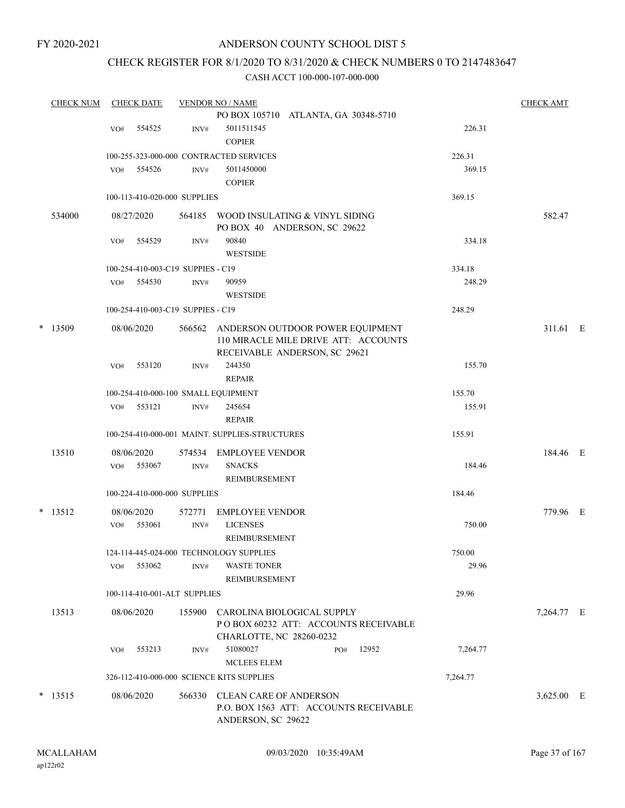## ANDERSON COUNTY SCHOOL DIST 5

## CHECK REGISTER FOR 8/1/2020 TO 8/31/2020 & CHECK NUMBERS 0 TO 2147483647

|           |        |     |                      |                                   | <b>VENDOR NO / NAME</b>                                                                                   |          | <b>CHECK AMT</b> |  |
|-----------|--------|-----|----------------------|-----------------------------------|-----------------------------------------------------------------------------------------------------------|----------|------------------|--|
|           |        |     |                      |                                   | PO BOX 105710 ATLANTA, GA 30348-5710                                                                      |          |                  |  |
|           |        | VO# | 554525               | INV#                              | 5011511545                                                                                                | 226.31   |                  |  |
|           |        |     |                      |                                   | <b>COPIER</b>                                                                                             |          |                  |  |
|           |        |     |                      |                                   | 100-255-323-000-000 CONTRACTED SERVICES                                                                   | 226.31   |                  |  |
|           |        | VO# | 554526               | INV#                              | 5011450000<br><b>COPIER</b>                                                                               | 369.15   |                  |  |
|           |        |     |                      | 100-113-410-020-000 SUPPLIES      |                                                                                                           | 369.15   |                  |  |
|           | 534000 |     | 08/27/2020           | 564185                            | WOOD INSULATING & VINYL SIDING<br>PO BOX 40 ANDERSON, SC 29622                                            |          | 582.47           |  |
|           |        | VO# | 554529               | INV#                              | 90840<br><b>WESTSIDE</b>                                                                                  | 334.18   |                  |  |
|           |        |     |                      | 100-254-410-003-C19 SUPPIES - C19 |                                                                                                           | 334.18   |                  |  |
|           |        | VO# | 554530               | INV#                              | 90959                                                                                                     | 248.29   |                  |  |
|           |        |     |                      |                                   | <b>WESTSIDE</b>                                                                                           |          |                  |  |
|           |        |     |                      | 100-254-410-003-C19 SUPPIES - C19 |                                                                                                           | 248.29   |                  |  |
| $*$ 13509 |        |     | 08/06/2020           | 566562                            | ANDERSON OUTDOOR POWER EQUIPMENT<br>110 MIRACLE MILE DRIVE ATT: ACCOUNTS<br>RECEIVABLE ANDERSON, SC 29621 |          | 311.61 E         |  |
|           |        | VO# | 553120               | INV#                              | 244350<br><b>REPAIR</b>                                                                                   | 155.70   |                  |  |
|           |        |     |                      |                                   | 100-254-410-000-100 SMALL EQUIPMENT                                                                       | 155.70   |                  |  |
|           |        | VO# | 553121               | INV#                              | 245654<br><b>REPAIR</b>                                                                                   | 155.91   |                  |  |
|           |        |     |                      |                                   | 100-254-410-000-001 MAINT. SUPPLIES-STRUCTURES                                                            | 155.91   |                  |  |
|           | 13510  | VO# | 08/06/2020<br>553067 | 574534<br>INV#                    | <b>EMPLOYEE VENDOR</b><br><b>SNACKS</b><br>REIMBURSEMENT                                                  | 184.46   | 184.46 E         |  |
|           |        |     |                      | 100-224-410-000-000 SUPPLIES      |                                                                                                           | 184.46   |                  |  |
| $*$ 13512 |        |     | 08/06/2020           | 572771                            | <b>EMPLOYEE VENDOR</b>                                                                                    |          | 779.96 E         |  |
|           |        | VO# | 553061               | INV#                              | <b>LICENSES</b><br>REIMBURSEMENT                                                                          | 750.00   |                  |  |
|           |        |     |                      |                                   | 124-114-445-024-000 TECHNOLOGY SUPPLIES                                                                   | 750.00   |                  |  |
|           |        |     | VO# 553062           | INV#                              | <b>WASTE TONER</b><br>REIMBURSEMENT                                                                       | 29.96    |                  |  |
|           |        |     |                      | 100-114-410-001-ALT SUPPLIES      |                                                                                                           | 29.96    |                  |  |
|           | 13513  |     | 08/06/2020           |                                   | 155900 CAROLINA BIOLOGICAL SUPPLY<br>POBOX 60232 ATT: ACCOUNTS RECEIVABLE<br>CHARLOTTE, NC 28260-0232     |          | 7,264.77 E       |  |
|           |        | VO# | 553213               | INV#                              | 51080027<br>PO# 12952<br><b>MCLEES ELEM</b>                                                               | 7,264.77 |                  |  |
|           |        |     |                      |                                   | 326-112-410-000-000 SCIENCE KITS SUPPLIES                                                                 | 7,264.77 |                  |  |
| $* 13515$ |        |     | 08/06/2020           |                                   | 566330 CLEAN CARE OF ANDERSON<br>P.O. BOX 1563 ATT: ACCOUNTS RECEIVABLE<br>ANDERSON, SC 29622             |          | $3,625.00$ E     |  |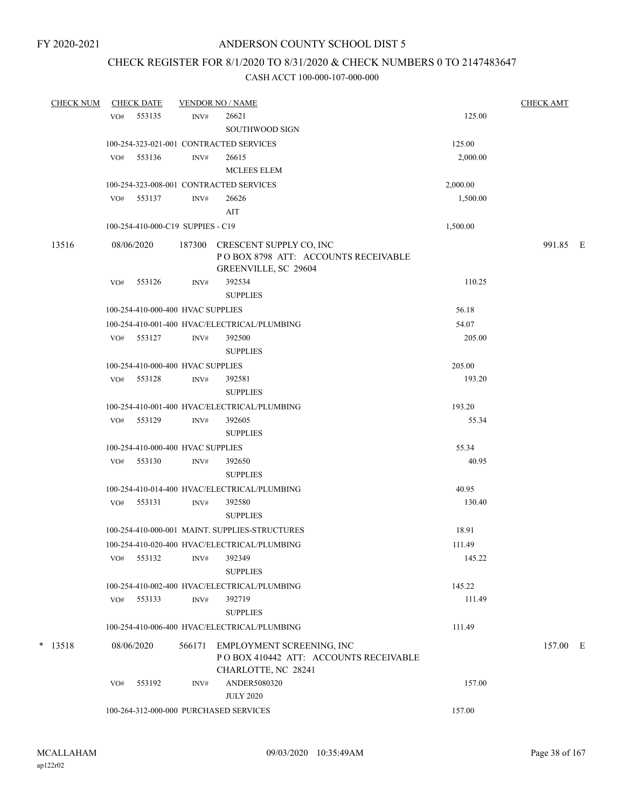## CHECK REGISTER FOR 8/1/2020 TO 8/31/2020 & CHECK NUMBERS 0 TO 2147483647

| <b>CHECK NUM</b> |     | <b>CHECK DATE</b>                 |        | <b>VENDOR NO / NAME</b>                                                                       |          | <b>CHECK AMT</b> |  |
|------------------|-----|-----------------------------------|--------|-----------------------------------------------------------------------------------------------|----------|------------------|--|
|                  | VO# | 553135                            | INV#   | 26621<br><b>SOUTHWOOD SIGN</b>                                                                | 125.00   |                  |  |
|                  |     |                                   |        | 100-254-323-021-001 CONTRACTED SERVICES                                                       | 125.00   |                  |  |
|                  | VO# | 553136                            | INV#   | 26615<br><b>MCLEES ELEM</b>                                                                   | 2,000.00 |                  |  |
|                  |     |                                   |        | 100-254-323-008-001 CONTRACTED SERVICES                                                       | 2,000.00 |                  |  |
|                  |     | VO# 553137                        | INV#   | 26626<br>AIT                                                                                  | 1,500.00 |                  |  |
|                  |     | 100-254-410-000-C19 SUPPIES - C19 |        |                                                                                               | 1,500.00 |                  |  |
| 13516            |     | 08/06/2020                        |        | 187300 CRESCENT SUPPLY CO, INC<br>POBOX 8798 ATT: ACCOUNTS RECEIVABLE<br>GREENVILLE, SC 29604 |          | 991.85 E         |  |
|                  | VO# | 553126                            | INV#   | 392534<br><b>SUPPLIES</b>                                                                     | 110.25   |                  |  |
|                  |     | 100-254-410-000-400 HVAC SUPPLIES |        |                                                                                               | 56.18    |                  |  |
|                  |     |                                   |        | 100-254-410-001-400 HVAC/ELECTRICAL/PLUMBING                                                  | 54.07    |                  |  |
|                  |     | VO# 553127                        | INV#   | 392500<br><b>SUPPLIES</b>                                                                     | 205.00   |                  |  |
|                  |     | 100-254-410-000-400 HVAC SUPPLIES |        |                                                                                               | 205.00   |                  |  |
|                  | VO# | 553128                            | INV#   | 392581<br><b>SUPPLIES</b>                                                                     | 193.20   |                  |  |
|                  |     |                                   |        | 100-254-410-001-400 HVAC/ELECTRICAL/PLUMBING                                                  | 193.20   |                  |  |
|                  |     | VO# 553129                        | INV#   | 392605<br><b>SUPPLIES</b>                                                                     | 55.34    |                  |  |
|                  |     | 100-254-410-000-400 HVAC SUPPLIES |        |                                                                                               | 55.34    |                  |  |
|                  | VO# | 553130                            | INV#   | 392650<br><b>SUPPLIES</b>                                                                     | 40.95    |                  |  |
|                  |     |                                   |        | 100-254-410-014-400 HVAC/ELECTRICAL/PLUMBING                                                  | 40.95    |                  |  |
|                  | VO# | 553131                            | INV#   | 392580<br><b>SUPPLIES</b>                                                                     | 130.40   |                  |  |
|                  |     |                                   |        | 100-254-410-000-001 MAINT. SUPPLIES-STRUCTURES                                                | 18.91    |                  |  |
|                  |     |                                   |        | 100-254-410-020-400 HVAC/ELECTRICAL/PLUMBING                                                  | 111.49   |                  |  |
|                  | VO# | 553132                            | INV#   | 392349<br><b>SUPPLIES</b>                                                                     | 145.22   |                  |  |
|                  |     |                                   |        | 100-254-410-002-400 HVAC/ELECTRICAL/PLUMBING                                                  | 145.22   |                  |  |
|                  | VO# | 553133                            | INV#   | 392719<br><b>SUPPLIES</b>                                                                     | 111.49   |                  |  |
|                  |     |                                   |        | 100-254-410-006-400 HVAC/ELECTRICAL/PLUMBING                                                  | 111.49   |                  |  |
| $*$ 13518        |     | 08/06/2020                        | 566171 | EMPLOYMENT SCREENING, INC<br>PO BOX 410442 ATT: ACCOUNTS RECEIVABLE<br>CHARLOTTE, NC 28241    |          | 157.00 E         |  |
|                  | VO# | 553192                            | INV#   | ANDER5080320<br><b>JULY 2020</b>                                                              | 157.00   |                  |  |
|                  |     |                                   |        | 100-264-312-000-000 PURCHASED SERVICES                                                        | 157.00   |                  |  |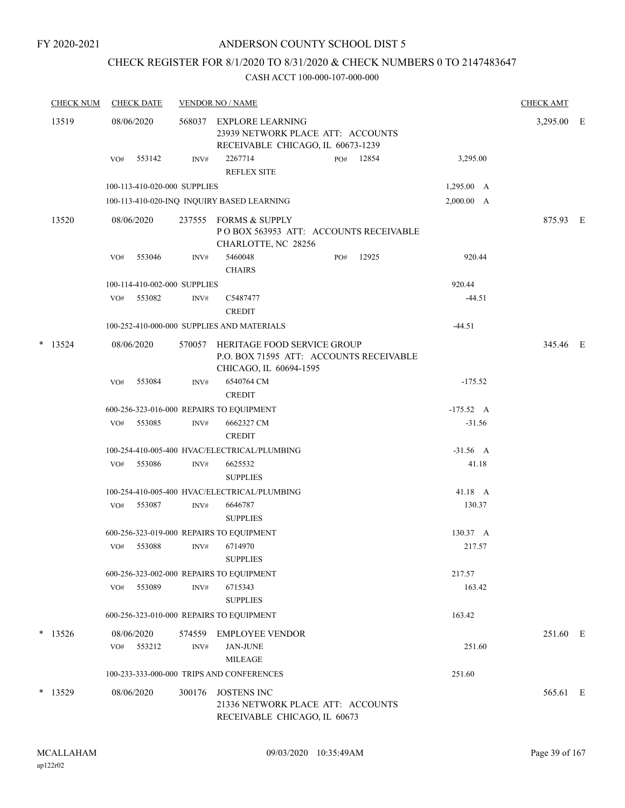## ANDERSON COUNTY SCHOOL DIST 5

## CHECK REGISTER FOR 8/1/2020 TO 8/31/2020 & CHECK NUMBERS 0 TO 2147483647

|   | <b>CHECK NUM</b> |                                            | <b>CHECK DATE</b>            |                | <b>VENDOR NO / NAME</b>                                                                           |     |       |                    | <b>CHECK AMT</b> |  |
|---|------------------|--------------------------------------------|------------------------------|----------------|---------------------------------------------------------------------------------------------------|-----|-------|--------------------|------------------|--|
|   | 13519            |                                            | 08/06/2020                   |                | 568037 EXPLORE LEARNING<br>23939 NETWORK PLACE ATT: ACCOUNTS<br>RECEIVABLE CHICAGO, IL 60673-1239 |     |       |                    | 3,295.00 E       |  |
|   |                  | VO#                                        | 553142                       | INV#           | 2267714<br><b>REFLEX SITE</b>                                                                     | PO# | 12854 | 3,295.00           |                  |  |
|   |                  |                                            | 100-113-410-020-000 SUPPLIES |                |                                                                                                   |     |       | $1,295.00 \quad A$ |                  |  |
|   |                  |                                            |                              |                | 100-113-410-020-INQ INQUIRY BASED LEARNING                                                        |     |       | 2,000.00 A         |                  |  |
|   | 13520            |                                            | 08/06/2020                   | 237555         | <b>FORMS &amp; SUPPLY</b><br>PO BOX 563953 ATT: ACCOUNTS RECEIVABLE<br>CHARLOTTE, NC 28256        |     |       |                    | 875.93 E         |  |
|   |                  | VO#                                        | 553046                       | INV#           | 5460048<br><b>CHAIRS</b>                                                                          | PO# | 12925 | 920.44             |                  |  |
|   |                  |                                            | 100-114-410-002-000 SUPPLIES |                |                                                                                                   |     |       | 920.44             |                  |  |
|   |                  | VO#                                        | 553082                       | INV#           | C5487477<br><b>CREDIT</b>                                                                         |     |       | $-44.51$           |                  |  |
|   |                  | 100-252-410-000-000 SUPPLIES AND MATERIALS |                              |                |                                                                                                   |     |       |                    |                  |  |
| * | 13524            |                                            | 08/06/2020                   | 570057         | HERITAGE FOOD SERVICE GROUP<br>P.O. BOX 71595 ATT: ACCOUNTS RECEIVABLE<br>CHICAGO, IL 60694-1595  |     |       |                    | 345.46 E         |  |
|   |                  | VO#                                        | 553084                       | INV#           | 6540764 CM<br><b>CREDIT</b>                                                                       |     |       | $-175.52$          |                  |  |
|   |                  |                                            |                              |                | 600-256-323-016-000 REPAIRS TO EQUIPMENT                                                          |     |       | $-175.52 \quad A$  |                  |  |
|   |                  | VO#                                        | 553085                       | INV#           | 6662327 CM<br><b>CREDIT</b>                                                                       |     |       | $-31.56$           |                  |  |
|   |                  |                                            |                              |                | 100-254-410-005-400 HVAC/ELECTRICAL/PLUMBING                                                      |     |       | $-31.56$ A         |                  |  |
|   |                  | VO#                                        | 553086                       | INV#           | 6625532<br><b>SUPPLIES</b>                                                                        |     |       | 41.18              |                  |  |
|   |                  |                                            |                              |                | 100-254-410-005-400 HVAC/ELECTRICAL/PLUMBING                                                      |     |       | 41.18 A            |                  |  |
|   |                  | VO#                                        | 553087                       | INV#           | 6646787<br><b>SUPPLIES</b>                                                                        |     |       | 130.37             |                  |  |
|   |                  |                                            |                              |                | 600-256-323-019-000 REPAIRS TO EQUIPMENT                                                          |     |       | 130.37 A           |                  |  |
|   |                  | VO#                                        | 553088                       | INV#           | 6714970<br><b>SUPPLIES</b>                                                                        |     |       | 217.57             |                  |  |
|   |                  |                                            |                              |                | 600-256-323-002-000 REPAIRS TO EQUIPMENT                                                          |     |       | 217.57             |                  |  |
|   |                  | VO#                                        | 553089                       | INV#           | 6715343<br><b>SUPPLIES</b>                                                                        |     |       | 163.42             |                  |  |
|   |                  |                                            |                              |                | 600-256-323-010-000 REPAIRS TO EQUIPMENT                                                          |     |       | 163.42             |                  |  |
|   | $*$ 13526        | VO#                                        | 08/06/2020<br>553212         | 574559<br>INV# | <b>EMPLOYEE VENDOR</b><br><b>JAN-JUNE</b>                                                         |     |       | 251.60             | 251.60 E         |  |
|   |                  |                                            |                              |                | <b>MILEAGE</b><br>100-233-333-000-000 TRIPS AND CONFERENCES                                       |     |       | 251.60             |                  |  |
|   | $*$ 13529        |                                            | 08/06/2020                   | 300176         | <b>JOSTENS INC</b><br>21336 NETWORK PLACE ATT: ACCOUNTS<br>RECEIVABLE CHICAGO, IL 60673           |     |       |                    | 565.61 E         |  |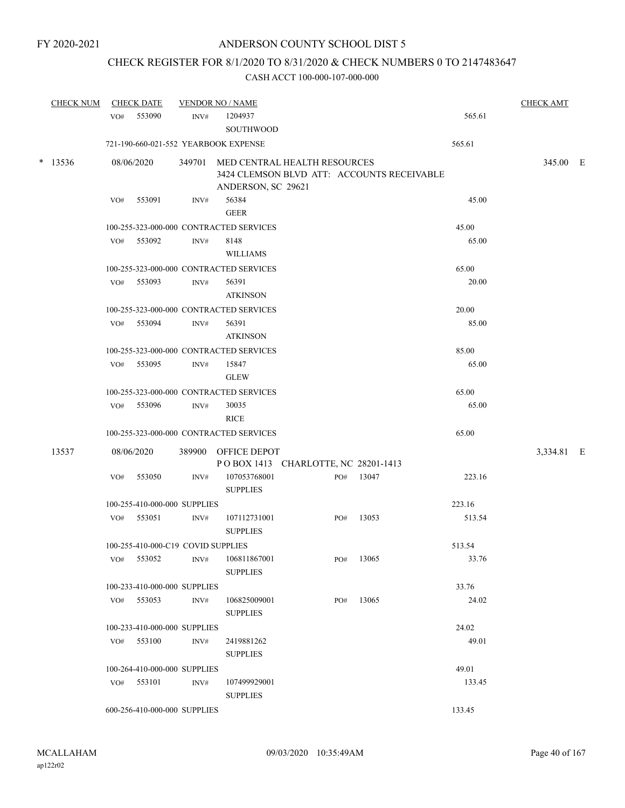## CHECK REGISTER FOR 8/1/2020 TO 8/31/2020 & CHECK NUMBERS 0 TO 2147483647

|  | <b>CHECK NUM</b> |     | <b>CHECK DATE</b>                  | <b>VENDOR NO / NAME</b> |                                         |                                            |           |        | <b>CHECK AMT</b> |  |
|--|------------------|-----|------------------------------------|-------------------------|-----------------------------------------|--------------------------------------------|-----------|--------|------------------|--|
|  |                  | VO# | 553090                             | INV#                    | 1204937                                 |                                            |           | 565.61 |                  |  |
|  |                  |     |                                    |                         | <b>SOUTHWOOD</b>                        |                                            |           |        |                  |  |
|  |                  |     |                                    |                         | 721-190-660-021-552 YEARBOOK EXPENSE    |                                            |           | 565.61 |                  |  |
|  | $*$ 13536        |     | 08/06/2020                         |                         |                                         | 349701 MED CENTRAL HEALTH RESOURCES        |           |        | 345.00 E         |  |
|  |                  |     |                                    |                         |                                         | 3424 CLEMSON BLVD ATT: ACCOUNTS RECEIVABLE |           |        |                  |  |
|  |                  |     |                                    |                         | ANDERSON, SC 29621                      |                                            |           |        |                  |  |
|  |                  | VO# | 553091                             | INV#                    | 56384                                   |                                            |           | 45.00  |                  |  |
|  |                  |     |                                    |                         | <b>GEER</b>                             |                                            |           |        |                  |  |
|  |                  |     |                                    |                         | 100-255-323-000-000 CONTRACTED SERVICES |                                            |           | 45.00  |                  |  |
|  |                  |     | VO# 553092                         | INV#                    | 8148                                    |                                            |           | 65.00  |                  |  |
|  |                  |     |                                    |                         | <b>WILLIAMS</b>                         |                                            |           |        |                  |  |
|  |                  |     |                                    |                         | 100-255-323-000-000 CONTRACTED SERVICES |                                            |           | 65.00  |                  |  |
|  |                  | VO# | 553093                             | INV#                    | 56391                                   |                                            |           | 20.00  |                  |  |
|  |                  |     |                                    |                         | <b>ATKINSON</b>                         |                                            |           |        |                  |  |
|  |                  |     |                                    |                         | 100-255-323-000-000 CONTRACTED SERVICES |                                            |           | 20.00  |                  |  |
|  |                  |     | VO# 553094                         | INV#                    | 56391                                   |                                            |           | 85.00  |                  |  |
|  |                  |     |                                    |                         | <b>ATKINSON</b>                         |                                            |           |        |                  |  |
|  |                  |     |                                    |                         | 100-255-323-000-000 CONTRACTED SERVICES |                                            |           | 85.00  |                  |  |
|  |                  |     | VO# 553095                         | INV#                    | 15847                                   |                                            |           | 65.00  |                  |  |
|  |                  |     |                                    |                         | <b>GLEW</b>                             |                                            |           |        |                  |  |
|  |                  |     |                                    |                         | 100-255-323-000-000 CONTRACTED SERVICES |                                            |           | 65.00  |                  |  |
|  |                  |     | VO# 553096                         | INV#                    | 30035                                   |                                            |           | 65.00  |                  |  |
|  |                  |     |                                    |                         | <b>RICE</b>                             |                                            |           |        |                  |  |
|  |                  |     |                                    |                         | 100-255-323-000-000 CONTRACTED SERVICES |                                            |           | 65.00  |                  |  |
|  | 13537            |     | 08/06/2020                         |                         | 389900 OFFICE DEPOT                     |                                            |           |        | 3,334.81 E       |  |
|  |                  |     |                                    |                         |                                         | POBOX 1413 CHARLOTTE, NC 28201-1413        |           |        |                  |  |
|  |                  | VO# | 553050                             | INV#                    | 107053768001                            |                                            | PO# 13047 | 223.16 |                  |  |
|  |                  |     |                                    |                         | <b>SUPPLIES</b>                         |                                            |           |        |                  |  |
|  |                  |     | 100-255-410-000-000 SUPPLIES       |                         |                                         |                                            |           | 223.16 |                  |  |
|  |                  |     | VO# 553051                         | $\mathrm{INV}\#$        | 107112731001                            | PO#                                        | 13053     | 513.54 |                  |  |
|  |                  |     |                                    |                         | <b>SUPPLIES</b>                         |                                            |           |        |                  |  |
|  |                  |     | 100-255-410-000-C19 COVID SUPPLIES |                         |                                         |                                            |           | 513.54 |                  |  |
|  |                  | VO# | 553052                             | INV#                    | 106811867001                            | PO#                                        | 13065     | 33.76  |                  |  |
|  |                  |     |                                    |                         | <b>SUPPLIES</b>                         |                                            |           |        |                  |  |
|  |                  |     | 100-233-410-000-000 SUPPLIES       |                         |                                         |                                            |           | 33.76  |                  |  |
|  |                  |     | VO# 553053                         | INV#                    | 106825009001                            | PO#                                        | 13065     | 24.02  |                  |  |
|  |                  |     |                                    |                         | <b>SUPPLIES</b>                         |                                            |           |        |                  |  |
|  |                  |     | 100-233-410-000-000 SUPPLIES       |                         |                                         |                                            |           | 24.02  |                  |  |
|  |                  |     | VO# 553100                         | INV#                    | 2419881262                              |                                            |           | 49.01  |                  |  |
|  |                  |     |                                    |                         | <b>SUPPLIES</b>                         |                                            |           |        |                  |  |
|  |                  |     | 100-264-410-000-000 SUPPLIES       |                         |                                         |                                            |           | 49.01  |                  |  |
|  |                  |     | VO# 553101                         | INV#                    | 107499929001                            |                                            |           | 133.45 |                  |  |
|  |                  |     |                                    |                         | <b>SUPPLIES</b>                         |                                            |           |        |                  |  |
|  |                  |     | 600-256-410-000-000 SUPPLIES       |                         |                                         |                                            |           | 133.45 |                  |  |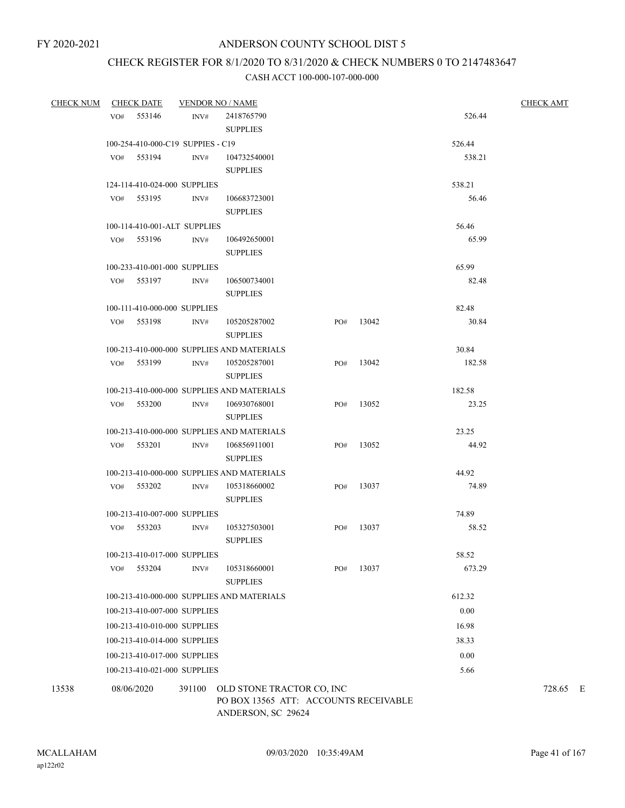## CHECK REGISTER FOR 8/1/2020 TO 8/31/2020 & CHECK NUMBERS 0 TO 2147483647

| <b>CHECK NUM</b> |            | <b>CHECK DATE</b>                 |        | <b>VENDOR NO / NAME</b>                                                                  |     |       |                | <b>CHECK AMT</b> |
|------------------|------------|-----------------------------------|--------|------------------------------------------------------------------------------------------|-----|-------|----------------|------------------|
|                  |            | VO# 553146                        | INV#   | 2418765790                                                                               |     |       | 526.44         |                  |
|                  |            |                                   |        | <b>SUPPLIES</b>                                                                          |     |       |                |                  |
|                  |            | 100-254-410-000-C19 SUPPIES - C19 |        |                                                                                          |     |       | 526.44         |                  |
|                  |            | VO# 553194                        | INV#   | 104732540001                                                                             |     |       | 538.21         |                  |
|                  |            |                                   |        | <b>SUPPLIES</b>                                                                          |     |       |                |                  |
|                  |            | 124-114-410-024-000 SUPPLIES      |        |                                                                                          |     |       | 538.21         |                  |
|                  |            | VO# 553195                        | INV#   | 106683723001                                                                             |     |       | 56.46          |                  |
|                  |            |                                   |        | <b>SUPPLIES</b>                                                                          |     |       |                |                  |
|                  |            | 100-114-410-001-ALT SUPPLIES      |        |                                                                                          |     |       | 56.46          |                  |
|                  |            | VO# 553196                        | INV#   | 106492650001                                                                             |     |       | 65.99          |                  |
|                  |            |                                   |        | <b>SUPPLIES</b>                                                                          |     |       |                |                  |
|                  |            | 100-233-410-001-000 SUPPLIES      |        |                                                                                          |     |       | 65.99          |                  |
|                  |            | VO# 553197                        | INV#   | 106500734001                                                                             |     |       | 82.48          |                  |
|                  |            |                                   |        | <b>SUPPLIES</b>                                                                          |     |       |                |                  |
|                  |            | 100-111-410-000-000 SUPPLIES      |        |                                                                                          |     |       | 82.48          |                  |
|                  |            | VO# 553198                        | INV#   | 105205287002                                                                             | PO# | 13042 | 30.84          |                  |
|                  |            |                                   |        | <b>SUPPLIES</b>                                                                          |     |       |                |                  |
|                  |            |                                   |        | 100-213-410-000-000 SUPPLIES AND MATERIALS                                               |     |       | 30.84          |                  |
|                  |            | VO# 553199                        | INV#   | 105205287001                                                                             | PO# | 13042 | 182.58         |                  |
|                  |            |                                   |        | <b>SUPPLIES</b>                                                                          |     |       |                |                  |
|                  |            |                                   |        | 100-213-410-000-000 SUPPLIES AND MATERIALS                                               |     |       | 182.58         |                  |
|                  |            | VO# 553200                        | INV#   | 106930768001                                                                             | PO# | 13052 | 23.25          |                  |
|                  |            |                                   |        | <b>SUPPLIES</b>                                                                          |     |       |                |                  |
|                  |            |                                   |        | 100-213-410-000-000 SUPPLIES AND MATERIALS                                               |     |       | 23.25          |                  |
|                  |            | VO# 553201                        | INV#   | 106856911001                                                                             | PO# | 13052 | 44.92          |                  |
|                  |            |                                   |        | <b>SUPPLIES</b>                                                                          |     |       |                |                  |
|                  |            | VO# 553202                        |        | 100-213-410-000-000 SUPPLIES AND MATERIALS<br>105318660002                               |     | 13037 | 44.92<br>74.89 |                  |
|                  |            |                                   | INV#   | <b>SUPPLIES</b>                                                                          | PO# |       |                |                  |
|                  |            | 100-213-410-007-000 SUPPLIES      |        |                                                                                          |     |       | 74.89          |                  |
|                  |            | VO# 553203                        | INV#   | 105327503001                                                                             | PO# | 13037 | 58.52          |                  |
|                  |            |                                   |        | <b>SUPPLIES</b>                                                                          |     |       |                |                  |
|                  |            | 100-213-410-017-000 SUPPLIES      |        |                                                                                          |     |       | 58.52          |                  |
|                  | VO#        | 553204                            | INV#   | 105318660001                                                                             | PO# | 13037 | 673.29         |                  |
|                  |            |                                   |        | <b>SUPPLIES</b>                                                                          |     |       |                |                  |
|                  |            |                                   |        | 100-213-410-000-000 SUPPLIES AND MATERIALS                                               |     |       | 612.32         |                  |
|                  |            | 100-213-410-007-000 SUPPLIES      |        |                                                                                          |     |       | $0.00\,$       |                  |
|                  |            | 100-213-410-010-000 SUPPLIES      |        |                                                                                          |     |       | 16.98          |                  |
|                  |            | 100-213-410-014-000 SUPPLIES      |        |                                                                                          |     |       | 38.33          |                  |
|                  |            | 100-213-410-017-000 SUPPLIES      |        |                                                                                          |     |       | 0.00           |                  |
|                  |            | 100-213-410-021-000 SUPPLIES      |        |                                                                                          |     |       | 5.66           |                  |
| 13538            | 08/06/2020 |                                   | 391100 | OLD STONE TRACTOR CO, INC<br>PO BOX 13565 ATT: ACCOUNTS RECEIVABLE<br>ANDERSON, SC 29624 |     |       |                | 728.65 E         |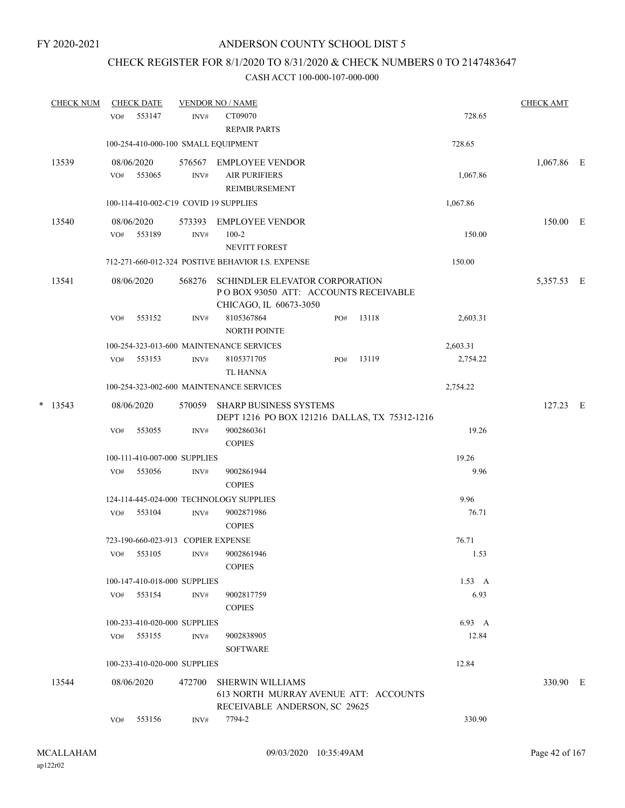## CHECK REGISTER FOR 8/1/2020 TO 8/31/2020 & CHECK NUMBERS 0 TO 2147483647

| <b>CHECK NUM</b> |     | <b>CHECK DATE</b>                  |                          | <b>VENDOR NO / NAME</b>                                                                           |     |       |                | <b>CHECK AMT</b> |  |
|------------------|-----|------------------------------------|--------------------------|---------------------------------------------------------------------------------------------------|-----|-------|----------------|------------------|--|
|                  | VO# | 553147                             | INV#                     | CT09070<br><b>REPAIR PARTS</b>                                                                    |     |       | 728.65         |                  |  |
|                  |     |                                    |                          | 100-254-410-000-100 SMALL EQUIPMENT                                                               |     |       | 728.65         |                  |  |
| 13539            | VO# | 08/06/2020<br>553065               | INV#                     | 576567 EMPLOYEE VENDOR<br><b>AIR PURIFIERS</b><br>REIMBURSEMENT                                   |     |       | 1,067.86       | 1,067.86 E       |  |
|                  |     |                                    |                          | 100-114-410-002-C19 COVID 19 SUPPLIES                                                             |     |       | 1,067.86       |                  |  |
| 13540            | VO# | 08/06/2020<br>553189               | 573393<br>$\text{INV}\#$ | <b>EMPLOYEE VENDOR</b><br>$100 - 2$<br>NEVITT FOREST                                              |     |       | 150.00         | 150.00 E         |  |
|                  |     |                                    |                          | 712-271-660-012-324 POSTIVE BEHAVIOR I.S. EXPENSE                                                 |     |       | 150.00         |                  |  |
| 13541            |     | 08/06/2020                         | 568276                   | SCHINDLER ELEVATOR CORPORATION<br>POBOX 93050 ATT: ACCOUNTS RECEIVABLE<br>CHICAGO, IL 60673-3050  |     |       |                | 5,357.53 E       |  |
|                  | VO# | 553152                             | INV#                     | 8105367864<br>NORTH POINTE                                                                        | PO# | 13118 | 2,603.31       |                  |  |
|                  |     |                                    |                          | 100-254-323-013-600 MAINTENANCE SERVICES                                                          |     |       | 2,603.31       |                  |  |
|                  |     | VO# 553153                         | INV#                     | 8105371705<br><b>TL HANNA</b>                                                                     | PO# | 13119 | 2,754.22       |                  |  |
|                  |     |                                    |                          | 100-254-323-002-600 MAINTENANCE SERVICES                                                          |     |       | 2,754.22       |                  |  |
| $*$ 13543        |     | 08/06/2020                         | 570059                   | <b>SHARP BUSINESS SYSTEMS</b><br>DEPT 1216 PO BOX 121216 DALLAS, TX 75312-1216                    |     |       |                | $127.23$ E       |  |
|                  | VO# | 553055                             | INV#                     | 9002860361<br><b>COPIES</b>                                                                       |     |       | 19.26          |                  |  |
|                  |     | 100-111-410-007-000 SUPPLIES       |                          |                                                                                                   |     |       | 19.26          |                  |  |
|                  | VO# | 553056                             | INV#                     | 9002861944<br><b>COPIES</b>                                                                       |     |       | 9.96           |                  |  |
|                  |     |                                    |                          | 124-114-445-024-000 TECHNOLOGY SUPPLIES                                                           |     |       | 9.96           |                  |  |
|                  | VO# | 553104                             | INV#                     | 9002871986<br><b>COPIES</b>                                                                       |     |       | 76.71          |                  |  |
|                  |     | 723-190-660-023-913 COPIER EXPENSE |                          |                                                                                                   |     |       | 76.71          |                  |  |
|                  |     |                                    |                          | VO# 553105 INV# 9002861946<br><b>COPIES</b>                                                       |     |       | 1.53           |                  |  |
|                  |     | 100-147-410-018-000 SUPPLIES       |                          |                                                                                                   |     |       | $1.53 \quad A$ |                  |  |
|                  | VO# | 553154                             | INV#                     | 9002817759<br><b>COPIES</b>                                                                       |     |       | 6.93           |                  |  |
|                  |     | 100-233-410-020-000 SUPPLIES       |                          |                                                                                                   |     |       | 6.93 A         |                  |  |
|                  |     | VO# 553155                         | INV#                     | 9002838905<br><b>SOFTWARE</b>                                                                     |     |       | 12.84          |                  |  |
|                  |     | 100-233-410-020-000 SUPPLIES       |                          |                                                                                                   |     |       | 12.84          |                  |  |
| 13544            |     | 08/06/2020                         | 472700                   | <b>SHERWIN WILLIAMS</b><br>613 NORTH MURRAY AVENUE ATT: ACCOUNTS<br>RECEIVABLE ANDERSON, SC 29625 |     |       |                | 330.90 E         |  |
|                  | VO# | 553156                             | INV#                     | 7794-2                                                                                            |     |       | 330.90         |                  |  |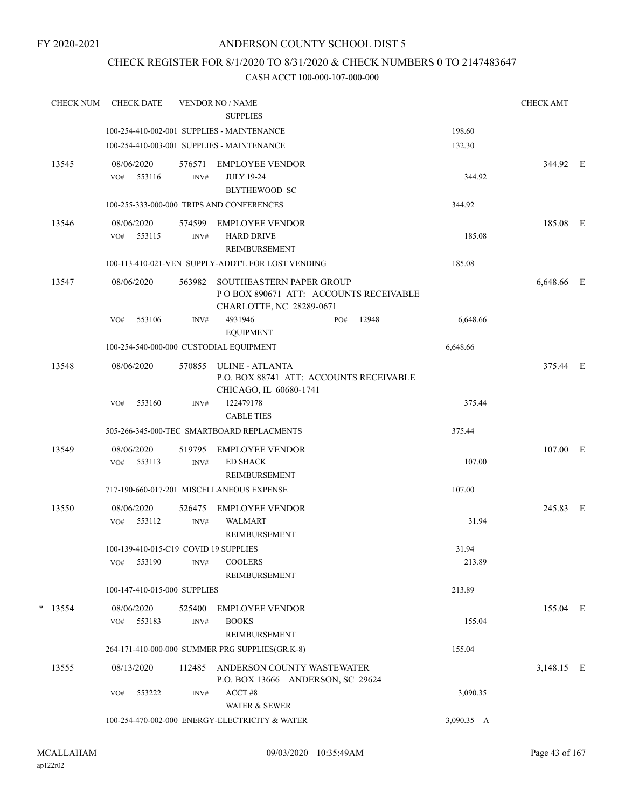## CHECK REGISTER FOR 8/1/2020 TO 8/31/2020 & CHECK NUMBERS 0 TO 2147483647

|   | <b>CHECK NUM</b> | <b>CHECK DATE</b>                     |                | <b>VENDOR NO / NAME</b>                            |     |       |            | <b>CHECK AMT</b> |  |
|---|------------------|---------------------------------------|----------------|----------------------------------------------------|-----|-------|------------|------------------|--|
|   |                  |                                       |                | <b>SUPPLIES</b>                                    |     |       |            |                  |  |
|   |                  |                                       |                | 100-254-410-002-001 SUPPLIES - MAINTENANCE         |     |       | 198.60     |                  |  |
|   |                  |                                       |                | 100-254-410-003-001 SUPPLIES - MAINTENANCE         |     |       | 132.30     |                  |  |
|   | 13545            | 08/06/2020                            | 576571         | EMPLOYEE VENDOR                                    |     |       |            | 344.92 E         |  |
|   |                  | 553116<br>VO#                         | INV#           | <b>JULY 19-24</b><br><b>BLYTHEWOOD SC</b>          |     |       | 344.92     |                  |  |
|   |                  |                                       |                | 100-255-333-000-000 TRIPS AND CONFERENCES          |     |       | 344.92     |                  |  |
|   |                  |                                       |                |                                                    |     |       |            |                  |  |
|   | 13546            | 08/06/2020<br>553115                  | 574599         | <b>EMPLOYEE VENDOR</b>                             |     |       |            | 185.08 E         |  |
|   |                  | VO#                                   | INV#           | <b>HARD DRIVE</b><br>REIMBURSEMENT                 |     |       | 185.08     |                  |  |
|   |                  |                                       |                | 100-113-410-021-VEN SUPPLY-ADDT'L FOR LOST VENDING |     |       | 185.08     |                  |  |
|   | 13547            | 08/06/2020                            | 563982         | SOUTHEASTERN PAPER GROUP                           |     |       |            | 6,648.66 E       |  |
|   |                  |                                       |                | POBOX 890671 ATT: ACCOUNTS RECEIVABLE              |     |       |            |                  |  |
|   |                  |                                       |                | CHARLOTTE, NC 28289-0671                           |     |       |            |                  |  |
|   |                  | 553106<br>VO#                         | INV#           | 4931946                                            | PO# | 12948 | 6,648.66   |                  |  |
|   |                  |                                       |                | <b>EQUIPMENT</b>                                   |     |       |            |                  |  |
|   |                  |                                       |                | 100-254-540-000-000 CUSTODIAL EQUIPMENT            |     |       | 6,648.66   |                  |  |
|   | 13548            | 08/06/2020                            | 570855         | ULINE - ATLANTA                                    |     |       |            | 375.44 E         |  |
|   |                  |                                       |                | P.O. BOX 88741 ATT: ACCOUNTS RECEIVABLE            |     |       |            |                  |  |
|   |                  | VO#<br>553160                         | INV#           | CHICAGO, IL 60680-1741<br>122479178                |     |       | 375.44     |                  |  |
|   |                  |                                       |                | <b>CABLE TIES</b>                                  |     |       |            |                  |  |
|   |                  |                                       |                | 505-266-345-000-TEC SMARTBOARD REPLACMENTS         |     |       | 375.44     |                  |  |
|   | 13549            | 08/06/2020                            | 519795         | <b>EMPLOYEE VENDOR</b>                             |     |       |            | 107.00 E         |  |
|   |                  | 553113<br>VO#                         | INV#           | <b>ED SHACK</b>                                    |     |       | 107.00     |                  |  |
|   |                  |                                       |                | REIMBURSEMENT                                      |     |       |            |                  |  |
|   |                  |                                       |                | 717-190-660-017-201 MISCELLANEOUS EXPENSE          |     |       | 107.00     |                  |  |
|   | 13550            | 08/06/2020                            | 526475         | <b>EMPLOYEE VENDOR</b>                             |     |       |            | 245.83 E         |  |
|   |                  | 553112<br>VO#                         | $\text{INV}\#$ | <b>WALMART</b>                                     |     |       | 31.94      |                  |  |
|   |                  |                                       |                | REIMBURSEMENT                                      |     |       |            |                  |  |
|   |                  | 100-139-410-015-C19 COVID 19 SUPPLIES |                |                                                    |     |       | 31.94      |                  |  |
|   |                  | VO#<br>553190                         | INV#           | <b>COOLERS</b>                                     |     |       | 213.89     |                  |  |
|   |                  |                                       |                | <b>REIMBURSEMENT</b>                               |     |       | 213.89     |                  |  |
|   |                  | 100-147-410-015-000 SUPPLIES          |                |                                                    |     |       |            |                  |  |
| * | 13554            | 08/06/2020                            | 525400         | <b>EMPLOYEE VENDOR</b>                             |     |       |            | 155.04 E         |  |
|   |                  | 553183<br>VO#                         | INV#           | <b>BOOKS</b><br>REIMBURSEMENT                      |     |       | 155.04     |                  |  |
|   |                  |                                       |                | 264-171-410-000-000 SUMMER PRG SUPPLIES(GR.K-8)    |     |       | 155.04     |                  |  |
|   | 13555            | 08/13/2020                            | 112485         | ANDERSON COUNTY WASTEWATER                         |     |       |            | 3,148.15 E       |  |
|   |                  |                                       |                | P.O. BOX 13666 ANDERSON, SC 29624                  |     |       |            |                  |  |
|   |                  | 553222<br>VO#                         | INV#           | ACCT#8                                             |     |       | 3,090.35   |                  |  |
|   |                  |                                       |                | WATER & SEWER                                      |     |       |            |                  |  |
|   |                  |                                       |                | 100-254-470-002-000 ENERGY-ELECTRICITY & WATER     |     |       | 3,090.35 A |                  |  |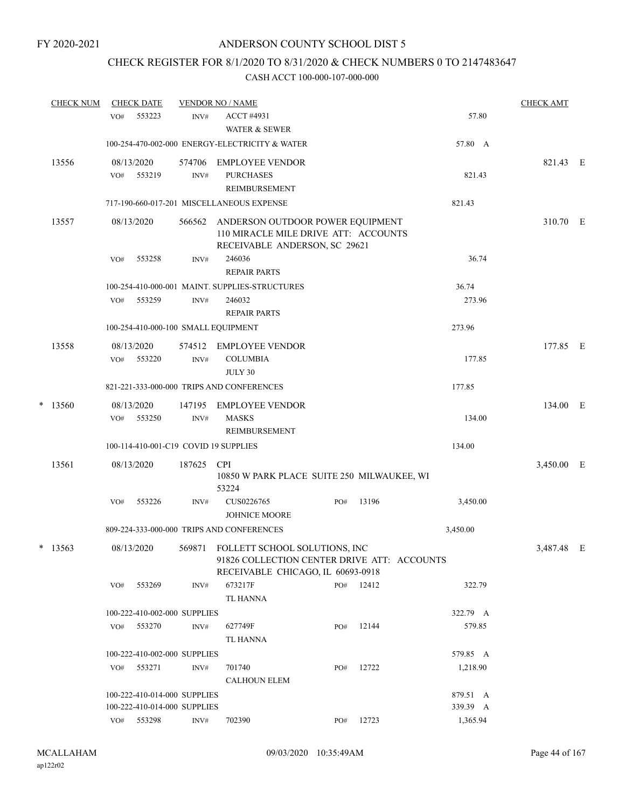## CHECK REGISTER FOR 8/1/2020 TO 8/31/2020 & CHECK NUMBERS 0 TO 2147483647

|   | <b>CHECK NUM</b> |     | <b>CHECK DATE</b>            |                | <b>VENDOR NO / NAME</b>                                                                                           |     |           |          | <b>CHECK AMT</b> |   |
|---|------------------|-----|------------------------------|----------------|-------------------------------------------------------------------------------------------------------------------|-----|-----------|----------|------------------|---|
|   |                  | VO# | 553223                       | INV#           | <b>ACCT #4931</b><br><b>WATER &amp; SEWER</b>                                                                     |     |           | 57.80    |                  |   |
|   |                  |     |                              |                | 100-254-470-002-000 ENERGY-ELECTRICITY & WATER                                                                    |     |           | 57.80 A  |                  |   |
|   | 13556            | VO# | 08/13/2020<br>553219         | 574706<br>INV# | <b>EMPLOYEE VENDOR</b><br><b>PURCHASES</b><br>REIMBURSEMENT                                                       |     |           | 821.43   | 821.43 E         |   |
|   |                  |     |                              |                | 717-190-660-017-201 MISCELLANEOUS EXPENSE                                                                         |     |           | 821.43   |                  |   |
|   | 13557            |     | 08/13/2020                   | 566562         | ANDERSON OUTDOOR POWER EQUIPMENT<br>110 MIRACLE MILE DRIVE ATT: ACCOUNTS<br>RECEIVABLE ANDERSON, SC 29621         |     |           |          | 310.70 E         |   |
|   |                  | VO# | 553258                       | INV#           | 246036<br><b>REPAIR PARTS</b>                                                                                     |     |           | 36.74    |                  |   |
|   |                  |     |                              |                | 100-254-410-000-001 MAINT. SUPPLIES-STRUCTURES                                                                    |     |           | 36.74    |                  |   |
|   |                  | VO# | 553259                       | INV#           | 246032<br><b>REPAIR PARTS</b>                                                                                     |     |           | 273.96   |                  |   |
|   |                  |     |                              |                | 100-254-410-000-100 SMALL EQUIPMENT                                                                               |     |           | 273.96   |                  |   |
|   | 13558            | VO# | 08/13/2020<br>553220         | 574512<br>INV# | EMPLOYEE VENDOR<br><b>COLUMBIA</b><br>JULY 30                                                                     |     |           | 177.85   | 177.85 E         |   |
|   |                  |     |                              |                | 821-221-333-000-000 TRIPS AND CONFERENCES                                                                         |     |           | 177.85   |                  |   |
| * | 13560            |     | 08/13/2020                   | 147195         | <b>EMPLOYEE VENDOR</b>                                                                                            |     |           |          | 134.00 E         |   |
|   |                  | VO# | 553250                       | INV#           | <b>MASKS</b><br><b>REIMBURSEMENT</b>                                                                              |     |           | 134.00   |                  |   |
|   |                  |     |                              |                | 100-114-410-001-C19 COVID 19 SUPPLIES                                                                             |     |           | 134.00   |                  |   |
|   | 13561            |     | 08/13/2020                   | 187625         | CPI<br>10850 W PARK PLACE SUITE 250 MILWAUKEE, WI<br>53224                                                        |     |           |          | 3,450.00         | E |
|   |                  | VO# | 553226                       | INV#           | CUS0226765<br><b>JOHNICE MOORE</b>                                                                                | PO# | 13196     | 3,450.00 |                  |   |
|   |                  |     |                              |                | 809-224-333-000-000 TRIPS AND CONFERENCES                                                                         |     |           | 3,450.00 |                  |   |
|   | $*$ 13563        |     | 08/13/2020                   | 569871         | FOLLETT SCHOOL SOLUTIONS, INC<br>91826 COLLECTION CENTER DRIVE ATT: ACCOUNTS<br>RECEIVABLE CHICAGO, IL 60693-0918 |     |           |          | 3,487.48         | E |
|   |                  | VO# | 553269                       | INV#           | 673217F                                                                                                           |     | PO# 12412 | 322.79   |                  |   |
|   |                  |     |                              |                | TL HANNA                                                                                                          |     |           |          |                  |   |
|   |                  |     | 100-222-410-002-000 SUPPLIES |                |                                                                                                                   |     |           | 322.79 A |                  |   |
|   |                  | VO# | 553270                       | INV#           | 627749F                                                                                                           | PO# | 12144     | 579.85   |                  |   |
|   |                  |     |                              |                | <b>TL HANNA</b>                                                                                                   |     |           |          |                  |   |
|   |                  |     | 100-222-410-002-000 SUPPLIES |                |                                                                                                                   |     |           | 579.85 A |                  |   |
|   |                  | VO# | 553271                       | INV#           | 701740<br><b>CALHOUN ELEM</b>                                                                                     | PO# | 12722     | 1,218.90 |                  |   |
|   |                  |     | 100-222-410-014-000 SUPPLIES |                |                                                                                                                   |     |           | 879.51 A |                  |   |
|   |                  |     | 100-222-410-014-000 SUPPLIES |                |                                                                                                                   |     |           | 339.39 A |                  |   |
|   |                  |     | VO# 553298                   | INV#           | 702390                                                                                                            | PO# | 12723     | 1,365.94 |                  |   |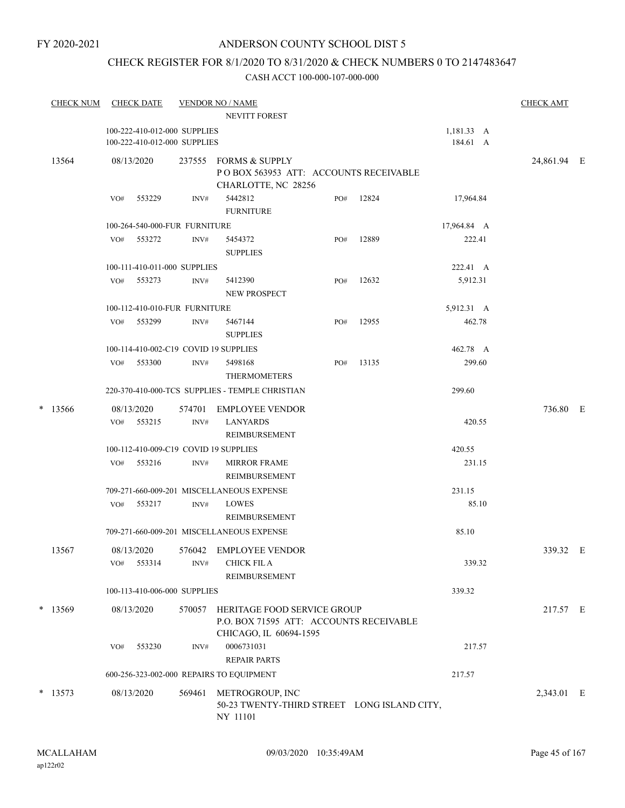## ANDERSON COUNTY SCHOOL DIST 5

## CHECK REGISTER FOR 8/1/2020 TO 8/31/2020 & CHECK NUMBERS 0 TO 2147483647

| 1,181.33 A<br>100-222-410-012-000 SUPPLIES<br>184.61 A<br>100-222-410-012-000 SUPPLIES<br>237555 FORMS & SUPPLY<br>13564<br>08/13/2020<br>POBOX 563953 ATT: ACCOUNTS RECEIVABLE<br>CHARLOTTE, NC 28256<br>553229<br>5442812<br>12824<br>17,964.84<br>PO#<br>VO#<br>INV#<br><b>FURNITURE</b><br>100-264-540-000-FUR FURNITURE<br>17,964.84 A<br>12889<br>222.41<br>VO# 553272<br>INV#<br>5454372<br>PO#<br><b>SUPPLIES</b><br>100-111-410-011-000 SUPPLIES<br>222.41 A<br>5,912.31<br>553273<br>5412390<br>12632<br>VO#<br>INV#<br>PO#<br>NEW PROSPECT<br>100-112-410-010-FUR FURNITURE<br>5,912.31 A<br>VO#<br>553299<br>INV#<br>5467144<br>12955<br>462.78<br>PO#<br><b>SUPPLIES</b><br>100-114-410-002-C19 COVID 19 SUPPLIES<br>462.78 A<br>299.60<br>VO# 553300<br>5498168<br>13135<br>INV#<br>PO#<br><b>THERMOMETERS</b><br>220-370-410-000-TCS SUPPLIES - TEMPLE CHRISTIAN<br>299.60<br>*<br>13566<br><b>EMPLOYEE VENDOR</b><br>08/13/2020<br>574701<br><b>LANYARDS</b><br>VO#<br>553215<br>INV#<br>420.55<br>REIMBURSEMENT<br>100-112-410-009-C19 COVID 19 SUPPLIES<br>420.55<br>231.15<br>553216<br><b>MIRROR FRAME</b><br>VO#<br>INV#<br>REIMBURSEMENT<br>709-271-660-009-201 MISCELLANEOUS EXPENSE<br>231.15<br>85.10<br>553217<br>INV#<br><b>LOWES</b><br>VO#<br>REIMBURSEMENT<br>709-271-660-009-201 MISCELLANEOUS EXPENSE<br>85.10<br>13567<br>576042 EMPLOYEE VENDOR<br>08/13/2020<br><b>CHICK FIL A</b><br>553314<br>339.32<br>VO#<br>INV#<br>REIMBURSEMENT<br>100-113-410-006-000 SUPPLIES<br>339.32<br>$*$ 13569<br>08/13/2020<br>570057<br>HERITAGE FOOD SERVICE GROUP<br>P.O. BOX 71595 ATT: ACCOUNTS RECEIVABLE<br>CHICAGO, IL 60694-1595<br>0006731031<br>217.57<br>553230<br>VO#<br>INV#<br><b>REPAIR PARTS</b><br>600-256-323-002-000 REPAIRS TO EQUIPMENT<br>217.57<br>$*$ 13573<br>METROGROUP, INC<br>08/13/2020<br>569461<br>50-23 TWENTY-THIRD STREET LONG ISLAND CITY,<br>NY 11101 | <b>CHECK NUM</b> | <b>CHECK DATE</b> | <b>VENDOR NO / NAME</b><br>NEVITT FOREST |  | <b>CHECK AMT</b> |  |
|---------------------------------------------------------------------------------------------------------------------------------------------------------------------------------------------------------------------------------------------------------------------------------------------------------------------------------------------------------------------------------------------------------------------------------------------------------------------------------------------------------------------------------------------------------------------------------------------------------------------------------------------------------------------------------------------------------------------------------------------------------------------------------------------------------------------------------------------------------------------------------------------------------------------------------------------------------------------------------------------------------------------------------------------------------------------------------------------------------------------------------------------------------------------------------------------------------------------------------------------------------------------------------------------------------------------------------------------------------------------------------------------------------------------------------------------------------------------------------------------------------------------------------------------------------------------------------------------------------------------------------------------------------------------------------------------------------------------------------------------------------------------------------------------------------------------------------------------------------------------------------------------------------------|------------------|-------------------|------------------------------------------|--|------------------|--|
|                                                                                                                                                                                                                                                                                                                                                                                                                                                                                                                                                                                                                                                                                                                                                                                                                                                                                                                                                                                                                                                                                                                                                                                                                                                                                                                                                                                                                                                                                                                                                                                                                                                                                                                                                                                                                                                                                                               |                  |                   |                                          |  |                  |  |
|                                                                                                                                                                                                                                                                                                                                                                                                                                                                                                                                                                                                                                                                                                                                                                                                                                                                                                                                                                                                                                                                                                                                                                                                                                                                                                                                                                                                                                                                                                                                                                                                                                                                                                                                                                                                                                                                                                               |                  |                   |                                          |  | 24,861.94 E      |  |
|                                                                                                                                                                                                                                                                                                                                                                                                                                                                                                                                                                                                                                                                                                                                                                                                                                                                                                                                                                                                                                                                                                                                                                                                                                                                                                                                                                                                                                                                                                                                                                                                                                                                                                                                                                                                                                                                                                               |                  |                   |                                          |  |                  |  |
|                                                                                                                                                                                                                                                                                                                                                                                                                                                                                                                                                                                                                                                                                                                                                                                                                                                                                                                                                                                                                                                                                                                                                                                                                                                                                                                                                                                                                                                                                                                                                                                                                                                                                                                                                                                                                                                                                                               |                  |                   |                                          |  |                  |  |
|                                                                                                                                                                                                                                                                                                                                                                                                                                                                                                                                                                                                                                                                                                                                                                                                                                                                                                                                                                                                                                                                                                                                                                                                                                                                                                                                                                                                                                                                                                                                                                                                                                                                                                                                                                                                                                                                                                               |                  |                   |                                          |  |                  |  |
|                                                                                                                                                                                                                                                                                                                                                                                                                                                                                                                                                                                                                                                                                                                                                                                                                                                                                                                                                                                                                                                                                                                                                                                                                                                                                                                                                                                                                                                                                                                                                                                                                                                                                                                                                                                                                                                                                                               |                  |                   |                                          |  |                  |  |
|                                                                                                                                                                                                                                                                                                                                                                                                                                                                                                                                                                                                                                                                                                                                                                                                                                                                                                                                                                                                                                                                                                                                                                                                                                                                                                                                                                                                                                                                                                                                                                                                                                                                                                                                                                                                                                                                                                               |                  |                   |                                          |  |                  |  |
|                                                                                                                                                                                                                                                                                                                                                                                                                                                                                                                                                                                                                                                                                                                                                                                                                                                                                                                                                                                                                                                                                                                                                                                                                                                                                                                                                                                                                                                                                                                                                                                                                                                                                                                                                                                                                                                                                                               |                  |                   |                                          |  |                  |  |
|                                                                                                                                                                                                                                                                                                                                                                                                                                                                                                                                                                                                                                                                                                                                                                                                                                                                                                                                                                                                                                                                                                                                                                                                                                                                                                                                                                                                                                                                                                                                                                                                                                                                                                                                                                                                                                                                                                               |                  |                   |                                          |  |                  |  |
|                                                                                                                                                                                                                                                                                                                                                                                                                                                                                                                                                                                                                                                                                                                                                                                                                                                                                                                                                                                                                                                                                                                                                                                                                                                                                                                                                                                                                                                                                                                                                                                                                                                                                                                                                                                                                                                                                                               |                  |                   |                                          |  |                  |  |
|                                                                                                                                                                                                                                                                                                                                                                                                                                                                                                                                                                                                                                                                                                                                                                                                                                                                                                                                                                                                                                                                                                                                                                                                                                                                                                                                                                                                                                                                                                                                                                                                                                                                                                                                                                                                                                                                                                               |                  |                   |                                          |  |                  |  |
|                                                                                                                                                                                                                                                                                                                                                                                                                                                                                                                                                                                                                                                                                                                                                                                                                                                                                                                                                                                                                                                                                                                                                                                                                                                                                                                                                                                                                                                                                                                                                                                                                                                                                                                                                                                                                                                                                                               |                  |                   |                                          |  |                  |  |
|                                                                                                                                                                                                                                                                                                                                                                                                                                                                                                                                                                                                                                                                                                                                                                                                                                                                                                                                                                                                                                                                                                                                                                                                                                                                                                                                                                                                                                                                                                                                                                                                                                                                                                                                                                                                                                                                                                               |                  |                   |                                          |  | 736.80 E         |  |
|                                                                                                                                                                                                                                                                                                                                                                                                                                                                                                                                                                                                                                                                                                                                                                                                                                                                                                                                                                                                                                                                                                                                                                                                                                                                                                                                                                                                                                                                                                                                                                                                                                                                                                                                                                                                                                                                                                               |                  |                   |                                          |  |                  |  |
|                                                                                                                                                                                                                                                                                                                                                                                                                                                                                                                                                                                                                                                                                                                                                                                                                                                                                                                                                                                                                                                                                                                                                                                                                                                                                                                                                                                                                                                                                                                                                                                                                                                                                                                                                                                                                                                                                                               |                  |                   |                                          |  |                  |  |
|                                                                                                                                                                                                                                                                                                                                                                                                                                                                                                                                                                                                                                                                                                                                                                                                                                                                                                                                                                                                                                                                                                                                                                                                                                                                                                                                                                                                                                                                                                                                                                                                                                                                                                                                                                                                                                                                                                               |                  |                   |                                          |  |                  |  |
|                                                                                                                                                                                                                                                                                                                                                                                                                                                                                                                                                                                                                                                                                                                                                                                                                                                                                                                                                                                                                                                                                                                                                                                                                                                                                                                                                                                                                                                                                                                                                                                                                                                                                                                                                                                                                                                                                                               |                  |                   |                                          |  |                  |  |
|                                                                                                                                                                                                                                                                                                                                                                                                                                                                                                                                                                                                                                                                                                                                                                                                                                                                                                                                                                                                                                                                                                                                                                                                                                                                                                                                                                                                                                                                                                                                                                                                                                                                                                                                                                                                                                                                                                               |                  |                   |                                          |  |                  |  |
|                                                                                                                                                                                                                                                                                                                                                                                                                                                                                                                                                                                                                                                                                                                                                                                                                                                                                                                                                                                                                                                                                                                                                                                                                                                                                                                                                                                                                                                                                                                                                                                                                                                                                                                                                                                                                                                                                                               |                  |                   |                                          |  | 339.32 E         |  |
|                                                                                                                                                                                                                                                                                                                                                                                                                                                                                                                                                                                                                                                                                                                                                                                                                                                                                                                                                                                                                                                                                                                                                                                                                                                                                                                                                                                                                                                                                                                                                                                                                                                                                                                                                                                                                                                                                                               |                  |                   |                                          |  |                  |  |
|                                                                                                                                                                                                                                                                                                                                                                                                                                                                                                                                                                                                                                                                                                                                                                                                                                                                                                                                                                                                                                                                                                                                                                                                                                                                                                                                                                                                                                                                                                                                                                                                                                                                                                                                                                                                                                                                                                               |                  |                   |                                          |  | 217.57 E         |  |
|                                                                                                                                                                                                                                                                                                                                                                                                                                                                                                                                                                                                                                                                                                                                                                                                                                                                                                                                                                                                                                                                                                                                                                                                                                                                                                                                                                                                                                                                                                                                                                                                                                                                                                                                                                                                                                                                                                               |                  |                   |                                          |  |                  |  |
|                                                                                                                                                                                                                                                                                                                                                                                                                                                                                                                                                                                                                                                                                                                                                                                                                                                                                                                                                                                                                                                                                                                                                                                                                                                                                                                                                                                                                                                                                                                                                                                                                                                                                                                                                                                                                                                                                                               |                  |                   |                                          |  |                  |  |
|                                                                                                                                                                                                                                                                                                                                                                                                                                                                                                                                                                                                                                                                                                                                                                                                                                                                                                                                                                                                                                                                                                                                                                                                                                                                                                                                                                                                                                                                                                                                                                                                                                                                                                                                                                                                                                                                                                               |                  |                   |                                          |  | 2,343.01 E       |  |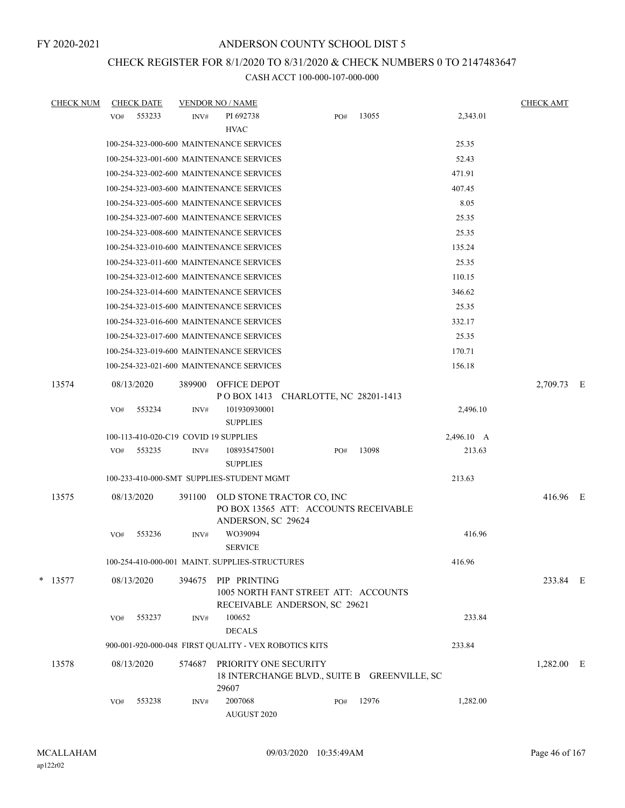# CHECK REGISTER FOR 8/1/2020 TO 8/31/2020 & CHECK NUMBERS 0 TO 2147483647

| <b>CHECK NUM</b> |     | <b>CHECK DATE</b> |        | <b>VENDOR NO / NAME</b>                                                               |     |       |            | <b>CHECK AMT</b> |  |
|------------------|-----|-------------------|--------|---------------------------------------------------------------------------------------|-----|-------|------------|------------------|--|
|                  | VO# | 553233            | INV#   | PI 692738                                                                             | PO# | 13055 | 2,343.01   |                  |  |
|                  |     |                   |        | <b>HVAC</b>                                                                           |     |       |            |                  |  |
|                  |     |                   |        | 100-254-323-000-600 MAINTENANCE SERVICES                                              |     |       | 25.35      |                  |  |
|                  |     |                   |        | 100-254-323-001-600 MAINTENANCE SERVICES                                              |     |       | 52.43      |                  |  |
|                  |     |                   |        | 100-254-323-002-600 MAINTENANCE SERVICES                                              |     |       | 471.91     |                  |  |
|                  |     |                   |        | 100-254-323-003-600 MAINTENANCE SERVICES                                              |     |       | 407.45     |                  |  |
|                  |     |                   |        | 100-254-323-005-600 MAINTENANCE SERVICES                                              |     |       | 8.05       |                  |  |
|                  |     |                   |        | 100-254-323-007-600 MAINTENANCE SERVICES                                              |     |       | 25.35      |                  |  |
|                  |     |                   |        | 100-254-323-008-600 MAINTENANCE SERVICES                                              |     |       | 25.35      |                  |  |
|                  |     |                   |        | 100-254-323-010-600 MAINTENANCE SERVICES                                              |     |       | 135.24     |                  |  |
|                  |     |                   |        | 100-254-323-011-600 MAINTENANCE SERVICES                                              |     |       | 25.35      |                  |  |
|                  |     |                   |        | 100-254-323-012-600 MAINTENANCE SERVICES                                              |     |       | 110.15     |                  |  |
|                  |     |                   |        | 100-254-323-014-600 MAINTENANCE SERVICES                                              |     |       | 346.62     |                  |  |
|                  |     |                   |        | 100-254-323-015-600 MAINTENANCE SERVICES                                              |     |       | 25.35      |                  |  |
|                  |     |                   |        | 100-254-323-016-600 MAINTENANCE SERVICES                                              |     |       | 332.17     |                  |  |
|                  |     |                   |        | 100-254-323-017-600 MAINTENANCE SERVICES                                              |     |       | 25.35      |                  |  |
|                  |     |                   |        | 100-254-323-019-600 MAINTENANCE SERVICES                                              |     |       | 170.71     |                  |  |
|                  |     |                   |        | 100-254-323-021-600 MAINTENANCE SERVICES                                              |     |       | 156.18     |                  |  |
| 13574            |     | 08/13/2020        | 389900 | <b>OFFICE DEPOT</b>                                                                   |     |       |            | 2,709.73 E       |  |
|                  | VO# | 553234            | INV#   | POBOX 1413 CHARLOTTE, NC 28201-1413<br>101930930001<br><b>SUPPLIES</b>                |     |       | 2,496.10   |                  |  |
|                  |     |                   |        | 100-113-410-020-C19 COVID 19 SUPPLIES                                                 |     |       | 2,496.10 A |                  |  |
|                  | VO# | 553235            | INV#   | 108935475001<br><b>SUPPLIES</b>                                                       | PO# | 13098 | 213.63     |                  |  |
|                  |     |                   |        | 100-233-410-000-SMT SUPPLIES-STUDENT MGMT                                             |     |       | 213.63     |                  |  |
| 13575            |     | 08/13/2020        | 391100 | OLD STONE TRACTOR CO, INC<br>PO BOX 13565 ATT: ACCOUNTS RECEIVABLE                    |     |       |            | 416.96 E         |  |
|                  | VO# | 553236            | INV#   | ANDERSON, SC 29624<br>WO39094<br><b>SERVICE</b>                                       |     |       | 416.96     |                  |  |
|                  |     |                   |        | 100-254-410-000-001 MAINT. SUPPLIES-STRUCTURES                                        |     |       | 416.96     |                  |  |
| $*$ 13577        |     | 08/13/2020        | 394675 | PIP PRINTING<br>1005 NORTH FANT STREET ATT: ACCOUNTS<br>RECEIVABLE ANDERSON, SC 29621 |     |       |            | 233.84 E         |  |
|                  | VO# | 553237            | INV#   | 100652<br><b>DECALS</b>                                                               |     |       | 233.84     |                  |  |
|                  |     |                   |        | 900-001-920-000-048 FIRST QUALITY - VEX ROBOTICS KITS                                 |     |       | 233.84     |                  |  |
| 13578            |     | 08/13/2020        | 574687 | PRIORITY ONE SECURITY<br>18 INTERCHANGE BLVD., SUITE B GREENVILLE, SC<br>29607        |     |       |            | $1,282.00$ E     |  |
|                  | VO# | 553238            | INV#   | 2007068<br>AUGUST 2020                                                                | PO# | 12976 | 1,282.00   |                  |  |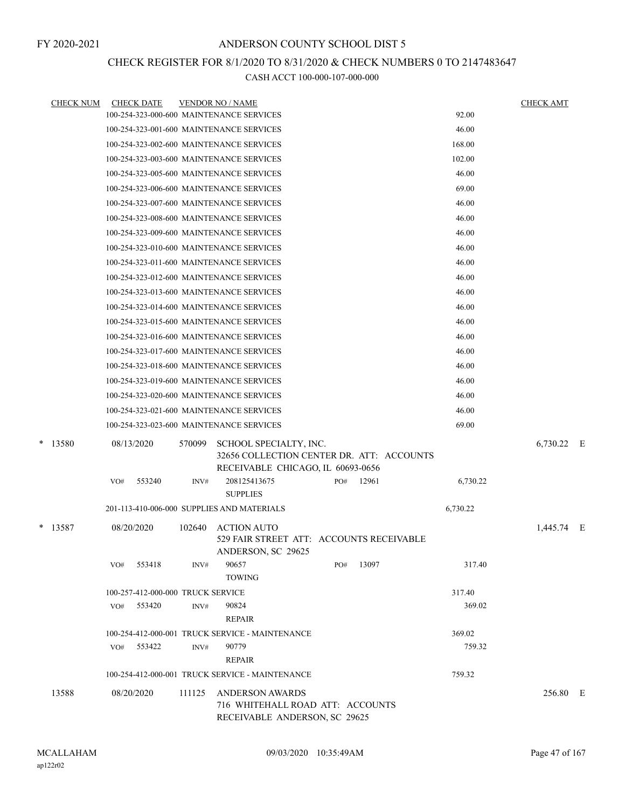## CHECK REGISTER FOR 8/1/2020 TO 8/31/2020 & CHECK NUMBERS 0 TO 2147483647

| <b>CHECK NUM</b> | <b>CHECK DATE</b>                 |        | <b>VENDOR NO / NAME</b>                                                                                  |     |       |          | <b>CHECK AMT</b> |  |
|------------------|-----------------------------------|--------|----------------------------------------------------------------------------------------------------------|-----|-------|----------|------------------|--|
|                  |                                   |        | 100-254-323-000-600 MAINTENANCE SERVICES                                                                 |     |       | 92.00    |                  |  |
|                  |                                   |        | 100-254-323-001-600 MAINTENANCE SERVICES                                                                 |     |       | 46.00    |                  |  |
|                  |                                   |        | 100-254-323-002-600 MAINTENANCE SERVICES                                                                 |     |       | 168.00   |                  |  |
|                  |                                   |        | 100-254-323-003-600 MAINTENANCE SERVICES                                                                 |     |       | 102.00   |                  |  |
|                  |                                   |        | 100-254-323-005-600 MAINTENANCE SERVICES                                                                 |     |       | 46.00    |                  |  |
|                  |                                   |        | 100-254-323-006-600 MAINTENANCE SERVICES                                                                 |     |       | 69.00    |                  |  |
|                  |                                   |        | 100-254-323-007-600 MAINTENANCE SERVICES                                                                 |     |       | 46.00    |                  |  |
|                  |                                   |        | 100-254-323-008-600 MAINTENANCE SERVICES                                                                 |     |       | 46.00    |                  |  |
|                  |                                   |        | 100-254-323-009-600 MAINTENANCE SERVICES                                                                 |     |       | 46.00    |                  |  |
|                  |                                   |        | 100-254-323-010-600 MAINTENANCE SERVICES                                                                 |     |       | 46.00    |                  |  |
|                  |                                   |        | 100-254-323-011-600 MAINTENANCE SERVICES                                                                 |     |       | 46.00    |                  |  |
|                  |                                   |        | 100-254-323-012-600 MAINTENANCE SERVICES                                                                 |     |       | 46.00    |                  |  |
|                  |                                   |        | 100-254-323-013-600 MAINTENANCE SERVICES                                                                 |     |       | 46.00    |                  |  |
|                  |                                   |        | 100-254-323-014-600 MAINTENANCE SERVICES                                                                 |     |       | 46.00    |                  |  |
|                  |                                   |        | 100-254-323-015-600 MAINTENANCE SERVICES                                                                 |     |       | 46.00    |                  |  |
|                  |                                   |        | 100-254-323-016-600 MAINTENANCE SERVICES                                                                 |     |       | 46.00    |                  |  |
|                  |                                   |        | 100-254-323-017-600 MAINTENANCE SERVICES                                                                 |     |       | 46.00    |                  |  |
|                  |                                   |        | 100-254-323-018-600 MAINTENANCE SERVICES                                                                 |     |       | 46.00    |                  |  |
|                  |                                   |        | 100-254-323-019-600 MAINTENANCE SERVICES                                                                 |     |       | 46.00    |                  |  |
|                  |                                   |        | 100-254-323-020-600 MAINTENANCE SERVICES                                                                 |     |       | 46.00    |                  |  |
|                  |                                   |        | 100-254-323-021-600 MAINTENANCE SERVICES                                                                 |     |       | 46.00    |                  |  |
|                  |                                   |        | 100-254-323-023-600 MAINTENANCE SERVICES                                                                 |     |       | 69.00    |                  |  |
| * 13580          | 08/13/2020                        | 570099 | SCHOOL SPECIALTY, INC.<br>32656 COLLECTION CENTER DR. ATT: ACCOUNTS<br>RECEIVABLE CHICAGO, IL 60693-0656 |     |       |          | 6,730.22 E       |  |
|                  | 553240<br>VO#                     | INV#   | 208125413675<br><b>SUPPLIES</b>                                                                          | PO# | 12961 | 6,730.22 |                  |  |
|                  |                                   |        | 201-113-410-006-000 SUPPLIES AND MATERIALS                                                               |     |       | 6,730.22 |                  |  |
| $*$ 13587        | 08/20/2020                        | 102640 | <b>ACTION AUTO</b><br>529 FAIR STREET ATT: ACCOUNTS RECEIVABLE<br>ANDERSON, SC 29625                     |     |       |          | 1,445.74 E       |  |
|                  | 553418<br>VO#                     | INV#   | 90657<br><b>TOWING</b>                                                                                   | PO# | 13097 | 317.40   |                  |  |
|                  | 100-257-412-000-000 TRUCK SERVICE |        |                                                                                                          |     |       | 317.40   |                  |  |
|                  | 553420<br>VO#                     | INV#   | 90824<br>REPAIR                                                                                          |     |       | 369.02   |                  |  |
|                  |                                   |        | 100-254-412-000-001 TRUCK SERVICE - MAINTENANCE                                                          |     |       | 369.02   |                  |  |
|                  | VO# 553422                        | INV#   | 90779<br><b>REPAIR</b>                                                                                   |     |       | 759.32   |                  |  |
|                  |                                   |        | 100-254-412-000-001 TRUCK SERVICE - MAINTENANCE                                                          |     |       | 759.32   |                  |  |
| 13588            | 08/20/2020                        | 111125 | <b>ANDERSON AWARDS</b><br>716 WHITEHALL ROAD ATT: ACCOUNTS<br>RECEIVABLE ANDERSON, SC 29625              |     |       |          | 256.80 E         |  |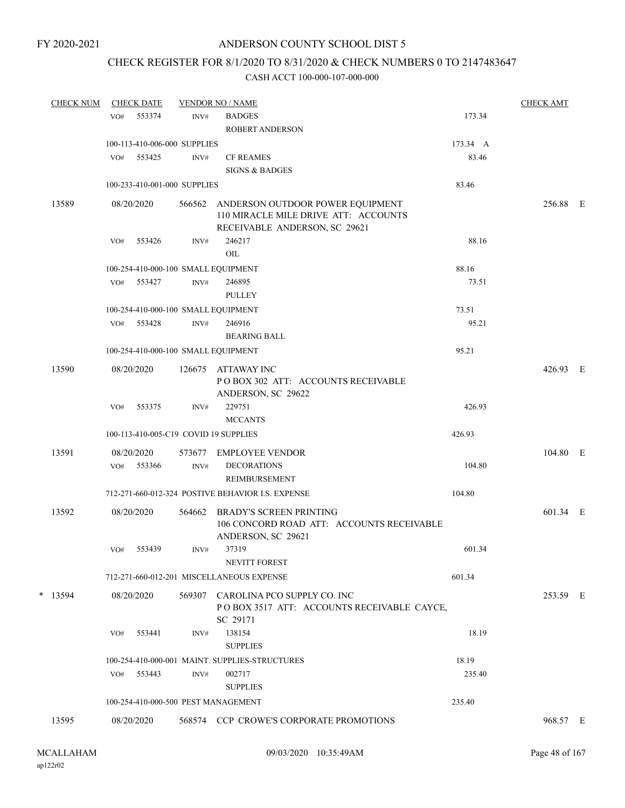## CHECK REGISTER FOR 8/1/2020 TO 8/31/2020 & CHECK NUMBERS 0 TO 2147483647

| <b>CHECK NUM</b> |     | <b>CHECK DATE</b> |                              | <b>VENDOR NO / NAME</b>                                                                                   |          | <b>CHECK AMT</b> |  |
|------------------|-----|-------------------|------------------------------|-----------------------------------------------------------------------------------------------------------|----------|------------------|--|
|                  | VO# | 553374            | INV#                         | <b>BADGES</b>                                                                                             | 173.34   |                  |  |
|                  |     |                   |                              | <b>ROBERT ANDERSON</b>                                                                                    |          |                  |  |
|                  |     |                   | 100-113-410-006-000 SUPPLIES |                                                                                                           | 173.34 A |                  |  |
|                  | VO# | 553425            | INV#                         | <b>CF REAMES</b>                                                                                          | 83.46    |                  |  |
|                  |     |                   |                              | <b>SIGNS &amp; BADGES</b>                                                                                 |          |                  |  |
|                  |     |                   | 100-233-410-001-000 SUPPLIES |                                                                                                           | 83.46    |                  |  |
| 13589            |     | 08/20/2020        | 566562                       | ANDERSON OUTDOOR POWER EQUIPMENT<br>110 MIRACLE MILE DRIVE ATT: ACCOUNTS<br>RECEIVABLE ANDERSON, SC 29621 |          | 256.88 E         |  |
|                  | VO# | 553426            | INV#                         | 246217                                                                                                    | 88.16    |                  |  |
|                  |     |                   |                              | OIL                                                                                                       |          |                  |  |
|                  |     |                   |                              | 100-254-410-000-100 SMALL EQUIPMENT                                                                       | 88.16    |                  |  |
|                  | VO# | 553427            | INV#                         | 246895                                                                                                    | 73.51    |                  |  |
|                  |     |                   |                              | PULLEY                                                                                                    |          |                  |  |
|                  |     |                   |                              | 100-254-410-000-100 SMALL EQUIPMENT                                                                       | 73.51    |                  |  |
|                  | VO# | 553428            | INV#                         | 246916                                                                                                    | 95.21    |                  |  |
|                  |     |                   |                              | <b>BEARING BALL</b>                                                                                       |          |                  |  |
|                  |     |                   |                              | 100-254-410-000-100 SMALL EQUIPMENT                                                                       | 95.21    |                  |  |
|                  |     |                   |                              |                                                                                                           |          |                  |  |
| 13590            |     | 08/20/2020        | 126675                       | ATTAWAY INC<br>POBOX 302 ATT: ACCOUNTS RECEIVABLE<br>ANDERSON, SC 29622                                   |          | 426.93 E         |  |
|                  | VO# | 553375            | INV#                         | 229751                                                                                                    | 426.93   |                  |  |
|                  |     |                   |                              | <b>MCCANTS</b>                                                                                            |          |                  |  |
|                  |     |                   |                              | 100-113-410-005-C19 COVID 19 SUPPLIES                                                                     | 426.93   |                  |  |
| 13591            |     | 08/20/2020        | 573677                       | EMPLOYEE VENDOR                                                                                           |          | 104.80 E         |  |
|                  | VO# | 553366            | INV#                         | <b>DECORATIONS</b>                                                                                        | 104.80   |                  |  |
|                  |     |                   |                              | REIMBURSEMENT                                                                                             |          |                  |  |
|                  |     |                   |                              | 712-271-660-012-324 POSTIVE BEHAVIOR I.S. EXPENSE                                                         | 104.80   |                  |  |
| 13592            |     |                   |                              | <b>BRADY'S SCREEN PRINTING</b>                                                                            |          | 601.34 E         |  |
|                  |     | 08/20/2020        | 564662                       | 106 CONCORD ROAD ATT: ACCOUNTS RECEIVABLE<br>ANDERSON, SC 29621                                           |          |                  |  |
|                  | VO# | 553439            | INV#                         | 37319<br><b>NEVITT FOREST</b>                                                                             | 601.34   |                  |  |
|                  |     |                   |                              | 712-271-660-012-201 MISCELLANEOUS EXPENSE                                                                 | 601.34   |                  |  |
| $*$ 13594        |     | 08/20/2020        |                              | 569307 CAROLINA PCO SUPPLY CO. INC<br>POBOX 3517 ATT: ACCOUNTS RECEIVABLE CAYCE,<br>SC 29171              |          | 253.59 E         |  |
|                  | VO# | 553441            | INV#                         | 138154<br><b>SUPPLIES</b>                                                                                 | 18.19    |                  |  |
|                  |     |                   |                              | 100-254-410-000-001 MAINT. SUPPLIES-STRUCTURES                                                            | 18.19    |                  |  |
|                  |     | VO# 553443        | INV#                         | 002717                                                                                                    | 235.40   |                  |  |
|                  |     |                   |                              | <b>SUPPLIES</b>                                                                                           |          |                  |  |
|                  |     |                   |                              | 100-254-410-000-500 PEST MANAGEMENT                                                                       | 235.40   |                  |  |
| 13595            |     | 08/20/2020        |                              | 568574 CCP CROWE'S CORPORATE PROMOTIONS                                                                   |          | 968.57 E         |  |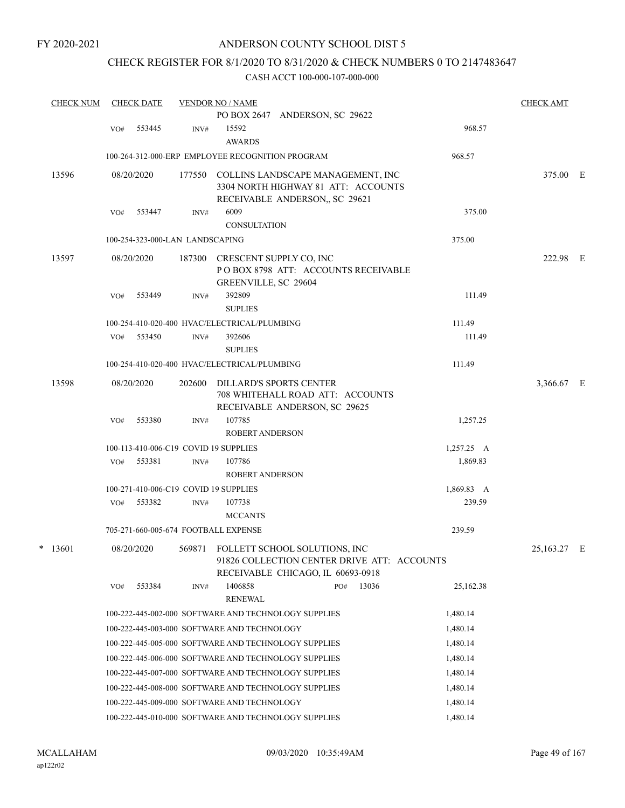## CHECK REGISTER FOR 8/1/2020 TO 8/31/2020 & CHECK NUMBERS 0 TO 2147483647

| <b>CHECK NUM</b> | <b>CHECK DATE</b>                                |                | <b>VENDOR NO / NAME</b>                         |                                                                                                                          |       |                    | <b>CHECK AMT</b> |  |
|------------------|--------------------------------------------------|----------------|-------------------------------------------------|--------------------------------------------------------------------------------------------------------------------------|-------|--------------------|------------------|--|
|                  |                                                  |                |                                                 | PO BOX 2647 ANDERSON, SC 29622                                                                                           |       |                    |                  |  |
|                  | 553445<br>VO#                                    | INV#           | 15592                                           |                                                                                                                          |       | 968.57             |                  |  |
|                  |                                                  |                | <b>AWARDS</b>                                   |                                                                                                                          |       |                    |                  |  |
|                  | 100-264-312-000-ERP EMPLOYEE RECOGNITION PROGRAM |                |                                                 |                                                                                                                          |       | 968.57             |                  |  |
| 13596            | 08/20/2020                                       | 177550         |                                                 | COLLINS LANDSCAPE MANAGEMENT, INC<br>3304 NORTH HIGHWAY 81 ATT: ACCOUNTS<br>RECEIVABLE ANDERSON, SC 29621                |       |                    | 375.00 E         |  |
|                  | 553447<br>VO#                                    | INV#           | 6009                                            |                                                                                                                          |       | 375.00             |                  |  |
|                  |                                                  |                | <b>CONSULTATION</b>                             |                                                                                                                          |       |                    |                  |  |
|                  | 100-254-323-000-LAN LANDSCAPING                  |                |                                                 |                                                                                                                          |       | 375.00             |                  |  |
| 13597            | 08/20/2020                                       | 187300         | CRESCENT SUPPLY CO, INC<br>GREENVILLE, SC 29604 | POBOX 8798 ATT: ACCOUNTS RECEIVABLE                                                                                      |       |                    | 222.98 E         |  |
|                  | 553449<br>VO#                                    | INV#           | 392809                                          |                                                                                                                          |       | 111.49             |                  |  |
|                  |                                                  |                | <b>SUPLIES</b>                                  |                                                                                                                          |       |                    |                  |  |
|                  | 100-254-410-020-400 HVAC/ELECTRICAL/PLUMBING     |                |                                                 |                                                                                                                          |       | 111.49             |                  |  |
|                  | 553450<br>VO#                                    | INV#           | 392606<br><b>SUPLIES</b>                        |                                                                                                                          |       | 111.49             |                  |  |
|                  | 100-254-410-020-400 HVAC/ELECTRICAL/PLUMBING     |                |                                                 |                                                                                                                          |       | 111.49             |                  |  |
| 13598            | 08/20/2020                                       | 202600         |                                                 | <b>DILLARD'S SPORTS CENTER</b><br>708 WHITEHALL ROAD ATT: ACCOUNTS                                                       |       |                    | 3,366.67 E       |  |
|                  | 553380<br>VO#                                    | INV#           | 107785<br><b>ROBERT ANDERSON</b>                | RECEIVABLE ANDERSON, SC 29625                                                                                            |       | 1,257.25           |                  |  |
|                  | 100-113-410-006-C19 COVID 19 SUPPLIES            |                |                                                 |                                                                                                                          |       | $1,257.25 \quad A$ |                  |  |
|                  | 553381<br>VO#                                    | $\text{INV}\#$ | 107786                                          |                                                                                                                          |       | 1,869.83           |                  |  |
|                  |                                                  |                | <b>ROBERT ANDERSON</b>                          |                                                                                                                          |       |                    |                  |  |
|                  | 100-271-410-006-C19 COVID 19 SUPPLIES            |                |                                                 |                                                                                                                          |       | 1,869.83 A         |                  |  |
|                  | 553382<br>VO#                                    | INV#           | 107738                                          |                                                                                                                          |       | 239.59             |                  |  |
|                  |                                                  |                | <b>MCCANTS</b>                                  |                                                                                                                          |       |                    |                  |  |
|                  | 705-271-660-005-674 FOOTBALL EXPENSE             |                |                                                 |                                                                                                                          |       | 239.59             |                  |  |
| $*$ 13601        | 08/20/2020                                       |                |                                                 | 569871 FOLLETT SCHOOL SOLUTIONS, INC<br>91826 COLLECTION CENTER DRIVE ATT: ACCOUNTS<br>RECEIVABLE CHICAGO, IL 60693-0918 |       |                    | 25,163.27 E      |  |
|                  | 553384<br>VO#                                    | INV#           | 1406858<br><b>RENEWAL</b>                       | PO#                                                                                                                      | 13036 | 25,162.38          |                  |  |
|                  |                                                  |                |                                                 | 100-222-445-002-000 SOFTWARE AND TECHNOLOGY SUPPLIES                                                                     |       | 1,480.14           |                  |  |
|                  | 100-222-445-003-000 SOFTWARE AND TECHNOLOGY      |                |                                                 |                                                                                                                          |       | 1,480.14           |                  |  |
|                  |                                                  |                |                                                 | 100-222-445-005-000 SOFTWARE AND TECHNOLOGY SUPPLIES                                                                     |       | 1,480.14           |                  |  |
|                  |                                                  |                |                                                 | 100-222-445-006-000 SOFTWARE AND TECHNOLOGY SUPPLIES                                                                     |       | 1,480.14           |                  |  |
|                  |                                                  |                |                                                 | 100-222-445-007-000 SOFTWARE AND TECHNOLOGY SUPPLIES                                                                     |       | 1,480.14           |                  |  |
|                  |                                                  |                |                                                 | 100-222-445-008-000 SOFTWARE AND TECHNOLOGY SUPPLIES                                                                     |       | 1,480.14           |                  |  |
|                  | 100-222-445-009-000 SOFTWARE AND TECHNOLOGY      |                |                                                 |                                                                                                                          |       | 1,480.14           |                  |  |
|                  |                                                  |                |                                                 | 100-222-445-010-000 SOFTWARE AND TECHNOLOGY SUPPLIES                                                                     |       | 1,480.14           |                  |  |
|                  |                                                  |                |                                                 |                                                                                                                          |       |                    |                  |  |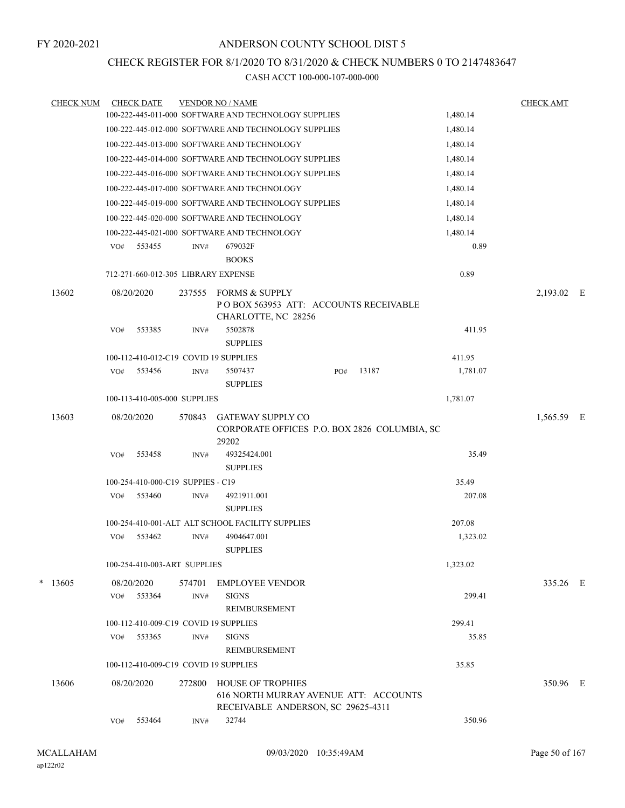## CHECK REGISTER FOR 8/1/2020 TO 8/31/2020 & CHECK NUMBERS 0 TO 2147483647

| <b>CHECK NUM</b> |     | <b>CHECK DATE</b>                   |        | <b>VENDOR NO / NAME</b>                                                                                 |     |       |          | <b>CHECK AMT</b> |  |
|------------------|-----|-------------------------------------|--------|---------------------------------------------------------------------------------------------------------|-----|-------|----------|------------------|--|
|                  |     |                                     |        | 100-222-445-011-000 SOFTWARE AND TECHNOLOGY SUPPLIES                                                    |     |       | 1,480.14 |                  |  |
|                  |     |                                     |        | 100-222-445-012-000 SOFTWARE AND TECHNOLOGY SUPPLIES                                                    |     |       | 1,480.14 |                  |  |
|                  |     |                                     |        | 100-222-445-013-000 SOFTWARE AND TECHNOLOGY                                                             |     |       | 1,480.14 |                  |  |
|                  |     |                                     |        | 100-222-445-014-000 SOFTWARE AND TECHNOLOGY SUPPLIES                                                    |     |       | 1,480.14 |                  |  |
|                  |     |                                     |        | 100-222-445-016-000 SOFTWARE AND TECHNOLOGY SUPPLIES                                                    |     |       | 1,480.14 |                  |  |
|                  |     |                                     |        | 100-222-445-017-000 SOFTWARE AND TECHNOLOGY                                                             |     |       | 1,480.14 |                  |  |
|                  |     |                                     |        | 100-222-445-019-000 SOFTWARE AND TECHNOLOGY SUPPLIES                                                    |     |       | 1,480.14 |                  |  |
|                  |     |                                     |        | 100-222-445-020-000 SOFTWARE AND TECHNOLOGY                                                             |     |       | 1,480.14 |                  |  |
|                  |     |                                     |        | 100-222-445-021-000 SOFTWARE AND TECHNOLOGY                                                             |     |       | 1,480.14 |                  |  |
|                  | VO# | 553455                              | INV#   | 679032F<br><b>BOOKS</b>                                                                                 |     |       | 0.89     |                  |  |
|                  |     | 712-271-660-012-305 LIBRARY EXPENSE |        |                                                                                                         |     |       | 0.89     |                  |  |
| 13602            |     | 08/20/2020                          | 237555 | <b>FORMS &amp; SUPPLY</b><br>POBOX 563953 ATT: ACCOUNTS RECEIVABLE                                      |     |       |          | 2,193.02 E       |  |
|                  | VO# | 553385                              | INV#   | CHARLOTTE, NC 28256<br>5502878<br><b>SUPPLIES</b>                                                       |     |       | 411.95   |                  |  |
|                  |     |                                     |        | 100-112-410-012-C19 COVID 19 SUPPLIES                                                                   |     |       | 411.95   |                  |  |
|                  | VO# | 553456                              | INV#   | 5507437<br><b>SUPPLIES</b>                                                                              | PO# | 13187 | 1,781.07 |                  |  |
|                  |     | 100-113-410-005-000 SUPPLIES        |        |                                                                                                         |     |       | 1,781.07 |                  |  |
|                  |     |                                     |        |                                                                                                         |     |       |          |                  |  |
| 13603            |     | 08/20/2020                          | 570843 | <b>GATEWAY SUPPLY CO</b><br>CORPORATE OFFICES P.O. BOX 2826 COLUMBIA, SC<br>29202                       |     |       |          | 1,565.59 E       |  |
|                  | VO# | 553458                              | INV#   | 49325424.001<br><b>SUPPLIES</b>                                                                         |     |       | 35.49    |                  |  |
|                  |     | 100-254-410-000-C19 SUPPIES - C19   |        |                                                                                                         |     |       | 35.49    |                  |  |
|                  | VO# | 553460                              | INV#   | 4921911.001<br><b>SUPPLIES</b>                                                                          |     |       | 207.08   |                  |  |
|                  |     |                                     |        | 100-254-410-001-ALT ALT SCHOOL FACILITY SUPPLIES                                                        |     |       | 207.08   |                  |  |
|                  | VO# | 553462                              | INV#   | 4904647.001<br><b>SUPPLIES</b>                                                                          |     |       | 1,323.02 |                  |  |
|                  |     | 100-254-410-003-ART SUPPLIES        |        |                                                                                                         |     |       | 1,323.02 |                  |  |
| $*$ 13605        |     | 08/20/2020                          | 574701 | <b>EMPLOYEE VENDOR</b>                                                                                  |     |       |          | 335.26 E         |  |
|                  | VO# | 553364                              | INV#   | <b>SIGNS</b><br><b>REIMBURSEMENT</b>                                                                    |     |       | 299.41   |                  |  |
|                  |     |                                     |        | 100-112-410-009-C19 COVID 19 SUPPLIES                                                                   |     |       | 299.41   |                  |  |
|                  | VO# | 553365                              | INV#   | <b>SIGNS</b><br>REIMBURSEMENT                                                                           |     |       | 35.85    |                  |  |
|                  |     |                                     |        | 100-112-410-009-C19 COVID 19 SUPPLIES                                                                   |     |       | 35.85    |                  |  |
| 13606            |     | 08/20/2020                          | 272800 | <b>HOUSE OF TROPHIES</b><br>616 NORTH MURRAY AVENUE ATT: ACCOUNTS<br>RECEIVABLE ANDERSON, SC 29625-4311 |     |       |          | 350.96 E         |  |
|                  | VO# | 553464                              | INV#   | 32744                                                                                                   |     |       | 350.96   |                  |  |
|                  |     |                                     |        |                                                                                                         |     |       |          |                  |  |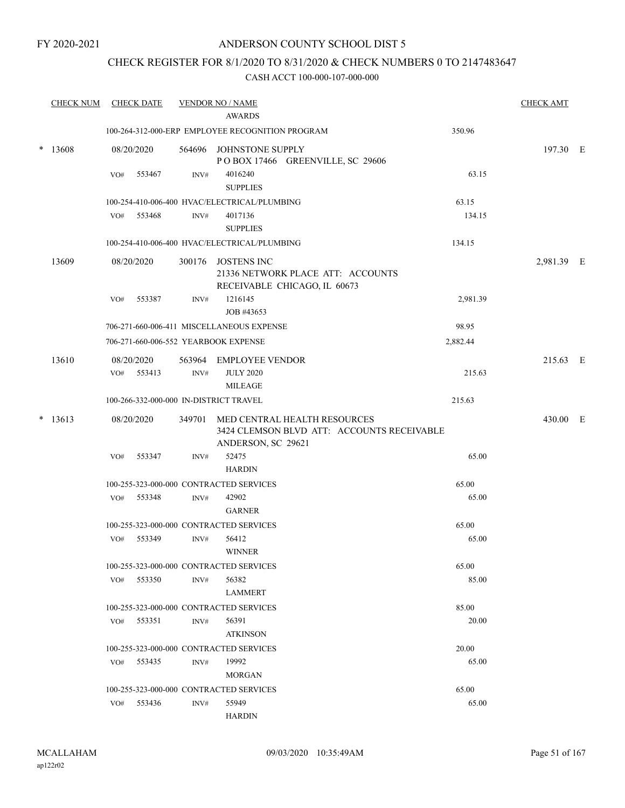## ANDERSON COUNTY SCHOOL DIST 5

## CHECK REGISTER FOR 8/1/2020 TO 8/31/2020 & CHECK NUMBERS 0 TO 2147483647

|        | <b>CHECK NUM</b> |     | <b>CHECK DATE</b>        |                | <b>VENDOR NO / NAME</b><br><b>AWARDS</b>                                                |          | <b>CHECK AMT</b> |  |
|--------|------------------|-----|--------------------------|----------------|-----------------------------------------------------------------------------------------|----------|------------------|--|
|        |                  |     |                          |                | 100-264-312-000-ERP EMPLOYEE RECOGNITION PROGRAM                                        | 350.96   |                  |  |
| *      | 13608            |     | 08/20/2020               |                | 564696 JOHNSTONE SUPPLY<br>POBOX 17466 GREENVILLE, SC 29606                             |          | 197.30 E         |  |
|        |                  | VO# | 553467                   | INV#           | 4016240<br><b>SUPPLIES</b>                                                              | 63.15    |                  |  |
|        |                  |     |                          |                | 100-254-410-006-400 HVAC/ELECTRICAL/PLUMBING                                            | 63.15    |                  |  |
|        |                  | VO# | 553468                   | INV#           | 4017136                                                                                 | 134.15   |                  |  |
|        |                  |     |                          |                | <b>SUPPLIES</b>                                                                         |          |                  |  |
|        |                  |     |                          |                | 100-254-410-006-400 HVAC/ELECTRICAL/PLUMBING                                            | 134.15   |                  |  |
|        | 13609            |     | 08/20/2020               |                | 300176 JOSTENS INC<br>21336 NETWORK PLACE ATT: ACCOUNTS<br>RECEIVABLE CHICAGO, IL 60673 |          | 2,981.39 E       |  |
|        |                  | VO# | 553387                   | INV#           | 1216145<br>JOB #43653                                                                   | 2,981.39 |                  |  |
|        |                  |     |                          |                | 706-271-660-006-411 MISCELLANEOUS EXPENSE                                               | 98.95    |                  |  |
|        |                  |     |                          |                | 706-271-660-006-552 YEARBOOK EXPENSE                                                    | 2,882.44 |                  |  |
|        |                  |     |                          |                |                                                                                         |          |                  |  |
|        | 13610            |     | 08/20/2020<br>VO# 553413 | $\text{INV}\#$ | 563964 EMPLOYEE VENDOR<br><b>JULY 2020</b>                                              | 215.63   | 215.63 E         |  |
|        |                  |     |                          |                | <b>MILEAGE</b>                                                                          |          |                  |  |
|        |                  |     |                          |                | 100-266-332-000-000 IN-DISTRICT TRAVEL                                                  | 215.63   |                  |  |
| $\ast$ | 13613            |     | 08/20/2020               |                | 349701 MED CENTRAL HEALTH RESOURCES                                                     |          | 430.00 E         |  |
|        |                  |     |                          |                | 3424 CLEMSON BLVD ATT: ACCOUNTS RECEIVABLE<br>ANDERSON, SC 29621                        |          |                  |  |
|        |                  | VO# | 553347                   | INV#           | 52475<br><b>HARDIN</b>                                                                  | 65.00    |                  |  |
|        |                  |     |                          |                | 100-255-323-000-000 CONTRACTED SERVICES                                                 | 65.00    |                  |  |
|        |                  | VO# | 553348                   | INV#           | 42902<br><b>GARNER</b>                                                                  | 65.00    |                  |  |
|        |                  |     |                          |                | 100-255-323-000-000 CONTRACTED SERVICES                                                 | 65.00    |                  |  |
|        |                  | VO# | 553349                   | INV#           | 56412                                                                                   | 65.00    |                  |  |
|        |                  |     |                          |                | <b>WINNER</b>                                                                           |          |                  |  |
|        |                  |     |                          |                | 100-255-323-000-000 CONTRACTED SERVICES                                                 | 65.00    |                  |  |
|        |                  | VO# | 553350                   | INV#           | 56382                                                                                   | 85.00    |                  |  |
|        |                  |     |                          |                | <b>LAMMERT</b>                                                                          |          |                  |  |
|        |                  |     |                          |                | 100-255-323-000-000 CONTRACTED SERVICES                                                 | 85.00    |                  |  |
|        |                  |     | $VO#$ 553351             | INV#           | 56391                                                                                   | 20.00    |                  |  |
|        |                  |     |                          |                | <b>ATKINSON</b>                                                                         |          |                  |  |
|        |                  |     |                          |                | 100-255-323-000-000 CONTRACTED SERVICES                                                 | 20.00    |                  |  |
|        |                  | VO# | 553435                   | INV#           | 19992                                                                                   | 65.00    |                  |  |
|        |                  |     |                          |                | <b>MORGAN</b>                                                                           |          |                  |  |
|        |                  |     |                          |                | 100-255-323-000-000 CONTRACTED SERVICES                                                 | 65.00    |                  |  |
|        |                  | VO# | 553436                   | INV#           | 55949                                                                                   | 65.00    |                  |  |
|        |                  |     |                          |                | <b>HARDIN</b>                                                                           |          |                  |  |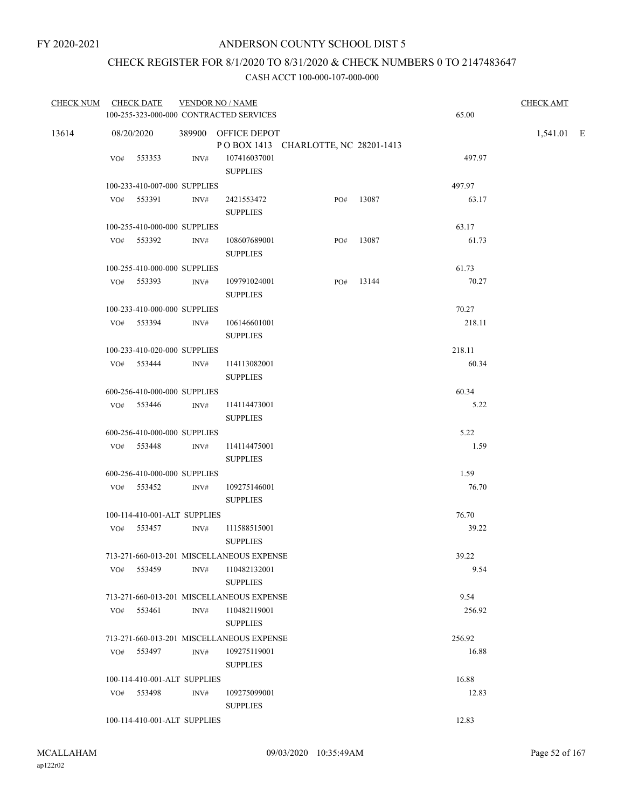## CHECK REGISTER FOR 8/1/2020 TO 8/31/2020 & CHECK NUMBERS 0 TO 2147483647

|       | CHECK NUM CHECK DATE                      |      | <b>VENDOR NO / NAME</b>                   |                                     |       |        | <b>CHECK AMT</b> |  |
|-------|-------------------------------------------|------|-------------------------------------------|-------------------------------------|-------|--------|------------------|--|
|       | 100-255-323-000-000 CONTRACTED SERVICES   |      |                                           |                                     |       | 65.00  |                  |  |
| 13614 | 08/20/2020                                |      | 389900 OFFICE DEPOT                       | POBOX 1413 CHARLOTTE, NC 28201-1413 |       |        | 1,541.01 E       |  |
|       | VO# 553353                                | INV# | 107416037001<br><b>SUPPLIES</b>           |                                     |       | 497.97 |                  |  |
|       | 100-233-410-007-000 SUPPLIES              |      |                                           |                                     |       | 497.97 |                  |  |
|       | VO# 553391                                | INV# | 2421553472<br><b>SUPPLIES</b>             | PO#                                 | 13087 | 63.17  |                  |  |
|       | 100-255-410-000-000 SUPPLIES              |      |                                           |                                     |       | 63.17  |                  |  |
|       | VO# 553392                                | INV# | 108607689001<br><b>SUPPLIES</b>           | PO#                                 | 13087 | 61.73  |                  |  |
|       | 100-255-410-000-000 SUPPLIES              |      |                                           |                                     |       | 61.73  |                  |  |
|       | VO# 553393                                | INV# | 109791024001<br><b>SUPPLIES</b>           | PO#                                 | 13144 | 70.27  |                  |  |
|       | 100-233-410-000-000 SUPPLIES              |      |                                           |                                     |       | 70.27  |                  |  |
|       | VO# 553394                                | INV# | 106146601001<br><b>SUPPLIES</b>           |                                     |       | 218.11 |                  |  |
|       | 100-233-410-020-000 SUPPLIES              |      |                                           |                                     |       | 218.11 |                  |  |
|       | VO# 553444                                | INV# | 114113082001<br><b>SUPPLIES</b>           |                                     |       | 60.34  |                  |  |
|       | 600-256-410-000-000 SUPPLIES              |      |                                           |                                     |       | 60.34  |                  |  |
|       | VO# 553446                                | INV# | 114114473001<br><b>SUPPLIES</b>           |                                     |       | 5.22   |                  |  |
|       | 600-256-410-000-000 SUPPLIES              |      |                                           |                                     |       | 5.22   |                  |  |
|       | VO# 553448                                | INV# | 114114475001<br><b>SUPPLIES</b>           |                                     |       | 1.59   |                  |  |
|       | 600-256-410-000-000 SUPPLIES              |      |                                           |                                     |       | 1.59   |                  |  |
|       | VO# 553452                                | INV# | 109275146001<br><b>SUPPLIES</b>           |                                     |       | 76.70  |                  |  |
|       | 100-114-410-001-ALT SUPPLIES              |      |                                           |                                     |       | 76.70  |                  |  |
|       | VO# 553457                                | INV# | 111588515001<br><b>SUPPLIES</b>           |                                     |       | 39.22  |                  |  |
|       | 713-271-660-013-201 MISCELLANEOUS EXPENSE |      |                                           |                                     |       | 39.22  |                  |  |
|       | VO# 553459                                | INV# | 110482132001<br><b>SUPPLIES</b>           |                                     |       | 9.54   |                  |  |
|       |                                           |      | 713-271-660-013-201 MISCELLANEOUS EXPENSE |                                     |       | 9.54   |                  |  |
|       | VO# 553461                                | INV# | 110482119001<br><b>SUPPLIES</b>           |                                     |       | 256.92 |                  |  |
|       |                                           |      | 713-271-660-013-201 MISCELLANEOUS EXPENSE |                                     |       | 256.92 |                  |  |
|       | 553497<br>VO#                             | INV# | 109275119001<br><b>SUPPLIES</b>           |                                     |       | 16.88  |                  |  |
|       | 100-114-410-001-ALT SUPPLIES              |      |                                           |                                     |       | 16.88  |                  |  |
|       | VO# 553498                                | INV# | 109275099001<br><b>SUPPLIES</b>           |                                     |       | 12.83  |                  |  |
|       | 100-114-410-001-ALT SUPPLIES              |      |                                           |                                     |       | 12.83  |                  |  |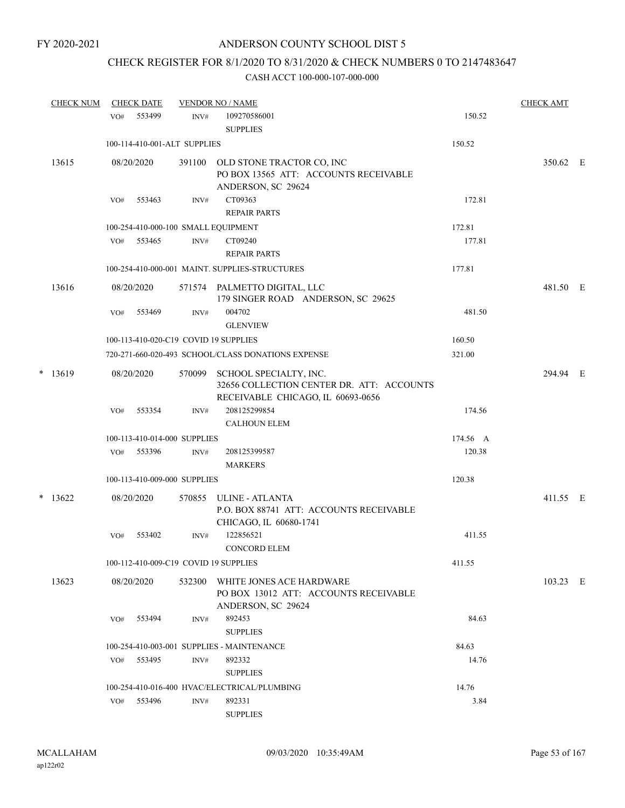## CHECK REGISTER FOR 8/1/2020 TO 8/31/2020 & CHECK NUMBERS 0 TO 2147483647

| <b>CHECK NUM</b> |     | <b>CHECK DATE</b>            |                | <b>VENDOR NO / NAME</b>                                                                                  |          | <b>CHECK AMT</b> |  |
|------------------|-----|------------------------------|----------------|----------------------------------------------------------------------------------------------------------|----------|------------------|--|
|                  | VO# | 553499                       | INV#           | 109270586001<br><b>SUPPLIES</b>                                                                          | 150.52   |                  |  |
|                  |     | 100-114-410-001-ALT SUPPLIES |                |                                                                                                          | 150.52   |                  |  |
| 13615            |     | 08/20/2020                   |                | 391100 OLD STONE TRACTOR CO, INC<br>PO BOX 13565 ATT: ACCOUNTS RECEIVABLE<br>ANDERSON, SC 29624          |          | 350.62 E         |  |
|                  | VO# | 553463                       | INV#           | CT09363                                                                                                  | 172.81   |                  |  |
|                  |     |                              |                | <b>REPAIR PARTS</b>                                                                                      |          |                  |  |
|                  |     |                              |                | 100-254-410-000-100 SMALL EQUIPMENT                                                                      | 172.81   |                  |  |
|                  |     | VO# 553465                   | INV#           | CT09240                                                                                                  | 177.81   |                  |  |
|                  |     |                              |                | <b>REPAIR PARTS</b>                                                                                      |          |                  |  |
|                  |     |                              |                | 100-254-410-000-001 MAINT. SUPPLIES-STRUCTURES                                                           | 177.81   |                  |  |
| 13616            |     | 08/20/2020                   |                | 571574 PALMETTO DIGITAL, LLC<br>179 SINGER ROAD ANDERSON, SC 29625                                       |          | 481.50 E         |  |
|                  | VO# | 553469                       | $\text{INV}\#$ | 004702<br><b>GLENVIEW</b>                                                                                | 481.50   |                  |  |
|                  |     |                              |                | 100-113-410-020-C19 COVID 19 SUPPLIES                                                                    | 160.50   |                  |  |
|                  |     |                              |                | 720-271-660-020-493 SCHOOL/CLASS DONATIONS EXPENSE                                                       | 321.00   |                  |  |
| $*$ 13619        |     | 08/20/2020                   | 570099         | SCHOOL SPECIALTY, INC.<br>32656 COLLECTION CENTER DR. ATT: ACCOUNTS<br>RECEIVABLE CHICAGO, IL 60693-0656 |          | 294.94 E         |  |
|                  | VO# | 553354                       | INV#           | 208125299854<br><b>CALHOUN ELEM</b>                                                                      | 174.56   |                  |  |
|                  |     | 100-113-410-014-000 SUPPLIES |                |                                                                                                          | 174.56 A |                  |  |
|                  | VO# | 553396                       | INV#           | 208125399587<br><b>MARKERS</b>                                                                           | 120.38   |                  |  |
|                  |     | 100-113-410-009-000 SUPPLIES |                |                                                                                                          | 120.38   |                  |  |
| $*$ 13622        |     | 08/20/2020                   | 570855         | ULINE - ATLANTA<br>P.O. BOX 88741 ATT: ACCOUNTS RECEIVABLE<br>CHICAGO, IL 60680-1741                     |          | 411.55 E         |  |
|                  | VO# | 553402                       | INV#           | 122856521<br><b>CONCORD ELEM</b>                                                                         | 411.55   |                  |  |
|                  |     |                              |                | 100-112-410-009-C19 COVID 19 SUPPLIES                                                                    | 411.55   |                  |  |
| 13623            |     | 08/20/2020                   | 532300         | WHITE JONES ACE HARDWARE<br>PO BOX 13012 ATT: ACCOUNTS RECEIVABLE<br>ANDERSON, SC 29624                  |          | 103.23 E         |  |
|                  | VO# | 553494                       | INV#           | 892453<br><b>SUPPLIES</b>                                                                                | 84.63    |                  |  |
|                  |     |                              |                | 100-254-410-003-001 SUPPLIES - MAINTENANCE                                                               | 84.63    |                  |  |
|                  | VO# | 553495                       | INV#           | 892332<br><b>SUPPLIES</b>                                                                                | 14.76    |                  |  |
|                  |     |                              |                | 100-254-410-016-400 HVAC/ELECTRICAL/PLUMBING                                                             | 14.76    |                  |  |
|                  | VO# | 553496                       | INV#           | 892331<br><b>SUPPLIES</b>                                                                                | 3.84     |                  |  |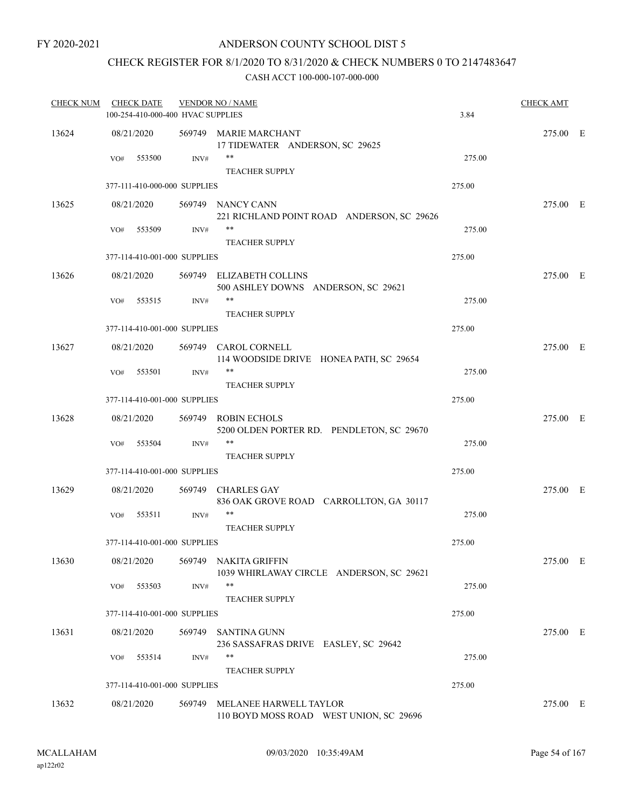## CHECK REGISTER FOR 8/1/2020 TO 8/31/2020 & CHECK NUMBERS 0 TO 2147483647

| <b>CHECK NUM</b> |     | <b>CHECK DATE</b> | 100-254-410-000-400 HVAC SUPPLIES | <b>VENDOR NO / NAME</b>                                                   | 3.84   | <b>CHECK AMT</b> |  |
|------------------|-----|-------------------|-----------------------------------|---------------------------------------------------------------------------|--------|------------------|--|
| 13624            |     | 08/21/2020        |                                   | 569749 MARIE MARCHANT<br>17 TIDEWATER ANDERSON, SC 29625                  |        | 275.00 E         |  |
|                  | VO# | 553500            | INV#                              | **<br><b>TEACHER SUPPLY</b>                                               | 275.00 |                  |  |
|                  |     |                   | 377-111-410-000-000 SUPPLIES      |                                                                           | 275.00 |                  |  |
| 13625            |     | 08/21/2020        |                                   | 569749 NANCY CANN<br>221 RICHLAND POINT ROAD ANDERSON, SC 29626           |        | 275.00 E         |  |
|                  | VO# | 553509            | INV#                              | **<br><b>TEACHER SUPPLY</b>                                               | 275.00 |                  |  |
|                  |     |                   | 377-114-410-001-000 SUPPLIES      |                                                                           | 275.00 |                  |  |
| 13626            |     | 08/21/2020        |                                   | 569749 ELIZABETH COLLINS<br>500 ASHLEY DOWNS ANDERSON, SC 29621           |        | 275.00 E         |  |
|                  | VO# | 553515            | INV#                              | **<br><b>TEACHER SUPPLY</b>                                               | 275.00 |                  |  |
|                  |     |                   | 377-114-410-001-000 SUPPLIES      |                                                                           | 275.00 |                  |  |
| 13627            |     | 08/21/2020        |                                   | 569749 CAROL CORNELL<br>114 WOODSIDE DRIVE HONEA PATH, SC 29654           |        | 275.00 E         |  |
|                  | VO# | 553501            | INV#                              | **                                                                        | 275.00 |                  |  |
|                  |     |                   | 377-114-410-001-000 SUPPLIES      | <b>TEACHER SUPPLY</b>                                                     | 275.00 |                  |  |
|                  |     |                   |                                   |                                                                           |        |                  |  |
| 13628            |     | 08/21/2020        |                                   | 569749 ROBIN ECHOLS<br>5200 OLDEN PORTER RD. PENDLETON, SC 29670<br>$***$ |        | 275.00 E         |  |
|                  | VO# | 553504            | INV#                              | <b>TEACHER SUPPLY</b>                                                     | 275.00 |                  |  |
|                  |     |                   | 377-114-410-001-000 SUPPLIES      |                                                                           | 275.00 |                  |  |
| 13629            |     | 08/21/2020        |                                   | 569749 CHARLES GAY<br>836 OAK GROVE ROAD CARROLLTON, GA 30117             |        | 275.00 E         |  |
|                  | VO# | 553511            | INV#                              | **<br><b>TEACHER SUPPLY</b>                                               | 275.00 |                  |  |
|                  |     |                   | 377-114-410-001-000 SUPPLIES      |                                                                           | 275.00 |                  |  |
| 13630            |     | 08/21/2020        |                                   | 569749 NAKITA GRIFFIN<br>1039 WHIRLAWAY CIRCLE ANDERSON, SC 29621         |        | 275.00 E         |  |
|                  | VO# | 553503            | INV#                              | **<br><b>TEACHER SUPPLY</b>                                               | 275.00 |                  |  |
|                  |     |                   | 377-114-410-001-000 SUPPLIES      |                                                                           | 275.00 |                  |  |
| 13631            |     | 08/21/2020        |                                   | 569749 SANTINA GUNN<br>236 SASSAFRAS DRIVE EASLEY, SC 29642               |        | 275.00 E         |  |
|                  | VO# | 553514            | INV#                              | **<br>TEACHER SUPPLY                                                      | 275.00 |                  |  |
|                  |     |                   | 377-114-410-001-000 SUPPLIES      |                                                                           | 275.00 |                  |  |
| 13632            |     | 08/21/2020        |                                   | 569749 MELANEE HARWELL TAYLOR<br>110 BOYD MOSS ROAD WEST UNION, SC 29696  |        | 275.00 E         |  |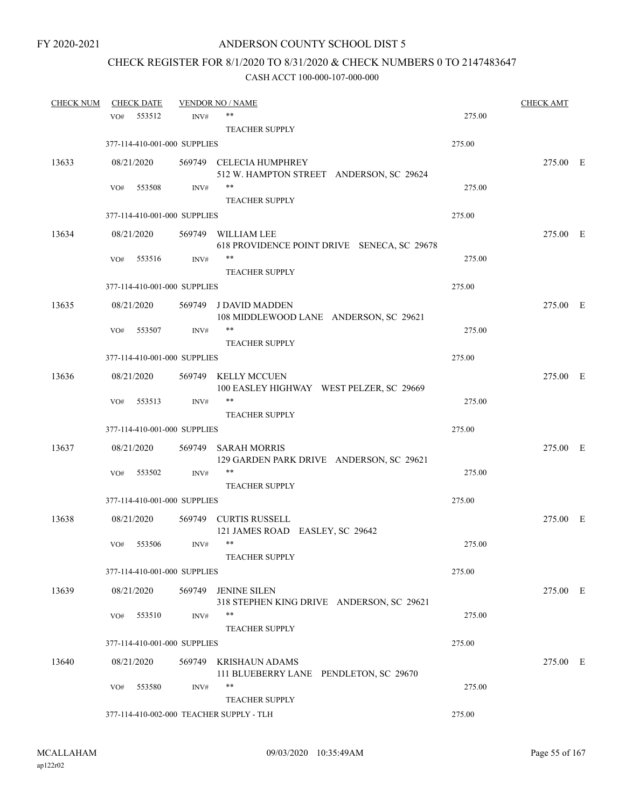# CHECK REGISTER FOR 8/1/2020 TO 8/31/2020 & CHECK NUMBERS 0 TO 2147483647

| <b>CHECK NUM</b> |            | <b>CHECK DATE</b> |                              | <b>VENDOR NO / NAME</b>                                             |        | <b>CHECK AMT</b> |  |
|------------------|------------|-------------------|------------------------------|---------------------------------------------------------------------|--------|------------------|--|
|                  | VO#        | 553512            | INV#                         | **                                                                  | 275.00 |                  |  |
|                  |            |                   |                              | <b>TEACHER SUPPLY</b>                                               |        |                  |  |
|                  |            |                   | 377-114-410-001-000 SUPPLIES |                                                                     | 275.00 |                  |  |
| 13633            | 08/21/2020 |                   |                              | 569749 CELECIA HUMPHREY<br>512 W. HAMPTON STREET ANDERSON, SC 29624 |        | 275.00 E         |  |
|                  | VO#        | 553508            | INV#                         | **                                                                  | 275.00 |                  |  |
|                  |            |                   |                              | <b>TEACHER SUPPLY</b>                                               |        |                  |  |
|                  |            |                   | 377-114-410-001-000 SUPPLIES |                                                                     | 275.00 |                  |  |
| 13634            | 08/21/2020 |                   |                              | 569749 WILLIAM LEE<br>618 PROVIDENCE POINT DRIVE SENECA, SC 29678   |        | 275.00 E         |  |
|                  | VO#        | 553516            | INV#                         | **<br><b>TEACHER SUPPLY</b>                                         | 275.00 |                  |  |
|                  |            |                   | 377-114-410-001-000 SUPPLIES |                                                                     | 275.00 |                  |  |
| 13635            | 08/21/2020 |                   |                              | 569749 J DAVID MADDEN<br>108 MIDDLEWOOD LANE ANDERSON, SC 29621     |        | 275.00 E         |  |
|                  | VO#        | 553507            | INV#                         | **<br><b>TEACHER SUPPLY</b>                                         | 275.00 |                  |  |
|                  |            |                   | 377-114-410-001-000 SUPPLIES |                                                                     | 275.00 |                  |  |
|                  |            |                   |                              |                                                                     |        |                  |  |
| 13636            | 08/21/2020 |                   |                              | 569749 KELLY MCCUEN<br>100 EASLEY HIGHWAY WEST PELZER, SC 29669     |        | 275.00 E         |  |
|                  | VO#        | 553513            | INV#                         | **<br><b>TEACHER SUPPLY</b>                                         | 275.00 |                  |  |
|                  |            |                   | 377-114-410-001-000 SUPPLIES |                                                                     | 275.00 |                  |  |
| 13637            | 08/21/2020 |                   | 569749                       | <b>SARAH MORRIS</b><br>129 GARDEN PARK DRIVE ANDERSON, SC 29621     |        | 275.00 E         |  |
|                  | VO#        | 553502            | INV#                         | **<br><b>TEACHER SUPPLY</b>                                         | 275.00 |                  |  |
|                  |            |                   | 377-114-410-001-000 SUPPLIES |                                                                     | 275.00 |                  |  |
| 13638            | 08/21/2020 |                   |                              | 569749 CURTIS RUSSELL                                               |        | 275.00 E         |  |
|                  | VO#        | 553506            | INV#                         | 121 JAMES ROAD EASLEY, SC 29642<br>$***$<br>TEACHER SUPPLY          | 275.00 |                  |  |
|                  |            |                   | 377-114-410-001-000 SUPPLIES |                                                                     | 275.00 |                  |  |
|                  |            |                   |                              |                                                                     |        |                  |  |
| 13639            | 08/21/2020 |                   | 569749                       | <b>JENINE SILEN</b><br>318 STEPHEN KING DRIVE ANDERSON, SC 29621    |        | 275.00 E         |  |
|                  | VO#        | 553510            | INV#                         | **                                                                  | 275.00 |                  |  |
|                  |            |                   | 377-114-410-001-000 SUPPLIES | <b>TEACHER SUPPLY</b>                                               | 275.00 |                  |  |
|                  |            |                   |                              |                                                                     |        |                  |  |
| 13640            | 08/21/2020 |                   | 569749                       | <b>KRISHAUN ADAMS</b><br>111 BLUEBERRY LANE PENDLETON, SC 29670     |        | 275.00 E         |  |
|                  | VO#        | 553580            | INV#                         | **                                                                  | 275.00 |                  |  |
|                  |            |                   |                              | <b>TEACHER SUPPLY</b><br>377-114-410-002-000 TEACHER SUPPLY - TLH   | 275.00 |                  |  |
|                  |            |                   |                              |                                                                     |        |                  |  |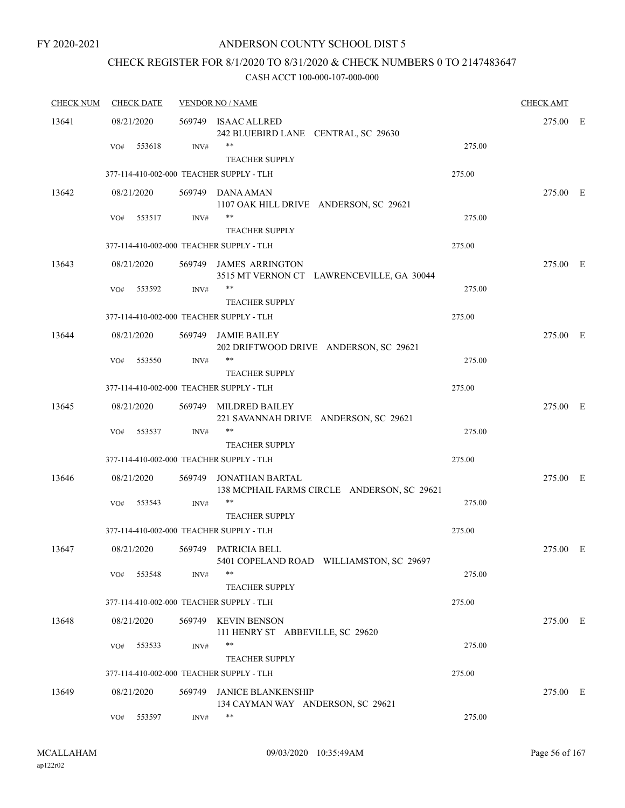## CHECK REGISTER FOR 8/1/2020 TO 8/31/2020 & CHECK NUMBERS 0 TO 2147483647

| <b>CHECK NUM</b> | <b>CHECK DATE</b> |                | <b>VENDOR NO / NAME</b>                                             |        | <b>CHECK AMT</b> |  |
|------------------|-------------------|----------------|---------------------------------------------------------------------|--------|------------------|--|
| 13641            | 08/21/2020        |                | 569749 ISAAC ALLRED<br>242 BLUEBIRD LANE CENTRAL, SC 29630          |        | 275.00 E         |  |
|                  | VO#               | 553618<br>INV# | **<br><b>TEACHER SUPPLY</b>                                         | 275.00 |                  |  |
|                  |                   |                | 377-114-410-002-000 TEACHER SUPPLY - TLH                            | 275.00 |                  |  |
| 13642            | 08/21/2020        |                | 569749 DANA AMAN<br>1107 OAK HILL DRIVE ANDERSON, SC 29621          |        | 275.00 E         |  |
|                  | VO#               | 553517<br>INV# | $***$<br><b>TEACHER SUPPLY</b>                                      | 275.00 |                  |  |
|                  |                   |                | 377-114-410-002-000 TEACHER SUPPLY - TLH                            | 275.00 |                  |  |
| 13643            | 08/21/2020        |                | 569749 JAMES ARRINGTON<br>3515 MT VERNON CT LAWRENCEVILLE, GA 30044 |        | 275.00 E         |  |
|                  | VO#               | 553592<br>INV# | $***$<br><b>TEACHER SUPPLY</b>                                      | 275.00 |                  |  |
|                  |                   |                | 377-114-410-002-000 TEACHER SUPPLY - TLH                            | 275.00 |                  |  |
| 13644            | 08/21/2020        | 569749         | JAMIE BAILEY<br>202 DRIFTWOOD DRIVE ANDERSON, SC 29621              |        | 275.00 E         |  |
|                  | VO#               | 553550<br>INV# | **                                                                  | 275.00 |                  |  |
|                  |                   |                | <b>TEACHER SUPPLY</b><br>377-114-410-002-000 TEACHER SUPPLY - TLH   | 275.00 |                  |  |
| 13645            | 08/21/2020        | 569749         | MILDRED BAILEY<br>221 SAVANNAH DRIVE ANDERSON, SC 29621             |        | 275.00 E         |  |
|                  | VO#               | 553537<br>INV# | $***$<br><b>TEACHER SUPPLY</b>                                      | 275.00 |                  |  |
|                  |                   |                | 377-114-410-002-000 TEACHER SUPPLY - TLH                            | 275.00 |                  |  |
| 13646            | 08/21/2020        | 569749         | JONATHAN BARTAL<br>138 MCPHAIL FARMS CIRCLE ANDERSON, SC 29621      |        | 275.00 E         |  |
|                  | VO#               | 553543<br>INV# | **<br><b>TEACHER SUPPLY</b>                                         | 275.00 |                  |  |
|                  |                   |                | 377-114-410-002-000 TEACHER SUPPLY - TLH                            | 275.00 |                  |  |
| 13647            | 08/21/2020        | 569749         | PATRICIA BELL<br>5401 COPELAND ROAD WILLIAMSTON, SC 29697           |        | 275.00 E         |  |
|                  | VO#               | 553548<br>INV# | $***$<br><b>TEACHER SUPPLY</b>                                      | 275.00 |                  |  |
|                  |                   |                | 377-114-410-002-000 TEACHER SUPPLY - TLH                            | 275.00 |                  |  |
| 13648            | 08/21/2020        |                | 569749 KEVIN BENSON<br>111 HENRY ST ABBEVILLE, SC 29620             |        | 275.00 E         |  |
|                  | VO#               | 553533<br>INV# | $***$<br><b>TEACHER SUPPLY</b>                                      | 275.00 |                  |  |
|                  |                   |                | 377-114-410-002-000 TEACHER SUPPLY - TLH                            | 275.00 |                  |  |
| 13649            | 08/21/2020        | 569749         | <b>JANICE BLANKENSHIP</b><br>134 CAYMAN WAY ANDERSON, SC 29621      |        | 275.00 E         |  |
|                  | VO#               | 553597<br>INV# | **                                                                  | 275.00 |                  |  |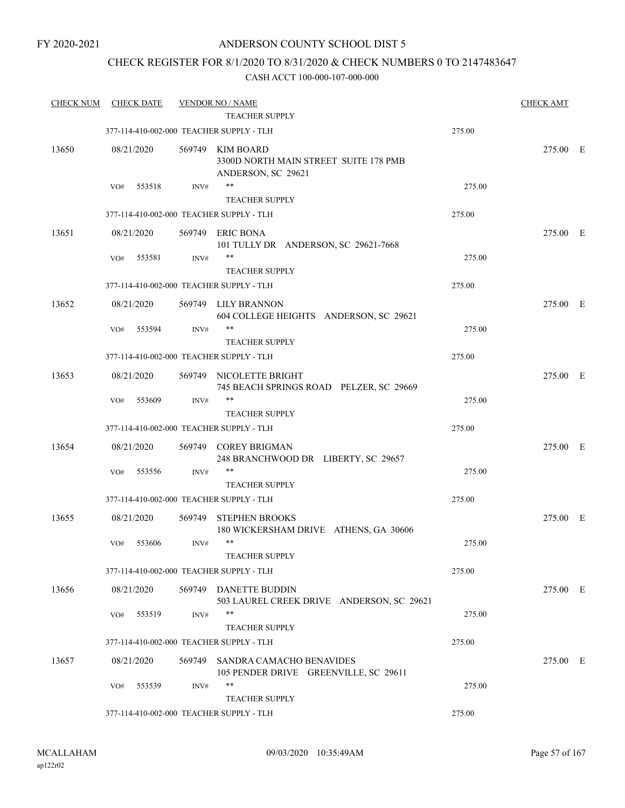## CHECK REGISTER FOR 8/1/2020 TO 8/31/2020 & CHECK NUMBERS 0 TO 2147483647

| <b>CHECK NUM</b> | <b>CHECK DATE</b> |        | <b>VENDOR NO / NAME</b><br><b>TEACHER SUPPLY</b>                                |        | <b>CHECK AMT</b> |  |
|------------------|-------------------|--------|---------------------------------------------------------------------------------|--------|------------------|--|
|                  |                   |        | 377-114-410-002-000 TEACHER SUPPLY - TLH                                        | 275.00 |                  |  |
| 13650            | 08/21/2020        |        | 569749 KIM BOARD<br>3300D NORTH MAIN STREET SUITE 178 PMB<br>ANDERSON, SC 29621 |        | 275.00 E         |  |
|                  | VO#<br>553518     | INV#   | **                                                                              | 275.00 |                  |  |
|                  |                   |        | <b>TEACHER SUPPLY</b>                                                           |        |                  |  |
|                  |                   |        | 377-114-410-002-000 TEACHER SUPPLY - TLH                                        | 275.00 |                  |  |
| 13651            | 08/21/2020        |        | 569749 ERIC BONA<br>101 TULLY DR ANDERSON, SC 29621-7668                        |        | 275.00 E         |  |
|                  | 553581<br>VO#     | INV#   | **<br><b>TEACHER SUPPLY</b>                                                     | 275.00 |                  |  |
|                  |                   |        | 377-114-410-002-000 TEACHER SUPPLY - TLH                                        | 275.00 |                  |  |
| 13652            | 08/21/2020        |        | 569749 LILY BRANNON<br>604 COLLEGE HEIGHTS ANDERSON, SC 29621                   |        | 275.00 E         |  |
|                  | 553594<br>VO#     | INV#   | $***$                                                                           | 275.00 |                  |  |
|                  |                   |        | <b>TEACHER SUPPLY</b>                                                           |        |                  |  |
|                  |                   |        | 377-114-410-002-000 TEACHER SUPPLY - TLH                                        | 275.00 |                  |  |
| 13653            | 08/21/2020        |        | 569749 NICOLETTE BRIGHT<br>745 BEACH SPRINGS ROAD PELZER, SC 29669              |        | 275.00 E         |  |
|                  | 553609<br>VO#     | INV#   | $***$                                                                           | 275.00 |                  |  |
|                  |                   |        | <b>TEACHER SUPPLY</b>                                                           |        |                  |  |
|                  |                   |        | 377-114-410-002-000 TEACHER SUPPLY - TLH                                        | 275.00 |                  |  |
| 13654            | 08/21/2020        |        | 569749 COREY BRIGMAN<br>248 BRANCHWOOD DR LIBERTY, SC 29657                     |        | 275.00 E         |  |
|                  | 553556<br>VO#     | INV#   | $***$                                                                           | 275.00 |                  |  |
|                  |                   |        | <b>TEACHER SUPPLY</b><br>377-114-410-002-000 TEACHER SUPPLY - TLH               | 275.00 |                  |  |
|                  |                   |        |                                                                                 |        |                  |  |
| 13655            | 08/21/2020        | 569749 | STEPHEN BROOKS<br>180 WICKERSHAM DRIVE ATHENS, GA 30606                         |        | 275.00 E         |  |
|                  | 553606<br>VO#     | INV#   | $***$<br>TEACHER SUPPLY                                                         | 275.00 |                  |  |
|                  |                   |        | 377-114-410-002-000 TEACHER SUPPLY - TLH                                        | 275.00 |                  |  |
| 13656            | 08/21/2020        |        | 569749 DANETTE BUDDIN                                                           |        | 275.00 E         |  |
|                  | 553519<br>VO#     | INV#   | 503 LAUREL CREEK DRIVE ANDERSON, SC 29621<br>**                                 | 275.00 |                  |  |
|                  |                   |        | <b>TEACHER SUPPLY</b>                                                           |        |                  |  |
|                  |                   |        | 377-114-410-002-000 TEACHER SUPPLY - TLH                                        | 275.00 |                  |  |
| 13657            | 08/21/2020        |        | 569749 SANDRA CAMACHO BENAVIDES<br>105 PENDER DRIVE GREENVILLE, SC 29611        |        | 275.00 E         |  |
|                  | VO#<br>553539     | INV#   | $***$<br><b>TEACHER SUPPLY</b>                                                  | 275.00 |                  |  |
|                  |                   |        | 377-114-410-002-000 TEACHER SUPPLY - TLH                                        | 275.00 |                  |  |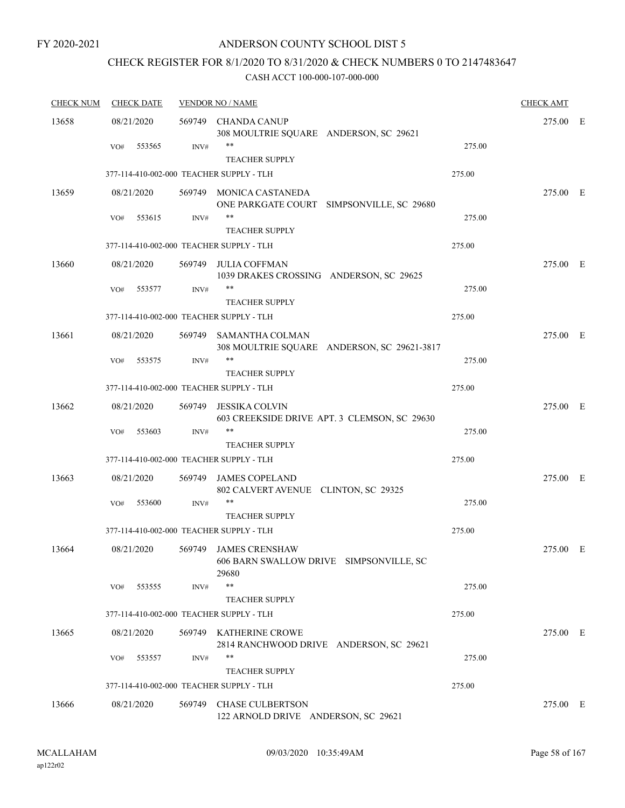## ANDERSON COUNTY SCHOOL DIST 5

## CHECK REGISTER FOR 8/1/2020 TO 8/31/2020 & CHECK NUMBERS 0 TO 2147483647

| <b>CHECK NUM</b> | <b>CHECK DATE</b>                        |        | <b>VENDOR NO / NAME</b>                                                   |        | <b>CHECK AMT</b> |     |
|------------------|------------------------------------------|--------|---------------------------------------------------------------------------|--------|------------------|-----|
| 13658            | 08/21/2020                               | 569749 | <b>CHANDA CANUP</b><br>308 MOULTRIE SQUARE ANDERSON, SC 29621             |        | 275.00           | – E |
|                  | 553565<br>VO#                            | INV#   | **<br><b>TEACHER SUPPLY</b>                                               | 275.00 |                  |     |
|                  | 377-114-410-002-000 TEACHER SUPPLY - TLH |        |                                                                           | 275.00 |                  |     |
| 13659            | 08/21/2020                               |        | 569749 MONICA CASTANEDA<br>ONE PARKGATE COURT SIMPSONVILLE, SC 29680      |        | 275.00 E         |     |
|                  | 553615<br>VO#                            | INV#   | **<br><b>TEACHER SUPPLY</b>                                               | 275.00 |                  |     |
|                  | 377-114-410-002-000 TEACHER SUPPLY - TLH |        |                                                                           | 275.00 |                  |     |
| 13660            | 08/21/2020                               | 569749 | <b>JULIA COFFMAN</b><br>1039 DRAKES CROSSING ANDERSON, SC 29625           |        | 275.00 E         |     |
|                  | VO#<br>553577                            | INV#   | **<br><b>TEACHER SUPPLY</b>                                               | 275.00 |                  |     |
|                  | 377-114-410-002-000 TEACHER SUPPLY - TLH |        |                                                                           | 275.00 |                  |     |
| 13661            | 08/21/2020                               | 569749 | SAMANTHA COLMAN<br>308 MOULTRIE SQUARE ANDERSON, SC 29621-3817            |        | 275.00 E         |     |
|                  | 553575<br>VO#                            | INV#   | **<br><b>TEACHER SUPPLY</b>                                               | 275.00 |                  |     |
|                  | 377-114-410-002-000 TEACHER SUPPLY - TLH |        |                                                                           | 275.00 |                  |     |
| 13662            | 08/21/2020                               | 569749 | <b>JESSIKA COLVIN</b><br>603 CREEKSIDE DRIVE APT. 3 CLEMSON, SC 29630     |        | 275.00 E         |     |
|                  | VO#<br>553603                            | INV#   | **                                                                        | 275.00 |                  |     |
|                  |                                          |        | <b>TEACHER SUPPLY</b>                                                     |        |                  |     |
|                  | 377-114-410-002-000 TEACHER SUPPLY - TLH |        |                                                                           | 275.00 |                  |     |
| 13663            | 08/21/2020                               | 569749 | <b>JAMES COPELAND</b><br>802 CALVERT AVENUE CLINTON, SC 29325             |        | 275.00 E         |     |
|                  | 553600<br>VO#                            | INV#   | **<br><b>TEACHER SUPPLY</b>                                               | 275.00 |                  |     |
|                  | 377-114-410-002-000 TEACHER SUPPLY - TLH |        |                                                                           | 275.00 |                  |     |
| 13664            | 08/21/2020                               | 569749 | <b>JAMES CRENSHAW</b><br>606 BARN SWALLOW DRIVE SIMPSONVILLE, SC<br>29680 |        | 275.00           | E   |
|                  | 553555<br>VO#                            | INV#   | **<br><b>TEACHER SUPPLY</b>                                               | 275.00 |                  |     |
|                  | 377-114-410-002-000 TEACHER SUPPLY - TLH |        |                                                                           | 275.00 |                  |     |
| 13665            | 08/21/2020                               |        | 569749 KATHERINE CROWE<br>2814 RANCHWOOD DRIVE ANDERSON, SC 29621         |        | 275.00 E         |     |
|                  | 553557<br>VO#                            | INV#   | **<br><b>TEACHER SUPPLY</b>                                               | 275.00 |                  |     |
|                  | 377-114-410-002-000 TEACHER SUPPLY - TLH |        |                                                                           | 275.00 |                  |     |
| 13666            | 08/21/2020                               | 569749 | <b>CHASE CULBERTSON</b><br>122 ARNOLD DRIVE ANDERSON, SC 29621            |        | 275.00 E         |     |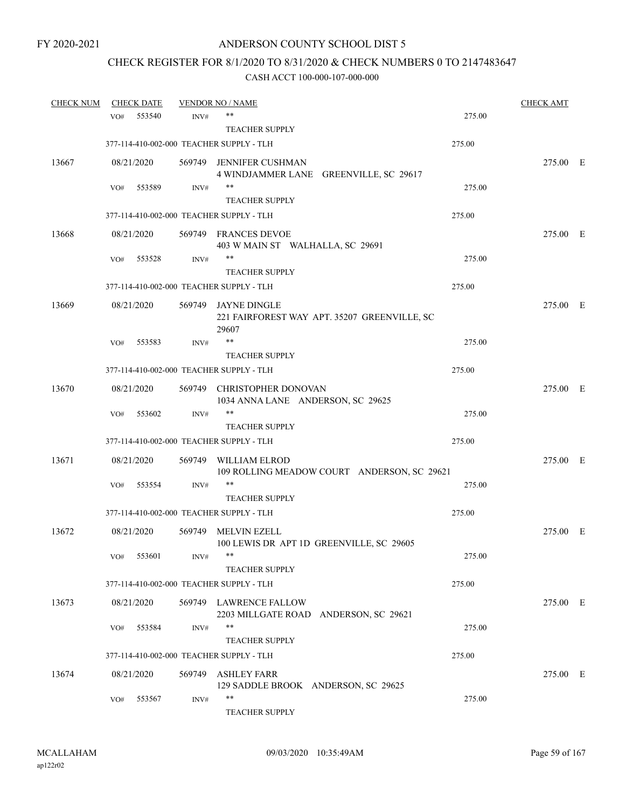## CHECK REGISTER FOR 8/1/2020 TO 8/31/2020 & CHECK NUMBERS 0 TO 2147483647

| <b>CHECK NUM</b> |     | <b>CHECK DATE</b> |        | <b>VENDOR NO / NAME</b>                                                      |        | CHECK AMT |  |
|------------------|-----|-------------------|--------|------------------------------------------------------------------------------|--------|-----------|--|
|                  | VO# | 553540            | INV#   | $***$                                                                        | 275.00 |           |  |
|                  |     |                   |        | <b>TEACHER SUPPLY</b>                                                        |        |           |  |
|                  |     |                   |        | 377-114-410-002-000 TEACHER SUPPLY - TLH                                     | 275.00 |           |  |
| 13667            |     | 08/21/2020        |        | 569749 JENNIFER CUSHMAN                                                      |        | 275.00 E  |  |
|                  |     |                   |        | 4 WINDJAMMER LANE GREENVILLE, SC 29617                                       |        |           |  |
|                  | VO# | 553589            | INV#   | **                                                                           | 275.00 |           |  |
|                  |     |                   |        | <b>TEACHER SUPPLY</b>                                                        |        |           |  |
|                  |     |                   |        | 377-114-410-002-000 TEACHER SUPPLY - TLH                                     | 275.00 |           |  |
| 13668            |     | 08/21/2020        |        | 569749 FRANCES DEVOE                                                         |        | 275.00 E  |  |
|                  |     |                   |        | 403 W MAIN ST WALHALLA, SC 29691                                             |        |           |  |
|                  | VO# | 553528            | INV#   | **                                                                           | 275.00 |           |  |
|                  |     |                   |        | <b>TEACHER SUPPLY</b>                                                        |        |           |  |
|                  |     |                   |        | 377-114-410-002-000 TEACHER SUPPLY - TLH                                     | 275.00 |           |  |
| 13669            |     | 08/21/2020        |        | 569749 JAYNE DINGLE<br>221 FAIRFOREST WAY APT. 35207 GREENVILLE, SC<br>29607 |        | 275.00 E  |  |
|                  | VO# | 553583            | INV#   | **                                                                           | 275.00 |           |  |
|                  |     |                   |        | <b>TEACHER SUPPLY</b>                                                        |        |           |  |
|                  |     |                   |        | 377-114-410-002-000 TEACHER SUPPLY - TLH                                     | 275.00 |           |  |
| 13670            |     | 08/21/2020        |        | 569749 CHRISTOPHER DONOVAN<br>1034 ANNA LANE ANDERSON, SC 29625              |        | 275.00 E  |  |
|                  | VO# | 553602            | INV#   | **                                                                           | 275.00 |           |  |
|                  |     |                   |        | <b>TEACHER SUPPLY</b>                                                        |        |           |  |
|                  |     |                   |        | 377-114-410-002-000 TEACHER SUPPLY - TLH                                     | 275.00 |           |  |
| 13671            |     | 08/21/2020        | 569749 | WILLIAM ELROD<br>109 ROLLING MEADOW COURT ANDERSON, SC 29621                 |        | 275.00 E  |  |
|                  | VO# | 553554            | INV#   | **                                                                           | 275.00 |           |  |
|                  |     |                   |        | <b>TEACHER SUPPLY</b>                                                        |        |           |  |
|                  |     |                   |        | 377-114-410-002-000 TEACHER SUPPLY - TLH                                     | 275.00 |           |  |
| 13672            |     | 08/21/2020        | 569749 | <b>MELVIN EZELL</b><br>100 LEWIS DR APT 1D GREENVILLE, SC 29605              |        | 275.00 E  |  |
|                  | VO# | 553601            | INV#   |                                                                              | 275.00 |           |  |
|                  |     |                   |        | <b>TEACHER SUPPLY</b>                                                        |        |           |  |
|                  |     |                   |        | 377-114-410-002-000 TEACHER SUPPLY - TLH                                     | 275.00 |           |  |
| 13673            |     | 08/21/2020        |        | 569749 LAWRENCE FALLOW<br>2203 MILLGATE ROAD ANDERSON, SC 29621              |        | 275.00 E  |  |
|                  | VO# | 553584            | INV#   | **                                                                           | 275.00 |           |  |
|                  |     |                   |        | <b>TEACHER SUPPLY</b>                                                        |        |           |  |
|                  |     |                   |        | 377-114-410-002-000 TEACHER SUPPLY - TLH                                     | 275.00 |           |  |
| 13674            |     | 08/21/2020        | 569749 | ASHLEY FARR                                                                  |        | 275.00 E  |  |
|                  | VO# | 553567            | INV#   | 129 SADDLE BROOK ANDERSON, SC 29625<br>**                                    | 275.00 |           |  |
|                  |     |                   |        | TEACHER SUPPLY                                                               |        |           |  |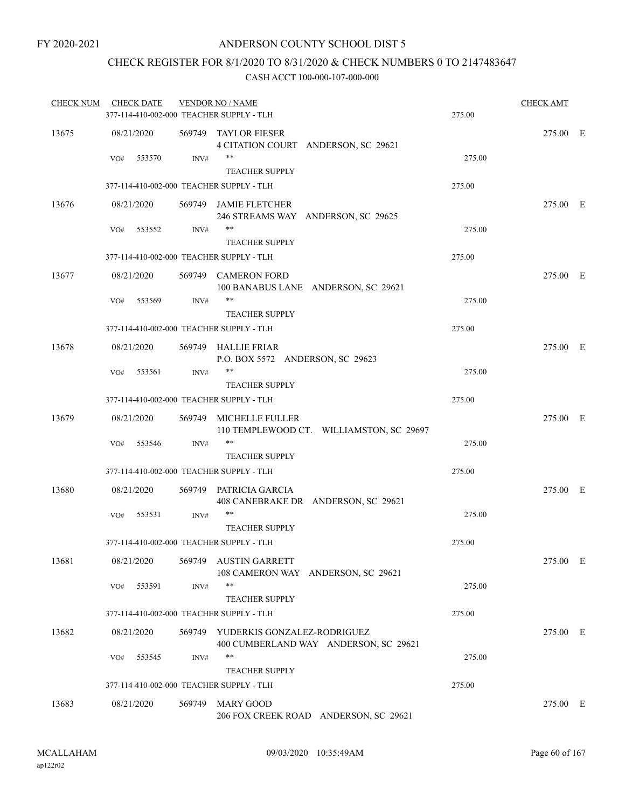## CHECK REGISTER FOR 8/1/2020 TO 8/31/2020 & CHECK NUMBERS 0 TO 2147483647

| <b>CHECK NUM</b> | <b>CHECK DATE</b> |                | <b>VENDOR NO / NAME</b>                                 |                                          |        | <b>CHECK AMT</b> |  |
|------------------|-------------------|----------------|---------------------------------------------------------|------------------------------------------|--------|------------------|--|
|                  |                   |                | 377-114-410-002-000 TEACHER SUPPLY - TLH                |                                          | 275.00 |                  |  |
| 13675            | 08/21/2020        |                | 569749 TAYLOR FIESER                                    | 4 CITATION COURT ANDERSON, SC 29621      |        | 275.00 E         |  |
|                  | VO#<br>553570     | INV#           | **<br><b>TEACHER SUPPLY</b>                             |                                          | 275.00 |                  |  |
|                  |                   |                | 377-114-410-002-000 TEACHER SUPPLY - TLH                |                                          | 275.00 |                  |  |
| 13676            | 08/21/2020        |                | 569749 JAMIE FLETCHER                                   | 246 STREAMS WAY ANDERSON, SC 29625       |        | 275.00 E         |  |
|                  | 553552<br>VO#     | INV#           | **<br><b>TEACHER SUPPLY</b>                             |                                          | 275.00 |                  |  |
|                  |                   |                | 377-114-410-002-000 TEACHER SUPPLY - TLH                |                                          | 275.00 |                  |  |
| 13677            | 08/21/2020        |                | 569749 CAMERON FORD                                     | 100 BANABUS LANE ANDERSON, SC 29621      |        | 275.00 E         |  |
|                  | 553569<br>VO#     | $\text{INV}\#$ | **<br><b>TEACHER SUPPLY</b>                             |                                          | 275.00 |                  |  |
|                  |                   |                | 377-114-410-002-000 TEACHER SUPPLY - TLH                |                                          | 275.00 |                  |  |
| 13678            | 08/21/2020        |                | 569749 HALLIE FRIAR<br>P.O. BOX 5572 ANDERSON, SC 29623 |                                          |        | 275.00 E         |  |
|                  | 553561<br>VO#     | INV#           | **<br><b>TEACHER SUPPLY</b>                             |                                          | 275.00 |                  |  |
|                  |                   |                | 377-114-410-002-000 TEACHER SUPPLY - TLH                |                                          | 275.00 |                  |  |
| 13679            | 08/21/2020        |                | 569749 MICHELLE FULLER                                  | 110 TEMPLEWOOD CT. WILLIAMSTON, SC 29697 |        | 275.00 E         |  |
|                  | 553546<br>VO#     | INV#           | $***$<br><b>TEACHER SUPPLY</b>                          |                                          | 275.00 |                  |  |
|                  |                   |                | 377-114-410-002-000 TEACHER SUPPLY - TLH                |                                          | 275.00 |                  |  |
| 13680            | 08/21/2020        |                | 569749 PATRICIA GARCIA                                  | 408 CANEBRAKE DR ANDERSON, SC 29621      |        | 275.00 E         |  |
|                  | VO#<br>553531     | INV#           | **<br><b>TEACHER SUPPLY</b>                             |                                          | 275.00 |                  |  |
|                  |                   |                | 377-114-410-002-000 TEACHER SUPPLY - TLH                |                                          | 275.00 |                  |  |
| 13681            | 08/21/2020        |                | 569749 AUSTIN GARRETT                                   | 108 CAMERON WAY ANDERSON, SC 29621       |        | 275.00 E         |  |
|                  | 553591<br>VO#     | INV#           | **<br><b>TEACHER SUPPLY</b>                             |                                          | 275.00 |                  |  |
|                  |                   |                | 377-114-410-002-000 TEACHER SUPPLY - TLH                |                                          | 275.00 |                  |  |
| 13682            | 08/21/2020        |                | 569749 YUDERKIS GONZALEZ-RODRIGUEZ                      | 400 CUMBERLAND WAY ANDERSON, SC 29621    |        | 275.00 E         |  |
|                  | 553545<br>VO#     | INV#           | **<br><b>TEACHER SUPPLY</b>                             |                                          | 275.00 |                  |  |
|                  |                   |                | 377-114-410-002-000 TEACHER SUPPLY - TLH                |                                          | 275.00 |                  |  |
| 13683            | 08/21/2020        |                | 569749 MARY GOOD                                        | 206 FOX CREEK ROAD ANDERSON, SC 29621    |        | 275.00 E         |  |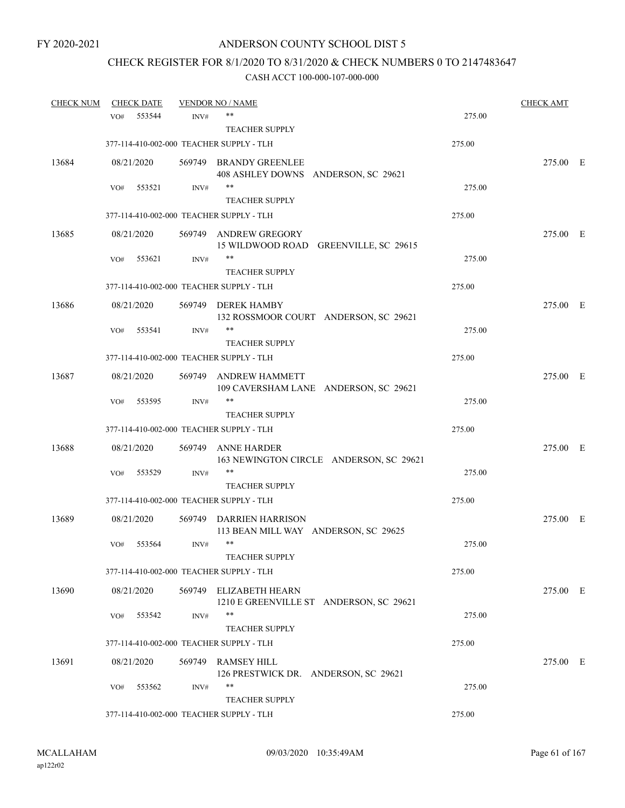## CHECK REGISTER FOR 8/1/2020 TO 8/31/2020 & CHECK NUMBERS 0 TO 2147483647

| <b>CHECK NUM</b> |     | <b>CHECK DATE</b> |      | <b>VENDOR NO / NAME</b>                                           |        | <b>CHECK AMT</b> |  |
|------------------|-----|-------------------|------|-------------------------------------------------------------------|--------|------------------|--|
|                  | VO# | 553544            | INV# | **                                                                | 275.00 |                  |  |
|                  |     |                   |      | <b>TEACHER SUPPLY</b>                                             |        |                  |  |
|                  |     |                   |      | 377-114-410-002-000 TEACHER SUPPLY - TLH                          | 275.00 |                  |  |
| 13684            |     | 08/21/2020        |      | 569749 BRANDY GREENLEE<br>408 ASHLEY DOWNS ANDERSON, SC 29621     |        | 275.00 E         |  |
|                  | VO# | 553521            | INV# | **<br><b>TEACHER SUPPLY</b>                                       | 275.00 |                  |  |
|                  |     |                   |      | 377-114-410-002-000 TEACHER SUPPLY - TLH                          | 275.00 |                  |  |
| 13685            |     | 08/21/2020        |      | 569749 ANDREW GREGORY<br>15 WILDWOOD ROAD GREENVILLE, SC 29615    |        | 275.00 E         |  |
|                  | VO# | 553621            | INV# | **<br><b>TEACHER SUPPLY</b>                                       | 275.00 |                  |  |
|                  |     |                   |      | 377-114-410-002-000 TEACHER SUPPLY - TLH                          | 275.00 |                  |  |
| 13686            |     | 08/21/2020        |      | 569749 DEREK HAMBY<br>132 ROSSMOOR COURT ANDERSON, SC 29621       |        | 275.00 E         |  |
|                  | VO# | 553541            | INV# | **<br><b>TEACHER SUPPLY</b>                                       | 275.00 |                  |  |
|                  |     |                   |      | 377-114-410-002-000 TEACHER SUPPLY - TLH                          | 275.00 |                  |  |
| 13687            |     | 08/21/2020        |      | 569749 ANDREW HAMMETT<br>109 CAVERSHAM LANE ANDERSON, SC 29621    |        | 275.00 E         |  |
|                  | VO# | 553595            | INV# | **<br><b>TEACHER SUPPLY</b>                                       | 275.00 |                  |  |
|                  |     |                   |      | 377-114-410-002-000 TEACHER SUPPLY - TLH                          | 275.00 |                  |  |
| 13688            |     | 08/21/2020        |      | 569749 ANNE HARDER<br>163 NEWINGTON CIRCLE ANDERSON, SC 29621     |        | 275.00 E         |  |
|                  | VO# | 553529            | INV# | **<br><b>TEACHER SUPPLY</b>                                       | 275.00 |                  |  |
|                  |     |                   |      | 377-114-410-002-000 TEACHER SUPPLY - TLH                          | 275.00 |                  |  |
| 13689            |     | 08/21/2020        |      | 569749 DARRIEN HARRISON<br>113 BEAN MILL WAY ANDERSON, SC 29625   |        | 275.00 E         |  |
|                  | VO# | 553564            | INV# | $***$<br><b>TEACHER SUPPLY</b>                                    | 275.00 |                  |  |
|                  |     |                   |      | 377-114-410-002-000 TEACHER SUPPLY - TLH                          | 275.00 |                  |  |
| 13690            |     | 08/21/2020        |      | 569749 ELIZABETH HEARN<br>1210 E GREENVILLE ST ANDERSON, SC 29621 |        | 275.00 E         |  |
|                  | VO# | 553542            | INV# | **<br><b>TEACHER SUPPLY</b>                                       | 275.00 |                  |  |
|                  |     |                   |      | 377-114-410-002-000 TEACHER SUPPLY - TLH                          | 275.00 |                  |  |
| 13691            |     | 08/21/2020        |      | 569749 RAMSEY HILL<br>126 PRESTWICK DR. ANDERSON, SC 29621        |        | 275.00 E         |  |
|                  | VO# | 553562            | INV# | **<br><b>TEACHER SUPPLY</b>                                       | 275.00 |                  |  |
|                  |     |                   |      | 377-114-410-002-000 TEACHER SUPPLY - TLH                          | 275.00 |                  |  |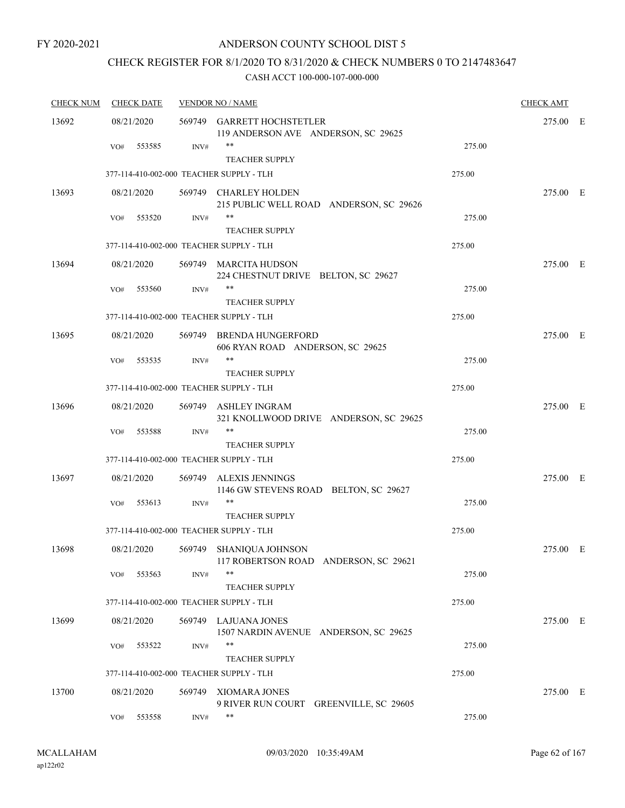## CHECK REGISTER FOR 8/1/2020 TO 8/31/2020 & CHECK NUMBERS 0 TO 2147483647

| <b>CHECK NUM</b> | <b>CHECK DATE</b> |            | <b>VENDOR NO / NAME</b> | <b>CHECK AMT</b>                                                  |        |          |  |
|------------------|-------------------|------------|-------------------------|-------------------------------------------------------------------|--------|----------|--|
| 13692            |                   | 08/21/2020 |                         | 569749 GARRETT HOCHSTETLER<br>119 ANDERSON AVE ANDERSON, SC 29625 |        | 275.00 E |  |
|                  | VO#               | 553585     | INV#                    | **<br><b>TEACHER SUPPLY</b>                                       | 275.00 |          |  |
|                  |                   |            |                         | 377-114-410-002-000 TEACHER SUPPLY - TLH                          | 275.00 |          |  |
| 13693            |                   | 08/21/2020 |                         | 569749 CHARLEY HOLDEN<br>215 PUBLIC WELL ROAD ANDERSON, SC 29626  |        | 275.00 E |  |
|                  | VO#               | 553520     | INV#                    | **<br><b>TEACHER SUPPLY</b>                                       | 275.00 |          |  |
|                  |                   |            |                         | 377-114-410-002-000 TEACHER SUPPLY - TLH                          | 275.00 |          |  |
| 13694            |                   | 08/21/2020 |                         | 569749 MARCITA HUDSON<br>224 CHESTNUT DRIVE BELTON, SC 29627      |        | 275.00 E |  |
|                  | VO#               | 553560     | INV#                    | **<br><b>TEACHER SUPPLY</b>                                       | 275.00 |          |  |
|                  |                   |            |                         | 377-114-410-002-000 TEACHER SUPPLY - TLH                          | 275.00 |          |  |
| 13695            |                   | 08/21/2020 |                         | 569749 BRENDA HUNGERFORD<br>606 RYAN ROAD ANDERSON, SC 29625      |        | 275.00 E |  |
|                  | VO#               | 553535     | INV#                    | **<br><b>TEACHER SUPPLY</b>                                       | 275.00 |          |  |
|                  |                   |            |                         | 377-114-410-002-000 TEACHER SUPPLY - TLH                          | 275.00 |          |  |
| 13696            |                   | 08/21/2020 |                         | 569749 ASHLEY INGRAM<br>321 KNOLLWOOD DRIVE ANDERSON, SC 29625    |        | 275.00 E |  |
|                  | VO#               | 553588     | INV#                    | **<br><b>TEACHER SUPPLY</b>                                       | 275.00 |          |  |
|                  |                   |            |                         | 377-114-410-002-000 TEACHER SUPPLY - TLH                          | 275.00 |          |  |
| 13697            |                   | 08/21/2020 |                         | 569749 ALEXIS JENNINGS<br>1146 GW STEVENS ROAD BELTON, SC 29627   |        | 275.00 E |  |
|                  | VO#               | 553613     | INV#                    | **<br><b>TEACHER SUPPLY</b>                                       | 275.00 |          |  |
|                  |                   |            |                         | 377-114-410-002-000 TEACHER SUPPLY - TLH                          | 275.00 |          |  |
| 13698            |                   | 08/21/2020 |                         | 569749 SHANIQUA JOHNSON<br>117 ROBERTSON ROAD ANDERSON, SC 29621  |        | 275.00 E |  |
|                  | VO#               | 553563     | INV#                    | **<br><b>TEACHER SUPPLY</b>                                       | 275.00 |          |  |
|                  |                   |            |                         | 377-114-410-002-000 TEACHER SUPPLY - TLH                          | 275.00 |          |  |
| 13699            |                   | 08/21/2020 |                         | 569749 LAJUANA JONES<br>1507 NARDIN AVENUE ANDERSON, SC 29625     |        | 275.00 E |  |
|                  | VO#               | 553522     | INV#                    | **<br><b>TEACHER SUPPLY</b>                                       | 275.00 |          |  |
|                  |                   |            |                         | 377-114-410-002-000 TEACHER SUPPLY - TLH                          | 275.00 |          |  |
| 13700            |                   | 08/21/2020 | 569749                  | XIOMARA JONES<br>9 RIVER RUN COURT GREENVILLE, SC 29605           |        | 275.00 E |  |
|                  | VO#               | 553558     | INV#                    | **                                                                | 275.00 |          |  |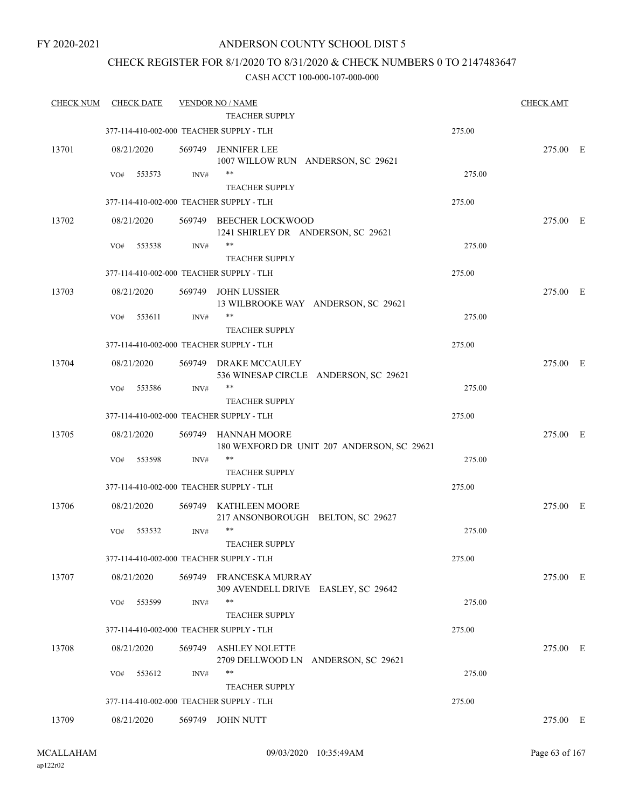## CHECK REGISTER FOR 8/1/2020 TO 8/31/2020 & CHECK NUMBERS 0 TO 2147483647

| <b>CHECK NUM</b> | <b>CHECK DATE</b> |        | <b>VENDOR NO / NAME</b><br><b>TEACHER SUPPLY</b>                  |        | <b>CHECK AMT</b> |  |
|------------------|-------------------|--------|-------------------------------------------------------------------|--------|------------------|--|
|                  |                   |        | 377-114-410-002-000 TEACHER SUPPLY - TLH                          | 275.00 |                  |  |
|                  |                   |        |                                                                   |        |                  |  |
| 13701            | 08/21/2020        | 569749 | JENNIFER LEE<br>1007 WILLOW RUN ANDERSON, SC 29621                |        | 275.00 E         |  |
|                  | VO#<br>553573     | INV#   | $***$<br>TEACHER SUPPLY                                           | 275.00 |                  |  |
|                  |                   |        | 377-114-410-002-000 TEACHER SUPPLY - TLH                          | 275.00 |                  |  |
| 13702            | 08/21/2020        |        | 569749 BEECHER LOCKWOOD<br>1241 SHIRLEY DR ANDERSON, SC 29621     |        | 275.00 E         |  |
|                  | 553538<br>VO#     | INV#   | **<br><b>TEACHER SUPPLY</b>                                       | 275.00 |                  |  |
|                  |                   |        | 377-114-410-002-000 TEACHER SUPPLY - TLH                          | 275.00 |                  |  |
| 13703            | 08/21/2020        | 569749 | JOHN LUSSIER<br>13 WILBROOKE WAY ANDERSON, SC 29621               |        | 275.00 E         |  |
|                  | 553611<br>VO#     | INV#   | **<br><b>TEACHER SUPPLY</b>                                       | 275.00 |                  |  |
|                  |                   |        | 377-114-410-002-000 TEACHER SUPPLY - TLH                          | 275.00 |                  |  |
| 13704            | 08/21/2020        |        | 569749 DRAKE MCCAULEY<br>536 WINESAP CIRCLE ANDERSON, SC 29621    |        | 275.00 E         |  |
|                  | 553586<br>VO#     | INV#   | $***$<br><b>TEACHER SUPPLY</b>                                    | 275.00 |                  |  |
|                  |                   |        | 377-114-410-002-000 TEACHER SUPPLY - TLH                          | 275.00 |                  |  |
| 13705            | 08/21/2020        |        | 569749 HANNAH MOORE<br>180 WEXFORD DR UNIT 207 ANDERSON, SC 29621 |        | 275.00 E         |  |
|                  | 553598<br>VO#     | INV#   | **<br><b>TEACHER SUPPLY</b>                                       | 275.00 |                  |  |
|                  |                   |        | 377-114-410-002-000 TEACHER SUPPLY - TLH                          | 275.00 |                  |  |
| 13706            | 08/21/2020        |        | 569749 KATHLEEN MOORE<br>217 ANSONBOROUGH BELTON, SC 29627        |        | 275.00 E         |  |
|                  | 553532<br>VO#     | INV#   | $***$<br><b>TEACHER SUPPLY</b>                                    | 275.00 |                  |  |
|                  |                   |        | 377-114-410-002-000 TEACHER SUPPLY - TLH                          | 275.00 |                  |  |
| 13707            | 08/21/2020        |        | 569749 FRANCESKA MURRAY<br>309 AVENDELL DRIVE EASLEY, SC 29642    |        | 275.00 E         |  |
|                  | 553599<br>VO#     | INV#   | $***$<br><b>TEACHER SUPPLY</b>                                    | 275.00 |                  |  |
|                  |                   |        | 377-114-410-002-000 TEACHER SUPPLY - TLH                          | 275.00 |                  |  |
| 13708            | 08/21/2020        | 569749 | <b>ASHLEY NOLETTE</b><br>2709 DELLWOOD LN ANDERSON, SC 29621      |        | 275.00 E         |  |
|                  | 553612<br>VO#     | INV#   | **<br><b>TEACHER SUPPLY</b>                                       | 275.00 |                  |  |
|                  |                   |        | 377-114-410-002-000 TEACHER SUPPLY - TLH                          | 275.00 |                  |  |
| 13709            | 08/21/2020        |        | 569749 JOHN NUTT                                                  |        | 275.00 E         |  |
|                  |                   |        |                                                                   |        |                  |  |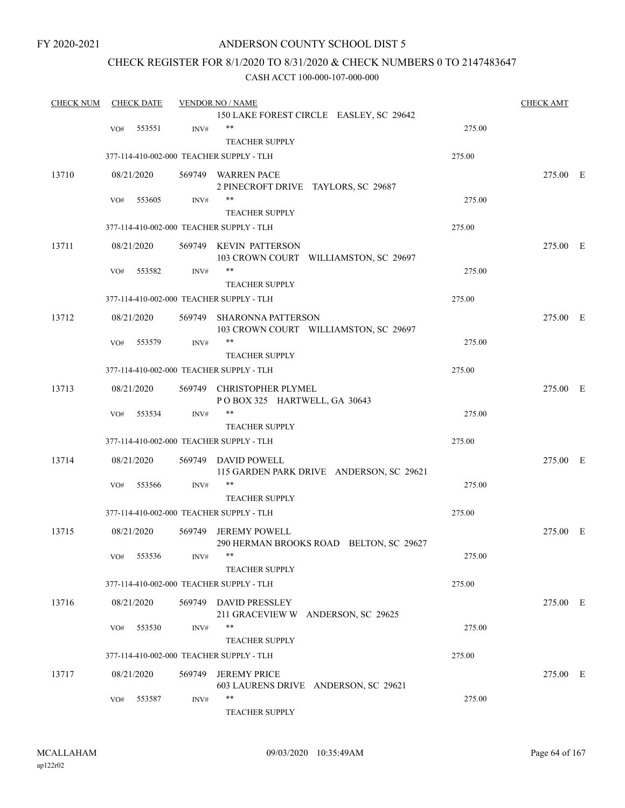## ANDERSON COUNTY SCHOOL DIST 5

## CHECK REGISTER FOR 8/1/2020 TO 8/31/2020 & CHECK NUMBERS 0 TO 2147483647

| <b>CHECK NUM</b> |     | <b>CHECK DATE</b> |        | <b>VENDOR NO / NAME</b>                  |        | <b>CHECK AMT</b> |  |
|------------------|-----|-------------------|--------|------------------------------------------|--------|------------------|--|
|                  |     |                   |        | 150 LAKE FOREST CIRCLE EASLEY, SC 29642  |        |                  |  |
|                  | VO# | 553551            | INV#   | $***$                                    | 275.00 |                  |  |
|                  |     |                   |        | <b>TEACHER SUPPLY</b>                    |        |                  |  |
|                  |     |                   |        | 377-114-410-002-000 TEACHER SUPPLY - TLH | 275.00 |                  |  |
| 13710            |     | 08/21/2020        |        | 569749 WARREN PACE                       |        | 275.00 E         |  |
|                  |     |                   |        | 2 PINECROFT DRIVE TAYLORS, SC 29687      |        |                  |  |
|                  | VO# | 553605            | INV#   | $***$                                    | 275.00 |                  |  |
|                  |     |                   |        | <b>TEACHER SUPPLY</b>                    |        |                  |  |
|                  |     |                   |        | 377-114-410-002-000 TEACHER SUPPLY - TLH | 275.00 |                  |  |
| 13711            |     | 08/21/2020        |        | 569749 KEVIN PATTERSON                   |        | 275.00 E         |  |
|                  |     |                   |        | 103 CROWN COURT WILLIAMSTON, SC 29697    |        |                  |  |
|                  | VO# | 553582            | INV#   | **                                       | 275.00 |                  |  |
|                  |     |                   |        | <b>TEACHER SUPPLY</b>                    |        |                  |  |
|                  |     |                   |        | 377-114-410-002-000 TEACHER SUPPLY - TLH | 275.00 |                  |  |
| 13712            |     | 08/21/2020        | 569749 | <b>SHARONNA PATTERSON</b>                |        | 275.00 E         |  |
|                  |     |                   |        | 103 CROWN COURT WILLIAMSTON, SC 29697    |        |                  |  |
|                  | VO# | 553579            | INV#   | **                                       | 275.00 |                  |  |
|                  |     |                   |        | <b>TEACHER SUPPLY</b>                    |        |                  |  |
|                  |     |                   |        | 377-114-410-002-000 TEACHER SUPPLY - TLH | 275.00 |                  |  |
| 13713            |     | 08/21/2020        |        | 569749 CHRISTOPHER PLYMEL                |        | 275.00 E         |  |
|                  |     |                   |        | POBOX 325 HARTWELL, GA 30643             |        |                  |  |
|                  | VO# | 553534            | INV#   | $***$                                    | 275.00 |                  |  |
|                  |     |                   |        | <b>TEACHER SUPPLY</b>                    |        |                  |  |
|                  |     |                   |        | 377-114-410-002-000 TEACHER SUPPLY - TLH | 275.00 |                  |  |
| 13714            |     | 08/21/2020        |        | 569749 DAVID POWELL                      |        | 275.00 E         |  |
|                  |     |                   |        | 115 GARDEN PARK DRIVE ANDERSON, SC 29621 |        |                  |  |
|                  | VO# | 553566            | INV#   | $***$                                    | 275.00 |                  |  |
|                  |     |                   |        | <b>TEACHER SUPPLY</b>                    |        |                  |  |
|                  |     |                   |        | 377-114-410-002-000 TEACHER SUPPLY - TLH | 275.00 |                  |  |
| 13715            |     | 08/21/2020        |        | 569749 JEREMY POWELL                     |        | 275.00 E         |  |
|                  |     |                   |        | 290 HERMAN BROOKS ROAD BELTON, SC 29627  |        |                  |  |
|                  | VO# | 553536            | INV#   |                                          | 275.00 |                  |  |
|                  |     |                   |        | <b>TEACHER SUPPLY</b>                    |        |                  |  |
|                  |     |                   |        | 377-114-410-002-000 TEACHER SUPPLY - TLH | 275.00 |                  |  |
| 13716            |     | 08/21/2020        |        | 569749 DAVID PRESSLEY                    |        | 275.00 E         |  |
|                  |     |                   |        | 211 GRACEVIEW W ANDERSON, SC 29625       |        |                  |  |
|                  | VO# | 553530            | INV#   | **                                       | 275.00 |                  |  |
|                  |     |                   |        | <b>TEACHER SUPPLY</b>                    |        |                  |  |
|                  |     |                   |        | 377-114-410-002-000 TEACHER SUPPLY - TLH | 275.00 |                  |  |
| 13717            |     | 08/21/2020        | 569749 | <b>JEREMY PRICE</b>                      |        | 275.00 E         |  |
|                  |     |                   |        | 603 LAURENS DRIVE ANDERSON, SC 29621     |        |                  |  |
|                  | VO# | 553587            | INV#   | **                                       | 275.00 |                  |  |
|                  |     |                   |        | TEACHER SUPPLY                           |        |                  |  |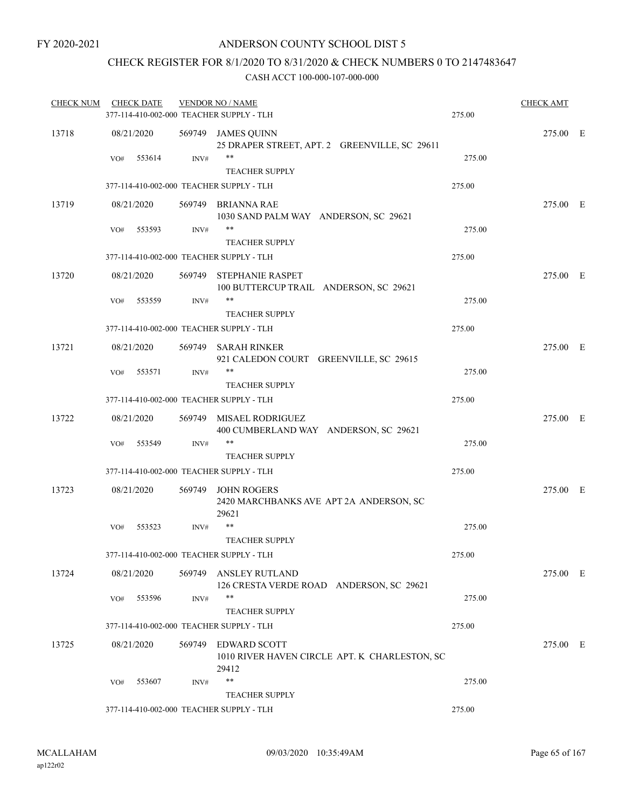## CHECK REGISTER FOR 8/1/2020 TO 8/31/2020 & CHECK NUMBERS 0 TO 2147483647

| <b>CHECK NUM</b> |     | <b>CHECK DATE</b> |                | <b>VENDOR NO / NAME</b>                                                       |        | <b>CHECK AMT</b> |  |
|------------------|-----|-------------------|----------------|-------------------------------------------------------------------------------|--------|------------------|--|
|                  |     |                   |                | 377-114-410-002-000 TEACHER SUPPLY - TLH                                      | 275.00 |                  |  |
| 13718            |     | 08/21/2020        |                | 569749 JAMES QUINN<br>25 DRAPER STREET, APT. 2 GREENVILLE, SC 29611           |        | 275.00 E         |  |
|                  | VO# | 553614            | INV#           | **<br><b>TEACHER SUPPLY</b>                                                   | 275.00 |                  |  |
|                  |     |                   |                | 377-114-410-002-000 TEACHER SUPPLY - TLH                                      | 275.00 |                  |  |
| 13719            |     | 08/21/2020        |                | 569749 BRIANNA RAE<br>1030 SAND PALM WAY ANDERSON, SC 29621                   |        | 275.00 E         |  |
|                  | VO# | 553593            | INV#           | $***$<br><b>TEACHER SUPPLY</b>                                                | 275.00 |                  |  |
|                  |     |                   |                | 377-114-410-002-000 TEACHER SUPPLY - TLH                                      | 275.00 |                  |  |
| 13720            |     | 08/21/2020        |                | 569749 STEPHANIE RASPET<br>100 BUTTERCUP TRAIL ANDERSON, SC 29621             |        | 275.00 E         |  |
|                  | VO# | 553559            | $\text{INV}\#$ | $***$                                                                         | 275.00 |                  |  |
|                  |     |                   |                | <b>TEACHER SUPPLY</b>                                                         |        |                  |  |
|                  |     |                   |                | 377-114-410-002-000 TEACHER SUPPLY - TLH                                      | 275.00 |                  |  |
| 13721            |     | 08/21/2020        | 569749         | <b>SARAH RINKER</b><br>921 CALEDON COURT GREENVILLE, SC 29615                 |        | 275.00 E         |  |
|                  | VO# | 553571            | INV#           | **<br><b>TEACHER SUPPLY</b>                                                   | 275.00 |                  |  |
|                  |     |                   |                | 377-114-410-002-000 TEACHER SUPPLY - TLH                                      | 275.00 |                  |  |
| 13722            |     | 08/21/2020        |                | 569749 MISAEL RODRIGUEZ<br>400 CUMBERLAND WAY ANDERSON, SC 29621              |        | 275.00 E         |  |
|                  | VO# | 553549            | INV#           | **                                                                            | 275.00 |                  |  |
|                  |     |                   |                | <b>TEACHER SUPPLY</b>                                                         |        |                  |  |
|                  |     |                   |                | 377-114-410-002-000 TEACHER SUPPLY - TLH                                      | 275.00 |                  |  |
| 13723            |     | 08/21/2020        | 569749         | <b>JOHN ROGERS</b><br>2420 MARCHBANKS AVE APT 2A ANDERSON, SC<br>29621        |        | 275.00 E         |  |
|                  | VO# | 553523            | INV#           | **                                                                            | 275.00 |                  |  |
|                  |     |                   |                | <b>TEACHER SUPPLY</b>                                                         |        |                  |  |
|                  |     |                   |                | 377-114-410-002-000 TEACHER SUPPLY - TLH                                      | 275.00 |                  |  |
| 13724            |     | 08/21/2020        |                | 569749 ANSLEY RUTLAND<br>126 CRESTA VERDE ROAD ANDERSON, SC 29621             |        | 275.00 E         |  |
|                  | VO# | 553596            | INV#           | $***$                                                                         | 275.00 |                  |  |
|                  |     |                   |                | <b>TEACHER SUPPLY</b>                                                         |        |                  |  |
|                  |     |                   |                | 377-114-410-002-000 TEACHER SUPPLY - TLH                                      | 275.00 |                  |  |
| 13725            |     | 08/21/2020        |                | 569749 EDWARD SCOTT<br>1010 RIVER HAVEN CIRCLE APT. K CHARLESTON, SC<br>29412 |        | 275.00 E         |  |
|                  | VO# | 553607            | INV#           | **                                                                            | 275.00 |                  |  |
|                  |     |                   |                | <b>TEACHER SUPPLY</b>                                                         |        |                  |  |
|                  |     |                   |                | 377-114-410-002-000 TEACHER SUPPLY - TLH                                      | 275.00 |                  |  |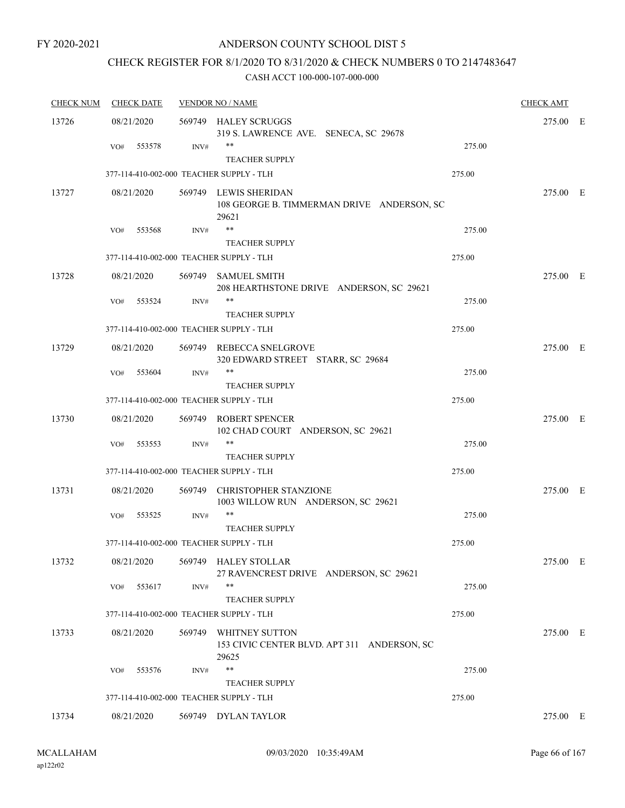## ANDERSON COUNTY SCHOOL DIST 5

## CHECK REGISTER FOR 8/1/2020 TO 8/31/2020 & CHECK NUMBERS 0 TO 2147483647

| <b>CHECK NUM</b> | <b>CHECK DATE</b>                        |        | <b>VENDOR NO / NAME</b>                                                       |        | <b>CHECK AMT</b> |  |
|------------------|------------------------------------------|--------|-------------------------------------------------------------------------------|--------|------------------|--|
| 13726            | 08/21/2020                               |        | 569749 HALEY SCRUGGS<br>319 S. LAWRENCE AVE. SENECA, SC 29678                 |        | 275.00 E         |  |
|                  | 553578<br>VO#                            | INV#   | **<br><b>TEACHER SUPPLY</b>                                                   | 275.00 |                  |  |
|                  | 377-114-410-002-000 TEACHER SUPPLY - TLH |        |                                                                               | 275.00 |                  |  |
| 13727            | 08/21/2020                               |        | 569749 LEWIS SHERIDAN<br>108 GEORGE B. TIMMERMAN DRIVE ANDERSON, SC<br>29621  |        | 275.00 E         |  |
|                  | 553568<br>VO#                            | INV#   | $***$                                                                         | 275.00 |                  |  |
|                  |                                          |        | <b>TEACHER SUPPLY</b>                                                         |        |                  |  |
|                  | 377-114-410-002-000 TEACHER SUPPLY - TLH |        |                                                                               | 275.00 |                  |  |
| 13728            | 08/21/2020                               |        | 569749 SAMUEL SMITH<br>208 HEARTHSTONE DRIVE ANDERSON, SC 29621               |        | 275.00 E         |  |
|                  | VO#<br>553524                            | INV#   | $***$<br><b>TEACHER SUPPLY</b>                                                | 275.00 |                  |  |
|                  | 377-114-410-002-000 TEACHER SUPPLY - TLH |        |                                                                               | 275.00 |                  |  |
| 13729            | 08/21/2020                               |        | 569749 REBECCA SNELGROVE<br>320 EDWARD STREET STARR, SC 29684                 |        | 275.00 E         |  |
|                  | 553604<br>VO#                            | INV#   | $***$<br><b>TEACHER SUPPLY</b>                                                | 275.00 |                  |  |
|                  | 377-114-410-002-000 TEACHER SUPPLY - TLH |        |                                                                               | 275.00 |                  |  |
| 13730            | 08/21/2020                               |        | 569749 ROBERT SPENCER<br>102 CHAD COURT ANDERSON, SC 29621                    |        | 275.00 E         |  |
|                  | VO#<br>553553                            | INV#   | **<br><b>TEACHER SUPPLY</b>                                                   | 275.00 |                  |  |
|                  | 377-114-410-002-000 TEACHER SUPPLY - TLH |        |                                                                               | 275.00 |                  |  |
| 13731            | 08/21/2020                               |        | 569749 CHRISTOPHER STANZIONE<br>1003 WILLOW RUN ANDERSON, SC 29621            |        | 275.00 E         |  |
|                  | VO#<br>553525                            | INV#   | **<br><b>TEACHER SUPPLY</b>                                                   | 275.00 |                  |  |
|                  | 377-114-410-002-000 TEACHER SUPPLY - TLH |        |                                                                               | 275.00 |                  |  |
| 13732            | 08/21/2020                               |        | 569749 HALEY STOLLAR<br>27 RAVENCREST DRIVE ANDERSON, SC 29621                |        | 275.00 E         |  |
|                  | 553617<br>VO#                            | INV#   | **<br><b>TEACHER SUPPLY</b>                                                   | 275.00 |                  |  |
|                  | 377-114-410-002-000 TEACHER SUPPLY - TLH |        |                                                                               | 275.00 |                  |  |
| 13733            | 08/21/2020                               | 569749 | <b>WHITNEY SUTTON</b><br>153 CIVIC CENTER BLVD. APT 311 ANDERSON, SC<br>29625 |        | 275.00 E         |  |
|                  | 553576<br>VO#                            | INV#   | **<br><b>TEACHER SUPPLY</b>                                                   | 275.00 |                  |  |
|                  | 377-114-410-002-000 TEACHER SUPPLY - TLH |        |                                                                               | 275.00 |                  |  |
| 13734            | 08/21/2020                               |        | 569749 DYLAN TAYLOR                                                           |        | 275.00 E         |  |
|                  |                                          |        |                                                                               |        |                  |  |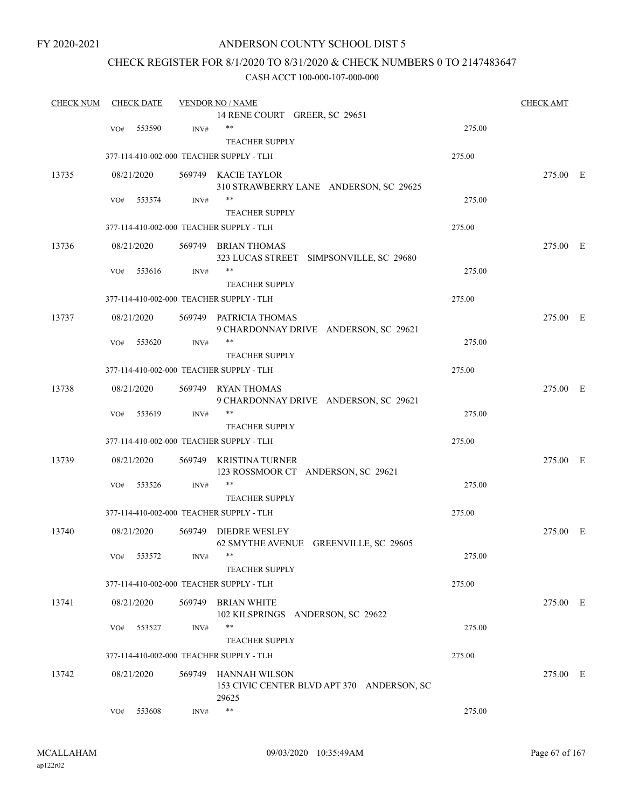## ANDERSON COUNTY SCHOOL DIST 5

## CHECK REGISTER FOR 8/1/2020 TO 8/31/2020 & CHECK NUMBERS 0 TO 2147483647

| <b>CHECK NUM</b> |     | <b>CHECK DATE</b> |      | <b>VENDOR NO / NAME</b>                    |        | <b>CHECK AMT</b> |  |
|------------------|-----|-------------------|------|--------------------------------------------|--------|------------------|--|
|                  |     |                   |      | 14 RENE COURT GREER, SC 29651              |        |                  |  |
|                  | VO# | 553590            | INV# | $***$                                      | 275.00 |                  |  |
|                  |     |                   |      | <b>TEACHER SUPPLY</b>                      |        |                  |  |
|                  |     |                   |      | 377-114-410-002-000 TEACHER SUPPLY - TLH   | 275.00 |                  |  |
| 13735            |     | 08/21/2020        |      | 569749 KACIE TAYLOR                        |        | 275.00 E         |  |
|                  |     |                   |      | 310 STRAWBERRY LANE ANDERSON, SC 29625     |        |                  |  |
|                  | VO# | 553574            | INV# | **                                         | 275.00 |                  |  |
|                  |     |                   |      | <b>TEACHER SUPPLY</b>                      |        |                  |  |
|                  |     |                   |      | 377-114-410-002-000 TEACHER SUPPLY - TLH   | 275.00 |                  |  |
| 13736            |     | 08/21/2020        |      | 569749 BRIAN THOMAS                        |        | 275.00 E         |  |
|                  |     |                   |      | 323 LUCAS STREET SIMPSONVILLE, SC 29680    |        |                  |  |
|                  | VO# | 553616            | INV# | **                                         | 275.00 |                  |  |
|                  |     |                   |      | <b>TEACHER SUPPLY</b>                      |        |                  |  |
|                  |     |                   |      | 377-114-410-002-000 TEACHER SUPPLY - TLH   | 275.00 |                  |  |
| 13737            |     | 08/21/2020        |      | 569749 PATRICIA THOMAS                     |        | 275.00 E         |  |
|                  |     |                   |      | 9 CHARDONNAY DRIVE ANDERSON, SC 29621      |        |                  |  |
|                  | VO# | 553620            | INV# | **                                         | 275.00 |                  |  |
|                  |     |                   |      | <b>TEACHER SUPPLY</b>                      |        |                  |  |
|                  |     |                   |      | 377-114-410-002-000 TEACHER SUPPLY - TLH   | 275.00 |                  |  |
| 13738            |     | 08/21/2020        |      | 569749 RYAN THOMAS                         |        | 275.00 E         |  |
|                  |     |                   |      | 9 CHARDONNAY DRIVE ANDERSON, SC 29621      |        |                  |  |
|                  | VO# | 553619            | INV# | **                                         | 275.00 |                  |  |
|                  |     |                   |      | <b>TEACHER SUPPLY</b>                      |        |                  |  |
|                  |     |                   |      | 377-114-410-002-000 TEACHER SUPPLY - TLH   | 275.00 |                  |  |
| 13739            |     | 08/21/2020        |      | 569749 KRISTINA TURNER                     |        | 275.00 E         |  |
|                  |     |                   |      | 123 ROSSMOOR CT ANDERSON, SC 29621         |        |                  |  |
|                  | VO# | 553526            | INV# | **                                         | 275.00 |                  |  |
|                  |     |                   |      | <b>TEACHER SUPPLY</b>                      |        |                  |  |
|                  |     |                   |      | 377-114-410-002-000 TEACHER SUPPLY - TLH   | 275.00 |                  |  |
| 13740            |     | 08/21/2020        |      | 569749 DIEDRE WESLEY                       |        | 275.00 E         |  |
|                  |     |                   |      | 62 SMYTHE AVENUE GREENVILLE, SC 29605      |        |                  |  |
|                  | VO# | 553572            | INV# |                                            | 275.00 |                  |  |
|                  |     |                   |      | <b>TEACHER SUPPLY</b>                      |        |                  |  |
|                  |     |                   |      | 377-114-410-002-000 TEACHER SUPPLY - TLH   | 275.00 |                  |  |
| 13741            |     | 08/21/2020        |      | 569749 BRIAN WHITE                         |        | 275.00 E         |  |
|                  |     |                   |      | 102 KILSPRINGS ANDERSON, SC 29622          |        |                  |  |
|                  | VO# | 553527            | INV# | **                                         | 275.00 |                  |  |
|                  |     |                   |      | <b>TEACHER SUPPLY</b>                      |        |                  |  |
|                  |     |                   |      | 377-114-410-002-000 TEACHER SUPPLY - TLH   | 275.00 |                  |  |
| 13742            |     | 08/21/2020        |      | 569749 HANNAH WILSON                       |        | 275.00 E         |  |
|                  |     |                   |      | 153 CIVIC CENTER BLVD APT 370 ANDERSON, SC |        |                  |  |
|                  |     |                   |      | 29625                                      |        |                  |  |
|                  | VO# | 553608            | INV# | $\ast\ast$                                 | 275.00 |                  |  |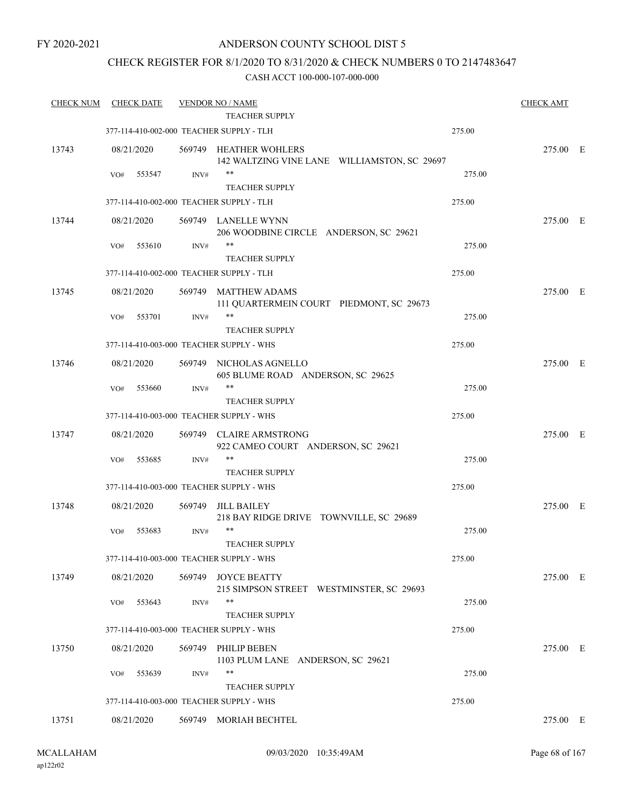## CHECK REGISTER FOR 8/1/2020 TO 8/31/2020 & CHECK NUMBERS 0 TO 2147483647

| <b>CHECK NUM</b> | <b>CHECK DATE</b>                        |        | <b>VENDOR NO / NAME</b>                                                |        | <b>CHECK AMT</b> |  |
|------------------|------------------------------------------|--------|------------------------------------------------------------------------|--------|------------------|--|
|                  |                                          |        | <b>TEACHER SUPPLY</b>                                                  |        |                  |  |
|                  | 377-114-410-002-000 TEACHER SUPPLY - TLH |        |                                                                        | 275.00 |                  |  |
| 13743            | 08/21/2020                               |        | 569749 HEATHER WOHLERS<br>142 WALTZING VINE LANE WILLIAMSTON, SC 29697 |        | 275.00 E         |  |
|                  | VO#<br>553547                            | INV#   | $***$<br><b>TEACHER SUPPLY</b>                                         | 275.00 |                  |  |
|                  | 377-114-410-002-000 TEACHER SUPPLY - TLH |        |                                                                        | 275.00 |                  |  |
| 13744            | 08/21/2020                               |        | 569749 LANELLE WYNN<br>206 WOODBINE CIRCLE ANDERSON, SC 29621          |        | 275.00 E         |  |
|                  | 553610<br>VO#                            | INV#   | **<br><b>TEACHER SUPPLY</b>                                            | 275.00 |                  |  |
|                  | 377-114-410-002-000 TEACHER SUPPLY - TLH |        |                                                                        | 275.00 |                  |  |
| 13745            | 08/21/2020                               | 569749 | <b>MATTHEW ADAMS</b><br>111 QUARTERMEIN COURT PIEDMONT, SC 29673       |        | 275.00 E         |  |
|                  | 553701<br>VO#                            | INV#   | $***$<br><b>TEACHER SUPPLY</b>                                         | 275.00 |                  |  |
|                  | 377-114-410-003-000 TEACHER SUPPLY - WHS |        |                                                                        | 275.00 |                  |  |
| 13746            | 08/21/2020                               | 569749 | NICHOLAS AGNELLO<br>605 BLUME ROAD ANDERSON, SC 29625                  |        | 275.00 E         |  |
|                  | 553660<br>VO#                            | INV#   | $\ast\ast$                                                             | 275.00 |                  |  |
|                  | 377-114-410-003-000 TEACHER SUPPLY - WHS |        | <b>TEACHER SUPPLY</b>                                                  | 275.00 |                  |  |
| 13747            | 08/21/2020                               | 569749 | <b>CLAIRE ARMSTRONG</b>                                                |        | 275.00 E         |  |
|                  | 553685<br>VO#                            | INV#   | 922 CAMEO COURT ANDERSON, SC 29621<br>**                               | 275.00 |                  |  |
|                  |                                          |        | <b>TEACHER SUPPLY</b>                                                  |        |                  |  |
|                  | 377-114-410-003-000 TEACHER SUPPLY - WHS |        |                                                                        | 275.00 |                  |  |
| 13748            | 08/21/2020                               | 569749 | <b>JILL BAILEY</b><br>218 BAY RIDGE DRIVE TOWNVILLE, SC 29689          |        | 275.00 E         |  |
|                  | 553683<br>VO#                            | INV#   | $***$<br><b>TEACHER SUPPLY</b>                                         | 275.00 |                  |  |
|                  | 377-114-410-003-000 TEACHER SUPPLY - WHS |        |                                                                        | 275.00 |                  |  |
| 13749            | 08/21/2020                               | 569749 | <b>JOYCE BEATTY</b><br>215 SIMPSON STREET WESTMINSTER, SC 29693        |        | 275.00 E         |  |
|                  | 553643<br>VO#                            | INV#   | **<br>TEACHER SUPPLY                                                   | 275.00 |                  |  |
|                  | 377-114-410-003-000 TEACHER SUPPLY - WHS |        |                                                                        | 275.00 |                  |  |
| 13750            | 08/21/2020                               | 569749 | PHILIP BEBEN<br>1103 PLUM LANE ANDERSON, SC 29621                      |        | 275.00 E         |  |
|                  | VO#<br>553639                            | INV#   | **<br><b>TEACHER SUPPLY</b>                                            | 275.00 |                  |  |
|                  | 377-114-410-003-000 TEACHER SUPPLY - WHS |        |                                                                        | 275.00 |                  |  |
| 13751            | 08/21/2020                               |        | 569749 MORIAH BECHTEL                                                  |        | 275.00 E         |  |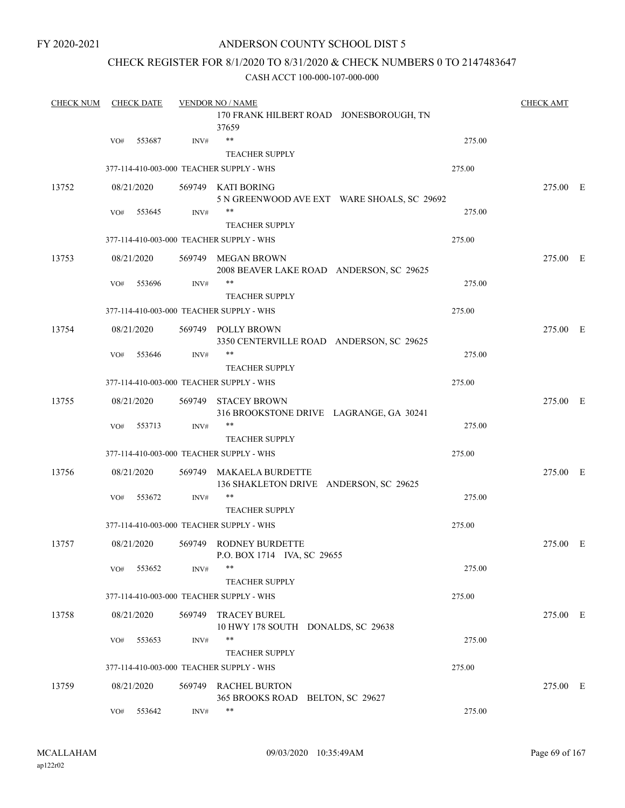## CHECK REGISTER FOR 8/1/2020 TO 8/31/2020 & CHECK NUMBERS 0 TO 2147483647

| <b>CHECK NUM</b> |     | <b>CHECK DATE</b> |        | <b>VENDOR NO / NAME</b>                                           | <b>CHECK AMT</b> |  |
|------------------|-----|-------------------|--------|-------------------------------------------------------------------|------------------|--|
|                  |     |                   |        | 170 FRANK HILBERT ROAD JONESBOROUGH, TN<br>37659                  |                  |  |
|                  | VO# | 553687            | INV#   | **<br>275.00                                                      |                  |  |
|                  |     |                   |        | <b>TEACHER SUPPLY</b>                                             |                  |  |
|                  |     |                   |        | 275.00<br>377-114-410-003-000 TEACHER SUPPLY - WHS                |                  |  |
| 13752            |     | 08/21/2020        |        | 569749 KATI BORING<br>5 N GREENWOOD AVE EXT WARE SHOALS, SC 29692 | 275.00 E         |  |
|                  | VO# | 553645            | INV#   | **<br>275.00<br><b>TEACHER SUPPLY</b>                             |                  |  |
|                  |     |                   |        | 377-114-410-003-000 TEACHER SUPPLY - WHS<br>275.00                |                  |  |
| 13753            |     | 08/21/2020        |        | 569749 MEGAN BROWN<br>2008 BEAVER LAKE ROAD ANDERSON, SC 29625    | 275.00 E         |  |
|                  | VO# | 553696            | INV#   | **<br>275.00<br><b>TEACHER SUPPLY</b>                             |                  |  |
|                  |     |                   |        | 377-114-410-003-000 TEACHER SUPPLY - WHS<br>275.00                |                  |  |
| 13754            |     | 08/21/2020        |        | 569749 POLLY BROWN<br>3350 CENTERVILLE ROAD ANDERSON, SC 29625    | 275.00 E         |  |
|                  | VO# | 553646            | INV#   | **<br>275.00<br><b>TEACHER SUPPLY</b>                             |                  |  |
|                  |     |                   |        | 275.00<br>377-114-410-003-000 TEACHER SUPPLY - WHS                |                  |  |
| 13755            |     | 08/21/2020        |        | 569749 STACEY BROWN<br>316 BROOKSTONE DRIVE LAGRANGE, GA 30241    | 275.00 E         |  |
|                  | VO# | 553713            | INV#   | 275.00<br><b>TEACHER SUPPLY</b>                                   |                  |  |
|                  |     |                   |        | 377-114-410-003-000 TEACHER SUPPLY - WHS<br>275.00                |                  |  |
| 13756            |     | 08/21/2020        |        | 569749 MAKAELA BURDETTE<br>136 SHAKLETON DRIVE ANDERSON, SC 29625 | 275.00 E         |  |
|                  | VO# | 553672            | INV#   | **<br>275.00<br><b>TEACHER SUPPLY</b>                             |                  |  |
|                  |     |                   |        | 377-114-410-003-000 TEACHER SUPPLY - WHS<br>275.00                |                  |  |
| 13757            |     | 08/21/2020        |        | 569749 RODNEY BURDETTE<br>P.O. BOX 1714 IVA, SC 29655             | 275.00 E         |  |
|                  | VO# | 553652            | INV#   | **<br>275.00<br><b>TEACHER SUPPLY</b>                             |                  |  |
|                  |     |                   |        | 377-114-410-003-000 TEACHER SUPPLY - WHS<br>275.00                |                  |  |
| 13758            |     | 08/21/2020        | 569749 | <b>TRACEY BUREL</b><br>10 HWY 178 SOUTH DONALDS, SC 29638         | 275.00 E         |  |
|                  | VO# | 553653            | INV#   | **<br>275.00                                                      |                  |  |
|                  |     |                   |        | <b>TEACHER SUPPLY</b>                                             |                  |  |
|                  |     |                   |        | 275.00<br>377-114-410-003-000 TEACHER SUPPLY - WHS                |                  |  |
| 13759            |     | 08/21/2020        |        | 569749 RACHEL BURTON<br>365 BROOKS ROAD BELTON, SC 29627          | 275.00 E         |  |
|                  | VO# | 553642            | INV#   | **<br>275.00                                                      |                  |  |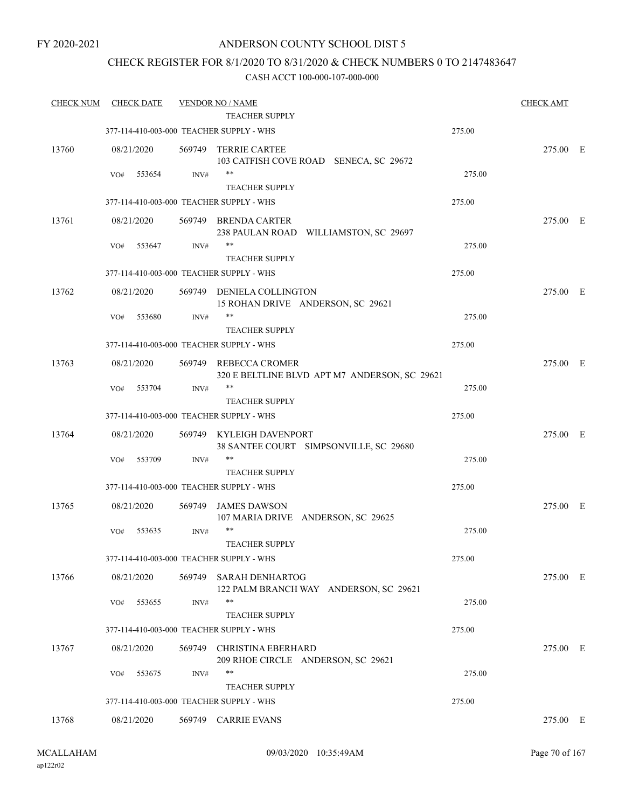## CHECK REGISTER FOR 8/1/2020 TO 8/31/2020 & CHECK NUMBERS 0 TO 2147483647

| <b>CHECK NUM</b> | <b>CHECK DATE</b> |        | <b>VENDOR NO / NAME</b>                  |                                               |        | <b>CHECK AMT</b> |  |
|------------------|-------------------|--------|------------------------------------------|-----------------------------------------------|--------|------------------|--|
|                  |                   |        | <b>TEACHER SUPPLY</b>                    |                                               |        |                  |  |
|                  |                   |        | 377-114-410-003-000 TEACHER SUPPLY - WHS |                                               | 275.00 |                  |  |
| 13760            | 08/21/2020        | 569749 | <b>TERRIE CARTEE</b>                     | 103 CATFISH COVE ROAD SENECA, SC 29672        |        | 275.00 E         |  |
|                  | 553654<br>VO#     | INV#   | $***$                                    |                                               | 275.00 |                  |  |
|                  |                   |        | <b>TEACHER SUPPLY</b>                    |                                               |        |                  |  |
|                  |                   |        | 377-114-410-003-000 TEACHER SUPPLY - WHS |                                               | 275.00 |                  |  |
| 13761            | 08/21/2020        |        | 569749 BRENDA CARTER                     | 238 PAULAN ROAD WILLIAMSTON, SC 29697         |        | 275.00 E         |  |
|                  | 553647<br>VO#     | INV#   | **                                       |                                               | 275.00 |                  |  |
|                  |                   |        | <b>TEACHER SUPPLY</b>                    |                                               |        |                  |  |
|                  |                   |        | 377-114-410-003-000 TEACHER SUPPLY - WHS |                                               | 275.00 |                  |  |
| 13762            | 08/21/2020        |        | 569749 DENIELA COLLINGTON                | 15 ROHAN DRIVE ANDERSON, SC 29621             |        | 275.00 E         |  |
|                  | 553680<br>VO#     | INV#   | $***$<br><b>TEACHER SUPPLY</b>           |                                               | 275.00 |                  |  |
|                  |                   |        |                                          |                                               |        |                  |  |
|                  |                   |        | 377-114-410-003-000 TEACHER SUPPLY - WHS |                                               | 275.00 |                  |  |
| 13763            | 08/21/2020        | 569749 | REBECCA CROMER                           | 320 E BELTLINE BLVD APT M7 ANDERSON, SC 29621 |        | 275.00 E         |  |
|                  | 553704<br>VO#     | INV#   | **                                       |                                               | 275.00 |                  |  |
|                  |                   |        | <b>TEACHER SUPPLY</b>                    |                                               |        |                  |  |
|                  |                   |        | 377-114-410-003-000 TEACHER SUPPLY - WHS |                                               | 275.00 |                  |  |
| 13764            | 08/21/2020        | 569749 | KYLEIGH DAVENPORT                        | 38 SANTEE COURT SIMPSONVILLE, SC 29680        |        | 275.00 E         |  |
|                  | 553709<br>VO#     | INV#   | **                                       |                                               | 275.00 |                  |  |
|                  |                   |        | <b>TEACHER SUPPLY</b>                    |                                               |        |                  |  |
|                  |                   |        | 377-114-410-003-000 TEACHER SUPPLY - WHS |                                               | 275.00 |                  |  |
| 13765            | 08/21/2020        | 569749 | <b>JAMES DAWSON</b>                      | 107 MARIA DRIVE ANDERSON, SC 29625            |        | 275.00 E         |  |
|                  | 553635<br>VO#     | INV#   | $***$<br>TEACHER SUPPLY                  |                                               | 275.00 |                  |  |
|                  |                   |        |                                          |                                               |        |                  |  |
|                  |                   |        | 377-114-410-003-000 TEACHER SUPPLY - WHS |                                               | 275.00 |                  |  |
| 13766            | 08/21/2020        | 569749 | <b>SARAH DENHARTOG</b>                   | 122 PALM BRANCH WAY ANDERSON, SC 29621        |        | 275.00 E         |  |
|                  | 553655<br>VO#     | INV#   | **<br><b>TEACHER SUPPLY</b>              |                                               | 275.00 |                  |  |
|                  |                   |        | 377-114-410-003-000 TEACHER SUPPLY - WHS |                                               | 275.00 |                  |  |
| 13767            | 08/21/2020        | 569749 | <b>CHRISTINA EBERHARD</b>                |                                               |        | 275.00 E         |  |
|                  |                   |        |                                          | 209 RHOE CIRCLE ANDERSON, SC 29621            |        |                  |  |
|                  | VO#<br>553675     | INV#   | **                                       |                                               | 275.00 |                  |  |
|                  |                   |        | <b>TEACHER SUPPLY</b>                    |                                               |        |                  |  |
|                  |                   |        | 377-114-410-003-000 TEACHER SUPPLY - WHS |                                               | 275.00 |                  |  |
| 13768            | 08/21/2020        |        | 569749 CARRIE EVANS                      |                                               |        | 275.00 E         |  |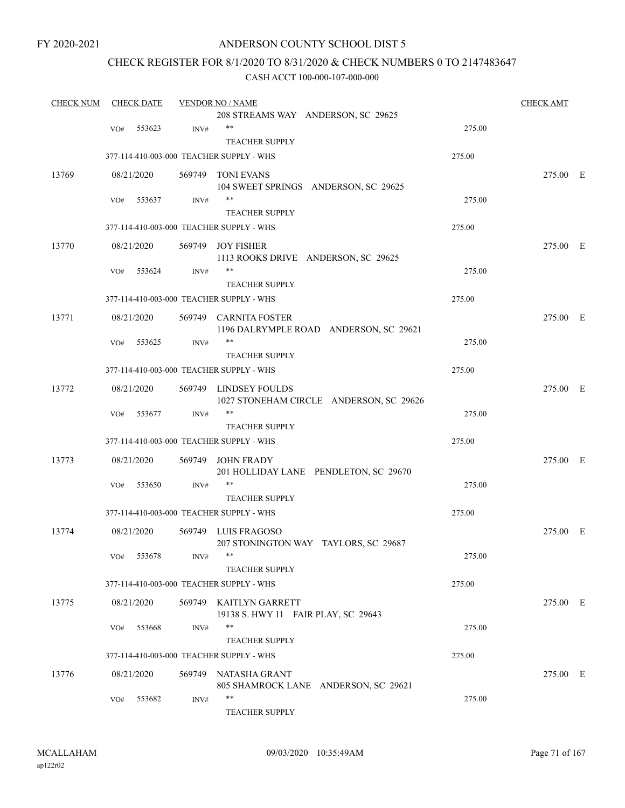## ANDERSON COUNTY SCHOOL DIST 5

## CHECK REGISTER FOR 8/1/2020 TO 8/31/2020 & CHECK NUMBERS 0 TO 2147483647

| <b>CHECK NUM</b> |     | <b>CHECK DATE</b> |                | <b>VENDOR NO / NAME</b>                                          |        | <b>CHECK AMT</b> |  |
|------------------|-----|-------------------|----------------|------------------------------------------------------------------|--------|------------------|--|
|                  |     |                   |                | 208 STREAMS WAY ANDERSON, SC 29625                               |        |                  |  |
|                  | VO# | 553623            | INV#           | $***$                                                            | 275.00 |                  |  |
|                  |     |                   |                | <b>TEACHER SUPPLY</b>                                            |        |                  |  |
|                  |     |                   |                | 377-114-410-003-000 TEACHER SUPPLY - WHS                         | 275.00 |                  |  |
| 13769            |     | 08/21/2020        |                | 569749 TONI EVANS                                                |        | 275.00 E         |  |
|                  |     |                   |                | 104 SWEET SPRINGS ANDERSON, SC 29625                             |        |                  |  |
|                  | VO# | 553637            | INV#           | $***$                                                            | 275.00 |                  |  |
|                  |     |                   |                | <b>TEACHER SUPPLY</b>                                            |        |                  |  |
|                  |     |                   |                | 377-114-410-003-000 TEACHER SUPPLY - WHS                         | 275.00 |                  |  |
| 13770            |     | 08/21/2020        |                | 569749 JOY FISHER                                                |        | 275.00 E         |  |
|                  |     |                   |                | 1113 ROOKS DRIVE ANDERSON, SC 29625                              |        |                  |  |
|                  | VO# | 553624            | INV#           | $***$                                                            | 275.00 |                  |  |
|                  |     |                   |                | <b>TEACHER SUPPLY</b>                                            |        |                  |  |
|                  |     |                   |                | 377-114-410-003-000 TEACHER SUPPLY - WHS                         | 275.00 |                  |  |
| 13771            |     | 08/21/2020        |                | 569749 CARNITA FOSTER                                            |        | 275.00 E         |  |
|                  |     |                   |                | 1196 DALRYMPLE ROAD ANDERSON, SC 29621<br>$***$                  | 275.00 |                  |  |
|                  | VO# | 553625            | INV#           | <b>TEACHER SUPPLY</b>                                            |        |                  |  |
|                  |     |                   |                |                                                                  |        |                  |  |
|                  |     |                   |                | 377-114-410-003-000 TEACHER SUPPLY - WHS                         | 275.00 |                  |  |
| 13772            |     | 08/21/2020        |                | 569749 LINDSEY FOULDS<br>1027 STONEHAM CIRCLE ANDERSON, SC 29626 |        | 275.00 E         |  |
|                  | VO# | 553677            | INV#           | $***$                                                            | 275.00 |                  |  |
|                  |     |                   |                | <b>TEACHER SUPPLY</b>                                            |        |                  |  |
|                  |     |                   |                | 377-114-410-003-000 TEACHER SUPPLY - WHS                         | 275.00 |                  |  |
| 13773            |     | 08/21/2020        | 569749         | <b>JOHN FRADY</b><br>201 HOLLIDAY LANE PENDLETON, SC 29670       |        | 275.00 E         |  |
|                  | VO# | 553650            | $\text{INV}\#$ | $***$                                                            | 275.00 |                  |  |
|                  |     |                   |                | <b>TEACHER SUPPLY</b>                                            |        |                  |  |
|                  |     |                   |                | 377-114-410-003-000 TEACHER SUPPLY - WHS                         | 275.00 |                  |  |
|                  |     |                   |                |                                                                  |        |                  |  |
| 13774            |     | 08/21/2020        |                | 569749 LUIS FRAGOSO<br>207 STONINGTON WAY TAYLORS, SC 29687      |        | 275.00 E         |  |
|                  |     | VO# 553678        | INV#           |                                                                  | 275.00 |                  |  |
|                  |     |                   |                | <b>TEACHER SUPPLY</b>                                            |        |                  |  |
|                  |     |                   |                | 377-114-410-003-000 TEACHER SUPPLY - WHS                         | 275.00 |                  |  |
| 13775            |     | 08/21/2020        |                | 569749 KAITLYN GARRETT                                           |        | 275.00 E         |  |
|                  |     |                   |                | 19138 S. HWY 11 FAIR PLAY, SC 29643                              |        |                  |  |
|                  | VO# | 553668            | INV#           | $***$                                                            | 275.00 |                  |  |
|                  |     |                   |                | <b>TEACHER SUPPLY</b>                                            |        |                  |  |
|                  |     |                   |                | 377-114-410-003-000 TEACHER SUPPLY - WHS                         | 275.00 |                  |  |
| 13776            |     | 08/21/2020        |                | 569749 NATASHA GRANT                                             |        | 275.00 E         |  |
|                  |     |                   |                | 805 SHAMROCK LANE ANDERSON, SC 29621                             |        |                  |  |
|                  | VO# | 553682            | INV#           | **                                                               | 275.00 |                  |  |
|                  |     |                   |                | TEACHER SUPPLY                                                   |        |                  |  |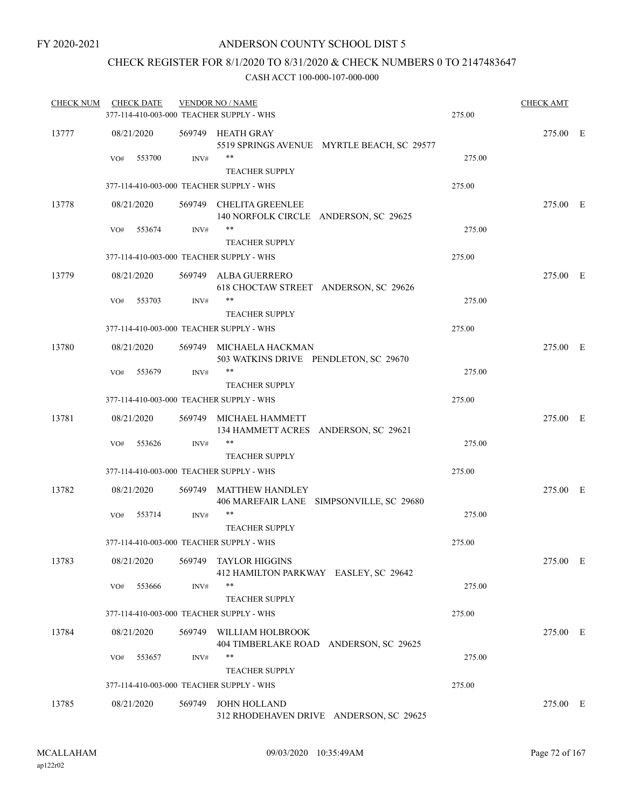## CHECK REGISTER FOR 8/1/2020 TO 8/31/2020 & CHECK NUMBERS 0 TO 2147483647

| <b>CHECK NUM</b> |     | <b>CHECK DATE</b> |        | <b>VENDOR NO / NAME</b><br>377-114-410-003-000 TEACHER SUPPLY - WHS | 275.00 | <b>CHECK AMT</b> |  |
|------------------|-----|-------------------|--------|---------------------------------------------------------------------|--------|------------------|--|
| 13777            |     | 08/21/2020        |        | 569749 HEATH GRAY<br>5519 SPRINGS AVENUE MYRTLE BEACH, SC 29577     |        | 275.00 E         |  |
|                  | VO# | 553700            | INV#   | **<br><b>TEACHER SUPPLY</b>                                         | 275.00 |                  |  |
|                  |     |                   |        | 377-114-410-003-000 TEACHER SUPPLY - WHS                            | 275.00 |                  |  |
| 13778            |     | 08/21/2020        |        | 569749 CHELITA GREENLEE<br>140 NORFOLK CIRCLE ANDERSON, SC 29625    |        | 275.00 E         |  |
|                  | VO# | 553674            | INV#   | **<br><b>TEACHER SUPPLY</b>                                         | 275.00 |                  |  |
|                  |     |                   |        | 377-114-410-003-000 TEACHER SUPPLY - WHS                            | 275.00 |                  |  |
| 13779            |     | 08/21/2020        |        | 569749 ALBA GUERRERO                                                |        | 275.00 E         |  |
|                  |     |                   |        | 618 CHOCTAW STREET ANDERSON, SC 29626                               |        |                  |  |
|                  | VO# | 553703            | INV#   | **<br><b>TEACHER SUPPLY</b>                                         | 275.00 |                  |  |
|                  |     |                   |        | 377-114-410-003-000 TEACHER SUPPLY - WHS                            | 275.00 |                  |  |
| 13780            |     | 08/21/2020        |        | 569749 MICHAELA HACKMAN<br>503 WATKINS DRIVE PENDLETON, SC 29670    |        | 275.00 E         |  |
|                  | VO# | 553679            | INV#   | $***$                                                               | 275.00 |                  |  |
|                  |     |                   |        | <b>TEACHER SUPPLY</b><br>377-114-410-003-000 TEACHER SUPPLY - WHS   | 275.00 |                  |  |
|                  |     |                   |        |                                                                     |        |                  |  |
| 13781            |     | 08/21/2020        |        | 569749 MICHAEL HAMMETT<br>134 HAMMETT ACRES ANDERSON, SC 29621      |        | 275.00 E         |  |
|                  | VO# | 553626            | INV#   | $***$<br><b>TEACHER SUPPLY</b>                                      | 275.00 |                  |  |
|                  |     |                   |        | 377-114-410-003-000 TEACHER SUPPLY - WHS                            | 275.00 |                  |  |
| 13782            |     | 08/21/2020        |        | 569749 MATTHEW HANDLEY<br>406 MAREFAIR LANE SIMPSONVILLE, SC 29680  |        | 275.00 E         |  |
|                  | VO# | 553714            | INV#   | **                                                                  | 275.00 |                  |  |
|                  |     |                   |        | <b>TEACHER SUPPLY</b><br>377-114-410-003-000 TEACHER SUPPLY - WHS   | 275.00 |                  |  |
| 13783            |     | 08/21/2020        |        | 569749 TAYLOR HIGGINS                                               |        | 275.00 E         |  |
|                  | VO# | 553666            | INV#   | 412 HAMILTON PARKWAY EASLEY, SC 29642<br>**                         | 275.00 |                  |  |
|                  |     |                   |        | <b>TEACHER SUPPLY</b>                                               |        |                  |  |
|                  |     |                   |        | 377-114-410-003-000 TEACHER SUPPLY - WHS                            | 275.00 |                  |  |
| 13784            |     | 08/21/2020        | 569749 | WILLIAM HOLBROOK<br>404 TIMBERLAKE ROAD ANDERSON, SC 29625          |        | 275.00 E         |  |
|                  | VO# | 553657            | INV#   | **                                                                  | 275.00 |                  |  |
|                  |     |                   |        | TEACHER SUPPLY<br>377-114-410-003-000 TEACHER SUPPLY - WHS          | 275.00 |                  |  |
|                  |     |                   |        |                                                                     |        |                  |  |
| 13785            |     | 08/21/2020        | 569749 | <b>JOHN HOLLAND</b><br>312 RHODEHAVEN DRIVE ANDERSON, SC 29625      |        | 275.00 E         |  |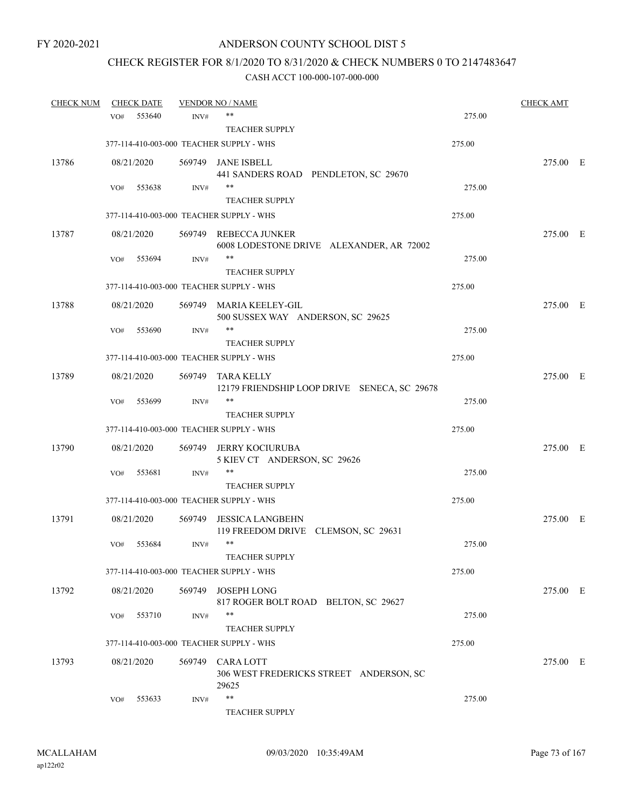# CHECK REGISTER FOR 8/1/2020 TO 8/31/2020 & CHECK NUMBERS 0 TO 2147483647

| <b>CHECK NUM</b> |     | <b>CHECK DATE</b> |        | <b>VENDOR NO / NAME</b>                                             |        | <b>CHECK AMT</b> |  |
|------------------|-----|-------------------|--------|---------------------------------------------------------------------|--------|------------------|--|
|                  | VO# | 553640            | INV#   | **                                                                  | 275.00 |                  |  |
|                  |     |                   |        | <b>TEACHER SUPPLY</b>                                               |        |                  |  |
|                  |     |                   |        | 377-114-410-003-000 TEACHER SUPPLY - WHS                            | 275.00 |                  |  |
| 13786            |     | 08/21/2020        |        | 569749 JANE ISBELL<br>441 SANDERS ROAD PENDLETON, SC 29670          |        | 275.00 E         |  |
|                  | VO# | 553638            | INV#   | $***$                                                               | 275.00 |                  |  |
|                  |     |                   |        | <b>TEACHER SUPPLY</b>                                               |        |                  |  |
|                  |     |                   |        | 377-114-410-003-000 TEACHER SUPPLY - WHS                            | 275.00 |                  |  |
| 13787            |     | 08/21/2020        |        | 569749 REBECCA JUNKER<br>6008 LODESTONE DRIVE ALEXANDER, AR 72002   |        | 275.00 E         |  |
|                  | VO# | 553694            | INV#   | $***$                                                               | 275.00 |                  |  |
|                  |     |                   |        | <b>TEACHER SUPPLY</b>                                               |        |                  |  |
|                  |     |                   |        | 377-114-410-003-000 TEACHER SUPPLY - WHS                            | 275.00 |                  |  |
| 13788            |     | 08/21/2020        |        | 569749 MARIA KEELEY-GIL<br>500 SUSSEX WAY ANDERSON, SC 29625        |        | 275.00 E         |  |
|                  | VO# | 553690            | INV#   | **                                                                  | 275.00 |                  |  |
|                  |     |                   |        | <b>TEACHER SUPPLY</b>                                               |        |                  |  |
|                  |     |                   |        | 377-114-410-003-000 TEACHER SUPPLY - WHS                            | 275.00 |                  |  |
| 13789            |     | 08/21/2020        | 569749 | TARA KELLY<br>12179 FRIENDSHIP LOOP DRIVE SENECA, SC 29678          |        | 275.00 E         |  |
|                  | VO# | 553699            | INV#   | $***$                                                               | 275.00 |                  |  |
|                  |     |                   |        | <b>TEACHER SUPPLY</b>                                               |        |                  |  |
|                  |     |                   |        | 377-114-410-003-000 TEACHER SUPPLY - WHS                            | 275.00 |                  |  |
| 13790            |     | 08/21/2020        | 569749 | JERRY KOCIURUBA<br>5 KIEV CT ANDERSON, SC 29626                     |        | 275.00 E         |  |
|                  | VO# | 553681            | INV#   | $***$                                                               | 275.00 |                  |  |
|                  |     |                   |        | <b>TEACHER SUPPLY</b>                                               |        |                  |  |
|                  |     |                   |        | 377-114-410-003-000 TEACHER SUPPLY - WHS                            | 275.00 |                  |  |
| 13791            |     | 08/21/2020        | 569749 | <b>JESSICA LANGBEHN</b><br>119 FREEDOM DRIVE CLEMSON, SC 29631      |        | 275.00 E         |  |
|                  | VO# | 553684            | INV#   | $***$                                                               | 275.00 |                  |  |
|                  |     |                   |        | <b>TEACHER SUPPLY</b>                                               |        |                  |  |
|                  |     |                   |        | 377-114-410-003-000 TEACHER SUPPLY - WHS                            | 275.00 |                  |  |
| 13792            |     | 08/21/2020        |        | 569749 JOSEPH LONG<br>817 ROGER BOLT ROAD BELTON, SC 29627          |        | 275.00 E         |  |
|                  | VO# | 553710            | INV#   | **                                                                  | 275.00 |                  |  |
|                  |     |                   |        | <b>TEACHER SUPPLY</b>                                               |        |                  |  |
|                  |     |                   |        | 377-114-410-003-000 TEACHER SUPPLY - WHS                            | 275.00 |                  |  |
| 13793            |     | 08/21/2020        | 569749 | <b>CARALOTT</b><br>306 WEST FREDERICKS STREET ANDERSON, SC<br>29625 |        | 275.00 E         |  |
|                  | VO# | 553633            | INV#   | **<br><b>TEACHER SUPPLY</b>                                         | 275.00 |                  |  |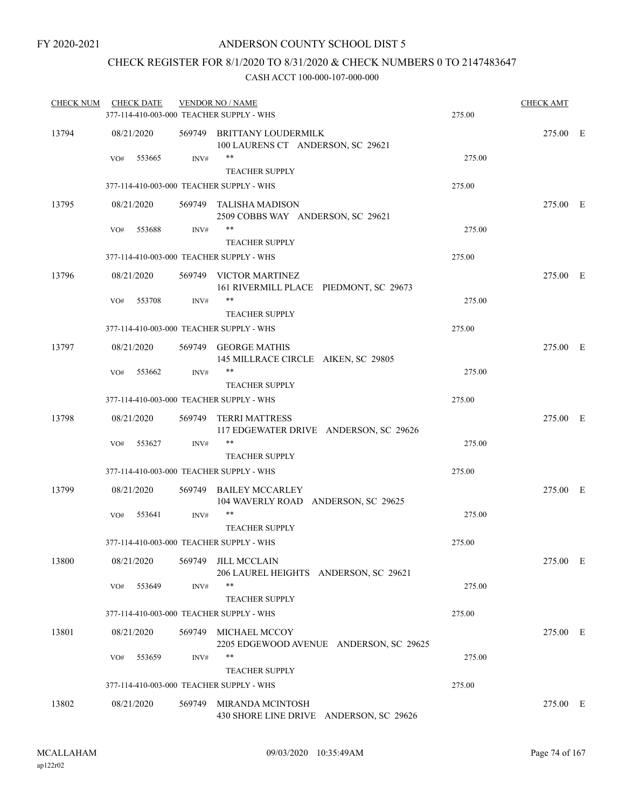## CHECK REGISTER FOR 8/1/2020 TO 8/31/2020 & CHECK NUMBERS 0 TO 2147483647

| <b>CHECK NUM</b> | <b>CHECK DATE</b> |        | <b>VENDOR NO / NAME</b><br>377-114-410-003-000 TEACHER SUPPLY - WHS | 275.00 | <b>CHECK AMT</b> |  |
|------------------|-------------------|--------|---------------------------------------------------------------------|--------|------------------|--|
| 13794            | 08/21/2020        |        | 569749 BRITTANY LOUDERMILK<br>100 LAURENS CT ANDERSON, SC 29621     |        | 275.00 E         |  |
|                  | 553665<br>VO#     | INV#   | $***$<br><b>TEACHER SUPPLY</b>                                      | 275.00 |                  |  |
|                  |                   |        | 377-114-410-003-000 TEACHER SUPPLY - WHS                            | 275.00 |                  |  |
| 13795            | 08/21/2020        |        | 569749 TALISHA MADISON<br>2509 COBBS WAY ANDERSON, SC 29621         |        | 275.00 E         |  |
|                  | 553688<br>VO#     | INV#   | $***$<br><b>TEACHER SUPPLY</b>                                      | 275.00 |                  |  |
|                  |                   |        | 377-114-410-003-000 TEACHER SUPPLY - WHS                            | 275.00 |                  |  |
| 13796            | 08/21/2020        |        | 569749 VICTOR MARTINEZ<br>161 RIVERMILL PLACE PIEDMONT, SC 29673    |        | 275.00 E         |  |
|                  | 553708<br>VO#     | INV#   | $***$<br><b>TEACHER SUPPLY</b>                                      | 275.00 |                  |  |
|                  |                   |        | 377-114-410-003-000 TEACHER SUPPLY - WHS                            | 275.00 |                  |  |
| 13797            | 08/21/2020        |        | 569749 GEORGE MATHIS<br>145 MILLRACE CIRCLE AIKEN, SC 29805         |        | 275.00 E         |  |
|                  | 553662<br>VO#     | INV#   | $***$                                                               | 275.00 |                  |  |
|                  |                   |        | <b>TEACHER SUPPLY</b>                                               |        |                  |  |
|                  |                   |        | 377-114-410-003-000 TEACHER SUPPLY - WHS                            | 275.00 |                  |  |
| 13798            | 08/21/2020        |        | 569749 TERRI MATTRESS<br>117 EDGEWATER DRIVE ANDERSON, SC 29626     |        | 275.00 E         |  |
|                  | 553627<br>VO#     | INV#   | **<br><b>TEACHER SUPPLY</b>                                         | 275.00 |                  |  |
|                  |                   |        | 377-114-410-003-000 TEACHER SUPPLY - WHS                            | 275.00 |                  |  |
| 13799            | 08/21/2020        |        | 569749 BAILEY MCCARLEY<br>104 WAVERLY ROAD ANDERSON, SC 29625       |        | 275.00 E         |  |
|                  | VO#<br>553641     | INV#   | $***$<br><b>TEACHER SUPPLY</b>                                      | 275.00 |                  |  |
|                  |                   |        | 377-114-410-003-000 TEACHER SUPPLY - WHS                            | 275.00 |                  |  |
| 13800            | 08/21/2020        |        | 569749 JILL MCCLAIN<br>206 LAUREL HEIGHTS ANDERSON, SC 29621        |        | 275.00 E         |  |
|                  | 553649<br>VO#     | INV#   | **<br><b>TEACHER SUPPLY</b>                                         | 275.00 |                  |  |
|                  |                   |        | 377-114-410-003-000 TEACHER SUPPLY - WHS                            | 275.00 |                  |  |
| 13801            | 08/21/2020        |        | 569749 MICHAEL MCCOY<br>2205 EDGEWOOD AVENUE ANDERSON, SC 29625     |        | 275.00 E         |  |
|                  | 553659<br>VO#     | INV#   | **<br><b>TEACHER SUPPLY</b>                                         | 275.00 |                  |  |
|                  |                   |        | 377-114-410-003-000 TEACHER SUPPLY - WHS                            | 275.00 |                  |  |
| 13802            | 08/21/2020        | 569749 | MIRANDA MCINTOSH<br>430 SHORE LINE DRIVE ANDERSON, SC 29626         |        | 275.00 E         |  |
|                  |                   |        |                                                                     |        |                  |  |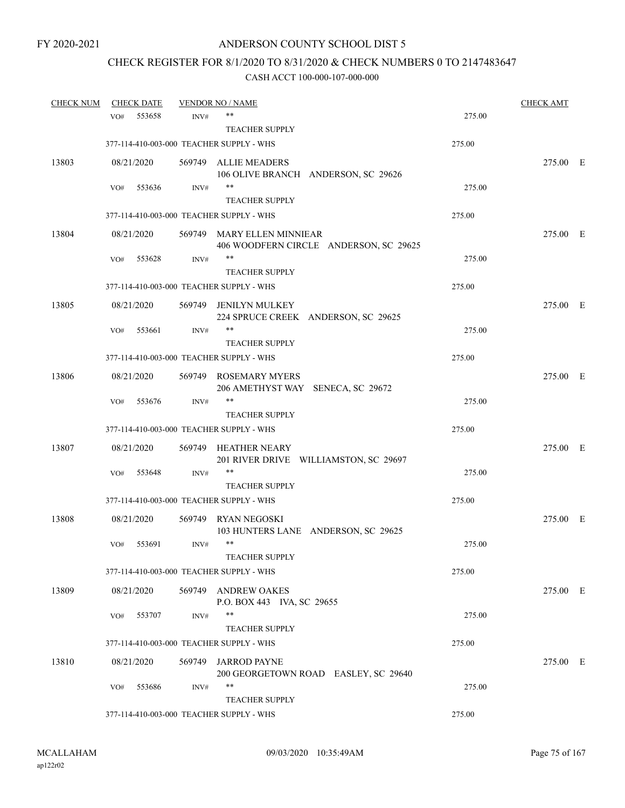# CHECK REGISTER FOR 8/1/2020 TO 8/31/2020 & CHECK NUMBERS 0 TO 2147483647

| <b>CHECK NUM</b> |     | <b>CHECK DATE</b> |        | <b>VENDOR NO / NAME</b>                                              |        | <b>CHECK AMT</b> |  |
|------------------|-----|-------------------|--------|----------------------------------------------------------------------|--------|------------------|--|
|                  | VO# | 553658            | INV#   | **                                                                   | 275.00 |                  |  |
|                  |     |                   |        | <b>TEACHER SUPPLY</b>                                                |        |                  |  |
|                  |     |                   |        | 377-114-410-003-000 TEACHER SUPPLY - WHS                             | 275.00 |                  |  |
| 13803            |     | 08/21/2020        |        | 569749 ALLIE MEADERS<br>106 OLIVE BRANCH ANDERSON, SC 29626          |        | 275.00 E         |  |
|                  | VO# | 553636            | INV#   | **<br><b>TEACHER SUPPLY</b>                                          | 275.00 |                  |  |
|                  |     |                   |        | 377-114-410-003-000 TEACHER SUPPLY - WHS                             | 275.00 |                  |  |
| 13804            |     | 08/21/2020        |        | 569749 MARY ELLEN MINNIEAR<br>406 WOODFERN CIRCLE ANDERSON, SC 29625 |        | 275.00 E         |  |
|                  | VO# | 553628            | INV#   | **<br><b>TEACHER SUPPLY</b>                                          | 275.00 |                  |  |
|                  |     |                   |        | 377-114-410-003-000 TEACHER SUPPLY - WHS                             | 275.00 |                  |  |
| 13805            |     | 08/21/2020        | 569749 | <b>JENILYN MULKEY</b><br>224 SPRUCE CREEK ANDERSON, SC 29625         |        | 275.00 E         |  |
|                  | VO# | 553661            | INV#   | **                                                                   | 275.00 |                  |  |
|                  |     |                   |        | <b>TEACHER SUPPLY</b>                                                |        |                  |  |
|                  |     |                   |        | 377-114-410-003-000 TEACHER SUPPLY - WHS                             | 275.00 |                  |  |
| 13806            |     | 08/21/2020        |        | 569749 ROSEMARY MYERS<br>206 AMETHYST WAY SENECA, SC 29672           |        | 275.00 E         |  |
|                  | VO# | 553676            | INV#   | **                                                                   | 275.00 |                  |  |
|                  |     |                   |        | <b>TEACHER SUPPLY</b>                                                |        |                  |  |
|                  |     |                   |        | 377-114-410-003-000 TEACHER SUPPLY - WHS                             | 275.00 |                  |  |
| 13807            |     | 08/21/2020        |        | 569749 HEATHER NEARY<br>201 RIVER DRIVE WILLIAMSTON, SC 29697        |        | 275.00 E         |  |
|                  | VO# | 553648            | INV#   | **                                                                   | 275.00 |                  |  |
|                  |     |                   |        | <b>TEACHER SUPPLY</b>                                                |        |                  |  |
|                  |     |                   |        | 377-114-410-003-000 TEACHER SUPPLY - WHS                             | 275.00 |                  |  |
| 13808            |     | 08/21/2020        | 569749 | <b>RYAN NEGOSKI</b><br>103 HUNTERS LANE ANDERSON, SC 29625           |        | 275.00 E         |  |
|                  | VO# | 553691            | INV#   | $***$                                                                | 275.00 |                  |  |
|                  |     |                   |        | <b>TEACHER SUPPLY</b>                                                |        |                  |  |
|                  |     |                   |        | 377-114-410-003-000 TEACHER SUPPLY - WHS                             | 275.00 |                  |  |
| 13809            |     | 08/21/2020        |        | 569749 ANDREW OAKES<br>P.O. BOX 443 IVA, SC 29655                    |        | 275.00 E         |  |
|                  | VO# | 553707            | INV#   | **                                                                   | 275.00 |                  |  |
|                  |     |                   |        | <b>TEACHER SUPPLY</b>                                                |        |                  |  |
|                  |     |                   |        | 377-114-410-003-000 TEACHER SUPPLY - WHS                             | 275.00 |                  |  |
| 13810            |     | 08/21/2020        | 569749 | <b>JARROD PAYNE</b><br>200 GEORGETOWN ROAD EASLEY, SC 29640          |        | 275.00 E         |  |
|                  | VO# | 553686            | INV#   | **                                                                   | 275.00 |                  |  |
|                  |     |                   |        | <b>TEACHER SUPPLY</b>                                                |        |                  |  |
|                  |     |                   |        | 377-114-410-003-000 TEACHER SUPPLY - WHS                             | 275.00 |                  |  |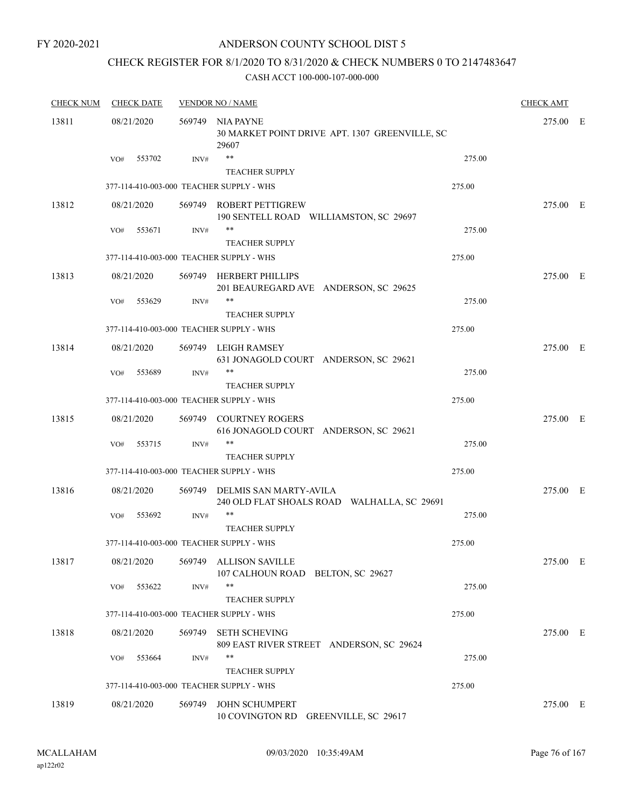### ANDERSON COUNTY SCHOOL DIST 5

## CHECK REGISTER FOR 8/1/2020 TO 8/31/2020 & CHECK NUMBERS 0 TO 2147483647

| <b>CHECK NUM</b> | <b>CHECK DATE</b>                        |        | <b>VENDOR NO / NAME</b>                                                      |        | <b>CHECK AMT</b> |  |
|------------------|------------------------------------------|--------|------------------------------------------------------------------------------|--------|------------------|--|
| 13811            | 08/21/2020                               |        | 569749 NIA PAYNE<br>30 MARKET POINT DRIVE APT. 1307 GREENVILLE, SC<br>29607  |        | 275.00 E         |  |
|                  | 553702<br>VO#                            | INV#   | $***$<br><b>TEACHER SUPPLY</b>                                               | 275.00 |                  |  |
|                  | 377-114-410-003-000 TEACHER SUPPLY - WHS |        |                                                                              | 275.00 |                  |  |
| 13812            | 08/21/2020                               |        | 569749 ROBERT PETTIGREW<br>190 SENTELL ROAD WILLIAMSTON, SC 29697            |        | 275.00 E         |  |
|                  | 553671<br>VO#                            | INV#   | **<br><b>TEACHER SUPPLY</b>                                                  | 275.00 |                  |  |
|                  | 377-114-410-003-000 TEACHER SUPPLY - WHS |        |                                                                              | 275.00 |                  |  |
| 13813            | 08/21/2020                               |        | 569749 HERBERT PHILLIPS<br>201 BEAUREGARD AVE ANDERSON, SC 29625             |        | 275.00 E         |  |
|                  | VO#<br>553629                            | INV#   | <b>TEACHER SUPPLY</b>                                                        | 275.00 |                  |  |
|                  | 377-114-410-003-000 TEACHER SUPPLY - WHS |        |                                                                              | 275.00 |                  |  |
| 13814            | 08/21/2020                               |        | 569749 LEIGH RAMSEY<br>631 JONAGOLD COURT ANDERSON, SC 29621                 |        | 275.00 E         |  |
|                  | 553689<br>VO#                            | INV#   | **<br><b>TEACHER SUPPLY</b>                                                  | 275.00 |                  |  |
|                  | 377-114-410-003-000 TEACHER SUPPLY - WHS |        |                                                                              | 275.00 |                  |  |
| 13815            | 08/21/2020                               |        | 569749 COURTNEY ROGERS<br>616 JONAGOLD COURT ANDERSON, SC 29621              |        | 275.00 E         |  |
|                  | 553715<br>VO#                            | INV#   | **<br><b>TEACHER SUPPLY</b>                                                  | 275.00 |                  |  |
|                  | 377-114-410-003-000 TEACHER SUPPLY - WHS |        |                                                                              | 275.00 |                  |  |
| 13816            | 08/21/2020                               |        | 569749 DELMIS SAN MARTY-AVILA<br>240 OLD FLAT SHOALS ROAD WALHALLA, SC 29691 |        | 275.00 E         |  |
|                  | 553692<br>VO#                            | INV#   | **<br><b>TEACHER SUPPLY</b>                                                  | 275.00 |                  |  |
|                  | 377-114-410-003-000 TEACHER SUPPLY - WHS |        |                                                                              | 275.00 |                  |  |
| 13817            | 08/21/2020                               |        | 569749 ALLISON SAVILLE<br>107 CALHOUN ROAD BELTON, SC 29627                  |        | 275.00 E         |  |
|                  | 553622<br>VO#                            | INV#   | $***$<br><b>TEACHER SUPPLY</b>                                               | 275.00 |                  |  |
|                  | 377-114-410-003-000 TEACHER SUPPLY - WHS |        |                                                                              | 275.00 |                  |  |
| 13818            | 08/21/2020                               | 569749 | <b>SETH SCHEVING</b><br>809 EAST RIVER STREET ANDERSON, SC 29624             |        | 275.00 E         |  |
|                  | 553664<br>VO#                            | INV#   | **<br><b>TEACHER SUPPLY</b>                                                  | 275.00 |                  |  |
|                  | 377-114-410-003-000 TEACHER SUPPLY - WHS |        |                                                                              | 275.00 |                  |  |
| 13819            | 08/21/2020                               | 569749 | <b>JOHN SCHUMPERT</b><br>10 COVINGTON RD<br>GREENVILLE, SC 29617             |        | 275.00 E         |  |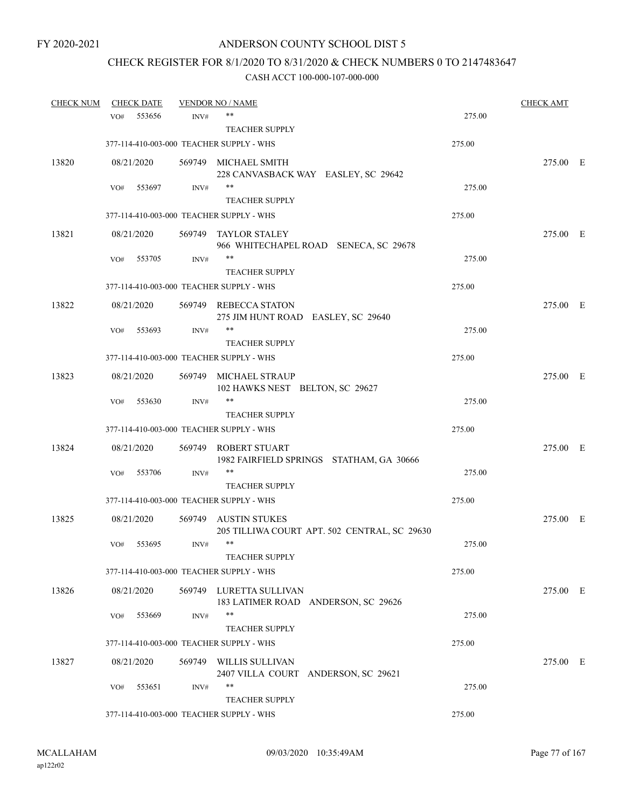# CHECK REGISTER FOR 8/1/2020 TO 8/31/2020 & CHECK NUMBERS 0 TO 2147483647

| <b>CHECK NUM</b> |     | <b>CHECK DATE</b> |        | <b>VENDOR NO / NAME</b>                                          |        | <b>CHECK AMT</b> |  |
|------------------|-----|-------------------|--------|------------------------------------------------------------------|--------|------------------|--|
|                  | VO# | 553656            | INV#   | **                                                               | 275.00 |                  |  |
|                  |     |                   |        | <b>TEACHER SUPPLY</b>                                            |        |                  |  |
|                  |     |                   |        | 377-114-410-003-000 TEACHER SUPPLY - WHS                         | 275.00 |                  |  |
| 13820            |     | 08/21/2020        |        | 569749 MICHAEL SMITH<br>228 CANVASBACK WAY EASLEY, SC 29642      |        | 275.00 E         |  |
|                  | VO# | 553697            | INV#   | $***$                                                            | 275.00 |                  |  |
|                  |     |                   |        | <b>TEACHER SUPPLY</b>                                            |        |                  |  |
|                  |     |                   |        | 377-114-410-003-000 TEACHER SUPPLY - WHS                         | 275.00 |                  |  |
| 13821            |     | 08/21/2020        |        | 569749 TAYLOR STALEY<br>966 WHITECHAPEL ROAD SENECA, SC 29678    |        | 275.00 E         |  |
|                  | VO# | 553705            | INV#   | **                                                               | 275.00 |                  |  |
|                  |     |                   |        | <b>TEACHER SUPPLY</b>                                            |        |                  |  |
|                  |     |                   |        | 377-114-410-003-000 TEACHER SUPPLY - WHS                         | 275.00 |                  |  |
| 13822            |     | 08/21/2020        |        | 569749 REBECCA STATON<br>275 JIM HUNT ROAD EASLEY, SC 29640      |        | 275.00 E         |  |
|                  | VO# | 553693            | INV#   | **                                                               | 275.00 |                  |  |
|                  |     |                   |        | <b>TEACHER SUPPLY</b>                                            |        |                  |  |
|                  |     |                   |        | 377-114-410-003-000 TEACHER SUPPLY - WHS                         | 275.00 |                  |  |
| 13823            |     | 08/21/2020        |        | 569749 MICHAEL STRAUP<br>102 HAWKS NEST BELTON, SC 29627         |        | 275.00 E         |  |
|                  | VO# | 553630            | INV#   | $***$                                                            | 275.00 |                  |  |
|                  |     |                   |        | <b>TEACHER SUPPLY</b>                                            |        |                  |  |
|                  |     |                   |        | 377-114-410-003-000 TEACHER SUPPLY - WHS                         | 275.00 |                  |  |
| 13824            |     | 08/21/2020        |        | 569749 ROBERT STUART<br>1982 FAIRFIELD SPRINGS STATHAM, GA 30666 |        | 275.00 E         |  |
|                  | VO# | 553706            | INV#   | $***$                                                            | 275.00 |                  |  |
|                  |     |                   |        | <b>TEACHER SUPPLY</b>                                            |        |                  |  |
|                  |     |                   |        | 377-114-410-003-000 TEACHER SUPPLY - WHS                         | 275.00 |                  |  |
| 13825            |     | 08/21/2020        | 569749 | AUSTIN STUKES<br>205 TILLIWA COURT APT. 502 CENTRAL, SC 29630    |        | 275.00 E         |  |
|                  | VO# | 553695            | INV#   | $***$                                                            | 275.00 |                  |  |
|                  |     |                   |        | <b>TEACHER SUPPLY</b>                                            |        |                  |  |
|                  |     |                   |        | 377-114-410-003-000 TEACHER SUPPLY - WHS                         | 275.00 |                  |  |
| 13826            |     | 08/21/2020        |        | 569749 LURETTA SULLIVAN<br>183 LATIMER ROAD ANDERSON, SC 29626   |        | 275.00 E         |  |
|                  | VO# | 553669            | INV#   | $***$                                                            | 275.00 |                  |  |
|                  |     |                   |        | <b>TEACHER SUPPLY</b>                                            |        |                  |  |
|                  |     |                   |        | 377-114-410-003-000 TEACHER SUPPLY - WHS                         | 275.00 |                  |  |
| 13827            |     | 08/21/2020        | 569749 | WILLIS SULLIVAN<br>2407 VILLA COURT ANDERSON, SC 29621           |        | 275.00 E         |  |
|                  | VO# | 553651            | INV#   | **<br><b>TEACHER SUPPLY</b>                                      | 275.00 |                  |  |
|                  |     |                   |        | 377-114-410-003-000 TEACHER SUPPLY - WHS                         | 275.00 |                  |  |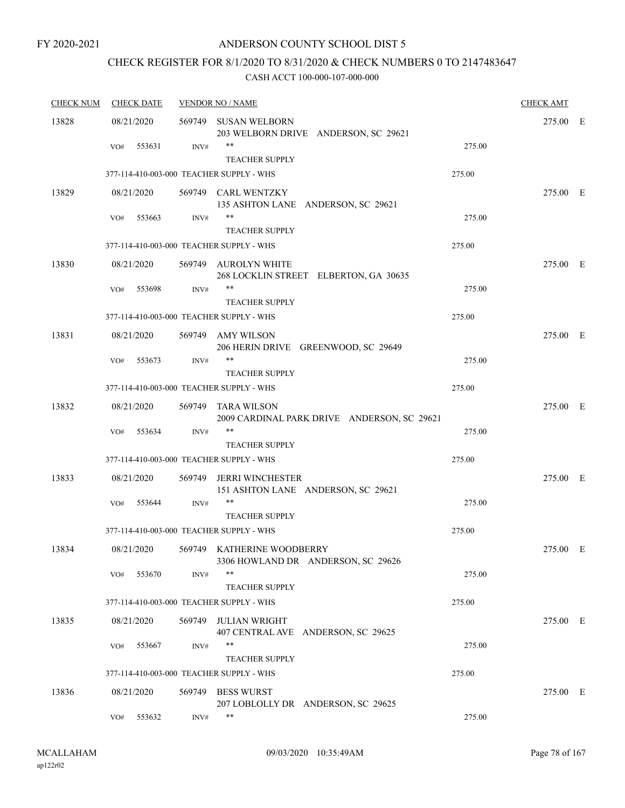### ANDERSON COUNTY SCHOOL DIST 5

# CHECK REGISTER FOR 8/1/2020 TO 8/31/2020 & CHECK NUMBERS 0 TO 2147483647

| <b>CHECK NUM</b> | <b>CHECK DATE</b> |        | <b>VENDOR NO / NAME</b>                                           |        |          |  |  |
|------------------|-------------------|--------|-------------------------------------------------------------------|--------|----------|--|--|
| 13828            | 08/21/2020        |        | 569749 SUSAN WELBORN<br>203 WELBORN DRIVE ANDERSON, SC 29621      |        | 275.00 E |  |  |
|                  | 553631<br>VO#     | INV#   | $***$<br><b>TEACHER SUPPLY</b>                                    | 275.00 |          |  |  |
|                  |                   |        | 377-114-410-003-000 TEACHER SUPPLY - WHS                          | 275.00 |          |  |  |
| 13829            | 08/21/2020        |        | 569749 CARL WENTZKY<br>135 ASHTON LANE ANDERSON, SC 29621         |        | 275.00 E |  |  |
|                  | VO#<br>553663     | INV#   | $***$<br><b>TEACHER SUPPLY</b>                                    | 275.00 |          |  |  |
|                  |                   |        | 377-114-410-003-000 TEACHER SUPPLY - WHS                          | 275.00 |          |  |  |
| 13830            | 08/21/2020        |        | 569749 AUROLYN WHITE<br>268 LOCKLIN STREET ELBERTON, GA 30635     |        | 275.00 E |  |  |
|                  | VO#<br>553698     | INV#   | **<br><b>TEACHER SUPPLY</b>                                       | 275.00 |          |  |  |
|                  |                   |        | 377-114-410-003-000 TEACHER SUPPLY - WHS                          | 275.00 |          |  |  |
| 13831            | 08/21/2020        |        | 569749 AMY WILSON<br>206 HERIN DRIVE GREENWOOD, SC 29649          |        | 275.00 E |  |  |
|                  | 553673<br>VO#     | INV#   | $***$<br><b>TEACHER SUPPLY</b>                                    | 275.00 |          |  |  |
|                  |                   |        | 377-114-410-003-000 TEACHER SUPPLY - WHS                          | 275.00 |          |  |  |
| 13832            | 08/21/2020        |        | 569749 TARA WILSON<br>2009 CARDINAL PARK DRIVE ANDERSON, SC 29621 |        | 275.00 E |  |  |
|                  | 553634<br>VO#     | INV#   | $***$<br><b>TEACHER SUPPLY</b>                                    | 275.00 |          |  |  |
|                  |                   |        | 377-114-410-003-000 TEACHER SUPPLY - WHS                          | 275.00 |          |  |  |
| 13833            | 08/21/2020        | 569749 | <b>JERRI WINCHESTER</b><br>151 ASHTON LANE ANDERSON, SC 29621     |        | 275.00 E |  |  |
|                  | 553644<br>VO#     | INV#   | **<br><b>TEACHER SUPPLY</b>                                       | 275.00 |          |  |  |
|                  |                   |        | 377-114-410-003-000 TEACHER SUPPLY - WHS                          | 275.00 |          |  |  |
| 13834            | 08/21/2020        |        | 569749 KATHERINE WOODBERRY<br>3306 HOWLAND DR ANDERSON, SC 29626  |        | 275.00 E |  |  |
|                  | 553670<br>VO#     | INV#   | $***$<br><b>TEACHER SUPPLY</b>                                    | 275.00 |          |  |  |
|                  |                   |        | 377-114-410-003-000 TEACHER SUPPLY - WHS                          | 275.00 |          |  |  |
| 13835            | 08/21/2020        | 569749 | <b>JULIAN WRIGHT</b><br>407 CENTRAL AVE ANDERSON, SC 29625        |        | 275.00 E |  |  |
|                  | 553667<br>VO#     | INV#   | **<br><b>TEACHER SUPPLY</b>                                       | 275.00 |          |  |  |
|                  |                   |        | 377-114-410-003-000 TEACHER SUPPLY - WHS                          | 275.00 |          |  |  |
| 13836            | 08/21/2020        | 569749 | <b>BESS WURST</b><br>207 LOBLOLLY DR ANDERSON, SC 29625           |        | 275.00 E |  |  |
|                  | 553632<br>VO#     | INV#   | $\ast\ast$                                                        | 275.00 |          |  |  |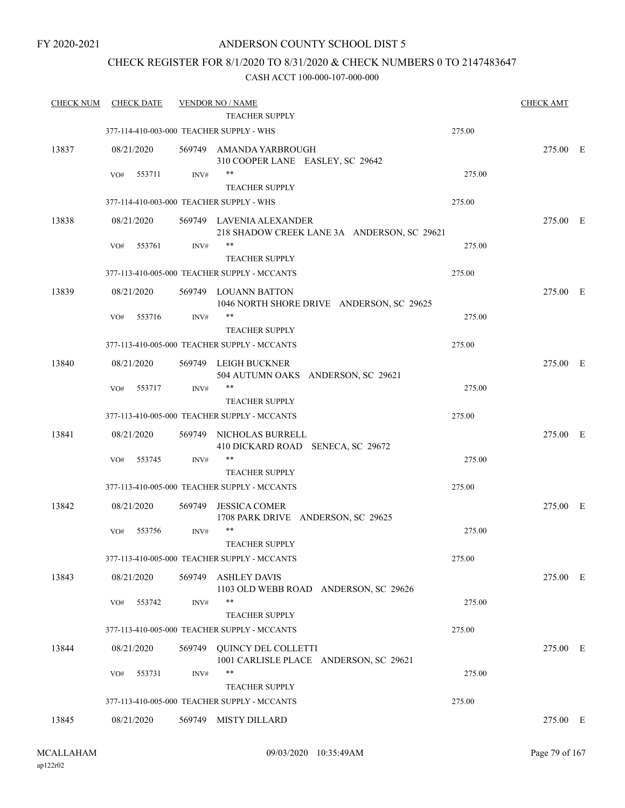### CHECK REGISTER FOR 8/1/2020 TO 8/31/2020 & CHECK NUMBERS 0 TO 2147483647

| <b>CHECK NUM</b> |     | <b>CHECK DATE</b> |        | <b>VENDOR NO / NAME</b><br><b>TEACHER SUPPLY</b>                        |        | <b>CHECK AMT</b> |  |
|------------------|-----|-------------------|--------|-------------------------------------------------------------------------|--------|------------------|--|
|                  |     |                   |        | 377-114-410-003-000 TEACHER SUPPLY - WHS                                | 275.00 |                  |  |
| 13837            |     | 08/21/2020        |        | 569749 AMANDA YARBROUGH<br>310 COOPER LANE EASLEY, SC 29642             |        | 275.00 E         |  |
|                  | VO# | 553711            | INV#   | $***$<br><b>TEACHER SUPPLY</b>                                          | 275.00 |                  |  |
|                  |     |                   |        | 377-114-410-003-000 TEACHER SUPPLY - WHS                                | 275.00 |                  |  |
| 13838            |     | 08/21/2020        |        | 569749 LAVENIA ALEXANDER<br>218 SHADOW CREEK LANE 3A ANDERSON, SC 29621 |        | 275.00 E         |  |
|                  | VO# | 553761            | INV#   | **<br><b>TEACHER SUPPLY</b>                                             | 275.00 |                  |  |
|                  |     |                   |        | 377-113-410-005-000 TEACHER SUPPLY - MCCANTS                            | 275.00 |                  |  |
| 13839            |     | 08/21/2020        |        | 569749 LOUANN BATTON<br>1046 NORTH SHORE DRIVE ANDERSON, SC 29625       |        | 275.00 E         |  |
|                  | VO# | 553716            | INV#   | $***$<br><b>TEACHER SUPPLY</b>                                          | 275.00 |                  |  |
|                  |     |                   |        | 377-113-410-005-000 TEACHER SUPPLY - MCCANTS                            | 275.00 |                  |  |
| 13840            |     | 08/21/2020        |        | 569749 LEIGH BUCKNER<br>504 AUTUMN OAKS ANDERSON, SC 29621              |        | 275.00 E         |  |
|                  | VO# | 553717            | INV#   | **<br><b>TEACHER SUPPLY</b>                                             | 275.00 |                  |  |
|                  |     |                   |        | 377-113-410-005-000 TEACHER SUPPLY - MCCANTS                            | 275.00 |                  |  |
| 13841            |     | 08/21/2020        | 569749 | NICHOLAS BURRELL<br>410 DICKARD ROAD SENECA, SC 29672                   |        | 275.00 E         |  |
|                  | VO# | 553745            | INV#   | **<br><b>TEACHER SUPPLY</b>                                             | 275.00 |                  |  |
|                  |     |                   |        | 377-113-410-005-000 TEACHER SUPPLY - MCCANTS                            | 275.00 |                  |  |
| 13842            |     | 08/21/2020        | 569749 | <b>JESSICA COMER</b><br>1708 PARK DRIVE ANDERSON, SC 29625              |        | 275.00 E         |  |
|                  | VO# | 553756            | INV#   | $***$<br><b>TEACHER SUPPLY</b>                                          | 275.00 |                  |  |
|                  |     |                   |        | 377-113-410-005-000 TEACHER SUPPLY - MCCANTS                            | 275.00 |                  |  |
| 13843            |     | 08/21/2020        | 569749 | <b>ASHLEY DAVIS</b><br>1103 OLD WEBB ROAD ANDERSON, SC 29626            |        | 275.00 E         |  |
|                  | VO# | 553742            | INV#   | $***$<br><b>TEACHER SUPPLY</b>                                          | 275.00 |                  |  |
|                  |     |                   |        | 377-113-410-005-000 TEACHER SUPPLY - MCCANTS                            | 275.00 |                  |  |
| 13844            |     | 08/21/2020        | 569749 | <b>OUINCY DEL COLLETTI</b><br>1001 CARLISLE PLACE ANDERSON, SC 29621    |        | 275.00 E         |  |
|                  | VO# | 553731            | INV#   | $***$<br><b>TEACHER SUPPLY</b>                                          | 275.00 |                  |  |
|                  |     |                   |        | 377-113-410-005-000 TEACHER SUPPLY - MCCANTS                            | 275.00 |                  |  |
| 13845            |     | 08/21/2020        |        | 569749 MISTY DILLARD                                                    |        | 275.00 E         |  |
|                  |     |                   |        |                                                                         |        |                  |  |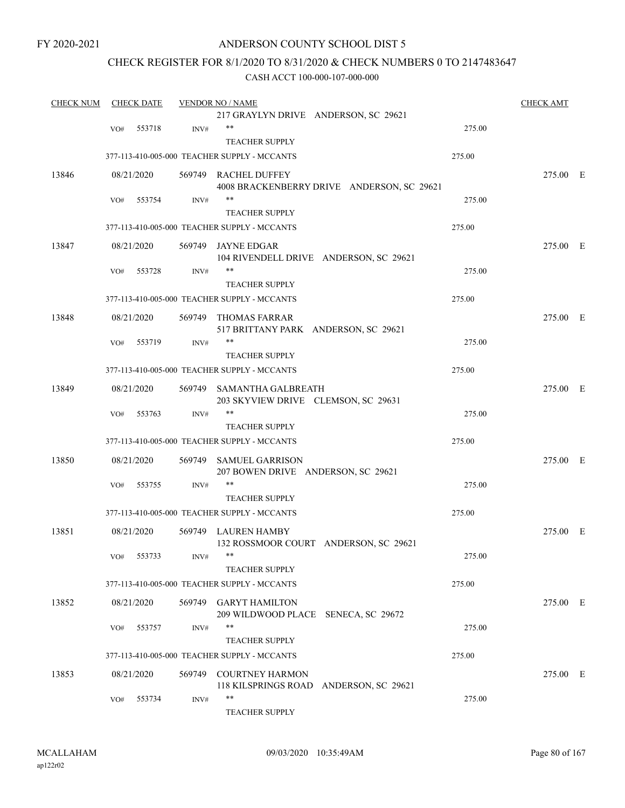### ANDERSON COUNTY SCHOOL DIST 5

### CHECK REGISTER FOR 8/1/2020 TO 8/31/2020 & CHECK NUMBERS 0 TO 2147483647

| <b>CHECK NUM</b> |     | <b>CHECK DATE</b> |                | <b>VENDOR NO / NAME</b>                               |        | <b>CHECK AMT</b> |  |
|------------------|-----|-------------------|----------------|-------------------------------------------------------|--------|------------------|--|
|                  |     |                   |                | 217 GRAYLYN DRIVE ANDERSON, SC 29621                  |        |                  |  |
|                  | VO# | 553718            | INV#           | $***$                                                 | 275.00 |                  |  |
|                  |     |                   |                | <b>TEACHER SUPPLY</b>                                 |        |                  |  |
|                  |     |                   |                | 377-113-410-005-000 TEACHER SUPPLY - MCCANTS          | 275.00 |                  |  |
| 13846            |     | 08/21/2020        |                | 569749 RACHEL DUFFEY                                  |        | 275.00 E         |  |
|                  |     |                   |                | 4008 BRACKENBERRY DRIVE ANDERSON, SC 29621            |        |                  |  |
|                  | VO# | 553754            | INV#           | $***$                                                 | 275.00 |                  |  |
|                  |     |                   |                | <b>TEACHER SUPPLY</b>                                 |        |                  |  |
|                  |     |                   |                | 377-113-410-005-000 TEACHER SUPPLY - MCCANTS          | 275.00 |                  |  |
| 13847            |     | 08/21/2020        |                | 569749 JAYNE EDGAR                                    |        | 275.00 E         |  |
|                  |     |                   |                | 104 RIVENDELL DRIVE ANDERSON, SC 29621                |        |                  |  |
|                  | VO# | 553728            | INV#           | $***$                                                 | 275.00 |                  |  |
|                  |     |                   |                | <b>TEACHER SUPPLY</b>                                 |        |                  |  |
|                  |     |                   |                | 377-113-410-005-000 TEACHER SUPPLY - MCCANTS          | 275.00 |                  |  |
|                  |     |                   |                |                                                       |        |                  |  |
| 13848            |     | 08/21/2020        | 569749         | THOMAS FARRAR<br>517 BRITTANY PARK ANDERSON, SC 29621 |        | 275.00 E         |  |
|                  | VO# | 553719            | INV#           | $***$                                                 | 275.00 |                  |  |
|                  |     |                   |                | <b>TEACHER SUPPLY</b>                                 |        |                  |  |
|                  |     |                   |                | 377-113-410-005-000 TEACHER SUPPLY - MCCANTS          | 275.00 |                  |  |
|                  |     |                   |                |                                                       |        |                  |  |
| 13849            |     | 08/21/2020        |                | 569749 SAMANTHA GALBREATH                             |        | 275.00 E         |  |
|                  |     |                   |                | 203 SKYVIEW DRIVE CLEMSON, SC 29631<br>$***$          |        |                  |  |
|                  | VO# | 553763            | INV#           |                                                       | 275.00 |                  |  |
|                  |     |                   |                | <b>TEACHER SUPPLY</b>                                 |        |                  |  |
|                  |     |                   |                | 377-113-410-005-000 TEACHER SUPPLY - MCCANTS          | 275.00 |                  |  |
| 13850            |     | 08/21/2020        | 569749         | <b>SAMUEL GARRISON</b>                                |        | 275.00 E         |  |
|                  |     |                   |                | 207 BOWEN DRIVE ANDERSON, SC 29621                    |        |                  |  |
|                  | VO# | 553755            | $\text{INV}\#$ | $***$                                                 | 275.00 |                  |  |
|                  |     |                   |                | <b>TEACHER SUPPLY</b>                                 |        |                  |  |
|                  |     |                   |                | 377-113-410-005-000 TEACHER SUPPLY - MCCANTS          | 275.00 |                  |  |
| 13851            |     | 08/21/2020        |                | 569749 LAUREN HAMBY                                   |        | 275.00 E         |  |
|                  |     |                   |                | 132 ROSSMOOR COURT ANDERSON, SC 29621                 |        |                  |  |
|                  | VO# | 553733            | INV#           |                                                       | 275.00 |                  |  |
|                  |     |                   |                | <b>TEACHER SUPPLY</b>                                 |        |                  |  |
|                  |     |                   |                | 377-113-410-005-000 TEACHER SUPPLY - MCCANTS          | 275.00 |                  |  |
| 13852            |     | 08/21/2020        |                | 569749 GARYT HAMILTON                                 |        | 275.00 E         |  |
|                  |     |                   |                | 209 WILDWOOD PLACE SENECA, SC 29672                   |        |                  |  |
|                  | VO# | 553757            | INV#           | $***$                                                 | 275.00 |                  |  |
|                  |     |                   |                | TEACHER SUPPLY                                        |        |                  |  |
|                  |     |                   |                | 377-113-410-005-000 TEACHER SUPPLY - MCCANTS          | 275.00 |                  |  |
| 13853            |     | 08/21/2020        | 569749         | <b>COURTNEY HARMON</b>                                |        | 275.00 E         |  |
|                  |     |                   |                | 118 KILSPRINGS ROAD ANDERSON, SC 29621                |        |                  |  |
|                  | VO# | 553734            | INV#           | $***$                                                 | 275.00 |                  |  |
|                  |     |                   |                | TEACHER SUPPLY                                        |        |                  |  |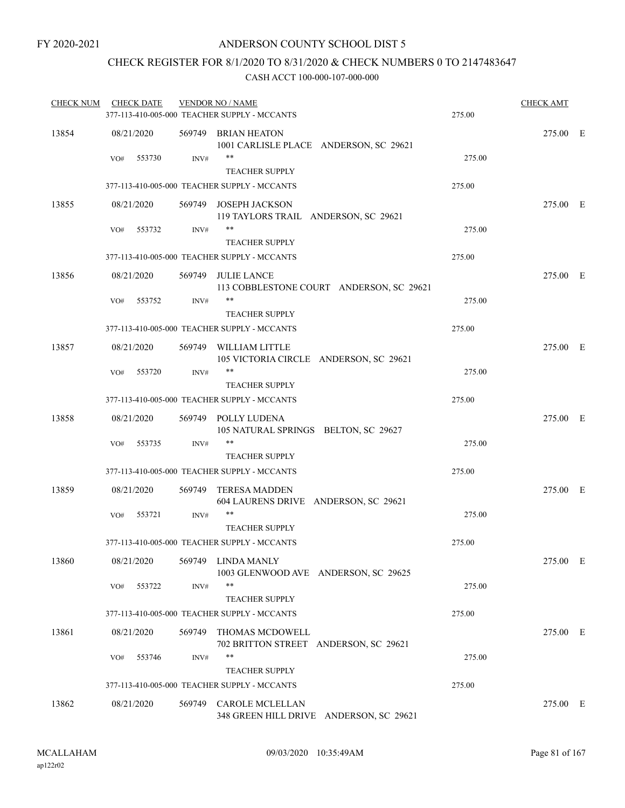### CHECK REGISTER FOR 8/1/2020 TO 8/31/2020 & CHECK NUMBERS 0 TO 2147483647

| <b>CHECK NUM</b> | <b>CHECK DATE</b> |                | <b>VENDOR NO / NAME</b><br>377-113-410-005-000 TEACHER SUPPLY - MCCANTS | 275.00 | <b>CHECK AMT</b> |  |
|------------------|-------------------|----------------|-------------------------------------------------------------------------|--------|------------------|--|
| 13854            | 08/21/2020        |                | 569749 BRIAN HEATON<br>1001 CARLISLE PLACE ANDERSON, SC 29621           |        | 275.00 E         |  |
|                  | 553730<br>VO#     | INV#           | **<br><b>TEACHER SUPPLY</b>                                             | 275.00 |                  |  |
|                  |                   |                | 377-113-410-005-000 TEACHER SUPPLY - MCCANTS                            | 275.00 |                  |  |
| 13855            | 08/21/2020        |                | 569749 JOSEPH JACKSON<br>119 TAYLORS TRAIL ANDERSON, SC 29621           |        | 275.00 E         |  |
|                  | 553732<br>VO#     | INV#           | **<br><b>TEACHER SUPPLY</b>                                             | 275.00 |                  |  |
|                  |                   |                | 377-113-410-005-000 TEACHER SUPPLY - MCCANTS                            | 275.00 |                  |  |
| 13856            | 08/21/2020        |                | 569749 JULIE LANCE<br>113 COBBLESTONE COURT ANDERSON, SC 29621          |        | 275.00 E         |  |
|                  | 553752<br>VO#     | $\text{INV}\#$ | **<br><b>TEACHER SUPPLY</b>                                             | 275.00 |                  |  |
|                  |                   |                | 377-113-410-005-000 TEACHER SUPPLY - MCCANTS                            | 275.00 |                  |  |
| 13857            | 08/21/2020        |                | 569749 WILLIAM LITTLE<br>105 VICTORIA CIRCLE ANDERSON, SC 29621         |        | 275.00 E         |  |
|                  | 553720<br>VO#     | INV#           | $***$                                                                   | 275.00 |                  |  |
|                  |                   |                | <b>TEACHER SUPPLY</b>                                                   |        |                  |  |
|                  |                   |                | 377-113-410-005-000 TEACHER SUPPLY - MCCANTS                            | 275.00 |                  |  |
| 13858            | 08/21/2020        |                | 569749 POLLY LUDENA<br>105 NATURAL SPRINGS BELTON, SC 29627             |        | 275.00 E         |  |
|                  | 553735<br>VO#     | $\text{INV}\#$ | **                                                                      | 275.00 |                  |  |
|                  |                   |                | <b>TEACHER SUPPLY</b>                                                   |        |                  |  |
|                  |                   |                | 377-113-410-005-000 TEACHER SUPPLY - MCCANTS                            | 275.00 |                  |  |
| 13859            | 08/21/2020        | 569749         | TERESA MADDEN<br>604 LAURENS DRIVE ANDERSON, SC 29621                   |        | 275.00 E         |  |
|                  | VO#<br>553721     | INV#           | **<br><b>TEACHER SUPPLY</b>                                             | 275.00 |                  |  |
|                  |                   |                | 377-113-410-005-000 TEACHER SUPPLY - MCCANTS                            | 275.00 |                  |  |
| 13860            | 08/21/2020        |                | 569749 LINDA MANLY<br>1003 GLENWOOD AVE ANDERSON, SC 29625              |        | 275.00 E         |  |
|                  | 553722<br>VO#     | INV#           | **<br><b>TEACHER SUPPLY</b>                                             | 275.00 |                  |  |
|                  |                   |                | 377-113-410-005-000 TEACHER SUPPLY - MCCANTS                            | 275.00 |                  |  |
| 13861            | 08/21/2020        | 569749         | THOMAS MCDOWELL<br>702 BRITTON STREET ANDERSON, SC 29621                |        | 275.00 E         |  |
|                  | 553746<br>VO#     | INV#           | **<br><b>TEACHER SUPPLY</b>                                             | 275.00 |                  |  |
|                  |                   |                | 377-113-410-005-000 TEACHER SUPPLY - MCCANTS                            | 275.00 |                  |  |
| 13862            | 08/21/2020        | 569749         | CAROLE MCLELLAN<br>348 GREEN HILL DRIVE ANDERSON, SC 29621              |        | 275.00 E         |  |
|                  |                   |                |                                                                         |        |                  |  |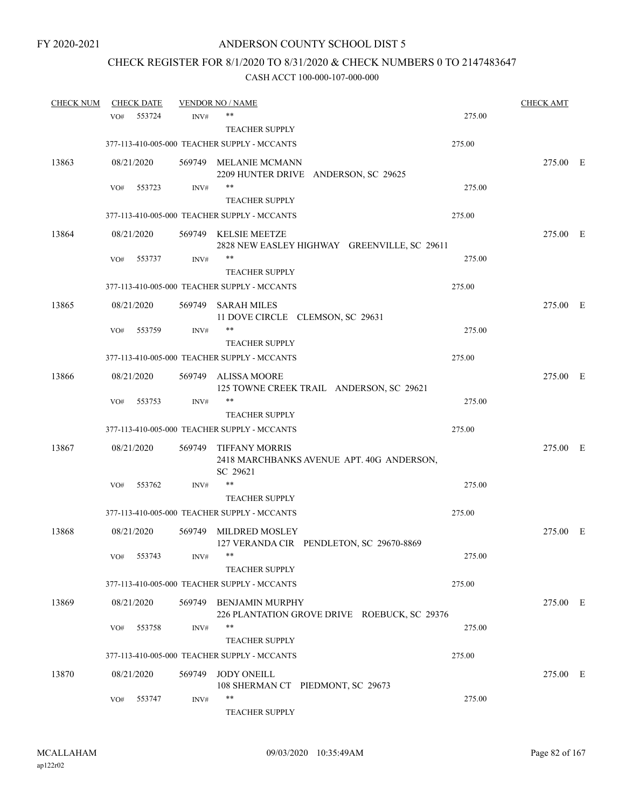## CHECK REGISTER FOR 8/1/2020 TO 8/31/2020 & CHECK NUMBERS 0 TO 2147483647

| <b>CHECK NUM</b> |     | <b>CHECK DATE</b> |        | <b>VENDOR NO / NAME</b>                                                        |        | <b>CHECK AMT</b> |  |
|------------------|-----|-------------------|--------|--------------------------------------------------------------------------------|--------|------------------|--|
|                  | VO# | 553724            | INV#   | **                                                                             | 275.00 |                  |  |
|                  |     |                   |        | <b>TEACHER SUPPLY</b>                                                          |        |                  |  |
|                  |     |                   |        | 377-113-410-005-000 TEACHER SUPPLY - MCCANTS                                   | 275.00 |                  |  |
| 13863            |     | 08/21/2020        |        | 569749 MELANIE MCMANN<br>2209 HUNTER DRIVE ANDERSON, SC 29625                  |        | 275.00 E         |  |
|                  | VO# | 553723            | INV#   | $***$                                                                          | 275.00 |                  |  |
|                  |     |                   |        | <b>TEACHER SUPPLY</b>                                                          |        |                  |  |
|                  |     |                   |        | 377-113-410-005-000 TEACHER SUPPLY - MCCANTS                                   | 275.00 |                  |  |
| 13864            |     | 08/21/2020        |        | 569749 KELSIE MEETZE<br>2828 NEW EASLEY HIGHWAY GREENVILLE, SC 29611           |        | 275.00 E         |  |
|                  | VO# | 553737            | INV#   | **                                                                             | 275.00 |                  |  |
|                  |     |                   |        | <b>TEACHER SUPPLY</b>                                                          |        |                  |  |
|                  |     |                   |        | 377-113-410-005-000 TEACHER SUPPLY - MCCANTS                                   | 275.00 |                  |  |
| 13865            |     | 08/21/2020        | 569749 | <b>SARAH MILES</b><br>11 DOVE CIRCLE CLEMSON, SC 29631                         |        | 275.00 E         |  |
|                  | VO# | 553759            | INV#   | **                                                                             | 275.00 |                  |  |
|                  |     |                   |        | <b>TEACHER SUPPLY</b>                                                          |        |                  |  |
|                  |     |                   |        | 377-113-410-005-000 TEACHER SUPPLY - MCCANTS                                   | 275.00 |                  |  |
| 13866            |     | 08/21/2020        |        | 569749 ALISSA MOORE<br>125 TOWNE CREEK TRAIL ANDERSON, SC 29621                |        | 275.00 E         |  |
|                  | VO# | 553753            | INV#   | **                                                                             | 275.00 |                  |  |
|                  |     |                   |        | <b>TEACHER SUPPLY</b>                                                          |        |                  |  |
|                  |     |                   |        | 377-113-410-005-000 TEACHER SUPPLY - MCCANTS                                   | 275.00 |                  |  |
| 13867            |     | 08/21/2020        |        | 569749 TIFFANY MORRIS<br>2418 MARCHBANKS AVENUE APT. 40G ANDERSON,<br>SC 29621 |        | 275.00 E         |  |
|                  | VO# | 553762            | INV#   | **                                                                             | 275.00 |                  |  |
|                  |     |                   |        | <b>TEACHER SUPPLY</b>                                                          |        |                  |  |
|                  |     |                   |        | 377-113-410-005-000 TEACHER SUPPLY - MCCANTS                                   | 275.00 |                  |  |
| 13868            |     | 08/21/2020        | 569749 | MILDRED MOSLEY<br>127 VERANDA CIR PENDLETON, SC 29670-8869                     |        | 275.00 E         |  |
|                  | VO# | 553743            | INV#   |                                                                                | 275.00 |                  |  |
|                  |     |                   |        | <b>TEACHER SUPPLY</b>                                                          |        |                  |  |
|                  |     |                   |        | 377-113-410-005-000 TEACHER SUPPLY - MCCANTS                                   | 275.00 |                  |  |
| 13869            |     | 08/21/2020        |        | 569749 BENJAMIN MURPHY<br>226 PLANTATION GROVE DRIVE ROEBUCK, SC 29376         |        | 275.00 E         |  |
|                  | VO# | 553758            | INV#   | **<br><b>TEACHER SUPPLY</b>                                                    | 275.00 |                  |  |
|                  |     |                   |        | 377-113-410-005-000 TEACHER SUPPLY - MCCANTS                                   | 275.00 |                  |  |
| 13870            |     | 08/21/2020        | 569749 | <b>JODY ONEILL</b><br>108 SHERMAN CT PIEDMONT, SC 29673                        |        | 275.00 E         |  |
|                  | VO# | 553747            | INV#   | **<br><b>TEACHER SUPPLY</b>                                                    | 275.00 |                  |  |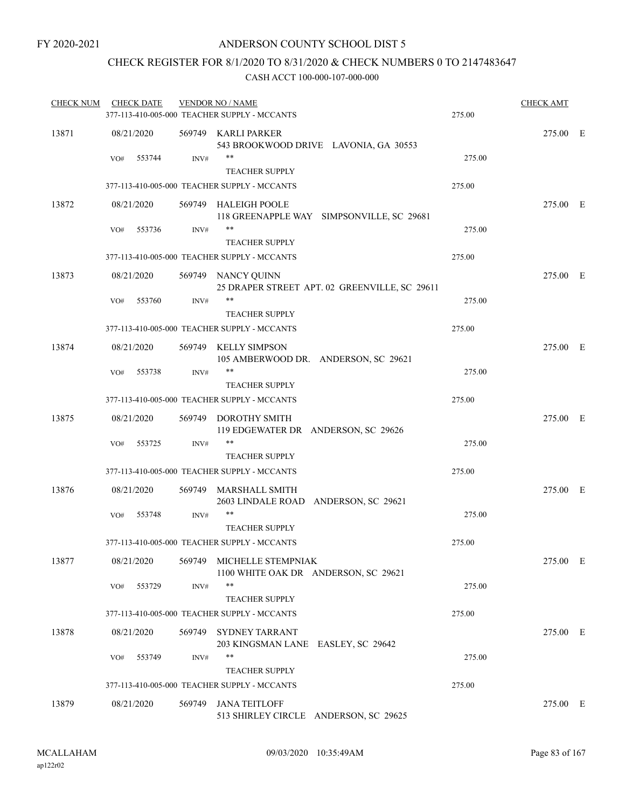### CHECK REGISTER FOR 8/1/2020 TO 8/31/2020 & CHECK NUMBERS 0 TO 2147483647

| <b>CHECK NUM</b> | <b>CHECK DATE</b> |        | <b>VENDOR NO / NAME</b><br>377-113-410-005-000 TEACHER SUPPLY - MCCANTS | 275.00 | <b>CHECK AMT</b> |  |
|------------------|-------------------|--------|-------------------------------------------------------------------------|--------|------------------|--|
| 13871            | 08/21/2020        |        | 569749 KARLI PARKER<br>543 BROOKWOOD DRIVE LAVONIA, GA 30553            |        | 275.00 E         |  |
|                  | VO#<br>553744     | INV#   | **<br><b>TEACHER SUPPLY</b>                                             | 275.00 |                  |  |
|                  |                   |        | 377-113-410-005-000 TEACHER SUPPLY - MCCANTS                            | 275.00 |                  |  |
| 13872            | 08/21/2020        |        | 569749 HALEIGH POOLE<br>118 GREENAPPLE WAY SIMPSONVILLE, SC 29681       |        | 275.00 E         |  |
|                  | 553736<br>VO#     | INV#   | **<br><b>TEACHER SUPPLY</b>                                             | 275.00 |                  |  |
|                  |                   |        | 377-113-410-005-000 TEACHER SUPPLY - MCCANTS                            | 275.00 |                  |  |
| 13873            | 08/21/2020        |        | 569749 NANCY QUINN<br>25 DRAPER STREET APT. 02 GREENVILLE, SC 29611     |        | 275.00 E         |  |
|                  | 553760<br>VO#     | INV#   | **<br><b>TEACHER SUPPLY</b>                                             | 275.00 |                  |  |
|                  |                   |        | 377-113-410-005-000 TEACHER SUPPLY - MCCANTS                            | 275.00 |                  |  |
| 13874            | 08/21/2020        |        | 569749 KELLY SIMPSON<br>105 AMBERWOOD DR. ANDERSON, SC 29621            |        | 275.00 E         |  |
|                  | VO#<br>553738     | INV#   | $***$<br><b>TEACHER SUPPLY</b>                                          | 275.00 |                  |  |
|                  |                   |        | 377-113-410-005-000 TEACHER SUPPLY - MCCANTS                            | 275.00 |                  |  |
| 13875            | 08/21/2020        | 569749 | <b>DOROTHY SMITH</b><br>119 EDGEWATER DR ANDERSON, SC 29626             |        | 275.00 E         |  |
|                  | 553725<br>VO#     | INV#   | **<br><b>TEACHER SUPPLY</b>                                             | 275.00 |                  |  |
|                  |                   |        | 377-113-410-005-000 TEACHER SUPPLY - MCCANTS                            | 275.00 |                  |  |
| 13876            | 08/21/2020        |        | 569749 MARSHALL SMITH<br>2603 LINDALE ROAD ANDERSON, SC 29621           |        | 275.00 E         |  |
|                  | 553748<br>VO#     | INV#   | **<br>TEACHER SUPPLY                                                    | 275.00 |                  |  |
|                  |                   |        | 377-113-410-005-000 TEACHER SUPPLY - MCCANTS                            | 275.00 |                  |  |
| 13877            | 08/21/2020        |        | 569749 MICHELLE STEMPNIAK<br>1100 WHITE OAK DR ANDERSON, SC 29621       |        | 275.00 E         |  |
|                  | 553729<br>VO#     | INV#   | $***$<br><b>TEACHER SUPPLY</b>                                          | 275.00 |                  |  |
|                  |                   |        | 377-113-410-005-000 TEACHER SUPPLY - MCCANTS                            | 275.00 |                  |  |
| 13878            | 08/21/2020        | 569749 | <b>SYDNEY TARRANT</b><br>203 KINGSMAN LANE EASLEY, SC 29642             |        | 275.00 E         |  |
|                  | 553749<br>VO#     | INV#   | **<br><b>TEACHER SUPPLY</b>                                             | 275.00 |                  |  |
|                  |                   |        | 377-113-410-005-000 TEACHER SUPPLY - MCCANTS                            | 275.00 |                  |  |
| 13879            | 08/21/2020        | 569749 | <b>JANA TEITLOFF</b><br>513 SHIRLEY CIRCLE ANDERSON, SC 29625           |        | 275.00 E         |  |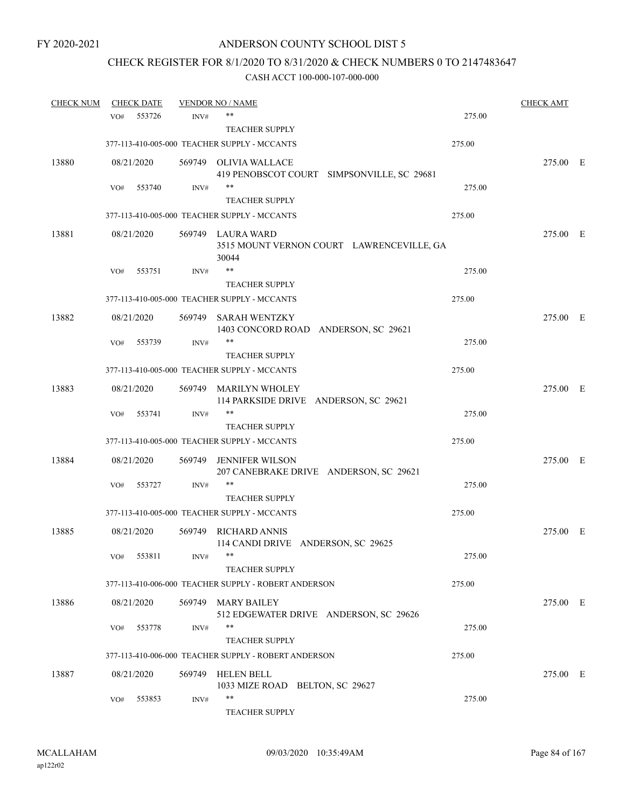# CHECK REGISTER FOR 8/1/2020 TO 8/31/2020 & CHECK NUMBERS 0 TO 2147483647

| <b>CHECK NUM</b> |     | <b>CHECK DATE</b> |        | <b>VENDOR NO / NAME</b>                                      |        | <b>CHECK AMT</b> |  |
|------------------|-----|-------------------|--------|--------------------------------------------------------------|--------|------------------|--|
|                  | VO# | 553726            | INV#   | **                                                           | 275.00 |                  |  |
|                  |     |                   |        | <b>TEACHER SUPPLY</b>                                        |        |                  |  |
|                  |     |                   |        | 377-113-410-005-000 TEACHER SUPPLY - MCCANTS                 | 275.00 |                  |  |
| 13880            |     | 08/21/2020        |        | 569749 OLIVIA WALLACE                                        |        | 275.00 E         |  |
|                  |     |                   |        | 419 PENOBSCOT COURT SIMPSONVILLE, SC 29681                   |        |                  |  |
|                  | VO# | 553740            | INV#   | $***$                                                        | 275.00 |                  |  |
|                  |     |                   |        | <b>TEACHER SUPPLY</b>                                        |        |                  |  |
|                  |     |                   |        | 377-113-410-005-000 TEACHER SUPPLY - MCCANTS                 | 275.00 |                  |  |
| 13881            |     | 08/21/2020        |        | 569749 LAURA WARD                                            |        | 275.00 E         |  |
|                  |     |                   |        | 3515 MOUNT VERNON COURT LAWRENCEVILLE, GA<br>30044           |        |                  |  |
|                  | VO# | 553751            | INV#   | **                                                           | 275.00 |                  |  |
|                  |     |                   |        | <b>TEACHER SUPPLY</b>                                        |        |                  |  |
|                  |     |                   |        | 377-113-410-005-000 TEACHER SUPPLY - MCCANTS                 | 275.00 |                  |  |
| 13882            |     | 08/21/2020        | 569749 | SARAH WENTZKY                                                |        | 275.00 E         |  |
|                  |     |                   |        | 1403 CONCORD ROAD ANDERSON, SC 29621                         |        |                  |  |
|                  | VO# | 553739            | INV#   | **                                                           | 275.00 |                  |  |
|                  |     |                   |        | <b>TEACHER SUPPLY</b>                                        |        |                  |  |
|                  |     |                   |        | 377-113-410-005-000 TEACHER SUPPLY - MCCANTS                 | 275.00 |                  |  |
| 13883            |     | 08/21/2020        |        | 569749 MARILYN WHOLEY                                        |        | 275.00 E         |  |
|                  |     |                   |        | 114 PARKSIDE DRIVE ANDERSON, SC 29621                        |        |                  |  |
|                  | VO# | 553741            | INV#   | **                                                           | 275.00 |                  |  |
|                  |     |                   |        | <b>TEACHER SUPPLY</b>                                        |        |                  |  |
|                  |     |                   |        | 377-113-410-005-000 TEACHER SUPPLY - MCCANTS                 | 275.00 |                  |  |
| 13884            |     | 08/21/2020        | 569749 | <b>JENNIFER WILSON</b>                                       |        | 275.00 E         |  |
|                  |     |                   |        | 207 CANEBRAKE DRIVE ANDERSON, SC 29621                       |        |                  |  |
|                  | VO# | 553727            | INV#   | **                                                           | 275.00 |                  |  |
|                  |     |                   |        | <b>TEACHER SUPPLY</b>                                        |        |                  |  |
|                  |     |                   |        | 377-113-410-005-000 TEACHER SUPPLY - MCCANTS                 | 275.00 |                  |  |
|                  |     |                   |        |                                                              |        |                  |  |
| 13885            |     | 08/21/2020        | 569749 | <b>RICHARD ANNIS</b><br>114 CANDI DRIVE ANDERSON, SC 29625   |        | 275.00 E         |  |
|                  | VO# | 553811            | INV#   |                                                              | 275.00 |                  |  |
|                  |     |                   |        | <b>TEACHER SUPPLY</b>                                        |        |                  |  |
|                  |     |                   |        | 377-113-410-006-000 TEACHER SUPPLY - ROBERT ANDERSON         | 275.00 |                  |  |
|                  |     |                   |        |                                                              |        |                  |  |
| 13886            |     | 08/21/2020        |        | 569749 MARY BAILEY<br>512 EDGEWATER DRIVE ANDERSON, SC 29626 |        | 275.00 E         |  |
|                  | VO# | 553778            | INV#   | $***$                                                        | 275.00 |                  |  |
|                  |     |                   |        | <b>TEACHER SUPPLY</b>                                        |        |                  |  |
|                  |     |                   |        | 377-113-410-006-000 TEACHER SUPPLY - ROBERT ANDERSON         | 275.00 |                  |  |
|                  |     |                   |        |                                                              |        |                  |  |
| 13887            |     | 08/21/2020        | 569749 | <b>HELEN BELL</b>                                            |        | 275.00 E         |  |
|                  |     |                   |        | 1033 MIZE ROAD BELTON, SC 29627<br>**                        |        |                  |  |
|                  | VO# | 553853            | INV#   |                                                              | 275.00 |                  |  |
|                  |     |                   |        | <b>TEACHER SUPPLY</b>                                        |        |                  |  |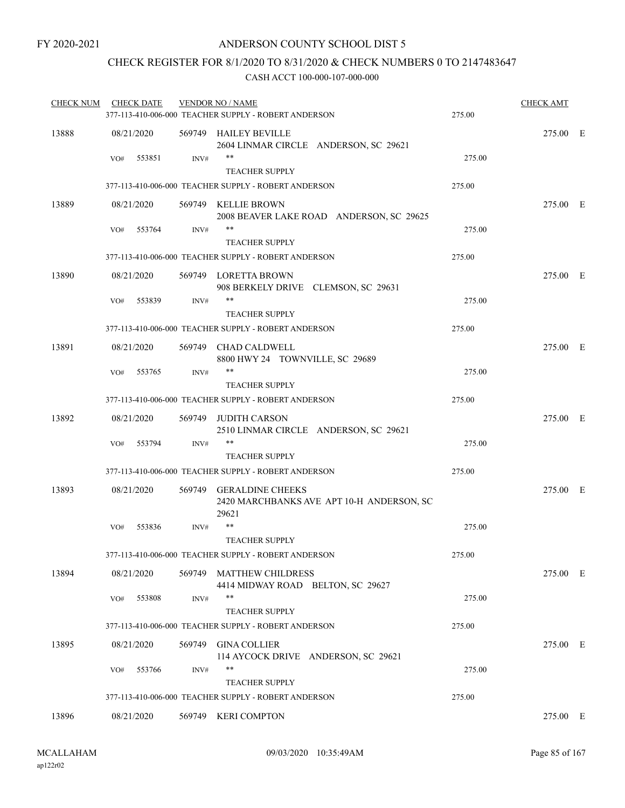### CHECK REGISTER FOR 8/1/2020 TO 8/31/2020 & CHECK NUMBERS 0 TO 2147483647

| <b>CHECK NUM</b> | <b>CHECK DATE</b> |      | <b>VENDOR NO / NAME</b><br>377-113-410-006-000 TEACHER SUPPLY - ROBERT ANDERSON | 275.00 | <b>CHECK AMT</b> |  |
|------------------|-------------------|------|---------------------------------------------------------------------------------|--------|------------------|--|
| 13888            | 08/21/2020        |      | 569749 HAILEY BEVILLE<br>2604 LINMAR CIRCLE ANDERSON, SC 29621                  |        | 275.00 E         |  |
|                  | 553851<br>VO#     | INV# | **<br><b>TEACHER SUPPLY</b>                                                     | 275.00 |                  |  |
|                  |                   |      | 377-113-410-006-000 TEACHER SUPPLY - ROBERT ANDERSON                            | 275.00 |                  |  |
| 13889            | 08/21/2020        |      | 569749 KELLIE BROWN<br>2008 BEAVER LAKE ROAD ANDERSON, SC 29625                 |        | 275.00 E         |  |
|                  | 553764<br>VO#     | INV# | **                                                                              | 275.00 |                  |  |
|                  |                   |      | <b>TEACHER SUPPLY</b>                                                           |        |                  |  |
|                  |                   |      | 377-113-410-006-000 TEACHER SUPPLY - ROBERT ANDERSON                            | 275.00 |                  |  |
| 13890            | 08/21/2020        |      | 569749 LORETTA BROWN<br>908 BERKELY DRIVE CLEMSON, SC 29631                     |        | 275.00 E         |  |
|                  | 553839<br>VO#     | INV# | **<br><b>TEACHER SUPPLY</b>                                                     | 275.00 |                  |  |
|                  |                   |      | 377-113-410-006-000 TEACHER SUPPLY - ROBERT ANDERSON                            | 275.00 |                  |  |
| 13891            | 08/21/2020        |      | 569749 CHAD CALDWELL<br>8800 HWY 24 TOWNVILLE, SC 29689                         |        | 275.00 E         |  |
|                  | 553765<br>VO#     | INV# | $***$<br><b>TEACHER SUPPLY</b>                                                  | 275.00 |                  |  |
|                  |                   |      | 377-113-410-006-000 TEACHER SUPPLY - ROBERT ANDERSON                            | 275.00 |                  |  |
| 13892            | 08/21/2020        |      | 569749 JUDITH CARSON<br>2510 LINMAR CIRCLE ANDERSON, SC 29621                   |        | 275.00 E         |  |
|                  | 553794<br>VO#     | INV# | **<br><b>TEACHER SUPPLY</b>                                                     | 275.00 |                  |  |
|                  |                   |      | 377-113-410-006-000 TEACHER SUPPLY - ROBERT ANDERSON                            | 275.00 |                  |  |
| 13893            | 08/21/2020        |      | 569749 GERALDINE CHEEKS<br>2420 MARCHBANKS AVE APT 10-H ANDERSON, SC<br>29621   |        | 275.00 E         |  |
|                  | VO#<br>553836     | INV# | <b>TEACHER SUPPLY</b>                                                           | 275.00 |                  |  |
|                  |                   |      | 377-113-410-006-000 TEACHER SUPPLY - ROBERT ANDERSON                            | 275.00 |                  |  |
| 13894            | 08/21/2020        |      | 569749 MATTHEW CHILDRESS<br>4414 MIDWAY ROAD BELTON, SC 29627                   |        | 275.00 E         |  |
|                  | 553808<br>VO#     | INV# | **<br><b>TEACHER SUPPLY</b>                                                     | 275.00 |                  |  |
|                  |                   |      | 377-113-410-006-000 TEACHER SUPPLY - ROBERT ANDERSON                            | 275.00 |                  |  |
| 13895            | 08/21/2020        |      | 569749 GINA COLLIER                                                             |        | 275.00 E         |  |
|                  | 553766<br>VO#     | INV# | 114 AYCOCK DRIVE ANDERSON, SC 29621<br>**<br><b>TEACHER SUPPLY</b>              | 275.00 |                  |  |
|                  |                   |      | 377-113-410-006-000 TEACHER SUPPLY - ROBERT ANDERSON                            | 275.00 |                  |  |
| 13896            | 08/21/2020        |      | 569749 KERI COMPTON                                                             |        | 275.00 E         |  |
|                  |                   |      |                                                                                 |        |                  |  |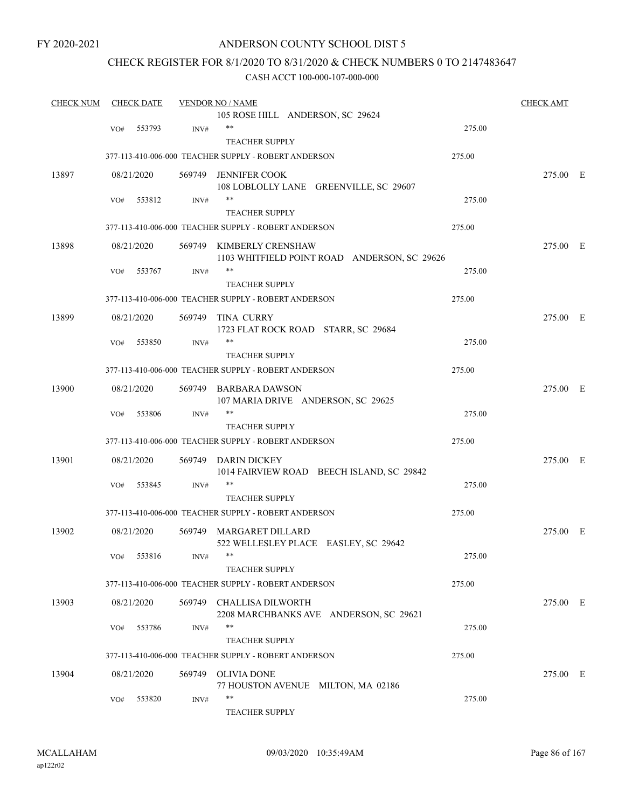### ANDERSON COUNTY SCHOOL DIST 5

### CHECK REGISTER FOR 8/1/2020 TO 8/31/2020 & CHECK NUMBERS 0 TO 2147483647

| <b>CHECK NUM</b> |     | <b>CHECK DATE</b> |        | <b>VENDOR NO / NAME</b>                                     |        | <b>CHECK AMT</b> |  |
|------------------|-----|-------------------|--------|-------------------------------------------------------------|--------|------------------|--|
|                  |     |                   |        | 105 ROSE HILL ANDERSON, SC 29624                            |        |                  |  |
|                  | VO# | 553793            | INV#   | **                                                          | 275.00 |                  |  |
|                  |     |                   |        | <b>TEACHER SUPPLY</b>                                       |        |                  |  |
|                  |     |                   |        | 377-113-410-006-000 TEACHER SUPPLY - ROBERT ANDERSON        | 275.00 |                  |  |
| 13897            |     | 08/21/2020        |        | 569749 JENNIFER COOK                                        |        | 275.00 E         |  |
|                  |     |                   |        | 108 LOBLOLLY LANE GREENVILLE, SC 29607                      |        |                  |  |
|                  | VO# | 553812            | INV#   | **                                                          | 275.00 |                  |  |
|                  |     |                   |        | <b>TEACHER SUPPLY</b>                                       |        |                  |  |
|                  |     |                   |        | 377-113-410-006-000 TEACHER SUPPLY - ROBERT ANDERSON        | 275.00 |                  |  |
| 13898            |     | 08/21/2020        |        | 569749 KIMBERLY CRENSHAW                                    |        | 275.00 E         |  |
|                  |     |                   |        | 1103 WHITFIELD POINT ROAD ANDERSON, SC 29626                |        |                  |  |
|                  | VO# | 553767            | INV#   | **                                                          | 275.00 |                  |  |
|                  |     |                   |        | <b>TEACHER SUPPLY</b>                                       |        |                  |  |
|                  |     |                   |        | 377-113-410-006-000 TEACHER SUPPLY - ROBERT ANDERSON        | 275.00 |                  |  |
|                  |     |                   | 569749 |                                                             |        |                  |  |
| 13899            |     | 08/21/2020        |        | TINA CURRY<br>1723 FLAT ROCK ROAD STARR, SC 29684           |        | 275.00 E         |  |
|                  | VO# | 553850            | INV#   | **                                                          | 275.00 |                  |  |
|                  |     |                   |        | <b>TEACHER SUPPLY</b>                                       |        |                  |  |
|                  |     |                   |        |                                                             |        |                  |  |
|                  |     |                   |        | 377-113-410-006-000 TEACHER SUPPLY - ROBERT ANDERSON        | 275.00 |                  |  |
| 13900            |     | 08/21/2020        |        | 569749 BARBARA DAWSON<br>107 MARIA DRIVE ANDERSON, SC 29625 |        | 275.00 E         |  |
|                  | VO# | 553806            | INV#   | **                                                          | 275.00 |                  |  |
|                  |     |                   |        | <b>TEACHER SUPPLY</b>                                       |        |                  |  |
|                  |     |                   |        | 377-113-410-006-000 TEACHER SUPPLY - ROBERT ANDERSON        | 275.00 |                  |  |
| 13901            |     | 08/21/2020        |        | 569749 DARIN DICKEY                                         |        | 275.00 E         |  |
|                  |     |                   |        | 1014 FAIRVIEW ROAD BEECH ISLAND, SC 29842                   |        |                  |  |
|                  | VO# | 553845            | INV#   | **                                                          | 275.00 |                  |  |
|                  |     |                   |        | <b>TEACHER SUPPLY</b>                                       |        |                  |  |
|                  |     |                   |        | 377-113-410-006-000 TEACHER SUPPLY - ROBERT ANDERSON        | 275.00 |                  |  |
| 13902            |     | 08/21/2020        |        | 569749 MARGARET DILLARD                                     |        | 275.00 E         |  |
|                  |     |                   |        | 522 WELLESLEY PLACE EASLEY, SC 29642                        |        |                  |  |
|                  | VO# | 553816            | INV#   |                                                             | 275.00 |                  |  |
|                  |     |                   |        | <b>TEACHER SUPPLY</b>                                       |        |                  |  |
|                  |     |                   |        | 377-113-410-006-000 TEACHER SUPPLY - ROBERT ANDERSON        | 275.00 |                  |  |
|                  |     |                   |        |                                                             |        |                  |  |
| 13903            |     | 08/21/2020        |        | 569749 CHALLISA DILWORTH                                    |        | 275.00 E         |  |
|                  |     |                   |        | 2208 MARCHBANKS AVE ANDERSON, SC 29621<br>**                |        |                  |  |
|                  | VO# | 553786            | INV#   |                                                             | 275.00 |                  |  |
|                  |     |                   |        | <b>TEACHER SUPPLY</b>                                       |        |                  |  |
|                  |     |                   |        | 377-113-410-006-000 TEACHER SUPPLY - ROBERT ANDERSON        | 275.00 |                  |  |
| 13904            |     | 08/21/2020        | 569749 | <b>OLIVIA DONE</b>                                          |        | 275.00 E         |  |
|                  |     |                   |        | 77 HOUSTON AVENUE MILTON, MA 02186                          |        |                  |  |
|                  | VO# | 553820            | INV#   | **                                                          | 275.00 |                  |  |
|                  |     |                   |        | <b>TEACHER SUPPLY</b>                                       |        |                  |  |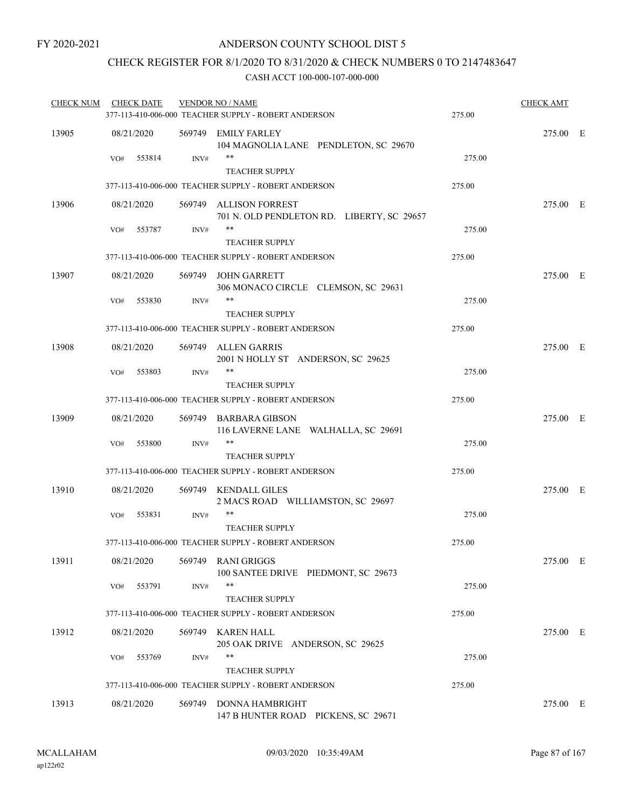### CHECK REGISTER FOR 8/1/2020 TO 8/31/2020 & CHECK NUMBERS 0 TO 2147483647

| <b>CHECK NUM</b> | <b>CHECK DATE</b> |      | <b>VENDOR NO / NAME</b><br>377-113-410-006-000 TEACHER SUPPLY - ROBERT ANDERSON | 275.00 | <b>CHECK AMT</b> |  |
|------------------|-------------------|------|---------------------------------------------------------------------------------|--------|------------------|--|
| 13905            | 08/21/2020        |      | 569749 EMILY FARLEY<br>104 MAGNOLIA LANE PENDLETON, SC 29670                    |        | 275.00 E         |  |
|                  | 553814<br>VO#     | INV# | **<br><b>TEACHER SUPPLY</b>                                                     | 275.00 |                  |  |
|                  |                   |      | 377-113-410-006-000 TEACHER SUPPLY - ROBERT ANDERSON                            | 275.00 |                  |  |
| 13906            | 08/21/2020        |      | 569749 ALLISON FORREST<br>701 N. OLD PENDLETON RD. LIBERTY, SC 29657            |        | 275.00 E         |  |
|                  | 553787<br>VO#     | INV# | **<br><b>TEACHER SUPPLY</b>                                                     | 275.00 |                  |  |
|                  |                   |      | 377-113-410-006-000 TEACHER SUPPLY - ROBERT ANDERSON                            | 275.00 |                  |  |
| 13907            | 08/21/2020        |      | 569749 JOHN GARRETT<br>306 MONACO CIRCLE CLEMSON, SC 29631                      |        | 275.00 E         |  |
|                  | 553830<br>VO#     | INV# | **<br><b>TEACHER SUPPLY</b>                                                     | 275.00 |                  |  |
|                  |                   |      | 377-113-410-006-000 TEACHER SUPPLY - ROBERT ANDERSON                            | 275.00 |                  |  |
| 13908            | 08/21/2020        |      | 569749 ALLEN GARRIS<br>2001 N HOLLY ST ANDERSON, SC 29625                       |        | 275.00 E         |  |
|                  | 553803<br>VO#     | INV# | **<br><b>TEACHER SUPPLY</b>                                                     | 275.00 |                  |  |
|                  |                   |      | 377-113-410-006-000 TEACHER SUPPLY - ROBERT ANDERSON                            | 275.00 |                  |  |
| 13909            | 08/21/2020        |      | 569749 BARBARA GIBSON<br>116 LAVERNE LANE WALHALLA, SC 29691                    |        | 275.00 E         |  |
|                  | 553800<br>VO#     | INV# | **<br><b>TEACHER SUPPLY</b>                                                     | 275.00 |                  |  |
|                  |                   |      | 377-113-410-006-000 TEACHER SUPPLY - ROBERT ANDERSON                            | 275.00 |                  |  |
| 13910            | 08/21/2020        |      | 569749 KENDALL GILES<br>2 MACS ROAD WILLIAMSTON, SC 29697                       |        | 275.00 E         |  |
|                  | 553831<br>VO#     | INV# | **<br><b>TEACHER SUPPLY</b>                                                     | 275.00 |                  |  |
|                  |                   |      | 377-113-410-006-000 TEACHER SUPPLY - ROBERT ANDERSON                            | 275.00 |                  |  |
| 13911            | 08/21/2020        |      | 569749 RANI GRIGGS<br>100 SANTEE DRIVE PIEDMONT, SC 29673                       |        | 275.00 E         |  |
|                  | 553791<br>VO#     | INV# | **<br><b>TEACHER SUPPLY</b>                                                     | 275.00 |                  |  |
|                  |                   |      | 377-113-410-006-000 TEACHER SUPPLY - ROBERT ANDERSON                            | 275.00 |                  |  |
| 13912            | 08/21/2020        |      | 569749 KAREN HALL<br>205 OAK DRIVE ANDERSON, SC 29625                           |        | 275.00 E         |  |
|                  | 553769<br>VO#     | INV# | **<br><b>TEACHER SUPPLY</b>                                                     | 275.00 |                  |  |
|                  |                   |      | 377-113-410-006-000 TEACHER SUPPLY - ROBERT ANDERSON                            | 275.00 |                  |  |
| 13913            | 08/21/2020        |      | 569749 DONNA HAMBRIGHT<br>147 B HUNTER ROAD PICKENS, SC 29671                   |        | 275.00 E         |  |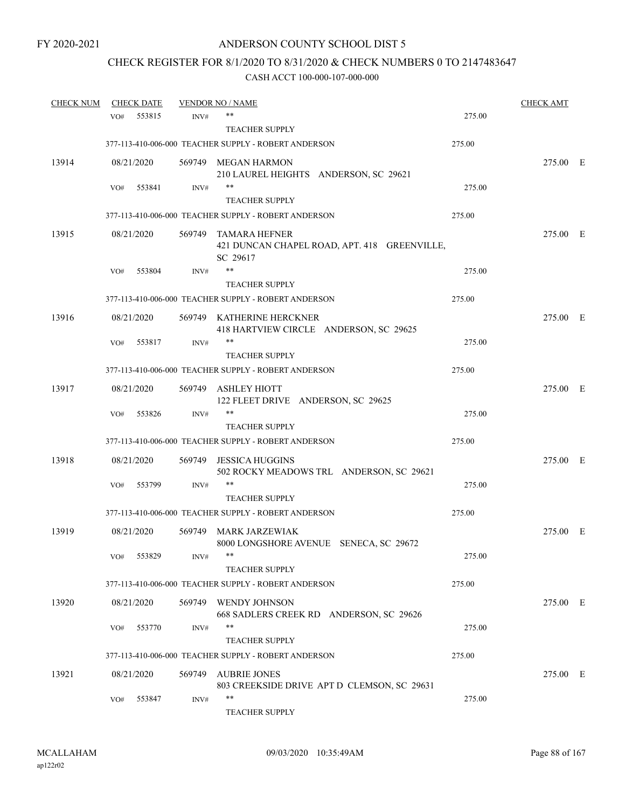# CHECK REGISTER FOR 8/1/2020 TO 8/31/2020 & CHECK NUMBERS 0 TO 2147483647

| <b>CHECK NUM</b> |     | <b>CHECK DATE</b> |        | <b>VENDOR NO / NAME</b>                                                          |        | <b>CHECK AMT</b> |  |
|------------------|-----|-------------------|--------|----------------------------------------------------------------------------------|--------|------------------|--|
|                  | VO# | 553815            | INV#   | **                                                                               | 275.00 |                  |  |
|                  |     |                   |        | <b>TEACHER SUPPLY</b>                                                            |        |                  |  |
|                  |     |                   |        | 377-113-410-006-000 TEACHER SUPPLY - ROBERT ANDERSON                             | 275.00 |                  |  |
| 13914            |     | 08/21/2020        |        | 569749 MEGAN HARMON<br>210 LAUREL HEIGHTS ANDERSON, SC 29621                     |        | 275.00 E         |  |
|                  | VO# | 553841            | INV#   | **                                                                               | 275.00 |                  |  |
|                  |     |                   |        | <b>TEACHER SUPPLY</b>                                                            |        |                  |  |
|                  |     |                   |        | 377-113-410-006-000 TEACHER SUPPLY - ROBERT ANDERSON                             | 275.00 |                  |  |
| 13915            |     | 08/21/2020        |        | 569749 TAMARA HEFNER<br>421 DUNCAN CHAPEL ROAD, APT. 418 GREENVILLE,<br>SC 29617 |        | 275.00 E         |  |
|                  | VO# | 553804            | INV#   | **                                                                               | 275.00 |                  |  |
|                  |     |                   |        | <b>TEACHER SUPPLY</b>                                                            |        |                  |  |
|                  |     |                   |        | 377-113-410-006-000 TEACHER SUPPLY - ROBERT ANDERSON                             | 275.00 |                  |  |
| 13916            |     | 08/21/2020        |        | 569749 KATHERINE HERCKNER<br>418 HARTVIEW CIRCLE ANDERSON, SC 29625              |        | 275.00 E         |  |
|                  | VO# | 553817            | INV#   | **                                                                               | 275.00 |                  |  |
|                  |     |                   |        | <b>TEACHER SUPPLY</b>                                                            |        |                  |  |
|                  |     |                   |        | 377-113-410-006-000 TEACHER SUPPLY - ROBERT ANDERSON                             | 275.00 |                  |  |
| 13917            |     | 08/21/2020        |        | 569749 ASHLEY HIOTT<br>122 FLEET DRIVE ANDERSON, SC 29625                        |        | 275.00 E         |  |
|                  | VO# | 553826            | INV#   | **                                                                               | 275.00 |                  |  |
|                  |     |                   |        | <b>TEACHER SUPPLY</b>                                                            |        |                  |  |
|                  |     |                   |        | 377-113-410-006-000 TEACHER SUPPLY - ROBERT ANDERSON                             | 275.00 |                  |  |
| 13918            |     | 08/21/2020        | 569749 | JESSICA HUGGINS<br>502 ROCKY MEADOWS TRL ANDERSON, SC 29621                      |        | 275.00 E         |  |
|                  | VO# | 553799            | INV#   | **                                                                               | 275.00 |                  |  |
|                  |     |                   |        | <b>TEACHER SUPPLY</b>                                                            |        |                  |  |
|                  |     |                   |        | 377-113-410-006-000 TEACHER SUPPLY - ROBERT ANDERSON                             | 275.00 |                  |  |
| 13919            |     | 08/21/2020        | 569749 | MARK JARZEWIAK<br>8000 LONGSHORE AVENUE SENECA, SC 29672                         |        | 275.00 E         |  |
|                  | VO# | 553829            | INV#   |                                                                                  | 275.00 |                  |  |
|                  |     |                   |        | <b>TEACHER SUPPLY</b>                                                            |        |                  |  |
|                  |     |                   |        | 377-113-410-006-000 TEACHER SUPPLY - ROBERT ANDERSON                             | 275.00 |                  |  |
| 13920            |     | 08/21/2020        |        | 569749 WENDY JOHNSON<br>668 SADLERS CREEK RD ANDERSON, SC 29626                  |        | 275.00 E         |  |
|                  | VO# | 553770            | INV#   | **                                                                               | 275.00 |                  |  |
|                  |     |                   |        | <b>TEACHER SUPPLY</b>                                                            |        |                  |  |
|                  |     |                   |        | 377-113-410-006-000 TEACHER SUPPLY - ROBERT ANDERSON                             | 275.00 |                  |  |
| 13921            |     | 08/21/2020        | 569749 | <b>AUBRIE JONES</b><br>803 CREEKSIDE DRIVE APT D CLEMSON, SC 29631               |        | 275.00 E         |  |
|                  | VO# | 553847            | INV#   | **                                                                               | 275.00 |                  |  |
|                  |     |                   |        | <b>TEACHER SUPPLY</b>                                                            |        |                  |  |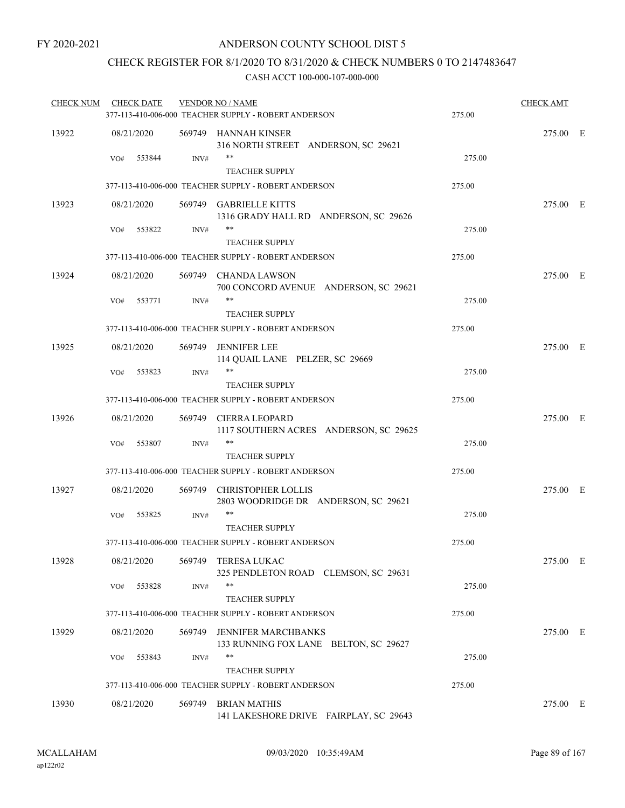### CHECK REGISTER FOR 8/1/2020 TO 8/31/2020 & CHECK NUMBERS 0 TO 2147483647

| <b>CHECK NUM</b> | <b>CHECK DATE</b> |        | <b>VENDOR NO / NAME</b><br>377-113-410-006-000 TEACHER SUPPLY - ROBERT ANDERSON | 275.00 | <b>CHECK AMT</b> |  |
|------------------|-------------------|--------|---------------------------------------------------------------------------------|--------|------------------|--|
| 13922            | 08/21/2020        |        | 569749 HANNAH KINSER<br>316 NORTH STREET ANDERSON, SC 29621                     |        | 275.00 E         |  |
|                  | 553844<br>VO#     | INV#   | **<br><b>TEACHER SUPPLY</b>                                                     | 275.00 |                  |  |
|                  |                   |        | 377-113-410-006-000 TEACHER SUPPLY - ROBERT ANDERSON                            | 275.00 |                  |  |
| 13923            | 08/21/2020        |        | 569749 GABRIELLE KITTS<br>1316 GRADY HALL RD ANDERSON, SC 29626                 |        | 275.00 E         |  |
|                  | 553822<br>VO#     | INV#   | $***$<br><b>TEACHER SUPPLY</b>                                                  | 275.00 |                  |  |
|                  |                   |        | 377-113-410-006-000 TEACHER SUPPLY - ROBERT ANDERSON                            | 275.00 |                  |  |
| 13924            | 08/21/2020        |        | 569749 CHANDA LAWSON<br>700 CONCORD AVENUE ANDERSON, SC 29621                   |        | 275.00 E         |  |
|                  | 553771<br>VO#     | INV#   | **<br><b>TEACHER SUPPLY</b>                                                     | 275.00 |                  |  |
|                  |                   |        | 377-113-410-006-000 TEACHER SUPPLY - ROBERT ANDERSON                            | 275.00 |                  |  |
| 13925            | 08/21/2020        |        | 569749 JENNIFER LEE<br>114 QUAIL LANE PELZER, SC 29669                          |        | 275.00 E         |  |
|                  | 553823<br>VO#     | INV#   | **<br><b>TEACHER SUPPLY</b>                                                     | 275.00 |                  |  |
|                  |                   |        | 377-113-410-006-000 TEACHER SUPPLY - ROBERT ANDERSON                            | 275.00 |                  |  |
| 13926            | 08/21/2020        |        | 569749 CIERRA LEOPARD<br>1117 SOUTHERN ACRES ANDERSON, SC 29625                 |        | 275.00 E         |  |
|                  | 553807<br>VO#     | INV#   | **<br><b>TEACHER SUPPLY</b>                                                     | 275.00 |                  |  |
|                  |                   |        | 377-113-410-006-000 TEACHER SUPPLY - ROBERT ANDERSON                            | 275.00 |                  |  |
| 13927            | 08/21/2020        |        | 569749 CHRISTOPHER LOLLIS<br>2803 WOODRIDGE DR ANDERSON, SC 29621               |        | 275.00 E         |  |
|                  | 553825<br>VO#     | INV#   | **<br><b>TEACHER SUPPLY</b>                                                     | 275.00 |                  |  |
|                  |                   |        | 377-113-410-006-000 TEACHER SUPPLY - ROBERT ANDERSON                            | 275.00 |                  |  |
| 13928            | 08/21/2020        |        | 569749 TERESA LUKAC<br>325 PENDLETON ROAD CLEMSON, SC 29631                     |        | 275.00 E         |  |
|                  | 553828<br>VO#     | INV#   | **<br><b>TEACHER SUPPLY</b>                                                     | 275.00 |                  |  |
|                  |                   |        | 377-113-410-006-000 TEACHER SUPPLY - ROBERT ANDERSON                            | 275.00 |                  |  |
| 13929            | 08/21/2020        |        | 569749 JENNIFER MARCHBANKS<br>133 RUNNING FOX LANE BELTON, SC 29627             |        | 275.00 E         |  |
|                  | 553843<br>VO#     | INV#   | **<br><b>TEACHER SUPPLY</b>                                                     | 275.00 |                  |  |
|                  |                   |        | 377-113-410-006-000 TEACHER SUPPLY - ROBERT ANDERSON                            | 275.00 |                  |  |
| 13930            | 08/21/2020        | 569749 | <b>BRIAN MATHIS</b><br>141 LAKESHORE DRIVE FAIRPLAY, SC 29643                   |        | 275.00 E         |  |
|                  |                   |        |                                                                                 |        |                  |  |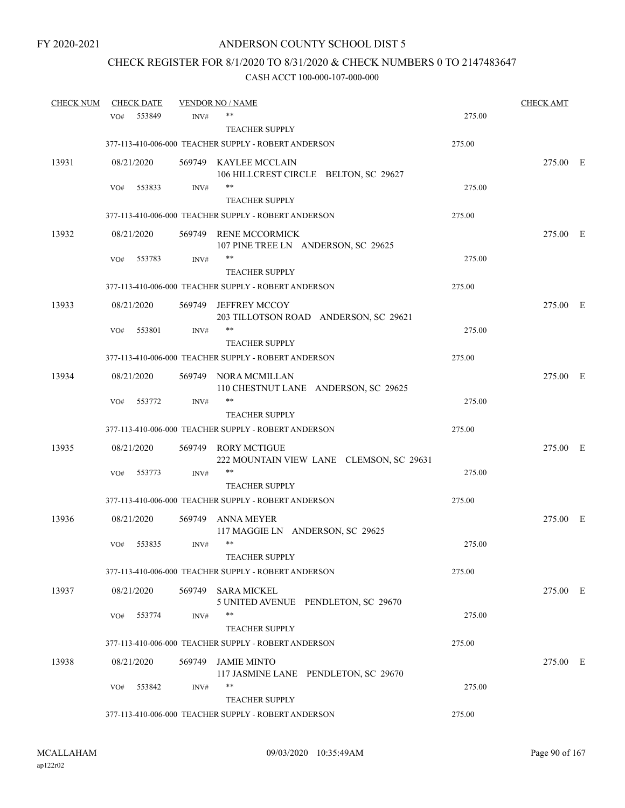# CHECK REGISTER FOR 8/1/2020 TO 8/31/2020 & CHECK NUMBERS 0 TO 2147483647

| <b>CHECK NUM</b> |     | <b>CHECK DATE</b> |        | <b>VENDOR NO / NAME</b>                                         |        | <b>CHECK AMT</b> |  |
|------------------|-----|-------------------|--------|-----------------------------------------------------------------|--------|------------------|--|
|                  | VO# | 553849            | INV#   | **                                                              | 275.00 |                  |  |
|                  |     |                   |        | <b>TEACHER SUPPLY</b>                                           |        |                  |  |
|                  |     |                   |        | 377-113-410-006-000 TEACHER SUPPLY - ROBERT ANDERSON            | 275.00 |                  |  |
| 13931            |     | 08/21/2020        |        | 569749 KAYLEE MCCLAIN                                           |        | 275.00 E         |  |
|                  |     |                   |        | 106 HILLCREST CIRCLE BELTON, SC 29627                           |        |                  |  |
|                  | VO# | 553833            | INV#   | $***$                                                           | 275.00 |                  |  |
|                  |     |                   |        | <b>TEACHER SUPPLY</b>                                           |        |                  |  |
|                  |     |                   |        | 377-113-410-006-000 TEACHER SUPPLY - ROBERT ANDERSON            | 275.00 |                  |  |
| 13932            |     | 08/21/2020        |        | 569749 RENE MCCORMICK<br>107 PINE TREE LN ANDERSON, SC 29625    |        | 275.00 E         |  |
|                  | VO# | 553783            | INV#   | $***$                                                           | 275.00 |                  |  |
|                  |     |                   |        | <b>TEACHER SUPPLY</b>                                           |        |                  |  |
|                  |     |                   |        | 377-113-410-006-000 TEACHER SUPPLY - ROBERT ANDERSON            | 275.00 |                  |  |
| 13933            |     | 08/21/2020        | 569749 | <b>JEFFREY MCCOY</b><br>203 TILLOTSON ROAD ANDERSON, SC 29621   |        | 275.00 E         |  |
|                  | VO# | 553801            | INV#   | $***$                                                           | 275.00 |                  |  |
|                  |     |                   |        | <b>TEACHER SUPPLY</b>                                           |        |                  |  |
|                  |     |                   |        | 377-113-410-006-000 TEACHER SUPPLY - ROBERT ANDERSON            | 275.00 |                  |  |
| 13934            |     | 08/21/2020        |        | 569749 NORA MCMILLAN<br>110 CHESTNUT LANE ANDERSON, SC 29625    |        | 275.00 E         |  |
|                  | VO# | 553772            | INV#   | **                                                              | 275.00 |                  |  |
|                  |     |                   |        | <b>TEACHER SUPPLY</b>                                           |        |                  |  |
|                  |     |                   |        | 377-113-410-006-000 TEACHER SUPPLY - ROBERT ANDERSON            | 275.00 |                  |  |
| 13935            |     | 08/21/2020        | 569749 | <b>RORY MCTIGUE</b><br>222 MOUNTAIN VIEW LANE CLEMSON, SC 29631 |        | 275.00 E         |  |
|                  | VO# | 553773            | INV#   | $***$                                                           | 275.00 |                  |  |
|                  |     |                   |        | <b>TEACHER SUPPLY</b>                                           |        |                  |  |
|                  |     |                   |        | 377-113-410-006-000 TEACHER SUPPLY - ROBERT ANDERSON            | 275.00 |                  |  |
| 13936            |     | 08/21/2020        | 569749 | ANNA MEYER<br>117 MAGGIE LN ANDERSON, SC 29625                  |        | 275.00 E         |  |
|                  | VO# | 553835            | INV#   | $***$                                                           | 275.00 |                  |  |
|                  |     |                   |        | <b>TEACHER SUPPLY</b>                                           |        |                  |  |
|                  |     |                   |        | 377-113-410-006-000 TEACHER SUPPLY - ROBERT ANDERSON            | 275.00 |                  |  |
| 13937            |     | 08/21/2020        | 569749 | SARA MICKEL<br>5 UNITED AVENUE PENDLETON, SC 29670              |        | 275.00 E         |  |
|                  | VO# | 553774            | INV#   | $***$                                                           | 275.00 |                  |  |
|                  |     |                   |        | <b>TEACHER SUPPLY</b>                                           |        |                  |  |
|                  |     |                   |        | 377-113-410-006-000 TEACHER SUPPLY - ROBERT ANDERSON            | 275.00 |                  |  |
| 13938            |     | 08/21/2020        | 569749 | <b>JAMIE MINTO</b>                                              |        | 275.00 E         |  |
|                  |     |                   |        | 117 JASMINE LANE PENDLETON, SC 29670                            |        |                  |  |
|                  | VO# | 553842            | INV#   | $***$                                                           | 275.00 |                  |  |
|                  |     |                   |        | <b>TEACHER SUPPLY</b>                                           |        |                  |  |
|                  |     |                   |        | 377-113-410-006-000 TEACHER SUPPLY - ROBERT ANDERSON            | 275.00 |                  |  |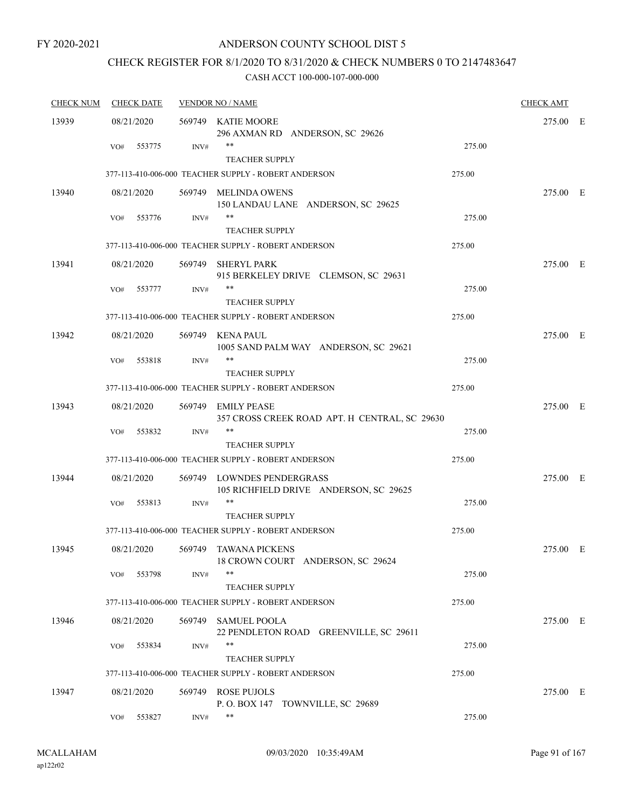## CHECK REGISTER FOR 8/1/2020 TO 8/31/2020 & CHECK NUMBERS 0 TO 2147483647

| <b>CHECK NUM</b> | <b>CHECK DATE</b> |        | <b>VENDOR NO / NAME</b>                                                       |        | <b>CHECK AMT</b> |  |
|------------------|-------------------|--------|-------------------------------------------------------------------------------|--------|------------------|--|
| 13939            | 08/21/2020        |        | 569749 KATIE MOORE<br>296 AXMAN RD ANDERSON, SC 29626                         |        | 275.00 E         |  |
|                  | 553775<br>VO#     | INV#   | **<br><b>TEACHER SUPPLY</b>                                                   | 275.00 |                  |  |
|                  |                   |        | 377-113-410-006-000 TEACHER SUPPLY - ROBERT ANDERSON                          | 275.00 |                  |  |
| 13940            | 08/21/2020        | 569749 | MELINDA OWENS<br>150 LANDAU LANE ANDERSON, SC 29625                           |        | 275.00 E         |  |
|                  | 553776<br>VO#     | INV#   | $***$<br><b>TEACHER SUPPLY</b>                                                | 275.00 |                  |  |
|                  |                   |        | 377-113-410-006-000 TEACHER SUPPLY - ROBERT ANDERSON                          | 275.00 |                  |  |
| 13941            | 08/21/2020        | 569749 | SHERYL PARK<br>915 BERKELEY DRIVE CLEMSON, SC 29631                           |        | 275.00 E         |  |
|                  | VO#<br>553777     | INV#   | $***$<br><b>TEACHER SUPPLY</b>                                                | 275.00 |                  |  |
|                  |                   |        | 377-113-410-006-000 TEACHER SUPPLY - ROBERT ANDERSON                          | 275.00 |                  |  |
| 13942            | 08/21/2020        |        | 569749 KENA PAUL<br>1005 SAND PALM WAY ANDERSON, SC 29621                     |        | 275.00 E         |  |
|                  | 553818<br>VO#     | INV#   | **                                                                            | 275.00 |                  |  |
|                  |                   |        | <b>TEACHER SUPPLY</b><br>377-113-410-006-000 TEACHER SUPPLY - ROBERT ANDERSON | 275.00 |                  |  |
| 13943            | 08/21/2020        | 569749 | <b>EMILY PEASE</b>                                                            |        | 275.00 E         |  |
|                  |                   |        | 357 CROSS CREEK ROAD APT. H CENTRAL, SC 29630                                 |        |                  |  |
|                  | VO#<br>553832     | INV#   | $***$<br><b>TEACHER SUPPLY</b>                                                | 275.00 |                  |  |
|                  |                   |        | 377-113-410-006-000 TEACHER SUPPLY - ROBERT ANDERSON                          | 275.00 |                  |  |
| 13944            | 08/21/2020        |        | 569749 LOWNDES PENDERGRASS<br>105 RICHFIELD DRIVE ANDERSON, SC 29625          |        | 275.00 E         |  |
|                  | 553813<br>VO#     | INV#   | **                                                                            | 275.00 |                  |  |
|                  |                   |        | <b>TEACHER SUPPLY</b><br>377-113-410-006-000 TEACHER SUPPLY - ROBERT ANDERSON | 275.00 |                  |  |
| 13945            | 08/21/2020        | 569749 | TAWANA PICKENS<br>18 CROWN COURT ANDERSON, SC 29624                           |        | 275.00 E         |  |
|                  | 553798<br>VO#     | INV#   | $***$<br><b>TEACHER SUPPLY</b>                                                | 275.00 |                  |  |
|                  |                   |        | 377-113-410-006-000 TEACHER SUPPLY - ROBERT ANDERSON                          | 275.00 |                  |  |
| 13946            | 08/21/2020        |        | 569749 SAMUEL POOLA<br>22 PENDLETON ROAD GREENVILLE, SC 29611                 |        | 275.00 E         |  |
|                  | 553834<br>VO#     | INV#   | $***$                                                                         | 275.00 |                  |  |
|                  |                   |        | <b>TEACHER SUPPLY</b><br>377-113-410-006-000 TEACHER SUPPLY - ROBERT ANDERSON | 275.00 |                  |  |
| 13947            | 08/21/2020        |        | 569749 ROSE PUJOLS                                                            |        | 275.00 E         |  |
|                  |                   |        | P.O. BOX 147 TOWNVILLE, SC 29689                                              |        |                  |  |
|                  | 553827<br>VO#     | INV#   | **                                                                            | 275.00 |                  |  |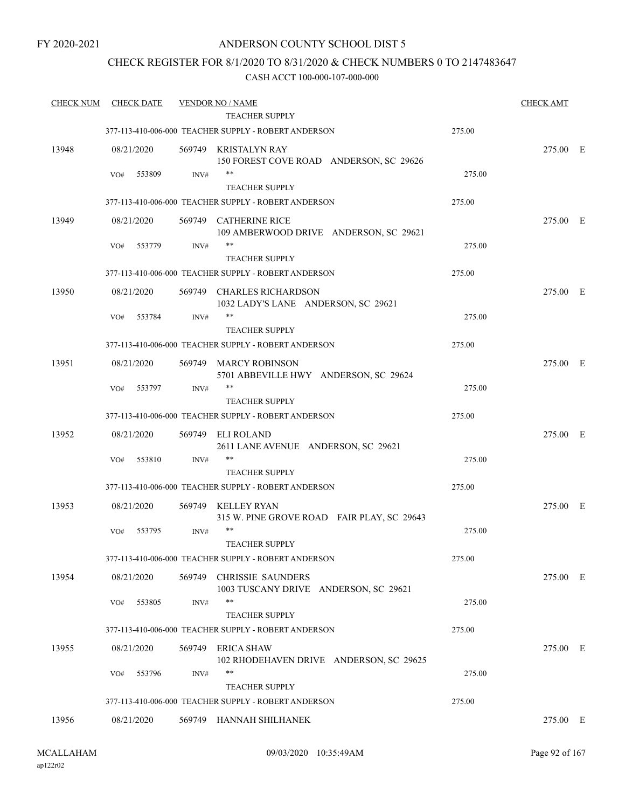ap122r02

### ANDERSON COUNTY SCHOOL DIST 5

### CHECK REGISTER FOR 8/1/2020 TO 8/31/2020 & CHECK NUMBERS 0 TO 2147483647

#### CASH ACCT 100-000-107-000-000

| <b>CHECK NUM</b> | <b>CHECK DATE</b> |                | <b>VENDOR NO / NAME</b>                                                       |        | <b>CHECK AMT</b> |  |
|------------------|-------------------|----------------|-------------------------------------------------------------------------------|--------|------------------|--|
|                  |                   |                | <b>TEACHER SUPPLY</b>                                                         |        |                  |  |
|                  |                   |                | 377-113-410-006-000 TEACHER SUPPLY - ROBERT ANDERSON                          | 275.00 |                  |  |
| 13948            | 08/21/2020        |                | 569749 KRISTALYN RAY<br>150 FOREST COVE ROAD ANDERSON, SC 29626               |        | 275.00 E         |  |
|                  | 553809<br>VO#     | INV#           | $***$<br><b>TEACHER SUPPLY</b>                                                | 275.00 |                  |  |
|                  |                   |                | 377-113-410-006-000 TEACHER SUPPLY - ROBERT ANDERSON                          | 275.00 |                  |  |
| 13949            | 08/21/2020        |                | 569749 CATHERINE RICE<br>109 AMBERWOOD DRIVE ANDERSON, SC 29621               |        | 275.00 E         |  |
|                  | 553779<br>VO#     | INV#           | $***$                                                                         | 275.00 |                  |  |
|                  |                   |                | <b>TEACHER SUPPLY</b><br>377-113-410-006-000 TEACHER SUPPLY - ROBERT ANDERSON | 275.00 |                  |  |
|                  |                   |                |                                                                               |        |                  |  |
| 13950            | 08/21/2020        |                | 569749 CHARLES RICHARDSON<br>1032 LADY'S LANE ANDERSON, SC 29621              |        | 275.00 E         |  |
|                  | 553784<br>VO#     | INV#           | **<br><b>TEACHER SUPPLY</b>                                                   | 275.00 |                  |  |
|                  |                   |                | 377-113-410-006-000 TEACHER SUPPLY - ROBERT ANDERSON                          | 275.00 |                  |  |
| 13951            | 08/21/2020        |                | 569749 MARCY ROBINSON<br>5701 ABBEVILLE HWY ANDERSON, SC 29624                |        | 275.00 E         |  |
|                  | 553797<br>VO#     | INV#           | **<br><b>TEACHER SUPPLY</b>                                                   | 275.00 |                  |  |
|                  |                   |                | 377-113-410-006-000 TEACHER SUPPLY - ROBERT ANDERSON                          | 275.00 |                  |  |
| 13952            | 08/21/2020        | 569749         | ELI ROLAND                                                                    |        | 275.00 E         |  |
|                  | 553810<br>VO#     | $\text{INV}\#$ | 2611 LANE AVENUE ANDERSON, SC 29621<br>**                                     | 275.00 |                  |  |
|                  |                   |                | <b>TEACHER SUPPLY</b>                                                         |        |                  |  |
|                  |                   |                | 377-113-410-006-000 TEACHER SUPPLY - ROBERT ANDERSON                          | 275.00 |                  |  |
| 13953            | 08/21/2020        |                | 569749 KELLEY RYAN<br>315 W. PINE GROVE ROAD FAIR PLAY, SC 29643              |        | 275.00 E         |  |
|                  | 553795<br>VO#     | INV#           | $***$<br><b>TEACHER SUPPLY</b>                                                | 275.00 |                  |  |
|                  |                   |                | 377-113-410-006-000 TEACHER SUPPLY - ROBERT ANDERSON                          | 275.00 |                  |  |
| 13954            | 08/21/2020        | 569749         | <b>CHRISSIE SAUNDERS</b>                                                      |        | 275.00 E         |  |
|                  | 553805<br>VO#     | INV#           | 1003 TUSCANY DRIVE ANDERSON, SC 29621<br>$***$                                | 275.00 |                  |  |
|                  |                   |                | <b>TEACHER SUPPLY</b>                                                         |        |                  |  |
|                  |                   |                | 377-113-410-006-000 TEACHER SUPPLY - ROBERT ANDERSON                          | 275.00 |                  |  |
| 13955            | 08/21/2020        | 569749         | ERICA SHAW<br>102 RHODEHAVEN DRIVE ANDERSON, SC 29625                         |        | 275.00 E         |  |
|                  | 553796<br>VO#     | INV#           | **<br><b>TEACHER SUPPLY</b>                                                   | 275.00 |                  |  |
|                  |                   |                | 377-113-410-006-000 TEACHER SUPPLY - ROBERT ANDERSON                          | 275.00 |                  |  |
| 13956            | 08/21/2020        |                | 569749 HANNAH SHILHANEK                                                       |        | 275.00 E         |  |
|                  |                   |                |                                                                               |        |                  |  |

09/03/2020 10:35:49AM MCALLAHAM Page 92 of 167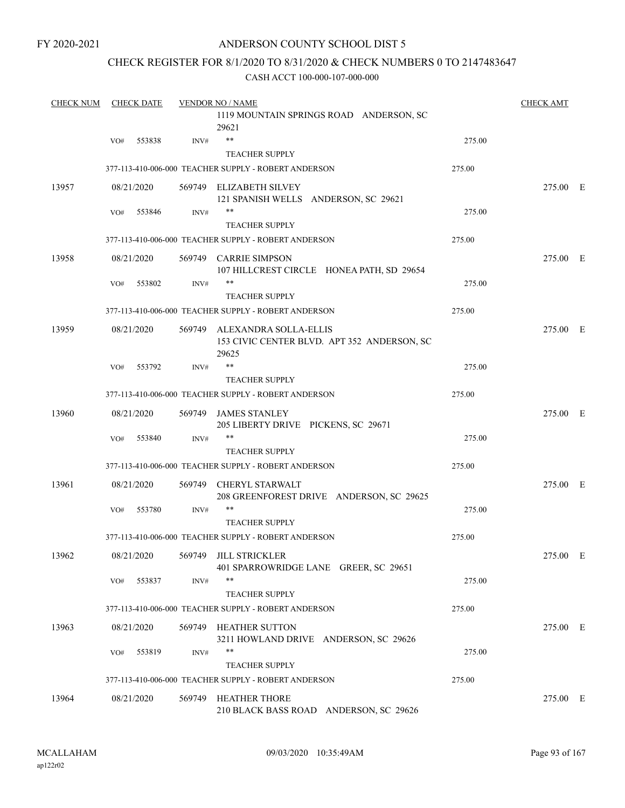### CHECK REGISTER FOR 8/1/2020 TO 8/31/2020 & CHECK NUMBERS 0 TO 2147483647

| <b>CHECK NUM</b> | <b>CHECK DATE</b> |        | <b>VENDOR NO / NAME</b> |                                                                                      | <b>CHECK AMT</b> |          |  |
|------------------|-------------------|--------|-------------------------|--------------------------------------------------------------------------------------|------------------|----------|--|
|                  |                   |        |                         | 1119 MOUNTAIN SPRINGS ROAD ANDERSON, SC<br>29621                                     |                  |          |  |
|                  | VO#               | 553838 | INV#                    | $***$                                                                                | 275.00           |          |  |
|                  |                   |        |                         | <b>TEACHER SUPPLY</b>                                                                |                  |          |  |
|                  |                   |        |                         | 377-113-410-006-000 TEACHER SUPPLY - ROBERT ANDERSON                                 | 275.00           |          |  |
| 13957            | 08/21/2020        |        |                         | 569749 ELIZABETH SILVEY<br>121 SPANISH WELLS ANDERSON, SC 29621                      |                  | 275.00 E |  |
|                  | VO#               | 553846 | INV#                    | $***$<br><b>TEACHER SUPPLY</b>                                                       | 275.00           |          |  |
|                  |                   |        |                         | 377-113-410-006-000 TEACHER SUPPLY - ROBERT ANDERSON                                 | 275.00           |          |  |
| 13958            | 08/21/2020        |        |                         | 569749 CARRIE SIMPSON<br>107 HILLCREST CIRCLE HONEA PATH, SD 29654                   |                  | 275.00 E |  |
|                  | VO#               | 553802 | INV#                    | **<br><b>TEACHER SUPPLY</b>                                                          | 275.00           |          |  |
|                  |                   |        |                         | 377-113-410-006-000 TEACHER SUPPLY - ROBERT ANDERSON                                 | 275.00           |          |  |
| 13959            | 08/21/2020        |        |                         | 569749 ALEXANDRA SOLLA-ELLIS<br>153 CIVIC CENTER BLVD. APT 352 ANDERSON, SC<br>29625 |                  | 275.00 E |  |
|                  | VO#               | 553792 | INV#                    | $***$                                                                                | 275.00           |          |  |
|                  |                   |        |                         | <b>TEACHER SUPPLY</b>                                                                |                  |          |  |
|                  |                   |        |                         | 377-113-410-006-000 TEACHER SUPPLY - ROBERT ANDERSON                                 | 275.00           |          |  |
| 13960            | 08/21/2020        |        |                         | 569749 JAMES STANLEY<br>205 LIBERTY DRIVE PICKENS, SC 29671                          |                  | 275.00 E |  |
|                  | VO#               | 553840 | INV#                    | $***$<br><b>TEACHER SUPPLY</b>                                                       | 275.00           |          |  |
|                  |                   |        |                         | 377-113-410-006-000 TEACHER SUPPLY - ROBERT ANDERSON                                 | 275.00           |          |  |
| 13961            | 08/21/2020        |        |                         | 569749 CHERYL STARWALT<br>208 GREENFOREST DRIVE ANDERSON, SC 29625                   |                  | 275.00 E |  |
|                  | VO#               | 553780 | INV#                    | $***$                                                                                | 275.00           |          |  |
|                  |                   |        |                         | <b>TEACHER SUPPLY</b>                                                                |                  |          |  |
|                  |                   |        |                         | 377-113-410-006-000 TEACHER SUPPLY - ROBERT ANDERSON                                 | 275.00           |          |  |
| 13962            | 08/21/2020        |        |                         | 569749 JILL STRICKLER<br>401 SPARROWRIDGE LANE GREER, SC 29651                       |                  | 275.00 E |  |
|                  | VO#               | 553837 | INV#                    | $***$                                                                                | 275.00           |          |  |
|                  |                   |        |                         | <b>TEACHER SUPPLY</b><br>377-113-410-006-000 TEACHER SUPPLY - ROBERT ANDERSON        | 275.00           |          |  |
|                  |                   |        |                         |                                                                                      |                  |          |  |
| 13963            | 08/21/2020        |        | 569749                  | <b>HEATHER SUTTON</b><br>3211 HOWLAND DRIVE ANDERSON, SC 29626                       |                  | 275.00 E |  |
|                  | VO#               | 553819 | INV#                    | $***$                                                                                | 275.00           |          |  |
|                  |                   |        |                         | <b>TEACHER SUPPLY</b>                                                                |                  |          |  |
|                  |                   |        |                         | 377-113-410-006-000 TEACHER SUPPLY - ROBERT ANDERSON                                 | 275.00           |          |  |
| 13964            | 08/21/2020        |        |                         | 569749 HEATHER THORE<br>210 BLACK BASS ROAD ANDERSON, SC 29626                       |                  | 275.00 E |  |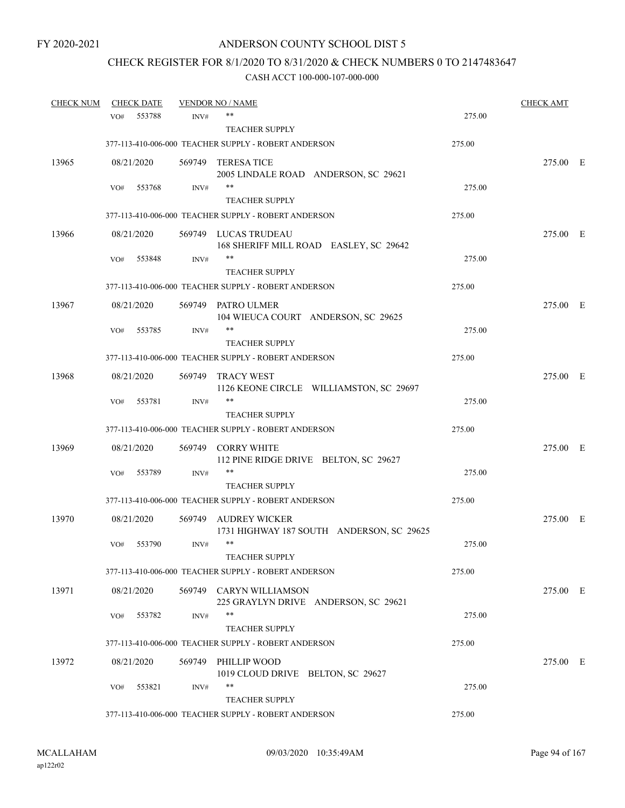# CHECK REGISTER FOR 8/1/2020 TO 8/31/2020 & CHECK NUMBERS 0 TO 2147483647

| <b>CHECK NUM</b> |     | <b>CHECK DATE</b> |        | <b>VENDOR NO / NAME</b>                                           |        | <b>CHECK AMT</b> |  |
|------------------|-----|-------------------|--------|-------------------------------------------------------------------|--------|------------------|--|
|                  | VO# | 553788            | INV#   | **                                                                | 275.00 |                  |  |
|                  |     |                   |        | <b>TEACHER SUPPLY</b>                                             |        |                  |  |
|                  |     |                   |        | 377-113-410-006-000 TEACHER SUPPLY - ROBERT ANDERSON              | 275.00 |                  |  |
| 13965            |     | 08/21/2020        |        | 569749 TERESA TICE<br>2005 LINDALE ROAD ANDERSON, SC 29621        |        | 275.00 E         |  |
|                  | VO# | 553768            | INV#   | $***$<br><b>TEACHER SUPPLY</b>                                    | 275.00 |                  |  |
|                  |     |                   |        | 377-113-410-006-000 TEACHER SUPPLY - ROBERT ANDERSON              | 275.00 |                  |  |
| 13966            |     | 08/21/2020        |        | 569749 LUCAS TRUDEAU<br>168 SHERIFF MILL ROAD EASLEY, SC 29642    |        | 275.00 E         |  |
|                  | VO# | 553848            | INV#   | **<br><b>TEACHER SUPPLY</b>                                       | 275.00 |                  |  |
|                  |     |                   |        | 377-113-410-006-000 TEACHER SUPPLY - ROBERT ANDERSON              | 275.00 |                  |  |
| 13967            |     | 08/21/2020        |        | 569749 PATRO ULMER<br>104 WIEUCA COURT ANDERSON, SC 29625         |        | 275.00 E         |  |
|                  | VO# | 553785            | INV#   | **<br><b>TEACHER SUPPLY</b>                                       | 275.00 |                  |  |
|                  |     |                   |        | 377-113-410-006-000 TEACHER SUPPLY - ROBERT ANDERSON              | 275.00 |                  |  |
| 13968            |     | 08/21/2020        | 569749 | TRACY WEST<br>1126 KEONE CIRCLE WILLIAMSTON, SC 29697             |        | 275.00 E         |  |
|                  | VO# | 553781            | INV#   | **<br><b>TEACHER SUPPLY</b>                                       | 275.00 |                  |  |
|                  |     |                   |        | 377-113-410-006-000 TEACHER SUPPLY - ROBERT ANDERSON              | 275.00 |                  |  |
| 13969            |     | 08/21/2020        | 569749 | <b>CORRY WHITE</b><br>112 PINE RIDGE DRIVE BELTON, SC 29627       |        | 275.00 E         |  |
|                  | VO# | 553789            | INV#   | **<br><b>TEACHER SUPPLY</b>                                       | 275.00 |                  |  |
|                  |     |                   |        | 377-113-410-006-000 TEACHER SUPPLY - ROBERT ANDERSON              | 275.00 |                  |  |
| 13970            |     | 08/21/2020        | 569749 | <b>AUDREY WICKER</b><br>1731 HIGHWAY 187 SOUTH ANDERSON, SC 29625 |        | 275.00 E         |  |
|                  | VO# | 553790            | INV#   | $***$<br><b>TEACHER SUPPLY</b>                                    | 275.00 |                  |  |
|                  |     |                   |        | 377-113-410-006-000 TEACHER SUPPLY - ROBERT ANDERSON              | 275.00 |                  |  |
| 13971            |     | 08/21/2020        |        | 569749 CARYN WILLIAMSON<br>225 GRAYLYN DRIVE ANDERSON, SC 29621   |        | 275.00 E         |  |
|                  | VO# | 553782            | INV#   | **<br><b>TEACHER SUPPLY</b>                                       | 275.00 |                  |  |
|                  |     |                   |        | 377-113-410-006-000 TEACHER SUPPLY - ROBERT ANDERSON              | 275.00 |                  |  |
| 13972            |     | 08/21/2020        | 569749 | PHILLIP WOOD<br>1019 CLOUD DRIVE BELTON, SC 29627                 |        | 275.00 E         |  |
|                  | VO# | 553821            | INV#   | **<br><b>TEACHER SUPPLY</b>                                       | 275.00 |                  |  |
|                  |     |                   |        | 377-113-410-006-000 TEACHER SUPPLY - ROBERT ANDERSON              | 275.00 |                  |  |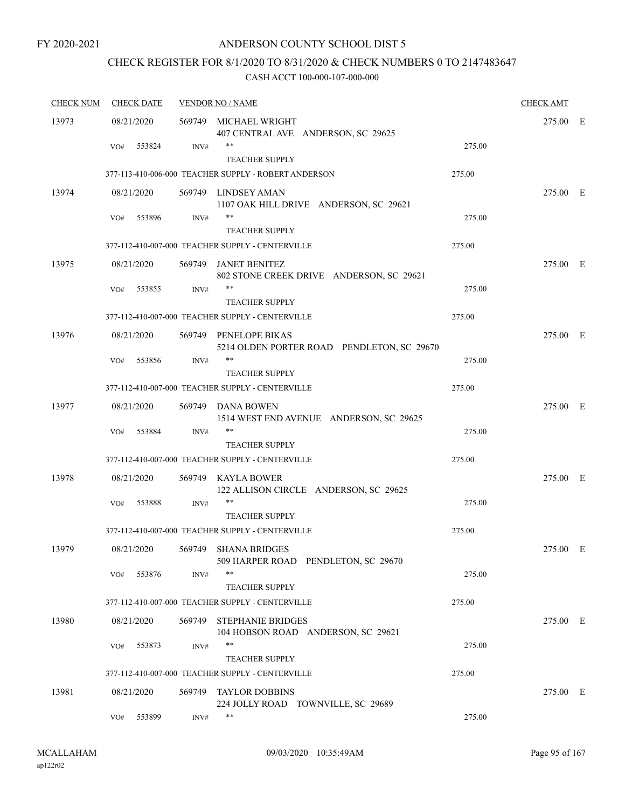### CHECK REGISTER FOR 8/1/2020 TO 8/31/2020 & CHECK NUMBERS 0 TO 2147483647

| <b>CHECK NUM</b> |     | <b>CHECK DATE</b> |        | <b>VENDOR NO / NAME</b>                                             |        | <b>CHECK AMT</b> |  |
|------------------|-----|-------------------|--------|---------------------------------------------------------------------|--------|------------------|--|
| 13973            |     | 08/21/2020        |        | 569749 MICHAEL WRIGHT<br>407 CENTRAL AVE ANDERSON, SC 29625         |        | 275.00 E         |  |
|                  | VO# | 553824            | INV#   | **<br><b>TEACHER SUPPLY</b>                                         | 275.00 |                  |  |
|                  |     |                   |        | 377-113-410-006-000 TEACHER SUPPLY - ROBERT ANDERSON                | 275.00 |                  |  |
| 13974            |     | 08/21/2020        |        | 569749 LINDSEY AMAN<br>1107 OAK HILL DRIVE ANDERSON, SC 29621       |        | 275.00 E         |  |
|                  | VO# | 553896            | INV#   | **<br><b>TEACHER SUPPLY</b>                                         | 275.00 |                  |  |
|                  |     |                   |        | 377-112-410-007-000 TEACHER SUPPLY - CENTERVILLE                    | 275.00 |                  |  |
| 13975            |     | 08/21/2020        |        | 569749 JANET BENITEZ<br>802 STONE CREEK DRIVE ANDERSON, SC 29621    |        | 275.00 E         |  |
|                  | VO# | 553855            | INV#   | **<br><b>TEACHER SUPPLY</b>                                         | 275.00 |                  |  |
|                  |     |                   |        | 377-112-410-007-000 TEACHER SUPPLY - CENTERVILLE                    | 275.00 |                  |  |
| 13976            |     | 08/21/2020        |        | 569749 PENELOPE BIKAS<br>5214 OLDEN PORTER ROAD PENDLETON, SC 29670 |        | 275.00 E         |  |
|                  | VO# | 553856            | INV#   | $***$<br><b>TEACHER SUPPLY</b>                                      | 275.00 |                  |  |
|                  |     |                   |        | 377-112-410-007-000 TEACHER SUPPLY - CENTERVILLE                    | 275.00 |                  |  |
| 13977            |     | 08/21/2020        |        | 569749 DANA BOWEN<br>1514 WEST END AVENUE ANDERSON, SC 29625        |        | 275.00 E         |  |
|                  | VO# | 553884            | INV#   | **<br><b>TEACHER SUPPLY</b>                                         | 275.00 |                  |  |
|                  |     |                   |        | 377-112-410-007-000 TEACHER SUPPLY - CENTERVILLE                    | 275.00 |                  |  |
| 13978            |     | 08/21/2020        |        | 569749 KAYLA BOWER<br>122 ALLISON CIRCLE ANDERSON, SC 29625         |        | 275.00 E         |  |
|                  | VO# | 553888            | INV#   | <b>TEACHER SUPPLY</b>                                               | 275.00 |                  |  |
|                  |     |                   |        | 377-112-410-007-000 TEACHER SUPPLY - CENTERVILLE                    | 275.00 |                  |  |
| 13979            |     | 08/21/2020        |        | 569749 SHANA BRIDGES<br>509 HARPER ROAD PENDLETON, SC 29670         |        | 275.00 E         |  |
|                  | VO# | 553876            | INV#   | **<br><b>TEACHER SUPPLY</b>                                         | 275.00 |                  |  |
|                  |     |                   |        | 377-112-410-007-000 TEACHER SUPPLY - CENTERVILLE                    | 275.00 |                  |  |
| 13980            |     | 08/21/2020        | 569749 | <b>STEPHANIE BRIDGES</b><br>104 HOBSON ROAD ANDERSON, SC 29621      |        | 275.00 E         |  |
|                  | VO# | 553873            | INV#   | **<br><b>TEACHER SUPPLY</b>                                         | 275.00 |                  |  |
|                  |     |                   |        | 377-112-410-007-000 TEACHER SUPPLY - CENTERVILLE                    | 275.00 |                  |  |
| 13981            |     | 08/21/2020        | 569749 | <b>TAYLOR DOBBINS</b><br>224 JOLLY ROAD TOWNVILLE, SC 29689         |        | 275.00 E         |  |
|                  | VO# | 553899            | INV#   | **                                                                  | 275.00 |                  |  |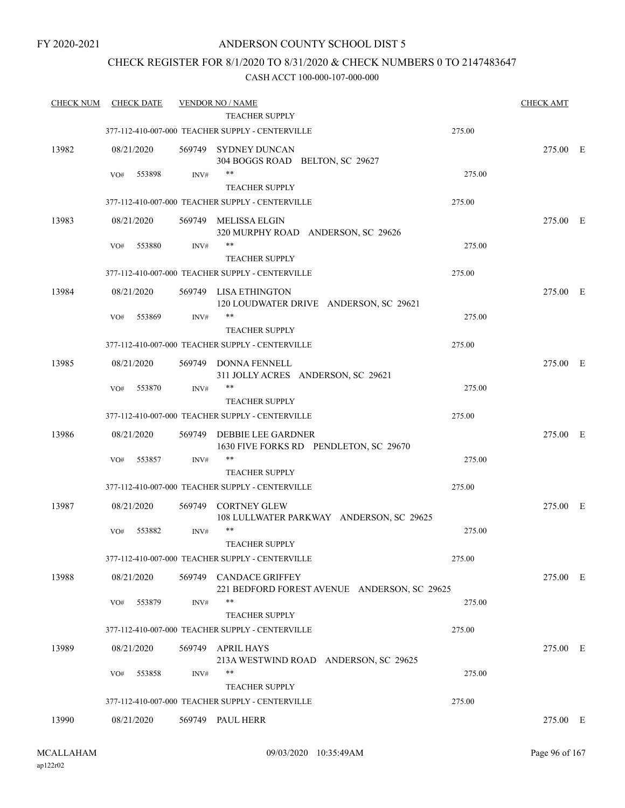### CHECK REGISTER FOR 8/1/2020 TO 8/31/2020 & CHECK NUMBERS 0 TO 2147483647

| <b>CHECK NUM</b> | <b>CHECK DATE</b> |        | <b>VENDOR NO / NAME</b><br><b>TEACHER SUPPLY</b>                          |        | <b>CHECK AMT</b> |  |
|------------------|-------------------|--------|---------------------------------------------------------------------------|--------|------------------|--|
|                  |                   |        | 377-112-410-007-000 TEACHER SUPPLY - CENTERVILLE                          | 275.00 |                  |  |
| 13982            | 08/21/2020        |        | 569749 SYDNEY DUNCAN<br>304 BOGGS ROAD BELTON, SC 29627                   |        | 275.00 E         |  |
|                  | 553898<br>VO#     | INV#   | $***$                                                                     | 275.00 |                  |  |
|                  |                   |        | <b>TEACHER SUPPLY</b>                                                     |        |                  |  |
|                  |                   |        | 377-112-410-007-000 TEACHER SUPPLY - CENTERVILLE                          | 275.00 |                  |  |
| 13983            | 08/21/2020        | 569749 | MELISSA ELGIN<br>320 MURPHY ROAD ANDERSON, SC 29626                       |        | 275.00 E         |  |
|                  | 553880<br>VO#     | INV#   | $***$                                                                     | 275.00 |                  |  |
|                  |                   |        | <b>TEACHER SUPPLY</b>                                                     |        |                  |  |
|                  |                   |        | 377-112-410-007-000 TEACHER SUPPLY - CENTERVILLE                          | 275.00 |                  |  |
| 13984            | 08/21/2020        |        | 569749 LISA ETHINGTON<br>120 LOUDWATER DRIVE ANDERSON, SC 29621           |        | 275.00 E         |  |
|                  | 553869<br>VO#     | INV#   | **                                                                        | 275.00 |                  |  |
|                  |                   |        | <b>TEACHER SUPPLY</b>                                                     |        |                  |  |
|                  |                   |        | 377-112-410-007-000 TEACHER SUPPLY - CENTERVILLE                          | 275.00 |                  |  |
| 13985            | 08/21/2020        |        | 569749 DONNA FENNELL<br>311 JOLLY ACRES ANDERSON, SC 29621                |        | 275.00 E         |  |
|                  | 553870<br>VO#     | INV#   | $***$                                                                     | 275.00 |                  |  |
|                  |                   |        | <b>TEACHER SUPPLY</b><br>377-112-410-007-000 TEACHER SUPPLY - CENTERVILLE | 275.00 |                  |  |
|                  |                   |        |                                                                           |        |                  |  |
| 13986            | 08/21/2020        | 569749 | DEBBIE LEE GARDNER<br>1630 FIVE FORKS RD PENDLETON, SC 29670              |        | 275.00 E         |  |
|                  | 553857<br>VO#     | INV#   | $***$<br><b>TEACHER SUPPLY</b>                                            | 275.00 |                  |  |
|                  |                   |        | 377-112-410-007-000 TEACHER SUPPLY - CENTERVILLE                          | 275.00 |                  |  |
|                  |                   |        |                                                                           |        |                  |  |
| 13987            | 08/21/2020        | 569749 | <b>CORTNEY GLEW</b><br>108 LULLWATER PARKWAY ANDERSON, SC 29625           |        | 275.00 E         |  |
|                  | 553882<br>VO#     | INV#   | $***$<br><b>TEACHER SUPPLY</b>                                            | 275.00 |                  |  |
|                  |                   |        | 377-112-410-007-000 TEACHER SUPPLY - CENTERVILLE                          | 275.00 |                  |  |
| 13988            | 08/21/2020        |        | 569749 CANDACE GRIFFEY<br>221 BEDFORD FOREST AVENUE ANDERSON, SC 29625    |        | 275.00 E         |  |
|                  | 553879<br>VO#     | INV#   | $***$                                                                     | 275.00 |                  |  |
|                  |                   |        | <b>TEACHER SUPPLY</b>                                                     |        |                  |  |
|                  |                   |        | 377-112-410-007-000 TEACHER SUPPLY - CENTERVILLE                          | 275.00 |                  |  |
| 13989            | 08/21/2020        | 569749 | APRIL HAYS<br>213A WESTWIND ROAD ANDERSON, SC 29625                       |        | 275.00 E         |  |
|                  | 553858<br>VO#     | INV#   | **                                                                        | 275.00 |                  |  |
|                  |                   |        | <b>TEACHER SUPPLY</b>                                                     |        |                  |  |
|                  |                   |        | 377-112-410-007-000 TEACHER SUPPLY - CENTERVILLE                          | 275.00 |                  |  |
| 13990            | 08/21/2020        |        | 569749 PAUL HERR                                                          |        | 275.00 E         |  |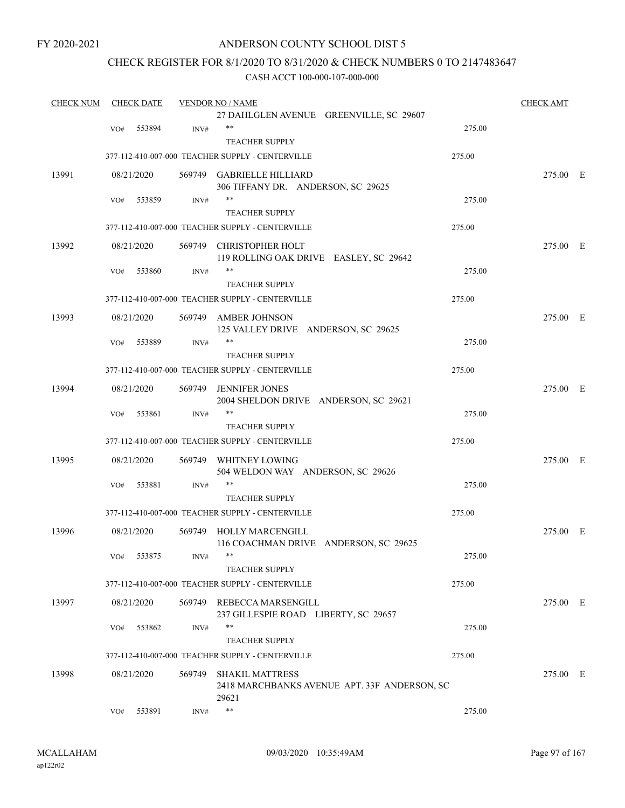### ANDERSON COUNTY SCHOOL DIST 5

### CHECK REGISTER FOR 8/1/2020 TO 8/31/2020 & CHECK NUMBERS 0 TO 2147483647

| <b>CHECK NUM</b> |     | <b>CHECK DATE</b> |        | <b>VENDOR NO / NAME</b>                          |        | <b>CHECK AMT</b> |  |
|------------------|-----|-------------------|--------|--------------------------------------------------|--------|------------------|--|
|                  |     |                   |        | 27 DAHLGLEN AVENUE GREENVILLE, SC 29607          |        |                  |  |
|                  | VO# | 553894            | INV#   | **                                               | 275.00 |                  |  |
|                  |     |                   |        | <b>TEACHER SUPPLY</b>                            |        |                  |  |
|                  |     |                   |        | 377-112-410-007-000 TEACHER SUPPLY - CENTERVILLE | 275.00 |                  |  |
| 13991            |     | 08/21/2020        |        | 569749 GABRIELLE HILLIARD                        |        | 275.00 E         |  |
|                  |     |                   |        | 306 TIFFANY DR. ANDERSON, SC 29625               |        |                  |  |
|                  | VO# | 553859            | INV#   | $***$                                            | 275.00 |                  |  |
|                  |     |                   |        | <b>TEACHER SUPPLY</b>                            |        |                  |  |
|                  |     |                   |        | 377-112-410-007-000 TEACHER SUPPLY - CENTERVILLE | 275.00 |                  |  |
| 13992            |     | 08/21/2020        |        | 569749 CHRISTOPHER HOLT                          |        | 275.00 E         |  |
|                  |     |                   |        | 119 ROLLING OAK DRIVE EASLEY, SC 29642           |        |                  |  |
|                  | VO# | 553860            | INV#   | **                                               | 275.00 |                  |  |
|                  |     |                   |        | <b>TEACHER SUPPLY</b>                            |        |                  |  |
|                  |     |                   |        | 377-112-410-007-000 TEACHER SUPPLY - CENTERVILLE | 275.00 |                  |  |
|                  |     |                   |        |                                                  |        |                  |  |
| 13993            |     | 08/21/2020        |        | 569749 AMBER JOHNSON                             |        | 275.00 E         |  |
|                  |     |                   |        | 125 VALLEY DRIVE ANDERSON, SC 29625<br>$***$     |        |                  |  |
|                  | VO# | 553889            | INV#   |                                                  | 275.00 |                  |  |
|                  |     |                   |        | <b>TEACHER SUPPLY</b>                            |        |                  |  |
|                  |     |                   |        | 377-112-410-007-000 TEACHER SUPPLY - CENTERVILLE | 275.00 |                  |  |
| 13994            |     | 08/21/2020        | 569749 | <b>JENNIFER JONES</b>                            |        | 275.00 E         |  |
|                  |     |                   |        | 2004 SHELDON DRIVE ANDERSON, SC 29621            |        |                  |  |
|                  | VO# | 553861            | INV#   | $***$                                            | 275.00 |                  |  |
|                  |     |                   |        | <b>TEACHER SUPPLY</b>                            |        |                  |  |
|                  |     |                   |        | 377-112-410-007-000 TEACHER SUPPLY - CENTERVILLE | 275.00 |                  |  |
| 13995            |     | 08/21/2020        |        | 569749 WHITNEY LOWING                            |        | 275.00 E         |  |
|                  |     |                   |        | 504 WELDON WAY ANDERSON, SC 29626                |        |                  |  |
|                  | VO# | 553881            | INV#   | **                                               | 275.00 |                  |  |
|                  |     |                   |        | <b>TEACHER SUPPLY</b>                            |        |                  |  |
|                  |     |                   |        | 377-112-410-007-000 TEACHER SUPPLY - CENTERVILLE | 275.00 |                  |  |
|                  |     |                   |        |                                                  |        |                  |  |
| 13996            |     | 08/21/2020        |        | 569749 HOLLY MARCENGILL                          |        | 275.00 E         |  |
|                  |     |                   |        | 116 COACHMAN DRIVE ANDERSON, SC 29625            | 275.00 |                  |  |
|                  | VO# | 553875            | INV#   |                                                  |        |                  |  |
|                  |     |                   |        | <b>TEACHER SUPPLY</b>                            |        |                  |  |
|                  |     |                   |        | 377-112-410-007-000 TEACHER SUPPLY - CENTERVILLE | 275.00 |                  |  |
| 13997            |     | 08/21/2020        |        | 569749 REBECCA MARSENGILL                        |        | 275.00 E         |  |
|                  |     |                   |        | 237 GILLESPIE ROAD LIBERTY, SC 29657             |        |                  |  |
|                  | VO# | 553862            | INV#   | **                                               | 275.00 |                  |  |
|                  |     |                   |        | <b>TEACHER SUPPLY</b>                            |        |                  |  |
|                  |     |                   |        | 377-112-410-007-000 TEACHER SUPPLY - CENTERVILLE | 275.00 |                  |  |
| 13998            |     | 08/21/2020        | 569749 | <b>SHAKIL MATTRESS</b>                           |        | 275.00 E         |  |
|                  |     |                   |        | 2418 MARCHBANKS AVENUE APT. 33F ANDERSON, SC     |        |                  |  |
|                  |     |                   |        | 29621                                            |        |                  |  |
|                  | VO# | 553891            | INV#   | $***$                                            | 275.00 |                  |  |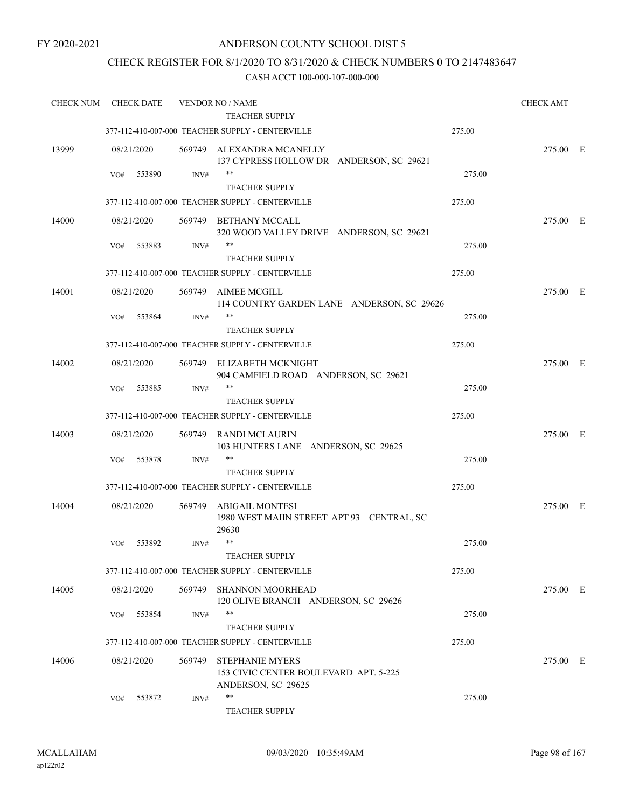### CHECK REGISTER FOR 8/1/2020 TO 8/31/2020 & CHECK NUMBERS 0 TO 2147483647

| <b>CHECK NUM</b> |     | <b>CHECK DATE</b> |        | <b>VENDOR NO / NAME</b>                                               |        | <b>CHECK AMT</b> |  |
|------------------|-----|-------------------|--------|-----------------------------------------------------------------------|--------|------------------|--|
|                  |     |                   |        | <b>TEACHER SUPPLY</b>                                                 |        |                  |  |
|                  |     |                   |        | 377-112-410-007-000 TEACHER SUPPLY - CENTERVILLE                      | 275.00 |                  |  |
| 13999            |     | 08/21/2020        |        | 569749 ALEXANDRA MCANELLY<br>137 CYPRESS HOLLOW DR ANDERSON, SC 29621 |        | 275.00 E         |  |
|                  | VO# | 553890            | INV#   | $\ast\ast$                                                            | 275.00 |                  |  |
|                  |     |                   |        | <b>TEACHER SUPPLY</b>                                                 |        |                  |  |
|                  |     |                   |        | 377-112-410-007-000 TEACHER SUPPLY - CENTERVILLE                      | 275.00 |                  |  |
| 14000            |     | 08/21/2020        | 569749 | BETHANY MCCALL<br>320 WOOD VALLEY DRIVE ANDERSON, SC 29621            |        | 275.00 E         |  |
|                  | VO# | 553883            | INV#   | **<br><b>TEACHER SUPPLY</b>                                           | 275.00 |                  |  |
|                  |     |                   |        | 377-112-410-007-000 TEACHER SUPPLY - CENTERVILLE                      | 275.00 |                  |  |
| 14001            |     | 08/21/2020        | 569749 | AIMEE MCGILL<br>114 COUNTRY GARDEN LANE ANDERSON, SC 29626            |        | 275.00 E         |  |
|                  | VO# | 553864            | INV#   | **                                                                    | 275.00 |                  |  |
|                  |     |                   |        | <b>TEACHER SUPPLY</b>                                                 |        |                  |  |
|                  |     |                   |        | 377-112-410-007-000 TEACHER SUPPLY - CENTERVILLE                      | 275.00 |                  |  |
|                  |     |                   |        |                                                                       |        |                  |  |
| 14002            |     | 08/21/2020        | 569749 | ELIZABETH MCKNIGHT<br>904 CAMFIELD ROAD ANDERSON, SC 29621            |        | 275.00 E         |  |
|                  | VO# | 553885            | INV#   | **                                                                    | 275.00 |                  |  |
|                  |     |                   |        | <b>TEACHER SUPPLY</b>                                                 |        |                  |  |
|                  |     |                   |        | 377-112-410-007-000 TEACHER SUPPLY - CENTERVILLE                      | 275.00 |                  |  |
| 14003            |     | 08/21/2020        | 569749 | RANDI MCLAURIN<br>103 HUNTERS LANE ANDERSON, SC 29625                 |        | 275.00 E         |  |
|                  | VO# | 553878            | INV#   | **                                                                    | 275.00 |                  |  |
|                  |     |                   |        | <b>TEACHER SUPPLY</b>                                                 |        |                  |  |
|                  |     |                   |        | 377-112-410-007-000 TEACHER SUPPLY - CENTERVILLE                      | 275.00 |                  |  |
| 14004            |     | 08/21/2020        | 569749 | ABIGAIL MONTESI<br>1980 WEST MAIIN STREET APT 93 CENTRAL, SC<br>29630 |        | 275.00 E         |  |
|                  | VO# | 553892            | INV#   | $***$                                                                 | 275.00 |                  |  |
|                  |     |                   |        | <b>TEACHER SUPPLY</b>                                                 |        |                  |  |
|                  |     |                   |        | 377-112-410-007-000 TEACHER SUPPLY - CENTERVILLE                      | 275.00 |                  |  |
| 14005            |     | 08/21/2020        | 569749 | <b>SHANNON MOORHEAD</b><br>120 OLIVE BRANCH ANDERSON, SC 29626        |        | 275.00 E         |  |
|                  | VO# | 553854            | INV#   | **                                                                    | 275.00 |                  |  |
|                  |     |                   |        | <b>TEACHER SUPPLY</b>                                                 |        |                  |  |
|                  |     |                   |        | 377-112-410-007-000 TEACHER SUPPLY - CENTERVILLE                      | 275.00 |                  |  |
| 14006            |     | 08/21/2020        | 569749 | <b>STEPHANIE MYERS</b><br>153 CIVIC CENTER BOULEVARD APT. 5-225       |        | 275.00 E         |  |
|                  |     |                   |        | ANDERSON, SC 29625                                                    |        |                  |  |
|                  | VO# | 553872            | INV#   | $***$<br><b>TEACHER SUPPLY</b>                                        | 275.00 |                  |  |
|                  |     |                   |        |                                                                       |        |                  |  |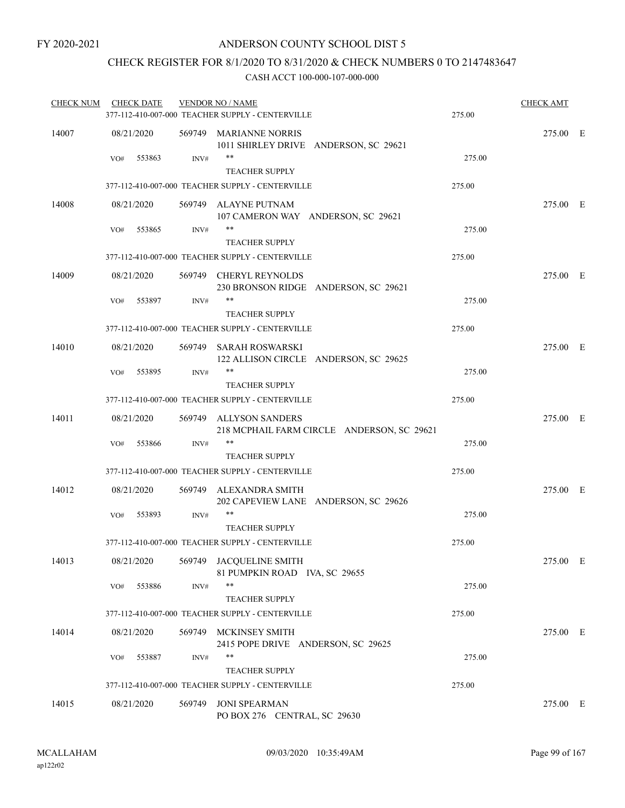### CHECK REGISTER FOR 8/1/2020 TO 8/31/2020 & CHECK NUMBERS 0 TO 2147483647

| <b>CHECK NUM</b> | <b>CHECK DATE</b> |        | <b>VENDOR NO / NAME</b><br>377-112-410-007-000 TEACHER SUPPLY - CENTERVILLE | 275.00 | <b>CHECK AMT</b> |  |
|------------------|-------------------|--------|-----------------------------------------------------------------------------|--------|------------------|--|
| 14007            | 08/21/2020        |        | 569749 MARIANNE NORRIS<br>1011 SHIRLEY DRIVE ANDERSON, SC 29621             |        | 275.00 E         |  |
|                  | 553863<br>VO#     | INV#   | **<br><b>TEACHER SUPPLY</b>                                                 | 275.00 |                  |  |
|                  |                   |        | 377-112-410-007-000 TEACHER SUPPLY - CENTERVILLE                            | 275.00 |                  |  |
| 14008            | 08/21/2020        |        | 569749 ALAYNE PUTNAM<br>107 CAMERON WAY ANDERSON, SC 29621                  |        | 275.00 E         |  |
|                  | 553865<br>VO#     | INV#   | $***$<br><b>TEACHER SUPPLY</b>                                              | 275.00 |                  |  |
|                  |                   |        | 377-112-410-007-000 TEACHER SUPPLY - CENTERVILLE                            | 275.00 |                  |  |
| 14009            | 08/21/2020        |        | 569749 CHERYL REYNOLDS<br>230 BRONSON RIDGE ANDERSON, SC 29621              |        | 275.00 E         |  |
|                  | 553897<br>VO#     | INV#   | **<br><b>TEACHER SUPPLY</b>                                                 | 275.00 |                  |  |
|                  |                   |        | 377-112-410-007-000 TEACHER SUPPLY - CENTERVILLE                            | 275.00 |                  |  |
| 14010            | 08/21/2020        |        | 569749 SARAH ROSWARSKI<br>122 ALLISON CIRCLE ANDERSON, SC 29625             |        | 275.00 E         |  |
|                  | 553895<br>VO#     | INV#   | **<br><b>TEACHER SUPPLY</b>                                                 | 275.00 |                  |  |
|                  |                   |        | 377-112-410-007-000 TEACHER SUPPLY - CENTERVILLE                            | 275.00 |                  |  |
| 14011            | 08/21/2020        |        | 569749 ALLYSON SANDERS<br>218 MCPHAIL FARM CIRCLE ANDERSON, SC 29621        |        | 275.00 E         |  |
|                  | 553866<br>VO#     | INV#   | **<br><b>TEACHER SUPPLY</b>                                                 | 275.00 |                  |  |
|                  |                   |        | 377-112-410-007-000 TEACHER SUPPLY - CENTERVILLE                            | 275.00 |                  |  |
| 14012            | 08/21/2020        |        | 569749 ALEXANDRA SMITH<br>202 CAPEVIEW LANE ANDERSON, SC 29626              |        | 275.00 E         |  |
|                  | VO#<br>553893     | INV#   | **<br><b>TEACHER SUPPLY</b>                                                 | 275.00 |                  |  |
|                  |                   |        | 377-112-410-007-000 TEACHER SUPPLY - CENTERVILLE                            | 275.00 |                  |  |
| 14013            | 08/21/2020        |        | 569749 JACQUELINE SMITH<br>81 PUMPKIN ROAD IVA, SC 29655                    |        | 275.00 E         |  |
|                  | 553886<br>VO#     | INV#   | **<br><b>TEACHER SUPPLY</b>                                                 | 275.00 |                  |  |
|                  |                   |        | 377-112-410-007-000 TEACHER SUPPLY - CENTERVILLE                            | 275.00 |                  |  |
| 14014            | 08/21/2020        |        | 569749 MCKINSEY SMITH<br>2415 POPE DRIVE ANDERSON, SC 29625                 |        | 275.00 E         |  |
|                  | 553887<br>VO#     | INV#   | **<br><b>TEACHER SUPPLY</b>                                                 | 275.00 |                  |  |
|                  |                   |        | 377-112-410-007-000 TEACHER SUPPLY - CENTERVILLE                            | 275.00 |                  |  |
| 14015            | 08/21/2020        | 569749 | <b>JONI SPEARMAN</b><br>PO BOX 276 CENTRAL, SC 29630                        |        | 275.00 E         |  |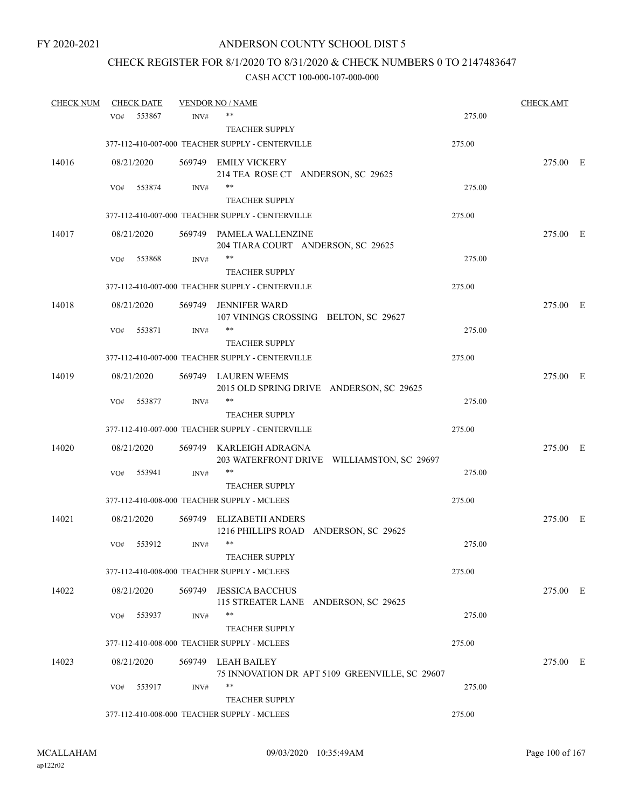# CHECK REGISTER FOR 8/1/2020 TO 8/31/2020 & CHECK NUMBERS 0 TO 2147483647

| <b>CHECK NUM</b> |            | <b>CHECK DATE</b> |        | <b>VENDOR NO / NAME</b>                                               |        | <b>CHECK AMT</b> |  |
|------------------|------------|-------------------|--------|-----------------------------------------------------------------------|--------|------------------|--|
|                  | VO#        | 553867            | INV#   | **                                                                    | 275.00 |                  |  |
|                  |            |                   |        | <b>TEACHER SUPPLY</b>                                                 |        |                  |  |
|                  |            |                   |        | 377-112-410-007-000 TEACHER SUPPLY - CENTERVILLE                      | 275.00 |                  |  |
| 14016            | 08/21/2020 |                   |        | 569749 EMILY VICKERY                                                  |        | 275.00 E         |  |
|                  |            |                   |        | 214 TEA ROSE CT ANDERSON, SC 29625                                    |        |                  |  |
|                  | VO#        | 553874            | INV#   | **                                                                    | 275.00 |                  |  |
|                  |            |                   |        | <b>TEACHER SUPPLY</b>                                                 |        |                  |  |
|                  |            |                   |        | 377-112-410-007-000 TEACHER SUPPLY - CENTERVILLE                      | 275.00 |                  |  |
| 14017            | 08/21/2020 |                   |        | 569749 PAMELA WALLENZINE<br>204 TIARA COURT ANDERSON, SC 29625        |        | 275.00 E         |  |
|                  | VO#        | 553868            | INV#   | **                                                                    | 275.00 |                  |  |
|                  |            |                   |        | <b>TEACHER SUPPLY</b>                                                 |        |                  |  |
|                  |            |                   |        | 377-112-410-007-000 TEACHER SUPPLY - CENTERVILLE                      | 275.00 |                  |  |
| 14018            | 08/21/2020 |                   | 569749 | <b>JENNIFER WARD</b><br>107 VININGS CROSSING BELTON, SC 29627         |        | 275.00 E         |  |
|                  | VO#        | 553871            | INV#   | **                                                                    | 275.00 |                  |  |
|                  |            |                   |        | <b>TEACHER SUPPLY</b>                                                 |        |                  |  |
|                  |            |                   |        | 377-112-410-007-000 TEACHER SUPPLY - CENTERVILLE                      | 275.00 |                  |  |
| 14019            | 08/21/2020 |                   |        | 569749 LAUREN WEEMS<br>2015 OLD SPRING DRIVE ANDERSON, SC 29625       |        | 275.00 E         |  |
|                  | VO#        | 553877            | INV#   | **                                                                    | 275.00 |                  |  |
|                  |            |                   |        | <b>TEACHER SUPPLY</b>                                                 |        |                  |  |
|                  |            |                   |        | 377-112-410-007-000 TEACHER SUPPLY - CENTERVILLE                      | 275.00 |                  |  |
| 14020            | 08/21/2020 |                   |        | 569749 KARLEIGH ADRAGNA<br>203 WATERFRONT DRIVE WILLIAMSTON, SC 29697 |        | 275.00 E         |  |
|                  | VO#        | 553941            | INV#   | **                                                                    | 275.00 |                  |  |
|                  |            |                   |        | <b>TEACHER SUPPLY</b>                                                 |        |                  |  |
|                  |            |                   |        | 377-112-410-008-000 TEACHER SUPPLY - MCLEES                           | 275.00 |                  |  |
| 14021            | 08/21/2020 |                   |        | 569749 ELIZABETH ANDERS                                               |        | 275.00 E         |  |
|                  |            |                   |        | 1216 PHILLIPS ROAD ANDERSON, SC 29625<br>$***$                        |        |                  |  |
|                  | VO#        | 553912            | INV#   | <b>TEACHER SUPPLY</b>                                                 | 275.00 |                  |  |
|                  |            |                   |        | 377-112-410-008-000 TEACHER SUPPLY - MCLEES                           | 275.00 |                  |  |
|                  |            |                   |        |                                                                       |        |                  |  |
| 14022            | 08/21/2020 |                   |        | 569749 JESSICA BACCHUS<br>115 STREATER LANE ANDERSON, SC 29625        |        | 275.00 E         |  |
|                  | VO#        | 553937            | INV#   | **                                                                    | 275.00 |                  |  |
|                  |            |                   |        | <b>TEACHER SUPPLY</b><br>377-112-410-008-000 TEACHER SUPPLY - MCLEES  | 275.00 |                  |  |
|                  |            |                   |        |                                                                       |        |                  |  |
| 14023            | 08/21/2020 |                   |        | 569749 LEAH BAILEY<br>75 INNOVATION DR APT 5109 GREENVILLE, SC 29607  |        | 275.00 E         |  |
|                  | VO#        | 553917            | INV#   | **                                                                    | 275.00 |                  |  |
|                  |            |                   |        | <b>TEACHER SUPPLY</b>                                                 |        |                  |  |
|                  |            |                   |        | 377-112-410-008-000 TEACHER SUPPLY - MCLEES                           | 275.00 |                  |  |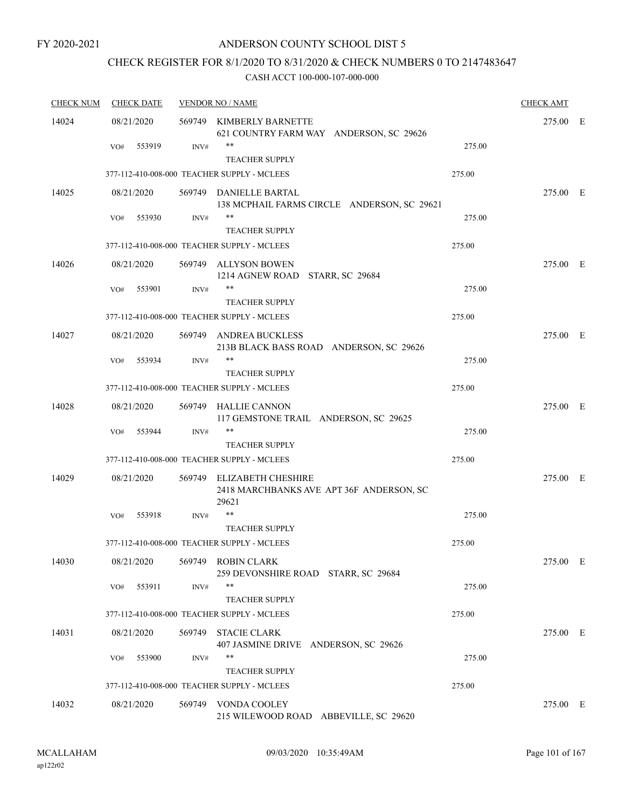### ANDERSON COUNTY SCHOOL DIST 5

## CHECK REGISTER FOR 8/1/2020 TO 8/31/2020 & CHECK NUMBERS 0 TO 2147483647

| <b>CHECK DATE</b> |        |                                                             |                                                                                                                                                                                                                                                                                                                                                                                                                                                                                                                                                                                                                                                                                                                                                                                   | <b>CHECK AMT</b> |  |
|-------------------|--------|-------------------------------------------------------------|-----------------------------------------------------------------------------------------------------------------------------------------------------------------------------------------------------------------------------------------------------------------------------------------------------------------------------------------------------------------------------------------------------------------------------------------------------------------------------------------------------------------------------------------------------------------------------------------------------------------------------------------------------------------------------------------------------------------------------------------------------------------------------------|------------------|--|
| 08/21/2020        |        |                                                             |                                                                                                                                                                                                                                                                                                                                                                                                                                                                                                                                                                                                                                                                                                                                                                                   | 275.00 E         |  |
| 553919<br>VO#     | INV#   | **<br><b>TEACHER SUPPLY</b>                                 | 275.00                                                                                                                                                                                                                                                                                                                                                                                                                                                                                                                                                                                                                                                                                                                                                                            |                  |  |
|                   |        |                                                             | 275.00                                                                                                                                                                                                                                                                                                                                                                                                                                                                                                                                                                                                                                                                                                                                                                            |                  |  |
| 08/21/2020        |        | 138 MCPHAIL FARMS CIRCLE ANDERSON, SC 29621                 |                                                                                                                                                                                                                                                                                                                                                                                                                                                                                                                                                                                                                                                                                                                                                                                   | 275.00 E         |  |
| 553930<br>VO#     | INV#   | **                                                          | 275.00                                                                                                                                                                                                                                                                                                                                                                                                                                                                                                                                                                                                                                                                                                                                                                            |                  |  |
|                   |        |                                                             |                                                                                                                                                                                                                                                                                                                                                                                                                                                                                                                                                                                                                                                                                                                                                                                   |                  |  |
|                   |        |                                                             |                                                                                                                                                                                                                                                                                                                                                                                                                                                                                                                                                                                                                                                                                                                                                                                   |                  |  |
| 08/21/2020        |        | 1214 AGNEW ROAD STARR, SC 29684                             |                                                                                                                                                                                                                                                                                                                                                                                                                                                                                                                                                                                                                                                                                                                                                                                   | 275.00 E         |  |
| VO#<br>553901     | INV#   | **<br><b>TEACHER SUPPLY</b>                                 | 275.00                                                                                                                                                                                                                                                                                                                                                                                                                                                                                                                                                                                                                                                                                                                                                                            |                  |  |
|                   |        |                                                             | 275.00                                                                                                                                                                                                                                                                                                                                                                                                                                                                                                                                                                                                                                                                                                                                                                            |                  |  |
| 08/21/2020        |        |                                                             |                                                                                                                                                                                                                                                                                                                                                                                                                                                                                                                                                                                                                                                                                                                                                                                   | 275.00 E         |  |
| 553934<br>VO#     | INV#   | **<br><b>TEACHER SUPPLY</b>                                 | 275.00                                                                                                                                                                                                                                                                                                                                                                                                                                                                                                                                                                                                                                                                                                                                                                            |                  |  |
|                   |        |                                                             | 275.00                                                                                                                                                                                                                                                                                                                                                                                                                                                                                                                                                                                                                                                                                                                                                                            |                  |  |
| 08/21/2020        |        |                                                             |                                                                                                                                                                                                                                                                                                                                                                                                                                                                                                                                                                                                                                                                                                                                                                                   | 275.00 E         |  |
| 553944<br>VO#     | INV#   | **<br><b>TEACHER SUPPLY</b>                                 | 275.00                                                                                                                                                                                                                                                                                                                                                                                                                                                                                                                                                                                                                                                                                                                                                                            |                  |  |
|                   |        |                                                             | 275.00                                                                                                                                                                                                                                                                                                                                                                                                                                                                                                                                                                                                                                                                                                                                                                            |                  |  |
| 08/21/2020        |        | 2418 MARCHBANKS AVE APT 36F ANDERSON, SC<br>29621           |                                                                                                                                                                                                                                                                                                                                                                                                                                                                                                                                                                                                                                                                                                                                                                                   | 275.00 E         |  |
| 553918<br>VO#     | INV#   | **                                                          | 275.00                                                                                                                                                                                                                                                                                                                                                                                                                                                                                                                                                                                                                                                                                                                                                                            |                  |  |
|                   |        | <b>TEACHER SUPPLY</b>                                       |                                                                                                                                                                                                                                                                                                                                                                                                                                                                                                                                                                                                                                                                                                                                                                                   |                  |  |
|                   |        |                                                             | 275.00                                                                                                                                                                                                                                                                                                                                                                                                                                                                                                                                                                                                                                                                                                                                                                            |                  |  |
| 08/21/2020        |        | 259 DEVONSHIRE ROAD STARR, SC 29684                         |                                                                                                                                                                                                                                                                                                                                                                                                                                                                                                                                                                                                                                                                                                                                                                                   | 275.00 E         |  |
| 553911<br>VO#     | INV#   | **<br><b>TEACHER SUPPLY</b>                                 | 275.00                                                                                                                                                                                                                                                                                                                                                                                                                                                                                                                                                                                                                                                                                                                                                                            |                  |  |
|                   |        |                                                             | 275.00                                                                                                                                                                                                                                                                                                                                                                                                                                                                                                                                                                                                                                                                                                                                                                            |                  |  |
| 08/21/2020        | 569749 | <b>STACIE CLARK</b><br>407 JASMINE DRIVE ANDERSON, SC 29626 |                                                                                                                                                                                                                                                                                                                                                                                                                                                                                                                                                                                                                                                                                                                                                                                   | 275.00 E         |  |
| 553900<br>VO#     | INV#   | **<br><b>TEACHER SUPPLY</b>                                 | 275.00                                                                                                                                                                                                                                                                                                                                                                                                                                                                                                                                                                                                                                                                                                                                                                            |                  |  |
|                   |        |                                                             | 275.00                                                                                                                                                                                                                                                                                                                                                                                                                                                                                                                                                                                                                                                                                                                                                                            |                  |  |
| 08/21/2020        |        | 215 WILEWOOD ROAD ABBEVILLE, SC 29620                       |                                                                                                                                                                                                                                                                                                                                                                                                                                                                                                                                                                                                                                                                                                                                                                                   | 275.00 E         |  |
|                   |        |                                                             | <b>VENDOR NO / NAME</b><br>569749 KIMBERLY BARNETTE<br>621 COUNTRY FARM WAY ANDERSON, SC 29626<br>377-112-410-008-000 TEACHER SUPPLY - MCLEES<br>569749 DANIELLE BARTAL<br><b>TEACHER SUPPLY</b><br>377-112-410-008-000 TEACHER SUPPLY - MCLEES<br>569749 ALLYSON BOWEN<br>377-112-410-008-000 TEACHER SUPPLY - MCLEES<br>569749 ANDREA BUCKLESS<br>213B BLACK BASS ROAD ANDERSON, SC 29626<br>377-112-410-008-000 TEACHER SUPPLY - MCLEES<br>569749 HALLIE CANNON<br>117 GEMSTONE TRAIL ANDERSON, SC 29625<br>377-112-410-008-000 TEACHER SUPPLY - MCLEES<br>569749 ELIZABETH CHESHIRE<br>377-112-410-008-000 TEACHER SUPPLY - MCLEES<br>569749 ROBIN CLARK<br>377-112-410-008-000 TEACHER SUPPLY - MCLEES<br>377-112-410-008-000 TEACHER SUPPLY - MCLEES<br>569749 VONDA COOLEY | 275.00           |  |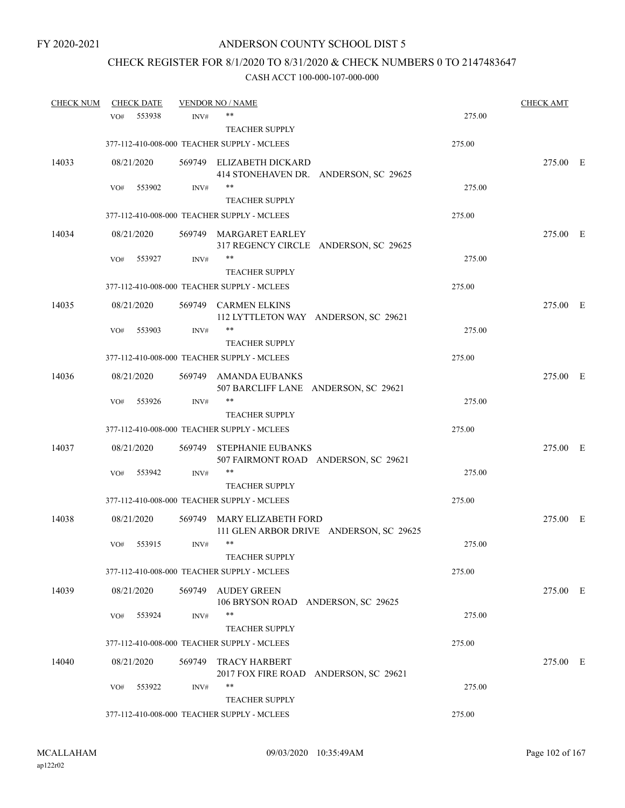## CHECK REGISTER FOR 8/1/2020 TO 8/31/2020 & CHECK NUMBERS 0 TO 2147483647

| <b>CHECK NUM</b> |            | <b>CHECK DATE</b> |        | <b>VENDOR NO / NAME</b>                                              |                                         |        | <b>CHECK AMT</b> |  |
|------------------|------------|-------------------|--------|----------------------------------------------------------------------|-----------------------------------------|--------|------------------|--|
|                  | VO#        | 553938            | INV#   | $***$                                                                |                                         | 275.00 |                  |  |
|                  |            |                   |        | <b>TEACHER SUPPLY</b>                                                |                                         |        |                  |  |
|                  |            |                   |        | 377-112-410-008-000 TEACHER SUPPLY - MCLEES                          |                                         | 275.00 |                  |  |
| 14033            | 08/21/2020 |                   |        | 569749 ELIZABETH DICKARD                                             | 414 STONEHAVEN DR. ANDERSON, SC 29625   |        | 275.00 E         |  |
|                  | VO#        | 553902            | INV#   | **<br><b>TEACHER SUPPLY</b>                                          |                                         | 275.00 |                  |  |
|                  |            |                   |        | 377-112-410-008-000 TEACHER SUPPLY - MCLEES                          |                                         | 275.00 |                  |  |
| 14034            | 08/21/2020 |                   |        | 569749 MARGARET EARLEY                                               | 317 REGENCY CIRCLE ANDERSON, SC 29625   |        | 275.00 E         |  |
|                  | VO#        | 553927            | INV#   | **<br><b>TEACHER SUPPLY</b>                                          |                                         | 275.00 |                  |  |
|                  |            |                   |        | 377-112-410-008-000 TEACHER SUPPLY - MCLEES                          |                                         | 275.00 |                  |  |
| 14035            | 08/21/2020 |                   |        | 569749 CARMEN ELKINS                                                 | 112 LYTTLETON WAY ANDERSON, SC 29621    |        | 275.00 E         |  |
|                  | VO#        | 553903            | INV#   | **<br><b>TEACHER SUPPLY</b>                                          |                                         | 275.00 |                  |  |
|                  |            |                   |        | 377-112-410-008-000 TEACHER SUPPLY - MCLEES                          |                                         | 275.00 |                  |  |
|                  |            |                   |        |                                                                      |                                         |        |                  |  |
| 14036            | 08/21/2020 |                   |        | 569749 AMANDA EUBANKS<br>**                                          | 507 BARCLIFF LANE ANDERSON, SC 29621    |        | 275.00 E         |  |
|                  | VO#        | 553926            | INV#   | <b>TEACHER SUPPLY</b>                                                |                                         | 275.00 |                  |  |
|                  |            |                   |        | 377-112-410-008-000 TEACHER SUPPLY - MCLEES                          |                                         | 275.00 |                  |  |
| 14037            | 08/21/2020 |                   | 569749 | <b>STEPHANIE EUBANKS</b>                                             | 507 FAIRMONT ROAD ANDERSON, SC 29621    |        | 275.00 E         |  |
|                  | VO#        | 553942            | INV#   | **<br><b>TEACHER SUPPLY</b>                                          |                                         | 275.00 |                  |  |
|                  |            |                   |        | 377-112-410-008-000 TEACHER SUPPLY - MCLEES                          |                                         | 275.00 |                  |  |
| 14038            | 08/21/2020 |                   |        | 569749 MARY ELIZABETH FORD                                           | 111 GLEN ARBOR DRIVE ANDERSON, SC 29625 |        | 275.00 E         |  |
|                  | VO#        | 553915            | INV#   | **<br><b>TEACHER SUPPLY</b>                                          |                                         | 275.00 |                  |  |
|                  |            |                   |        | 377-112-410-008-000 TEACHER SUPPLY - MCLEES                          |                                         | 275.00 |                  |  |
|                  |            |                   |        |                                                                      |                                         |        |                  |  |
| 14039            | 08/21/2020 |                   | 569749 | AUDEY GREEN                                                          | 106 BRYSON ROAD ANDERSON, SC 29625      |        | 275.00 E         |  |
|                  | VO#        | 553924            | INV#   | **<br><b>TEACHER SUPPLY</b>                                          |                                         | 275.00 |                  |  |
|                  |            |                   |        | 377-112-410-008-000 TEACHER SUPPLY - MCLEES                          |                                         | 275.00 |                  |  |
|                  |            |                   |        |                                                                      |                                         |        |                  |  |
| 14040            | 08/21/2020 |                   | 569749 | <b>TRACY HARBERT</b>                                                 | 2017 FOX FIRE ROAD ANDERSON, SC 29621   |        | 275.00 E         |  |
|                  | VO#        | 553922            | INV#   | **                                                                   |                                         | 275.00 |                  |  |
|                  |            |                   |        | <b>TEACHER SUPPLY</b><br>377-112-410-008-000 TEACHER SUPPLY - MCLEES |                                         | 275.00 |                  |  |
|                  |            |                   |        |                                                                      |                                         |        |                  |  |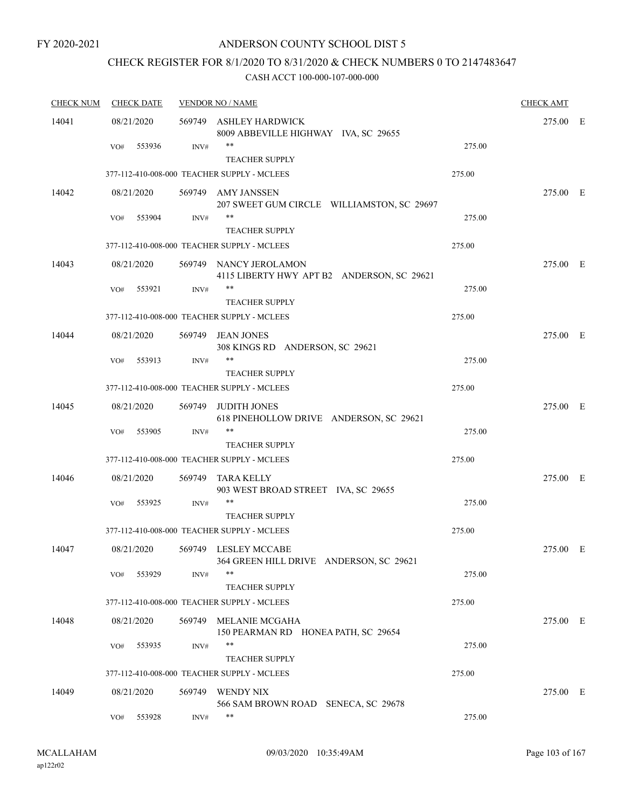### ANDERSON COUNTY SCHOOL DIST 5

# CHECK REGISTER FOR 8/1/2020 TO 8/31/2020 & CHECK NUMBERS 0 TO 2147483647

| <b>CHECK NUM</b> | <b>CHECK DATE</b> | <b>VENDOR NO / NAME</b> |                                                                      |        |          |  |
|------------------|-------------------|-------------------------|----------------------------------------------------------------------|--------|----------|--|
| 14041            | 08/21/2020        |                         | 569749 ASHLEY HARDWICK<br>8009 ABBEVILLE HIGHWAY IVA, SC 29655       |        | 275.00 E |  |
|                  | 553936<br>VO#     | INV#                    | **<br><b>TEACHER SUPPLY</b>                                          | 275.00 |          |  |
|                  |                   |                         | 377-112-410-008-000 TEACHER SUPPLY - MCLEES                          | 275.00 |          |  |
| 14042            | 08/21/2020        |                         | 569749 AMY JANSSEN<br>207 SWEET GUM CIRCLE WILLIAMSTON, SC 29697     |        | 275.00 E |  |
|                  | 553904<br>VO#     | INV#                    | **<br><b>TEACHER SUPPLY</b>                                          | 275.00 |          |  |
|                  |                   |                         | 377-112-410-008-000 TEACHER SUPPLY - MCLEES                          | 275.00 |          |  |
| 14043            | 08/21/2020        |                         | 569749 NANCY JEROLAMON<br>4115 LIBERTY HWY APT B2 ANDERSON, SC 29621 |        | 275.00 E |  |
|                  | VO#<br>553921     | INV#                    | **<br><b>TEACHER SUPPLY</b>                                          | 275.00 |          |  |
|                  |                   |                         | 377-112-410-008-000 TEACHER SUPPLY - MCLEES                          | 275.00 |          |  |
| 14044            | 08/21/2020        |                         | 569749 JEAN JONES<br>308 KINGS RD ANDERSON, SC 29621                 |        | 275.00 E |  |
|                  | 553913<br>VO#     | INV#                    | **                                                                   | 275.00 |          |  |
|                  |                   |                         | <b>TEACHER SUPPLY</b><br>377-112-410-008-000 TEACHER SUPPLY - MCLEES | 275.00 |          |  |
| 14045            | 08/21/2020        | 569749                  | <b>JUDITH JONES</b><br>618 PINEHOLLOW DRIVE ANDERSON, SC 29621       |        | 275.00 E |  |
|                  | VO#<br>553905     | INV#                    | **<br><b>TEACHER SUPPLY</b>                                          | 275.00 |          |  |
|                  |                   |                         | 377-112-410-008-000 TEACHER SUPPLY - MCLEES                          | 275.00 |          |  |
| 14046            | 08/21/2020        |                         | 569749 TARA KELLY<br>903 WEST BROAD STREET IVA, SC 29655             |        | 275.00 E |  |
|                  | 553925<br>VO#     | INV#                    | **<br><b>TEACHER SUPPLY</b>                                          | 275.00 |          |  |
|                  |                   |                         | 377-112-410-008-000 TEACHER SUPPLY - MCLEES                          | 275.00 |          |  |
| 14047            | 08/21/2020        |                         | 569749 LESLEY MCCABE<br>364 GREEN HILL DRIVE ANDERSON, SC 29621      |        | 275.00 E |  |
|                  | 553929<br>VO#     | INV#                    | **<br><b>TEACHER SUPPLY</b>                                          | 275.00 |          |  |
|                  |                   |                         | 377-112-410-008-000 TEACHER SUPPLY - MCLEES                          | 275.00 |          |  |
| 14048            | 08/21/2020        |                         | 569749 MELANIE MCGAHA<br>150 PEARMAN RD HONEA PATH, SC 29654         |        | 275.00 E |  |
|                  | 553935<br>VO#     | INV#                    | **<br><b>TEACHER SUPPLY</b>                                          | 275.00 |          |  |
|                  |                   |                         | 377-112-410-008-000 TEACHER SUPPLY - MCLEES                          | 275.00 |          |  |
| 14049            | 08/21/2020        |                         | 569749 WENDY NIX<br>566 SAM BROWN ROAD SENECA, SC 29678              |        | 275.00 E |  |
|                  | 553928<br>VO#     | INV#                    | **                                                                   | 275.00 |          |  |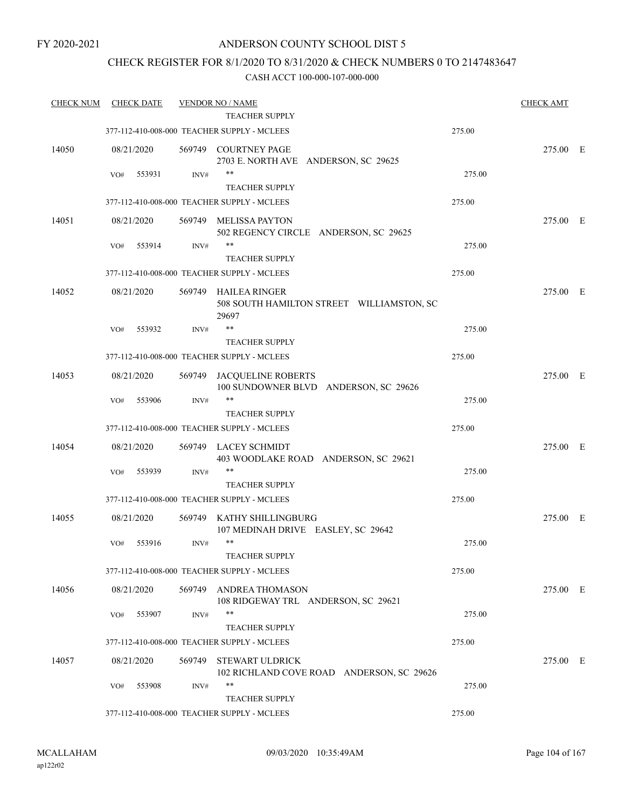### CHECK REGISTER FOR 8/1/2020 TO 8/31/2020 & CHECK NUMBERS 0 TO 2147483647

| <b>CHECK NUM</b> |     | <b>CHECK DATE</b> |        | <b>VENDOR NO / NAME</b>                                                    |        | <b>CHECK AMT</b> |  |
|------------------|-----|-------------------|--------|----------------------------------------------------------------------------|--------|------------------|--|
|                  |     |                   |        | <b>TEACHER SUPPLY</b>                                                      |        |                  |  |
|                  |     |                   |        | 377-112-410-008-000 TEACHER SUPPLY - MCLEES                                | 275.00 |                  |  |
| 14050            |     | 08/21/2020        |        | 569749 COURTNEY PAGE<br>2703 E. NORTH AVE ANDERSON, SC 29625               |        | 275.00 E         |  |
|                  | VO# | 553931            | INV#   | $***$                                                                      | 275.00 |                  |  |
|                  |     |                   |        | <b>TEACHER SUPPLY</b>                                                      |        |                  |  |
|                  |     |                   |        | 377-112-410-008-000 TEACHER SUPPLY - MCLEES                                | 275.00 |                  |  |
| 14051            |     | 08/21/2020        | 569749 | <b>MELISSA PAYTON</b><br>502 REGENCY CIRCLE ANDERSON, SC 29625             |        | 275.00 E         |  |
|                  | VO# | 553914            | INV#   | $***$                                                                      | 275.00 |                  |  |
|                  |     |                   |        | <b>TEACHER SUPPLY</b>                                                      |        |                  |  |
|                  |     |                   |        | 377-112-410-008-000 TEACHER SUPPLY - MCLEES                                | 275.00 |                  |  |
| 14052            |     | 08/21/2020        |        | 569749 HAILEA RINGER<br>508 SOUTH HAMILTON STREET WILLIAMSTON, SC<br>29697 |        | 275.00 E         |  |
|                  | VO# | 553932            | INV#   | $***$                                                                      | 275.00 |                  |  |
|                  |     |                   |        | <b>TEACHER SUPPLY</b>                                                      |        |                  |  |
|                  |     |                   |        | 377-112-410-008-000 TEACHER SUPPLY - MCLEES                                | 275.00 |                  |  |
| 14053            |     | 08/21/2020        | 569749 | JACQUELINE ROBERTS<br>100 SUNDOWNER BLVD ANDERSON, SC 29626                |        | 275.00 E         |  |
|                  | VO# | 553906            | INV#   | $***$                                                                      | 275.00 |                  |  |
|                  |     |                   |        | <b>TEACHER SUPPLY</b>                                                      |        |                  |  |
|                  |     |                   |        | 377-112-410-008-000 TEACHER SUPPLY - MCLEES                                | 275.00 |                  |  |
| 14054            |     | 08/21/2020        |        | 569749 LACEY SCHMIDT<br>403 WOODLAKE ROAD ANDERSON, SC 29621               |        | 275.00 E         |  |
|                  | VO# | 553939            | INV#   | $***$                                                                      | 275.00 |                  |  |
|                  |     |                   |        | <b>TEACHER SUPPLY</b>                                                      |        |                  |  |
|                  |     |                   |        | 377-112-410-008-000 TEACHER SUPPLY - MCLEES                                | 275.00 |                  |  |
| 14055            |     | 08/21/2020        |        | 569749 KATHY SHILLINGBURG<br>107 MEDINAH DRIVE EASLEY, SC 29642            |        | 275.00 E         |  |
|                  | VO# | 553916            | INV#   | $***$                                                                      | 275.00 |                  |  |
|                  |     |                   |        | TEACHER SUPPLY                                                             |        |                  |  |
|                  |     |                   |        | 377-112-410-008-000 TEACHER SUPPLY - MCLEES                                | 275.00 |                  |  |
| 14056            |     | 08/21/2020        | 569749 | ANDREA THOMASON<br>108 RIDGEWAY TRL ANDERSON, SC 29621                     |        | 275.00 E         |  |
|                  | VO# | 553907            | INV#   | **                                                                         | 275.00 |                  |  |
|                  |     |                   |        | <b>TEACHER SUPPLY</b>                                                      |        |                  |  |
|                  |     |                   |        | 377-112-410-008-000 TEACHER SUPPLY - MCLEES                                | 275.00 |                  |  |
| 14057            |     | 08/21/2020        | 569749 | <b>STEWART ULDRICK</b><br>102 RICHLAND COVE ROAD ANDERSON, SC 29626        |        | 275.00 E         |  |
|                  | VO# | 553908            | INV#   | $***$                                                                      | 275.00 |                  |  |
|                  |     |                   |        | <b>TEACHER SUPPLY</b>                                                      |        |                  |  |
|                  |     |                   |        | 377-112-410-008-000 TEACHER SUPPLY - MCLEES                                | 275.00 |                  |  |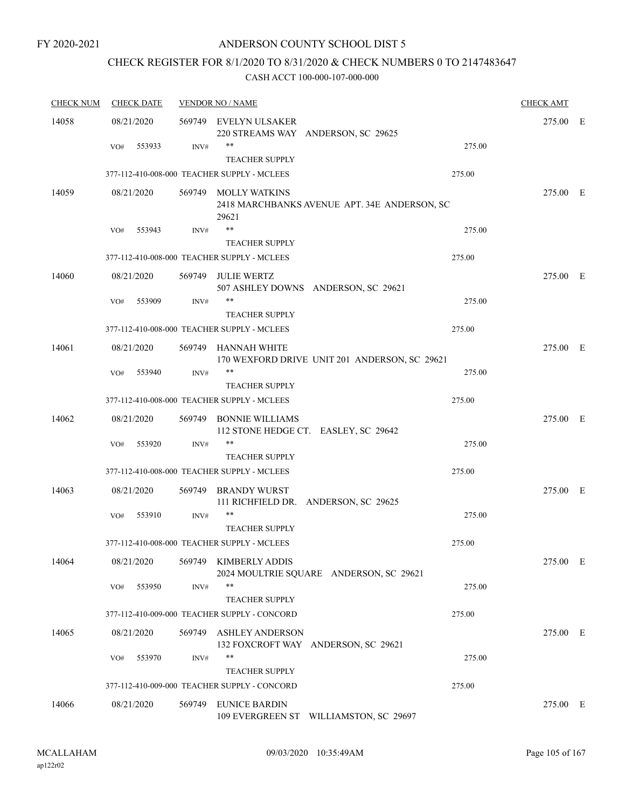### ANDERSON COUNTY SCHOOL DIST 5

## CHECK REGISTER FOR 8/1/2020 TO 8/31/2020 & CHECK NUMBERS 0 TO 2147483647

| <b>CHECK NUM</b> | <b>CHECK DATE</b> |        | <b>VENDOR NO / NAME</b>                                                       |        | <b>CHECK AMT</b> |  |
|------------------|-------------------|--------|-------------------------------------------------------------------------------|--------|------------------|--|
| 14058            | 08/21/2020        |        | 569749 EVELYN ULSAKER<br>220 STREAMS WAY ANDERSON, SC 29625                   |        | 275.00 E         |  |
|                  | 553933<br>VO#     | INV#   | $***$<br><b>TEACHER SUPPLY</b>                                                | 275.00 |                  |  |
|                  |                   |        | 377-112-410-008-000 TEACHER SUPPLY - MCLEES                                   | 275.00 |                  |  |
| 14059            | 08/21/2020        |        | 569749 MOLLY WATKINS<br>2418 MARCHBANKS AVENUE APT. 34E ANDERSON, SC<br>29621 |        | 275.00 E         |  |
|                  | 553943<br>VO#     | INV#   | $***$                                                                         | 275.00 |                  |  |
|                  |                   |        | <b>TEACHER SUPPLY</b>                                                         |        |                  |  |
|                  |                   |        | 377-112-410-008-000 TEACHER SUPPLY - MCLEES                                   | 275.00 |                  |  |
| 14060            | 08/21/2020        | 569749 | <b>JULIE WERTZ</b><br>507 ASHLEY DOWNS ANDERSON, SC 29621                     |        | 275.00 E         |  |
|                  | 553909<br>VO#     | INV#   | $***$<br><b>TEACHER SUPPLY</b>                                                | 275.00 |                  |  |
|                  |                   |        | 377-112-410-008-000 TEACHER SUPPLY - MCLEES                                   | 275.00 |                  |  |
| 14061            | 08/21/2020        |        | 569749 HANNAH WHITE<br>170 WEXFORD DRIVE UNIT 201 ANDERSON, SC 29621          |        | 275.00 E         |  |
|                  | 553940<br>VO#     | INV#   | $***$                                                                         | 275.00 |                  |  |
|                  |                   |        | <b>TEACHER SUPPLY</b>                                                         |        |                  |  |
|                  |                   |        | 377-112-410-008-000 TEACHER SUPPLY - MCLEES                                   | 275.00 |                  |  |
| 14062            | 08/21/2020        | 569749 | <b>BONNIE WILLIAMS</b><br>112 STONE HEDGE CT. EASLEY, SC 29642                |        | 275.00 E         |  |
|                  | VO#<br>553920     | INV#   | $***$<br><b>TEACHER SUPPLY</b>                                                | 275.00 |                  |  |
|                  |                   |        | 377-112-410-008-000 TEACHER SUPPLY - MCLEES                                   | 275.00 |                  |  |
| 14063            | 08/21/2020        | 569749 | <b>BRANDY WURST</b><br>111 RICHFIELD DR. ANDERSON, SC 29625                   |        | 275.00 E         |  |
|                  | 553910<br>VO#     | INV#   | **<br><b>TEACHER SUPPLY</b>                                                   | 275.00 |                  |  |
|                  |                   |        | 377-112-410-008-000 TEACHER SUPPLY - MCLEES                                   | 275.00 |                  |  |
| 14064            | 08/21/2020        |        | 569749 KIMBERLY ADDIS<br>2024 MOULTRIE SQUARE ANDERSON, SC 29621              |        | 275.00 E         |  |
|                  | 553950<br>VO#     | INV#   | $***$<br><b>TEACHER SUPPLY</b>                                                | 275.00 |                  |  |
|                  |                   |        | 377-112-410-009-000 TEACHER SUPPLY - CONCORD                                  | 275.00 |                  |  |
| 14065            | 08/21/2020        | 569749 | <b>ASHLEY ANDERSON</b>                                                        |        | 275.00 E         |  |
|                  |                   |        | 132 FOXCROFT WAY ANDERSON, SC 29621                                           |        |                  |  |
|                  | VO#<br>553970     | INV#   | $***$<br><b>TEACHER SUPPLY</b>                                                | 275.00 |                  |  |
|                  |                   |        | 377-112-410-009-000 TEACHER SUPPLY - CONCORD                                  | 275.00 |                  |  |
| 14066            | 08/21/2020        | 569749 | <b>EUNICE BARDIN</b><br>109 EVERGREEN ST WILLIAMSTON, SC 29697                |        | 275.00 E         |  |
|                  |                   |        |                                                                               |        |                  |  |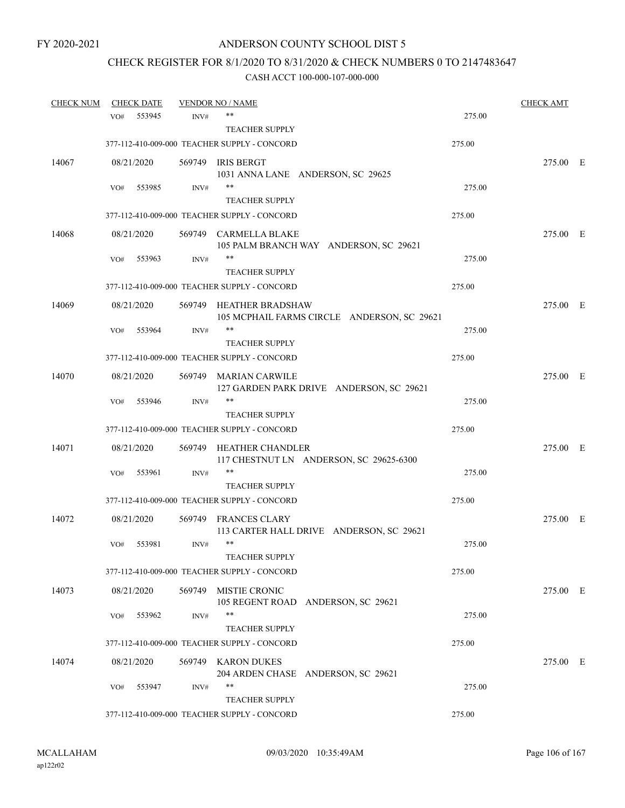# CHECK REGISTER FOR 8/1/2020 TO 8/31/2020 & CHECK NUMBERS 0 TO 2147483647

| <b>CHECK NUM</b> |     | <b>CHECK DATE</b> |        | <b>VENDOR NO / NAME</b>                                                |        | <b>CHECK AMT</b> |  |
|------------------|-----|-------------------|--------|------------------------------------------------------------------------|--------|------------------|--|
|                  | VO# | 553945            | INV#   | **                                                                     | 275.00 |                  |  |
|                  |     |                   |        | <b>TEACHER SUPPLY</b>                                                  |        |                  |  |
|                  |     |                   |        | 377-112-410-009-000 TEACHER SUPPLY - CONCORD                           | 275.00 |                  |  |
| 14067            |     | 08/21/2020        |        | 569749 IRIS BERGT<br>1031 ANNA LANE ANDERSON, SC 29625                 |        | 275.00 E         |  |
|                  | VO# | 553985            | INV#   | **                                                                     | 275.00 |                  |  |
|                  |     |                   |        | <b>TEACHER SUPPLY</b>                                                  |        |                  |  |
|                  |     |                   |        | 377-112-410-009-000 TEACHER SUPPLY - CONCORD                           | 275.00 |                  |  |
| 14068            |     | 08/21/2020        |        | 569749 CARMELLA BLAKE<br>105 PALM BRANCH WAY ANDERSON, SC 29621        |        | 275.00 E         |  |
|                  | VO# | 553963            | INV#   | **                                                                     | 275.00 |                  |  |
|                  |     |                   |        | <b>TEACHER SUPPLY</b>                                                  |        |                  |  |
|                  |     |                   |        | 377-112-410-009-000 TEACHER SUPPLY - CONCORD                           | 275.00 |                  |  |
| 14069            |     | 08/21/2020        |        | 569749 HEATHER BRADSHAW<br>105 MCPHAIL FARMS CIRCLE ANDERSON, SC 29621 |        | 275.00 E         |  |
|                  | VO# | 553964            | INV#   | **                                                                     | 275.00 |                  |  |
|                  |     |                   |        | <b>TEACHER SUPPLY</b>                                                  |        |                  |  |
|                  |     |                   |        | 377-112-410-009-000 TEACHER SUPPLY - CONCORD                           | 275.00 |                  |  |
| 14070            |     | 08/21/2020        |        | 569749 MARIAN CARWILE<br>127 GARDEN PARK DRIVE ANDERSON, SC 29621      |        | 275.00 E         |  |
|                  | VO# | 553946            | INV#   | **                                                                     | 275.00 |                  |  |
|                  |     |                   |        | <b>TEACHER SUPPLY</b>                                                  |        |                  |  |
|                  |     |                   |        | 377-112-410-009-000 TEACHER SUPPLY - CONCORD                           | 275.00 |                  |  |
| 14071            |     | 08/21/2020        |        | 569749 HEATHER CHANDLER<br>117 CHESTNUT LN ANDERSON, SC 29625-6300     |        | 275.00 E         |  |
|                  | VO# | 553961            | INV#   | **                                                                     | 275.00 |                  |  |
|                  |     |                   |        | <b>TEACHER SUPPLY</b>                                                  |        |                  |  |
|                  |     |                   |        | 377-112-410-009-000 TEACHER SUPPLY - CONCORD                           | 275.00 |                  |  |
| 14072            |     | 08/21/2020        |        | 569749 FRANCES CLARY<br>113 CARTER HALL DRIVE ANDERSON, SC 29621       |        | 275.00 E         |  |
|                  | VO# | 553981            | INV#   | $***$                                                                  | 275.00 |                  |  |
|                  |     |                   |        | <b>TEACHER SUPPLY</b>                                                  |        |                  |  |
|                  |     |                   |        | 377-112-410-009-000 TEACHER SUPPLY - CONCORD                           | 275.00 |                  |  |
| 14073            |     | 08/21/2020        | 569749 | <b>MISTIE CRONIC</b><br>105 REGENT ROAD ANDERSON, SC 29621             |        | 275.00 E         |  |
|                  | VO# | 553962            | INV#   | **                                                                     | 275.00 |                  |  |
|                  |     |                   |        | <b>TEACHER SUPPLY</b>                                                  |        |                  |  |
|                  |     |                   |        | 377-112-410-009-000 TEACHER SUPPLY - CONCORD                           | 275.00 |                  |  |
| 14074            |     | 08/21/2020        |        | 569749 KARON DUKES<br>204 ARDEN CHASE ANDERSON, SC 29621               |        | 275.00 E         |  |
|                  | VO# | 553947            | INV#   | **                                                                     | 275.00 |                  |  |
|                  |     |                   |        | <b>TEACHER SUPPLY</b>                                                  |        |                  |  |
|                  |     |                   |        | 377-112-410-009-000 TEACHER SUPPLY - CONCORD                           | 275.00 |                  |  |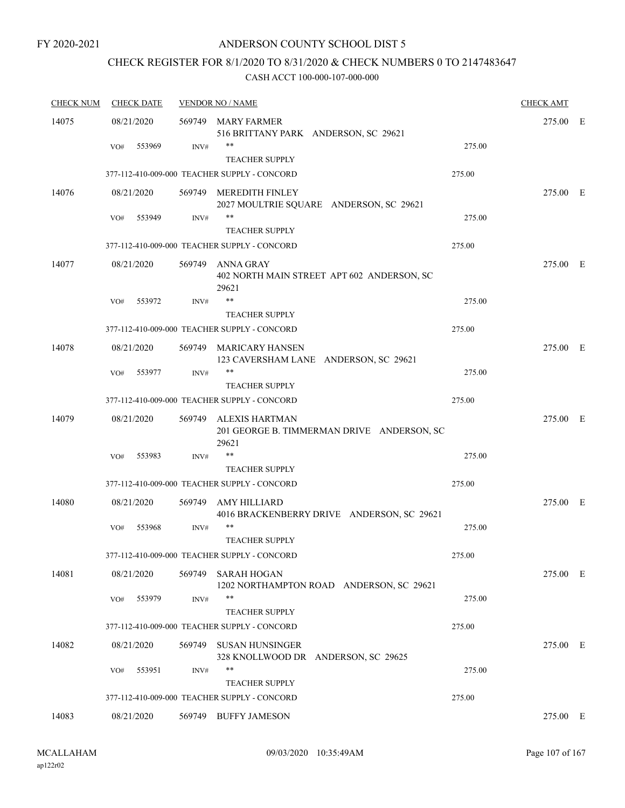### ANDERSON COUNTY SCHOOL DIST 5

## CHECK REGISTER FOR 8/1/2020 TO 8/31/2020 & CHECK NUMBERS 0 TO 2147483647

| <b>CHECK DATE</b> |        |                                                                   |                                                                                                                                                                                                                                                                                                                                                                                                                                                                                                                                                                                                                         | <b>CHECK AMT</b>                                     |     |
|-------------------|--------|-------------------------------------------------------------------|-------------------------------------------------------------------------------------------------------------------------------------------------------------------------------------------------------------------------------------------------------------------------------------------------------------------------------------------------------------------------------------------------------------------------------------------------------------------------------------------------------------------------------------------------------------------------------------------------------------------------|------------------------------------------------------|-----|
| 08/21/2020        |        | <b>MARY FARMER</b>                                                |                                                                                                                                                                                                                                                                                                                                                                                                                                                                                                                                                                                                                         | 275.00                                               | - E |
| 553969<br>VO#     | INV#   | **                                                                | 275.00                                                                                                                                                                                                                                                                                                                                                                                                                                                                                                                                                                                                                  |                                                      |     |
|                   |        |                                                                   | 275.00                                                                                                                                                                                                                                                                                                                                                                                                                                                                                                                                                                                                                  |                                                      |     |
| 08/21/2020        | 569749 | MEREDITH FINLEY<br>2027 MOULTRIE SQUARE ANDERSON, SC 29621        |                                                                                                                                                                                                                                                                                                                                                                                                                                                                                                                                                                                                                         | 275.00 E                                             |     |
| 553949<br>VO#     | INV#   | **<br><b>TEACHER SUPPLY</b>                                       | 275.00                                                                                                                                                                                                                                                                                                                                                                                                                                                                                                                                                                                                                  |                                                      |     |
|                   |        |                                                                   | 275.00                                                                                                                                                                                                                                                                                                                                                                                                                                                                                                                                                                                                                  |                                                      |     |
| 08/21/2020        |        | ANNA GRAY<br>402 NORTH MAIN STREET APT 602 ANDERSON, SC<br>29621  |                                                                                                                                                                                                                                                                                                                                                                                                                                                                                                                                                                                                                         | 275.00 E                                             |     |
| VO#<br>553972     | INV#   | $***$                                                             | 275.00                                                                                                                                                                                                                                                                                                                                                                                                                                                                                                                                                                                                                  |                                                      |     |
|                   |        |                                                                   | 275.00                                                                                                                                                                                                                                                                                                                                                                                                                                                                                                                                                                                                                  |                                                      |     |
| 08/21/2020        | 569749 | <b>MARICARY HANSEN</b>                                            |                                                                                                                                                                                                                                                                                                                                                                                                                                                                                                                                                                                                                         | 275.00 E                                             |     |
| 553977<br>VO#     | INV#   | $***$<br><b>TEACHER SUPPLY</b>                                    | 275.00                                                                                                                                                                                                                                                                                                                                                                                                                                                                                                                                                                                                                  |                                                      |     |
|                   |        |                                                                   | 275.00                                                                                                                                                                                                                                                                                                                                                                                                                                                                                                                                                                                                                  |                                                      |     |
| 08/21/2020        | 569749 | <b>ALEXIS HARTMAN</b>                                             |                                                                                                                                                                                                                                                                                                                                                                                                                                                                                                                                                                                                                         | 275.00 E                                             |     |
| VO#<br>553983     | INV#   | **                                                                | 275.00                                                                                                                                                                                                                                                                                                                                                                                                                                                                                                                                                                                                                  |                                                      |     |
|                   |        | <b>TEACHER SUPPLY</b>                                             |                                                                                                                                                                                                                                                                                                                                                                                                                                                                                                                                                                                                                         |                                                      |     |
|                   |        |                                                                   |                                                                                                                                                                                                                                                                                                                                                                                                                                                                                                                                                                                                                         |                                                      |     |
| 08/21/2020        | 569749 | <b>AMY HILLIARD</b><br>4016 BRACKENBERRY DRIVE ANDERSON, SC 29621 |                                                                                                                                                                                                                                                                                                                                                                                                                                                                                                                                                                                                                         | 275.00 E                                             |     |
| 553968<br>VO#     | INV#   | **<br><b>TEACHER SUPPLY</b>                                       | 275.00                                                                                                                                                                                                                                                                                                                                                                                                                                                                                                                                                                                                                  |                                                      |     |
|                   |        |                                                                   | 275.00                                                                                                                                                                                                                                                                                                                                                                                                                                                                                                                                                                                                                  |                                                      |     |
| 08/21/2020        |        | 1202 NORTHAMPTON ROAD ANDERSON, SC 29621                          |                                                                                                                                                                                                                                                                                                                                                                                                                                                                                                                                                                                                                         | 275.00 E                                             |     |
| 553979<br>VO#     | INV#   | **<br><b>TEACHER SUPPLY</b>                                       | 275.00                                                                                                                                                                                                                                                                                                                                                                                                                                                                                                                                                                                                                  |                                                      |     |
|                   |        |                                                                   | 275.00                                                                                                                                                                                                                                                                                                                                                                                                                                                                                                                                                                                                                  |                                                      |     |
| 08/21/2020        |        | SUSAN HUNSINGER<br>328 KNOLLWOOD DR ANDERSON, SC 29625            |                                                                                                                                                                                                                                                                                                                                                                                                                                                                                                                                                                                                                         | 275.00 E                                             |     |
| 553951<br>VO#     | INV#   | $***$<br><b>TEACHER SUPPLY</b>                                    | 275.00                                                                                                                                                                                                                                                                                                                                                                                                                                                                                                                                                                                                                  |                                                      |     |
|                   |        |                                                                   | 275.00                                                                                                                                                                                                                                                                                                                                                                                                                                                                                                                                                                                                                  |                                                      |     |
| 08/21/2020        | 569749 | <b>BUFFY JAMESON</b>                                              |                                                                                                                                                                                                                                                                                                                                                                                                                                                                                                                                                                                                                         | 275.00 E                                             |     |
|                   |        |                                                                   | <b>VENDOR NO / NAME</b><br>569749<br>516 BRITTANY PARK ANDERSON, SC 29621<br><b>TEACHER SUPPLY</b><br>377-112-410-009-000 TEACHER SUPPLY - CONCORD<br>377-112-410-009-000 TEACHER SUPPLY - CONCORD<br>569749<br><b>TEACHER SUPPLY</b><br>377-112-410-009-000 TEACHER SUPPLY - CONCORD<br>123 CAVERSHAM LANE ANDERSON, SC 29621<br>377-112-410-009-000 TEACHER SUPPLY - CONCORD<br>29621<br>377-112-410-009-000 TEACHER SUPPLY - CONCORD<br>377-112-410-009-000 TEACHER SUPPLY - CONCORD<br>569749 SARAH HOGAN<br>377-112-410-009-000 TEACHER SUPPLY - CONCORD<br>569749<br>377-112-410-009-000 TEACHER SUPPLY - CONCORD | 201 GEORGE B. TIMMERMAN DRIVE ANDERSON, SC<br>275.00 |     |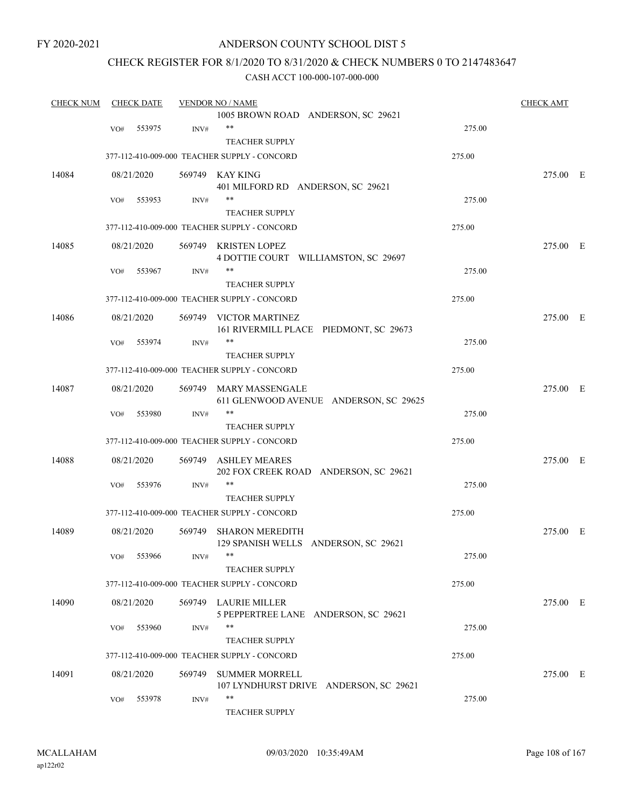### ANDERSON COUNTY SCHOOL DIST 5

### CHECK REGISTER FOR 8/1/2020 TO 8/31/2020 & CHECK NUMBERS 0 TO 2147483647

| <b>CHECK NUM</b> |     | <b>CHECK DATE</b> |        | <b>VENDOR NO / NAME</b>                                          |        | <b>CHECK AMT</b> |  |
|------------------|-----|-------------------|--------|------------------------------------------------------------------|--------|------------------|--|
|                  |     |                   |        | 1005 BROWN ROAD ANDERSON, SC 29621                               |        |                  |  |
|                  | VO# | 553975            | INV#   | $***$                                                            | 275.00 |                  |  |
|                  |     |                   |        | <b>TEACHER SUPPLY</b>                                            |        |                  |  |
|                  |     |                   |        | 377-112-410-009-000 TEACHER SUPPLY - CONCORD                     | 275.00 |                  |  |
| 14084            |     | 08/21/2020        |        | 569749 KAY KING                                                  |        | 275.00 E         |  |
|                  |     |                   |        | 401 MILFORD RD ANDERSON, SC 29621                                |        |                  |  |
|                  | VO# | 553953            | INV#   | **                                                               | 275.00 |                  |  |
|                  |     |                   |        | <b>TEACHER SUPPLY</b>                                            |        |                  |  |
|                  |     |                   |        | 377-112-410-009-000 TEACHER SUPPLY - CONCORD                     | 275.00 |                  |  |
| 14085            |     | 08/21/2020        |        | 569749 KRISTEN LOPEZ<br>4 DOTTIE COURT WILLIAMSTON, SC 29697     |        | 275.00 E         |  |
|                  | VO# | 553967            | INV#   | **                                                               | 275.00 |                  |  |
|                  |     |                   |        | <b>TEACHER SUPPLY</b>                                            |        |                  |  |
|                  |     |                   |        | 377-112-410-009-000 TEACHER SUPPLY - CONCORD                     | 275.00 |                  |  |
|                  |     |                   |        |                                                                  |        | 275.00 E         |  |
| 14086            |     | 08/21/2020        |        | 569749 VICTOR MARTINEZ<br>161 RIVERMILL PLACE PIEDMONT, SC 29673 |        |                  |  |
|                  | VO# | 553974            | INV#   | **                                                               | 275.00 |                  |  |
|                  |     |                   |        | <b>TEACHER SUPPLY</b>                                            |        |                  |  |
|                  |     |                   |        | 377-112-410-009-000 TEACHER SUPPLY - CONCORD                     | 275.00 |                  |  |
|                  |     |                   |        |                                                                  |        |                  |  |
| 14087            |     | 08/21/2020        |        | 569749 MARY MASSENGALE<br>611 GLENWOOD AVENUE ANDERSON, SC 29625 |        | 275.00 E         |  |
|                  | VO# | 553980            | INV#   |                                                                  | 275.00 |                  |  |
|                  |     |                   |        | <b>TEACHER SUPPLY</b>                                            |        |                  |  |
|                  |     |                   |        | 377-112-410-009-000 TEACHER SUPPLY - CONCORD                     | 275.00 |                  |  |
| 14088            |     | 08/21/2020        |        | 569749 ASHLEY MEARES<br>202 FOX CREEK ROAD ANDERSON, SC 29621    |        | 275.00 E         |  |
|                  | VO# | 553976            | INV#   | **                                                               | 275.00 |                  |  |
|                  |     |                   |        | <b>TEACHER SUPPLY</b>                                            |        |                  |  |
|                  |     |                   |        | 377-112-410-009-000 TEACHER SUPPLY - CONCORD                     | 275.00 |                  |  |
| 14089            |     | 08/21/2020        | 569749 | <b>SHARON MEREDITH</b><br>129 SPANISH WELLS ANDERSON, SC 29621   |        | 275.00 E         |  |
|                  | VO# | 553966            | INV#   |                                                                  | 275.00 |                  |  |
|                  |     |                   |        | <b>TEACHER SUPPLY</b>                                            |        |                  |  |
|                  |     |                   |        | 377-112-410-009-000 TEACHER SUPPLY - CONCORD                     | 275.00 |                  |  |
| 14090            |     | 08/21/2020        |        | 569749 LAURIE MILLER<br>5 PEPPERTREE LANE ANDERSON, SC 29621     |        | 275.00 E         |  |
|                  | VO# | 553960            | INV#   | **                                                               | 275.00 |                  |  |
|                  |     |                   |        | <b>TEACHER SUPPLY</b>                                            |        |                  |  |
|                  |     |                   |        | 377-112-410-009-000 TEACHER SUPPLY - CONCORD                     | 275.00 |                  |  |
| 14091            |     | 08/21/2020        | 569749 | <b>SUMMER MORRELL</b>                                            |        | 275.00 E         |  |
|                  |     |                   |        | 107 LYNDHURST DRIVE ANDERSON, SC 29621                           |        |                  |  |
|                  | VO# | 553978            | INV#   | **                                                               | 275.00 |                  |  |
|                  |     |                   |        | <b>TEACHER SUPPLY</b>                                            |        |                  |  |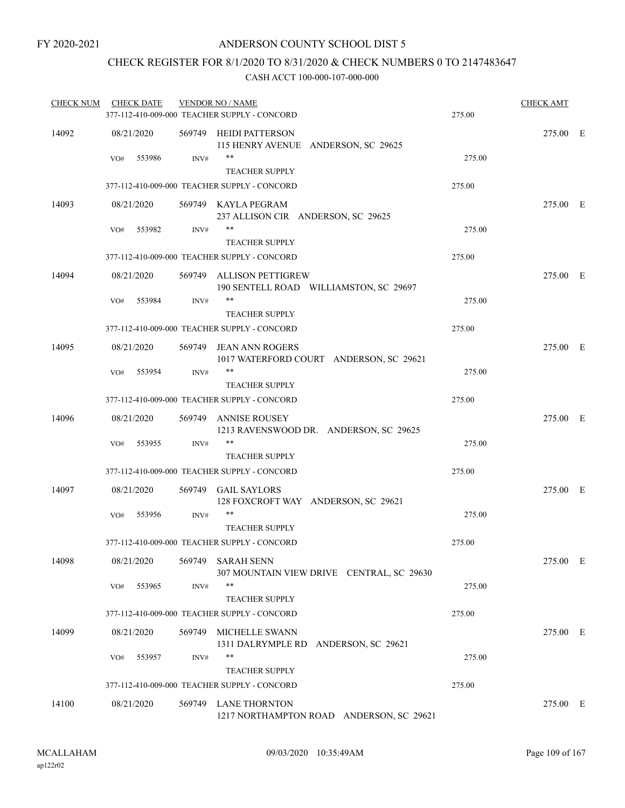# CHECK REGISTER FOR 8/1/2020 TO 8/31/2020 & CHECK NUMBERS 0 TO 2147483647

| <b>CHECK NUM</b> | <b>CHECK DATE</b> |      | <b>VENDOR NO / NAME</b><br>377-112-410-009-000 TEACHER SUPPLY - CONCORD | 275.00 | <b>CHECK AMT</b> |  |
|------------------|-------------------|------|-------------------------------------------------------------------------|--------|------------------|--|
| 14092            | 08/21/2020        |      | 569749 HEIDI PATTERSON<br>115 HENRY AVENUE ANDERSON, SC 29625           |        | 275.00 E         |  |
|                  | VO#<br>553986     | INV# | **<br><b>TEACHER SUPPLY</b>                                             | 275.00 |                  |  |
|                  |                   |      | 377-112-410-009-000 TEACHER SUPPLY - CONCORD                            | 275.00 |                  |  |
| 14093            | 08/21/2020        |      | 569749 KAYLA PEGRAM<br>237 ALLISON CIR ANDERSON, SC 29625               |        | 275.00 E         |  |
|                  | 553982<br>VO#     | INV# | **<br><b>TEACHER SUPPLY</b>                                             | 275.00 |                  |  |
|                  |                   |      | 377-112-410-009-000 TEACHER SUPPLY - CONCORD                            | 275.00 |                  |  |
| 14094            | 08/21/2020        |      | 569749 ALLISON PETTIGREW<br>190 SENTELL ROAD WILLIAMSTON, SC 29697      |        | 275.00 E         |  |
|                  | 553984<br>VO#     | INV# | **<br><b>TEACHER SUPPLY</b>                                             | 275.00 |                  |  |
|                  |                   |      | 377-112-410-009-000 TEACHER SUPPLY - CONCORD                            | 275.00 |                  |  |
| 14095            | 08/21/2020        |      | 569749 JEAN ANN ROGERS<br>1017 WATERFORD COURT ANDERSON, SC 29621       |        | 275.00 E         |  |
|                  | 553954<br>VO#     | INV# | $***$<br><b>TEACHER SUPPLY</b>                                          | 275.00 |                  |  |
|                  |                   |      | 377-112-410-009-000 TEACHER SUPPLY - CONCORD                            | 275.00 |                  |  |
| 14096            | 08/21/2020        |      | 569749 ANNISE ROUSEY<br>1213 RAVENSWOOD DR. ANDERSON, SC 29625          |        | 275.00 E         |  |
|                  | 553955<br>VO#     | INV# | **<br><b>TEACHER SUPPLY</b>                                             | 275.00 |                  |  |
|                  |                   |      | 377-112-410-009-000 TEACHER SUPPLY - CONCORD                            | 275.00 |                  |  |
| 14097            | 08/21/2020        |      | 569749 GAIL SAYLORS<br>128 FOXCROFT WAY ANDERSON, SC 29621              |        | 275.00 E         |  |
|                  | VO#<br>553956     | INV# | **<br><b>TEACHER SUPPLY</b>                                             | 275.00 |                  |  |
|                  |                   |      | 377-112-410-009-000 TEACHER SUPPLY - CONCORD                            | 275.00 |                  |  |
| 14098            | 08/21/2020        |      | 569749 SARAH SENN<br>307 MOUNTAIN VIEW DRIVE CENTRAL, SC 29630          |        | 275.00 E         |  |
|                  | 553965<br>VO#     | INV# | **<br><b>TEACHER SUPPLY</b>                                             | 275.00 |                  |  |
|                  |                   |      | 377-112-410-009-000 TEACHER SUPPLY - CONCORD                            | 275.00 |                  |  |
| 14099            | 08/21/2020        |      | 569749 MICHELLE SWANN<br>1311 DALRYMPLE RD ANDERSON, SC 29621           |        | 275.00 E         |  |
|                  | 553957<br>VO#     | INV# | **<br>TEACHER SUPPLY                                                    | 275.00 |                  |  |
|                  |                   |      | 377-112-410-009-000 TEACHER SUPPLY - CONCORD                            | 275.00 |                  |  |
| 14100            | 08/21/2020        |      | 569749 LANE THORNTON<br>1217 NORTHAMPTON ROAD ANDERSON, SC 29621        |        | 275.00 E         |  |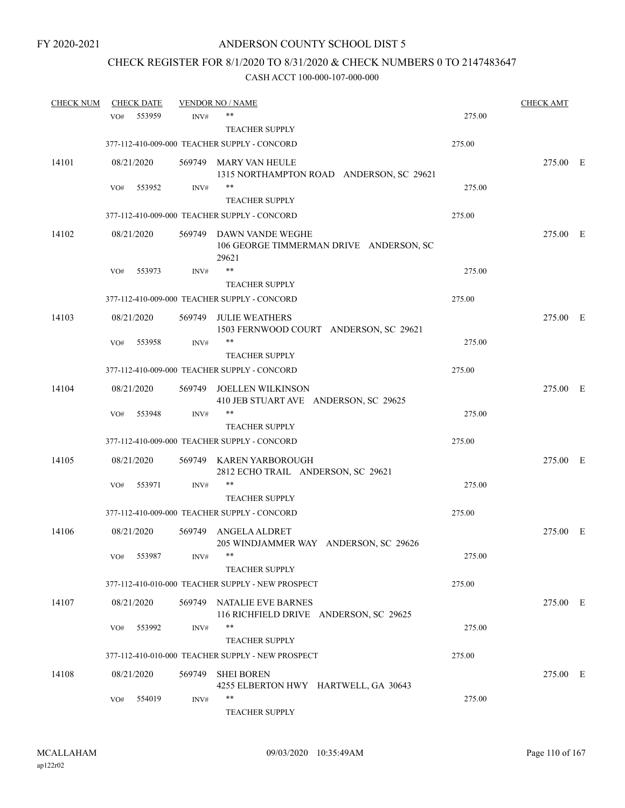# CHECK REGISTER FOR 8/1/2020 TO 8/31/2020 & CHECK NUMBERS 0 TO 2147483647

| <b>CHECK NUM</b> |     | <b>CHECK DATE</b> |        | <b>VENDOR NO / NAME</b>                                                     |        | <b>CHECK AMT</b> |  |
|------------------|-----|-------------------|--------|-----------------------------------------------------------------------------|--------|------------------|--|
|                  | VO# | 553959            | INV#   | $***$                                                                       | 275.00 |                  |  |
|                  |     |                   |        | <b>TEACHER SUPPLY</b>                                                       |        |                  |  |
|                  |     |                   |        | 377-112-410-009-000 TEACHER SUPPLY - CONCORD                                | 275.00 |                  |  |
| 14101            |     | 08/21/2020        |        | 569749 MARY VAN HEULE                                                       |        | 275.00 E         |  |
|                  |     |                   |        | 1315 NORTHAMPTON ROAD ANDERSON, SC 29621                                    |        |                  |  |
|                  | VO# | 553952            | INV#   | $***$                                                                       | 275.00 |                  |  |
|                  |     |                   |        | <b>TEACHER SUPPLY</b>                                                       |        |                  |  |
|                  |     |                   |        | 377-112-410-009-000 TEACHER SUPPLY - CONCORD                                | 275.00 |                  |  |
| 14102            |     | 08/21/2020        |        | 569749 DAWN VANDE WEGHE<br>106 GEORGE TIMMERMAN DRIVE ANDERSON, SC<br>29621 |        | 275.00 E         |  |
|                  | VO# | 553973            | INV#   | **                                                                          | 275.00 |                  |  |
|                  |     |                   |        | <b>TEACHER SUPPLY</b>                                                       |        |                  |  |
|                  |     |                   |        | 377-112-410-009-000 TEACHER SUPPLY - CONCORD                                | 275.00 |                  |  |
| 14103            |     | 08/21/2020        |        | 569749 JULIE WEATHERS                                                       |        | 275.00 E         |  |
|                  |     |                   |        | 1503 FERNWOOD COURT ANDERSON, SC 29621                                      |        |                  |  |
|                  | VO# | 553958            | INV#   | **                                                                          | 275.00 |                  |  |
|                  |     |                   |        | <b>TEACHER SUPPLY</b>                                                       |        |                  |  |
|                  |     |                   |        | 377-112-410-009-000 TEACHER SUPPLY - CONCORD                                | 275.00 |                  |  |
| 14104            |     | 08/21/2020        |        | 569749 JOELLEN WILKINSON<br>410 JEB STUART AVE ANDERSON, SC 29625           |        | 275.00 E         |  |
|                  | VO# | 553948            | INV#   | **                                                                          | 275.00 |                  |  |
|                  |     |                   |        | <b>TEACHER SUPPLY</b>                                                       |        |                  |  |
|                  |     |                   |        | 377-112-410-009-000 TEACHER SUPPLY - CONCORD                                | 275.00 |                  |  |
|                  |     |                   |        |                                                                             |        |                  |  |
| 14105            |     | 08/21/2020        |        | 569749 KAREN YARBOROUGH<br>2812 ECHO TRAIL ANDERSON, SC 29621               |        | 275.00 E         |  |
|                  | VO# | 553971            | INV#   | **                                                                          | 275.00 |                  |  |
|                  |     |                   |        | <b>TEACHER SUPPLY</b>                                                       |        |                  |  |
|                  |     |                   |        | 377-112-410-009-000 TEACHER SUPPLY - CONCORD                                | 275.00 |                  |  |
|                  |     |                   |        |                                                                             |        |                  |  |
| 14106            |     | 08/21/2020        | 569749 | ANGELA ALDRET<br>205 WINDJAMMER WAY ANDERSON, SC 29626                      |        | 275.00 E         |  |
|                  | VO# | 553987            | INV#   |                                                                             | 275.00 |                  |  |
|                  |     |                   |        | <b>TEACHER SUPPLY</b>                                                       |        |                  |  |
|                  |     |                   |        | 377-112-410-010-000 TEACHER SUPPLY - NEW PROSPECT                           | 275.00 |                  |  |
|                  |     |                   |        |                                                                             |        |                  |  |
| 14107            |     | 08/21/2020        |        | 569749 NATALIE EVE BARNES<br>116 RICHFIELD DRIVE ANDERSON, SC 29625         |        | 275.00 E         |  |
|                  | VO# | 553992            | INV#   | **                                                                          | 275.00 |                  |  |
|                  |     |                   |        | <b>TEACHER SUPPLY</b>                                                       |        |                  |  |
|                  |     |                   |        | 377-112-410-010-000 TEACHER SUPPLY - NEW PROSPECT                           | 275.00 |                  |  |
| 14108            |     | 08/21/2020        | 569749 | <b>SHEI BOREN</b>                                                           |        | 275.00 E         |  |
|                  |     |                   |        | 4255 ELBERTON HWY HARTWELL, GA 30643                                        |        |                  |  |
|                  | VO# | 554019            | INV#   | **                                                                          | 275.00 |                  |  |
|                  |     |                   |        | TEACHER SUPPLY                                                              |        |                  |  |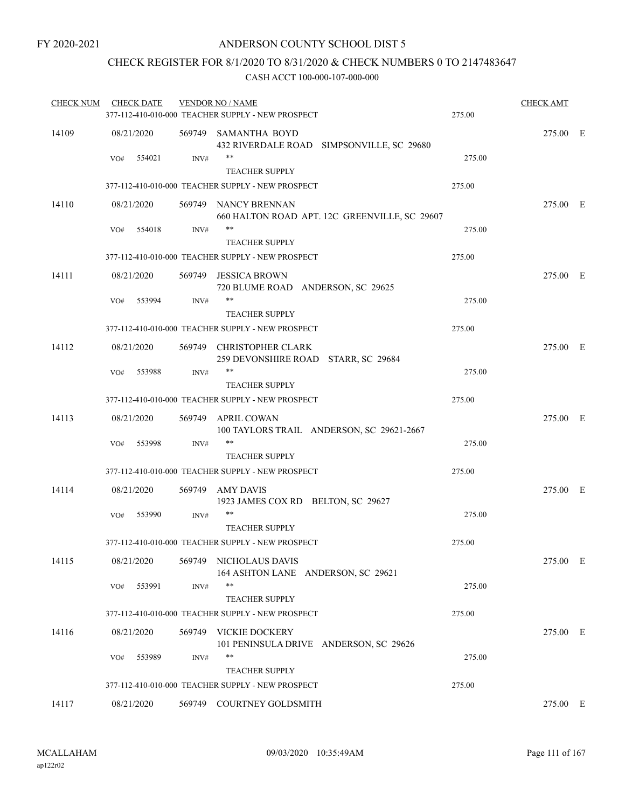# CHECK REGISTER FOR 8/1/2020 TO 8/31/2020 & CHECK NUMBERS 0 TO 2147483647

| <b>CHECK NUM</b> |     | <b>CHECK DATE</b> |        | <b>VENDOR NO / NAME</b><br>377-112-410-010-000 TEACHER SUPPLY - NEW PROSPECT | 275.00 | <b>CHECK AMT</b> |  |
|------------------|-----|-------------------|--------|------------------------------------------------------------------------------|--------|------------------|--|
| 14109            |     | 08/21/2020        |        | 569749 SAMANTHA BOYD<br>432 RIVERDALE ROAD SIMPSONVILLE, SC 29680            |        | 275.00 E         |  |
|                  | VO# | 554021            | INV#   | **<br><b>TEACHER SUPPLY</b>                                                  | 275.00 |                  |  |
|                  |     |                   |        | 377-112-410-010-000 TEACHER SUPPLY - NEW PROSPECT                            | 275.00 |                  |  |
| 14110            |     | 08/21/2020        |        | 569749 NANCY BRENNAN<br>660 HALTON ROAD APT. 12C GREENVILLE, SC 29607        |        | 275.00 E         |  |
|                  | VO# | 554018            | INV#   | $***$<br><b>TEACHER SUPPLY</b>                                               | 275.00 |                  |  |
|                  |     |                   |        | 377-112-410-010-000 TEACHER SUPPLY - NEW PROSPECT                            | 275.00 |                  |  |
| 14111            |     | 08/21/2020        |        | 569749 JESSICA BROWN<br>720 BLUME ROAD ANDERSON, SC 29625                    |        | 275.00 E         |  |
|                  | VO# | 553994            | INV#   | **                                                                           | 275.00 |                  |  |
|                  |     |                   |        | <b>TEACHER SUPPLY</b>                                                        |        |                  |  |
|                  |     |                   |        | 377-112-410-010-000 TEACHER SUPPLY - NEW PROSPECT                            | 275.00 |                  |  |
| 14112            |     | 08/21/2020        |        | 569749 CHRISTOPHER CLARK<br>259 DEVONSHIRE ROAD STARR, SC 29684              |        | 275.00 E         |  |
|                  | VO# | 553988            | INV#   | $***$<br><b>TEACHER SUPPLY</b>                                               | 275.00 |                  |  |
|                  |     |                   |        | 377-112-410-010-000 TEACHER SUPPLY - NEW PROSPECT                            | 275.00 |                  |  |
| 14113            |     | 08/21/2020        |        | 569749 APRIL COWAN<br>100 TAYLORS TRAIL ANDERSON, SC 29621-2667              |        | 275.00 E         |  |
|                  | VO# | 553998            | INV#   | **                                                                           | 275.00 |                  |  |
|                  |     |                   |        | <b>TEACHER SUPPLY</b>                                                        |        |                  |  |
|                  |     |                   |        | 377-112-410-010-000 TEACHER SUPPLY - NEW PROSPECT                            | 275.00 |                  |  |
| 14114            |     | 08/21/2020        |        | 569749 AMY DAVIS<br>1923 JAMES COX RD BELTON, SC 29627                       |        | 275.00 E         |  |
|                  | VO# | 553990            | INV#   | **<br><b>TEACHER SUPPLY</b>                                                  | 275.00 |                  |  |
|                  |     |                   |        | 377-112-410-010-000 TEACHER SUPPLY - NEW PROSPECT                            | 275.00 |                  |  |
| 14115            |     | 08/21/2020        |        | 569749 NICHOLAUS DAVIS<br>164 ASHTON LANE ANDERSON, SC 29621                 |        | 275.00 E         |  |
|                  | VO# | 553991            | INV#   | **<br><b>TEACHER SUPPLY</b>                                                  | 275.00 |                  |  |
|                  |     |                   |        | 377-112-410-010-000 TEACHER SUPPLY - NEW PROSPECT                            | 275.00 |                  |  |
| 14116            |     | 08/21/2020        | 569749 | VICKIE DOCKERY<br>101 PENINSULA DRIVE ANDERSON, SC 29626                     |        | 275.00 E         |  |
|                  | VO# | 553989            | INV#   | **<br><b>TEACHER SUPPLY</b>                                                  | 275.00 |                  |  |
|                  |     |                   |        | 377-112-410-010-000 TEACHER SUPPLY - NEW PROSPECT                            | 275.00 |                  |  |
| 14117            |     | 08/21/2020        |        | 569749 COURTNEY GOLDSMITH                                                    |        | 275.00 E         |  |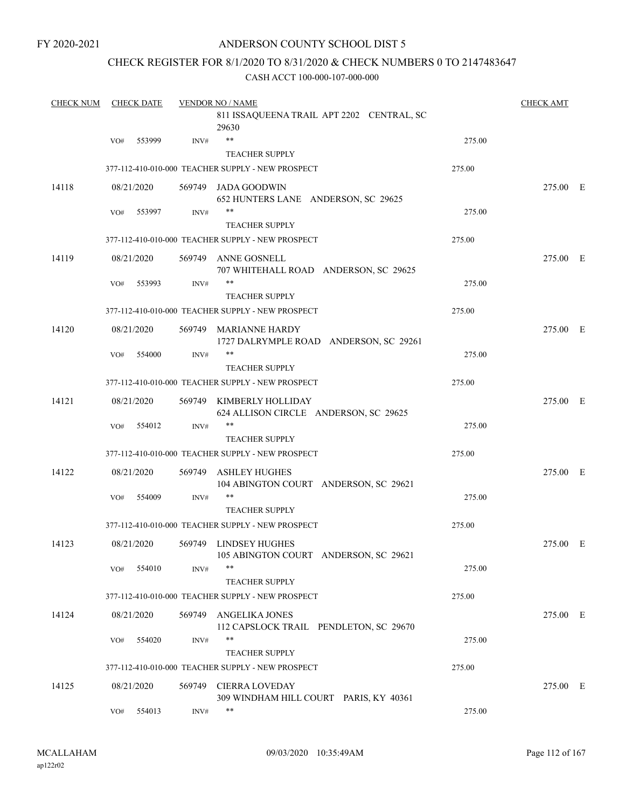# ANDERSON COUNTY SCHOOL DIST 5

# CHECK REGISTER FOR 8/1/2020 TO 8/31/2020 & CHECK NUMBERS 0 TO 2147483647

| <b>CHECK NUM</b> |     | <b>CHECK DATE</b> |        | <b>VENDOR NO / NAME</b>                                           |        | <b>CHECK AMT</b> |  |
|------------------|-----|-------------------|--------|-------------------------------------------------------------------|--------|------------------|--|
|                  |     |                   |        | 811 ISSAQUEENA TRAIL APT 2202 CENTRAL, SC<br>29630                |        |                  |  |
|                  | VO# | 553999            | INV#   | $***$                                                             | 275.00 |                  |  |
|                  |     |                   |        | <b>TEACHER SUPPLY</b>                                             |        |                  |  |
|                  |     |                   |        | 377-112-410-010-000 TEACHER SUPPLY - NEW PROSPECT                 | 275.00 |                  |  |
| 14118            |     | 08/21/2020        |        | 569749 JADA GOODWIN<br>652 HUNTERS LANE ANDERSON, SC 29625        |        | 275.00 E         |  |
|                  | VO# | 553997            | INV#   | **                                                                | 275.00 |                  |  |
|                  |     |                   |        | <b>TEACHER SUPPLY</b>                                             |        |                  |  |
|                  |     |                   |        | 377-112-410-010-000 TEACHER SUPPLY - NEW PROSPECT                 | 275.00 |                  |  |
| 14119            |     | 08/21/2020        |        | 569749 ANNE GOSNELL<br>707 WHITEHALL ROAD ANDERSON, SC 29625      |        | 275.00 E         |  |
|                  | VO# | 553993            | INV#   | **                                                                | 275.00 |                  |  |
|                  |     |                   |        | <b>TEACHER SUPPLY</b>                                             |        |                  |  |
|                  |     |                   |        | 377-112-410-010-000 TEACHER SUPPLY - NEW PROSPECT                 | 275.00 |                  |  |
| 14120            |     | 08/21/2020        |        | 569749 MARIANNE HARDY<br>1727 DALRYMPLE ROAD ANDERSON, SC 29261   |        | 275.00 E         |  |
|                  | VO# | 554000            | INV#   | **                                                                | 275.00 |                  |  |
|                  |     |                   |        | <b>TEACHER SUPPLY</b>                                             |        |                  |  |
|                  |     |                   |        | 377-112-410-010-000 TEACHER SUPPLY - NEW PROSPECT                 | 275.00 |                  |  |
| 14121            |     | 08/21/2020        |        | 569749 KIMBERLY HOLLIDAY<br>624 ALLISON CIRCLE ANDERSON, SC 29625 |        | 275.00 E         |  |
|                  | VO# | 554012            | INV#   | $**$<br><b>TEACHER SUPPLY</b>                                     | 275.00 |                  |  |
|                  |     |                   |        | 377-112-410-010-000 TEACHER SUPPLY - NEW PROSPECT                 | 275.00 |                  |  |
| 14122            |     | 08/21/2020        | 569749 | ASHLEY HUGHES                                                     |        | 275.00 E         |  |
|                  |     |                   |        | 104 ABINGTON COURT ANDERSON, SC 29621                             |        |                  |  |
|                  | VO# | 554009            | INV#   | **<br><b>TEACHER SUPPLY</b>                                       | 275.00 |                  |  |
|                  |     |                   |        | 377-112-410-010-000 TEACHER SUPPLY - NEW PROSPECT                 | 275.00 |                  |  |
| 14123            |     | 08/21/2020        |        | 569749 LINDSEY HUGHES<br>105 ABINGTON COURT ANDERSON, SC 29621    |        | 275.00 E         |  |
|                  | VO# | 554010            | INV#   | **                                                                | 275.00 |                  |  |
|                  |     |                   |        | <b>TEACHER SUPPLY</b>                                             |        |                  |  |
|                  |     |                   |        | 377-112-410-010-000 TEACHER SUPPLY - NEW PROSPECT                 | 275.00 |                  |  |
| 14124            |     | 08/21/2020        | 569749 | <b>ANGELIKA JONES</b><br>112 CAPSLOCK TRAIL PENDLETON, SC 29670   |        | 275.00 E         |  |
|                  | VO# | 554020            | INV#   | **                                                                | 275.00 |                  |  |
|                  |     |                   |        | <b>TEACHER SUPPLY</b>                                             |        |                  |  |
|                  |     |                   |        | 377-112-410-010-000 TEACHER SUPPLY - NEW PROSPECT                 | 275.00 |                  |  |
| 14125            |     | 08/21/2020        |        | 569749 CIERRA LOVEDAY<br>309 WINDHAM HILL COURT PARIS, KY 40361   |        | 275.00 E         |  |
|                  | VO# | 554013            | INV#   | **                                                                | 275.00 |                  |  |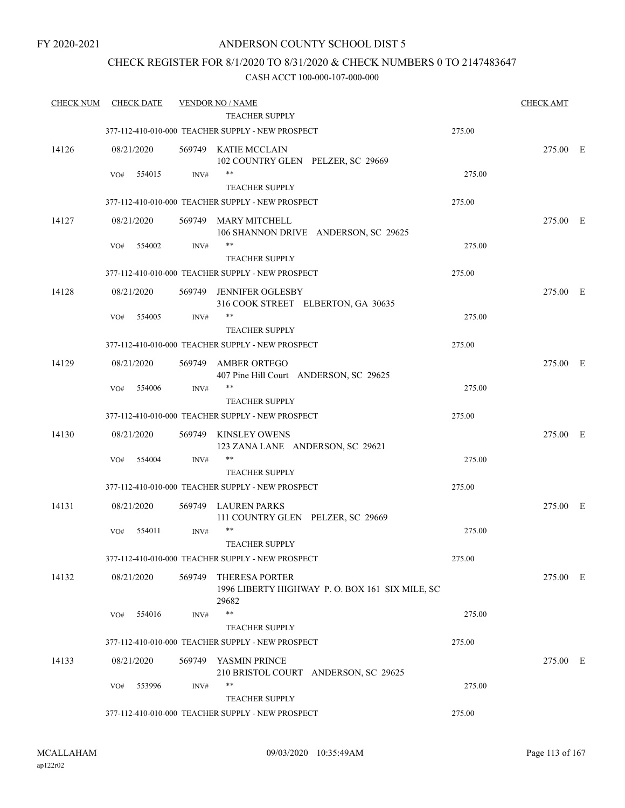# CHECK REGISTER FOR 8/1/2020 TO 8/31/2020 & CHECK NUMBERS 0 TO 2147483647

| <b>CHECK NUM</b> |     | <b>CHECK DATE</b> |        | <b>VENDOR NO / NAME</b>                                                          |        | <b>CHECK AMT</b> |  |
|------------------|-----|-------------------|--------|----------------------------------------------------------------------------------|--------|------------------|--|
|                  |     |                   |        | TEACHER SUPPLY                                                                   |        |                  |  |
|                  |     |                   |        | 377-112-410-010-000 TEACHER SUPPLY - NEW PROSPECT                                | 275.00 |                  |  |
| 14126            |     | 08/21/2020        |        | 569749 KATIE MCCLAIN<br>102 COUNTRY GLEN PELZER, SC 29669                        |        | 275.00 E         |  |
|                  | VO# | 554015            | INV#   | $***$                                                                            | 275.00 |                  |  |
|                  |     |                   |        | <b>TEACHER SUPPLY</b>                                                            |        |                  |  |
|                  |     |                   |        | 377-112-410-010-000 TEACHER SUPPLY - NEW PROSPECT                                | 275.00 |                  |  |
| 14127            |     | 08/21/2020        |        | 569749 MARY MITCHELL<br>106 SHANNON DRIVE ANDERSON, SC 29625                     |        | 275.00 E         |  |
|                  | VO# | 554002            | INV#   | **<br><b>TEACHER SUPPLY</b>                                                      | 275.00 |                  |  |
|                  |     |                   |        | 377-112-410-010-000 TEACHER SUPPLY - NEW PROSPECT                                | 275.00 |                  |  |
| 14128            |     | 08/21/2020        | 569749 | JENNIFER OGLESBY                                                                 |        | 275.00 E         |  |
|                  |     |                   |        | 316 COOK STREET ELBERTON, GA 30635                                               |        |                  |  |
|                  | VO# | 554005            | INV#   | **                                                                               | 275.00 |                  |  |
|                  |     |                   |        | <b>TEACHER SUPPLY</b>                                                            |        |                  |  |
|                  |     |                   |        | 377-112-410-010-000 TEACHER SUPPLY - NEW PROSPECT                                | 275.00 |                  |  |
| 14129            |     | 08/21/2020        | 569749 | <b>AMBER ORTEGO</b>                                                              |        | 275.00 E         |  |
|                  |     |                   |        | 407 Pine Hill Court ANDERSON, SC 29625<br>**                                     | 275.00 |                  |  |
|                  | VO# | 554006            | INV#   | <b>TEACHER SUPPLY</b>                                                            |        |                  |  |
|                  |     |                   |        | 377-112-410-010-000 TEACHER SUPPLY - NEW PROSPECT                                | 275.00 |                  |  |
| 14130            |     | 08/21/2020        |        | 569749 KINSLEY OWENS<br>123 ZANA LANE ANDERSON, SC 29621                         |        | 275.00 E         |  |
|                  | VO# | 554004            | INV#   | **                                                                               | 275.00 |                  |  |
|                  |     |                   |        | <b>TEACHER SUPPLY</b>                                                            |        |                  |  |
|                  |     |                   |        | 377-112-410-010-000 TEACHER SUPPLY - NEW PROSPECT                                | 275.00 |                  |  |
|                  |     |                   |        |                                                                                  |        |                  |  |
| 14131            |     | 08/21/2020        |        | 569749 LAUREN PARKS<br>111 COUNTRY GLEN PELZER, SC 29669                         |        | 275.00 E         |  |
|                  | VO# | 554011            | INV#   | $***$                                                                            | 275.00 |                  |  |
|                  |     |                   |        | <b>TEACHER SUPPLY</b>                                                            |        |                  |  |
|                  |     |                   |        | 377-112-410-010-000 TEACHER SUPPLY - NEW PROSPECT                                | 275.00 |                  |  |
| 14132            |     | 08/21/2020        | 569749 | <b>THERESA PORTER</b><br>1996 LIBERTY HIGHWAY P.O. BOX 161 SIX MILE, SC<br>29682 |        | 275.00 E         |  |
|                  | VO# | 554016            | INV#   | $***$                                                                            | 275.00 |                  |  |
|                  |     |                   |        | <b>TEACHER SUPPLY</b>                                                            |        |                  |  |
|                  |     |                   |        | 377-112-410-010-000 TEACHER SUPPLY - NEW PROSPECT                                | 275.00 |                  |  |
| 14133            |     | 08/21/2020        | 569749 | YASMIN PRINCE<br>210 BRISTOL COURT ANDERSON, SC 29625                            |        | 275.00 E         |  |
|                  | VO# | 553996            | INV#   | **                                                                               | 275.00 |                  |  |
|                  |     |                   |        | <b>TEACHER SUPPLY</b>                                                            |        |                  |  |
|                  |     |                   |        | 377-112-410-010-000 TEACHER SUPPLY - NEW PROSPECT                                | 275.00 |                  |  |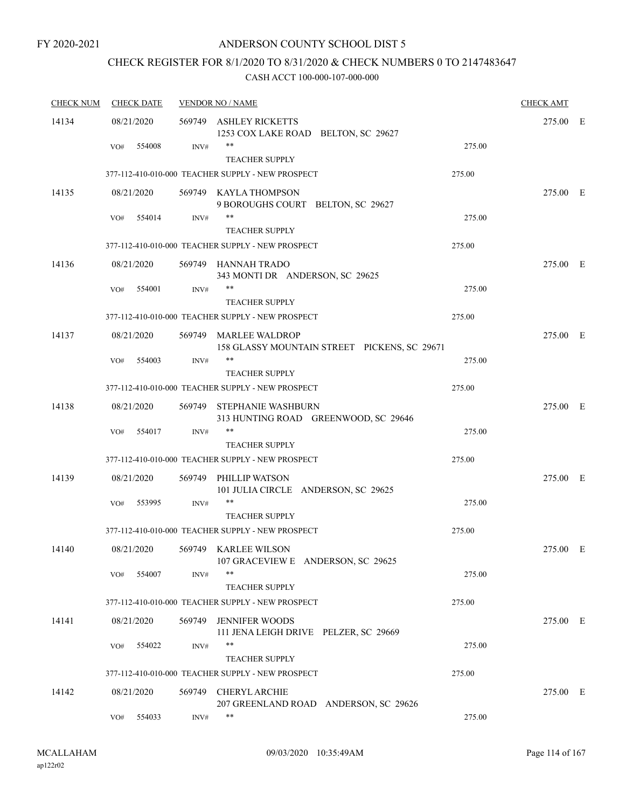# ANDERSON COUNTY SCHOOL DIST 5

# CHECK REGISTER FOR 8/1/2020 TO 8/31/2020 & CHECK NUMBERS 0 TO 2147483647

| <b>CHECK NUM</b> | <b>CHECK DATE</b> |            | <b>VENDOR NO / NAME</b> |                                                                       |        |          |  |
|------------------|-------------------|------------|-------------------------|-----------------------------------------------------------------------|--------|----------|--|
| 14134            |                   | 08/21/2020 |                         | 569749 ASHLEY RICKETTS<br>1253 COX LAKE ROAD BELTON, SC 29627         |        | 275.00 E |  |
|                  | VO#               | 554008     | INV#                    | $***$<br><b>TEACHER SUPPLY</b>                                        | 275.00 |          |  |
|                  |                   |            |                         | 377-112-410-010-000 TEACHER SUPPLY - NEW PROSPECT                     | 275.00 |          |  |
| 14135            |                   | 08/21/2020 |                         | 569749 KAYLA THOMPSON<br>9 BOROUGHS COURT BELTON, SC 29627            |        | 275.00 E |  |
|                  | VO#               | 554014     | INV#                    | $***$<br><b>TEACHER SUPPLY</b>                                        | 275.00 |          |  |
|                  |                   |            |                         | 377-112-410-010-000 TEACHER SUPPLY - NEW PROSPECT                     | 275.00 |          |  |
| 14136            |                   | 08/21/2020 |                         | 569749 HANNAH TRADO<br>343 MONTI DR ANDERSON, SC 29625                |        | 275.00 E |  |
|                  | VO#               | 554001     | INV#                    | <b>TEACHER SUPPLY</b>                                                 | 275.00 |          |  |
|                  |                   |            |                         | 377-112-410-010-000 TEACHER SUPPLY - NEW PROSPECT                     | 275.00 |          |  |
| 14137            |                   | 08/21/2020 |                         | 569749 MARLEE WALDROP<br>158 GLASSY MOUNTAIN STREET PICKENS, SC 29671 |        | 275.00 E |  |
|                  | VO#               | 554003     | INV#                    | $***$<br><b>TEACHER SUPPLY</b>                                        | 275.00 |          |  |
|                  |                   |            |                         | 377-112-410-010-000 TEACHER SUPPLY - NEW PROSPECT                     | 275.00 |          |  |
| 14138            |                   | 08/21/2020 | 569749                  | STEPHANIE WASHBURN<br>313 HUNTING ROAD GREENWOOD, SC 29646            |        | 275.00 E |  |
|                  | VO#               | 554017     | INV#                    | $***$<br><b>TEACHER SUPPLY</b>                                        | 275.00 |          |  |
|                  |                   |            |                         | 377-112-410-010-000 TEACHER SUPPLY - NEW PROSPECT                     | 275.00 |          |  |
| 14139            |                   | 08/21/2020 | 569749                  | PHILLIP WATSON<br>101 JULIA CIRCLE ANDERSON, SC 29625                 |        | 275.00 E |  |
|                  | VO#               | 553995     | INV#                    | **<br><b>TEACHER SUPPLY</b>                                           | 275.00 |          |  |
|                  |                   |            |                         | 377-112-410-010-000 TEACHER SUPPLY - NEW PROSPECT                     | 275.00 |          |  |
| 14140            |                   | 08/21/2020 |                         | 569749 KARLEE WILSON<br>107 GRACEVIEW E ANDERSON, SC 29625            |        | 275.00 E |  |
|                  | VO#               | 554007     | INV#                    | $***$<br><b>TEACHER SUPPLY</b>                                        | 275.00 |          |  |
|                  |                   |            |                         | 377-112-410-010-000 TEACHER SUPPLY - NEW PROSPECT                     | 275.00 |          |  |
| 14141            |                   | 08/21/2020 | 569749                  | <b>JENNIFER WOODS</b><br>111 JENA LEIGH DRIVE PELZER, SC 29669        |        | 275.00 E |  |
|                  | VO#               | 554022     | INV#                    | **<br><b>TEACHER SUPPLY</b>                                           | 275.00 |          |  |
|                  |                   |            |                         | 377-112-410-010-000 TEACHER SUPPLY - NEW PROSPECT                     | 275.00 |          |  |
| 14142            |                   | 08/21/2020 | 569749                  | <b>CHERYL ARCHIE</b><br>207 GREENLAND ROAD ANDERSON, SC 29626         |        | 275.00 E |  |
|                  | VO#               | 554033     | INV#                    | $***$                                                                 | 275.00 |          |  |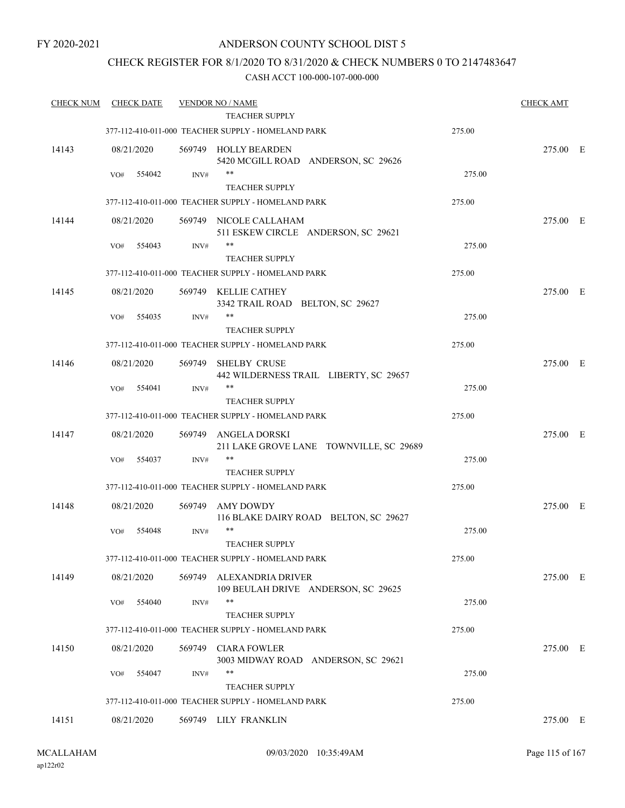# CHECK REGISTER FOR 8/1/2020 TO 8/31/2020 & CHECK NUMBERS 0 TO 2147483647

| <b>CHECK NUM</b> | <b>CHECK DATE</b> |        | <b>VENDOR NO / NAME</b><br><b>TEACHER SUPPLY</b>              |        | <b>CHECK AMT</b> |  |
|------------------|-------------------|--------|---------------------------------------------------------------|--------|------------------|--|
|                  |                   |        | 377-112-410-011-000 TEACHER SUPPLY - HOMELAND PARK            | 275.00 |                  |  |
|                  |                   |        |                                                               |        |                  |  |
| 14143            | 08/21/2020        |        | 569749 HOLLY BEARDEN<br>5420 MCGILL ROAD ANDERSON, SC 29626   |        | 275.00 E         |  |
|                  | VO#<br>554042     | INV#   | $***$                                                         | 275.00 |                  |  |
|                  |                   |        | <b>TEACHER SUPPLY</b>                                         |        |                  |  |
|                  |                   |        | 377-112-410-011-000 TEACHER SUPPLY - HOMELAND PARK            | 275.00 |                  |  |
| 14144            | 08/21/2020        |        | 569749 NICOLE CALLAHAM<br>511 ESKEW CIRCLE ANDERSON, SC 29621 |        | 275.00 E         |  |
|                  | 554043<br>VO#     | INV#   | **<br><b>TEACHER SUPPLY</b>                                   | 275.00 |                  |  |
|                  |                   |        | 377-112-410-011-000 TEACHER SUPPLY - HOMELAND PARK            | 275.00 |                  |  |
| 14145            | 08/21/2020        |        | 569749 KELLIE CATHEY                                          |        | 275.00 E         |  |
|                  |                   |        | 3342 TRAIL ROAD BELTON, SC 29627                              |        |                  |  |
|                  | 554035<br>VO#     | INV#   | **<br><b>TEACHER SUPPLY</b>                                   | 275.00 |                  |  |
|                  |                   |        | 377-112-410-011-000 TEACHER SUPPLY - HOMELAND PARK            | 275.00 |                  |  |
| 14146            | 08/21/2020        | 569749 | <b>SHELBY CRUSE</b><br>442 WILDERNESS TRAIL LIBERTY, SC 29657 |        | 275.00 E         |  |
|                  | 554041<br>VO#     | INV#   | **                                                            | 275.00 |                  |  |
|                  |                   |        | <b>TEACHER SUPPLY</b>                                         |        |                  |  |
|                  |                   |        | 377-112-410-011-000 TEACHER SUPPLY - HOMELAND PARK            | 275.00 |                  |  |
| 14147            | 08/21/2020        | 569749 | ANGELA DORSKI<br>211 LAKE GROVE LANE TOWNVILLE, SC 29689      |        | 275.00 E         |  |
|                  | 554037<br>VO#     | INV#   | **                                                            | 275.00 |                  |  |
|                  |                   |        | <b>TEACHER SUPPLY</b>                                         |        |                  |  |
|                  |                   |        | 377-112-410-011-000 TEACHER SUPPLY - HOMELAND PARK            | 275.00 |                  |  |
| 14148            | 08/21/2020        | 569749 | AMY DOWDY<br>116 BLAKE DAIRY ROAD BELTON, SC 29627            |        | 275.00 E         |  |
|                  | 554048<br>VO#     | INV#   | $***$<br><b>TEACHER SUPPLY</b>                                | 275.00 |                  |  |
|                  |                   |        | 377-112-410-011-000 TEACHER SUPPLY - HOMELAND PARK            | 275.00 |                  |  |
| 14149            | 08/21/2020        | 569749 | ALEXANDRIA DRIVER<br>109 BEULAH DRIVE ANDERSON, SC 29625      |        | 275.00 E         |  |
|                  | 554040<br>VO#     | INV#   | $***$<br><b>TEACHER SUPPLY</b>                                | 275.00 |                  |  |
|                  |                   |        | 377-112-410-011-000 TEACHER SUPPLY - HOMELAND PARK            | 275.00 |                  |  |
| 14150            | 08/21/2020        | 569749 | <b>CIARA FOWLER</b><br>3003 MIDWAY ROAD ANDERSON, SC 29621    |        | 275.00 E         |  |
|                  | VO#<br>554047     | INV#   | **<br><b>TEACHER SUPPLY</b>                                   | 275.00 |                  |  |
|                  |                   |        | 377-112-410-011-000 TEACHER SUPPLY - HOMELAND PARK            | 275.00 |                  |  |
|                  |                   |        |                                                               |        |                  |  |
| 14151            | 08/21/2020        |        | 569749 LILY FRANKLIN                                          |        | 275.00 E         |  |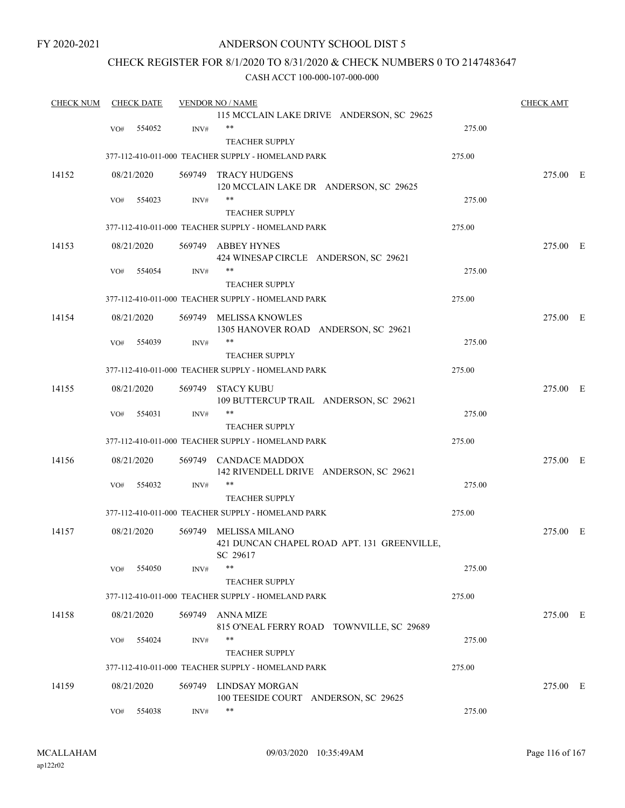# ANDERSON COUNTY SCHOOL DIST 5

# CHECK REGISTER FOR 8/1/2020 TO 8/31/2020 & CHECK NUMBERS 0 TO 2147483647

| <b>CHECK NUM</b> |     | <b>CHECK DATE</b> |        | <b>VENDOR NO / NAME</b>                            |        | <b>CHECK AMT</b> |  |
|------------------|-----|-------------------|--------|----------------------------------------------------|--------|------------------|--|
|                  |     |                   |        | 115 MCCLAIN LAKE DRIVE ANDERSON, SC 29625          |        |                  |  |
|                  | VO# | 554052            | INV#   |                                                    | 275.00 |                  |  |
|                  |     |                   |        | <b>TEACHER SUPPLY</b>                              |        |                  |  |
|                  |     |                   |        | 377-112-410-011-000 TEACHER SUPPLY - HOMELAND PARK | 275.00 |                  |  |
| 14152            |     | 08/21/2020        |        | 569749 TRACY HUDGENS                               |        | 275.00 E         |  |
|                  |     |                   |        | 120 MCCLAIN LAKE DR ANDERSON, SC 29625             |        |                  |  |
|                  | VO# | 554023            | INV#   | **                                                 | 275.00 |                  |  |
|                  |     |                   |        | TEACHER SUPPLY                                     |        |                  |  |
|                  |     |                   |        | 377-112-410-011-000 TEACHER SUPPLY - HOMELAND PARK | 275.00 |                  |  |
| 14153            |     | 08/21/2020        |        | 569749 ABBEY HYNES                                 |        | 275.00 E         |  |
|                  |     |                   |        | 424 WINESAP CIRCLE ANDERSON, SC 29621              |        |                  |  |
|                  | VO# | 554054            | INV#   | **                                                 | 275.00 |                  |  |
|                  |     |                   |        | <b>TEACHER SUPPLY</b>                              |        |                  |  |
|                  |     |                   |        | 377-112-410-011-000 TEACHER SUPPLY - HOMELAND PARK | 275.00 |                  |  |
| 14154            |     | 08/21/2020        |        | 569749 MELISSA KNOWLES                             |        | 275.00 E         |  |
|                  |     |                   |        | 1305 HANOVER ROAD ANDERSON, SC 29621               |        |                  |  |
|                  | VO# | 554039            | INV#   | **                                                 | 275.00 |                  |  |
|                  |     |                   |        | <b>TEACHER SUPPLY</b>                              |        |                  |  |
|                  |     |                   |        | 377-112-410-011-000 TEACHER SUPPLY - HOMELAND PARK | 275.00 |                  |  |
| 14155            |     | 08/21/2020        |        | 569749 STACY KUBU                                  |        | 275.00 E         |  |
|                  |     |                   |        | 109 BUTTERCUP TRAIL ANDERSON, SC 29621             |        |                  |  |
|                  | VO# | 554031            | INV#   | **                                                 | 275.00 |                  |  |
|                  |     |                   |        | <b>TEACHER SUPPLY</b>                              |        |                  |  |
|                  |     |                   |        | 377-112-410-011-000 TEACHER SUPPLY - HOMELAND PARK | 275.00 |                  |  |
| 14156            |     | 08/21/2020        | 569749 | <b>CANDACE MADDOX</b>                              |        | 275.00 E         |  |
|                  |     |                   |        | 142 RIVENDELL DRIVE ANDERSON, SC 29621             |        |                  |  |
|                  | VO# | 554032            | INV#   | **                                                 | 275.00 |                  |  |
|                  |     |                   |        | <b>TEACHER SUPPLY</b>                              |        |                  |  |
|                  |     |                   |        | 377-112-410-011-000 TEACHER SUPPLY - HOMELAND PARK | 275.00 |                  |  |
| 14157            |     | 08/21/2020        | 569749 | <b>MELISSA MILANO</b>                              |        | 275.00 E         |  |
|                  |     |                   |        | 421 DUNCAN CHAPEL ROAD APT. 131 GREENVILLE,        |        |                  |  |
|                  |     |                   |        | SC 29617                                           |        |                  |  |
|                  | VO# | 554050            | INV#   | **                                                 | 275.00 |                  |  |
|                  |     |                   |        | <b>TEACHER SUPPLY</b>                              |        |                  |  |
|                  |     |                   |        | 377-112-410-011-000 TEACHER SUPPLY - HOMELAND PARK | 275.00 |                  |  |
| 14158            |     | 08/21/2020        | 569749 | ANNA MIZE                                          |        | 275.00 E         |  |
|                  |     |                   |        | 815 O'NEAL FERRY ROAD TOWNVILLE, SC 29689          |        |                  |  |
|                  | VO# | 554024            | INV#   | **                                                 | 275.00 |                  |  |
|                  |     |                   |        | <b>TEACHER SUPPLY</b>                              |        |                  |  |
|                  |     |                   |        | 377-112-410-011-000 TEACHER SUPPLY - HOMELAND PARK | 275.00 |                  |  |
| 14159            |     | 08/21/2020        |        | 569749 LINDSAY MORGAN                              |        | 275.00 E         |  |
|                  |     |                   |        | 100 TEESIDE COURT ANDERSON, SC 29625               |        |                  |  |
|                  | VO# | 554038            | INV#   | **                                                 | 275.00 |                  |  |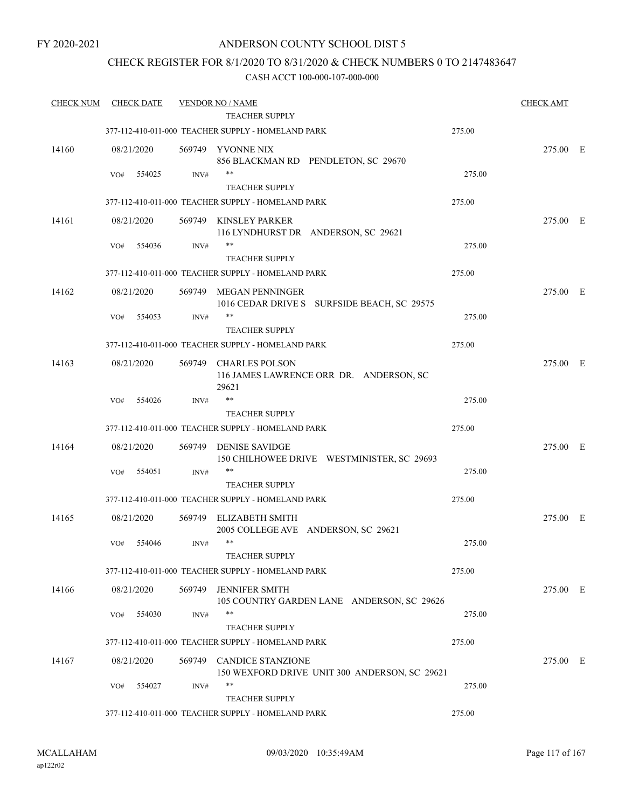# CHECK REGISTER FOR 8/1/2020 TO 8/31/2020 & CHECK NUMBERS 0 TO 2147483647

| <b>CHECK NUM</b> |     | <b>CHECK DATE</b> |        | <b>VENDOR NO / NAME</b>                                                   |        | <b>CHECK AMT</b> |  |
|------------------|-----|-------------------|--------|---------------------------------------------------------------------------|--------|------------------|--|
|                  |     |                   |        | TEACHER SUPPLY                                                            |        |                  |  |
|                  |     |                   |        | 377-112-410-011-000 TEACHER SUPPLY - HOMELAND PARK                        | 275.00 |                  |  |
| 14160            |     | 08/21/2020        | 569749 | YVONNE NIX<br>856 BLACKMAN RD PENDLETON, SC 29670                         |        | 275.00 E         |  |
|                  | VO# | 554025            | INV#   | **                                                                        | 275.00 |                  |  |
|                  |     |                   |        | <b>TEACHER SUPPLY</b>                                                     |        |                  |  |
|                  |     |                   |        | 377-112-410-011-000 TEACHER SUPPLY - HOMELAND PARK                        | 275.00 |                  |  |
| 14161            |     | 08/21/2020        | 569749 | KINSLEY PARKER                                                            |        | 275.00 E         |  |
|                  |     |                   |        | 116 LYNDHURST DR ANDERSON, SC 29621                                       |        |                  |  |
|                  | VO# | 554036            | INV#   | **                                                                        | 275.00 |                  |  |
|                  |     |                   |        | <b>TEACHER SUPPLY</b>                                                     |        |                  |  |
|                  |     |                   |        | 377-112-410-011-000 TEACHER SUPPLY - HOMELAND PARK                        | 275.00 |                  |  |
| 14162            |     | 08/21/2020        | 569749 | MEGAN PENNINGER                                                           |        | 275.00 E         |  |
|                  |     |                   |        | 1016 CEDAR DRIVE S SURFSIDE BEACH, SC 29575                               |        |                  |  |
|                  | VO# | 554053            | INV#   | **                                                                        | 275.00 |                  |  |
|                  |     |                   |        | <b>TEACHER SUPPLY</b>                                                     |        |                  |  |
|                  |     |                   |        | 377-112-410-011-000 TEACHER SUPPLY - HOMELAND PARK                        | 275.00 |                  |  |
|                  |     |                   |        |                                                                           |        |                  |  |
| 14163            |     | 08/21/2020        | 569749 | <b>CHARLES POLSON</b><br>116 JAMES LAWRENCE ORR DR. ANDERSON, SC<br>29621 |        | 275.00 E         |  |
|                  | VO# | 554026            | INV#   | $***$                                                                     | 275.00 |                  |  |
|                  |     |                   |        | <b>TEACHER SUPPLY</b>                                                     |        |                  |  |
|                  |     |                   |        | 377-112-410-011-000 TEACHER SUPPLY - HOMELAND PARK                        | 275.00 |                  |  |
| 14164            |     | 08/21/2020        | 569749 | <b>DENISE SAVIDGE</b>                                                     |        | 275.00 E         |  |
|                  |     |                   |        | 150 CHILHOWEE DRIVE WESTMINISTER, SC 29693                                |        |                  |  |
|                  | VO# | 554051            | INV#   | $***$                                                                     | 275.00 |                  |  |
|                  |     |                   |        | <b>TEACHER SUPPLY</b>                                                     |        |                  |  |
|                  |     |                   |        | 377-112-410-011-000 TEACHER SUPPLY - HOMELAND PARK                        | 275.00 |                  |  |
|                  |     |                   |        |                                                                           |        |                  |  |
| 14165            |     | 08/21/2020        |        | 569749 ELIZABETH SMITH<br>2005 COLLEGE AVE ANDERSON, SC 29621             |        | 275.00 E         |  |
|                  | VO# | 554046            | INV#   | $***$                                                                     | 275.00 |                  |  |
|                  |     |                   |        | TEACHER SUPPLY                                                            |        |                  |  |
|                  |     |                   |        | 377-112-410-011-000 TEACHER SUPPLY - HOMELAND PARK                        | 275.00 |                  |  |
|                  |     |                   |        |                                                                           |        |                  |  |
| 14166            |     | 08/21/2020        | 569749 | <b>JENNIFER SMITH</b>                                                     |        | 275.00 E         |  |
|                  |     |                   |        | 105 COUNTRY GARDEN LANE ANDERSON, SC 29626<br>**                          |        |                  |  |
|                  | VO# | 554030            | INV#   |                                                                           | 275.00 |                  |  |
|                  |     |                   |        | <b>TEACHER SUPPLY</b>                                                     |        |                  |  |
|                  |     |                   |        | 377-112-410-011-000 TEACHER SUPPLY - HOMELAND PARK                        | 275.00 |                  |  |
| 14167            |     | 08/21/2020        |        | 569749 CANDICE STANZIONE<br>150 WEXFORD DRIVE UNIT 300 ANDERSON, SC 29621 |        | 275.00 E         |  |
|                  | VO# | 554027            | INV#   | $***$                                                                     | 275.00 |                  |  |
|                  |     |                   |        | <b>TEACHER SUPPLY</b>                                                     |        |                  |  |
|                  |     |                   |        | 377-112-410-011-000 TEACHER SUPPLY - HOMELAND PARK                        | 275.00 |                  |  |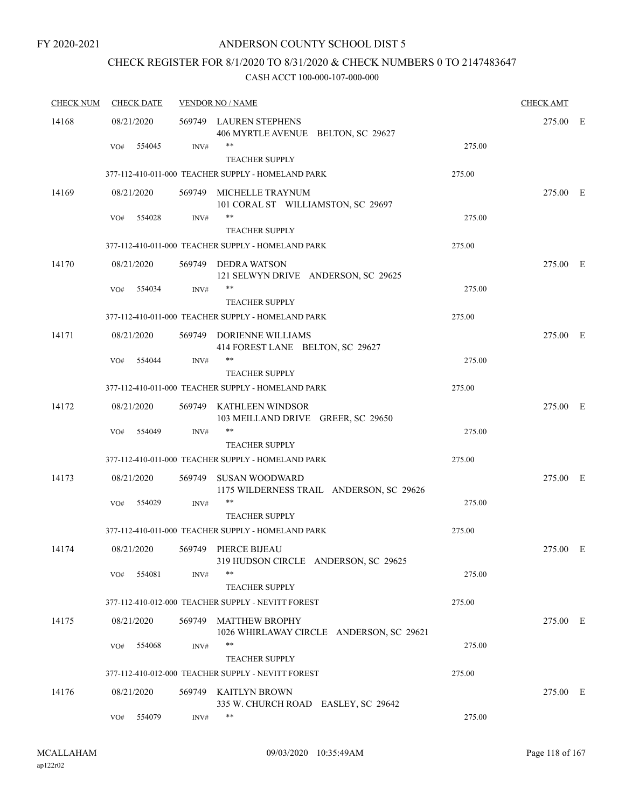# CHECK REGISTER FOR 8/1/2020 TO 8/31/2020 & CHECK NUMBERS 0 TO 2147483647

| <b>CHECK NUM</b> | <b>CHECK DATE</b> |        | <b>VENDOR NO / NAME</b> | <b>CHECK AMT</b>                                                            |        |          |  |
|------------------|-------------------|--------|-------------------------|-----------------------------------------------------------------------------|--------|----------|--|
| 14168            | 08/21/2020        |        |                         | 569749 LAUREN STEPHENS<br>406 MYRTLE AVENUE BELTON, SC 29627                |        | 275.00 E |  |
|                  | VO#               | 554045 | INV#                    | $***$<br><b>TEACHER SUPPLY</b>                                              | 275.00 |          |  |
|                  |                   |        |                         | 377-112-410-011-000 TEACHER SUPPLY - HOMELAND PARK                          | 275.00 |          |  |
| 14169            | 08/21/2020        |        | 569749                  | MICHELLE TRAYNUM<br>101 CORAL ST WILLIAMSTON, SC 29697                      |        | 275.00 E |  |
|                  | VO#               | 554028 | INV#                    | $\ast\ast$<br><b>TEACHER SUPPLY</b>                                         | 275.00 |          |  |
|                  |                   |        |                         | 377-112-410-011-000 TEACHER SUPPLY - HOMELAND PARK                          | 275.00 |          |  |
| 14170            | 08/21/2020        |        |                         | 569749 DEDRA WATSON<br>121 SELWYN DRIVE ANDERSON, SC 29625                  |        | 275.00 E |  |
|                  | VO#               | 554034 | INV#                    | <b>TEACHER SUPPLY</b>                                                       | 275.00 |          |  |
|                  |                   |        |                         | 377-112-410-011-000 TEACHER SUPPLY - HOMELAND PARK                          | 275.00 |          |  |
| 14171            | 08/21/2020        |        |                         | 569749 DORIENNE WILLIAMS<br>414 FOREST LANE BELTON, SC 29627                |        | 275.00 E |  |
|                  | VO#               | 554044 | INV#                    | $***$                                                                       | 275.00 |          |  |
|                  |                   |        |                         | <b>TEACHER SUPPLY</b><br>377-112-410-011-000 TEACHER SUPPLY - HOMELAND PARK | 275.00 |          |  |
| 14172            | 08/21/2020        |        |                         | 569749 KATHLEEN WINDSOR<br>103 MEILLAND DRIVE GREER, SC 29650               |        | 275.00 E |  |
|                  | VO#               | 554049 | INV#                    | $***$<br><b>TEACHER SUPPLY</b>                                              | 275.00 |          |  |
|                  |                   |        |                         | 377-112-410-011-000 TEACHER SUPPLY - HOMELAND PARK                          | 275.00 |          |  |
| 14173            | 08/21/2020        |        |                         | 569749 SUSAN WOODWARD<br>1175 WILDERNESS TRAIL ANDERSON, SC 29626           |        | 275.00 E |  |
|                  | VO#               | 554029 | INV#                    | **<br><b>TEACHER SUPPLY</b>                                                 | 275.00 |          |  |
|                  |                   |        |                         | 377-112-410-011-000 TEACHER SUPPLY - HOMELAND PARK                          | 275.00 |          |  |
| 14174            | 08/21/2020        |        |                         | 569749 PIERCE BIJEAU<br>319 HUDSON CIRCLE ANDERSON, SC 29625                |        | 275.00 E |  |
|                  | VO#               | 554081 | INV#                    | $***$<br><b>TEACHER SUPPLY</b>                                              | 275.00 |          |  |
|                  |                   |        |                         | 377-112-410-012-000 TEACHER SUPPLY - NEVITT FOREST                          | 275.00 |          |  |
| 14175            | 08/21/2020        |        | 569749                  | <b>MATTHEW BROPHY</b><br>1026 WHIRLAWAY CIRCLE ANDERSON, SC 29621           |        | 275.00 E |  |
|                  | VO#               | 554068 | INV#                    | **<br><b>TEACHER SUPPLY</b>                                                 | 275.00 |          |  |
|                  |                   |        |                         | 377-112-410-012-000 TEACHER SUPPLY - NEVITT FOREST                          | 275.00 |          |  |
| 14176            | 08/21/2020        |        | 569749                  | KAITLYN BROWN<br>335 W. CHURCH ROAD EASLEY, SC 29642                        |        | 275.00 E |  |
|                  | VO#               | 554079 | INV#                    | **                                                                          | 275.00 |          |  |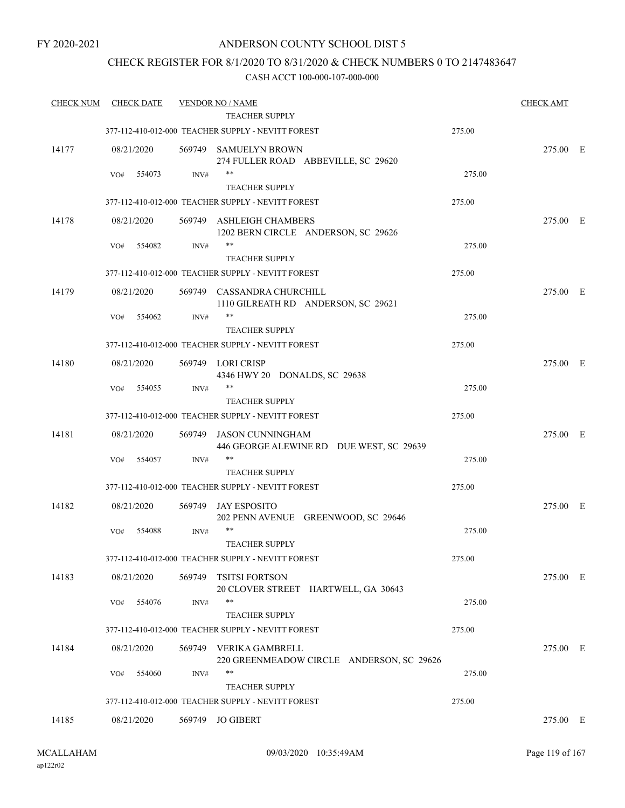# CHECK REGISTER FOR 8/1/2020 TO 8/31/2020 & CHECK NUMBERS 0 TO 2147483647

| <b>CHECK NUM</b> | <b>CHECK DATE</b> |        | <b>VENDOR NO / NAME</b><br>TEACHER SUPPLY                                   |        | <b>CHECK AMT</b> |  |
|------------------|-------------------|--------|-----------------------------------------------------------------------------|--------|------------------|--|
|                  |                   |        | 377-112-410-012-000 TEACHER SUPPLY - NEVITT FOREST                          | 275.00 |                  |  |
| 14177            | 08/21/2020        |        | 569749 SAMUELYN BROWN<br>274 FULLER ROAD ABBEVILLE, SC 29620                |        | 275.00 E         |  |
|                  | 554073<br>VO#     | INV#   | **<br><b>TEACHER SUPPLY</b>                                                 | 275.00 |                  |  |
|                  |                   |        | 377-112-410-012-000 TEACHER SUPPLY - NEVITT FOREST                          | 275.00 |                  |  |
| 14178            | 08/21/2020        |        | 569749 ASHLEIGH CHAMBERS<br>1202 BERN CIRCLE ANDERSON, SC 29626             |        | 275.00 E         |  |
|                  | 554082<br>VO#     | INV#   | **<br><b>TEACHER SUPPLY</b>                                                 | 275.00 |                  |  |
|                  |                   |        | 377-112-410-012-000 TEACHER SUPPLY - NEVITT FOREST                          | 275.00 |                  |  |
| 14179            | 08/21/2020        |        | 569749 CASSANDRA CHURCHILL<br>1110 GILREATH RD ANDERSON, SC 29621           |        | 275.00 E         |  |
|                  | 554062<br>VO#     | INV#   | $***$<br><b>TEACHER SUPPLY</b>                                              | 275.00 |                  |  |
|                  |                   |        | 377-112-410-012-000 TEACHER SUPPLY - NEVITT FOREST                          | 275.00 |                  |  |
| 14180            | 08/21/2020        |        | 569749 LORI CRISP<br>4346 HWY 20 DONALDS, SC 29638                          |        | 275.00 E         |  |
|                  | 554055<br>VO#     | INV#   | **                                                                          | 275.00 |                  |  |
|                  |                   |        | <b>TEACHER SUPPLY</b><br>377-112-410-012-000 TEACHER SUPPLY - NEVITT FOREST | 275.00 |                  |  |
| 14181            | 08/21/2020        | 569749 | JASON CUNNINGHAM<br>446 GEORGE ALEWINE RD DUE WEST, SC 29639                |        | 275.00 E         |  |
|                  | 554057<br>VO#     | INV#   | **                                                                          | 275.00 |                  |  |
|                  |                   |        | <b>TEACHER SUPPLY</b>                                                       |        |                  |  |
|                  |                   |        | 377-112-410-012-000 TEACHER SUPPLY - NEVITT FOREST                          | 275.00 |                  |  |
| 14182            | 08/21/2020        | 569749 | <b>JAY ESPOSITO</b><br>202 PENN AVENUE GREENWOOD, SC 29646                  |        | 275.00 E         |  |
|                  | 554088<br>VO#     | INV#   | $***$<br><b>TEACHER SUPPLY</b>                                              | 275.00 |                  |  |
|                  |                   |        | 377-112-410-012-000 TEACHER SUPPLY - NEVITT FOREST                          | 275.00 |                  |  |
| 14183            | 08/21/2020        | 569749 | <b>TSITSI FORTSON</b><br>20 CLOVER STREET HARTWELL, GA 30643                |        | 275.00 E         |  |
|                  | 554076<br>VO#     | INV#   | **<br><b>TEACHER SUPPLY</b>                                                 | 275.00 |                  |  |
|                  |                   |        | 377-112-410-012-000 TEACHER SUPPLY - NEVITT FOREST                          | 275.00 |                  |  |
| 14184            | 08/21/2020        | 569749 | VERIKA GAMBRELL<br>220 GREENMEADOW CIRCLE ANDERSON, SC 29626                |        | 275.00 E         |  |
|                  | VO#<br>554060     | INV#   | **<br><b>TEACHER SUPPLY</b>                                                 | 275.00 |                  |  |
|                  |                   |        | 377-112-410-012-000 TEACHER SUPPLY - NEVITT FOREST                          | 275.00 |                  |  |
| 14185            | 08/21/2020        |        | 569749 JO GIBERT                                                            |        | 275.00 E         |  |
|                  |                   |        |                                                                             |        |                  |  |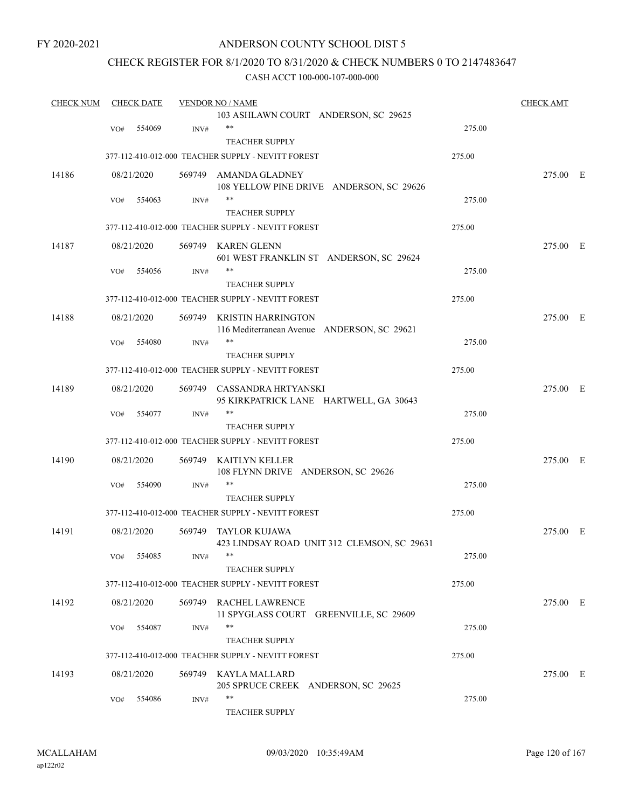# ANDERSON COUNTY SCHOOL DIST 5

# CHECK REGISTER FOR 8/1/2020 TO 8/31/2020 & CHECK NUMBERS 0 TO 2147483647

| <b>CHECK NUM</b> |     | <b>CHECK DATE</b> |                | <b>VENDOR NO / NAME</b>                            |        | <b>CHECK AMT</b> |  |
|------------------|-----|-------------------|----------------|----------------------------------------------------|--------|------------------|--|
|                  |     |                   |                | 103 ASHLAWN COURT ANDERSON, SC 29625               |        |                  |  |
|                  | VO# | 554069            | INV#           | $***$                                              | 275.00 |                  |  |
|                  |     |                   |                | <b>TEACHER SUPPLY</b>                              |        |                  |  |
|                  |     |                   |                | 377-112-410-012-000 TEACHER SUPPLY - NEVITT FOREST | 275.00 |                  |  |
| 14186            |     | 08/21/2020        |                | 569749 AMANDA GLADNEY                              |        | 275.00 E         |  |
|                  |     |                   |                | 108 YELLOW PINE DRIVE ANDERSON, SC 29626           |        |                  |  |
|                  | VO# | 554063            | INV#           | $***$                                              | 275.00 |                  |  |
|                  |     |                   |                | <b>TEACHER SUPPLY</b>                              |        |                  |  |
|                  |     |                   |                | 377-112-410-012-000 TEACHER SUPPLY - NEVITT FOREST | 275.00 |                  |  |
| 14187            |     | 08/21/2020        |                | 569749 KAREN GLENN                                 |        | 275.00 E         |  |
|                  |     |                   |                | 601 WEST FRANKLIN ST ANDERSON, SC 29624            |        |                  |  |
|                  | VO# | 554056            | INV#           | $***$                                              | 275.00 |                  |  |
|                  |     |                   |                | <b>TEACHER SUPPLY</b>                              |        |                  |  |
|                  |     |                   |                | 377-112-410-012-000 TEACHER SUPPLY - NEVITT FOREST | 275.00 |                  |  |
| 14188            |     | 08/21/2020        |                | 569749 KRISTIN HARRINGTON                          |        | 275.00 E         |  |
|                  |     |                   |                | 116 Mediterranean Avenue ANDERSON, SC 29621        |        |                  |  |
|                  | VO# | 554080            | INV#           | $***$                                              | 275.00 |                  |  |
|                  |     |                   |                | <b>TEACHER SUPPLY</b>                              |        |                  |  |
|                  |     |                   |                | 377-112-410-012-000 TEACHER SUPPLY - NEVITT FOREST | 275.00 |                  |  |
| 14189            |     | 08/21/2020        |                | 569749 CASSANDRA HRTYANSKI                         |        | 275.00 E         |  |
|                  |     |                   |                | 95 KIRKPATRICK LANE HARTWELL, GA 30643             |        |                  |  |
|                  | VO# | 554077            | INV#           | $***$                                              | 275.00 |                  |  |
|                  |     |                   |                | <b>TEACHER SUPPLY</b>                              |        |                  |  |
|                  |     |                   |                | 377-112-410-012-000 TEACHER SUPPLY - NEVITT FOREST | 275.00 |                  |  |
| 14190            |     | 08/21/2020        | 569749         | KAITLYN KELLER                                     |        | 275.00 E         |  |
|                  |     |                   |                | 108 FLYNN DRIVE ANDERSON, SC 29626                 |        |                  |  |
|                  | VO# | 554090            | $\text{INV}\#$ | $***$                                              | 275.00 |                  |  |
|                  |     |                   |                | <b>TEACHER SUPPLY</b>                              |        |                  |  |
|                  |     |                   |                | 377-112-410-012-000 TEACHER SUPPLY - NEVITT FOREST | 275.00 |                  |  |
| 14191            |     | 08/21/2020        |                | 569749 TAYLOR KUJAWA                               |        | 275.00 E         |  |
|                  |     |                   |                | 423 LINDSAY ROAD UNIT 312 CLEMSON, SC 29631        |        |                  |  |
|                  | VO# | 554085            | INV#           |                                                    | 275.00 |                  |  |
|                  |     |                   |                | <b>TEACHER SUPPLY</b>                              |        |                  |  |
|                  |     |                   |                | 377-112-410-012-000 TEACHER SUPPLY - NEVITT FOREST | 275.00 |                  |  |
| 14192            |     | 08/21/2020        |                | 569749 RACHEL LAWRENCE                             |        | 275.00 E         |  |
|                  |     |                   |                | 11 SPYGLASS COURT GREENVILLE, SC 29609             |        |                  |  |
|                  | VO# | 554087            | INV#           | $***$                                              | 275.00 |                  |  |
|                  |     |                   |                | <b>TEACHER SUPPLY</b>                              |        |                  |  |
|                  |     |                   |                | 377-112-410-012-000 TEACHER SUPPLY - NEVITT FOREST | 275.00 |                  |  |
| 14193            |     | 08/21/2020        |                | 569749 KAYLA MALLARD                               |        | 275.00 E         |  |
|                  |     |                   |                | 205 SPRUCE CREEK ANDERSON, SC 29625                |        |                  |  |
|                  | VO# | 554086            | INV#           | $***$                                              | 275.00 |                  |  |
|                  |     |                   |                | TEACHER SUPPLY                                     |        |                  |  |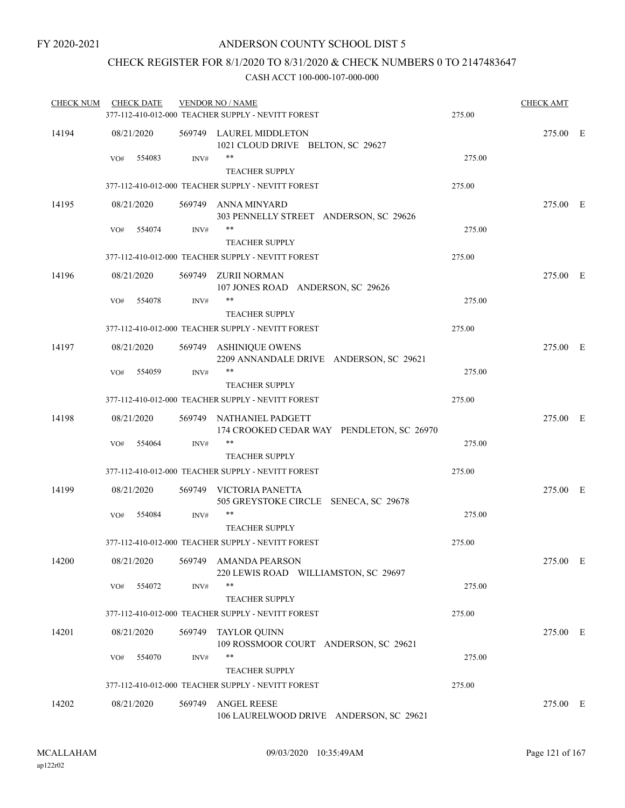# CHECK REGISTER FOR 8/1/2020 TO 8/31/2020 & CHECK NUMBERS 0 TO 2147483647

|     |            |                                                                                                                                                                                                                       |                                                               | 275.00                                                                                                                                                                                                                                                                                                                                                                                                                                                                                                                                                                                                                                                                                                                                                                                                                                                                 | <b>CHECK AMT</b>                               |                      |
|-----|------------|-----------------------------------------------------------------------------------------------------------------------------------------------------------------------------------------------------------------------|---------------------------------------------------------------|------------------------------------------------------------------------------------------------------------------------------------------------------------------------------------------------------------------------------------------------------------------------------------------------------------------------------------------------------------------------------------------------------------------------------------------------------------------------------------------------------------------------------------------------------------------------------------------------------------------------------------------------------------------------------------------------------------------------------------------------------------------------------------------------------------------------------------------------------------------------|------------------------------------------------|----------------------|
|     |            |                                                                                                                                                                                                                       |                                                               |                                                                                                                                                                                                                                                                                                                                                                                                                                                                                                                                                                                                                                                                                                                                                                                                                                                                        | 275.00 E                                       |                      |
| VO# |            | INV#                                                                                                                                                                                                                  | **<br><b>TEACHER SUPPLY</b>                                   | 275.00                                                                                                                                                                                                                                                                                                                                                                                                                                                                                                                                                                                                                                                                                                                                                                                                                                                                 |                                                |                      |
|     |            |                                                                                                                                                                                                                       |                                                               | 275.00                                                                                                                                                                                                                                                                                                                                                                                                                                                                                                                                                                                                                                                                                                                                                                                                                                                                 |                                                |                      |
|     |            |                                                                                                                                                                                                                       | 303 PENNELLY STREET ANDERSON, SC 29626                        |                                                                                                                                                                                                                                                                                                                                                                                                                                                                                                                                                                                                                                                                                                                                                                                                                                                                        | 275.00 E                                       |                      |
| VO# |            | INV#                                                                                                                                                                                                                  | **<br><b>TEACHER SUPPLY</b>                                   | 275.00                                                                                                                                                                                                                                                                                                                                                                                                                                                                                                                                                                                                                                                                                                                                                                                                                                                                 |                                                |                      |
|     |            |                                                                                                                                                                                                                       |                                                               | 275.00                                                                                                                                                                                                                                                                                                                                                                                                                                                                                                                                                                                                                                                                                                                                                                                                                                                                 |                                                |                      |
|     |            |                                                                                                                                                                                                                       | 107 JONES ROAD ANDERSON, SC 29626                             |                                                                                                                                                                                                                                                                                                                                                                                                                                                                                                                                                                                                                                                                                                                                                                                                                                                                        | 275.00 E                                       |                      |
| VO# |            | $\text{INV}\#$                                                                                                                                                                                                        | **<br><b>TEACHER SUPPLY</b>                                   | 275.00                                                                                                                                                                                                                                                                                                                                                                                                                                                                                                                                                                                                                                                                                                                                                                                                                                                                 |                                                |                      |
|     |            |                                                                                                                                                                                                                       |                                                               | 275.00                                                                                                                                                                                                                                                                                                                                                                                                                                                                                                                                                                                                                                                                                                                                                                                                                                                                 |                                                |                      |
|     |            |                                                                                                                                                                                                                       | 2209 ANNANDALE DRIVE ANDERSON, SC 29621                       |                                                                                                                                                                                                                                                                                                                                                                                                                                                                                                                                                                                                                                                                                                                                                                                                                                                                        | 275.00 E                                       |                      |
| VO# | 554059     | INV#                                                                                                                                                                                                                  | $***$                                                         | 275.00                                                                                                                                                                                                                                                                                                                                                                                                                                                                                                                                                                                                                                                                                                                                                                                                                                                                 |                                                |                      |
|     |            |                                                                                                                                                                                                                       |                                                               |                                                                                                                                                                                                                                                                                                                                                                                                                                                                                                                                                                                                                                                                                                                                                                                                                                                                        |                                                |                      |
|     |            |                                                                                                                                                                                                                       |                                                               |                                                                                                                                                                                                                                                                                                                                                                                                                                                                                                                                                                                                                                                                                                                                                                                                                                                                        |                                                |                      |
|     |            |                                                                                                                                                                                                                       | 174 CROOKED CEDAR WAY PENDLETON, SC 26970                     |                                                                                                                                                                                                                                                                                                                                                                                                                                                                                                                                                                                                                                                                                                                                                                                                                                                                        |                                                |                      |
|     |            |                                                                                                                                                                                                                       | <b>TEACHER SUPPLY</b>                                         |                                                                                                                                                                                                                                                                                                                                                                                                                                                                                                                                                                                                                                                                                                                                                                                                                                                                        |                                                |                      |
|     |            |                                                                                                                                                                                                                       |                                                               | 275.00                                                                                                                                                                                                                                                                                                                                                                                                                                                                                                                                                                                                                                                                                                                                                                                                                                                                 |                                                |                      |
|     |            |                                                                                                                                                                                                                       | 505 GREYSTOKE CIRCLE SENECA, SC 29678                         |                                                                                                                                                                                                                                                                                                                                                                                                                                                                                                                                                                                                                                                                                                                                                                                                                                                                        | 275.00 E                                       |                      |
| VO# |            | INV#                                                                                                                                                                                                                  | **                                                            | 275.00                                                                                                                                                                                                                                                                                                                                                                                                                                                                                                                                                                                                                                                                                                                                                                                                                                                                 |                                                |                      |
|     |            |                                                                                                                                                                                                                       |                                                               |                                                                                                                                                                                                                                                                                                                                                                                                                                                                                                                                                                                                                                                                                                                                                                                                                                                                        |                                                |                      |
|     |            |                                                                                                                                                                                                                       |                                                               |                                                                                                                                                                                                                                                                                                                                                                                                                                                                                                                                                                                                                                                                                                                                                                                                                                                                        |                                                |                      |
|     |            |                                                                                                                                                                                                                       | 220 LEWIS ROAD WILLIAMSTON, SC 29697                          |                                                                                                                                                                                                                                                                                                                                                                                                                                                                                                                                                                                                                                                                                                                                                                                                                                                                        |                                                |                      |
|     |            |                                                                                                                                                                                                                       | <b>TEACHER SUPPLY</b>                                         |                                                                                                                                                                                                                                                                                                                                                                                                                                                                                                                                                                                                                                                                                                                                                                                                                                                                        |                                                |                      |
|     |            |                                                                                                                                                                                                                       |                                                               | 275.00                                                                                                                                                                                                                                                                                                                                                                                                                                                                                                                                                                                                                                                                                                                                                                                                                                                                 |                                                |                      |
|     |            |                                                                                                                                                                                                                       | 109 ROSSMOOR COURT ANDERSON, SC 29621                         |                                                                                                                                                                                                                                                                                                                                                                                                                                                                                                                                                                                                                                                                                                                                                                                                                                                                        | 275.00 E                                       |                      |
| VO# |            | INV#                                                                                                                                                                                                                  | **                                                            | 275.00                                                                                                                                                                                                                                                                                                                                                                                                                                                                                                                                                                                                                                                                                                                                                                                                                                                                 |                                                |                      |
|     |            |                                                                                                                                                                                                                       |                                                               |                                                                                                                                                                                                                                                                                                                                                                                                                                                                                                                                                                                                                                                                                                                                                                                                                                                                        |                                                |                      |
|     |            | 569749                                                                                                                                                                                                                | <b>ANGEL REESE</b><br>106 LAURELWOOD DRIVE ANDERSON, SC 29621 |                                                                                                                                                                                                                                                                                                                                                                                                                                                                                                                                                                                                                                                                                                                                                                                                                                                                        | 275.00 E                                       |                      |
|     | VO#<br>VO# | <b>CHECK DATE</b><br>08/21/2020<br>554083<br>08/21/2020<br>554074<br>08/21/2020<br>554078<br>08/21/2020<br>08/21/2020<br>554064<br>08/21/2020<br>554084<br>08/21/2020<br>554072<br>08/21/2020<br>554070<br>08/21/2020 | INV#<br>INV#                                                  | <b>VENDOR NO / NAME</b><br>377-112-410-012-000 TEACHER SUPPLY - NEVITT FOREST<br>569749 LAUREL MIDDLETON<br>1021 CLOUD DRIVE BELTON, SC 29627<br>377-112-410-012-000 TEACHER SUPPLY - NEVITT FOREST<br>569749 ANNA MINYARD<br>377-112-410-012-000 TEACHER SUPPLY - NEVITT FOREST<br>569749 ZURII NORMAN<br>377-112-410-012-000 TEACHER SUPPLY - NEVITT FOREST<br>569749 ASHINIQUE OWENS<br><b>TEACHER SUPPLY</b><br>377-112-410-012-000 TEACHER SUPPLY - NEVITT FOREST<br>569749 NATHANIEL PADGETT<br>$***$<br>377-112-410-012-000 TEACHER SUPPLY - NEVITT FOREST<br>569749 VICTORIA PANETTA<br><b>TEACHER SUPPLY</b><br>377-112-410-012-000 TEACHER SUPPLY - NEVITT FOREST<br>569749 AMANDA PEARSON<br>**<br>377-112-410-012-000 TEACHER SUPPLY - NEVITT FOREST<br>569749 TAYLOR QUINN<br><b>TEACHER SUPPLY</b><br>377-112-410-012-000 TEACHER SUPPLY - NEVITT FOREST | 275.00<br>275.00<br>275.00<br>275.00<br>275.00 | 275.00 E<br>275.00 E |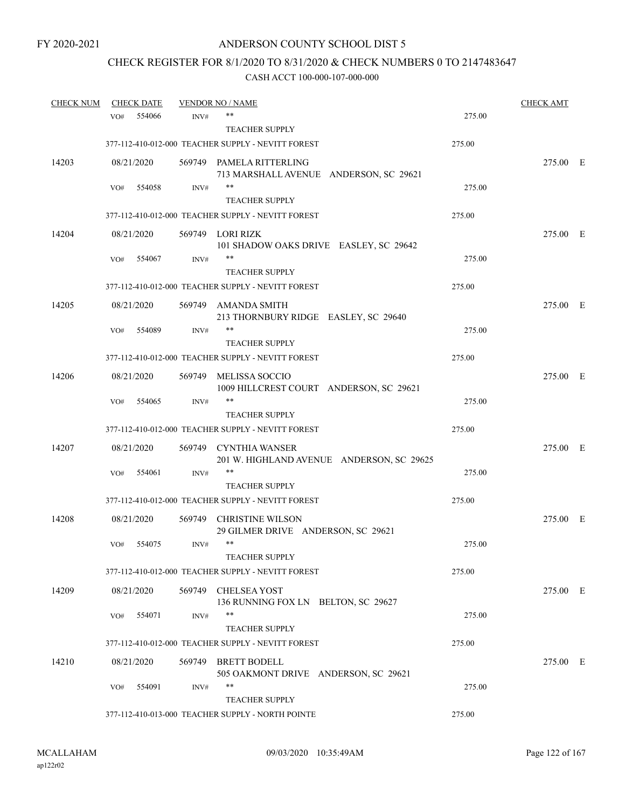# CHECK REGISTER FOR 8/1/2020 TO 8/31/2020 & CHECK NUMBERS 0 TO 2147483647

| <b>CHECK NUM</b> |     | <b>CHECK DATE</b> |        | <b>VENDOR NO / NAME</b>                            |        | CHECK AMT |  |
|------------------|-----|-------------------|--------|----------------------------------------------------|--------|-----------|--|
|                  | VO# | 554066            | INV#   | **                                                 | 275.00 |           |  |
|                  |     |                   |        | <b>TEACHER SUPPLY</b>                              |        |           |  |
|                  |     |                   |        | 377-112-410-012-000 TEACHER SUPPLY - NEVITT FOREST | 275.00 |           |  |
| 14203            |     | 08/21/2020        |        | 569749 PAMELA RITTERLING                           |        | 275.00 E  |  |
|                  |     |                   |        | 713 MARSHALL AVENUE ANDERSON, SC 29621             |        |           |  |
|                  | VO# | 554058            | INV#   | **                                                 | 275.00 |           |  |
|                  |     |                   |        | <b>TEACHER SUPPLY</b>                              |        |           |  |
|                  |     |                   |        | 377-112-410-012-000 TEACHER SUPPLY - NEVITT FOREST | 275.00 |           |  |
| 14204            |     | 08/21/2020        |        | 569749 LORI RIZK                                   |        | 275.00 E  |  |
|                  |     |                   |        | 101 SHADOW OAKS DRIVE EASLEY, SC 29642             |        |           |  |
|                  | VO# | 554067            | INV#   | **                                                 | 275.00 |           |  |
|                  |     |                   |        | <b>TEACHER SUPPLY</b>                              |        |           |  |
|                  |     |                   |        | 377-112-410-012-000 TEACHER SUPPLY - NEVITT FOREST | 275.00 |           |  |
| 14205            |     | 08/21/2020        |        | 569749 AMANDA SMITH                                |        | 275.00 E  |  |
|                  |     |                   |        | 213 THORNBURY RIDGE EASLEY, SC 29640               |        |           |  |
|                  | VO# | 554089            | INV#   | **                                                 | 275.00 |           |  |
|                  |     |                   |        | <b>TEACHER SUPPLY</b>                              |        |           |  |
|                  |     |                   |        | 377-112-410-012-000 TEACHER SUPPLY - NEVITT FOREST | 275.00 |           |  |
| 14206            |     | 08/21/2020        |        | 569749 MELISSA SOCCIO                              |        | 275.00 E  |  |
|                  |     |                   |        | 1009 HILLCREST COURT ANDERSON, SC 29621            |        |           |  |
|                  | VO# | 554065            | INV#   | **                                                 | 275.00 |           |  |
|                  |     |                   |        | <b>TEACHER SUPPLY</b>                              |        |           |  |
|                  |     |                   |        | 377-112-410-012-000 TEACHER SUPPLY - NEVITT FOREST | 275.00 |           |  |
| 14207            |     | 08/21/2020        |        | 569749 CYNTHIA WANSER                              |        | 275.00 E  |  |
|                  |     |                   |        | 201 W. HIGHLAND AVENUE ANDERSON, SC 29625          |        |           |  |
|                  | VO# | 554061            | INV#   | **                                                 | 275.00 |           |  |
|                  |     |                   |        | <b>TEACHER SUPPLY</b>                              |        |           |  |
|                  |     |                   |        | 377-112-410-012-000 TEACHER SUPPLY - NEVITT FOREST | 275.00 |           |  |
| 14208            |     | 08/21/2020        | 569749 | <b>CHRISTINE WILSON</b>                            |        | 275.00 E  |  |
|                  |     |                   |        | 29 GILMER DRIVE ANDERSON, SC 29621                 |        |           |  |
|                  | VO# | 554075            | INV#   | **                                                 | 275.00 |           |  |
|                  |     |                   |        | <b>TEACHER SUPPLY</b>                              |        |           |  |
|                  |     |                   |        | 377-112-410-012-000 TEACHER SUPPLY - NEVITT FOREST | 275.00 |           |  |
| 14209            |     | 08/21/2020        |        | 569749 CHELSEA YOST                                |        | 275.00 E  |  |
|                  |     |                   |        | 136 RUNNING FOX LN BELTON, SC 29627                |        |           |  |
|                  | VO# | 554071            | INV#   | **                                                 | 275.00 |           |  |
|                  |     |                   |        | <b>TEACHER SUPPLY</b>                              |        |           |  |
|                  |     |                   |        | 377-112-410-012-000 TEACHER SUPPLY - NEVITT FOREST | 275.00 |           |  |
| 14210            |     | 08/21/2020        |        | 569749 BRETT BODELL                                |        | 275.00 E  |  |
|                  |     |                   |        | 505 OAKMONT DRIVE ANDERSON, SC 29621               |        |           |  |
|                  | VO# | 554091            | INV#   | **                                                 | 275.00 |           |  |
|                  |     |                   |        | <b>TEACHER SUPPLY</b>                              |        |           |  |
|                  |     |                   |        | 377-112-410-013-000 TEACHER SUPPLY - NORTH POINTE  | 275.00 |           |  |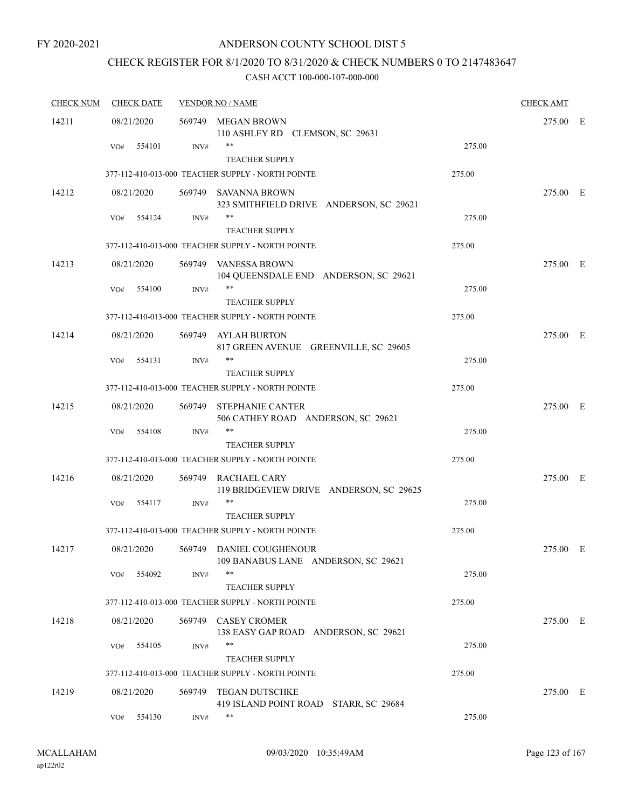# CHECK REGISTER FOR 8/1/2020 TO 8/31/2020 & CHECK NUMBERS 0 TO 2147483647

| <b>CHECK NUM</b> | <b>CHECK DATE</b> |        | <b>VENDOR NO / NAME</b>                                                    |        | <b>CHECK AMT</b> |  |
|------------------|-------------------|--------|----------------------------------------------------------------------------|--------|------------------|--|
| 14211            | 08/21/2020        |        | 569749 MEGAN BROWN<br>110 ASHLEY RD CLEMSON, SC 29631                      |        | 275.00 E         |  |
|                  | 554101<br>VO#     | INV#   | **<br><b>TEACHER SUPPLY</b>                                                | 275.00 |                  |  |
|                  |                   |        | 377-112-410-013-000 TEACHER SUPPLY - NORTH POINTE                          | 275.00 |                  |  |
| 14212            | 08/21/2020        |        | 569749 SAVANNA BROWN<br>323 SMITHFIELD DRIVE ANDERSON, SC 29621            |        | 275.00 E         |  |
|                  | 554124<br>VO#     | INV#   | **<br><b>TEACHER SUPPLY</b>                                                | 275.00 |                  |  |
|                  |                   |        | 377-112-410-013-000 TEACHER SUPPLY - NORTH POINTE                          | 275.00 |                  |  |
| 14213            | 08/21/2020        |        | 569749 VANESSA BROWN<br>104 QUEENSDALE END ANDERSON, SC 29621              |        | 275.00 E         |  |
|                  | VO#<br>554100     | INV#   | **<br><b>TEACHER SUPPLY</b>                                                | 275.00 |                  |  |
|                  |                   |        | 377-112-410-013-000 TEACHER SUPPLY - NORTH POINTE                          | 275.00 |                  |  |
| 14214            | 08/21/2020        |        | 569749 AYLAH BURTON<br>817 GREEN AVENUE GREENVILLE, SC 29605               |        | 275.00 E         |  |
|                  | 554131<br>VO#     | INV#   | **                                                                         | 275.00 |                  |  |
|                  |                   |        | <b>TEACHER SUPPLY</b><br>377-112-410-013-000 TEACHER SUPPLY - NORTH POINTE | 275.00 |                  |  |
| 14215            | 08/21/2020        | 569749 | <b>STEPHANIE CANTER</b><br>506 CATHEY ROAD ANDERSON, SC 29621              |        | 275.00 E         |  |
|                  | 554108<br>VO#     | INV#   | **<br><b>TEACHER SUPPLY</b>                                                | 275.00 |                  |  |
|                  |                   |        | 377-112-410-013-000 TEACHER SUPPLY - NORTH POINTE                          | 275.00 |                  |  |
| 14216            | 08/21/2020        |        | 569749 RACHAEL CARY<br>119 BRIDGEVIEW DRIVE ANDERSON, SC 29625             |        | 275.00 E         |  |
|                  | 554117<br>VO#     | INV#   | **<br><b>TEACHER SUPPLY</b>                                                | 275.00 |                  |  |
|                  |                   |        | 377-112-410-013-000 TEACHER SUPPLY - NORTH POINTE                          | 275.00 |                  |  |
| 14217            | 08/21/2020        |        | 569749 DANIEL COUGHENOUR<br>109 BANABUS LANE ANDERSON, SC 29621            |        | 275.00 E         |  |
|                  | 554092<br>VO#     | INV#   | **<br>TEACHER SUPPLY                                                       | 275.00 |                  |  |
|                  |                   |        | 377-112-410-013-000 TEACHER SUPPLY - NORTH POINTE                          | 275.00 |                  |  |
| 14218            | 08/21/2020        |        | 569749 CASEY CROMER<br>138 EASY GAP ROAD ANDERSON, SC 29621                |        | 275.00 E         |  |
|                  | 554105<br>VO#     | INV#   | **<br><b>TEACHER SUPPLY</b>                                                | 275.00 |                  |  |
|                  |                   |        | 377-112-410-013-000 TEACHER SUPPLY - NORTH POINTE                          | 275.00 |                  |  |
| 14219            | 08/21/2020        |        | 569749 TEGAN DUTSCHKE<br>419 ISLAND POINT ROAD STARR, SC 29684             |        | 275.00 E         |  |
|                  | 554130<br>VO#     | INV#   | **                                                                         | 275.00 |                  |  |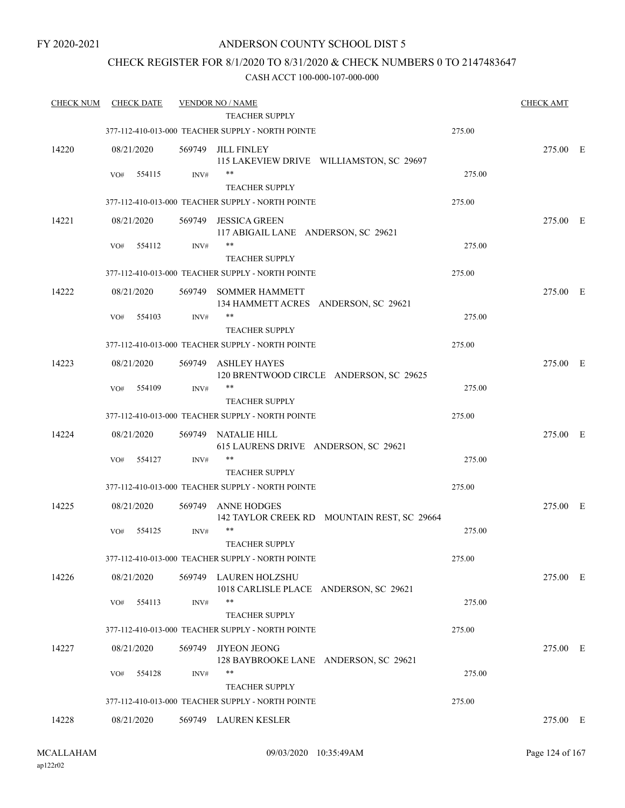# ANDERSON COUNTY SCHOOL DIST 5

# CHECK REGISTER FOR 8/1/2020 TO 8/31/2020 & CHECK NUMBERS 0 TO 2147483647

| <b>CHECK NUM</b> | <b>CHECK DATE</b> |        | <b>VENDOR NO / NAME</b><br><b>TEACHER SUPPLY</b>            |                                             |        | <b>CHECK AMT</b> |  |
|------------------|-------------------|--------|-------------------------------------------------------------|---------------------------------------------|--------|------------------|--|
|                  |                   |        | 377-112-410-013-000 TEACHER SUPPLY - NORTH POINTE           |                                             | 275.00 |                  |  |
|                  |                   |        |                                                             |                                             |        |                  |  |
| 14220            | 08/21/2020        |        | 569749 JILL FINLEY                                          | 115 LAKEVIEW DRIVE WILLIAMSTON, SC 29697    |        | 275.00 E         |  |
|                  | 554115<br>VO#     | INV#   | $***$                                                       |                                             | 275.00 |                  |  |
|                  |                   |        | <b>TEACHER SUPPLY</b>                                       |                                             |        |                  |  |
|                  |                   |        | 377-112-410-013-000 TEACHER SUPPLY - NORTH POINTE           |                                             | 275.00 |                  |  |
|                  |                   |        |                                                             |                                             |        | 275.00 E         |  |
| 14221            | 08/21/2020        | 569749 | <b>JESSICA GREEN</b><br>117 ABIGAIL LANE ANDERSON, SC 29621 |                                             |        |                  |  |
|                  | 554112<br>VO#     | INV#   | **                                                          |                                             | 275.00 |                  |  |
|                  |                   |        | <b>TEACHER SUPPLY</b>                                       |                                             |        |                  |  |
|                  |                   |        | 377-112-410-013-000 TEACHER SUPPLY - NORTH POINTE           |                                             | 275.00 |                  |  |
| 14222            | 08/21/2020        |        | 569749 SOMMER HAMMETT                                       |                                             |        | 275.00 E         |  |
|                  |                   |        | 134 HAMMETT ACRES ANDERSON, SC 29621                        |                                             |        |                  |  |
|                  | 554103<br>VO#     | INV#   | **                                                          |                                             | 275.00 |                  |  |
|                  |                   |        | <b>TEACHER SUPPLY</b>                                       |                                             |        |                  |  |
|                  |                   |        | 377-112-410-013-000 TEACHER SUPPLY - NORTH POINTE           |                                             | 275.00 |                  |  |
| 14223            | 08/21/2020        | 569749 | <b>ASHLEY HAYES</b>                                         |                                             |        | 275.00 E         |  |
|                  |                   |        |                                                             | 120 BRENTWOOD CIRCLE ANDERSON, SC 29625     |        |                  |  |
|                  | 554109<br>VO#     | INV#   | **                                                          |                                             | 275.00 |                  |  |
|                  |                   |        | <b>TEACHER SUPPLY</b>                                       |                                             |        |                  |  |
|                  |                   |        | 377-112-410-013-000 TEACHER SUPPLY - NORTH POINTE           |                                             | 275.00 |                  |  |
| 14224            | 08/21/2020        | 569749 | NATALIE HILL                                                |                                             |        | 275.00 E         |  |
|                  |                   |        | 615 LAURENS DRIVE ANDERSON, SC 29621                        |                                             |        |                  |  |
|                  | 554127<br>VO#     | INV#   | **                                                          |                                             | 275.00 |                  |  |
|                  |                   |        | <b>TEACHER SUPPLY</b>                                       |                                             |        |                  |  |
|                  |                   |        | 377-112-410-013-000 TEACHER SUPPLY - NORTH POINTE           |                                             | 275.00 |                  |  |
| 14225            | 08/21/2020        | 569749 | <b>ANNE HODGES</b>                                          |                                             |        | 275.00 E         |  |
|                  |                   |        |                                                             | 142 TAYLOR CREEK RD MOUNTAIN REST, SC 29664 |        |                  |  |
|                  | 554125<br>VO#     | INV#   | $***$                                                       |                                             | 275.00 |                  |  |
|                  |                   |        | <b>TEACHER SUPPLY</b>                                       |                                             |        |                  |  |
|                  |                   |        | 377-112-410-013-000 TEACHER SUPPLY - NORTH POINTE           |                                             | 275.00 |                  |  |
| 14226            | 08/21/2020        |        | 569749 LAUREN HOLZSHU                                       |                                             |        | 275.00 E         |  |
|                  |                   |        | 1018 CARLISLE PLACE ANDERSON, SC 29621<br>**                |                                             |        |                  |  |
|                  | 554113<br>VO#     | INV#   | <b>TEACHER SUPPLY</b>                                       |                                             | 275.00 |                  |  |
|                  |                   |        | 377-112-410-013-000 TEACHER SUPPLY - NORTH POINTE           |                                             | 275.00 |                  |  |
|                  |                   |        |                                                             |                                             |        |                  |  |
| 14227            | 08/21/2020        | 569749 | <b>JIYEON JEONG</b>                                         |                                             |        | 275.00 E         |  |
|                  | 554128<br>VO#     | INV#   | 128 BAYBROOKE LANE ANDERSON, SC 29621<br>**                 |                                             | 275.00 |                  |  |
|                  |                   |        | <b>TEACHER SUPPLY</b>                                       |                                             |        |                  |  |
|                  |                   |        | 377-112-410-013-000 TEACHER SUPPLY - NORTH POINTE           |                                             | 275.00 |                  |  |
|                  |                   |        |                                                             |                                             |        |                  |  |
| 14228            | 08/21/2020        |        | 569749 LAUREN KESLER                                        |                                             |        | 275.00 E         |  |
|                  |                   |        |                                                             |                                             |        |                  |  |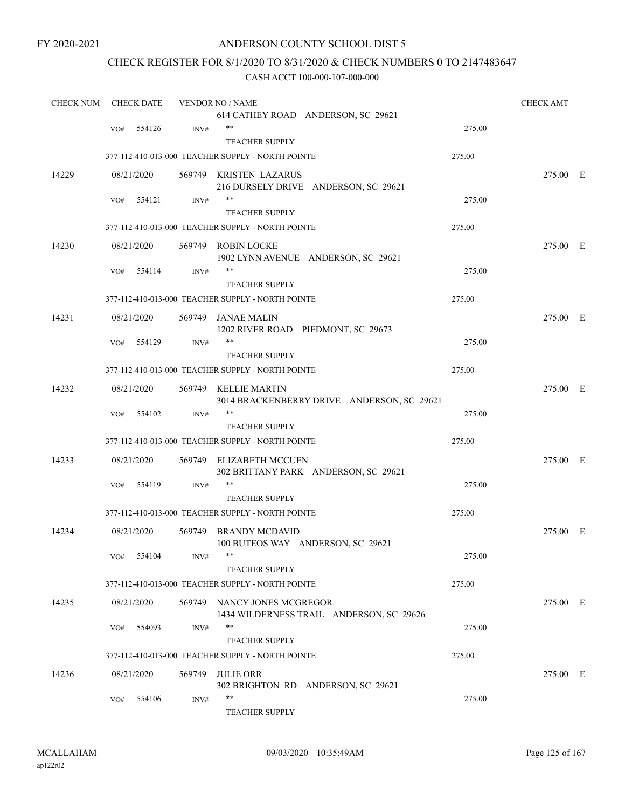# ANDERSON COUNTY SCHOOL DIST 5

# CHECK REGISTER FOR 8/1/2020 TO 8/31/2020 & CHECK NUMBERS 0 TO 2147483647

| <b>CHECK NUM</b> |     | <b>CHECK DATE</b> |        | <b>VENDOR NO / NAME</b>                                |        | <b>CHECK AMT</b> |  |
|------------------|-----|-------------------|--------|--------------------------------------------------------|--------|------------------|--|
|                  |     |                   |        | 614 CATHEY ROAD ANDERSON, SC 29621                     |        |                  |  |
|                  | VO# | 554126            | INV#   | $***$                                                  | 275.00 |                  |  |
|                  |     |                   |        | <b>TEACHER SUPPLY</b>                                  |        |                  |  |
|                  |     |                   |        | 377-112-410-013-000 TEACHER SUPPLY - NORTH POINTE      | 275.00 |                  |  |
| 14229            |     | 08/21/2020        |        | 569749 KRISTEN LAZARUS                                 |        | 275.00 E         |  |
|                  |     |                   |        | 216 DURSELY DRIVE ANDERSON, SC 29621                   |        |                  |  |
|                  | VO# | 554121            | INV#   | $***$                                                  | 275.00 |                  |  |
|                  |     |                   |        | <b>TEACHER SUPPLY</b>                                  |        |                  |  |
|                  |     |                   |        | 377-112-410-013-000 TEACHER SUPPLY - NORTH POINTE      | 275.00 |                  |  |
| 14230            |     | 08/21/2020        |        | 569749 ROBIN LOCKE                                     |        | 275.00 E         |  |
|                  |     |                   |        | 1902 LYNN AVENUE ANDERSON, SC 29621                    |        |                  |  |
|                  | VO# | 554114            | INV#   | $***$                                                  | 275.00 |                  |  |
|                  |     |                   |        | <b>TEACHER SUPPLY</b>                                  |        |                  |  |
|                  |     |                   |        | 377-112-410-013-000 TEACHER SUPPLY - NORTH POINTE      | 275.00 |                  |  |
| 14231            |     | 08/21/2020        |        | 569749 JANAE MALIN                                     |        | 275.00 E         |  |
|                  |     |                   |        | 1202 RIVER ROAD PIEDMONT, SC 29673                     |        |                  |  |
|                  | VO# | 554129            | INV#   | $***$                                                  | 275.00 |                  |  |
|                  |     |                   |        | <b>TEACHER SUPPLY</b>                                  |        |                  |  |
|                  |     |                   |        | 377-112-410-013-000 TEACHER SUPPLY - NORTH POINTE      | 275.00 |                  |  |
| 14232            |     | 08/21/2020        |        | 569749 KELLIE MARTIN                                   |        | 275.00 E         |  |
|                  |     |                   |        | 3014 BRACKENBERRY DRIVE ANDERSON, SC 29621             |        |                  |  |
|                  | VO# | 554102            | INV#   | $***$                                                  | 275.00 |                  |  |
|                  |     |                   |        | <b>TEACHER SUPPLY</b>                                  |        |                  |  |
|                  |     |                   |        | 377-112-410-013-000 TEACHER SUPPLY - NORTH POINTE      | 275.00 |                  |  |
| 14233            |     | 08/21/2020        |        | 569749 ELIZABETH MCCUEN                                |        | 275.00 E         |  |
|                  |     |                   |        | 302 BRITTANY PARK ANDERSON, SC 29621                   |        |                  |  |
|                  | VO# | 554119            | INV#   | $***$                                                  | 275.00 |                  |  |
|                  |     |                   |        | <b>TEACHER SUPPLY</b>                                  |        |                  |  |
|                  |     |                   |        | 377-112-410-013-000 TEACHER SUPPLY - NORTH POINTE      | 275.00 |                  |  |
| 14234            |     | 08/21/2020        |        | 569749 BRANDY MCDAVID                                  |        | 275.00 E         |  |
|                  |     |                   |        | 100 BUTEOS WAY ANDERSON, SC 29621                      |        |                  |  |
|                  |     | VO# 554104        | INV#   |                                                        | 275.00 |                  |  |
|                  |     |                   |        | <b>TEACHER SUPPLY</b>                                  |        |                  |  |
|                  |     |                   |        | 377-112-410-013-000 TEACHER SUPPLY - NORTH POINTE      | 275.00 |                  |  |
| 14235            |     | 08/21/2020        |        | 569749 NANCY JONES MCGREGOR                            |        | 275.00 E         |  |
|                  |     |                   |        | 1434 WILDERNESS TRAIL ANDERSON, SC 29626               |        |                  |  |
|                  | VO# | 554093            | INV#   | $***$                                                  | 275.00 |                  |  |
|                  |     |                   |        | <b>TEACHER SUPPLY</b>                                  |        |                  |  |
|                  |     |                   |        | 377-112-410-013-000 TEACHER SUPPLY - NORTH POINTE      | 275.00 |                  |  |
|                  |     |                   |        |                                                        |        |                  |  |
| 14236            |     | 08/21/2020        | 569749 | <b>JULIE ORR</b><br>302 BRIGHTON RD ANDERSON, SC 29621 |        | 275.00 E         |  |
|                  | VO# | 554106            | INV#   | $***$                                                  | 275.00 |                  |  |
|                  |     |                   |        | <b>TEACHER SUPPLY</b>                                  |        |                  |  |
|                  |     |                   |        |                                                        |        |                  |  |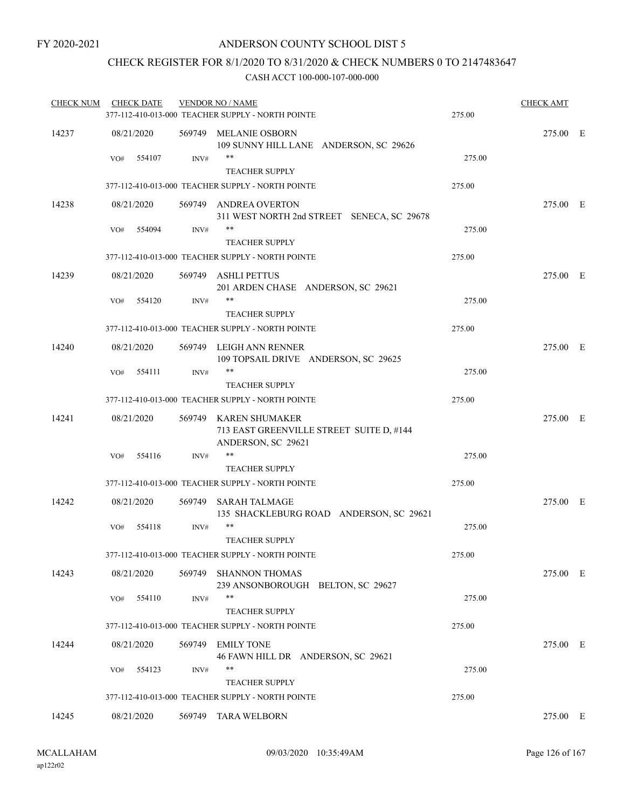# CHECK REGISTER FOR 8/1/2020 TO 8/31/2020 & CHECK NUMBERS 0 TO 2147483647

| <b>CHECK NUM</b> | <b>CHECK DATE</b> |      | <b>VENDOR NO / NAME</b><br>377-112-410-013-000 TEACHER SUPPLY - NORTH POINTE            | 275.00 | <b>CHECK AMT</b> |  |
|------------------|-------------------|------|-----------------------------------------------------------------------------------------|--------|------------------|--|
| 14237            | 08/21/2020        |      | 569749 MELANIE OSBORN<br>109 SUNNY HILL LANE ANDERSON, SC 29626                         |        | 275.00 E         |  |
|                  | 554107<br>VO#     | INV# | **<br><b>TEACHER SUPPLY</b>                                                             | 275.00 |                  |  |
|                  |                   |      | 377-112-410-013-000 TEACHER SUPPLY - NORTH POINTE                                       | 275.00 |                  |  |
| 14238            | 08/21/2020        |      | 569749 ANDREA OVERTON<br>311 WEST NORTH 2nd STREET SENECA, SC 29678                     |        | 275.00 E         |  |
|                  | 554094<br>VO#     | INV# | **                                                                                      | 275.00 |                  |  |
|                  |                   |      | <b>TEACHER SUPPLY</b><br>377-112-410-013-000 TEACHER SUPPLY - NORTH POINTE              | 275.00 |                  |  |
|                  |                   |      |                                                                                         |        |                  |  |
| 14239            | 08/21/2020        |      | 569749 ASHLI PETTUS<br>201 ARDEN CHASE ANDERSON, SC 29621                               |        | 275.00 E         |  |
|                  | 554120<br>VO#     | INV# | **<br><b>TEACHER SUPPLY</b>                                                             | 275.00 |                  |  |
|                  |                   |      | 377-112-410-013-000 TEACHER SUPPLY - NORTH POINTE                                       | 275.00 |                  |  |
| 14240            | 08/21/2020        |      | 569749 LEIGH ANN RENNER<br>109 TOPSAIL DRIVE ANDERSON, SC 29625                         |        | 275.00 E         |  |
|                  | 554111<br>VO#     | INV# | $***$<br><b>TEACHER SUPPLY</b>                                                          | 275.00 |                  |  |
|                  |                   |      | 377-112-410-013-000 TEACHER SUPPLY - NORTH POINTE                                       | 275.00 |                  |  |
| 14241            | 08/21/2020        |      | 569749 KAREN SHUMAKER<br>713 EAST GREENVILLE STREET SUITE D, #144<br>ANDERSON, SC 29621 |        | 275.00 E         |  |
|                  | 554116<br>VO#     | INV# | **                                                                                      | 275.00 |                  |  |
|                  |                   |      | <b>TEACHER SUPPLY</b>                                                                   |        |                  |  |
|                  |                   |      | 377-112-410-013-000 TEACHER SUPPLY - NORTH POINTE                                       | 275.00 |                  |  |
| 14242            | 08/21/2020        |      | 569749 SARAH TALMAGE<br>135 SHACKLEBURG ROAD ANDERSON, SC 29621                         |        | 275.00 E         |  |
|                  | 554118<br>VO#     | INV# | **<br><b>TEACHER SUPPLY</b>                                                             | 275.00 |                  |  |
|                  |                   |      | 377-112-410-013-000 TEACHER SUPPLY - NORTH POINTE                                       | 275.00 |                  |  |
| 14243            | 08/21/2020        |      | 569749 SHANNON THOMAS<br>239 ANSONBOROUGH BELTON, SC 29627                              |        | 275.00 E         |  |
|                  | 554110<br>VO#     | INV# | **                                                                                      | 275.00 |                  |  |
|                  |                   |      | <b>TEACHER SUPPLY</b><br>377-112-410-013-000 TEACHER SUPPLY - NORTH POINTE              | 275.00 |                  |  |
| 14244            | 08/21/2020        |      | 569749 EMILY TONE<br>46 FAWN HILL DR ANDERSON, SC 29621                                 |        | 275.00 E         |  |
|                  | 554123<br>VO#     | INV# | **<br><b>TEACHER SUPPLY</b>                                                             | 275.00 |                  |  |
|                  |                   |      | 377-112-410-013-000 TEACHER SUPPLY - NORTH POINTE                                       | 275.00 |                  |  |
| 14245            | 08/21/2020        |      | 569749 TARA WELBORN                                                                     |        | 275.00 E         |  |
|                  |                   |      |                                                                                         |        |                  |  |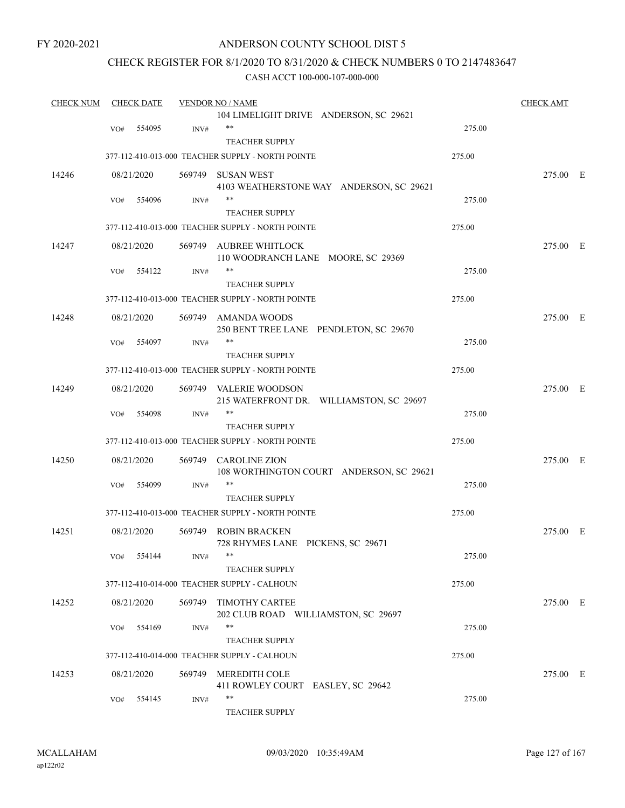# ANDERSON COUNTY SCHOOL DIST 5

# CHECK REGISTER FOR 8/1/2020 TO 8/31/2020 & CHECK NUMBERS 0 TO 2147483647

|                  | <b>CHECK DATE</b>        |                                                                                                                                                                              | <b>VENDOR NO / NAME</b>                  |                                                                                                                                                                                                                                                                                                                                                                                                                                                                                                                                                                                                                                                                                                                                                                                                                                                                                                                                                           | <b>CHECK AMT</b>                                                             |                                                          |
|------------------|--------------------------|------------------------------------------------------------------------------------------------------------------------------------------------------------------------------|------------------------------------------|-----------------------------------------------------------------------------------------------------------------------------------------------------------------------------------------------------------------------------------------------------------------------------------------------------------------------------------------------------------------------------------------------------------------------------------------------------------------------------------------------------------------------------------------------------------------------------------------------------------------------------------------------------------------------------------------------------------------------------------------------------------------------------------------------------------------------------------------------------------------------------------------------------------------------------------------------------------|------------------------------------------------------------------------------|----------------------------------------------------------|
|                  |                          |                                                                                                                                                                              | 104 LIMELIGHT DRIVE ANDERSON, SC 29621   |                                                                                                                                                                                                                                                                                                                                                                                                                                                                                                                                                                                                                                                                                                                                                                                                                                                                                                                                                           |                                                                              |                                                          |
| VO#              | 554095                   | INV#                                                                                                                                                                         | $***$                                    | 275.00                                                                                                                                                                                                                                                                                                                                                                                                                                                                                                                                                                                                                                                                                                                                                                                                                                                                                                                                                    |                                                                              |                                                          |
|                  |                          |                                                                                                                                                                              | <b>TEACHER SUPPLY</b>                    |                                                                                                                                                                                                                                                                                                                                                                                                                                                                                                                                                                                                                                                                                                                                                                                                                                                                                                                                                           |                                                                              |                                                          |
|                  |                          |                                                                                                                                                                              |                                          | 275.00                                                                                                                                                                                                                                                                                                                                                                                                                                                                                                                                                                                                                                                                                                                                                                                                                                                                                                                                                    |                                                                              |                                                          |
|                  |                          |                                                                                                                                                                              |                                          |                                                                                                                                                                                                                                                                                                                                                                                                                                                                                                                                                                                                                                                                                                                                                                                                                                                                                                                                                           | 275.00 E                                                                     |                                                          |
|                  |                          |                                                                                                                                                                              | 4103 WEATHERSTONE WAY ANDERSON, SC 29621 |                                                                                                                                                                                                                                                                                                                                                                                                                                                                                                                                                                                                                                                                                                                                                                                                                                                                                                                                                           |                                                                              |                                                          |
| VO#              | 554096                   | INV#                                                                                                                                                                         | $***$                                    | 275.00                                                                                                                                                                                                                                                                                                                                                                                                                                                                                                                                                                                                                                                                                                                                                                                                                                                                                                                                                    |                                                                              |                                                          |
|                  |                          |                                                                                                                                                                              | <b>TEACHER SUPPLY</b>                    |                                                                                                                                                                                                                                                                                                                                                                                                                                                                                                                                                                                                                                                                                                                                                                                                                                                                                                                                                           |                                                                              |                                                          |
|                  |                          |                                                                                                                                                                              |                                          | 275.00                                                                                                                                                                                                                                                                                                                                                                                                                                                                                                                                                                                                                                                                                                                                                                                                                                                                                                                                                    |                                                                              |                                                          |
|                  |                          |                                                                                                                                                                              |                                          |                                                                                                                                                                                                                                                                                                                                                                                                                                                                                                                                                                                                                                                                                                                                                                                                                                                                                                                                                           | 275.00 E                                                                     |                                                          |
|                  |                          |                                                                                                                                                                              | 110 WOODRANCH LANE MOORE, SC 29369       |                                                                                                                                                                                                                                                                                                                                                                                                                                                                                                                                                                                                                                                                                                                                                                                                                                                                                                                                                           |                                                                              |                                                          |
| VO#              | 554122                   | INV#                                                                                                                                                                         | $***$                                    | 275.00                                                                                                                                                                                                                                                                                                                                                                                                                                                                                                                                                                                                                                                                                                                                                                                                                                                                                                                                                    |                                                                              |                                                          |
|                  |                          |                                                                                                                                                                              | <b>TEACHER SUPPLY</b>                    |                                                                                                                                                                                                                                                                                                                                                                                                                                                                                                                                                                                                                                                                                                                                                                                                                                                                                                                                                           |                                                                              |                                                          |
|                  |                          |                                                                                                                                                                              |                                          | 275.00                                                                                                                                                                                                                                                                                                                                                                                                                                                                                                                                                                                                                                                                                                                                                                                                                                                                                                                                                    |                                                                              |                                                          |
|                  |                          |                                                                                                                                                                              |                                          |                                                                                                                                                                                                                                                                                                                                                                                                                                                                                                                                                                                                                                                                                                                                                                                                                                                                                                                                                           |                                                                              |                                                          |
|                  |                          |                                                                                                                                                                              |                                          |                                                                                                                                                                                                                                                                                                                                                                                                                                                                                                                                                                                                                                                                                                                                                                                                                                                                                                                                                           |                                                                              |                                                          |
|                  |                          |                                                                                                                                                                              | $***$                                    |                                                                                                                                                                                                                                                                                                                                                                                                                                                                                                                                                                                                                                                                                                                                                                                                                                                                                                                                                           |                                                                              |                                                          |
|                  |                          |                                                                                                                                                                              |                                          |                                                                                                                                                                                                                                                                                                                                                                                                                                                                                                                                                                                                                                                                                                                                                                                                                                                                                                                                                           |                                                                              |                                                          |
|                  |                          |                                                                                                                                                                              |                                          | 275.00                                                                                                                                                                                                                                                                                                                                                                                                                                                                                                                                                                                                                                                                                                                                                                                                                                                                                                                                                    |                                                                              |                                                          |
|                  |                          |                                                                                                                                                                              |                                          |                                                                                                                                                                                                                                                                                                                                                                                                                                                                                                                                                                                                                                                                                                                                                                                                                                                                                                                                                           |                                                                              |                                                          |
|                  |                          |                                                                                                                                                                              |                                          |                                                                                                                                                                                                                                                                                                                                                                                                                                                                                                                                                                                                                                                                                                                                                                                                                                                                                                                                                           |                                                                              |                                                          |
|                  |                          |                                                                                                                                                                              | $***$                                    |                                                                                                                                                                                                                                                                                                                                                                                                                                                                                                                                                                                                                                                                                                                                                                                                                                                                                                                                                           |                                                                              |                                                          |
|                  |                          |                                                                                                                                                                              |                                          |                                                                                                                                                                                                                                                                                                                                                                                                                                                                                                                                                                                                                                                                                                                                                                                                                                                                                                                                                           |                                                                              |                                                          |
|                  |                          |                                                                                                                                                                              |                                          |                                                                                                                                                                                                                                                                                                                                                                                                                                                                                                                                                                                                                                                                                                                                                                                                                                                                                                                                                           |                                                                              |                                                          |
|                  |                          |                                                                                                                                                                              |                                          |                                                                                                                                                                                                                                                                                                                                                                                                                                                                                                                                                                                                                                                                                                                                                                                                                                                                                                                                                           |                                                                              |                                                          |
|                  |                          |                                                                                                                                                                              |                                          |                                                                                                                                                                                                                                                                                                                                                                                                                                                                                                                                                                                                                                                                                                                                                                                                                                                                                                                                                           |                                                                              |                                                          |
|                  |                          |                                                                                                                                                                              |                                          |                                                                                                                                                                                                                                                                                                                                                                                                                                                                                                                                                                                                                                                                                                                                                                                                                                                                                                                                                           |                                                                              |                                                          |
|                  |                          |                                                                                                                                                                              |                                          |                                                                                                                                                                                                                                                                                                                                                                                                                                                                                                                                                                                                                                                                                                                                                                                                                                                                                                                                                           |                                                                              |                                                          |
|                  |                          |                                                                                                                                                                              |                                          |                                                                                                                                                                                                                                                                                                                                                                                                                                                                                                                                                                                                                                                                                                                                                                                                                                                                                                                                                           |                                                                              |                                                          |
|                  |                          |                                                                                                                                                                              |                                          |                                                                                                                                                                                                                                                                                                                                                                                                                                                                                                                                                                                                                                                                                                                                                                                                                                                                                                                                                           |                                                                              |                                                          |
|                  |                          |                                                                                                                                                                              | 728 RHYMES LANE PICKENS, SC 29671        |                                                                                                                                                                                                                                                                                                                                                                                                                                                                                                                                                                                                                                                                                                                                                                                                                                                                                                                                                           | 275.00 E                                                                     |                                                          |
|                  |                          | INV#                                                                                                                                                                         |                                          | 275.00                                                                                                                                                                                                                                                                                                                                                                                                                                                                                                                                                                                                                                                                                                                                                                                                                                                                                                                                                    |                                                                              |                                                          |
|                  |                          |                                                                                                                                                                              | <b>TEACHER SUPPLY</b>                    |                                                                                                                                                                                                                                                                                                                                                                                                                                                                                                                                                                                                                                                                                                                                                                                                                                                                                                                                                           |                                                                              |                                                          |
|                  |                          |                                                                                                                                                                              |                                          | 275.00                                                                                                                                                                                                                                                                                                                                                                                                                                                                                                                                                                                                                                                                                                                                                                                                                                                                                                                                                    |                                                                              |                                                          |
|                  |                          |                                                                                                                                                                              |                                          |                                                                                                                                                                                                                                                                                                                                                                                                                                                                                                                                                                                                                                                                                                                                                                                                                                                                                                                                                           |                                                                              |                                                          |
|                  |                          |                                                                                                                                                                              |                                          |                                                                                                                                                                                                                                                                                                                                                                                                                                                                                                                                                                                                                                                                                                                                                                                                                                                                                                                                                           |                                                                              |                                                          |
| VO#              |                          | INV#                                                                                                                                                                         | $***$                                    |                                                                                                                                                                                                                                                                                                                                                                                                                                                                                                                                                                                                                                                                                                                                                                                                                                                                                                                                                           |                                                                              |                                                          |
|                  |                          |                                                                                                                                                                              | <b>TEACHER SUPPLY</b>                    |                                                                                                                                                                                                                                                                                                                                                                                                                                                                                                                                                                                                                                                                                                                                                                                                                                                                                                                                                           |                                                                              |                                                          |
|                  |                          |                                                                                                                                                                              |                                          |                                                                                                                                                                                                                                                                                                                                                                                                                                                                                                                                                                                                                                                                                                                                                                                                                                                                                                                                                           |                                                                              |                                                          |
|                  |                          |                                                                                                                                                                              |                                          |                                                                                                                                                                                                                                                                                                                                                                                                                                                                                                                                                                                                                                                                                                                                                                                                                                                                                                                                                           |                                                                              |                                                          |
|                  |                          |                                                                                                                                                                              |                                          |                                                                                                                                                                                                                                                                                                                                                                                                                                                                                                                                                                                                                                                                                                                                                                                                                                                                                                                                                           |                                                                              |                                                          |
|                  |                          |                                                                                                                                                                              | **                                       |                                                                                                                                                                                                                                                                                                                                                                                                                                                                                                                                                                                                                                                                                                                                                                                                                                                                                                                                                           |                                                                              |                                                          |
|                  |                          |                                                                                                                                                                              |                                          |                                                                                                                                                                                                                                                                                                                                                                                                                                                                                                                                                                                                                                                                                                                                                                                                                                                                                                                                                           |                                                                              |                                                          |
| <b>CHECK NUM</b> | VO#<br>VO#<br>VO#<br>VO# | 08/21/2020<br>08/21/2020<br>08/21/2020<br>554097<br>08/21/2020<br>554098<br>08/21/2020<br>554099<br>08/21/2020<br>VO# 554144<br>08/21/2020<br>554169<br>08/21/2020<br>554145 | INV#<br>INV#<br>$\text{INV}\#$<br>INV#   | 377-112-410-013-000 TEACHER SUPPLY - NORTH POINTE<br>569749 SUSAN WEST<br>377-112-410-013-000 TEACHER SUPPLY - NORTH POINTE<br>569749 AUBREE WHITLOCK<br>377-112-410-013-000 TEACHER SUPPLY - NORTH POINTE<br>569749 AMANDA WOODS<br>250 BENT TREE LANE PENDLETON, SC 29670<br><b>TEACHER SUPPLY</b><br>377-112-410-013-000 TEACHER SUPPLY - NORTH POINTE<br>569749 VALERIE WOODSON<br>215 WATERFRONT DR. WILLIAMSTON, SC 29697<br><b>TEACHER SUPPLY</b><br>377-112-410-013-000 TEACHER SUPPLY - NORTH POINTE<br>569749<br><b>CAROLINE ZION</b><br>108 WORTHINGTON COURT ANDERSON, SC 29621<br>$***$<br><b>TEACHER SUPPLY</b><br>377-112-410-013-000 TEACHER SUPPLY - NORTH POINTE<br>569749 ROBIN BRACKEN<br>377-112-410-014-000 TEACHER SUPPLY - CALHOUN<br>569749 TIMOTHY CARTEE<br>202 CLUB ROAD WILLIAMSTON, SC 29697<br>377-112-410-014-000 TEACHER SUPPLY - CALHOUN<br>569749 MEREDITH COLE<br>411 ROWLEY COURT EASLEY, SC 29642<br>TEACHER SUPPLY | 275.00<br>275.00<br>275.00<br>275.00<br>275.00<br>275.00<br>275.00<br>275.00 | 275.00 E<br>275.00 E<br>275.00 E<br>275.00 E<br>275.00 E |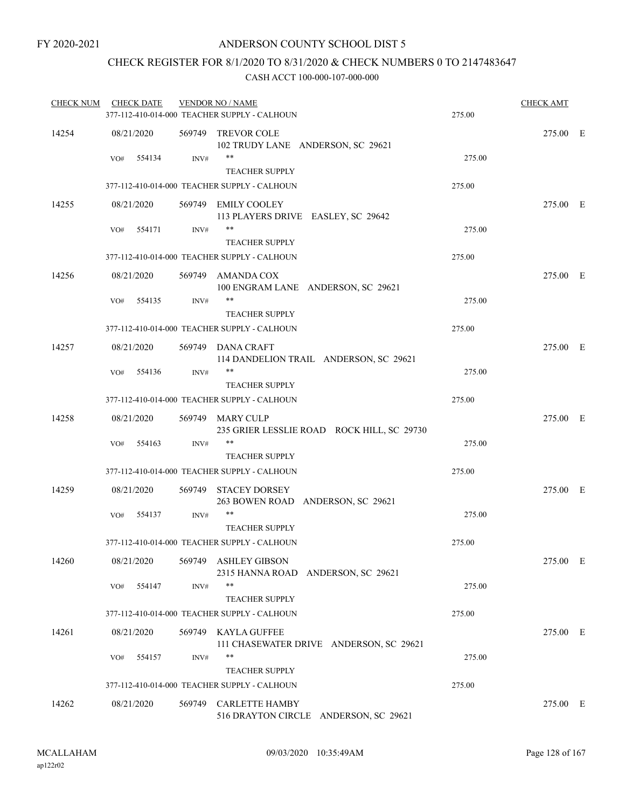# CHECK REGISTER FOR 8/1/2020 TO 8/31/2020 & CHECK NUMBERS 0 TO 2147483647

| <b>CHECK NUM</b> | <b>CHECK DATE</b> |                | <b>VENDOR NO / NAME</b><br>377-112-410-014-000 TEACHER SUPPLY - CALHOUN | 275.00 | <b>CHECK AMT</b> |  |
|------------------|-------------------|----------------|-------------------------------------------------------------------------|--------|------------------|--|
|                  |                   |                |                                                                         |        |                  |  |
| 14254            | 08/21/2020        |                | 569749 TREVOR COLE<br>102 TRUDY LANE ANDERSON, SC 29621                 |        | 275.00 E         |  |
|                  | 554134<br>VO#     | INV#           | **<br><b>TEACHER SUPPLY</b>                                             | 275.00 |                  |  |
|                  |                   |                | 377-112-410-014-000 TEACHER SUPPLY - CALHOUN                            | 275.00 |                  |  |
| 14255            | 08/21/2020        |                | 569749 EMILY COOLEY<br>113 PLAYERS DRIVE EASLEY, SC 29642               |        | 275.00 E         |  |
|                  | 554171<br>VO#     | INV#           | **<br><b>TEACHER SUPPLY</b>                                             | 275.00 |                  |  |
|                  |                   |                | 377-112-410-014-000 TEACHER SUPPLY - CALHOUN                            | 275.00 |                  |  |
|                  |                   |                |                                                                         |        |                  |  |
| 14256            | 08/21/2020        |                | 569749 AMANDA COX<br>100 ENGRAM LANE ANDERSON, SC 29621                 |        | 275.00 E         |  |
|                  | 554135<br>VO#     | INV#           | **<br><b>TEACHER SUPPLY</b>                                             | 275.00 |                  |  |
|                  |                   |                | 377-112-410-014-000 TEACHER SUPPLY - CALHOUN                            | 275.00 |                  |  |
| 14257            | 08/21/2020        |                | 569749 DANA CRAFT<br>114 DANDELION TRAIL ANDERSON, SC 29621             |        | 275.00 E         |  |
|                  | 554136<br>VO#     | INV#           | $***$                                                                   | 275.00 |                  |  |
|                  |                   |                | <b>TEACHER SUPPLY</b>                                                   |        |                  |  |
|                  |                   |                | 377-112-410-014-000 TEACHER SUPPLY - CALHOUN                            | 275.00 |                  |  |
| 14258            | 08/21/2020        |                | 569749 MARY CULP<br>235 GRIER LESSLIE ROAD ROCK HILL, SC 29730          |        | 275.00 E         |  |
|                  | 554163<br>VO#     | $\text{INV}\#$ | **<br><b>TEACHER SUPPLY</b>                                             | 275.00 |                  |  |
|                  |                   |                | 377-112-410-014-000 TEACHER SUPPLY - CALHOUN                            | 275.00 |                  |  |
| 14259            | 08/21/2020        |                | 569749 STACEY DORSEY<br>263 BOWEN ROAD ANDERSON, SC 29621               |        | 275.00 E         |  |
|                  | VO#<br>554137     | INV#           | **<br><b>TEACHER SUPPLY</b>                                             | 275.00 |                  |  |
|                  |                   |                | 377-112-410-014-000 TEACHER SUPPLY - CALHOUN                            | 275.00 |                  |  |
| 14260            | 08/21/2020        |                | 569749 ASHLEY GIBSON                                                    |        | 275.00 E         |  |
|                  | 554147<br>VO#     | INV#           | 2315 HANNA ROAD ANDERSON, SC 29621<br>**                                | 275.00 |                  |  |
|                  |                   |                | <b>TEACHER SUPPLY</b>                                                   |        |                  |  |
|                  |                   |                | 377-112-410-014-000 TEACHER SUPPLY - CALHOUN                            | 275.00 |                  |  |
| 14261            | 08/21/2020        |                | 569749 KAYLA GUFFEE<br>111 CHASEWATER DRIVE ANDERSON, SC 29621          |        | 275.00 E         |  |
|                  | 554157<br>VO#     | INV#           | **                                                                      | 275.00 |                  |  |
|                  |                   |                | <b>TEACHER SUPPLY</b>                                                   |        |                  |  |
|                  |                   |                | 377-112-410-014-000 TEACHER SUPPLY - CALHOUN                            | 275.00 |                  |  |
| 14262            | 08/21/2020        |                | 569749 CARLETTE HAMBY<br>516 DRAYTON CIRCLE ANDERSON, SC 29621          |        | 275.00 E         |  |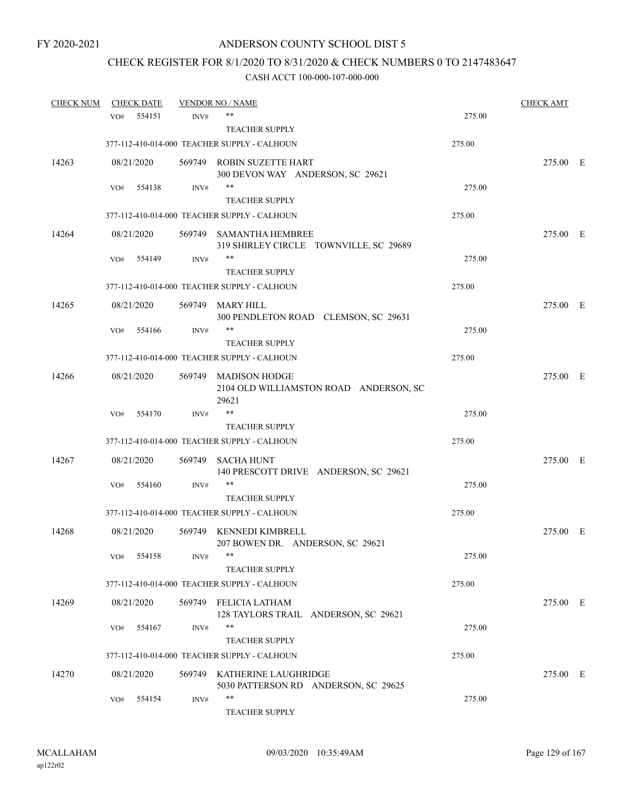# CHECK REGISTER FOR 8/1/2020 TO 8/31/2020 & CHECK NUMBERS 0 TO 2147483647

| <b>CHECK NUM</b> |     | <b>CHECK DATE</b> |        | <b>VENDOR NO / NAME</b>                                                 |        | <b>CHECK AMT</b> |  |
|------------------|-----|-------------------|--------|-------------------------------------------------------------------------|--------|------------------|--|
|                  | VO# | 554151            | INV#   | **                                                                      | 275.00 |                  |  |
|                  |     |                   |        | <b>TEACHER SUPPLY</b>                                                   |        |                  |  |
|                  |     |                   |        | 377-112-410-014-000 TEACHER SUPPLY - CALHOUN                            | 275.00 |                  |  |
| 14263            |     | 08/21/2020        |        | 569749 ROBIN SUZETTE HART<br>300 DEVON WAY ANDERSON, SC 29621           |        | 275.00 E         |  |
|                  | VO# | 554138            | INV#   | **                                                                      | 275.00 |                  |  |
|                  |     |                   |        | <b>TEACHER SUPPLY</b>                                                   |        |                  |  |
|                  |     |                   |        | 377-112-410-014-000 TEACHER SUPPLY - CALHOUN                            | 275.00 |                  |  |
| 14264            |     | 08/21/2020        |        | 569749 SAMANTHA HEMBREE<br>319 SHIRLEY CIRCLE TOWNVILLE, SC 29689       |        | 275.00 E         |  |
|                  | VO# | 554149            | INV#   | **                                                                      | 275.00 |                  |  |
|                  |     |                   |        | <b>TEACHER SUPPLY</b>                                                   |        |                  |  |
|                  |     |                   |        | 377-112-410-014-000 TEACHER SUPPLY - CALHOUN                            | 275.00 |                  |  |
| 14265            |     | 08/21/2020        |        | 569749 MARY HILL<br>300 PENDLETON ROAD CLEMSON, SC 29631                |        | 275.00 E         |  |
|                  | VO# | 554166            | INV#   | **                                                                      | 275.00 |                  |  |
|                  |     |                   |        | <b>TEACHER SUPPLY</b>                                                   |        |                  |  |
|                  |     |                   |        | 377-112-410-014-000 TEACHER SUPPLY - CALHOUN                            | 275.00 |                  |  |
| 14266            |     | 08/21/2020        |        | 569749 MADISON HODGE<br>2104 OLD WILLIAMSTON ROAD ANDERSON, SC<br>29621 |        | 275.00 E         |  |
|                  | VO# | 554170            | INV#   | **                                                                      | 275.00 |                  |  |
|                  |     |                   |        | <b>TEACHER SUPPLY</b>                                                   |        |                  |  |
|                  |     |                   |        | 377-112-410-014-000 TEACHER SUPPLY - CALHOUN                            | 275.00 |                  |  |
| 14267            |     | 08/21/2020        | 569749 | SACHA HUNT<br>140 PRESCOTT DRIVE ANDERSON, SC 29621                     |        | 275.00 E         |  |
|                  | VO# | 554160            | INV#   | **                                                                      | 275.00 |                  |  |
|                  |     |                   |        | <b>TEACHER SUPPLY</b>                                                   |        |                  |  |
|                  |     |                   |        | 377-112-410-014-000 TEACHER SUPPLY - CALHOUN                            | 275.00 |                  |  |
| 14268            |     | 08/21/2020        |        | 569749 KENNEDI KIMBRELL<br>207 BOWEN DR. ANDERSON, SC 29621             |        | 275.00 E         |  |
|                  |     | VO# 554158        | INV#   | <b>TEACHER SUPPLY</b>                                                   | 275.00 |                  |  |
|                  |     |                   |        | 377-112-410-014-000 TEACHER SUPPLY - CALHOUN                            | 275.00 |                  |  |
| 14269            |     | 08/21/2020        |        | 569749 FELICIA LATHAM<br>128 TAYLORS TRAIL ANDERSON, SC 29621           |        | 275.00 E         |  |
|                  | VO# | 554167            | INV#   | **<br><b>TEACHER SUPPLY</b>                                             | 275.00 |                  |  |
|                  |     |                   |        | 377-112-410-014-000 TEACHER SUPPLY - CALHOUN                            | 275.00 |                  |  |
| 14270            |     | 08/21/2020        |        | 569749 KATHERINE LAUGHRIDGE<br>5030 PATTERSON RD ANDERSON, SC 29625     |        | 275.00 E         |  |
|                  | VO# | 554154            | INV#   | **<br><b>TEACHER SUPPLY</b>                                             | 275.00 |                  |  |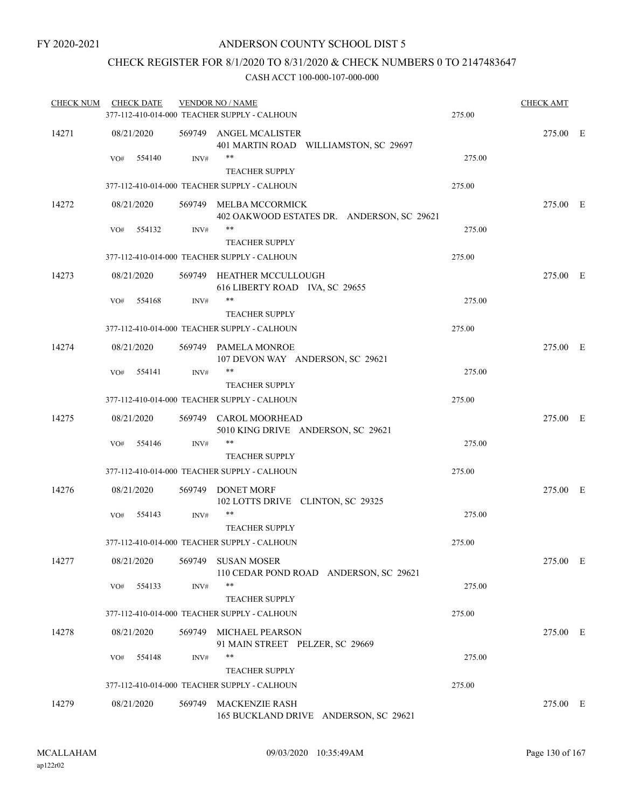# CHECK REGISTER FOR 8/1/2020 TO 8/31/2020 & CHECK NUMBERS 0 TO 2147483647

| <b>CHECK NUM</b> |     | <b>CHECK DATE</b> |        | <b>VENDOR NO / NAME</b>                                              |        | <b>CHECK AMT</b> |  |
|------------------|-----|-------------------|--------|----------------------------------------------------------------------|--------|------------------|--|
|                  |     |                   |        | 377-112-410-014-000 TEACHER SUPPLY - CALHOUN                         | 275.00 |                  |  |
| 14271            |     | 08/21/2020        |        | 569749 ANGEL MCALISTER<br>401 MARTIN ROAD WILLIAMSTON, SC 29697      |        | 275.00 E         |  |
|                  | VO# | 554140            | INV#   | **<br><b>TEACHER SUPPLY</b>                                          | 275.00 |                  |  |
|                  |     |                   |        | 377-112-410-014-000 TEACHER SUPPLY - CALHOUN                         | 275.00 |                  |  |
| 14272            |     | 08/21/2020        |        | 569749 MELBA MCCORMICK<br>402 OAKWOOD ESTATES DR. ANDERSON, SC 29621 |        | 275.00 E         |  |
|                  | VO# | 554132            | INV#   | **<br><b>TEACHER SUPPLY</b>                                          | 275.00 |                  |  |
|                  |     |                   |        | 377-112-410-014-000 TEACHER SUPPLY - CALHOUN                         | 275.00 |                  |  |
| 14273            |     | 08/21/2020        |        | 569749 HEATHER MCCULLOUGH<br>616 LIBERTY ROAD IVA, SC 29655          |        | 275.00 E         |  |
|                  | VO# | 554168            | INV#   | **<br><b>TEACHER SUPPLY</b>                                          | 275.00 |                  |  |
|                  |     |                   |        | 377-112-410-014-000 TEACHER SUPPLY - CALHOUN                         | 275.00 |                  |  |
| 14274            |     | 08/21/2020        |        | 569749 PAMELA MONROE<br>107 DEVON WAY ANDERSON, SC 29621             |        | 275.00 E         |  |
|                  | VO# | 554141            | INV#   | **<br><b>TEACHER SUPPLY</b>                                          | 275.00 |                  |  |
|                  |     |                   |        | 377-112-410-014-000 TEACHER SUPPLY - CALHOUN                         | 275.00 |                  |  |
| 14275            |     | 08/21/2020        |        | 569749 CAROL MOORHEAD<br>5010 KING DRIVE ANDERSON, SC 29621          |        | 275.00 E         |  |
|                  | VO# | 554146            | INV#   | **<br><b>TEACHER SUPPLY</b>                                          | 275.00 |                  |  |
|                  |     |                   |        | 377-112-410-014-000 TEACHER SUPPLY - CALHOUN                         | 275.00 |                  |  |
| 14276            |     | 08/21/2020        |        | 569749 DONET MORF<br>102 LOTTS DRIVE CLINTON, SC 29325               |        | 275.00 E         |  |
|                  | VO# | 554143            | INV#   | **<br><b>TEACHER SUPPLY</b>                                          | 275.00 |                  |  |
|                  |     |                   |        | 377-112-410-014-000 TEACHER SUPPLY - CALHOUN                         | 275.00 |                  |  |
| 14277            |     | 08/21/2020        |        | 569749 SUSAN MOSER<br>110 CEDAR POND ROAD ANDERSON, SC 29621         |        | 275.00 E         |  |
|                  | VO# | 554133            | INV#   | **<br><b>TEACHER SUPPLY</b>                                          | 275.00 |                  |  |
|                  |     |                   |        | 377-112-410-014-000 TEACHER SUPPLY - CALHOUN                         | 275.00 |                  |  |
| 14278            |     | 08/21/2020        |        | 569749 MICHAEL PEARSON<br>91 MAIN STREET PELZER, SC 29669            |        | 275.00 E         |  |
|                  | VO# | 554148            | INV#   | **<br><b>TEACHER SUPPLY</b>                                          | 275.00 |                  |  |
|                  |     |                   |        | 377-112-410-014-000 TEACHER SUPPLY - CALHOUN                         | 275.00 |                  |  |
| 14279            |     | 08/21/2020        | 569749 | <b>MACKENZIE RASH</b><br>165 BUCKLAND DRIVE ANDERSON, SC 29621       |        | 275.00 E         |  |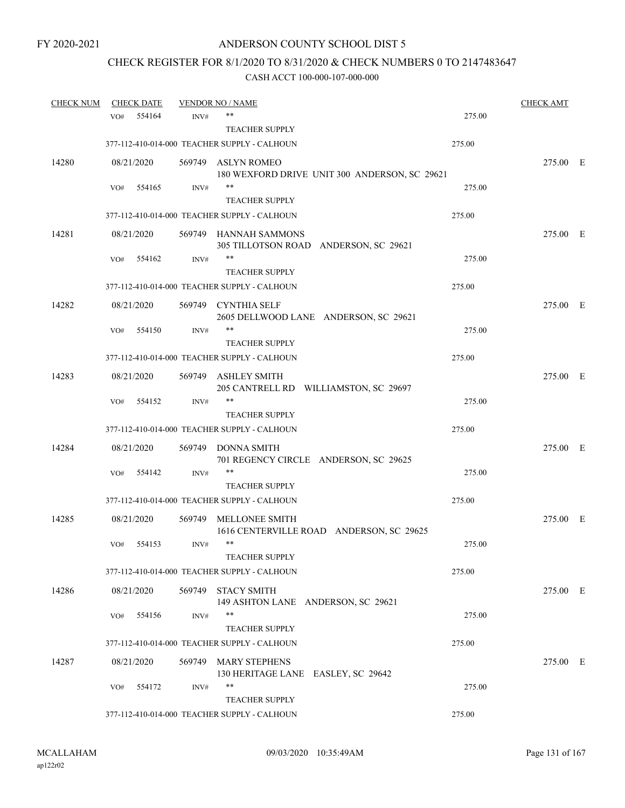# CHECK REGISTER FOR 8/1/2020 TO 8/31/2020 & CHECK NUMBERS 0 TO 2147483647

| <b>CHECK NUM</b> |            | <b>CHECK DATE</b> |        | <b>VENDOR NO / NAME</b>                                             |        | <b>CHECK AMT</b> |  |
|------------------|------------|-------------------|--------|---------------------------------------------------------------------|--------|------------------|--|
|                  | VO#        | 554164            | INV#   | $***$                                                               | 275.00 |                  |  |
|                  |            |                   |        | <b>TEACHER SUPPLY</b>                                               |        |                  |  |
|                  |            |                   |        | 377-112-410-014-000 TEACHER SUPPLY - CALHOUN                        | 275.00 |                  |  |
| 14280            | 08/21/2020 |                   |        | 569749 ASLYN ROMEO<br>180 WEXFORD DRIVE UNIT 300 ANDERSON, SC 29621 |        | 275.00 E         |  |
|                  | VO#        | 554165            | INV#   | $***$                                                               | 275.00 |                  |  |
|                  |            |                   |        | <b>TEACHER SUPPLY</b>                                               |        |                  |  |
|                  |            |                   |        | 377-112-410-014-000 TEACHER SUPPLY - CALHOUN                        | 275.00 |                  |  |
| 14281            | 08/21/2020 |                   |        | 569749 HANNAH SAMMONS<br>305 TILLOTSON ROAD ANDERSON, SC 29621      |        | 275.00 E         |  |
|                  | VO#        | 554162            | INV#   | $***$                                                               | 275.00 |                  |  |
|                  |            |                   |        | <b>TEACHER SUPPLY</b>                                               |        |                  |  |
|                  |            |                   |        | 377-112-410-014-000 TEACHER SUPPLY - CALHOUN                        | 275.00 |                  |  |
| 14282            | 08/21/2020 |                   |        | 569749 CYNTHIA SELF<br>2605 DELLWOOD LANE ANDERSON, SC 29621        |        | 275.00 E         |  |
|                  | VO#        | 554150            | INV#   | $***$                                                               | 275.00 |                  |  |
|                  |            |                   |        | <b>TEACHER SUPPLY</b>                                               |        |                  |  |
|                  |            |                   |        | 377-112-410-014-000 TEACHER SUPPLY - CALHOUN                        | 275.00 |                  |  |
| 14283            | 08/21/2020 |                   | 569749 | ASHLEY SMITH<br>205 CANTRELL RD WILLIAMSTON, SC 29697               |        | 275.00 E         |  |
|                  | VO#        | 554152            | INV#   | $***$                                                               | 275.00 |                  |  |
|                  |            |                   |        | <b>TEACHER SUPPLY</b>                                               |        |                  |  |
|                  |            |                   |        | 377-112-410-014-000 TEACHER SUPPLY - CALHOUN                        | 275.00 |                  |  |
| 14284            | 08/21/2020 |                   | 569749 | DONNA SMITH<br>701 REGENCY CIRCLE ANDERSON, SC 29625                |        | 275.00 E         |  |
|                  | VO#        | 554142            | INV#   | $***$                                                               | 275.00 |                  |  |
|                  |            |                   |        | <b>TEACHER SUPPLY</b>                                               |        |                  |  |
|                  |            |                   |        | 377-112-410-014-000 TEACHER SUPPLY - CALHOUN                        | 275.00 |                  |  |
| 14285            | 08/21/2020 |                   |        | 569749 MELLONEE SMITH<br>1616 CENTERVILLE ROAD ANDERSON, SC 29625   |        | 275.00 E         |  |
|                  | VO#        | 554153            | INV#   | $***$                                                               | 275.00 |                  |  |
|                  |            |                   |        | TEACHER SUPPLY                                                      |        |                  |  |
|                  |            |                   |        | 377-112-410-014-000 TEACHER SUPPLY - CALHOUN                        | 275.00 |                  |  |
| 14286            | 08/21/2020 |                   | 569749 | <b>STACY SMITH</b><br>149 ASHTON LANE ANDERSON, SC 29621            |        | 275.00 E         |  |
|                  | VO#        | 554156            | INV#   | $***$                                                               | 275.00 |                  |  |
|                  |            |                   |        | <b>TEACHER SUPPLY</b>                                               |        |                  |  |
|                  |            |                   |        | 377-112-410-014-000 TEACHER SUPPLY - CALHOUN                        | 275.00 |                  |  |
| 14287            | 08/21/2020 |                   | 569749 | <b>MARY STEPHENS</b><br>130 HERITAGE LANE EASLEY, SC 29642          |        | 275.00 E         |  |
|                  | VO#        | 554172            | INV#   | $***$                                                               | 275.00 |                  |  |
|                  |            |                   |        | <b>TEACHER SUPPLY</b>                                               |        |                  |  |
|                  |            |                   |        | 377-112-410-014-000 TEACHER SUPPLY - CALHOUN                        | 275.00 |                  |  |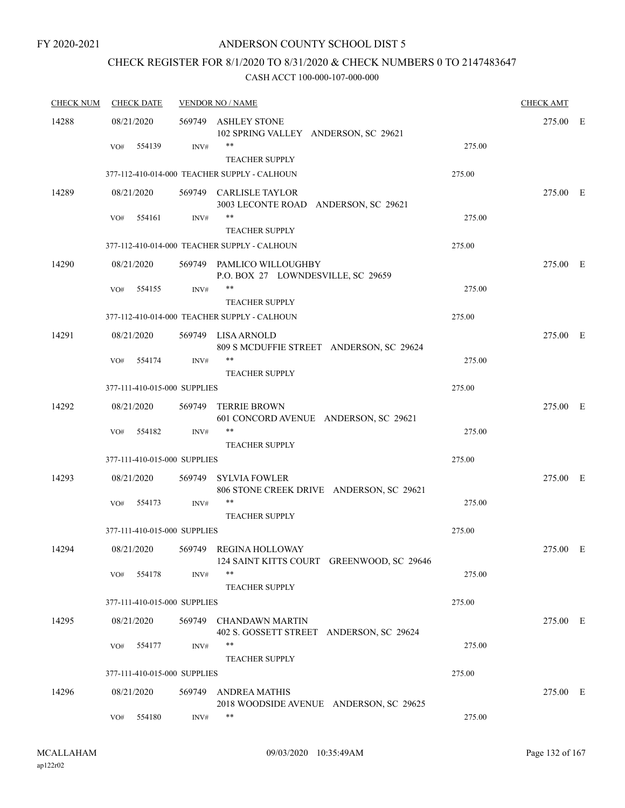# ANDERSON COUNTY SCHOOL DIST 5

# CHECK REGISTER FOR 8/1/2020 TO 8/31/2020 & CHECK NUMBERS 0 TO 2147483647

| <b>CHECK NUM</b> | <b>CHECK DATE</b>            |        | <b>VENDOR NO / NAME</b>                                             |        | <b>CHECK AMT</b> |  |
|------------------|------------------------------|--------|---------------------------------------------------------------------|--------|------------------|--|
| 14288            | 08/21/2020                   |        | 569749 ASHLEY STONE<br>102 SPRING VALLEY ANDERSON, SC 29621         |        | 275.00 E         |  |
|                  | 554139<br>VO#                | INV#   | **<br><b>TEACHER SUPPLY</b>                                         | 275.00 |                  |  |
|                  |                              |        | 377-112-410-014-000 TEACHER SUPPLY - CALHOUN                        | 275.00 |                  |  |
| 14289            | 08/21/2020                   |        | 569749 CARLISLE TAYLOR<br>3003 LECONTE ROAD ANDERSON, SC 29621      |        | 275.00 E         |  |
|                  | 554161<br>VO#                | INV#   | **<br><b>TEACHER SUPPLY</b>                                         | 275.00 |                  |  |
|                  |                              |        | 377-112-410-014-000 TEACHER SUPPLY - CALHOUN                        | 275.00 |                  |  |
| 14290            | 08/21/2020                   |        | 569749 PAMLICO WILLOUGHBY<br>P.O. BOX 27 LOWNDESVILLE, SC 29659     |        | 275.00 E         |  |
|                  | VO#<br>554155                | INV#   | <b>TEACHER SUPPLY</b>                                               | 275.00 |                  |  |
|                  |                              |        | 377-112-410-014-000 TEACHER SUPPLY - CALHOUN                        | 275.00 |                  |  |
| 14291            | 08/21/2020                   |        | 569749 LISA ARNOLD<br>809 S MCDUFFIE STREET ANDERSON, SC 29624      |        | 275.00 E         |  |
|                  | 554174<br>VO#                | INV#   | $***$<br><b>TEACHER SUPPLY</b>                                      | 275.00 |                  |  |
|                  | 377-111-410-015-000 SUPPLIES |        |                                                                     | 275.00 |                  |  |
| 14292            | 08/21/2020                   | 569749 | <b>TERRIE BROWN</b><br>601 CONCORD AVENUE ANDERSON, SC 29621        |        | 275.00 E         |  |
|                  | 554182<br>VO#                | INV#   | $***$<br><b>TEACHER SUPPLY</b>                                      | 275.00 |                  |  |
|                  | 377-111-410-015-000 SUPPLIES |        |                                                                     | 275.00 |                  |  |
| 14293            | 08/21/2020                   | 569749 | <b>SYLVIA FOWLER</b><br>806 STONE CREEK DRIVE ANDERSON, SC 29621    |        | 275.00 E         |  |
|                  | 554173<br>VO#                | INV#   | **<br><b>TEACHER SUPPLY</b>                                         | 275.00 |                  |  |
|                  | 377-111-410-015-000 SUPPLIES |        |                                                                     | 275.00 |                  |  |
| 14294            | 08/21/2020                   |        | 569749 REGINA HOLLOWAY<br>124 SAINT KITTS COURT GREENWOOD, SC 29646 |        | 275.00 E         |  |
|                  | 554178<br>VO#                | INV#   | **<br><b>TEACHER SUPPLY</b>                                         | 275.00 |                  |  |
|                  | 377-111-410-015-000 SUPPLIES |        |                                                                     | 275.00 |                  |  |
| 14295            | 08/21/2020                   | 569749 | <b>CHANDAWN MARTIN</b><br>402 S. GOSSETT STREET ANDERSON, SC 29624  |        | 275.00 E         |  |
|                  | 554177<br>VO#                | INV#   | **<br><b>TEACHER SUPPLY</b>                                         | 275.00 |                  |  |
|                  | 377-111-410-015-000 SUPPLIES |        |                                                                     | 275.00 |                  |  |
| 14296            | 08/21/2020                   | 569749 | <b>ANDREA MATHIS</b><br>2018 WOODSIDE AVENUE ANDERSON, SC 29625     |        | 275.00 E         |  |
|                  | 554180<br>VO#                | INV#   | **                                                                  | 275.00 |                  |  |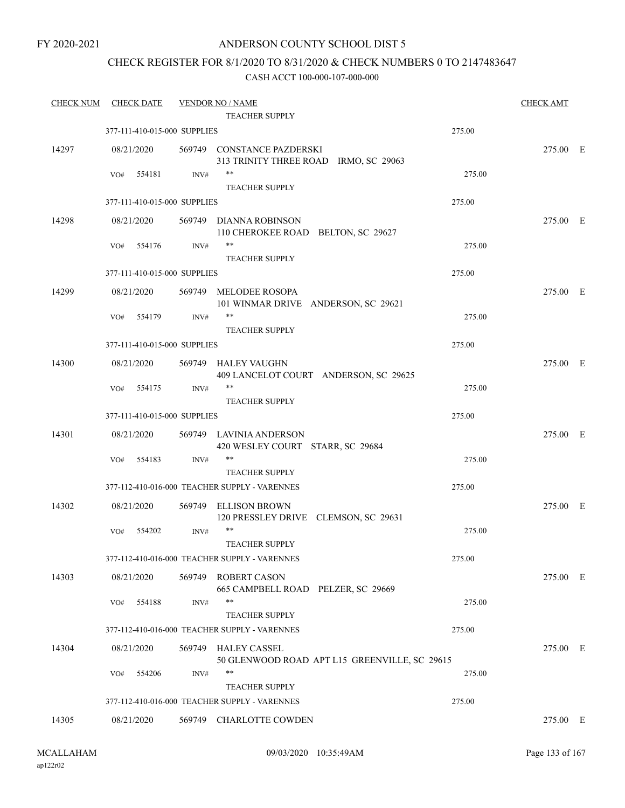# ANDERSON COUNTY SCHOOL DIST 5

# CHECK REGISTER FOR 8/1/2020 TO 8/31/2020 & CHECK NUMBERS 0 TO 2147483647

| <b>CHECK NUM</b> | <b>CHECK DATE</b>            |        | <b>VENDOR NO / NAME</b>                                             |                                               | <b>CHECK AMT</b> |  |
|------------------|------------------------------|--------|---------------------------------------------------------------------|-----------------------------------------------|------------------|--|
|                  |                              |        | TEACHER SUPPLY                                                      |                                               |                  |  |
|                  | 377-111-410-015-000 SUPPLIES |        |                                                                     | 275.00                                        |                  |  |
| 14297            | 08/21/2020                   |        | 569749 CONSTANCE PAZDERSKI<br>313 TRINITY THREE ROAD IRMO, SC 29063 |                                               | 275.00 E         |  |
|                  | 554181<br>VO#                | INV#   | $***$                                                               | 275.00                                        |                  |  |
|                  |                              |        | <b>TEACHER SUPPLY</b>                                               |                                               |                  |  |
|                  | 377-111-410-015-000 SUPPLIES |        |                                                                     | 275.00                                        |                  |  |
| 14298            | 08/21/2020                   |        | 569749 DIANNA ROBINSON<br>110 CHEROKEE ROAD BELTON, SC 29627        |                                               | 275.00 E         |  |
|                  | 554176<br>VO#                | INV#   | **<br><b>TEACHER SUPPLY</b>                                         | 275.00                                        |                  |  |
|                  | 377-111-410-015-000 SUPPLIES |        |                                                                     | 275.00                                        |                  |  |
| 14299            | 08/21/2020                   |        | 569749 MELODEE ROSOPA                                               |                                               | 275.00 E         |  |
|                  |                              |        | 101 WINMAR DRIVE ANDERSON, SC 29621                                 |                                               |                  |  |
|                  | 554179<br>VO#                | INV#   | $***$                                                               | 275.00                                        |                  |  |
|                  |                              |        | <b>TEACHER SUPPLY</b>                                               |                                               |                  |  |
|                  | 377-111-410-015-000 SUPPLIES |        |                                                                     | 275.00                                        |                  |  |
| 14300            | 08/21/2020                   | 569749 | HALEY VAUGHN<br>409 LANCELOT COURT ANDERSON, SC 29625               |                                               | 275.00 E         |  |
|                  | 554175<br>VO#                | INV#   | $***$                                                               | 275.00                                        |                  |  |
|                  |                              |        | <b>TEACHER SUPPLY</b>                                               |                                               |                  |  |
|                  | 377-111-410-015-000 SUPPLIES |        |                                                                     | 275.00                                        |                  |  |
| 14301            | 08/21/2020                   |        | 569749 LAVINIA ANDERSON<br>420 WESLEY COURT STARR, SC 29684         |                                               | 275.00 E         |  |
|                  | 554183<br>VO#                | INV#   | $***$                                                               | 275.00                                        |                  |  |
|                  |                              |        | <b>TEACHER SUPPLY</b>                                               |                                               |                  |  |
|                  |                              |        | 377-112-410-016-000 TEACHER SUPPLY - VARENNES                       | 275.00                                        |                  |  |
| 14302            | 08/21/2020                   |        | 569749 ELLISON BROWN<br>120 PRESSLEY DRIVE CLEMSON, SC 29631        |                                               | 275.00 E         |  |
|                  | VO#<br>554202                | INV#   | $***$<br><b>TEACHER SUPPLY</b>                                      | 275.00                                        |                  |  |
|                  |                              |        | 377-112-410-016-000 TEACHER SUPPLY - VARENNES                       | 275.00                                        |                  |  |
| 14303            | 08/21/2020                   | 569749 | <b>ROBERT CASON</b><br>665 CAMPBELL ROAD PELZER, SC 29669           |                                               | 275.00 E         |  |
|                  | 554188<br>VO#                | INV#   | $***$<br><b>TEACHER SUPPLY</b>                                      | 275.00                                        |                  |  |
|                  |                              |        | 377-112-410-016-000 TEACHER SUPPLY - VARENNES                       | 275.00                                        |                  |  |
| 14304            | 08/21/2020                   |        | 569749 HALEY CASSEL                                                 | 50 GLENWOOD ROAD APT L15 GREENVILLE, SC 29615 | 275.00 E         |  |
|                  | 554206<br>VO#                | INV#   | $***$<br><b>TEACHER SUPPLY</b>                                      | 275.00                                        |                  |  |
|                  |                              |        | 377-112-410-016-000 TEACHER SUPPLY - VARENNES                       | 275.00                                        |                  |  |
| 14305            | 08/21/2020                   |        | 569749 CHARLOTTE COWDEN                                             |                                               | 275.00 E         |  |
|                  |                              |        |                                                                     |                                               |                  |  |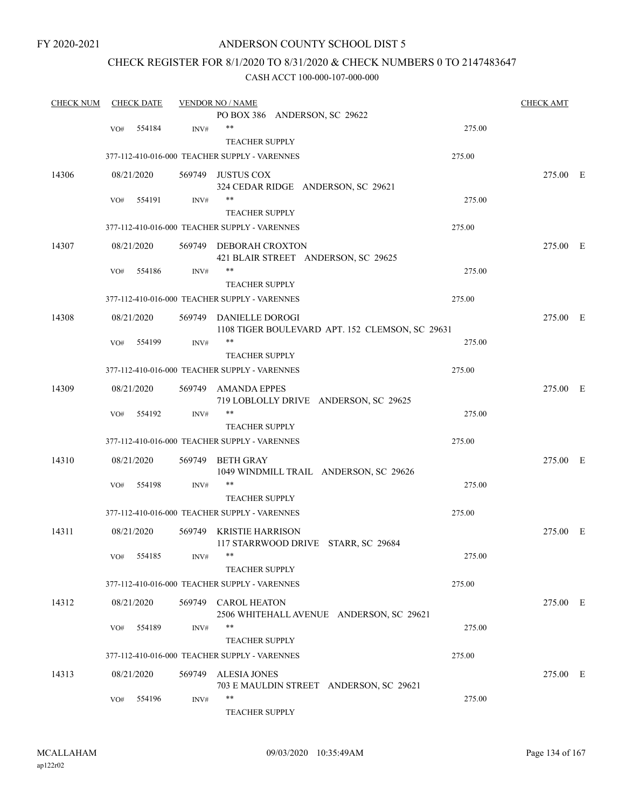# ANDERSON COUNTY SCHOOL DIST 5

# CHECK REGISTER FOR 8/1/2020 TO 8/31/2020 & CHECK NUMBERS 0 TO 2147483647

| <b>CHECK NUM</b> |     | <b>CHECK DATE</b> |                | <b>VENDOR NO / NAME</b>                                 | <b>CHECK AMT</b> |  |
|------------------|-----|-------------------|----------------|---------------------------------------------------------|------------------|--|
|                  |     |                   |                | PO BOX 386 ANDERSON, SC 29622                           |                  |  |
|                  | VO# | 554184            | INV#           | $***$<br>275.00                                         |                  |  |
|                  |     |                   |                | <b>TEACHER SUPPLY</b>                                   |                  |  |
|                  |     |                   |                | 377-112-410-016-000 TEACHER SUPPLY - VARENNES<br>275.00 |                  |  |
| 14306            |     | 08/21/2020        |                | 569749 JUSTUS COX                                       | 275.00 E         |  |
|                  |     |                   |                | 324 CEDAR RIDGE ANDERSON, SC 29621                      |                  |  |
|                  | VO# | 554191            | INV#           | $***$<br>275.00                                         |                  |  |
|                  |     |                   |                | <b>TEACHER SUPPLY</b>                                   |                  |  |
|                  |     |                   |                | 377-112-410-016-000 TEACHER SUPPLY - VARENNES<br>275.00 |                  |  |
| 14307            |     | 08/21/2020        |                | 569749 DEBORAH CROXTON                                  | 275.00 E         |  |
|                  |     |                   |                | 421 BLAIR STREET ANDERSON, SC 29625                     |                  |  |
|                  | VO# | 554186            | INV#           | **<br>275.00                                            |                  |  |
|                  |     |                   |                | <b>TEACHER SUPPLY</b>                                   |                  |  |
|                  |     |                   |                | 377-112-410-016-000 TEACHER SUPPLY - VARENNES<br>275.00 |                  |  |
|                  |     |                   |                |                                                         |                  |  |
| 14308            |     | 08/21/2020        |                | 569749 DANIELLE DOROGI                                  | 275.00 E         |  |
|                  |     |                   |                | 1108 TIGER BOULEVARD APT. 152 CLEMSON, SC 29631         |                  |  |
|                  | VO# | 554199            | INV#           | $***$<br>275.00                                         |                  |  |
|                  |     |                   |                | <b>TEACHER SUPPLY</b>                                   |                  |  |
|                  |     |                   |                | 377-112-410-016-000 TEACHER SUPPLY - VARENNES<br>275.00 |                  |  |
| 14309            |     | 08/21/2020        | 569749         | <b>AMANDA EPPES</b>                                     | 275.00 E         |  |
|                  |     |                   |                | 719 LOBLOLLY DRIVE ANDERSON, SC 29625                   |                  |  |
|                  | VO# | 554192            | INV#           | $***$<br>275.00                                         |                  |  |
|                  |     |                   |                | <b>TEACHER SUPPLY</b>                                   |                  |  |
|                  |     |                   |                | 377-112-410-016-000 TEACHER SUPPLY - VARENNES<br>275.00 |                  |  |
| 14310            |     | 08/21/2020        | 569749         | BETH GRAY                                               | 275.00 E         |  |
|                  |     |                   |                | 1049 WINDMILL TRAIL ANDERSON, SC 29626                  |                  |  |
|                  | VO# | 554198            | $\text{INV}\#$ | $***$<br>275.00                                         |                  |  |
|                  |     |                   |                | <b>TEACHER SUPPLY</b>                                   |                  |  |
|                  |     |                   |                | 377-112-410-016-000 TEACHER SUPPLY - VARENNES<br>275.00 |                  |  |
| 14311            |     | 08/21/2020        |                | 569749 KRISTIE HARRISON                                 | 275.00 E         |  |
|                  |     |                   |                | 117 STARRWOOD DRIVE STARR, SC 29684                     |                  |  |
|                  |     | VO# 554185        | INV#           | 275.00                                                  |                  |  |
|                  |     |                   |                | <b>TEACHER SUPPLY</b>                                   |                  |  |
|                  |     |                   |                |                                                         |                  |  |
|                  |     |                   |                | 377-112-410-016-000 TEACHER SUPPLY - VARENNES<br>275.00 |                  |  |
| 14312            |     | 08/21/2020        |                | 569749 CAROL HEATON                                     | 275.00 E         |  |
|                  |     |                   |                | 2506 WHITEHALL AVENUE ANDERSON, SC 29621                |                  |  |
|                  | VO# | 554189            | INV#           | $***$<br>275.00                                         |                  |  |
|                  |     |                   |                | <b>TEACHER SUPPLY</b>                                   |                  |  |
|                  |     |                   |                | 275.00<br>377-112-410-016-000 TEACHER SUPPLY - VARENNES |                  |  |
| 14313            |     | 08/21/2020        | 569749         | <b>ALESIA JONES</b>                                     | 275.00 E         |  |
|                  |     |                   |                | 703 E MAULDIN STREET ANDERSON, SC 29621                 |                  |  |
|                  | VO# | 554196            | INV#           | $***$<br>275.00                                         |                  |  |
|                  |     |                   |                | <b>TEACHER SUPPLY</b>                                   |                  |  |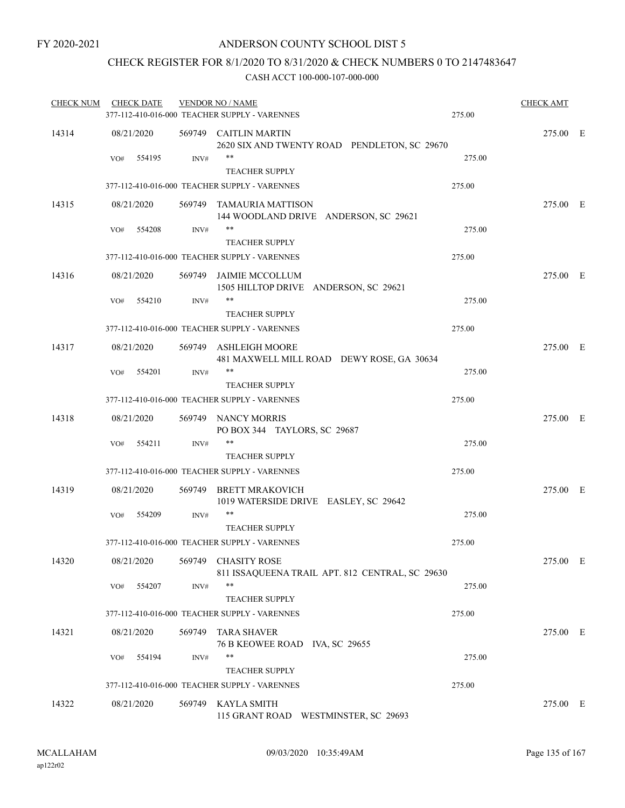# CHECK REGISTER FOR 8/1/2020 TO 8/31/2020 & CHECK NUMBERS 0 TO 2147483647

| <b>CHECK NUM</b> | <b>CHECK DATE</b> |                | <b>VENDOR NO / NAME</b><br>377-112-410-016-000 TEACHER SUPPLY - VARENNES    | 275.00 | <b>CHECK AMT</b> |  |
|------------------|-------------------|----------------|-----------------------------------------------------------------------------|--------|------------------|--|
| 14314            | 08/21/2020        |                | 569749 CAITLIN MARTIN                                                       |        | 275.00 E         |  |
|                  | VO#               | 554195<br>INV# | 2620 SIX AND TWENTY ROAD PENDLETON, SC 29670<br>**<br><b>TEACHER SUPPLY</b> | 275.00 |                  |  |
|                  |                   |                | 377-112-410-016-000 TEACHER SUPPLY - VARENNES                               | 275.00 |                  |  |
| 14315            | 08/21/2020        |                | 569749 TAMAURIA MATTISON                                                    |        | 275.00 E         |  |
|                  |                   |                | 144 WOODLAND DRIVE ANDERSON, SC 29621                                       |        |                  |  |
|                  | VO#               | 554208<br>INV# | **                                                                          | 275.00 |                  |  |
|                  |                   |                | <b>TEACHER SUPPLY</b>                                                       |        |                  |  |
|                  |                   |                | 377-112-410-016-000 TEACHER SUPPLY - VARENNES                               | 275.00 |                  |  |
| 14316            | 08/21/2020        |                | 569749 JAIMIE MCCOLLUM<br>1505 HILLTOP DRIVE ANDERSON, SC 29621             |        | 275.00 E         |  |
|                  | VO#               | 554210<br>INV# | **                                                                          | 275.00 |                  |  |
|                  |                   |                | <b>TEACHER SUPPLY</b><br>377-112-410-016-000 TEACHER SUPPLY - VARENNES      | 275.00 |                  |  |
|                  |                   |                |                                                                             |        |                  |  |
| 14317            | 08/21/2020        |                | 569749 ASHLEIGH MOORE<br>481 MAXWELL MILL ROAD DEWY ROSE, GA 30634          |        | 275.00 E         |  |
|                  | VO#               | 554201<br>INV# | $***$                                                                       | 275.00 |                  |  |
|                  |                   |                | <b>TEACHER SUPPLY</b>                                                       |        |                  |  |
|                  |                   |                | 377-112-410-016-000 TEACHER SUPPLY - VARENNES                               | 275.00 |                  |  |
| 14318            | 08/21/2020        |                | 569749 NANCY MORRIS<br>PO BOX 344 TAYLORS, SC 29687                         |        | 275.00 E         |  |
|                  | VO#               | 554211<br>INV# | **                                                                          | 275.00 |                  |  |
|                  |                   |                | <b>TEACHER SUPPLY</b>                                                       |        |                  |  |
|                  |                   |                | 377-112-410-016-000 TEACHER SUPPLY - VARENNES                               | 275.00 |                  |  |
| 14319            | 08/21/2020        |                | 569749 BRETT MRAKOVICH<br>1019 WATERSIDE DRIVE EASLEY, SC 29642             |        | 275.00 E         |  |
|                  | VO#               | 554209<br>INV# | **                                                                          | 275.00 |                  |  |
|                  |                   |                | <b>TEACHER SUPPLY</b><br>377-112-410-016-000 TEACHER SUPPLY - VARENNES      | 275.00 |                  |  |
|                  |                   |                |                                                                             |        |                  |  |
| 14320            | 08/21/2020        |                | 569749 CHASITY ROSE<br>811 ISSAQUEENA TRAIL APT. 812 CENTRAL, SC 29630      |        | 275.00 E         |  |
|                  | VO#               | 554207<br>INV# | **<br><b>TEACHER SUPPLY</b>                                                 | 275.00 |                  |  |
|                  |                   |                | 377-112-410-016-000 TEACHER SUPPLY - VARENNES                               | 275.00 |                  |  |
| 14321            | 08/21/2020        | 569749         | <b>TARA SHAVER</b><br>76 B KEOWEE ROAD IVA, SC 29655                        |        | 275.00 E         |  |
|                  | VO#               | 554194<br>INV# | **                                                                          | 275.00 |                  |  |
|                  |                   |                | <b>TEACHER SUPPLY</b>                                                       |        |                  |  |
|                  |                   |                | 377-112-410-016-000 TEACHER SUPPLY - VARENNES                               | 275.00 |                  |  |
| 14322            | 08/21/2020        | 569749         | <b>KAYLA SMITH</b><br>115 GRANT ROAD<br>WESTMINSTER, SC 29693               |        | 275.00 E         |  |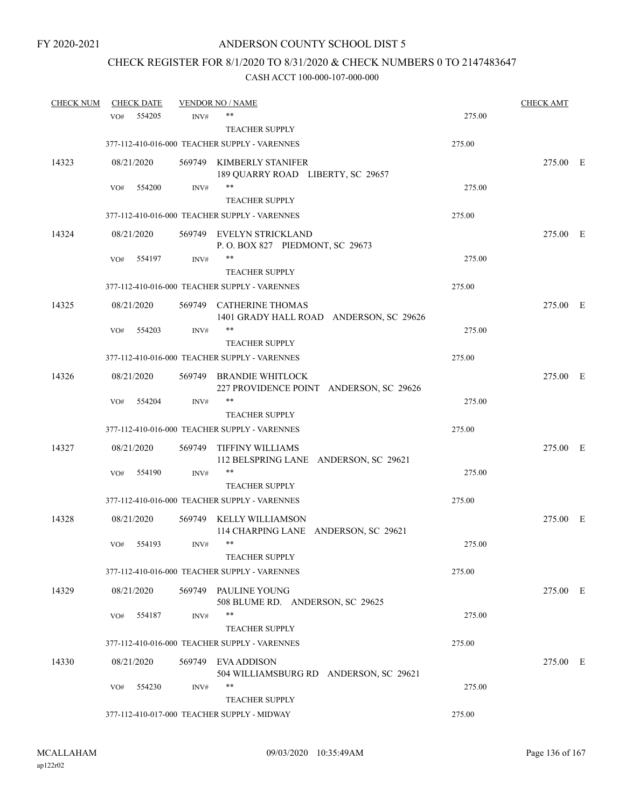# CHECK REGISTER FOR 8/1/2020 TO 8/31/2020 & CHECK NUMBERS 0 TO 2147483647

| <b>CHECK NUM</b> |     | <b>CHECK DATE</b> |        | <b>VENDOR NO / NAME</b>                                            |        | <b>CHECK AMT</b> |  |
|------------------|-----|-------------------|--------|--------------------------------------------------------------------|--------|------------------|--|
|                  | VO# | 554205            | INV#   | **                                                                 | 275.00 |                  |  |
|                  |     |                   |        | <b>TEACHER SUPPLY</b>                                              |        |                  |  |
|                  |     |                   |        | 377-112-410-016-000 TEACHER SUPPLY - VARENNES                      | 275.00 |                  |  |
| 14323            |     | 08/21/2020        |        | 569749 KIMBERLY STANIFER<br>189 QUARRY ROAD LIBERTY, SC 29657      |        | 275.00 E         |  |
|                  | VO# | 554200            | INV#   | $***$                                                              | 275.00 |                  |  |
|                  |     |                   |        | <b>TEACHER SUPPLY</b>                                              |        |                  |  |
|                  |     |                   |        | 377-112-410-016-000 TEACHER SUPPLY - VARENNES                      | 275.00 |                  |  |
| 14324            |     | 08/21/2020        |        | 569749 EVELYN STRICKLAND<br>P.O. BOX 827 PIEDMONT, SC 29673        |        | 275.00 E         |  |
|                  | VO# | 554197            | INV#   | **                                                                 | 275.00 |                  |  |
|                  |     |                   |        | <b>TEACHER SUPPLY</b>                                              |        |                  |  |
|                  |     |                   |        | 377-112-410-016-000 TEACHER SUPPLY - VARENNES                      | 275.00 |                  |  |
| 14325            |     | 08/21/2020        |        | 569749 CATHERINE THOMAS<br>1401 GRADY HALL ROAD ANDERSON, SC 29626 |        | 275.00 E         |  |
|                  | VO# | 554203            | INV#   | **                                                                 | 275.00 |                  |  |
|                  |     |                   |        | <b>TEACHER SUPPLY</b>                                              |        |                  |  |
|                  |     |                   |        | 377-112-410-016-000 TEACHER SUPPLY - VARENNES                      | 275.00 |                  |  |
| 14326            |     | 08/21/2020        |        | 569749 BRANDIE WHITLOCK<br>227 PROVIDENCE POINT ANDERSON, SC 29626 |        | 275.00 E         |  |
|                  | VO# | 554204            | INV#   | **                                                                 | 275.00 |                  |  |
|                  |     |                   |        | <b>TEACHER SUPPLY</b>                                              |        |                  |  |
|                  |     |                   |        | 377-112-410-016-000 TEACHER SUPPLY - VARENNES                      | 275.00 |                  |  |
| 14327            |     | 08/21/2020        | 569749 | TIFFINY WILLIAMS<br>112 BELSPRING LANE ANDERSON, SC 29621          |        | 275.00 E         |  |
|                  | VO# | 554190            | INV#   | **                                                                 | 275.00 |                  |  |
|                  |     |                   |        | <b>TEACHER SUPPLY</b>                                              |        |                  |  |
|                  |     |                   |        | 377-112-410-016-000 TEACHER SUPPLY - VARENNES                      | 275.00 |                  |  |
| 14328            |     | 08/21/2020        | 569749 | KELLY WILLIAMSON<br>114 CHARPING LANE ANDERSON, SC 29621           |        | 275.00 E         |  |
|                  | VO# | 554193            | INV#   | $***$                                                              | 275.00 |                  |  |
|                  |     |                   |        | <b>TEACHER SUPPLY</b>                                              |        |                  |  |
|                  |     |                   |        | 377-112-410-016-000 TEACHER SUPPLY - VARENNES                      | 275.00 |                  |  |
| 14329            |     | 08/21/2020        |        | 569749 PAULINE YOUNG<br>508 BLUME RD. ANDERSON, SC 29625           |        | 275.00 E         |  |
|                  | VO# | 554187            | INV#   | **                                                                 | 275.00 |                  |  |
|                  |     |                   |        | <b>TEACHER SUPPLY</b>                                              |        |                  |  |
|                  |     |                   |        | 377-112-410-016-000 TEACHER SUPPLY - VARENNES                      | 275.00 |                  |  |
| 14330            |     | 08/21/2020        |        | 569749 EVA ADDISON<br>504 WILLIAMSBURG RD ANDERSON, SC 29621       |        | 275.00 E         |  |
|                  | VO# | 554230            | INV#   | **                                                                 | 275.00 |                  |  |
|                  |     |                   |        | <b>TEACHER SUPPLY</b>                                              |        |                  |  |
|                  |     |                   |        | 377-112-410-017-000 TEACHER SUPPLY - MIDWAY                        | 275.00 |                  |  |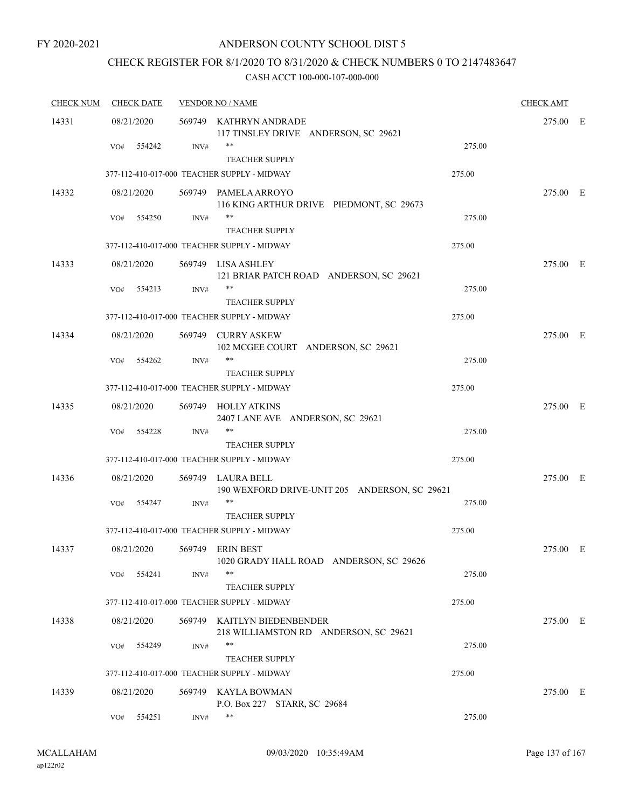# CHECK REGISTER FOR 8/1/2020 TO 8/31/2020 & CHECK NUMBERS 0 TO 2147483647

| <b>CHECK NUM</b> | <b>CHECK DATE</b> |        | <b>VENDOR NO / NAME</b>                                              |        | <b>CHECK AMT</b> |  |
|------------------|-------------------|--------|----------------------------------------------------------------------|--------|------------------|--|
| 14331            | 08/21/2020        |        | 569749 KATHRYN ANDRADE<br>117 TINSLEY DRIVE ANDERSON, SC 29621       |        | 275.00 E         |  |
|                  | 554242<br>VO#     | INV#   | $***$<br><b>TEACHER SUPPLY</b>                                       | 275.00 |                  |  |
|                  |                   |        | 377-112-410-017-000 TEACHER SUPPLY - MIDWAY                          | 275.00 |                  |  |
| 14332            | 08/21/2020        |        | 569749 PAMELA ARROYO<br>116 KING ARTHUR DRIVE PIEDMONT, SC 29673     |        | 275.00 E         |  |
|                  | 554250<br>VO#     | INV#   | $\ast\ast$<br>TEACHER SUPPLY                                         | 275.00 |                  |  |
|                  |                   |        | 377-112-410-017-000 TEACHER SUPPLY - MIDWAY                          | 275.00 |                  |  |
| 14333            | 08/21/2020        |        | 569749 LISA ASHLEY<br>121 BRIAR PATCH ROAD ANDERSON, SC 29621        |        | 275.00 E         |  |
|                  | VO#<br>554213     | INV#   | **<br><b>TEACHER SUPPLY</b>                                          | 275.00 |                  |  |
|                  |                   |        | 377-112-410-017-000 TEACHER SUPPLY - MIDWAY                          | 275.00 |                  |  |
| 14334            | 08/21/2020        |        | 569749 CURRY ASKEW<br>102 MCGEE COURT ANDERSON, SC 29621             |        | 275.00 E         |  |
|                  | 554262<br>VO#     | INV#   | $***$<br><b>TEACHER SUPPLY</b>                                       | 275.00 |                  |  |
|                  |                   |        | 377-112-410-017-000 TEACHER SUPPLY - MIDWAY                          | 275.00 |                  |  |
| 14335            | 08/21/2020        |        | 569749 HOLLY ATKINS<br>2407 LANE AVE ANDERSON, SC 29621              |        | 275.00 E         |  |
|                  | 554228<br>VO#     | INV#   | $***$<br><b>TEACHER SUPPLY</b>                                       | 275.00 |                  |  |
|                  |                   |        | 377-112-410-017-000 TEACHER SUPPLY - MIDWAY                          | 275.00 |                  |  |
| 14336            | 08/21/2020        |        | 569749 LAURA BELL<br>190 WEXFORD DRIVE-UNIT 205 ANDERSON, SC 29621   |        | 275.00 E         |  |
|                  | 554247<br>VO#     | INV#   | **<br><b>TEACHER SUPPLY</b>                                          | 275.00 |                  |  |
|                  |                   |        | 377-112-410-017-000 TEACHER SUPPLY - MIDWAY                          | 275.00 |                  |  |
| 14337            | 08/21/2020        | 569749 | ERIN BEST<br>1020 GRADY HALL ROAD ANDERSON, SC 29626                 |        | 275.00 E         |  |
|                  | 554241<br>VO#     | INV#   | $***$<br><b>TEACHER SUPPLY</b>                                       | 275.00 |                  |  |
|                  |                   |        | 377-112-410-017-000 TEACHER SUPPLY - MIDWAY                          | 275.00 |                  |  |
| 14338            | 08/21/2020        |        | 569749 KAITLYN BIEDENBENDER<br>218 WILLIAMSTON RD ANDERSON, SC 29621 |        | 275.00 E         |  |
|                  | 554249<br>VO#     | INV#   | $***$<br><b>TEACHER SUPPLY</b>                                       | 275.00 |                  |  |
|                  |                   |        | 377-112-410-017-000 TEACHER SUPPLY - MIDWAY                          | 275.00 |                  |  |
| 14339            | 08/21/2020        | 569749 | KAYLA BOWMAN<br>P.O. Box 227 STARR, SC 29684                         |        | 275.00 E         |  |
|                  | 554251<br>VO#     | INV#   | $***$                                                                | 275.00 |                  |  |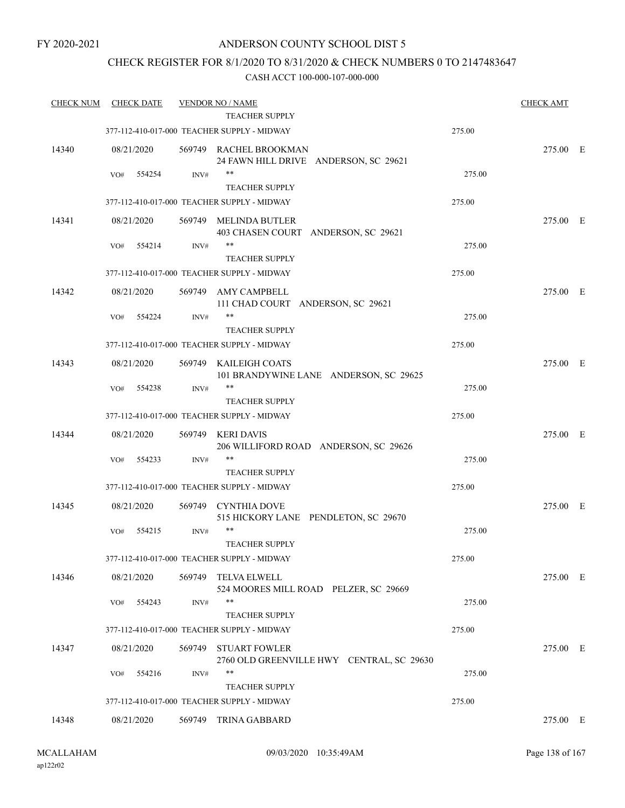# CHECK REGISTER FOR 8/1/2020 TO 8/31/2020 & CHECK NUMBERS 0 TO 2147483647

| <b>CHECK NUM</b> |            | <b>CHECK DATE</b> |        | <b>VENDOR NO / NAME</b><br>TEACHER SUPPLY                            |        | <b>CHECK AMT</b> |  |
|------------------|------------|-------------------|--------|----------------------------------------------------------------------|--------|------------------|--|
|                  |            |                   |        | 377-112-410-017-000 TEACHER SUPPLY - MIDWAY                          | 275.00 |                  |  |
|                  |            |                   |        |                                                                      |        |                  |  |
| 14340            | 08/21/2020 |                   |        | 569749 RACHEL BROOKMAN<br>24 FAWN HILL DRIVE ANDERSON, SC 29621      |        | 275.00 E         |  |
|                  | VO#        | 554254            | INV#   | $***$                                                                | 275.00 |                  |  |
|                  |            |                   |        | <b>TEACHER SUPPLY</b>                                                |        |                  |  |
|                  |            |                   |        | 377-112-410-017-000 TEACHER SUPPLY - MIDWAY                          | 275.00 |                  |  |
| 14341            | 08/21/2020 |                   |        | 569749 MELINDA BUTLER                                                |        | 275.00 E         |  |
|                  |            |                   |        | 403 CHASEN COURT ANDERSON, SC 29621                                  |        |                  |  |
|                  | VO#        | 554214            | INV#   | **                                                                   | 275.00 |                  |  |
|                  |            |                   |        | <b>TEACHER SUPPLY</b><br>377-112-410-017-000 TEACHER SUPPLY - MIDWAY | 275.00 |                  |  |
|                  |            |                   |        |                                                                      |        |                  |  |
| 14342            | 08/21/2020 |                   | 569749 | AMY CAMPBELL<br>111 CHAD COURT ANDERSON, SC 29621                    |        | 275.00 E         |  |
|                  | VO#        | 554224            | INV#   | **                                                                   | 275.00 |                  |  |
|                  |            |                   |        | <b>TEACHER SUPPLY</b>                                                |        |                  |  |
|                  |            |                   |        | 377-112-410-017-000 TEACHER SUPPLY - MIDWAY                          | 275.00 |                  |  |
| 14343            | 08/21/2020 |                   |        | 569749 KAILEIGH COATS                                                |        | 275.00 E         |  |
|                  |            |                   |        | 101 BRANDYWINE LANE ANDERSON, SC 29625                               |        |                  |  |
|                  | VO#        | 554238            | INV#   | **                                                                   | 275.00 |                  |  |
|                  |            |                   |        | <b>TEACHER SUPPLY</b>                                                |        |                  |  |
|                  |            |                   |        | 377-112-410-017-000 TEACHER SUPPLY - MIDWAY                          | 275.00 |                  |  |
| 14344            | 08/21/2020 |                   | 569749 | <b>KERI DAVIS</b>                                                    |        | 275.00 E         |  |
|                  | VO#        | 554233            | INV#   | 206 WILLIFORD ROAD ANDERSON, SC 29626<br>**                          | 275.00 |                  |  |
|                  |            |                   |        | <b>TEACHER SUPPLY</b>                                                |        |                  |  |
|                  |            |                   |        | 377-112-410-017-000 TEACHER SUPPLY - MIDWAY                          | 275.00 |                  |  |
| 14345            | 08/21/2020 |                   |        | 569749 CYNTHIA DOVE                                                  |        | 275.00 E         |  |
|                  |            |                   |        | 515 HICKORY LANE PENDLETON, SC 29670                                 |        |                  |  |
|                  | VO#        | 554215            | INV#   | $***$                                                                | 275.00 |                  |  |
|                  |            |                   |        | <b>TEACHER SUPPLY</b>                                                |        |                  |  |
|                  |            |                   |        | 377-112-410-017-000 TEACHER SUPPLY - MIDWAY                          | 275.00 |                  |  |
| 14346            | 08/21/2020 |                   | 569749 | TELVA ELWELL                                                         |        | 275.00 E         |  |
|                  |            | 554243            | INV#   | 524 MOORES MILL ROAD PELZER, SC 29669<br>$***$                       | 275.00 |                  |  |
|                  | VO#        |                   |        | <b>TEACHER SUPPLY</b>                                                |        |                  |  |
|                  |            |                   |        | 377-112-410-017-000 TEACHER SUPPLY - MIDWAY                          | 275.00 |                  |  |
| 14347            | 08/21/2020 |                   | 569749 | <b>STUART FOWLER</b>                                                 |        | 275.00 E         |  |
|                  |            |                   |        | 2760 OLD GREENVILLE HWY CENTRAL, SC 29630                            |        |                  |  |
|                  | VO#        | 554216            | INV#   | **                                                                   | 275.00 |                  |  |
|                  |            |                   |        | <b>TEACHER SUPPLY</b>                                                |        |                  |  |
|                  |            |                   |        | 377-112-410-017-000 TEACHER SUPPLY - MIDWAY                          | 275.00 |                  |  |
| 14348            | 08/21/2020 |                   |        | 569749 TRINA GABBARD                                                 |        | 275.00 E         |  |
|                  |            |                   |        |                                                                      |        |                  |  |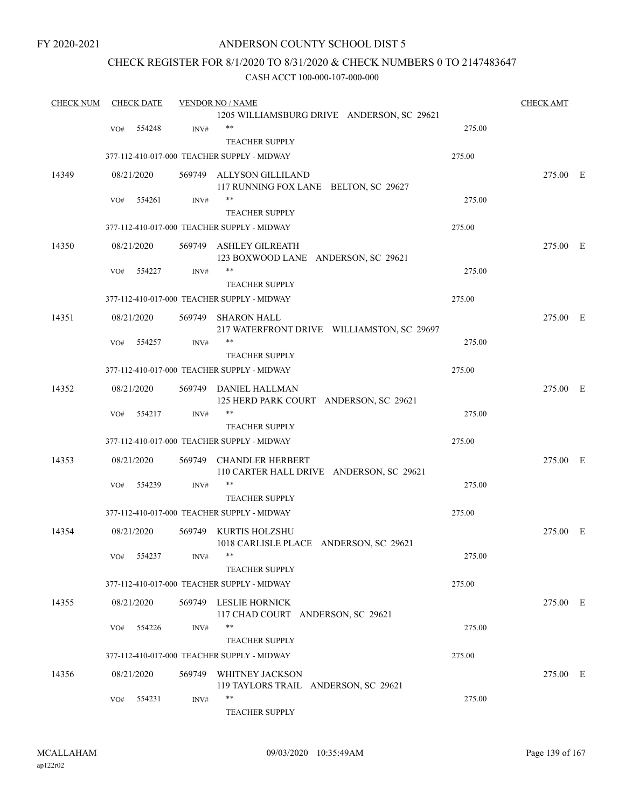# ANDERSON COUNTY SCHOOL DIST 5

# CHECK REGISTER FOR 8/1/2020 TO 8/31/2020 & CHECK NUMBERS 0 TO 2147483647

| <b>CHECK NUM</b> |     | <b>CHECK DATE</b> |        | <b>VENDOR NO / NAME</b>                                             |        | <b>CHECK AMT</b> |  |
|------------------|-----|-------------------|--------|---------------------------------------------------------------------|--------|------------------|--|
|                  |     |                   |        | 1205 WILLIAMSBURG DRIVE ANDERSON, SC 29621                          |        |                  |  |
|                  | VO# | 554248            | INV#   | $***$                                                               | 275.00 |                  |  |
|                  |     |                   |        | <b>TEACHER SUPPLY</b>                                               |        |                  |  |
|                  |     |                   |        | 377-112-410-017-000 TEACHER SUPPLY - MIDWAY                         | 275.00 |                  |  |
| 14349            |     | 08/21/2020        |        | 569749 ALLYSON GILLILAND                                            |        | 275.00 E         |  |
|                  |     |                   |        | 117 RUNNING FOX LANE BELTON, SC 29627                               |        |                  |  |
|                  | VO# | 554261            | INV#   | **                                                                  | 275.00 |                  |  |
|                  |     |                   |        | <b>TEACHER SUPPLY</b>                                               |        |                  |  |
|                  |     |                   |        | 377-112-410-017-000 TEACHER SUPPLY - MIDWAY                         | 275.00 |                  |  |
| 14350            |     | 08/21/2020        |        | 569749 ASHLEY GILREATH<br>123 BOXWOOD LANE ANDERSON, SC 29621       |        | 275.00 E         |  |
|                  | VO# | 554227            | INV#   | **                                                                  | 275.00 |                  |  |
|                  |     |                   |        | <b>TEACHER SUPPLY</b>                                               |        |                  |  |
|                  |     |                   |        | 377-112-410-017-000 TEACHER SUPPLY - MIDWAY                         | 275.00 |                  |  |
| 14351            |     | 08/21/2020        | 569749 | <b>SHARON HALL</b>                                                  |        | 275.00 E         |  |
|                  |     |                   |        | 217 WATERFRONT DRIVE WILLIAMSTON, SC 29697                          |        |                  |  |
|                  | VO# | 554257            | INV#   | **                                                                  | 275.00 |                  |  |
|                  |     |                   |        | <b>TEACHER SUPPLY</b>                                               |        |                  |  |
|                  |     |                   |        | 377-112-410-017-000 TEACHER SUPPLY - MIDWAY                         | 275.00 |                  |  |
|                  |     |                   |        |                                                                     |        |                  |  |
| 14352            |     | 08/21/2020        |        | 569749 DANIEL HALLMAN<br>125 HERD PARK COURT ANDERSON, SC 29621     |        | 275.00 E         |  |
|                  | VO# | 554217            | INV#   | **                                                                  | 275.00 |                  |  |
|                  |     |                   |        | <b>TEACHER SUPPLY</b>                                               |        |                  |  |
|                  |     |                   |        | 377-112-410-017-000 TEACHER SUPPLY - MIDWAY                         | 275.00 |                  |  |
| 14353            |     | 08/21/2020        |        | 569749 CHANDLER HERBERT<br>110 CARTER HALL DRIVE ANDERSON, SC 29621 |        | 275.00 E         |  |
|                  | VO# | 554239            | INV#   | **                                                                  | 275.00 |                  |  |
|                  |     |                   |        | <b>TEACHER SUPPLY</b>                                               |        |                  |  |
|                  |     |                   |        | 377-112-410-017-000 TEACHER SUPPLY - MIDWAY                         | 275.00 |                  |  |
| 14354            |     | 08/21/2020        |        | 569749 KURTIS HOLZSHU<br>1018 CARLISLE PLACE ANDERSON, SC 29621     |        | 275.00 E         |  |
|                  |     | VO# 554237        | INV#   |                                                                     | 275.00 |                  |  |
|                  |     |                   |        | <b>TEACHER SUPPLY</b>                                               |        |                  |  |
|                  |     |                   |        | 377-112-410-017-000 TEACHER SUPPLY - MIDWAY                         | 275.00 |                  |  |
| 14355            |     | 08/21/2020        |        | 569749 LESLIE HORNICK                                               |        | 275.00 E         |  |
|                  |     |                   |        | 117 CHAD COURT ANDERSON, SC 29621                                   |        |                  |  |
|                  | VO# | 554226            | INV#   | **                                                                  | 275.00 |                  |  |
|                  |     |                   |        | <b>TEACHER SUPPLY</b>                                               |        |                  |  |
|                  |     |                   |        | 377-112-410-017-000 TEACHER SUPPLY - MIDWAY                         | 275.00 |                  |  |
| 14356            |     | 08/21/2020        |        | 569749 WHITNEY JACKSON                                              |        | 275.00 E         |  |
|                  |     |                   |        | 119 TAYLORS TRAIL ANDERSON, SC 29621                                |        |                  |  |
|                  | VO# | 554231            | INV#   | **                                                                  | 275.00 |                  |  |
|                  |     |                   |        | TEACHER SUPPLY                                                      |        |                  |  |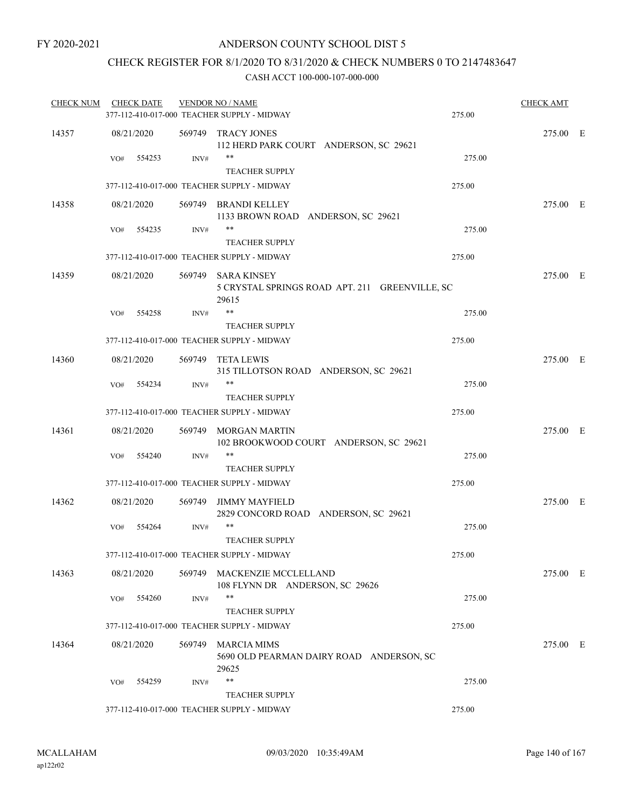# CHECK REGISTER FOR 8/1/2020 TO 8/31/2020 & CHECK NUMBERS 0 TO 2147483647

| <b>CHECK NUM</b> | <b>CHECK DATE</b> |        | <b>VENDOR NO / NAME</b>                                                       |        | <b>CHECK AMT</b> |  |
|------------------|-------------------|--------|-------------------------------------------------------------------------------|--------|------------------|--|
|                  |                   |        | 377-112-410-017-000 TEACHER SUPPLY - MIDWAY                                   | 275.00 |                  |  |
| 14357            | 08/21/2020        |        | 569749 TRACY JONES<br>112 HERD PARK COURT ANDERSON, SC 29621                  |        | 275.00 E         |  |
|                  | 554253<br>VO#     | INV#   | $***$<br><b>TEACHER SUPPLY</b>                                                | 275.00 |                  |  |
|                  |                   |        | 377-112-410-017-000 TEACHER SUPPLY - MIDWAY                                   | 275.00 |                  |  |
| 14358            | 08/21/2020        |        | 569749 BRANDI KELLEY<br>1133 BROWN ROAD ANDERSON, SC 29621                    |        | 275.00 E         |  |
|                  | 554235<br>VO#     | INV#   | $***$<br><b>TEACHER SUPPLY</b>                                                | 275.00 |                  |  |
|                  |                   |        | 377-112-410-017-000 TEACHER SUPPLY - MIDWAY                                   | 275.00 |                  |  |
| 14359            | 08/21/2020        |        | 569749 SARA KINSEY<br>5 CRYSTAL SPRINGS ROAD APT. 211 GREENVILLE, SC<br>29615 |        | 275.00 E         |  |
|                  | 554258<br>VO#     | INV#   | $***$<br><b>TEACHER SUPPLY</b>                                                | 275.00 |                  |  |
|                  |                   |        | 377-112-410-017-000 TEACHER SUPPLY - MIDWAY                                   | 275.00 |                  |  |
| 14360            | 08/21/2020        |        | 569749 TETA LEWIS<br>315 TILLOTSON ROAD ANDERSON, SC 29621                    |        | 275.00 E         |  |
|                  | VO#<br>554234     | INV#   | $***$<br><b>TEACHER SUPPLY</b>                                                | 275.00 |                  |  |
|                  |                   |        | 377-112-410-017-000 TEACHER SUPPLY - MIDWAY                                   | 275.00 |                  |  |
| 14361            | 08/21/2020        |        | 569749 MORGAN MARTIN<br>102 BROOKWOOD COURT ANDERSON, SC 29621                |        | 275.00 E         |  |
|                  | 554240<br>VO#     | INV#   | **<br><b>TEACHER SUPPLY</b>                                                   | 275.00 |                  |  |
|                  |                   |        | 377-112-410-017-000 TEACHER SUPPLY - MIDWAY                                   | 275.00 |                  |  |
| 14362            | 08/21/2020        | 569749 | JIMMY MAYFIELD<br>2829 CONCORD ROAD ANDERSON, SC 29621                        |        | 275.00 E         |  |
|                  | VO#<br>554264     | INV#   | $***$<br><b>TEACHER SUPPLY</b>                                                | 275.00 |                  |  |
|                  |                   |        | 377-112-410-017-000 TEACHER SUPPLY - MIDWAY                                   | 275.00 |                  |  |
| 14363            | 08/21/2020        |        | 569749 MACKENZIE MCCLELLAND<br>108 FLYNN DR ANDERSON, SC 29626                |        | 275.00 E         |  |
|                  | 554260<br>VO#     | INV#   | **                                                                            | 275.00 |                  |  |
|                  |                   |        | <b>TEACHER SUPPLY</b>                                                         |        |                  |  |
|                  |                   |        | 377-112-410-017-000 TEACHER SUPPLY - MIDWAY                                   | 275.00 |                  |  |
| 14364            | 08/21/2020        |        | 569749 MARCIA MIMS<br>5690 OLD PEARMAN DAIRY ROAD ANDERSON, SC<br>29625       |        | 275.00 E         |  |
|                  | 554259<br>VO#     | INV#   | **                                                                            | 275.00 |                  |  |
|                  |                   |        | <b>TEACHER SUPPLY</b>                                                         |        |                  |  |
|                  |                   |        | 377-112-410-017-000 TEACHER SUPPLY - MIDWAY                                   | 275.00 |                  |  |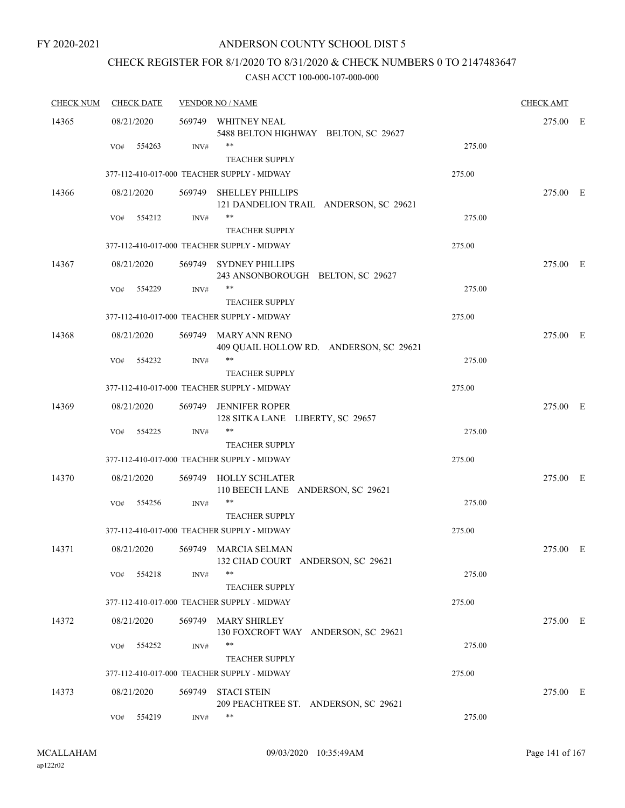# CHECK REGISTER FOR 8/1/2020 TO 8/31/2020 & CHECK NUMBERS 0 TO 2147483647

| <b>CHECK NUM</b> | <b>CHECK DATE</b> | <b>VENDOR NO / NAME</b> |                                                                      | <b>CHECK AMT</b> |          |  |
|------------------|-------------------|-------------------------|----------------------------------------------------------------------|------------------|----------|--|
| 14365            | 08/21/2020        |                         | 569749 WHITNEY NEAL<br>5488 BELTON HIGHWAY BELTON, SC 29627          |                  | 275.00 E |  |
|                  | 554263<br>VO#     | INV#                    | **<br><b>TEACHER SUPPLY</b>                                          | 275.00           |          |  |
|                  |                   |                         | 377-112-410-017-000 TEACHER SUPPLY - MIDWAY                          | 275.00           |          |  |
| 14366            | 08/21/2020        | 569749                  | <b>SHELLEY PHILLIPS</b><br>121 DANDELION TRAIL ANDERSON, SC 29621    |                  | 275.00 E |  |
|                  | 554212<br>VO#     | INV#                    | **<br><b>TEACHER SUPPLY</b>                                          | 275.00           |          |  |
|                  |                   |                         | 377-112-410-017-000 TEACHER SUPPLY - MIDWAY                          | 275.00           |          |  |
| 14367            | 08/21/2020        |                         | 569749 SYDNEY PHILLIPS<br>243 ANSONBOROUGH BELTON, SC 29627          |                  | 275.00 E |  |
|                  | 554229<br>VO#     | INV#                    | **<br><b>TEACHER SUPPLY</b>                                          | 275.00           |          |  |
|                  |                   |                         | 377-112-410-017-000 TEACHER SUPPLY - MIDWAY                          | 275.00           |          |  |
| 14368            | 08/21/2020        |                         | 569749 MARY ANN RENO<br>409 QUAIL HOLLOW RD. ANDERSON, SC 29621      |                  | 275.00 E |  |
|                  | 554232<br>VO#     | INV#                    | **                                                                   | 275.00           |          |  |
|                  |                   |                         | <b>TEACHER SUPPLY</b><br>377-112-410-017-000 TEACHER SUPPLY - MIDWAY | 275.00           |          |  |
|                  |                   |                         |                                                                      |                  |          |  |
| 14369            | 08/21/2020        | 569749                  | <b>JENNIFER ROPER</b><br>128 SITKA LANE LIBERTY, SC 29657            |                  | 275.00 E |  |
|                  | VO#<br>554225     | INV#                    | **<br><b>TEACHER SUPPLY</b>                                          | 275.00           |          |  |
|                  |                   |                         | 377-112-410-017-000 TEACHER SUPPLY - MIDWAY                          | 275.00           |          |  |
| 14370            | 08/21/2020        |                         | 569749 HOLLY SCHLATER<br>110 BEECH LANE ANDERSON, SC 29621           |                  | 275.00 E |  |
|                  | 554256<br>VO#     | INV#                    | <b>TEACHER SUPPLY</b>                                                | 275.00           |          |  |
|                  |                   |                         | 377-112-410-017-000 TEACHER SUPPLY - MIDWAY                          | 275.00           |          |  |
| 14371            | 08/21/2020        |                         | 569749 MARCIA SELMAN<br>132 CHAD COURT ANDERSON, SC 29621            |                  | 275.00 E |  |
|                  | 554218<br>VO#     | INV#                    | **<br><b>TEACHER SUPPLY</b>                                          | 275.00           |          |  |
|                  |                   |                         | 377-112-410-017-000 TEACHER SUPPLY - MIDWAY                          | 275.00           |          |  |
| 14372            | 08/21/2020        | 569749                  | <b>MARY SHIRLEY</b><br>130 FOXCROFT WAY ANDERSON, SC 29621           |                  | 275.00 E |  |
|                  | 554252<br>VO#     | INV#                    | **<br><b>TEACHER SUPPLY</b>                                          | 275.00           |          |  |
|                  |                   |                         | 377-112-410-017-000 TEACHER SUPPLY - MIDWAY                          | 275.00           |          |  |
| 14373            | 08/21/2020        | 569749                  | <b>STACI STEIN</b><br>209 PEACHTREE ST. ANDERSON, SC 29621           |                  | 275.00 E |  |
|                  | 554219<br>VO#     | INV#                    | **                                                                   | 275.00           |          |  |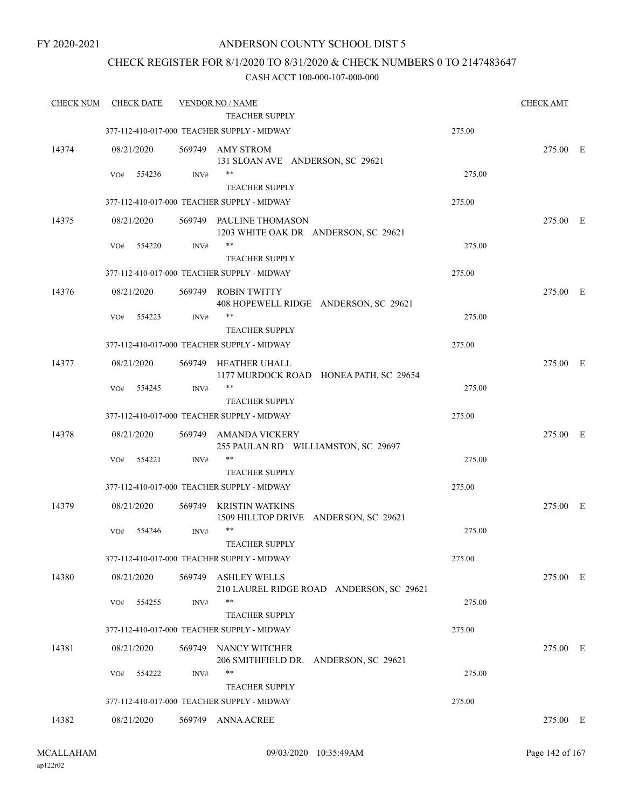# CHECK REGISTER FOR 8/1/2020 TO 8/31/2020 & CHECK NUMBERS 0 TO 2147483647

| <b>CHECK NUM</b> | <b>CHECK DATE</b> |        | <b>VENDOR NO / NAME</b><br>TEACHER SUPPLY                       |        | <b>CHECK AMT</b> |  |
|------------------|-------------------|--------|-----------------------------------------------------------------|--------|------------------|--|
|                  |                   |        | 377-112-410-017-000 TEACHER SUPPLY - MIDWAY                     | 275.00 |                  |  |
| 14374            | 08/21/2020        |        | 569749 AMY STROM<br>131 SLOAN AVE ANDERSON, SC 29621            |        | 275.00 E         |  |
|                  | 554236<br>VO#     | INV#   | $***$<br><b>TEACHER SUPPLY</b>                                  | 275.00 |                  |  |
|                  |                   |        | 377-112-410-017-000 TEACHER SUPPLY - MIDWAY                     | 275.00 |                  |  |
| 14375            | 08/21/2020        |        | 569749 PAULINE THOMASON<br>1203 WHITE OAK DR ANDERSON, SC 29621 |        | 275.00 E         |  |
|                  | 554220<br>VO#     | INV#   | **<br><b>TEACHER SUPPLY</b>                                     | 275.00 |                  |  |
|                  |                   |        | 377-112-410-017-000 TEACHER SUPPLY - MIDWAY                     | 275.00 |                  |  |
| 14376            | 08/21/2020        | 569749 | <b>ROBIN TWITTY</b><br>408 HOPEWELL RIDGE ANDERSON, SC 29621    |        | 275.00 E         |  |
|                  | VO#<br>554223     | INV#   | $***$<br><b>TEACHER SUPPLY</b>                                  | 275.00 |                  |  |
|                  |                   |        | 377-112-410-017-000 TEACHER SUPPLY - MIDWAY                     | 275.00 |                  |  |
| 14377            | 08/21/2020        | 569749 | HEATHER UHALL<br>1177 MURDOCK ROAD HONEA PATH, SC 29654         |        | 275.00 E         |  |
|                  | 554245<br>VO#     | INV#   | **<br><b>TEACHER SUPPLY</b>                                     | 275.00 |                  |  |
|                  |                   |        | 377-112-410-017-000 TEACHER SUPPLY - MIDWAY                     | 275.00 |                  |  |
| 14378            | 08/21/2020        | 569749 | AMANDA VICKERY<br>255 PAULAN RD WILLIAMSTON, SC 29697           |        | 275.00 E         |  |
|                  | 554221<br>VO#     | INV#   | **<br><b>TEACHER SUPPLY</b>                                     | 275.00 |                  |  |
|                  |                   |        | 377-112-410-017-000 TEACHER SUPPLY - MIDWAY                     | 275.00 |                  |  |
| 14379            | 08/21/2020        | 569749 | KRISTIN WATKINS<br>1509 HILLTOP DRIVE ANDERSON, SC 29621        |        | 275.00 E         |  |
|                  | 554246<br>VO#     | INV#   | $***$<br>TEACHER SUPPLY                                         | 275.00 |                  |  |
|                  |                   |        | 377-112-410-017-000 TEACHER SUPPLY - MIDWAY                     | 275.00 |                  |  |
| 14380            | 08/21/2020        | 569749 | <b>ASHLEY WELLS</b><br>210 LAUREL RIDGE ROAD ANDERSON, SC 29621 |        | 275.00 E         |  |
|                  | 554255<br>VO#     | INV#   | **<br><b>TEACHER SUPPLY</b>                                     | 275.00 |                  |  |
|                  |                   |        | 377-112-410-017-000 TEACHER SUPPLY - MIDWAY                     | 275.00 |                  |  |
| 14381            | 08/21/2020        | 569749 | NANCY WITCHER<br>206 SMITHFIELD DR. ANDERSON, SC 29621          |        | 275.00 E         |  |
|                  | VO#<br>554222     | INV#   | **<br><b>TEACHER SUPPLY</b>                                     | 275.00 |                  |  |
|                  |                   |        | 377-112-410-017-000 TEACHER SUPPLY - MIDWAY                     | 275.00 |                  |  |
| 14382            | 08/21/2020        |        | 569749 ANNA ACREE                                               |        | 275.00 E         |  |
|                  |                   |        |                                                                 |        |                  |  |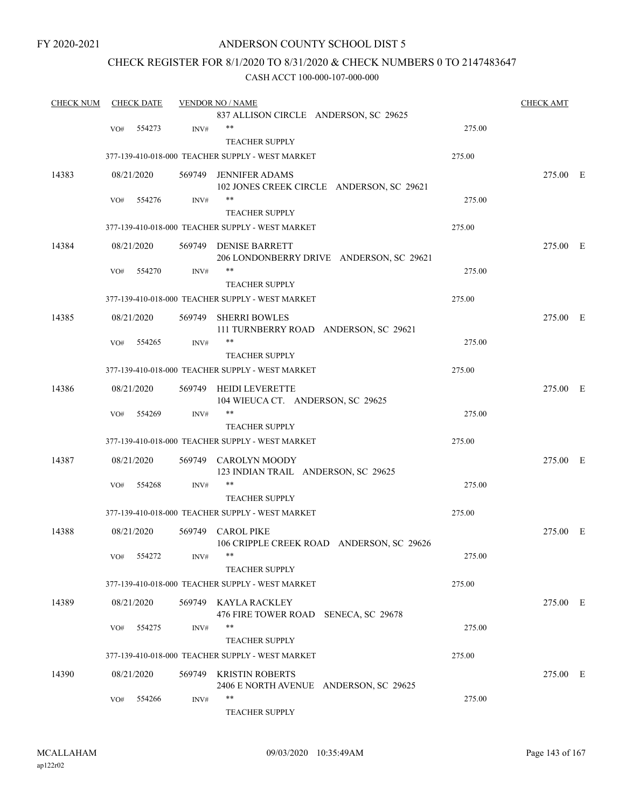# ANDERSON COUNTY SCHOOL DIST 5

# CHECK REGISTER FOR 8/1/2020 TO 8/31/2020 & CHECK NUMBERS 0 TO 2147483647

| <b>CHECK NUM</b> |     | <b>CHECK DATE</b> |                | <b>VENDOR NO / NAME</b>                                        |        | <b>CHECK AMT</b> |  |
|------------------|-----|-------------------|----------------|----------------------------------------------------------------|--------|------------------|--|
|                  |     |                   |                | 837 ALLISON CIRCLE ANDERSON, SC 29625                          |        |                  |  |
|                  | VO# | 554273            | INV#           | $***$                                                          | 275.00 |                  |  |
|                  |     |                   |                | <b>TEACHER SUPPLY</b>                                          |        |                  |  |
|                  |     |                   |                | 377-139-410-018-000 TEACHER SUPPLY - WEST MARKET               | 275.00 |                  |  |
| 14383            |     | 08/21/2020        | 569749         | <b>JENNIFER ADAMS</b>                                          |        | 275.00 E         |  |
|                  |     |                   |                | 102 JONES CREEK CIRCLE ANDERSON, SC 29621                      |        |                  |  |
|                  | VO# | 554276            | INV#           | $***$                                                          | 275.00 |                  |  |
|                  |     |                   |                | <b>TEACHER SUPPLY</b>                                          |        |                  |  |
|                  |     |                   |                | 377-139-410-018-000 TEACHER SUPPLY - WEST MARKET               | 275.00 |                  |  |
| 14384            |     | 08/21/2020        |                | 569749 DENISE BARRETT                                          |        | 275.00 E         |  |
|                  |     |                   |                | 206 LONDONBERRY DRIVE ANDERSON, SC 29621                       |        |                  |  |
|                  | VO# | 554270            | INV#           | **                                                             | 275.00 |                  |  |
|                  |     |                   |                | <b>TEACHER SUPPLY</b>                                          |        |                  |  |
|                  |     |                   |                | 377-139-410-018-000 TEACHER SUPPLY - WEST MARKET               | 275.00 |                  |  |
| 14385            |     | 08/21/2020        | 569749         | <b>SHERRI BOWLES</b>                                           |        | 275.00 E         |  |
|                  |     |                   |                | 111 TURNBERRY ROAD ANDERSON, SC 29621                          |        |                  |  |
|                  | VO# | 554265            | INV#           | $***$                                                          | 275.00 |                  |  |
|                  |     |                   |                | <b>TEACHER SUPPLY</b>                                          |        |                  |  |
|                  |     |                   |                | 377-139-410-018-000 TEACHER SUPPLY - WEST MARKET               | 275.00 |                  |  |
|                  |     |                   |                |                                                                |        |                  |  |
| 14386            |     | 08/21/2020        |                | 569749 HEIDI LEVERETTE<br>104 WIEUCA CT. ANDERSON, SC 29625    |        | 275.00 E         |  |
|                  | VO# | 554269            | INV#           | $***$                                                          | 275.00 |                  |  |
|                  |     |                   |                | <b>TEACHER SUPPLY</b>                                          |        |                  |  |
|                  |     |                   |                | 377-139-410-018-000 TEACHER SUPPLY - WEST MARKET               | 275.00 |                  |  |
| 14387            |     | 08/21/2020        |                | 569749 CAROLYN MOODY                                           |        | 275.00 E         |  |
|                  |     |                   |                | 123 INDIAN TRAIL ANDERSON, SC 29625                            |        |                  |  |
|                  | VO# | 554268            | $\text{INV}\#$ | $***$                                                          | 275.00 |                  |  |
|                  |     |                   |                | <b>TEACHER SUPPLY</b>                                          |        |                  |  |
|                  |     |                   |                | 377-139-410-018-000 TEACHER SUPPLY - WEST MARKET               | 275.00 |                  |  |
|                  |     |                   |                |                                                                |        |                  |  |
| 14388            |     | 08/21/2020        |                | 569749 CAROL PIKE<br>106 CRIPPLE CREEK ROAD ANDERSON, SC 29626 |        | 275.00 E         |  |
|                  |     | VO# 554272        | INV#           |                                                                | 275.00 |                  |  |
|                  |     |                   |                | <b>TEACHER SUPPLY</b>                                          |        |                  |  |
|                  |     |                   |                |                                                                |        |                  |  |
|                  |     |                   |                | 377-139-410-018-000 TEACHER SUPPLY - WEST MARKET               | 275.00 |                  |  |
| 14389            |     | 08/21/2020        |                | 569749 KAYLA RACKLEY                                           |        | 275.00 E         |  |
|                  |     |                   |                | 476 FIRE TOWER ROAD SENECA, SC 29678                           |        |                  |  |
|                  | VO# | 554275            | INV#           | $***$                                                          | 275.00 |                  |  |
|                  |     |                   |                | <b>TEACHER SUPPLY</b>                                          |        |                  |  |
|                  |     |                   |                | 377-139-410-018-000 TEACHER SUPPLY - WEST MARKET               | 275.00 |                  |  |
| 14390            |     | 08/21/2020        |                | 569749 KRISTIN ROBERTS                                         |        | 275.00 E         |  |
|                  |     |                   |                | 2406 E NORTH AVENUE ANDERSON, SC 29625                         |        |                  |  |
|                  | VO# | 554266            | INV#           | $***$                                                          | 275.00 |                  |  |
|                  |     |                   |                | <b>TEACHER SUPPLY</b>                                          |        |                  |  |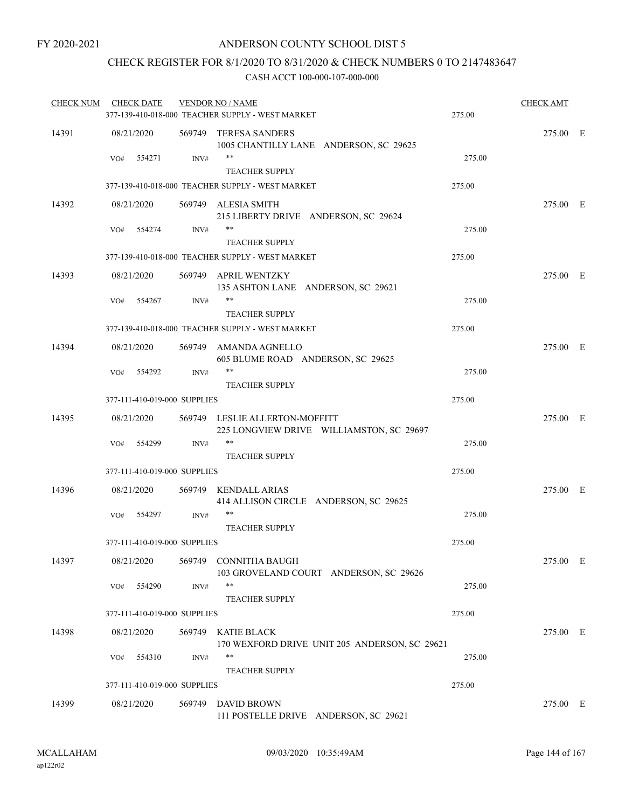# CHECK REGISTER FOR 8/1/2020 TO 8/31/2020 & CHECK NUMBERS 0 TO 2147483647

| <b>CHECK NUM</b> | <b>CHECK DATE</b> |                              | <b>VENDOR NO / NAME</b><br>377-139-410-018-000 TEACHER SUPPLY - WEST MARKET | 275.00 | <b>CHECK AMT</b> |  |
|------------------|-------------------|------------------------------|-----------------------------------------------------------------------------|--------|------------------|--|
| 14391            | 08/21/2020        |                              | 569749 TERESA SANDERS<br>1005 CHANTILLY LANE ANDERSON, SC 29625             |        | 275.00 E         |  |
|                  | VO#               | 554271<br>INV#               | **<br><b>TEACHER SUPPLY</b>                                                 | 275.00 |                  |  |
|                  |                   |                              | 377-139-410-018-000 TEACHER SUPPLY - WEST MARKET                            | 275.00 |                  |  |
| 14392            | 08/21/2020        |                              | 569749 ALESIA SMITH<br>215 LIBERTY DRIVE ANDERSON, SC 29624                 |        | 275.00 E         |  |
|                  | VO#               | 554274<br>INV#               | **<br><b>TEACHER SUPPLY</b>                                                 | 275.00 |                  |  |
|                  |                   |                              | 377-139-410-018-000 TEACHER SUPPLY - WEST MARKET                            | 275.00 |                  |  |
| 14393            | 08/21/2020        |                              | 569749 APRIL WENTZKY<br>135 ASHTON LANE ANDERSON, SC 29621                  |        | 275.00 E         |  |
|                  | VO#               | 554267<br>INV#               | **<br>TEACHER SUPPLY                                                        | 275.00 |                  |  |
|                  |                   |                              | 377-139-410-018-000 TEACHER SUPPLY - WEST MARKET                            | 275.00 |                  |  |
| 14394            | 08/21/2020        |                              | 569749 AMANDA AGNELLO<br>605 BLUME ROAD ANDERSON, SC 29625                  |        | 275.00 E         |  |
|                  | VO#               | 554292<br>INV#               | $***$<br><b>TEACHER SUPPLY</b>                                              | 275.00 |                  |  |
|                  |                   | 377-111-410-019-000 SUPPLIES |                                                                             | 275.00 |                  |  |
| 14395            | 08/21/2020        |                              | 569749 LESLIE ALLERTON-MOFFITT<br>225 LONGVIEW DRIVE WILLIAMSTON, SC 29697  |        | 275.00 E         |  |
|                  | VO#               | 554299<br>INV#               | **<br><b>TEACHER SUPPLY</b>                                                 | 275.00 |                  |  |
|                  |                   | 377-111-410-019-000 SUPPLIES |                                                                             | 275.00 |                  |  |
| 14396            | 08/21/2020        |                              | 569749 KENDALL ARIAS<br>414 ALLISON CIRCLE ANDERSON, SC 29625               |        | 275.00 E         |  |
|                  | VO#               | 554297<br>INV#               | **                                                                          | 275.00 |                  |  |
|                  |                   | 377-111-410-019-000 SUPPLIES | <b>TEACHER SUPPLY</b>                                                       | 275.00 |                  |  |
|                  |                   |                              |                                                                             |        |                  |  |
| 14397            | 08/21/2020<br>VO# | 554290<br>INV#               | 569749 CONNITHA BAUGH<br>103 GROVELAND COURT ANDERSON, SC 29626<br>**       | 275.00 | 275.00 E         |  |
|                  |                   |                              | <b>TEACHER SUPPLY</b>                                                       |        |                  |  |
|                  |                   | 377-111-410-019-000 SUPPLIES |                                                                             | 275.00 |                  |  |
| 14398            | 08/21/2020        |                              | 569749 KATIE BLACK<br>170 WEXFORD DRIVE UNIT 205 ANDERSON, SC 29621         |        | 275.00 E         |  |
|                  | VO#               | 554310<br>INV#               | **<br><b>TEACHER SUPPLY</b>                                                 | 275.00 |                  |  |
|                  |                   | 377-111-410-019-000 SUPPLIES |                                                                             | 275.00 |                  |  |
| 14399            | 08/21/2020        | 569749                       | <b>DAVID BROWN</b><br>111 POSTELLE DRIVE ANDERSON, SC 29621                 |        | 275.00 E         |  |
|                  |                   |                              |                                                                             |        |                  |  |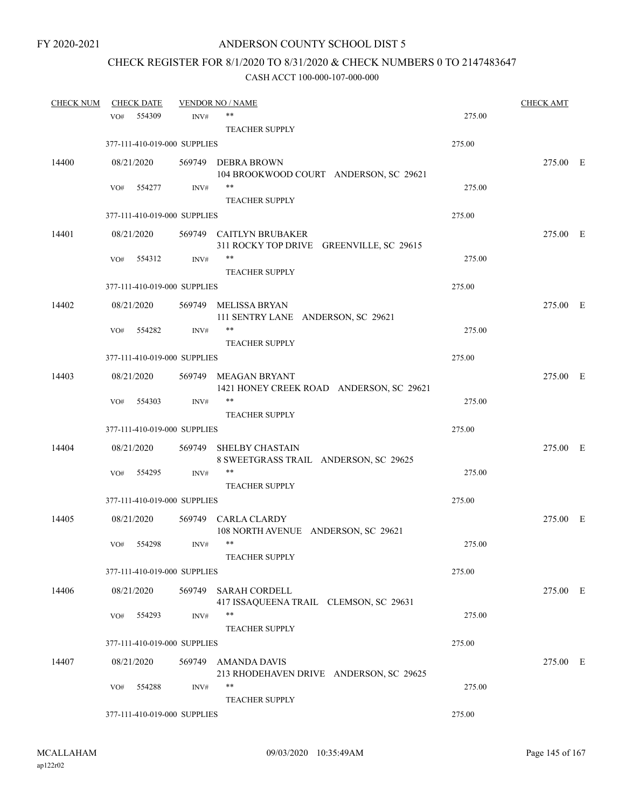# CHECK REGISTER FOR 8/1/2020 TO 8/31/2020 & CHECK NUMBERS 0 TO 2147483647

| <b>CHECK NUM</b> | <b>CHECK DATE</b> |                              | <b>VENDOR NO / NAME</b>                       |        | <b>CHECK AMT</b> |  |
|------------------|-------------------|------------------------------|-----------------------------------------------|--------|------------------|--|
|                  | 554309<br>VO#     | INV#                         | **                                            | 275.00 |                  |  |
|                  |                   |                              | <b>TEACHER SUPPLY</b>                         |        |                  |  |
|                  |                   | 377-111-410-019-000 SUPPLIES |                                               | 275.00 |                  |  |
| 14400            | 08/21/2020        |                              | 569749 DEBRA BROWN                            |        | 275.00 E         |  |
|                  |                   |                              | 104 BROOKWOOD COURT ANDERSON, SC 29621        |        |                  |  |
|                  | 554277<br>VO#     | INV#                         | **                                            | 275.00 |                  |  |
|                  |                   |                              | <b>TEACHER SUPPLY</b>                         |        |                  |  |
|                  |                   | 377-111-410-019-000 SUPPLIES |                                               | 275.00 |                  |  |
| 14401            | 08/21/2020        |                              | 569749 CAITLYN BRUBAKER                       |        | 275.00 E         |  |
|                  |                   |                              | 311 ROCKY TOP DRIVE GREENVILLE, SC 29615      |        |                  |  |
|                  | VO#<br>554312     | INV#                         | **                                            | 275.00 |                  |  |
|                  |                   |                              | <b>TEACHER SUPPLY</b>                         |        |                  |  |
|                  |                   | 377-111-410-019-000 SUPPLIES |                                               | 275.00 |                  |  |
| 14402            | 08/21/2020        |                              | 569749 MELISSA BRYAN                          |        | 275.00 E         |  |
|                  |                   |                              | 111 SENTRY LANE ANDERSON, SC 29621            |        |                  |  |
|                  | 554282<br>VO#     | INV#                         | **                                            | 275.00 |                  |  |
|                  |                   |                              | <b>TEACHER SUPPLY</b>                         |        |                  |  |
|                  |                   | 377-111-410-019-000 SUPPLIES |                                               | 275.00 |                  |  |
| 14403            | 08/21/2020        |                              | 569749 MEAGAN BRYANT                          |        | 275.00 E         |  |
|                  |                   |                              | 1421 HONEY CREEK ROAD ANDERSON, SC 29621      |        |                  |  |
|                  | VO#<br>554303     | INV#                         | **                                            | 275.00 |                  |  |
|                  |                   |                              | TEACHER SUPPLY                                |        |                  |  |
|                  |                   | 377-111-410-019-000 SUPPLIES |                                               | 275.00 |                  |  |
| 14404            | 08/21/2020        |                              | 569749 SHELBY CHASTAIN                        |        | 275.00 E         |  |
|                  |                   |                              | 8 SWEETGRASS TRAIL ANDERSON, SC 29625         |        |                  |  |
|                  | 554295<br>VO#     | INV#                         | **                                            | 275.00 |                  |  |
|                  |                   |                              | <b>TEACHER SUPPLY</b>                         |        |                  |  |
|                  |                   | 377-111-410-019-000 SUPPLIES |                                               | 275.00 |                  |  |
| 14405            | 08/21/2020        |                              | 569749 CARLA CLARDY                           |        | 275.00 E         |  |
|                  |                   |                              | 108 NORTH AVENUE ANDERSON, SC 29621           |        |                  |  |
|                  | 554298<br>VO#     | INV#                         | $***$                                         | 275.00 |                  |  |
|                  |                   |                              | TEACHER SUPPLY                                |        |                  |  |
|                  |                   | 377-111-410-019-000 SUPPLIES |                                               | 275.00 |                  |  |
| 14406            | 08/21/2020        | 569749                       | <b>SARAH CORDELL</b>                          |        | 275.00 E         |  |
|                  |                   |                              | 417 ISSAQUEENA TRAIL CLEMSON, SC 29631        |        |                  |  |
|                  | 554293<br>VO#     | INV#                         | **                                            | 275.00 |                  |  |
|                  |                   |                              | <b>TEACHER SUPPLY</b>                         |        |                  |  |
|                  |                   | 377-111-410-019-000 SUPPLIES |                                               | 275.00 |                  |  |
| 14407            | 08/21/2020        | 569749                       | <b>AMANDA DAVIS</b>                           |        | 275.00 E         |  |
|                  |                   |                              | 213 RHODEHAVEN DRIVE ANDERSON, SC 29625<br>** |        |                  |  |
|                  | 554288<br>VO#     | INV#                         | <b>TEACHER SUPPLY</b>                         | 275.00 |                  |  |
|                  |                   |                              |                                               | 275.00 |                  |  |
|                  |                   | 377-111-410-019-000 SUPPLIES |                                               |        |                  |  |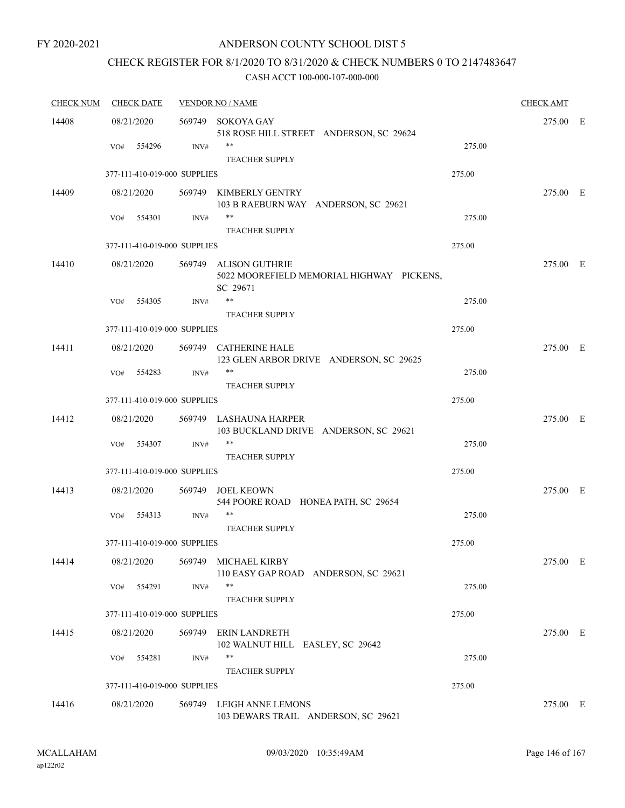### ANDERSON COUNTY SCHOOL DIST 5

# CHECK REGISTER FOR 8/1/2020 TO 8/31/2020 & CHECK NUMBERS 0 TO 2147483647

| <b>CHECK NUM</b> | <b>CHECK DATE</b>            |        | <b>VENDOR NO / NAME</b>                                                        |        |          |  |  |
|------------------|------------------------------|--------|--------------------------------------------------------------------------------|--------|----------|--|--|
| 14408            | 08/21/2020                   |        | 569749 SOKOYA GAY<br>518 ROSE HILL STREET ANDERSON, SC 29624                   |        | 275.00 E |  |  |
|                  | 554296<br>VO#                | INV#   | **<br><b>TEACHER SUPPLY</b>                                                    | 275.00 |          |  |  |
|                  | 377-111-410-019-000 SUPPLIES |        |                                                                                | 275.00 |          |  |  |
| 14409            | 08/21/2020                   |        | 569749 KIMBERLY GENTRY<br>103 B RAEBURN WAY ANDERSON, SC 29621                 |        | 275.00 E |  |  |
|                  | 554301<br>VO#                | INV#   | **<br><b>TEACHER SUPPLY</b>                                                    | 275.00 |          |  |  |
|                  | 377-111-410-019-000 SUPPLIES |        |                                                                                | 275.00 |          |  |  |
| 14410            | 08/21/2020                   |        | 569749 ALISON GUTHRIE<br>5022 MOOREFIELD MEMORIAL HIGHWAY PICKENS,<br>SC 29671 |        | 275.00 E |  |  |
|                  | 554305<br>VO#                | INV#   | $***$<br><b>TEACHER SUPPLY</b>                                                 | 275.00 |          |  |  |
|                  | 377-111-410-019-000 SUPPLIES |        |                                                                                | 275.00 |          |  |  |
| 14411            | 08/21/2020                   |        | 569749 CATHERINE HALE<br>123 GLEN ARBOR DRIVE ANDERSON, SC 29625               |        | 275.00 E |  |  |
|                  | 554283<br>VO#                | INV#   | $***$<br><b>TEACHER SUPPLY</b>                                                 | 275.00 |          |  |  |
|                  | 377-111-410-019-000 SUPPLIES |        |                                                                                | 275.00 |          |  |  |
| 14412            | 08/21/2020                   |        | 569749 LASHAUNA HARPER<br>103 BUCKLAND DRIVE ANDERSON, SC 29621                |        | 275.00 E |  |  |
|                  | VO#<br>554307                | INV#   | **<br><b>TEACHER SUPPLY</b>                                                    | 275.00 |          |  |  |
|                  | 377-111-410-019-000 SUPPLIES |        |                                                                                | 275.00 |          |  |  |
| 14413            | 08/21/2020                   |        | 569749 JOEL KEOWN<br>544 POORE ROAD HONEA PATH, SC 29654                       |        | 275.00 E |  |  |
|                  | 554313<br>VO#                | INV#   | **<br><b>TEACHER SUPPLY</b>                                                    | 275.00 |          |  |  |
|                  | 377-111-410-019-000 SUPPLIES |        |                                                                                | 275.00 |          |  |  |
| 14414            | 08/21/2020                   |        | 569749 MICHAEL KIRBY<br>110 EASY GAP ROAD ANDERSON, SC 29621                   |        | 275.00 E |  |  |
|                  | 554291<br>VO#                | INV#   | **<br>TEACHER SUPPLY                                                           | 275.00 |          |  |  |
|                  | 377-111-410-019-000 SUPPLIES |        |                                                                                | 275.00 |          |  |  |
| 14415            | 08/21/2020                   | 569749 | ERIN LANDRETH<br>102 WALNUT HILL EASLEY, SC 29642                              |        | 275.00 E |  |  |
|                  | 554281<br>VO#                | INV#   | **<br><b>TEACHER SUPPLY</b>                                                    | 275.00 |          |  |  |
|                  | 377-111-410-019-000 SUPPLIES |        |                                                                                | 275.00 |          |  |  |
| 14416            | 08/21/2020                   |        | 569749 LEIGH ANNE LEMONS<br>103 DEWARS TRAIL ANDERSON, SC 29621                |        | 275.00 E |  |  |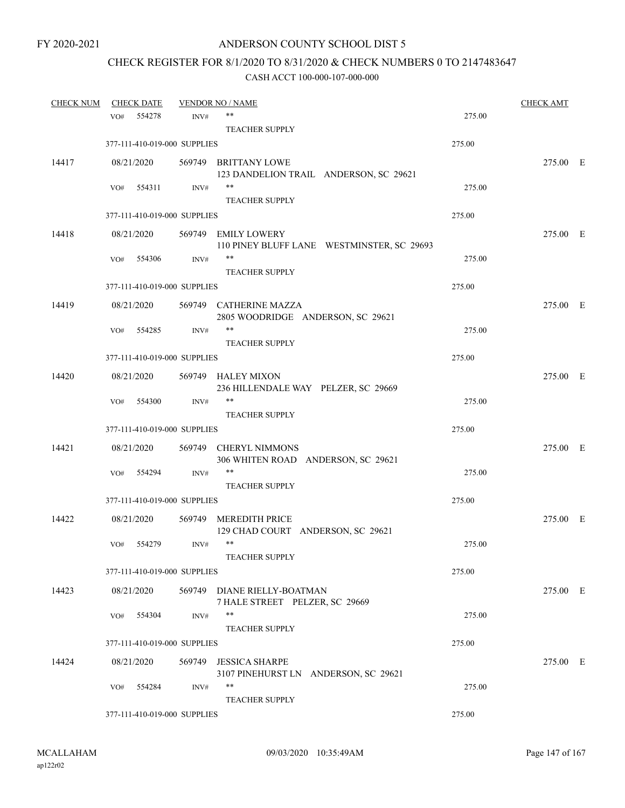# CHECK REGISTER FOR 8/1/2020 TO 8/31/2020 & CHECK NUMBERS 0 TO 2147483647

| <b>CHECK NUM</b> | <b>CHECK DATE</b> |            |                              | <b>VENDOR NO / NAME</b>                                       |        | <b>CHECK AMT</b> |  |
|------------------|-------------------|------------|------------------------------|---------------------------------------------------------------|--------|------------------|--|
|                  | VO#               | 554278     | INV#                         | **                                                            | 275.00 |                  |  |
|                  |                   |            |                              | <b>TEACHER SUPPLY</b>                                         |        |                  |  |
|                  |                   |            | 377-111-410-019-000 SUPPLIES |                                                               | 275.00 |                  |  |
| 14417            |                   | 08/21/2020 |                              | 569749 BRITTANY LOWE                                          |        | 275.00 E         |  |
|                  |                   |            |                              | 123 DANDELION TRAIL ANDERSON, SC 29621                        |        |                  |  |
|                  | VO#               | 554311     | INV#                         | $***$                                                         | 275.00 |                  |  |
|                  |                   |            |                              | <b>TEACHER SUPPLY</b>                                         |        |                  |  |
|                  |                   |            | 377-111-410-019-000 SUPPLIES |                                                               | 275.00 |                  |  |
| 14418            |                   | 08/21/2020 |                              | 569749 EMILY LOWERY                                           |        | 275.00 E         |  |
|                  |                   |            |                              | 110 PINEY BLUFF LANE WESTMINSTER, SC 29693                    |        |                  |  |
|                  | VO#               | 554306     | INV#                         | **                                                            | 275.00 |                  |  |
|                  |                   |            |                              | <b>TEACHER SUPPLY</b>                                         |        |                  |  |
|                  |                   |            | 377-111-410-019-000 SUPPLIES |                                                               | 275.00 |                  |  |
| 14419            |                   | 08/21/2020 |                              | 569749 CATHERINE MAZZA                                        |        | 275.00 E         |  |
|                  |                   |            |                              | 2805 WOODRIDGE ANDERSON, SC 29621                             |        |                  |  |
|                  | VO#               | 554285     | INV#                         | **                                                            | 275.00 |                  |  |
|                  |                   |            |                              | <b>TEACHER SUPPLY</b>                                         |        |                  |  |
|                  |                   |            | 377-111-410-019-000 SUPPLIES |                                                               | 275.00 |                  |  |
| 14420            |                   | 08/21/2020 |                              | 569749 HALEY MIXON                                            |        | 275.00 E         |  |
|                  |                   |            |                              | 236 HILLENDALE WAY PELZER, SC 29669                           |        |                  |  |
|                  | VO#               | 554300     | INV#                         | **                                                            | 275.00 |                  |  |
|                  |                   |            |                              | <b>TEACHER SUPPLY</b>                                         |        |                  |  |
|                  |                   |            | 377-111-410-019-000 SUPPLIES |                                                               | 275.00 |                  |  |
| 14421            |                   | 08/21/2020 | 569749                       | <b>CHERYL NIMMONS</b>                                         |        | 275.00 E         |  |
|                  |                   |            |                              | 306 WHITEN ROAD ANDERSON, SC 29621<br>**                      |        |                  |  |
|                  | VO#               | 554294     | INV#                         |                                                               | 275.00 |                  |  |
|                  |                   |            | 377-111-410-019-000 SUPPLIES | <b>TEACHER SUPPLY</b>                                         | 275.00 |                  |  |
|                  |                   |            |                              |                                                               |        |                  |  |
| 14422            |                   | 08/21/2020 |                              | 569749 MEREDITH PRICE                                         |        | 275.00 E         |  |
|                  | VO#               | 554279     | INV#                         | 129 CHAD COURT ANDERSON, SC 29621<br>$***$                    | 275.00 |                  |  |
|                  |                   |            |                              | <b>TEACHER SUPPLY</b>                                         |        |                  |  |
|                  |                   |            | 377-111-410-019-000 SUPPLIES |                                                               | 275.00 |                  |  |
|                  |                   |            |                              |                                                               |        |                  |  |
| 14423            |                   | 08/21/2020 |                              | 569749 DIANE RIELLY-BOATMAN<br>7 HALE STREET PELZER, SC 29669 |        | 275.00 E         |  |
|                  | VO#               | 554304     | INV#                         | **                                                            | 275.00 |                  |  |
|                  |                   |            |                              | <b>TEACHER SUPPLY</b>                                         |        |                  |  |
|                  |                   |            | 377-111-410-019-000 SUPPLIES |                                                               | 275.00 |                  |  |
|                  |                   |            |                              |                                                               |        |                  |  |
| 14424            |                   | 08/21/2020 | 569749                       | <b>JESSICA SHARPE</b><br>3107 PINEHURST LN ANDERSON, SC 29621 |        | 275.00 E         |  |
|                  | VO#               | 554284     | INV#                         | **                                                            | 275.00 |                  |  |
|                  |                   |            |                              | <b>TEACHER SUPPLY</b>                                         |        |                  |  |
|                  |                   |            | 377-111-410-019-000 SUPPLIES |                                                               | 275.00 |                  |  |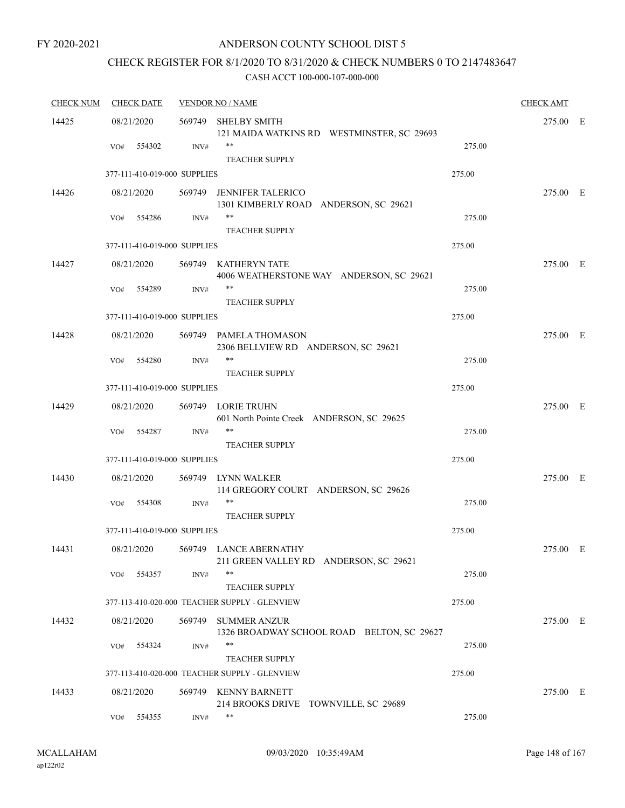# CHECK REGISTER FOR 8/1/2020 TO 8/31/2020 & CHECK NUMBERS 0 TO 2147483647

| <b>CHECK NUM</b> | <b>CHECK DATE</b> |                              | <b>VENDOR NO / NAME</b>                                                  |        |          |  |  |
|------------------|-------------------|------------------------------|--------------------------------------------------------------------------|--------|----------|--|--|
| 14425            | 08/21/2020        |                              | 569749 SHELBY SMITH<br>121 MAIDA WATKINS RD WESTMINSTER, SC 29693        |        | 275.00 E |  |  |
|                  | VO#               | 554302<br>INV#               | $***$<br><b>TEACHER SUPPLY</b>                                           | 275.00 |          |  |  |
|                  |                   | 377-111-410-019-000 SUPPLIES |                                                                          | 275.00 |          |  |  |
| 14426            | 08/21/2020        |                              | 569749 JENNIFER TALERICO<br>1301 KIMBERLY ROAD ANDERSON, SC 29621        |        | 275.00 E |  |  |
|                  | VO#               | 554286<br>INV#               | $***$<br><b>TEACHER SUPPLY</b>                                           | 275.00 |          |  |  |
|                  |                   | 377-111-410-019-000 SUPPLIES |                                                                          | 275.00 |          |  |  |
| 14427            | 08/21/2020        |                              | 569749 KATHERYN TATE<br>4006 WEATHERSTONE WAY ANDERSON, SC 29621         |        | 275.00 E |  |  |
|                  | VO#               | 554289<br>INV#               | **<br><b>TEACHER SUPPLY</b>                                              | 275.00 |          |  |  |
|                  |                   | 377-111-410-019-000 SUPPLIES |                                                                          | 275.00 |          |  |  |
| 14428            | 08/21/2020        |                              | 569749 PAMELA THOMASON<br>2306 BELLVIEW RD ANDERSON, SC 29621            |        | 275.00 E |  |  |
|                  | VO#               | 554280<br>INV#               | $***$                                                                    | 275.00 |          |  |  |
|                  |                   | 377-111-410-019-000 SUPPLIES | <b>TEACHER SUPPLY</b>                                                    | 275.00 |          |  |  |
|                  |                   |                              |                                                                          |        |          |  |  |
| 14429            | 08/21/2020<br>VO# | 554287<br>INV#               | 569749 LORIE TRUHN<br>601 North Pointe Creek ANDERSON, SC 29625<br>$***$ | 275.00 | 275.00 E |  |  |
|                  |                   |                              | <b>TEACHER SUPPLY</b>                                                    |        |          |  |  |
|                  |                   | 377-111-410-019-000 SUPPLIES |                                                                          | 275.00 |          |  |  |
| 14430            | 08/21/2020        |                              | 569749 LYNN WALKER<br>114 GREGORY COURT ANDERSON, SC 29626               |        | 275.00 E |  |  |
|                  | VO#               | 554308<br>INV#               | **<br><b>TEACHER SUPPLY</b>                                              | 275.00 |          |  |  |
|                  |                   | 377-111-410-019-000 SUPPLIES |                                                                          | 275.00 |          |  |  |
| 14431            | 08/21/2020        |                              | 569749 LANCE ABERNATHY<br>211 GREEN VALLEY RD ANDERSON, SC 29621         |        | 275.00 E |  |  |
|                  | VO#               | 554357<br>INV#               | **<br><b>TEACHER SUPPLY</b>                                              | 275.00 |          |  |  |
|                  |                   |                              | 377-113-410-020-000 TEACHER SUPPLY - GLENVIEW                            | 275.00 |          |  |  |
| 14432            | 08/21/2020        |                              | 569749 SUMMER ANZUR<br>1326 BROADWAY SCHOOL ROAD BELTON, SC 29627        |        | 275.00 E |  |  |
|                  | VO#               | 554324<br>INV#               | **<br><b>TEACHER SUPPLY</b>                                              | 275.00 |          |  |  |
|                  |                   |                              | 377-113-410-020-000 TEACHER SUPPLY - GLENVIEW                            | 275.00 |          |  |  |
| 14433            | 08/21/2020        |                              | 569749 KENNY BARNETT<br>214 BROOKS DRIVE TOWNVILLE, SC 29689             |        | 275.00 E |  |  |
|                  | VO#               | 554355<br>INV#               | **                                                                       | 275.00 |          |  |  |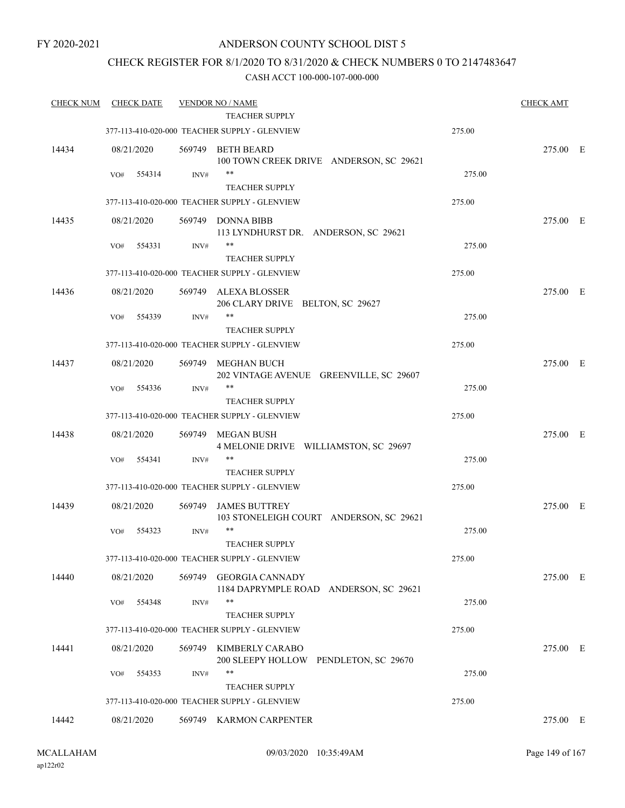### ANDERSON COUNTY SCHOOL DIST 5

### CHECK REGISTER FOR 8/1/2020 TO 8/31/2020 & CHECK NUMBERS 0 TO 2147483647

| <b>CHECK NUM</b> | <b>CHECK DATE</b> |        | <b>VENDOR NO / NAME</b>                                          |        | <b>CHECK AMT</b> |  |
|------------------|-------------------|--------|------------------------------------------------------------------|--------|------------------|--|
|                  |                   |        | TEACHER SUPPLY                                                   |        |                  |  |
|                  |                   |        | 377-113-410-020-000 TEACHER SUPPLY - GLENVIEW                    | 275.00 |                  |  |
| 14434            | 08/21/2020        |        | 569749 BETH BEARD<br>100 TOWN CREEK DRIVE ANDERSON, SC 29621     |        | 275.00 E         |  |
|                  | 554314<br>VO#     | INV#   | $***$<br><b>TEACHER SUPPLY</b>                                   | 275.00 |                  |  |
|                  |                   |        | 377-113-410-020-000 TEACHER SUPPLY - GLENVIEW                    | 275.00 |                  |  |
| 14435            | 08/21/2020        |        | 569749 DONNA BIBB                                                |        | 275.00 E         |  |
|                  |                   |        | 113 LYNDHURST DR. ANDERSON, SC 29621<br>**                       |        |                  |  |
|                  | 554331<br>VO#     | INV#   | <b>TEACHER SUPPLY</b>                                            | 275.00 |                  |  |
|                  |                   |        | 377-113-410-020-000 TEACHER SUPPLY - GLENVIEW                    | 275.00 |                  |  |
| 14436            | 08/21/2020        |        | 569749 ALEXA BLOSSER                                             |        | 275.00 E         |  |
|                  |                   |        | 206 CLARY DRIVE BELTON, SC 29627                                 |        |                  |  |
|                  | 554339<br>VO#     | INV#   | **<br><b>TEACHER SUPPLY</b>                                      | 275.00 |                  |  |
|                  |                   |        | 377-113-410-020-000 TEACHER SUPPLY - GLENVIEW                    | 275.00 |                  |  |
| 14437            | 08/21/2020        |        | 569749 MEGHAN BUCH<br>202 VINTAGE AVENUE GREENVILLE, SC 29607    |        | 275.00 E         |  |
|                  | 554336<br>VO#     | INV#   | **                                                               | 275.00 |                  |  |
|                  |                   |        | <b>TEACHER SUPPLY</b>                                            |        |                  |  |
|                  |                   |        | 377-113-410-020-000 TEACHER SUPPLY - GLENVIEW                    | 275.00 |                  |  |
| 14438            | 08/21/2020        | 569749 | MEGAN BUSH<br>4 MELONIE DRIVE WILLIAMSTON, SC 29697              |        | 275.00 E         |  |
|                  | 554341<br>VO#     | INV#   | **                                                               | 275.00 |                  |  |
|                  |                   |        | <b>TEACHER SUPPLY</b>                                            |        |                  |  |
|                  |                   |        | 377-113-410-020-000 TEACHER SUPPLY - GLENVIEW                    | 275.00 |                  |  |
| 14439            | 08/21/2020        | 569749 | <b>JAMES BUTTREY</b><br>103 STONELEIGH COURT ANDERSON, SC 29621  |        | 275.00 E         |  |
|                  | 554323<br>VO#     | INV#   | $***$<br><b>TEACHER SUPPLY</b>                                   | 275.00 |                  |  |
|                  |                   |        | 377-113-410-020-000 TEACHER SUPPLY - GLENVIEW                    | 275.00 |                  |  |
| 14440            | 08/21/2020        | 569749 | <b>GEORGIA CANNADY</b><br>1184 DAPRYMPLE ROAD ANDERSON, SC 29621 |        | 275.00 E         |  |
|                  | 554348<br>VO#     | INV#   | $***$<br><b>TEACHER SUPPLY</b>                                   | 275.00 |                  |  |
|                  |                   |        | 377-113-410-020-000 TEACHER SUPPLY - GLENVIEW                    | 275.00 |                  |  |
| 14441            | 08/21/2020        | 569749 | KIMBERLY CARABO<br>200 SLEEPY HOLLOW PENDLETON, SC 29670         |        | 275.00 E         |  |
|                  | VO#<br>554353     | INV#   | **<br><b>TEACHER SUPPLY</b>                                      | 275.00 |                  |  |
|                  |                   |        | 377-113-410-020-000 TEACHER SUPPLY - GLENVIEW                    | 275.00 |                  |  |
| 14442            | 08/21/2020        |        | 569749 KARMON CARPENTER                                          |        | 275.00 E         |  |
|                  |                   |        |                                                                  |        |                  |  |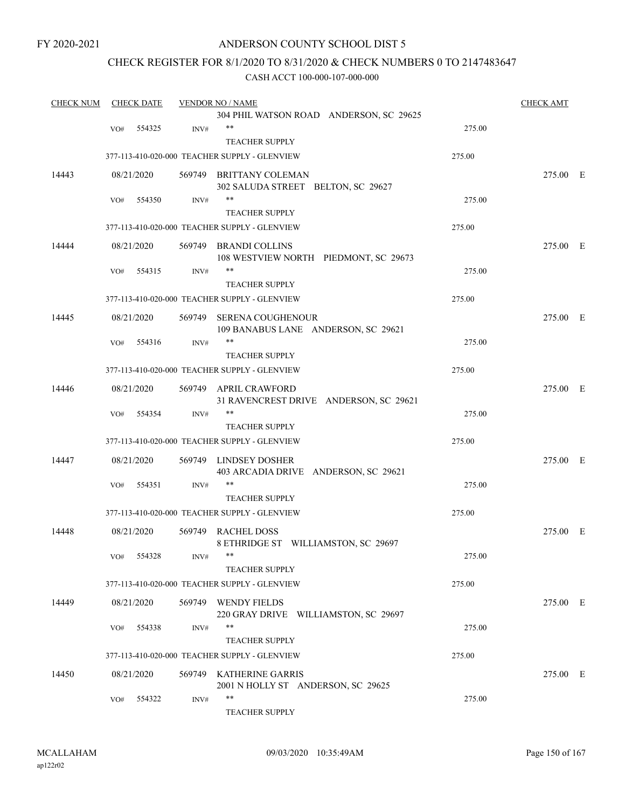### ANDERSON COUNTY SCHOOL DIST 5

### CHECK REGISTER FOR 8/1/2020 TO 8/31/2020 & CHECK NUMBERS 0 TO 2147483647

| <b>CHECK NUM</b> |     | <b>CHECK DATE</b> |        | <b>VENDOR NO / NAME</b>                                       |        | <b>CHECK AMT</b> |  |
|------------------|-----|-------------------|--------|---------------------------------------------------------------|--------|------------------|--|
|                  |     |                   |        | 304 PHIL WATSON ROAD ANDERSON, SC 29625                       |        |                  |  |
|                  | VO# | 554325            | INV#   | $***$                                                         | 275.00 |                  |  |
|                  |     |                   |        | <b>TEACHER SUPPLY</b>                                         |        |                  |  |
|                  |     |                   |        | 377-113-410-020-000 TEACHER SUPPLY - GLENVIEW                 | 275.00 |                  |  |
| 14443            |     | 08/21/2020        |        | 569749 BRITTANY COLEMAN                                       |        | 275.00 E         |  |
|                  |     |                   |        | 302 SALUDA STREET BELTON, SC 29627                            |        |                  |  |
|                  | VO# | 554350            | INV#   | $***$                                                         | 275.00 |                  |  |
|                  |     |                   |        | <b>TEACHER SUPPLY</b>                                         |        |                  |  |
|                  |     |                   |        | 377-113-410-020-000 TEACHER SUPPLY - GLENVIEW                 | 275.00 |                  |  |
| 14444            |     | 08/21/2020        |        | 569749 BRANDI COLLINS                                         |        | 275.00 E         |  |
|                  |     |                   |        | 108 WESTVIEW NORTH PIEDMONT, SC 29673                         |        |                  |  |
|                  | VO# | 554315            | INV#   | **                                                            | 275.00 |                  |  |
|                  |     |                   |        | <b>TEACHER SUPPLY</b>                                         |        |                  |  |
|                  |     |                   |        | 377-113-410-020-000 TEACHER SUPPLY - GLENVIEW                 | 275.00 |                  |  |
| 14445            |     | 08/21/2020        | 569749 | SERENA COUGHENOUR                                             |        | 275.00 E         |  |
|                  |     |                   |        | 109 BANABUS LANE ANDERSON, SC 29621                           |        |                  |  |
|                  | VO# | 554316            | INV#   | $***$                                                         | 275.00 |                  |  |
|                  |     |                   |        | <b>TEACHER SUPPLY</b>                                         |        |                  |  |
|                  |     |                   |        | 377-113-410-020-000 TEACHER SUPPLY - GLENVIEW                 | 275.00 |                  |  |
| 14446            |     | 08/21/2020        |        | 569749 APRIL CRAWFORD                                         |        | 275.00 E         |  |
|                  |     |                   |        | 31 RAVENCREST DRIVE ANDERSON, SC 29621                        |        |                  |  |
|                  | VO# | 554354            | INV#   | $***$                                                         | 275.00 |                  |  |
|                  |     |                   |        | <b>TEACHER SUPPLY</b>                                         |        |                  |  |
|                  |     |                   |        | 377-113-410-020-000 TEACHER SUPPLY - GLENVIEW                 | 275.00 |                  |  |
| 14447            |     | 08/21/2020        |        | 569749 LINDSEY DOSHER                                         |        | 275.00 E         |  |
|                  |     |                   |        | 403 ARCADIA DRIVE ANDERSON, SC 29621                          |        |                  |  |
|                  | VO# | 554351            | INV#   | $***$                                                         | 275.00 |                  |  |
|                  |     |                   |        | <b>TEACHER SUPPLY</b>                                         |        |                  |  |
|                  |     |                   |        | 377-113-410-020-000 TEACHER SUPPLY - GLENVIEW                 | 275.00 |                  |  |
| 14448            |     | 08/21/2020        |        | 569749 RACHEL DOSS                                            |        | 275.00 E         |  |
|                  |     |                   |        | 8 ETHRIDGE ST WILLIAMSTON, SC 29697                           |        |                  |  |
|                  |     | VO# 554328        | INV#   | **                                                            | 275.00 |                  |  |
|                  |     |                   |        | <b>TEACHER SUPPLY</b>                                         |        |                  |  |
|                  |     |                   |        | 377-113-410-020-000 TEACHER SUPPLY - GLENVIEW                 | 275.00 |                  |  |
| 14449            |     | 08/21/2020        |        | 569749 WENDY FIELDS                                           |        | 275.00 E         |  |
|                  |     |                   |        | 220 GRAY DRIVE WILLIAMSTON, SC 29697                          |        |                  |  |
|                  | VO# | 554338            | INV#   | $***$                                                         | 275.00 |                  |  |
|                  |     |                   |        | <b>TEACHER SUPPLY</b>                                         |        |                  |  |
|                  |     |                   |        | 377-113-410-020-000 TEACHER SUPPLY - GLENVIEW                 | 275.00 |                  |  |
|                  |     |                   |        |                                                               |        |                  |  |
| 14450            |     | 08/21/2020        |        | 569749 KATHERINE GARRIS<br>2001 N HOLLY ST ANDERSON, SC 29625 |        | 275.00 E         |  |
|                  | VO# | 554322            | INV#   | $***$                                                         | 275.00 |                  |  |
|                  |     |                   |        | TEACHER SUPPLY                                                |        |                  |  |
|                  |     |                   |        |                                                               |        |                  |  |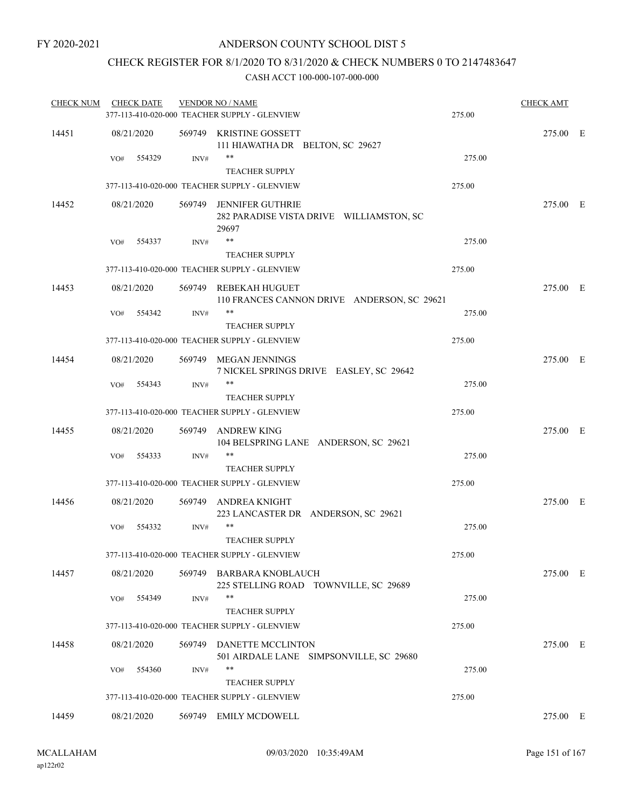### CHECK REGISTER FOR 8/1/2020 TO 8/31/2020 & CHECK NUMBERS 0 TO 2147483647

| <b>CHECK NUM</b> | <b>CHECK DATE</b> |      | <b>VENDOR NO / NAME</b><br>377-113-410-020-000 TEACHER SUPPLY - GLENVIEW     | 275.00 | <b>CHECK AMT</b> |  |
|------------------|-------------------|------|------------------------------------------------------------------------------|--------|------------------|--|
| 14451            | 08/21/2020        |      | 569749 KRISTINE GOSSETT<br>111 HIAWATHA DR BELTON, SC 29627                  |        | 275.00 E         |  |
|                  | 554329<br>VO#     | INV# | **<br>TEACHER SUPPLY                                                         | 275.00 |                  |  |
|                  |                   |      | 377-113-410-020-000 TEACHER SUPPLY - GLENVIEW                                | 275.00 |                  |  |
| 14452            | 08/21/2020        |      | 569749 JENNIFER GUTHRIE<br>282 PARADISE VISTA DRIVE WILLIAMSTON, SC<br>29697 |        | 275.00 E         |  |
|                  | VO#<br>554337     | INV# | $***$                                                                        | 275.00 |                  |  |
|                  |                   |      | <b>TEACHER SUPPLY</b>                                                        |        |                  |  |
|                  |                   |      | 377-113-410-020-000 TEACHER SUPPLY - GLENVIEW                                | 275.00 |                  |  |
| 14453            | 08/21/2020        |      | 569749 REBEKAH HUGUET<br>110 FRANCES CANNON DRIVE ANDERSON, SC 29621         |        | 275.00 E         |  |
|                  | 554342<br>VO#     | INV# | **<br><b>TEACHER SUPPLY</b>                                                  | 275.00 |                  |  |
|                  |                   |      | 377-113-410-020-000 TEACHER SUPPLY - GLENVIEW                                | 275.00 |                  |  |
| 14454            | 08/21/2020        |      | 569749 MEGAN JENNINGS<br>7 NICKEL SPRINGS DRIVE EASLEY, SC 29642             |        | 275.00 E         |  |
|                  | 554343<br>VO#     | INV# | $***$<br><b>TEACHER SUPPLY</b>                                               | 275.00 |                  |  |
|                  |                   |      | 377-113-410-020-000 TEACHER SUPPLY - GLENVIEW                                | 275.00 |                  |  |
| 14455            | 08/21/2020        |      | 569749 ANDREW KING<br>104 BELSPRING LANE ANDERSON, SC 29621                  |        | 275.00 E         |  |
|                  | 554333<br>VO#     | INV# | **<br><b>TEACHER SUPPLY</b>                                                  | 275.00 |                  |  |
|                  |                   |      | 377-113-410-020-000 TEACHER SUPPLY - GLENVIEW                                | 275.00 |                  |  |
| 14456            | 08/21/2020        |      | 569749 ANDREA KNIGHT<br>223 LANCASTER DR ANDERSON, SC 29621                  |        | 275.00 E         |  |
|                  | VO#<br>554332     | INV# | **<br><b>TEACHER SUPPLY</b>                                                  | 275.00 |                  |  |
|                  |                   |      | 377-113-410-020-000 TEACHER SUPPLY - GLENVIEW                                | 275.00 |                  |  |
| 14457            | 08/21/2020        |      | 569749 BARBARA KNOBLAUCH<br>225 STELLING ROAD TOWNVILLE, SC 29689            |        | 275.00 E         |  |
|                  | 554349<br>VO#     | INV# | $***$                                                                        | 275.00 |                  |  |
|                  |                   |      | <b>TEACHER SUPPLY</b>                                                        |        |                  |  |
|                  |                   |      | 377-113-410-020-000 TEACHER SUPPLY - GLENVIEW                                | 275.00 |                  |  |
| 14458            | 08/21/2020        |      | 569749 DANETTE MCCLINTON<br>501 AIRDALE LANE SIMPSONVILLE, SC 29680          |        | 275.00 E         |  |
|                  | 554360<br>VO#     | INV# | **<br><b>TEACHER SUPPLY</b>                                                  | 275.00 |                  |  |
|                  |                   |      | 377-113-410-020-000 TEACHER SUPPLY - GLENVIEW                                | 275.00 |                  |  |
| 14459            | 08/21/2020        |      | 569749 EMILY MCDOWELL                                                        |        | 275.00 E         |  |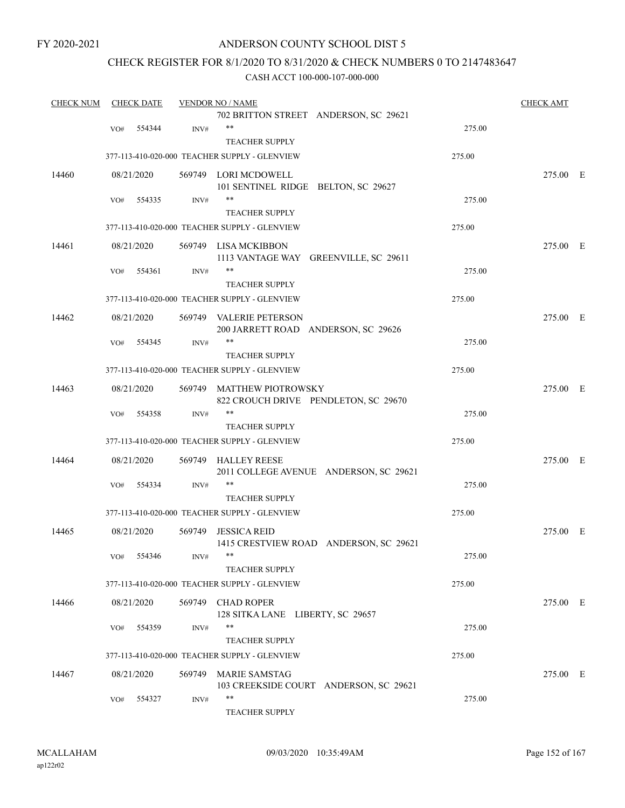### ANDERSON COUNTY SCHOOL DIST 5

### CHECK REGISTER FOR 8/1/2020 TO 8/31/2020 & CHECK NUMBERS 0 TO 2147483647

| <b>CHECK NUM</b> |     | <b>CHECK DATE</b> |        | <b>VENDOR NO / NAME</b>                                           |        | <b>CHECK AMT</b> |
|------------------|-----|-------------------|--------|-------------------------------------------------------------------|--------|------------------|
|                  |     |                   |        | 702 BRITTON STREET ANDERSON, SC 29621                             |        |                  |
|                  | VO# | 554344            | INV#   | $***$                                                             | 275.00 |                  |
|                  |     |                   |        | <b>TEACHER SUPPLY</b>                                             |        |                  |
|                  |     |                   |        | 377-113-410-020-000 TEACHER SUPPLY - GLENVIEW                     | 275.00 |                  |
| 14460            |     | 08/21/2020        |        | 569749 LORI MCDOWELL                                              |        | 275.00 E         |
|                  |     |                   |        | 101 SENTINEL RIDGE BELTON, SC 29627<br>$***$                      | 275.00 |                  |
|                  | VO# | 554335            | INV#   |                                                                   |        |                  |
|                  |     |                   |        | <b>TEACHER SUPPLY</b>                                             |        |                  |
|                  |     |                   |        | 377-113-410-020-000 TEACHER SUPPLY - GLENVIEW                     | 275.00 |                  |
| 14461            |     | 08/21/2020        |        | 569749 LISA MCKIBBON<br>1113 VANTAGE WAY GREENVILLE, SC 29611     |        | 275.00 E         |
|                  | VO# | 554361            | INV#   | $***$                                                             | 275.00 |                  |
|                  |     |                   |        | <b>TEACHER SUPPLY</b>                                             |        |                  |
|                  |     |                   |        | 377-113-410-020-000 TEACHER SUPPLY - GLENVIEW                     | 275.00 |                  |
| 14462            |     | 08/21/2020        |        | 569749 VALERIE PETERSON                                           |        | 275.00 E         |
|                  |     |                   |        | 200 JARRETT ROAD ANDERSON, SC 29626<br>$***$                      |        |                  |
|                  | VO# | 554345            | INV#   |                                                                   | 275.00 |                  |
|                  |     |                   |        | <b>TEACHER SUPPLY</b>                                             |        |                  |
|                  |     |                   |        | 377-113-410-020-000 TEACHER SUPPLY - GLENVIEW                     | 275.00 |                  |
| 14463            |     | 08/21/2020        |        | 569749 MATTHEW PIOTROWSKY<br>822 CROUCH DRIVE PENDLETON, SC 29670 |        | 275.00 E         |
|                  | VO# | 554358            | INV#   | $***$                                                             | 275.00 |                  |
|                  |     |                   |        | <b>TEACHER SUPPLY</b>                                             |        |                  |
|                  |     |                   |        | 377-113-410-020-000 TEACHER SUPPLY - GLENVIEW                     | 275.00 |                  |
| 14464            |     | 08/21/2020        |        | 569749 HALLEY REESE<br>2011 COLLEGE AVENUE ANDERSON, SC 29621     |        | 275.00 E         |
|                  | VO# | 554334            | INV#   | $***$                                                             | 275.00 |                  |
|                  |     |                   |        | <b>TEACHER SUPPLY</b>                                             |        |                  |
|                  |     |                   |        | 377-113-410-020-000 TEACHER SUPPLY - GLENVIEW                     | 275.00 |                  |
| 14465            |     | 08/21/2020        | 569749 | <b>JESSICA REID</b><br>1415 CRESTVIEW ROAD ANDERSON, SC 29621     |        | 275.00 E         |
|                  |     |                   |        |                                                                   |        |                  |
|                  |     | VO# 554346        | INV#   |                                                                   | 275.00 |                  |
|                  |     |                   |        | <b>TEACHER SUPPLY</b>                                             |        |                  |
|                  |     |                   |        | 377-113-410-020-000 TEACHER SUPPLY - GLENVIEW                     | 275.00 |                  |
| 14466            |     | 08/21/2020        |        | 569749 CHAD ROPER<br>128 SITKA LANE LIBERTY, SC 29657             |        | 275.00 E         |
|                  | VO# | 554359            | INV#   | $***$                                                             | 275.00 |                  |
|                  |     |                   |        | <b>TEACHER SUPPLY</b>                                             |        |                  |
|                  |     |                   |        | 377-113-410-020-000 TEACHER SUPPLY - GLENVIEW                     | 275.00 |                  |
| 14467            |     | 08/21/2020        | 569749 | <b>MARIE SAMSTAG</b>                                              |        | 275.00 E         |
|                  |     |                   |        | 103 CREEKSIDE COURT ANDERSON, SC 29621                            |        |                  |
|                  | VO# | 554327            | INV#   | **                                                                | 275.00 |                  |
|                  |     |                   |        | TEACHER SUPPLY                                                    |        |                  |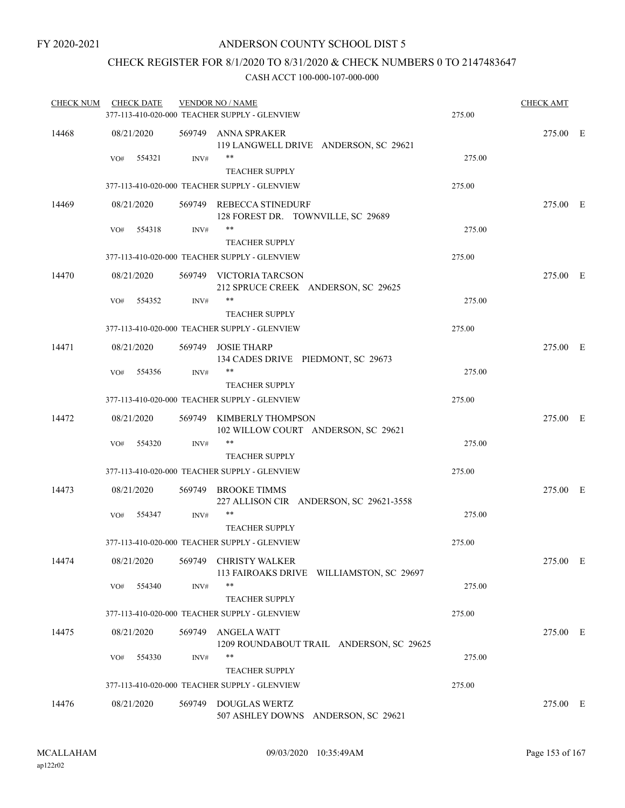### CHECK REGISTER FOR 8/1/2020 TO 8/31/2020 & CHECK NUMBERS 0 TO 2147483647

| <b>CHECK NUM</b> | <b>CHECK DATE</b> |        | <b>VENDOR NO / NAME</b><br>377-113-410-020-000 TEACHER SUPPLY - GLENVIEW | 275.00 | <b>CHECK AMT</b> |  |
|------------------|-------------------|--------|--------------------------------------------------------------------------|--------|------------------|--|
| 14468            | 08/21/2020        |        | 569749 ANNA SPRAKER<br>119 LANGWELL DRIVE ANDERSON, SC 29621             |        | 275.00 E         |  |
|                  | VO#<br>554321     | INV#   | $***$<br><b>TEACHER SUPPLY</b>                                           | 275.00 |                  |  |
|                  |                   |        | 377-113-410-020-000 TEACHER SUPPLY - GLENVIEW                            | 275.00 |                  |  |
| 14469            | 08/21/2020        |        | 569749 REBECCA STINEDURF<br>128 FOREST DR. TOWNVILLE, SC 29689           |        | 275.00 E         |  |
|                  | 554318<br>VO#     | INV#   | **<br><b>TEACHER SUPPLY</b>                                              | 275.00 |                  |  |
|                  |                   |        | 377-113-410-020-000 TEACHER SUPPLY - GLENVIEW                            | 275.00 |                  |  |
| 14470            | 08/21/2020        |        | 569749 VICTORIA TARCSON<br>212 SPRUCE CREEK ANDERSON, SC 29625           |        | 275.00 E         |  |
|                  | 554352<br>VO#     | INV#   | **<br><b>TEACHER SUPPLY</b>                                              | 275.00 |                  |  |
|                  |                   |        | 377-113-410-020-000 TEACHER SUPPLY - GLENVIEW                            | 275.00 |                  |  |
| 14471            | 08/21/2020        |        | 569749 JOSIE THARP<br>134 CADES DRIVE PIEDMONT, SC 29673                 |        | 275.00 E         |  |
|                  | 554356<br>VO#     | INV#   | $***$<br><b>TEACHER SUPPLY</b>                                           | 275.00 |                  |  |
|                  |                   |        | 377-113-410-020-000 TEACHER SUPPLY - GLENVIEW                            | 275.00 |                  |  |
| 14472            | 08/21/2020        |        | 569749 KIMBERLY THOMPSON<br>102 WILLOW COURT ANDERSON, SC 29621          |        | 275.00 E         |  |
|                  | 554320<br>VO#     | INV#   | **<br><b>TEACHER SUPPLY</b>                                              | 275.00 |                  |  |
|                  |                   |        | 377-113-410-020-000 TEACHER SUPPLY - GLENVIEW                            | 275.00 |                  |  |
| 14473            | 08/21/2020        |        | 569749 BROOKE TIMMS<br>227 ALLISON CIR ANDERSON, SC 29621-3558           |        | 275.00 E         |  |
|                  | VO#<br>554347     | INV#   | **<br><b>TEACHER SUPPLY</b>                                              | 275.00 |                  |  |
|                  |                   |        | 377-113-410-020-000 TEACHER SUPPLY - GLENVIEW                            | 275.00 |                  |  |
| 14474            | 08/21/2020        |        | 569749 CHRISTY WALKER<br>113 FAIROAKS DRIVE WILLIAMSTON, SC 29697        |        | 275.00 E         |  |
|                  | 554340<br>VO#     | INV#   | **<br><b>TEACHER SUPPLY</b>                                              | 275.00 |                  |  |
|                  |                   |        | 377-113-410-020-000 TEACHER SUPPLY - GLENVIEW                            | 275.00 |                  |  |
| 14475            | 08/21/2020        | 569749 | ANGELA WATT<br>1209 ROUNDABOUT TRAIL ANDERSON, SC 29625                  |        | 275.00 E         |  |
|                  | 554330<br>VO#     | INV#   | **<br><b>TEACHER SUPPLY</b>                                              | 275.00 |                  |  |
|                  |                   |        | 377-113-410-020-000 TEACHER SUPPLY - GLENVIEW                            | 275.00 |                  |  |
| 14476            | 08/21/2020        | 569749 | DOUGLAS WERTZ<br>507 ASHLEY DOWNS ANDERSON, SC 29621                     |        | 275.00 E         |  |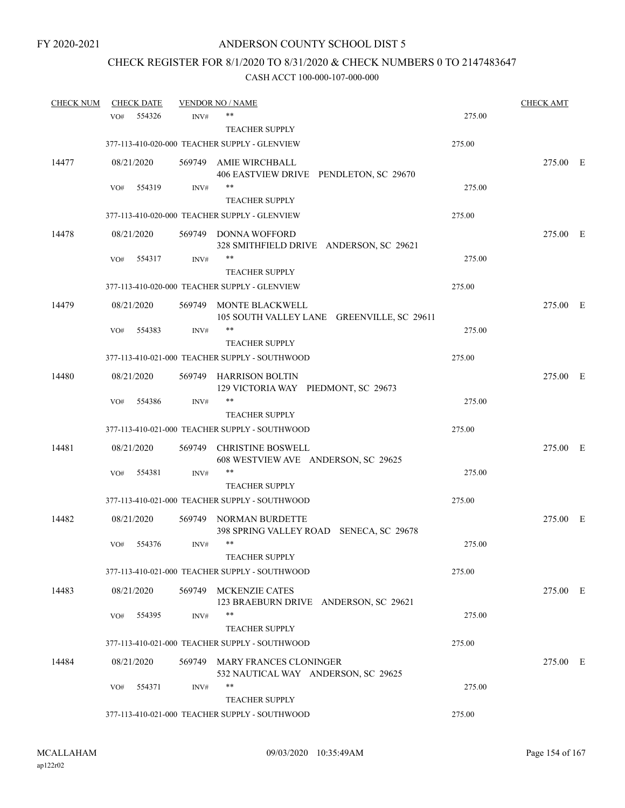# CHECK REGISTER FOR 8/1/2020 TO 8/31/2020 & CHECK NUMBERS 0 TO 2147483647

| <b>CHECK NUM</b> |     | <b>CHECK DATE</b> |        | <b>VENDOR NO / NAME</b>                                              |        | <b>CHECK AMT</b> |  |
|------------------|-----|-------------------|--------|----------------------------------------------------------------------|--------|------------------|--|
|                  | VO# | 554326            | INV#   | $***$                                                                | 275.00 |                  |  |
|                  |     |                   |        | <b>TEACHER SUPPLY</b>                                                |        |                  |  |
|                  |     |                   |        | 377-113-410-020-000 TEACHER SUPPLY - GLENVIEW                        | 275.00 |                  |  |
| 14477            |     | 08/21/2020        |        | 569749 AMIE WIRCHBALL<br>406 EASTVIEW DRIVE PENDLETON, SC 29670      |        | 275.00 E         |  |
|                  | VO# | 554319            | INV#   | **                                                                   | 275.00 |                  |  |
|                  |     |                   |        | <b>TEACHER SUPPLY</b>                                                |        |                  |  |
|                  |     |                   |        | 377-113-410-020-000 TEACHER SUPPLY - GLENVIEW                        | 275.00 |                  |  |
| 14478            |     | 08/21/2020        |        | 569749 DONNA WOFFORD<br>328 SMITHFIELD DRIVE ANDERSON, SC 29621      |        | 275.00 E         |  |
|                  | VO# | 554317            | INV#   | **                                                                   | 275.00 |                  |  |
|                  |     |                   |        | <b>TEACHER SUPPLY</b>                                                |        |                  |  |
|                  |     |                   |        | 377-113-410-020-000 TEACHER SUPPLY - GLENVIEW                        | 275.00 |                  |  |
| 14479            |     | 08/21/2020        |        | 569749 MONTE BLACKWELL<br>105 SOUTH VALLEY LANE GREENVILLE, SC 29611 |        | 275.00 E         |  |
|                  | VO# | 554383            | INV#   | **                                                                   | 275.00 |                  |  |
|                  |     |                   |        | <b>TEACHER SUPPLY</b>                                                |        |                  |  |
|                  |     |                   |        | 377-113-410-021-000 TEACHER SUPPLY - SOUTHWOOD                       | 275.00 |                  |  |
| 14480            |     | 08/21/2020        |        | 569749 HARRISON BOLTIN<br>129 VICTORIA WAY PIEDMONT, SC 29673        |        | 275.00 E         |  |
|                  | VO# | 554386            | INV#   | **                                                                   | 275.00 |                  |  |
|                  |     |                   |        | <b>TEACHER SUPPLY</b>                                                |        |                  |  |
|                  |     |                   |        | 377-113-410-021-000 TEACHER SUPPLY - SOUTHWOOD                       | 275.00 |                  |  |
| 14481            |     | 08/21/2020        | 569749 | <b>CHRISTINE BOSWELL</b><br>608 WESTVIEW AVE ANDERSON, SC 29625      |        | 275.00 E         |  |
|                  | VO# | 554381            | INV#   | **                                                                   | 275.00 |                  |  |
|                  |     |                   |        | <b>TEACHER SUPPLY</b>                                                |        |                  |  |
|                  |     |                   |        | 377-113-410-021-000 TEACHER SUPPLY - SOUTHWOOD                       | 275.00 |                  |  |
| 14482            |     | 08/21/2020        |        | 569749 NORMAN BURDETTE<br>398 SPRING VALLEY ROAD SENECA, SC 29678    |        | 275.00 E         |  |
|                  | VO# | 554376            | INV#   | **                                                                   | 275.00 |                  |  |
|                  |     |                   |        | <b>TEACHER SUPPLY</b>                                                |        |                  |  |
|                  |     |                   |        | 377-113-410-021-000 TEACHER SUPPLY - SOUTHWOOD                       | 275.00 |                  |  |
| 14483            |     | 08/21/2020        |        | 569749 MCKENZIE CATES<br>123 BRAEBURN DRIVE ANDERSON, SC 29621       |        | 275.00 E         |  |
|                  | VO# | 554395            | INV#   | **                                                                   | 275.00 |                  |  |
|                  |     |                   |        | <b>TEACHER SUPPLY</b>                                                |        |                  |  |
|                  |     |                   |        | 377-113-410-021-000 TEACHER SUPPLY - SOUTHWOOD                       | 275.00 |                  |  |
| 14484            |     | 08/21/2020        | 569749 | <b>MARY FRANCES CLONINGER</b><br>532 NAUTICAL WAY ANDERSON, SC 29625 |        | 275.00 E         |  |
|                  | VO# | 554371            | INV#   | **                                                                   | 275.00 |                  |  |
|                  |     |                   |        | <b>TEACHER SUPPLY</b>                                                |        |                  |  |
|                  |     |                   |        | 377-113-410-021-000 TEACHER SUPPLY - SOUTHWOOD                       | 275.00 |                  |  |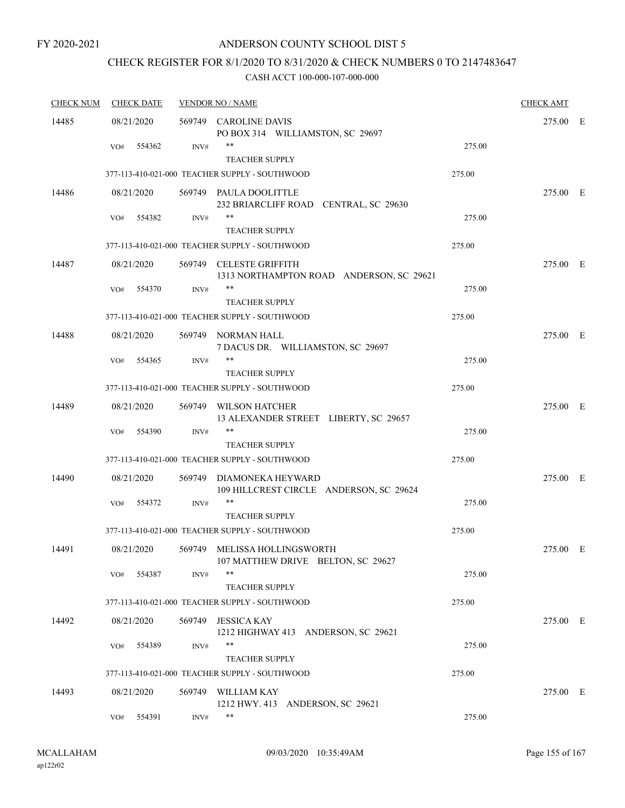### ANDERSON COUNTY SCHOOL DIST 5

# CHECK REGISTER FOR 8/1/2020 TO 8/31/2020 & CHECK NUMBERS 0 TO 2147483647

| <b>CHECK NUM</b> | <b>CHECK DATE</b> |        | <b>VENDOR NO / NAME</b> |                                                                     |        | <b>CHECK AMT</b> |  |
|------------------|-------------------|--------|-------------------------|---------------------------------------------------------------------|--------|------------------|--|
| 14485            | 08/21/2020        |        |                         | 569749 CAROLINE DAVIS<br>PO BOX 314 WILLIAMSTON, SC 29697           |        | 275.00 E         |  |
|                  | VO#               | 554362 | INV#                    | **<br><b>TEACHER SUPPLY</b>                                         | 275.00 |                  |  |
|                  |                   |        |                         | 377-113-410-021-000 TEACHER SUPPLY - SOUTHWOOD                      | 275.00 |                  |  |
| 14486            | 08/21/2020        |        |                         | 569749 PAULA DOOLITTLE<br>232 BRIARCLIFF ROAD CENTRAL, SC 29630     |        | 275.00 E         |  |
|                  | VO#               | 554382 | INV#                    | **<br><b>TEACHER SUPPLY</b>                                         | 275.00 |                  |  |
|                  |                   |        |                         | 377-113-410-021-000 TEACHER SUPPLY - SOUTHWOOD                      | 275.00 |                  |  |
| 14487            | 08/21/2020        |        |                         | 569749 CELESTE GRIFFITH<br>1313 NORTHAMPTON ROAD ANDERSON, SC 29621 |        | 275.00 E         |  |
|                  | VO#               | 554370 | INV#                    | **<br><b>TEACHER SUPPLY</b>                                         | 275.00 |                  |  |
|                  |                   |        |                         | 377-113-410-021-000 TEACHER SUPPLY - SOUTHWOOD                      | 275.00 |                  |  |
| 14488            | 08/21/2020        |        |                         | 569749 NORMAN HALL<br>7 DACUS DR. WILLIAMSTON, SC 29697             |        | 275.00 E         |  |
|                  | VO#               | 554365 | INV#                    | **                                                                  | 275.00 |                  |  |
|                  |                   |        |                         | <b>TEACHER SUPPLY</b>                                               |        |                  |  |
|                  |                   |        |                         | 377-113-410-021-000 TEACHER SUPPLY - SOUTHWOOD                      | 275.00 |                  |  |
| 14489            | 08/21/2020        |        |                         | 569749 WILSON HATCHER<br>13 ALEXANDER STREET LIBERTY, SC 29657      |        | 275.00 E         |  |
|                  | VO#               | 554390 | INV#                    | **<br><b>TEACHER SUPPLY</b>                                         | 275.00 |                  |  |
|                  |                   |        |                         | 377-113-410-021-000 TEACHER SUPPLY - SOUTHWOOD                      | 275.00 |                  |  |
| 14490            | 08/21/2020        |        |                         | 569749 DIAMONEKA HEYWARD<br>109 HILLCREST CIRCLE ANDERSON, SC 29624 |        | 275.00 E         |  |
|                  | VO#               | 554372 | INV#                    | **<br><b>TEACHER SUPPLY</b>                                         | 275.00 |                  |  |
|                  |                   |        |                         | 377-113-410-021-000 TEACHER SUPPLY - SOUTHWOOD                      | 275.00 |                  |  |
| 14491            | 08/21/2020        |        |                         | 569749 MELISSA HOLLINGSWORTH<br>107 MATTHEW DRIVE BELTON, SC 29627  |        | 275.00 E         |  |
|                  | VO#               | 554387 | INV#                    | **<br><b>TEACHER SUPPLY</b>                                         | 275.00 |                  |  |
|                  |                   |        |                         | 377-113-410-021-000 TEACHER SUPPLY - SOUTHWOOD                      | 275.00 |                  |  |
| 14492            | 08/21/2020        |        |                         | 569749 JESSICA KAY<br>1212 HIGHWAY 413 ANDERSON, SC 29621           |        | 275.00 E         |  |
|                  | VO#               | 554389 | INV#                    | **<br><b>TEACHER SUPPLY</b>                                         | 275.00 |                  |  |
|                  |                   |        |                         | 377-113-410-021-000 TEACHER SUPPLY - SOUTHWOOD                      | 275.00 |                  |  |
| 14493            | 08/21/2020        |        |                         | 569749 WILLIAM KAY<br>1212 HWY. 413 ANDERSON, SC 29621              |        | 275.00 E         |  |
|                  | VO#               | 554391 | INV#                    | **                                                                  | 275.00 |                  |  |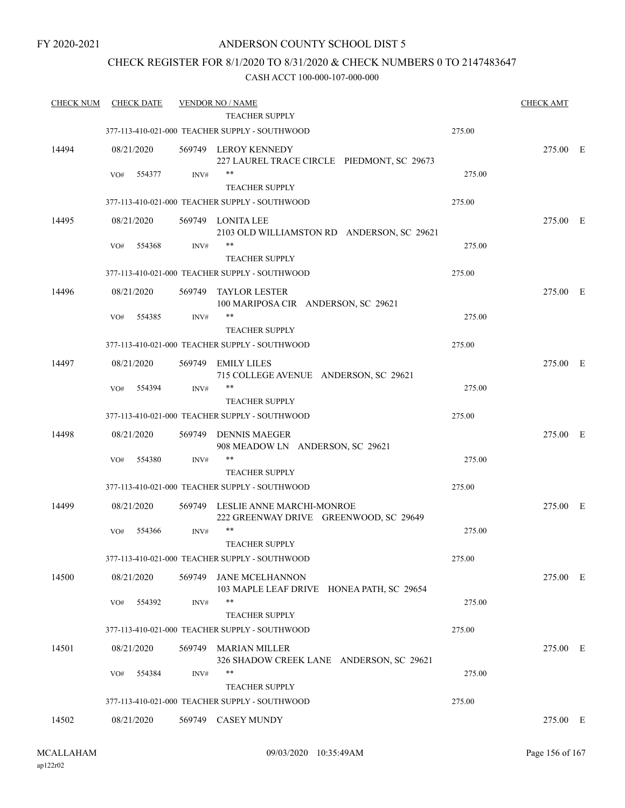### ANDERSON COUNTY SCHOOL DIST 5

### CHECK REGISTER FOR 8/1/2020 TO 8/31/2020 & CHECK NUMBERS 0 TO 2147483647

| <b>CHECK NUM</b> |            | <b>CHECK DATE</b> |        | <b>VENDOR NO / NAME</b>                                                    |        | <b>CHECK AMT</b> |  |
|------------------|------------|-------------------|--------|----------------------------------------------------------------------------|--------|------------------|--|
|                  |            |                   |        | TEACHER SUPPLY                                                             |        |                  |  |
|                  |            |                   |        | 377-113-410-021-000 TEACHER SUPPLY - SOUTHWOOD                             | 275.00 |                  |  |
| 14494            | 08/21/2020 |                   |        | 569749 LEROY KENNEDY<br>227 LAUREL TRACE CIRCLE PIEDMONT, SC 29673         |        | 275.00 E         |  |
|                  | VO#        | 554377            | INV#   | $***$<br><b>TEACHER SUPPLY</b>                                             | 275.00 |                  |  |
|                  |            |                   |        | 377-113-410-021-000 TEACHER SUPPLY - SOUTHWOOD                             | 275.00 |                  |  |
| 14495            | 08/21/2020 |                   |        | 569749 LONITA LEE<br>2103 OLD WILLIAMSTON RD ANDERSON, SC 29621            |        | 275.00 E         |  |
|                  | VO#        | 554368            | INV#   | **                                                                         | 275.00 |                  |  |
|                  |            |                   |        | <b>TEACHER SUPPLY</b><br>377-113-410-021-000 TEACHER SUPPLY - SOUTHWOOD    | 275.00 |                  |  |
| 14496            | 08/21/2020 |                   | 569749 | TAYLOR LESTER                                                              |        | 275.00 E         |  |
|                  | VO#        | 554385            | INV#   | 100 MARIPOSA CIR ANDERSON, SC 29621<br>**                                  | 275.00 |                  |  |
|                  |            |                   |        | <b>TEACHER SUPPLY</b>                                                      |        |                  |  |
|                  |            |                   |        | 377-113-410-021-000 TEACHER SUPPLY - SOUTHWOOD                             | 275.00 |                  |  |
| 14497            | 08/21/2020 |                   | 569749 | <b>EMILY LILES</b><br>715 COLLEGE AVENUE ANDERSON, SC 29621                |        | 275.00 E         |  |
|                  | VO#        | 554394            | INV#   | $***$                                                                      | 275.00 |                  |  |
|                  |            |                   |        | <b>TEACHER SUPPLY</b>                                                      |        |                  |  |
|                  |            |                   |        | 377-113-410-021-000 TEACHER SUPPLY - SOUTHWOOD                             | 275.00 |                  |  |
| 14498            | 08/21/2020 |                   | 569749 | <b>DENNIS MAEGER</b><br>908 MEADOW LN ANDERSON, SC 29621                   |        | 275.00 E         |  |
|                  | VO#        | 554380            | INV#   | **                                                                         | 275.00 |                  |  |
|                  |            |                   |        | <b>TEACHER SUPPLY</b>                                                      |        |                  |  |
|                  |            |                   |        | 377-113-410-021-000 TEACHER SUPPLY - SOUTHWOOD                             | 275.00 |                  |  |
| 14499            | 08/21/2020 |                   |        | 569749 LESLIE ANNE MARCHI-MONROE<br>222 GREENWAY DRIVE GREENWOOD, SC 29649 |        | 275.00 E         |  |
|                  | VO#        | 554366            | INV#   | $***$<br><b>TEACHER SUPPLY</b>                                             | 275.00 |                  |  |
|                  |            |                   |        | 377-113-410-021-000 TEACHER SUPPLY - SOUTHWOOD                             | 275.00 |                  |  |
| 14500            | 08/21/2020 |                   | 569749 | JANE MCELHANNON<br>103 MAPLE LEAF DRIVE HONEA PATH, SC 29654               |        | 275.00 E         |  |
|                  | VO#        | 554392            | INV#   | $***$                                                                      | 275.00 |                  |  |
|                  |            |                   |        | <b>TEACHER SUPPLY</b>                                                      |        |                  |  |
|                  |            |                   |        | 377-113-410-021-000 TEACHER SUPPLY - SOUTHWOOD                             | 275.00 |                  |  |
| 14501            | 08/21/2020 |                   | 569749 | <b>MARIAN MILLER</b><br>326 SHADOW CREEK LANE ANDERSON, SC 29621           |        | 275.00 E         |  |
|                  | VO#        | 554384            | INV#   | **<br><b>TEACHER SUPPLY</b>                                                | 275.00 |                  |  |
|                  |            |                   |        | 377-113-410-021-000 TEACHER SUPPLY - SOUTHWOOD                             | 275.00 |                  |  |
|                  |            |                   |        |                                                                            |        |                  |  |
| 14502            | 08/21/2020 |                   |        | 569749 CASEY MUNDY                                                         |        | 275.00 E         |  |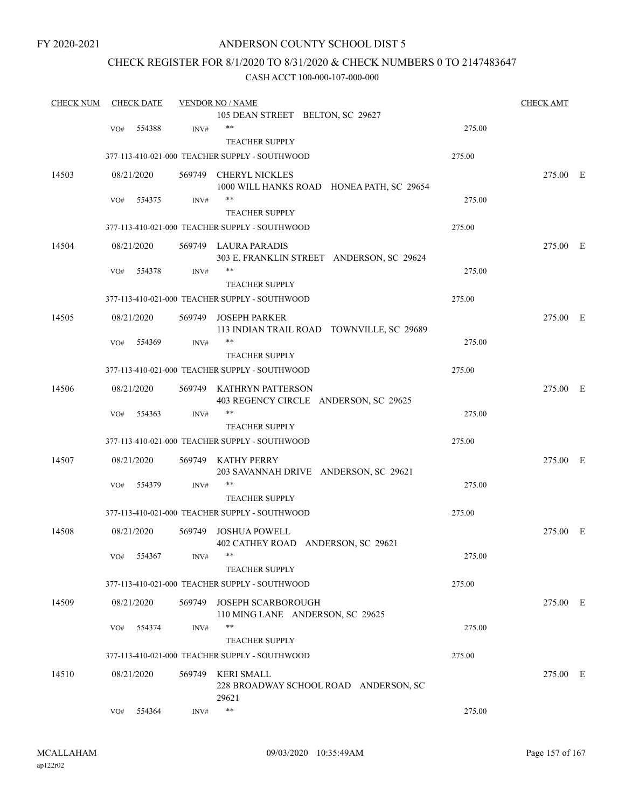### ANDERSON COUNTY SCHOOL DIST 5

### CHECK REGISTER FOR 8/1/2020 TO 8/31/2020 & CHECK NUMBERS 0 TO 2147483647

| <b>CHECK NUM</b> | <b>CHECK DATE</b> |            |        | <b>VENDOR NO / NAME</b>                        |        |          |  |  |  |  |
|------------------|-------------------|------------|--------|------------------------------------------------|--------|----------|--|--|--|--|
|                  |                   |            |        | 105 DEAN STREET BELTON, SC 29627               |        |          |  |  |  |  |
|                  | VO#               | 554388     | INV#   | $***$                                          | 275.00 |          |  |  |  |  |
|                  |                   |            |        | <b>TEACHER SUPPLY</b>                          |        |          |  |  |  |  |
|                  |                   |            |        | 377-113-410-021-000 TEACHER SUPPLY - SOUTHWOOD | 275.00 |          |  |  |  |  |
| 14503            |                   | 08/21/2020 |        | 569749 CHERYL NICKLES                          |        | 275.00 E |  |  |  |  |
|                  |                   |            |        | 1000 WILL HANKS ROAD HONEA PATH, SC 29654      |        |          |  |  |  |  |
|                  | VO#               | 554375     | INV#   | **                                             | 275.00 |          |  |  |  |  |
|                  |                   |            |        | <b>TEACHER SUPPLY</b>                          |        |          |  |  |  |  |
|                  |                   |            |        | 377-113-410-021-000 TEACHER SUPPLY - SOUTHWOOD | 275.00 |          |  |  |  |  |
| 14504            |                   | 08/21/2020 |        | 569749 LAURA PARADIS                           |        | 275.00 E |  |  |  |  |
|                  |                   |            |        | 303 E. FRANKLIN STREET ANDERSON, SC 29624      |        |          |  |  |  |  |
|                  | VO#               | 554378     | INV#   | **                                             | 275.00 |          |  |  |  |  |
|                  |                   |            |        | <b>TEACHER SUPPLY</b>                          |        |          |  |  |  |  |
|                  |                   |            |        | 377-113-410-021-000 TEACHER SUPPLY - SOUTHWOOD | 275.00 |          |  |  |  |  |
| 14505            |                   | 08/21/2020 |        | 569749 JOSEPH PARKER                           |        | 275.00 E |  |  |  |  |
|                  |                   |            |        | 113 INDIAN TRAIL ROAD TOWNVILLE, SC 29689      |        |          |  |  |  |  |
|                  | VO#               | 554369     | INV#   | **                                             | 275.00 |          |  |  |  |  |
|                  |                   |            |        | <b>TEACHER SUPPLY</b>                          |        |          |  |  |  |  |
|                  |                   |            |        | 377-113-410-021-000 TEACHER SUPPLY - SOUTHWOOD | 275.00 |          |  |  |  |  |
| 14506            |                   | 08/21/2020 |        | 569749 KATHRYN PATTERSON                       |        | 275.00 E |  |  |  |  |
|                  |                   |            |        | 403 REGENCY CIRCLE ANDERSON, SC 29625          |        |          |  |  |  |  |
|                  | VO#               | 554363     | INV#   | **                                             | 275.00 |          |  |  |  |  |
|                  |                   |            |        | <b>TEACHER SUPPLY</b>                          |        |          |  |  |  |  |
|                  |                   |            |        | 377-113-410-021-000 TEACHER SUPPLY - SOUTHWOOD | 275.00 |          |  |  |  |  |
| 14507            |                   | 08/21/2020 |        | 569749 KATHY PERRY                             |        | 275.00 E |  |  |  |  |
|                  |                   |            |        | 203 SAVANNAH DRIVE ANDERSON, SC 29621          |        |          |  |  |  |  |
|                  | VO#               | 554379     | INV#   | **                                             | 275.00 |          |  |  |  |  |
|                  |                   |            |        | <b>TEACHER SUPPLY</b>                          |        |          |  |  |  |  |
|                  |                   |            |        | 377-113-410-021-000 TEACHER SUPPLY - SOUTHWOOD | 275.00 |          |  |  |  |  |
| 14508            |                   | 08/21/2020 |        | 569749 JOSHUA POWELL                           |        | 275.00 E |  |  |  |  |
|                  |                   |            |        | 402 CATHEY ROAD ANDERSON, SC 29621             |        |          |  |  |  |  |
|                  |                   | VO# 554367 | INV#   |                                                | 275.00 |          |  |  |  |  |
|                  |                   |            |        | <b>TEACHER SUPPLY</b>                          |        |          |  |  |  |  |
|                  |                   |            |        | 377-113-410-021-000 TEACHER SUPPLY - SOUTHWOOD | 275.00 |          |  |  |  |  |
| 14509            |                   | 08/21/2020 | 569749 | <b>JOSEPH SCARBOROUGH</b>                      |        | 275.00 E |  |  |  |  |
|                  |                   |            |        | 110 MING LANE ANDERSON, SC 29625               |        |          |  |  |  |  |
|                  | VO#               | 554374     | INV#   | **                                             | 275.00 |          |  |  |  |  |
|                  |                   |            |        | <b>TEACHER SUPPLY</b>                          |        |          |  |  |  |  |
|                  |                   |            |        | 377-113-410-021-000 TEACHER SUPPLY - SOUTHWOOD | 275.00 |          |  |  |  |  |
| 14510            |                   | 08/21/2020 |        | 569749 KERI SMALL                              |        | 275.00 E |  |  |  |  |
|                  |                   |            |        | 228 BROADWAY SCHOOL ROAD ANDERSON, SC          |        |          |  |  |  |  |
|                  |                   |            |        | 29621                                          |        |          |  |  |  |  |
|                  | VO#               | 554364     | INV#   | $***$                                          | 275.00 |          |  |  |  |  |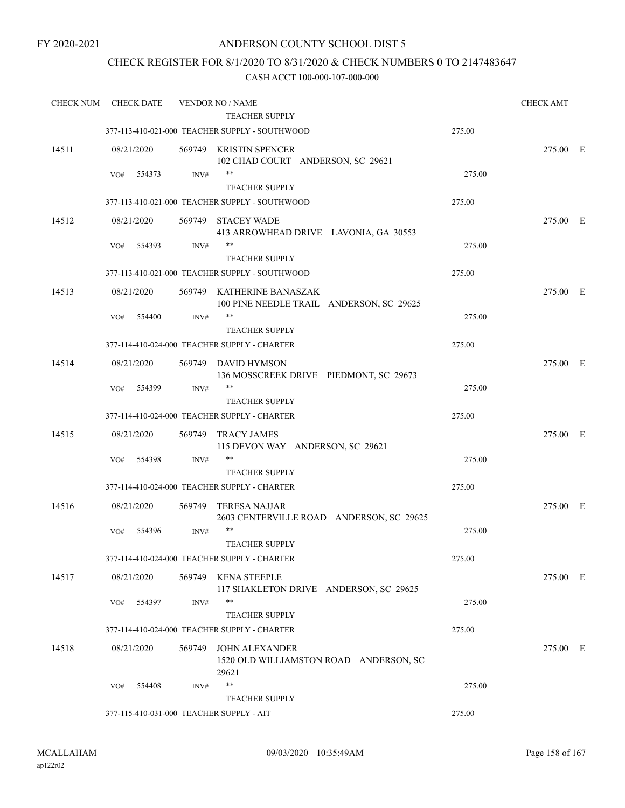#### CHECK REGISTER FOR 8/1/2020 TO 8/31/2020 & CHECK NUMBERS 0 TO 2147483647

| <b>CHECK NUM</b> | <b>CHECK DATE</b>                        |        | <b>VENDOR NO / NAME</b>                                                  |        | <b>CHECK AMT</b> |  |
|------------------|------------------------------------------|--------|--------------------------------------------------------------------------|--------|------------------|--|
|                  |                                          |        | <b>TEACHER SUPPLY</b>                                                    |        |                  |  |
|                  |                                          |        | 377-113-410-021-000 TEACHER SUPPLY - SOUTHWOOD                           | 275.00 |                  |  |
| 14511            | 08/21/2020                               |        | 569749 KRISTIN SPENCER<br>102 CHAD COURT ANDERSON, SC 29621              |        | 275.00 E         |  |
|                  | 554373<br>VO#                            | INV#   | **                                                                       | 275.00 |                  |  |
|                  |                                          |        | <b>TEACHER SUPPLY</b>                                                    |        |                  |  |
|                  |                                          |        | 377-113-410-021-000 TEACHER SUPPLY - SOUTHWOOD                           | 275.00 |                  |  |
| 14512            | 08/21/2020                               | 569749 | <b>STACEY WADE</b><br>413 ARROWHEAD DRIVE LAVONIA, GA 30553              |        | 275.00 E         |  |
|                  | 554393<br>VO#                            | INV#   | **<br><b>TEACHER SUPPLY</b>                                              | 275.00 |                  |  |
|                  |                                          |        | 377-113-410-021-000 TEACHER SUPPLY - SOUTHWOOD                           | 275.00 |                  |  |
| 14513            | 08/21/2020                               |        | 569749 KATHERINE BANASZAK<br>100 PINE NEEDLE TRAIL ANDERSON, SC 29625    |        | 275.00 E         |  |
|                  | 554400<br>VO#                            | INV#   | **                                                                       | 275.00 |                  |  |
|                  |                                          |        | <b>TEACHER SUPPLY</b>                                                    |        |                  |  |
|                  |                                          |        | 377-114-410-024-000 TEACHER SUPPLY - CHARTER                             | 275.00 |                  |  |
| 14514            | 08/21/2020                               |        | 569749 DAVID HYMSON<br>136 MOSSCREEK DRIVE PIEDMONT, SC 29673            |        | 275.00 E         |  |
|                  | 554399<br>VO#                            | INV#   | $***$<br><b>TEACHER SUPPLY</b>                                           | 275.00 |                  |  |
|                  |                                          |        | 377-114-410-024-000 TEACHER SUPPLY - CHARTER                             | 275.00 |                  |  |
| 14515            | 08/21/2020                               | 569749 | <b>TRACY JAMES</b><br>115 DEVON WAY ANDERSON, SC 29621                   |        | 275.00 E         |  |
|                  | 554398<br>VO#                            | INV#   | **                                                                       | 275.00 |                  |  |
|                  |                                          |        | <b>TEACHER SUPPLY</b>                                                    |        |                  |  |
|                  |                                          |        | 377-114-410-024-000 TEACHER SUPPLY - CHARTER                             | 275.00 |                  |  |
| 14516            | 08/21/2020                               | 569749 | <b>TERESA NAJJAR</b><br>2603 CENTERVILLE ROAD ANDERSON, SC 29625         |        | 275.00 E         |  |
|                  | 554396<br>VO#                            | INV#   | $***$                                                                    | 275.00 |                  |  |
|                  |                                          |        | <b>TEACHER SUPPLY</b>                                                    |        |                  |  |
|                  |                                          |        | 377-114-410-024-000 TEACHER SUPPLY - CHARTER                             | 275.00 |                  |  |
| 14517            | 08/21/2020                               | 569749 | KENA STEEPLE<br>117 SHAKLETON DRIVE ANDERSON, SC 29625                   |        | 275.00 E         |  |
|                  | 554397<br>VO#                            | INV#   | **                                                                       | 275.00 |                  |  |
|                  |                                          |        | <b>TEACHER SUPPLY</b>                                                    |        |                  |  |
|                  |                                          |        | 377-114-410-024-000 TEACHER SUPPLY - CHARTER                             | 275.00 |                  |  |
| 14518            | 08/21/2020                               | 569749 | <b>JOHN ALEXANDER</b><br>1520 OLD WILLIAMSTON ROAD ANDERSON, SC<br>29621 |        | 275.00 E         |  |
|                  | VO#<br>554408                            | INV#   | $***$                                                                    | 275.00 |                  |  |
|                  |                                          |        | <b>TEACHER SUPPLY</b>                                                    |        |                  |  |
|                  | 377-115-410-031-000 TEACHER SUPPLY - AIT |        |                                                                          | 275.00 |                  |  |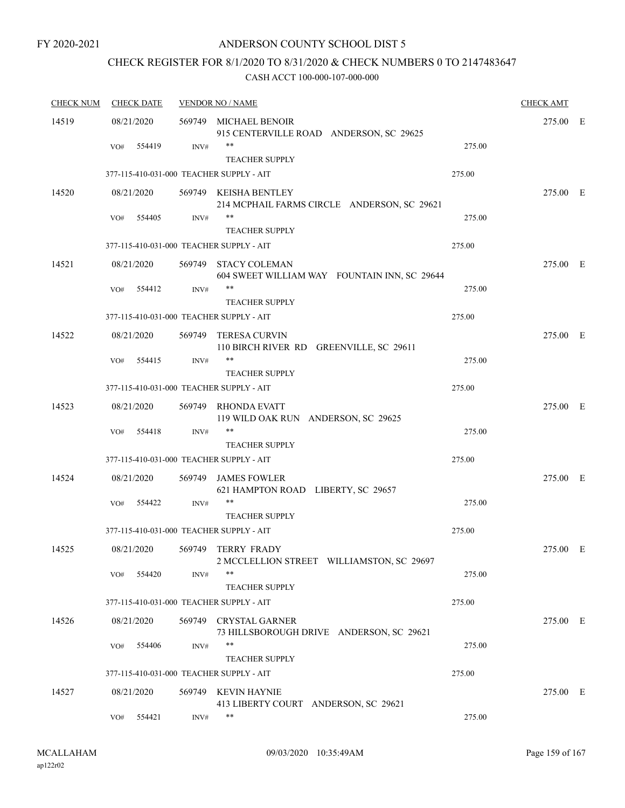### ANDERSON COUNTY SCHOOL DIST 5

## CHECK REGISTER FOR 8/1/2020 TO 8/31/2020 & CHECK NUMBERS 0 TO 2147483647

| <b>CHECK NUM</b> |            | <b>CHECK DATE</b> |      | <b>VENDOR NO / NAME</b>                                              |        | <b>CHECK AMT</b> |  |
|------------------|------------|-------------------|------|----------------------------------------------------------------------|--------|------------------|--|
| 14519            | 08/21/2020 |                   |      | 569749 MICHAEL BENOIR<br>915 CENTERVILLE ROAD ANDERSON, SC 29625     |        | 275.00 E         |  |
|                  | VO#        | 554419            | INV# | **<br><b>TEACHER SUPPLY</b>                                          | 275.00 |                  |  |
|                  |            |                   |      | 377-115-410-031-000 TEACHER SUPPLY - AIT                             | 275.00 |                  |  |
| 14520            | 08/21/2020 |                   |      | 569749 KEISHA BENTLEY<br>214 MCPHAIL FARMS CIRCLE ANDERSON, SC 29621 |        | 275.00 E         |  |
|                  | VO#        | 554405            | INV# | **<br><b>TEACHER SUPPLY</b>                                          | 275.00 |                  |  |
|                  |            |                   |      | 377-115-410-031-000 TEACHER SUPPLY - AIT                             | 275.00 |                  |  |
| 14521            | 08/21/2020 |                   |      | 569749 STACY COLEMAN<br>604 SWEET WILLIAM WAY FOUNTAIN INN, SC 29644 |        | 275.00 E         |  |
|                  | VO#        | 554412            | INV# | $***$<br><b>TEACHER SUPPLY</b>                                       | 275.00 |                  |  |
|                  |            |                   |      | 377-115-410-031-000 TEACHER SUPPLY - AIT                             | 275.00 |                  |  |
| 14522            | 08/21/2020 |                   |      | 569749 TERESA CURVIN<br>110 BIRCH RIVER RD GREENVILLE, SC 29611      |        | 275.00 E         |  |
|                  | VO#        | 554415            | INV# | $***$                                                                | 275.00 |                  |  |
|                  |            |                   |      | <b>TEACHER SUPPLY</b><br>377-115-410-031-000 TEACHER SUPPLY - AIT    | 275.00 |                  |  |
| 14523            | 08/21/2020 |                   |      | 569749 RHONDA EVATT<br>119 WILD OAK RUN ANDERSON, SC 29625           |        | 275.00 E         |  |
|                  | VO#        | 554418            | INV# | $***$<br><b>TEACHER SUPPLY</b>                                       | 275.00 |                  |  |
|                  |            |                   |      | 377-115-410-031-000 TEACHER SUPPLY - AIT                             | 275.00 |                  |  |
| 14524            | 08/21/2020 |                   |      | 569749 JAMES FOWLER<br>621 HAMPTON ROAD LIBERTY, SC 29657            |        | 275.00 E         |  |
|                  | VO#        | 554422            | INV# | **<br><b>TEACHER SUPPLY</b>                                          | 275.00 |                  |  |
|                  |            |                   |      | 377-115-410-031-000 TEACHER SUPPLY - AIT                             | 275.00 |                  |  |
| 14525            | 08/21/2020 |                   |      | 569749 TERRY FRADY<br>2 MCCLELLION STREET WILLIAMSTON, SC 29697      |        | 275.00 E         |  |
|                  | VO#        | 554420            | INV# | **<br><b>TEACHER SUPPLY</b>                                          | 275.00 |                  |  |
|                  |            |                   |      | 377-115-410-031-000 TEACHER SUPPLY - AIT                             | 275.00 |                  |  |
| 14526            | 08/21/2020 |                   |      | 569749 CRYSTAL GARNER<br>73 HILLSBOROUGH DRIVE ANDERSON, SC 29621    |        | 275.00 E         |  |
|                  | VO#        | 554406            | INV# | **<br><b>TEACHER SUPPLY</b>                                          | 275.00 |                  |  |
|                  |            |                   |      | 377-115-410-031-000 TEACHER SUPPLY - AIT                             | 275.00 |                  |  |
| 14527            | 08/21/2020 |                   |      | 569749 KEVIN HAYNIE<br>413 LIBERTY COURT ANDERSON, SC 29621          |        | 275.00 E         |  |
|                  | VO#        | 554421            | INV# | **                                                                   | 275.00 |                  |  |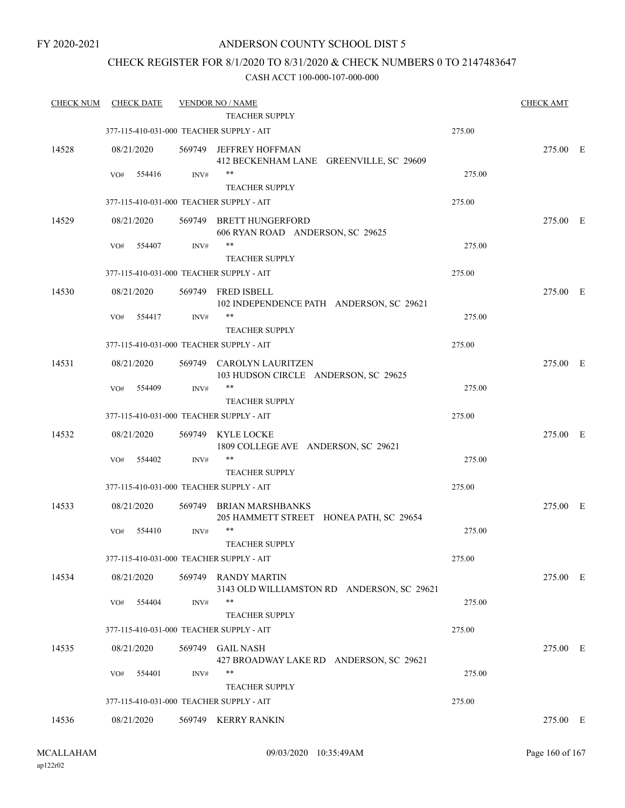### ANDERSON COUNTY SCHOOL DIST 5

### CHECK REGISTER FOR 8/1/2020 TO 8/31/2020 & CHECK NUMBERS 0 TO 2147483647

#### CASH ACCT 100-000-107-000-000

| <b>CHECK NUM</b> | <b>CHECK DATE</b>                        |                | <b>VENDOR NO / NAME</b>                                           |        | <b>CHECK AMT</b> |  |
|------------------|------------------------------------------|----------------|-------------------------------------------------------------------|--------|------------------|--|
|                  |                                          |                | <b>TEACHER SUPPLY</b>                                             |        |                  |  |
|                  | 377-115-410-031-000 TEACHER SUPPLY - AIT |                |                                                                   | 275.00 |                  |  |
| 14528            | 08/21/2020                               | 569749         | <b>JEFFREY HOFFMAN</b><br>412 BECKENHAM LANE GREENVILLE, SC 29609 |        | 275.00 E         |  |
|                  | VO#<br>554416                            | INV#           | $***$<br><b>TEACHER SUPPLY</b>                                    | 275.00 |                  |  |
|                  | 377-115-410-031-000 TEACHER SUPPLY - AIT |                |                                                                   | 275.00 |                  |  |
| 14529            | 08/21/2020                               | 569749         | <b>BRETT HUNGERFORD</b><br>606 RYAN ROAD ANDERSON, SC 29625       |        | 275.00 E         |  |
|                  | 554407<br>VO#                            | INV#           | **<br><b>TEACHER SUPPLY</b>                                       | 275.00 |                  |  |
|                  | 377-115-410-031-000 TEACHER SUPPLY - AIT |                |                                                                   | 275.00 |                  |  |
| 14530            | 08/21/2020                               |                | 569749 FRED ISBELL<br>102 INDEPENDENCE PATH ANDERSON, SC 29621    |        | 275.00 E         |  |
|                  | VO#<br>554417                            | INV#           | $***$<br><b>TEACHER SUPPLY</b>                                    | 275.00 |                  |  |
|                  | 377-115-410-031-000 TEACHER SUPPLY - AIT |                |                                                                   | 275.00 |                  |  |
| 14531            | 08/21/2020                               |                | 569749 CAROLYN LAURITZEN<br>103 HUDSON CIRCLE ANDERSON, SC 29625  |        | 275.00 E         |  |
|                  | 554409<br>VO#                            | INV#           | $***$<br><b>TEACHER SUPPLY</b>                                    | 275.00 |                  |  |
|                  | 377-115-410-031-000 TEACHER SUPPLY - AIT |                |                                                                   | 275.00 |                  |  |
| 14532            | 08/21/2020                               | 569749         | KYLE LOCKE<br>1809 COLLEGE AVE ANDERSON, SC 29621                 |        | 275.00 E         |  |
|                  | 554402<br>VO#                            | $\text{INV}\#$ | $***$                                                             | 275.00 |                  |  |
|                  |                                          |                | <b>TEACHER SUPPLY</b>                                             |        |                  |  |
|                  | 377-115-410-031-000 TEACHER SUPPLY - AIT |                |                                                                   | 275.00 |                  |  |
| 14533            | 08/21/2020                               | 569749         | BRIAN MARSHBANKS<br>205 HAMMETT STREET HONEA PATH, SC 29654       |        | 275.00 E         |  |
|                  | 554410<br>VO#                            | INV#           | **<br><b>TEACHER SUPPLY</b>                                       | 275.00 |                  |  |
|                  | 377-115-410-031-000 TEACHER SUPPLY - AIT |                |                                                                   | 275.00 |                  |  |
| 14534            | 08/21/2020                               |                | 569749 RANDY MARTIN<br>3143 OLD WILLIAMSTON RD ANDERSON, SC 29621 |        | 275.00 E         |  |
|                  | 554404<br>VO#                            | INV#           | $***$<br><b>TEACHER SUPPLY</b>                                    | 275.00 |                  |  |
|                  | 377-115-410-031-000 TEACHER SUPPLY - AIT |                |                                                                   | 275.00 |                  |  |
| 14535            | 08/21/2020                               |                | 569749 GAIL NASH<br>427 BROADWAY LAKE RD ANDERSON, SC 29621       |        | 275.00 E         |  |
|                  | 554401<br>VO#                            | INV#           | $***$                                                             | 275.00 |                  |  |
|                  | 377-115-410-031-000 TEACHER SUPPLY - AIT |                | <b>TEACHER SUPPLY</b>                                             | 275.00 |                  |  |
| 14536            | 08/21/2020                               |                | 569749 KERRY RANKIN                                               |        | 275.00 E         |  |
|                  |                                          |                |                                                                   |        |                  |  |

ap122r02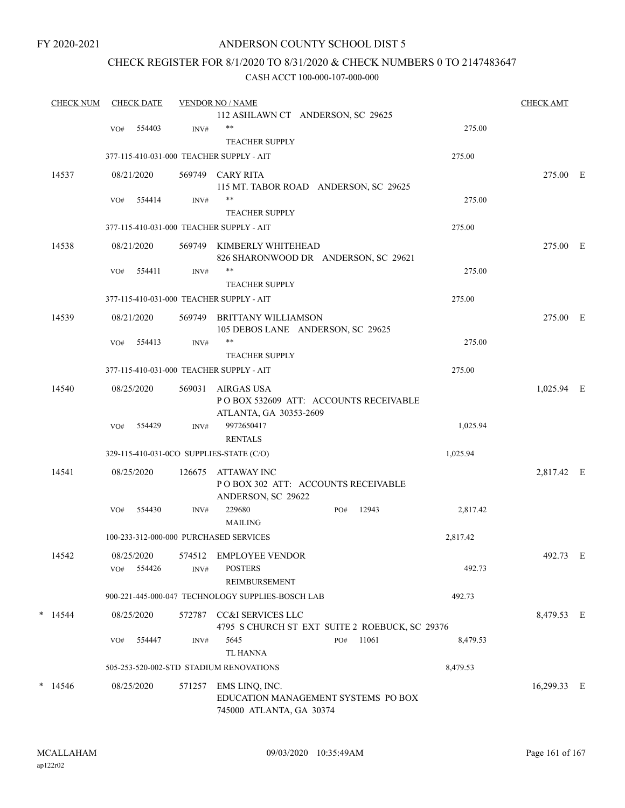### ANDERSON COUNTY SCHOOL DIST 5

# CHECK REGISTER FOR 8/1/2020 TO 8/31/2020 & CHECK NUMBERS 0 TO 2147483647

| <b>CHECK NUM</b> | <b>CHECK DATE</b> |            |        | <b>VENDOR NO / NAME</b>                                           | <b>CHECK AMT</b> |       |          |             |  |
|------------------|-------------------|------------|--------|-------------------------------------------------------------------|------------------|-------|----------|-------------|--|
|                  |                   |            |        | 112 ASHLAWN CT ANDERSON, SC 29625                                 |                  |       |          |             |  |
|                  | VO#               | 554403     | INV#   | $***$                                                             |                  |       | 275.00   |             |  |
|                  |                   |            |        | <b>TEACHER SUPPLY</b>                                             |                  |       |          |             |  |
|                  |                   |            |        | 377-115-410-031-000 TEACHER SUPPLY - AIT                          | 275.00           |       |          |             |  |
| 14537            |                   | 08/21/2020 |        | 569749 CARY RITA                                                  |                  |       |          | 275.00 E    |  |
|                  | VO#               | 554414     | INV#   | 115 MT. TABOR ROAD ANDERSON, SC 29625<br>$***$                    |                  |       | 275.00   |             |  |
|                  |                   |            |        | <b>TEACHER SUPPLY</b>                                             |                  |       |          |             |  |
|                  |                   |            |        | 377-115-410-031-000 TEACHER SUPPLY - AIT                          |                  |       | 275.00   |             |  |
| 14538            |                   | 08/21/2020 |        | 569749 KIMBERLY WHITEHEAD                                         |                  |       |          | 275.00 E    |  |
|                  |                   |            |        | 826 SHARONWOOD DR ANDERSON, SC 29621                              |                  |       |          |             |  |
|                  | VO#               | 554411     | INV#   | $***$                                                             |                  |       | 275.00   |             |  |
|                  |                   |            |        | <b>TEACHER SUPPLY</b>                                             |                  |       |          |             |  |
|                  |                   |            |        | 377-115-410-031-000 TEACHER SUPPLY - AIT                          |                  |       | 275.00   |             |  |
| 14539            |                   | 08/21/2020 |        | 569749 BRITTANY WILLIAMSON                                        |                  |       |          | 275.00 E    |  |
|                  |                   |            |        | 105 DEBOS LANE ANDERSON, SC 29625                                 |                  |       |          |             |  |
|                  | VO#               | 554413     | INV#   | **                                                                |                  |       | 275.00   |             |  |
|                  |                   |            |        | <b>TEACHER SUPPLY</b><br>377-115-410-031-000 TEACHER SUPPLY - AIT |                  |       | 275.00   |             |  |
|                  |                   |            |        |                                                                   |                  |       |          |             |  |
| 14540            |                   | 08/25/2020 | 569031 | AIRGAS USA<br>POBOX 532609 ATT: ACCOUNTS RECEIVABLE               |                  |       |          | 1,025.94 E  |  |
|                  |                   |            |        | ATLANTA, GA 30353-2609                                            |                  |       |          |             |  |
|                  | VO#               | 554429     | INV#   | 9972650417                                                        |                  |       | 1,025.94 |             |  |
|                  |                   |            |        | <b>RENTALS</b>                                                    |                  |       |          |             |  |
|                  |                   |            |        | 329-115-410-031-0CO SUPPLIES-STATE (C/O)                          |                  |       | 1,025.94 |             |  |
| 14541            |                   | 08/25/2020 | 126675 | ATTAWAY INC                                                       |                  |       |          | 2,817.42 E  |  |
|                  |                   |            |        | POBOX 302 ATT: ACCOUNTS RECEIVABLE                                |                  |       |          |             |  |
|                  | VO#               | 554430     | INV#   | ANDERSON, SC 29622<br>229680                                      | PO#              | 12943 | 2,817.42 |             |  |
|                  |                   |            |        | <b>MAILING</b>                                                    |                  |       |          |             |  |
|                  |                   |            |        | 100-233-312-000-000 PURCHASED SERVICES                            |                  |       | 2,817.42 |             |  |
| 14542            |                   | 08/25/2020 |        | 574512 EMPLOYEE VENDOR                                            |                  |       |          | 492.73 E    |  |
|                  | VO#               | 554426     | INV#   | <b>POSTERS</b>                                                    |                  |       | 492.73   |             |  |
|                  |                   |            |        | REIMBURSEMENT                                                     |                  |       |          |             |  |
|                  |                   |            |        | 900-221-445-000-047 TECHNOLOGY SUPPLIES-BOSCH LAB                 |                  |       | 492.73   |             |  |
| $*$ 14544        |                   | 08/25/2020 |        | 572787 CC&I SERVICES LLC                                          |                  |       |          | 8,479.53 E  |  |
|                  |                   |            |        | 4795 S CHURCH ST EXT SUITE 2 ROEBUCK, SC 29376                    |                  |       |          |             |  |
|                  | VO#               | 554447     | INV#   | 5645                                                              | PO#              | 11061 | 8,479.53 |             |  |
|                  |                   |            |        | <b>TL HANNA</b>                                                   |                  |       |          |             |  |
|                  |                   |            |        | 505-253-520-002-STD STADIUM RENOVATIONS                           |                  |       | 8,479.53 |             |  |
| $*$ 14546        |                   | 08/25/2020 |        | 571257 EMS LINQ, INC.                                             |                  |       |          | 16,299.33 E |  |
|                  |                   |            |        | EDUCATION MANAGEMENT SYSTEMS PO BOX<br>745000 ATLANTA, GA 30374   |                  |       |          |             |  |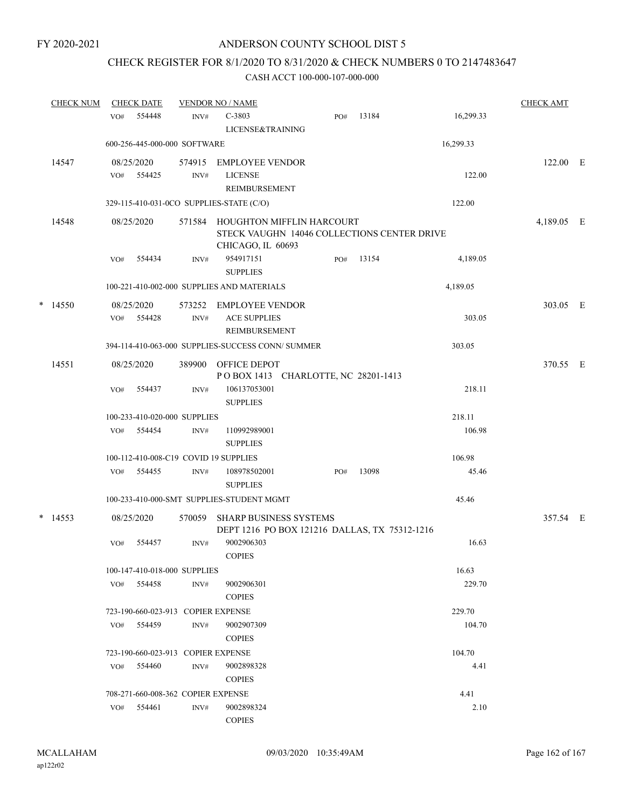# CHECK REGISTER FOR 8/1/2020 TO 8/31/2020 & CHECK NUMBERS 0 TO 2147483647

|   | <b>CHECK NUM</b> |                                           | <b>CHECK DATE</b>                  |        | <b>VENDOR NO / NAME</b>                                                                       |  |     |       |           | <b>CHECK AMT</b> |  |
|---|------------------|-------------------------------------------|------------------------------------|--------|-----------------------------------------------------------------------------------------------|--|-----|-------|-----------|------------------|--|
|   |                  | VO#                                       | 554448                             | INV#   | $C-3803$                                                                                      |  | PO# | 13184 | 16,299.33 |                  |  |
|   |                  |                                           |                                    |        | LICENSE&TRAINING                                                                              |  |     |       |           |                  |  |
|   |                  | 600-256-445-000-000 SOFTWARE<br>16,299.33 |                                    |        |                                                                                               |  |     |       |           |                  |  |
|   | 14547            |                                           | 08/25/2020                         | 574915 | <b>EMPLOYEE VENDOR</b>                                                                        |  |     |       |           | $122.00$ E       |  |
|   |                  | VO#                                       | 554425                             | INV#   | <b>LICENSE</b>                                                                                |  |     |       | 122.00    |                  |  |
|   |                  |                                           |                                    |        | <b>REIMBURSEMENT</b>                                                                          |  |     |       |           |                  |  |
|   |                  |                                           |                                    |        | 329-115-410-031-0CO SUPPLIES-STATE (C/O)                                                      |  |     |       | 122.00    |                  |  |
|   | 14548            |                                           | 08/25/2020                         | 571584 | HOUGHTON MIFFLIN HARCOURT<br>STECK VAUGHN 14046 COLLECTIONS CENTER DRIVE<br>CHICAGO, IL 60693 |  |     |       |           | 4,189.05 E       |  |
|   |                  | VO#                                       | 554434                             | INV#   | 954917151<br><b>SUPPLIES</b>                                                                  |  | PO# | 13154 | 4,189.05  |                  |  |
|   |                  |                                           |                                    |        | 100-221-410-002-000 SUPPLIES AND MATERIALS                                                    |  |     |       | 4,189.05  |                  |  |
| * | 14550            |                                           | 08/25/2020                         | 573252 | EMPLOYEE VENDOR                                                                               |  |     |       |           | 303.05 E         |  |
|   |                  | VO#                                       | 554428                             | INV#   | <b>ACE SUPPLIES</b><br><b>REIMBURSEMENT</b>                                                   |  |     |       | 303.05    |                  |  |
|   |                  |                                           |                                    |        | 394-114-410-063-000 SUPPLIES-SUCCESS CONN/ SUMMER                                             |  |     |       | 303.05    |                  |  |
|   | 14551            |                                           | 08/25/2020                         | 389900 | OFFICE DEPOT<br>POBOX 1413 CHARLOTTE, NC 28201-1413                                           |  |     |       |           | 370.55 E         |  |
|   |                  | VO#                                       | 554437                             | INV#   | 106137053001<br><b>SUPPLIES</b>                                                               |  |     |       | 218.11    |                  |  |
|   |                  |                                           | 100-233-410-020-000 SUPPLIES       |        |                                                                                               |  |     |       | 218.11    |                  |  |
|   |                  | VO#                                       | 554454                             | INV#   | 110992989001<br><b>SUPPLIES</b>                                                               |  |     |       | 106.98    |                  |  |
|   |                  |                                           |                                    |        | 100-112-410-008-C19 COVID 19 SUPPLIES                                                         |  |     |       | 106.98    |                  |  |
|   |                  | VO#                                       | 554455                             | INV#   | 108978502001<br><b>SUPPLIES</b>                                                               |  | PO# | 13098 | 45.46     |                  |  |
|   |                  |                                           |                                    |        | 100-233-410-000-SMT_SUPPLIES-STUDENT MGMT                                                     |  |     |       | 45.46     |                  |  |
|   | $*$ 14553        |                                           | 08/25/2020                         | 570059 | <b>SHARP BUSINESS SYSTEMS</b><br>DEPT 1216 PO BOX 121216 DALLAS, TX 75312-1216                |  |     |       |           | 357.54 E         |  |
|   |                  | VO#                                       | 554457                             | INV#   | 9002906303<br><b>COPIES</b>                                                                   |  |     |       | 16.63     |                  |  |
|   |                  |                                           | 100-147-410-018-000 SUPPLIES       |        |                                                                                               |  |     |       | 16.63     |                  |  |
|   |                  | VO#                                       | 554458                             | INV#   | 9002906301<br><b>COPIES</b>                                                                   |  |     |       | 229.70    |                  |  |
|   |                  |                                           | 723-190-660-023-913 COPIER EXPENSE |        |                                                                                               |  |     |       | 229.70    |                  |  |
|   |                  |                                           | VO# 554459                         | INV#   | 9002907309<br><b>COPIES</b>                                                                   |  |     |       | 104.70    |                  |  |
|   |                  |                                           | 723-190-660-023-913 COPIER EXPENSE |        |                                                                                               |  |     |       | 104.70    |                  |  |
|   |                  | VO#                                       | 554460                             | INV#   | 9002898328<br><b>COPIES</b>                                                                   |  |     |       | 4.41      |                  |  |
|   |                  |                                           | 708-271-660-008-362 COPIER EXPENSE |        |                                                                                               |  |     |       | 4.41      |                  |  |
|   |                  | VO#                                       | 554461                             | INV#   | 9002898324                                                                                    |  |     |       | 2.10      |                  |  |
|   |                  |                                           |                                    |        | <b>COPIES</b>                                                                                 |  |     |       |           |                  |  |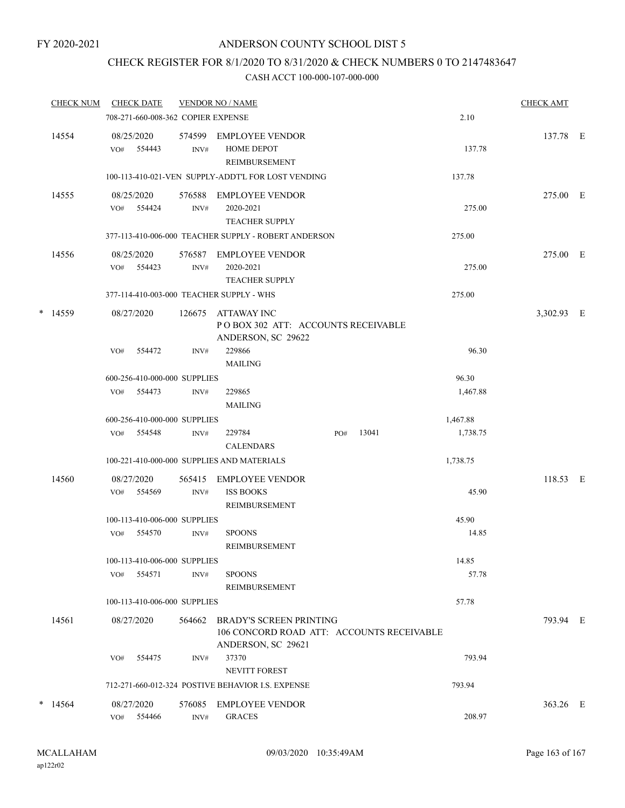## CHECK REGISTER FOR 8/1/2020 TO 8/31/2020 & CHECK NUMBERS 0 TO 2147483647

|   | <b>CHECK NUM</b> |     | <b>CHECK DATE</b>        |                                    | <b>VENDOR NO / NAME</b>                                                                           |        |       |          | <b>CHECK AMT</b> |  |
|---|------------------|-----|--------------------------|------------------------------------|---------------------------------------------------------------------------------------------------|--------|-------|----------|------------------|--|
|   |                  |     |                          | 708-271-660-008-362 COPIER EXPENSE |                                                                                                   |        |       | 2.10     |                  |  |
|   | 14554            |     | 08/25/2020<br>VO# 554443 | 574599<br>INV#                     | EMPLOYEE VENDOR<br><b>HOME DEPOT</b><br><b>REIMBURSEMENT</b>                                      |        |       | 137.78   | 137.78 E         |  |
|   |                  |     |                          |                                    | 100-113-410-021-VEN SUPPLY-ADDT'L FOR LOST VENDING                                                |        |       | 137.78   |                  |  |
|   | 14555            | VO# | 08/25/2020<br>554424     | 576588<br>INV#                     | <b>EMPLOYEE VENDOR</b><br>2020-2021<br><b>TEACHER SUPPLY</b>                                      |        |       | 275.00   | 275.00 E         |  |
|   |                  |     |                          |                                    | 377-113-410-006-000 TEACHER SUPPLY - ROBERT ANDERSON                                              | 275.00 |       |          |                  |  |
|   | 14556            |     | 08/25/2020<br>VO# 554423 | 576587<br>INV#                     | EMPLOYEE VENDOR<br>2020-2021<br><b>TEACHER SUPPLY</b>                                             |        |       | 275.00   | 275.00 E         |  |
|   |                  |     |                          |                                    | 377-114-410-003-000 TEACHER SUPPLY - WHS                                                          |        |       | 275.00   |                  |  |
|   | $*$ 14559        |     | 08/27/2020               | 126675                             | ATTAWAY INC<br>POBOX 302 ATT: ACCOUNTS RECEIVABLE<br>ANDERSON, SC 29622                           |        |       |          | 3,302.93 E       |  |
|   |                  | VO# | 554472                   | INV#                               | 229866<br><b>MAILING</b>                                                                          |        |       | 96.30    |                  |  |
|   |                  |     |                          | 600-256-410-000-000 SUPPLIES       |                                                                                                   |        |       | 96.30    |                  |  |
|   |                  |     | VO# 554473               | INV#                               | 229865<br><b>MAILING</b>                                                                          |        |       | 1,467.88 |                  |  |
|   |                  |     |                          | 600-256-410-000-000 SUPPLIES       |                                                                                                   |        |       | 1,467.88 |                  |  |
|   |                  |     | VO# 554548               | INV#                               | 229784<br><b>CALENDARS</b>                                                                        | PO#    | 13041 | 1,738.75 |                  |  |
|   |                  |     |                          |                                    | 100-221-410-000-000 SUPPLIES AND MATERIALS                                                        |        |       | 1,738.75 |                  |  |
|   | 14560            | VO# | 08/27/2020<br>554569     | 565415<br>INV#                     | EMPLOYEE VENDOR<br><b>ISS BOOKS</b>                                                               |        |       | 45.90    | 118.53 E         |  |
|   |                  |     |                          |                                    | REIMBURSEMENT                                                                                     |        |       |          |                  |  |
|   |                  |     |                          | 100-113-410-006-000 SUPPLIES       |                                                                                                   |        |       | 45.90    |                  |  |
|   |                  | VO# | 554570                   | INV#                               | <b>SPOONS</b><br>REIMBURSEMENT                                                                    |        |       | 14.85    |                  |  |
|   |                  |     |                          | 100-113-410-006-000 SUPPLIES       |                                                                                                   |        |       | 14.85    |                  |  |
|   |                  | VO# | 554571                   | INV#                               | <b>SPOONS</b><br>REIMBURSEMENT                                                                    |        |       | 57.78    |                  |  |
|   |                  |     |                          | 100-113-410-006-000 SUPPLIES       |                                                                                                   |        |       | 57.78    |                  |  |
|   | 14561            |     | 08/27/2020               | 564662                             | <b>BRADY'S SCREEN PRINTING</b><br>106 CONCORD ROAD ATT: ACCOUNTS RECEIVABLE<br>ANDERSON, SC 29621 |        |       |          | 793.94 E         |  |
|   |                  | VO# | 554475                   | INV#                               | 37370<br><b>NEVITT FOREST</b>                                                                     |        |       | 793.94   |                  |  |
|   |                  |     |                          |                                    | 712-271-660-012-324 POSTIVE BEHAVIOR I.S. EXPENSE                                                 |        |       | 793.94   |                  |  |
| * | 14564            | VO# | 08/27/2020<br>554466     | 576085<br>INV#                     | <b>EMPLOYEE VENDOR</b><br><b>GRACES</b>                                                           |        |       | 208.97   | 363.26 E         |  |
|   |                  |     |                          |                                    |                                                                                                   |        |       |          |                  |  |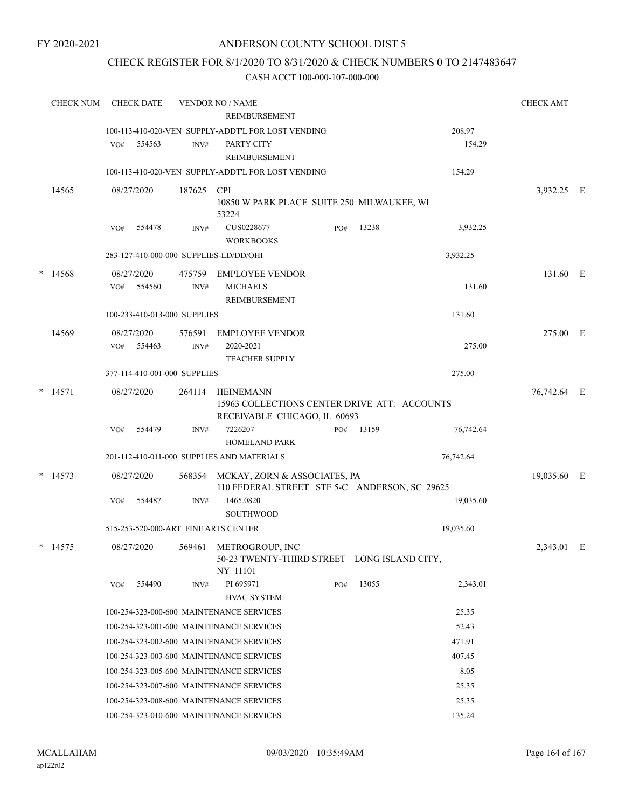### CHECK REGISTER FOR 8/1/2020 TO 8/31/2020 & CHECK NUMBERS 0 TO 2147483647

|                 | <b>CHECK NUM</b> | <b>CHECK DATE</b><br><b>VENDOR NO / NAME</b> |            |                                                                  |                                                    |        |       |             |             |  |
|-----------------|------------------|----------------------------------------------|------------|------------------------------------------------------------------|----------------------------------------------------|--------|-------|-------------|-------------|--|
|                 |                  |                                              |            |                                                                  | REIMBURSEMENT                                      |        |       |             |             |  |
|                 |                  |                                              |            |                                                                  | 100-113-410-020-VEN SUPPLY-ADDT'L FOR LOST VENDING |        |       | 208.97      |             |  |
|                 |                  | VO#                                          | 554563     | INV#                                                             | PARTY CITY                                         |        |       | 154.29      |             |  |
|                 |                  |                                              |            |                                                                  | REIMBURSEMENT                                      |        |       |             |             |  |
|                 |                  |                                              |            |                                                                  | 100-113-410-020-VEN SUPPLY-ADDT'L FOR LOST VENDING | 154.29 |       |             |             |  |
|                 | 14565            |                                              | 08/27/2020 | 187625                                                           | <b>CPI</b>                                         |        |       |             | 3,932.25 E  |  |
|                 |                  |                                              |            |                                                                  | 10850 W PARK PLACE SUITE 250 MILWAUKEE, WI         |        |       |             |             |  |
|                 |                  | VO#                                          | 554478     | INV#                                                             | 53224<br>CUS0228677                                | PO#    | 13238 | 3,932.25    |             |  |
|                 |                  |                                              |            |                                                                  | <b>WORKBOOKS</b>                                   |        |       |             |             |  |
|                 |                  |                                              |            |                                                                  | 283-127-410-000-000 SUPPLIES-LD/DD/OHI             |        |       | 3,932.25    |             |  |
|                 |                  |                                              |            |                                                                  |                                                    |        |       |             |             |  |
| $\ast$          | 14568            |                                              | 08/27/2020 | 475759                                                           | <b>EMPLOYEE VENDOR</b><br><b>MICHAELS</b>          |        |       | 131.60      | 131.60 E    |  |
|                 |                  | VO#                                          | 554560     | INV#                                                             | REIMBURSEMENT                                      |        |       |             |             |  |
|                 |                  |                                              |            | 100-233-410-013-000 SUPPLIES                                     |                                                    |        |       | 131.60      |             |  |
|                 |                  |                                              |            |                                                                  |                                                    |        |       |             |             |  |
|                 | 14569            |                                              | 08/27/2020 | 576591                                                           | <b>EMPLOYEE VENDOR</b>                             |        |       |             | 275.00 E    |  |
|                 |                  | VO#                                          | 554463     | INV#                                                             | 2020-2021<br><b>TEACHER SUPPLY</b>                 |        |       | 275.00      |             |  |
|                 |                  |                                              |            | 377-114-410-001-000 SUPPLIES                                     |                                                    |        |       | 275.00      |             |  |
|                 |                  |                                              |            |                                                                  |                                                    |        |       |             |             |  |
| $\ast$<br>14571 |                  | 08/27/2020                                   | 264114     | <b>HEINEMANN</b><br>15963 COLLECTIONS CENTER DRIVE ATT: ACCOUNTS |                                                    |        |       | 76,742.64 E |             |  |
|                 |                  |                                              |            |                                                                  | RECEIVABLE CHICAGO, IL 60693                       |        |       |             |             |  |
|                 |                  | VO#                                          | 554479     | INV#                                                             | 7226207                                            | PO#    | 13159 | 76,742.64   |             |  |
|                 |                  |                                              |            |                                                                  | <b>HOMELAND PARK</b>                               |        |       |             |             |  |
|                 |                  |                                              |            |                                                                  | 201-112-410-011-000 SUPPLIES AND MATERIALS         |        |       | 76,742.64   |             |  |
|                 | $*$ 14573        |                                              | 08/27/2020 |                                                                  | 568354 MCKAY, ZORN & ASSOCIATES, PA                |        |       |             | 19,035.60 E |  |
|                 |                  |                                              |            |                                                                  | 110 FEDERAL STREET STE 5-C ANDERSON, SC 29625      |        |       |             |             |  |
|                 |                  | VO#                                          | 554487     | INV#                                                             | 1465.0820                                          |        |       | 19,035.60   |             |  |
|                 |                  |                                              |            |                                                                  | <b>SOUTHWOOD</b>                                   |        |       |             |             |  |
|                 |                  |                                              |            |                                                                  | 515-253-520-000-ART FINE ARTS CENTER               |        |       | 19,035.60   |             |  |
|                 | $*$ 14575        |                                              | 08/27/2020 |                                                                  | 569461 METROGROUP, INC                             |        |       |             | 2,343.01 E  |  |
|                 |                  |                                              |            |                                                                  | 50-23 TWENTY-THIRD STREET LONG ISLAND CITY,        |        |       |             |             |  |
|                 |                  |                                              |            |                                                                  | NY 11101                                           |        |       |             |             |  |
|                 |                  | VO#                                          | 554490     | INV#                                                             | PI 695971                                          | PO#    | 13055 | 2,343.01    |             |  |
|                 |                  |                                              |            |                                                                  | <b>HVAC SYSTEM</b>                                 |        |       |             |             |  |
|                 |                  |                                              |            |                                                                  | 100-254-323-000-600 MAINTENANCE SERVICES           |        |       | 25.35       |             |  |
|                 |                  |                                              |            |                                                                  | 100-254-323-001-600 MAINTENANCE SERVICES           |        |       | 52.43       |             |  |
|                 |                  |                                              |            |                                                                  | 100-254-323-002-600 MAINTENANCE SERVICES           |        |       | 471.91      |             |  |
|                 |                  |                                              |            |                                                                  | 100-254-323-003-600 MAINTENANCE SERVICES           |        |       | 407.45      |             |  |
|                 |                  |                                              |            |                                                                  | 100-254-323-005-600 MAINTENANCE SERVICES           |        |       | 8.05        |             |  |
|                 |                  |                                              |            |                                                                  | 100-254-323-007-600 MAINTENANCE SERVICES           |        |       | 25.35       |             |  |
|                 |                  |                                              |            |                                                                  | 100-254-323-008-600 MAINTENANCE SERVICES           |        |       | 25.35       |             |  |
|                 |                  |                                              |            |                                                                  | 100-254-323-010-600 MAINTENANCE SERVICES           |        |       | 135.24      |             |  |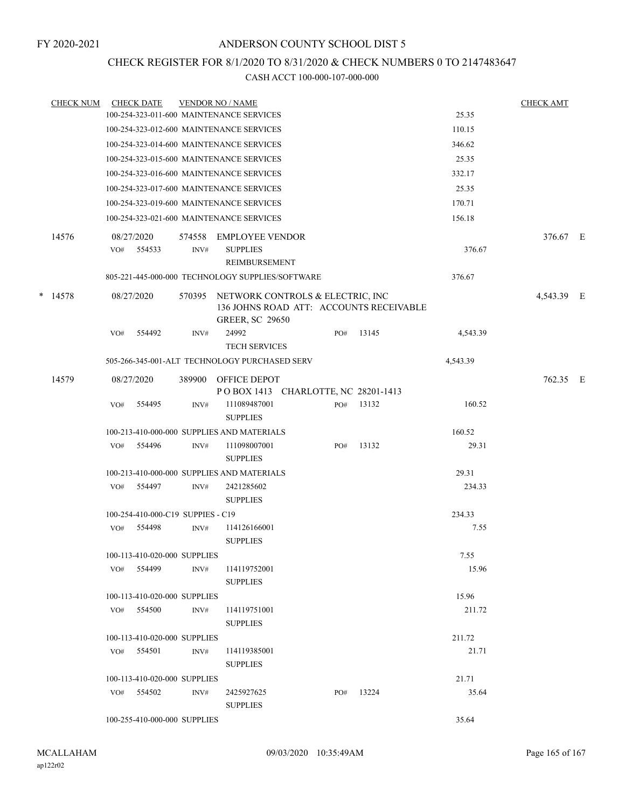### CHECK REGISTER FOR 8/1/2020 TO 8/31/2020 & CHECK NUMBERS 0 TO 2147483647

|            | <b>CHECK NUM</b> |            | <b>CHECK DATE</b>                        |                                                                                                       | <b>VENDOR NO / NAME</b>                                    |     |       |            | <b>CHECK AMT</b> |  |
|------------|------------------|------------|------------------------------------------|-------------------------------------------------------------------------------------------------------|------------------------------------------------------------|-----|-------|------------|------------------|--|
|            |                  |            |                                          |                                                                                                       | 100-254-323-011-600 MAINTENANCE SERVICES                   |     |       | 25.35      |                  |  |
|            |                  |            |                                          |                                                                                                       | 100-254-323-012-600 MAINTENANCE SERVICES                   |     |       | 110.15     |                  |  |
|            |                  |            |                                          |                                                                                                       | 100-254-323-014-600 MAINTENANCE SERVICES                   |     |       | 346.62     |                  |  |
|            |                  |            |                                          |                                                                                                       | 100-254-323-015-600 MAINTENANCE SERVICES                   |     |       | 25.35      |                  |  |
|            |                  |            |                                          |                                                                                                       | 100-254-323-016-600 MAINTENANCE SERVICES                   |     |       | 332.17     |                  |  |
|            |                  |            |                                          |                                                                                                       | 100-254-323-017-600 MAINTENANCE SERVICES                   |     |       | 25.35      |                  |  |
|            |                  |            |                                          |                                                                                                       | 100-254-323-019-600 MAINTENANCE SERVICES                   |     |       | 170.71     |                  |  |
|            |                  |            | 100-254-323-021-600 MAINTENANCE SERVICES |                                                                                                       | 156.18                                                     |     |       |            |                  |  |
|            | 14576            | VO#        | 08/27/2020<br>554533                     | 574558<br>INV#                                                                                        | <b>EMPLOYEE VENDOR</b><br><b>SUPPLIES</b><br>REIMBURSEMENT |     |       | 376.67     | 376.67 E         |  |
|            |                  |            |                                          |                                                                                                       | 805-221-445-000-000 TECHNOLOGY SUPPLIES/SOFTWARE           |     |       | 376.67     |                  |  |
| *<br>14578 |                  | 08/27/2020 | 570395                                   | NETWORK CONTROLS & ELECTRIC, INC<br>136 JOHNS ROAD ATT: ACCOUNTS RECEIVABLE<br><b>GREER, SC 29650</b> |                                                            |     |       | 4,543.39 E |                  |  |
|            |                  | VO#        | 554492                                   | INV#                                                                                                  | 24992<br><b>TECH SERVICES</b>                              | PO# | 13145 | 4,543.39   |                  |  |
|            |                  |            |                                          |                                                                                                       | 505-266-345-001-ALT TECHNOLOGY PURCHASED SERV              |     |       | 4,543.39   |                  |  |
|            | 14579            |            | 08/27/2020                               | 389900                                                                                                | OFFICE DEPOT<br>POBOX 1413 CHARLOTTE, NC 28201-1413        |     |       |            | 762.35 E         |  |
|            |                  | VO#        | 554495                                   | INV#                                                                                                  | 111089487001<br><b>SUPPLIES</b>                            | PO# | 13132 | 160.52     |                  |  |
|            |                  |            |                                          |                                                                                                       | 100-213-410-000-000 SUPPLIES AND MATERIALS                 |     |       | 160.52     |                  |  |
|            |                  | VO#        | 554496                                   | INV#                                                                                                  | 111098007001<br><b>SUPPLIES</b>                            | PO# | 13132 | 29.31      |                  |  |
|            |                  |            |                                          |                                                                                                       | 100-213-410-000-000 SUPPLIES AND MATERIALS                 |     |       | 29.31      |                  |  |
|            |                  | VO#        | 554497                                   | INV#                                                                                                  | 2421285602<br><b>SUPPLIES</b>                              |     |       | 234.33     |                  |  |
|            |                  |            | 100-254-410-000-C19 SUPPIES - C19        |                                                                                                       |                                                            |     |       | 234.33     |                  |  |
|            |                  | VO#        | 554498                                   | INV#                                                                                                  | 114126166001<br><b>SUPPLIES</b>                            |     |       | 7.55       |                  |  |
|            |                  |            | 100-113-410-020-000 SUPPLIES             |                                                                                                       |                                                            |     |       | 7.55       |                  |  |
|            |                  | VO#        | 554499                                   | INV#                                                                                                  | 114119752001<br><b>SUPPLIES</b>                            |     |       | 15.96      |                  |  |
|            |                  |            | 100-113-410-020-000 SUPPLIES             |                                                                                                       |                                                            |     |       | 15.96      |                  |  |
|            |                  |            | $VO#$ 554500                             | INV#                                                                                                  | 114119751001<br><b>SUPPLIES</b>                            |     |       | 211.72     |                  |  |
|            |                  |            | 100-113-410-020-000 SUPPLIES             |                                                                                                       |                                                            |     |       | 211.72     |                  |  |
|            |                  |            | VO# 554501                               | INV#                                                                                                  | 114119385001<br><b>SUPPLIES</b>                            |     |       | 21.71      |                  |  |
|            |                  |            | 100-113-410-020-000 SUPPLIES             |                                                                                                       |                                                            |     |       | 21.71      |                  |  |
|            |                  |            | VO# 554502                               | INV#                                                                                                  | 2425927625<br><b>SUPPLIES</b>                              | PO# | 13224 | 35.64      |                  |  |
|            |                  |            | 100-255-410-000-000 SUPPLIES             |                                                                                                       |                                                            |     |       | 35.64      |                  |  |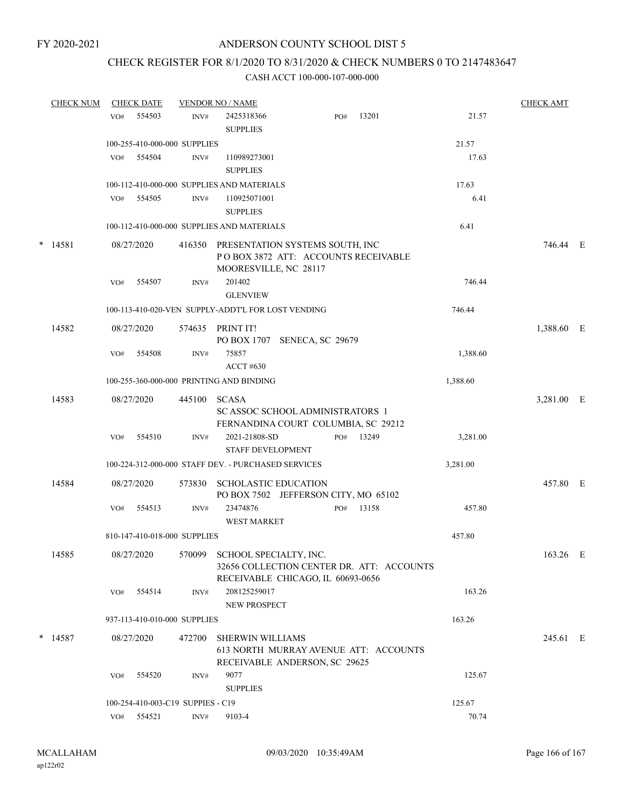## CHECK REGISTER FOR 8/1/2020 TO 8/31/2020 & CHECK NUMBERS 0 TO 2147483647

|  | <b>CHECK NUM</b> |     | <b>CHECK DATE</b> | <b>VENDOR NO / NAME</b>           |                                                                                                                 |  |     |       | <b>CHECK AMT</b> |            |  |
|--|------------------|-----|-------------------|-----------------------------------|-----------------------------------------------------------------------------------------------------------------|--|-----|-------|------------------|------------|--|
|  |                  | VO# | 554503            | INV#                              | 2425318366<br><b>SUPPLIES</b>                                                                                   |  | PO# | 13201 | 21.57            |            |  |
|  |                  |     |                   | 100-255-410-000-000 SUPPLIES      |                                                                                                                 |  |     |       | 21.57            |            |  |
|  |                  | VO# | 554504            | INV#                              | 110989273001<br><b>SUPPLIES</b>                                                                                 |  |     |       | 17.63            |            |  |
|  |                  |     |                   |                                   | 100-112-410-000-000 SUPPLIES AND MATERIALS                                                                      |  |     |       | 17.63            |            |  |
|  |                  | VO# | 554505            | INV#                              | 110925071001<br><b>SUPPLIES</b>                                                                                 |  |     |       | 6.41             |            |  |
|  |                  |     |                   |                                   | 100-112-410-000-000 SUPPLIES AND MATERIALS                                                                      |  |     |       | 6.41             |            |  |
|  | $*$ 14581        |     | 08/27/2020        | 416350                            | PRESENTATION SYSTEMS SOUTH, INC<br>POBOX 3872 ATT: ACCOUNTS RECEIVABLE<br>MOORESVILLE, NC 28117                 |  |     |       |                  | 746.44 E   |  |
|  |                  | VO# | 554507            | INV#                              | 201402<br><b>GLENVIEW</b>                                                                                       |  |     |       | 746.44           |            |  |
|  |                  |     |                   |                                   | 100-113-410-020-VEN SUPPLY-ADDT'L FOR LOST VENDING                                                              |  |     |       | 746.44           |            |  |
|  | 14582            |     | 08/27/2020        |                                   | 574635 PRINT IT!<br>PO BOX 1707 SENECA, SC 29679                                                                |  |     |       |                  | 1,388.60 E |  |
|  |                  | VO# | 554508            | INV#                              | 75857<br><b>ACCT #630</b>                                                                                       |  |     |       | 1,388.60         |            |  |
|  |                  |     |                   |                                   | 100-255-360-000-000 PRINTING AND BINDING                                                                        |  |     |       | 1,388.60         |            |  |
|  | 14583            |     | 08/27/2020        | 445100                            | <b>SCASA</b>                                                                                                    |  |     |       |                  | 3,281.00 E |  |
|  |                  |     |                   |                                   | SC ASSOC SCHOOL ADMINISTRATORS 1<br>FERNANDINA COURT COLUMBIA, SC 29212                                         |  |     |       |                  |            |  |
|  |                  | VO# | 554510            | INV#                              | 2021-21808-SD<br><b>STAFF DEVELOPMENT</b>                                                                       |  | PO# | 13249 | 3,281.00         |            |  |
|  |                  |     |                   |                                   | 100-224-312-000-000 STAFF DEV. - PURCHASED SERVICES                                                             |  |     |       | 3,281.00         |            |  |
|  | 14584            |     | 08/27/2020        | 573830                            | <b>SCHOLASTIC EDUCATION</b><br>PO BOX 7502 JEFFERSON CITY, MO 65102                                             |  |     |       |                  | 457.80 E   |  |
|  |                  | VO# | 554513            | INV#                              | 23474876<br><b>WEST MARKET</b>                                                                                  |  | PO# | 13158 | 457.80           |            |  |
|  |                  |     |                   | 810-147-410-018-000 SUPPLIES      |                                                                                                                 |  |     |       | 457.80           |            |  |
|  | 14585            |     | 08/27/2020        |                                   | 570099 SCHOOL SPECIALTY, INC.<br>32656 COLLECTION CENTER DR. ATT: ACCOUNTS<br>RECEIVABLE CHICAGO, IL 60693-0656 |  |     |       |                  | 163.26 E   |  |
|  |                  | VO# | 554514            | INV#                              | 208125259017<br><b>NEW PROSPECT</b>                                                                             |  |     |       | 163.26           |            |  |
|  |                  |     |                   | 937-113-410-010-000 SUPPLIES      |                                                                                                                 |  |     |       | 163.26           |            |  |
|  | $*$ 14587        |     | 08/27/2020        | 472700                            | <b>SHERWIN WILLIAMS</b><br>613 NORTH MURRAY AVENUE ATT: ACCOUNTS<br>RECEIVABLE ANDERSON, SC 29625               |  |     |       |                  | 245.61 E   |  |
|  |                  | VO# | 554520            | INV#                              | 9077<br><b>SUPPLIES</b>                                                                                         |  |     |       | 125.67           |            |  |
|  |                  |     |                   | 100-254-410-003-C19 SUPPIES - C19 |                                                                                                                 |  |     |       | 125.67           |            |  |
|  |                  |     | VO# 554521        | INV#                              | 9103-4                                                                                                          |  |     |       | 70.74            |            |  |